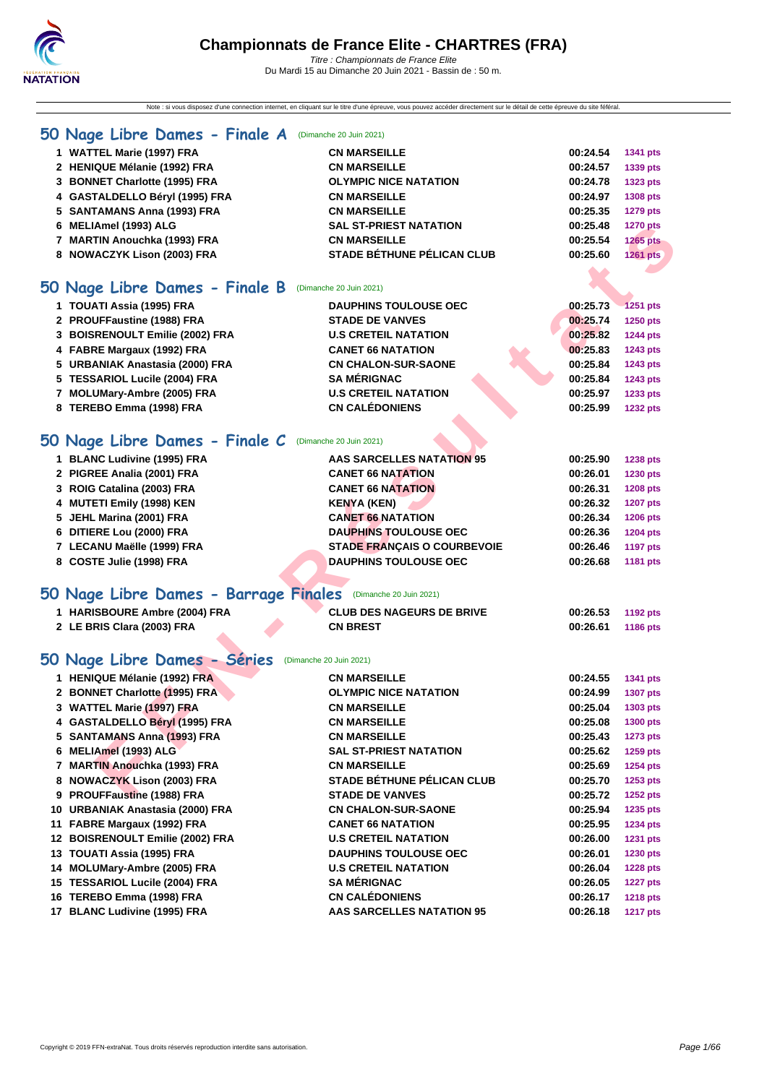Note : si vous disposez d'une connection internet, en cliquant sur le titre d'une épreuve, vous pouvez accéder directement sur le détail de cette épreuve du site féféral.

### **[50 Na](http://www.ffnatation.fr/webffn/index.php)ge Libre Dames - Finale A** (Dimanche 20 Juin 2021)

| 1 WATTEL Marie (1997) FRA      | <b>CN MARSEILLE</b>               | 00:24.54 | 1341 pts        |
|--------------------------------|-----------------------------------|----------|-----------------|
| 2 HENIQUE Mélanie (1992) FRA   | <b>CN MARSEILLE</b>               | 00:24.57 | 1339 pts        |
| 3 BONNET Charlotte (1995) FRA  | <b>OLYMPIC NICE NATATION</b>      | 00:24.78 | 1323 pts        |
| 4 GASTALDELLO Béryl (1995) FRA | <b>CN MARSEILLE</b>               | 00:24.97 | 1308 pts        |
| 5 SANTAMANS Anna (1993) FRA    | <b>CN MARSEILLE</b>               | 00:25.35 | 1279 pts        |
| 6 MELIAmel (1993) ALG          | <b>SAL ST-PRIEST NATATION</b>     | 00:25.48 | <b>1270 pts</b> |
| 7 MARTIN Anouchka (1993) FRA   | <b>CN MARSEILLE</b>               | 00:25.54 | <b>1265 pts</b> |
| 8 NOWACZYK Lison (2003) FRA    | <b>STADE BÉTHUNE PÉLICAN CLUB</b> | 00:25.60 | 1261 pts        |
|                                |                                   |          |                 |

## **50 Nage Libre Dames - Finale B** (Dimanche 20 Juin 2021)

| 1 TOUATI Assia (1995) FRA       | <b>DAUPHINS TOULOUSE OEC</b> | 00:25.73 | <b>1251 pts</b> |
|---------------------------------|------------------------------|----------|-----------------|
| 2 PROUFFaustine (1988) FRA      | <b>STADE DE VANVES</b>       | 00:25.74 | 1250 pts        |
| 3 BOISRENOULT Emilie (2002) FRA | <b>U.S CRETEIL NATATION</b>  | 00:25.82 | <b>1244 pts</b> |
| 4 FABRE Margaux (1992) FRA      | <b>CANET 66 NATATION</b>     | 00:25.83 | <b>1243 pts</b> |
| 5 URBANIAK Anastasia (2000) FRA | <b>CN CHALON-SUR-SAONE</b>   | 00:25.84 | 1243 pts        |
| 5 TESSARIOL Lucile (2004) FRA   | <b>SA MÉRIGNAC</b>           | 00:25.84 | <b>1243 pts</b> |
| 7 MOLUMary-Ambre (2005) FRA     | <b>U.S CRETEIL NATATION</b>  | 00:25.97 | 1233 pts        |
| 8 TEREBO Emma (1998) FRA        | <b>CN CALÉDONIENS</b>        | 00:25.99 | <b>1232 pts</b> |
|                                 |                              |          |                 |

### **50 Nage Libre Dames - Finale C** (Dimanche 20 Juin 2021)

| 1 BLANC Ludivine (1995) FRA | <b>AAS SARCELLES NATATION 95</b>   | 00:25.90 | <b>1238 pts</b> |
|-----------------------------|------------------------------------|----------|-----------------|
| 2 PIGREE Analia (2001) FRA  | <b>CANET 66 NATATION</b>           | 00:26.01 | 1230 pts        |
| 3 ROIG Catalina (2003) FRA  | <b>CANET 66 NATATION</b>           | 00:26.31 | <b>1208 pts</b> |
| 4 MUTETI Emily (1998) KEN   | <b>KENYA (KEN)</b>                 | 00:26.32 | <b>1207 pts</b> |
| 5 JEHL Marina (2001) FRA    | <b>CANET 66 NATATION</b>           | 00:26.34 | <b>1206 pts</b> |
| 6 DITIERE Lou (2000) FRA    | <b>DAUPHINS TOULOUSE OEC</b>       | 00:26.36 | <b>1204 pts</b> |
| 7 LECANU Maëlle (1999) FRA  | <b>STADE FRANCAIS O COURBEVOIE</b> | 00:26.46 | <b>1197 pts</b> |
| 8 COSTE Julie (1998) FRA    | <b>DAUPHINS TOULOUSE OEC</b>       | 00:26.68 | 1181 pts        |

# **50 Nage Libre Dames - Barrage Finales** (Dimanche 20 Juin 2021)

| 1 HARISBOURE Ambre (2004) FRA | <b>CLUB DES NAGEURS DE BRIVE</b> | 00:26.53 | 1192 pts |
|-------------------------------|----------------------------------|----------|----------|
| 2 LE BRIS Clara (2003) FRA    | <b>CN BREST</b>                  | 00:26.61 | 1186 pts |

### **50 Nage Libre Dames - Séries** (Dimanche 20 Juin 2021)

| 6 MELIAmel (1993) ALG                                         | SAL ST-PRIEST NATATION                                   | 00:25.48 | <b>1270 pts</b> |
|---------------------------------------------------------------|----------------------------------------------------------|----------|-----------------|
| 7 MARTIN Anouchka (1993) FRA                                  | <b>CN MARSEILLE</b>                                      | 00:25.54 | <b>1265 pts</b> |
| 8 NOWACZYK Lison (2003) FRA                                   | <b>STADE BÉTHUNE PÉLICAN CLUB</b>                        | 00:25.60 | 1261 pts        |
|                                                               |                                                          |          |                 |
| 50 Nage Libre Dames - Finale B                                | (Dimanche 20 Juin 2021)                                  |          |                 |
| 1 TOUATI Assia (1995) FRA                                     | <b>DAUPHINS TOULOUSE OEC</b>                             | 00:25.73 | <b>1251 pts</b> |
| 2 PROUFFaustine (1988) FRA                                    | <b>STADE DE VANVES</b>                                   | 00:25.74 | 1250 pts        |
| 3 BOISRENOULT Emilie (2002) FRA                               | <b>U.S CRETEIL NATATION</b>                              | 00:25.82 | <b>1244 pts</b> |
| 4 FABRE Margaux (1992) FRA                                    | <b>CANET 66 NATATION</b>                                 | 00:25.83 | <b>1243 pts</b> |
| 5 URBANIAK Anastasia (2000) FRA                               | <b>CN CHALON-SUR-SAONE</b>                               | 00:25.84 | 1243 pts        |
| 5 TESSARIOL Lucile (2004) FRA                                 | <b>SA MÉRIGNAC</b>                                       | 00:25.84 | 1243 pts        |
| 7 MOLUMary-Ambre (2005) FRA                                   | <b>U.S CRETEIL NATATION</b>                              | 00:25.97 | 1233 pts        |
| 8 TEREBO Emma (1998) FRA                                      | <b>CN CALÉDONIENS</b>                                    | 00:25.99 | <b>1232 pts</b> |
|                                                               |                                                          |          |                 |
| 50 Nage Libre Dames - Finale C                                | (Dimanche 20 Juin 2021)                                  |          |                 |
| 1 BLANC Ludivine (1995) FRA                                   | <b>AAS SARCELLES NATATION 95</b>                         | 00:25.90 | <b>1238 pts</b> |
| 2 PIGREE Analia (2001) FRA                                    | <b>CANET 66 NATATION</b>                                 | 00:26.01 | 1230 pts        |
| 3 ROIG Catalina (2003) FRA                                    | <b>CANET 66 NATATION</b>                                 | 00:26.31 | <b>1208 pts</b> |
| 4 MUTETI Emily (1998) KEN                                     | <b>KENYA (KEN)</b>                                       | 00:26.32 | <b>1207 pts</b> |
| 5 JEHL Marina (2001) FRA                                      | <b>CANET 66 NATATION</b>                                 | 00:26.34 | <b>1206 pts</b> |
| 6 DITIERE Lou (2000) FRA                                      | <b>DAUPHINS TOULOUSE OEC</b>                             | 00:26.36 | <b>1204 pts</b> |
| 7 LECANU Maëlle (1999) FRA                                    | <b>STADE FRANÇAIS O COURBEVOIE</b>                       | 00:26.46 | <b>1197 pts</b> |
| 8 COSTE Julie (1998) FRA                                      | <b>DAUPHINS TOULOUSE OEC</b>                             | 00:26.68 | 1181 pts        |
|                                                               |                                                          |          |                 |
| 50 Nage Libre Dames - Barrage Finales (Dimanche 20 Juin 2021) |                                                          |          |                 |
| 1 HARISBOURE Ambre (2004) FRA                                 | <b>CLUB DES NAGEURS DE BRIVE</b>                         | 00:26.53 |                 |
| 2 LE BRIS Clara (2003) FRA                                    |                                                          |          | <b>1192 pts</b> |
|                                                               | <b>CN BREST</b>                                          | 00:26.61 | 1186 pts        |
| 50 Nage Libre Dames - Séries                                  | (Dimanche 20 Juin 2021)                                  |          |                 |
| 1 HENIQUE Mélanie (1992) FRA                                  | <b>CN MARSEILLE</b>                                      | 00:24.55 |                 |
| 2 BONNET Charlotte (1995) FRA                                 | <b>OLYMPIC NICE NATATION</b>                             | 00:24.99 | 1341 pts        |
|                                                               | <b>CN MARSEILLE</b>                                      | 00:25.04 | <b>1307 pts</b> |
| 3 WATTEL Marie (1997) FRA                                     | <b>CN MARSEILLE</b>                                      | 00:25.08 | 1303 pts        |
| 4 GASTALDELLO Béryl (1995) FRA                                | <b>CN MARSEILLE</b>                                      | 00:25.43 | <b>1300 pts</b> |
| 5 SANTAMANS Anna (1993) FRA                                   | <b>SAL ST-PRIEST NATATION</b>                            | 00:25.62 | <b>1273 pts</b> |
| 6 MELIAmel (1993) ALG<br>7 MARTIN Anouchka (1993) FRA         |                                                          |          | 1259 pts        |
|                                                               | <b>CN MARSEILLE</b><br><b>STADE BÉTHUNE PÉLICAN CLUB</b> | 00:25.69 | 1254 pts        |
| 8 NOWACZYK Lison (2003) FRA                                   |                                                          | 00:25.70 | 1253 pts        |
| 9 PROUFFaustine (1988) FRA                                    | <b>STADE DE VANVES</b>                                   | 00:25.72 | 1252 pts        |
| 10 URBANIAK Anastasia (2000) FRA                              | <b>CN CHALON-SUR-SAONE</b>                               | 00:25.94 | 1235 pts        |
| 11 FABRE Margaux (1992) FRA                                   | <b>CANET 66 NATATION</b>                                 | 00:25.95 | 1234 pts        |
| 12 BOISRENOULT Emilie (2002) FRA                              | <b>U.S CRETEIL NATATION</b>                              | 00:26.00 | 1231 pts        |
| 13 TOUATI Assia (1995) FRA                                    | <b>DAUPHINS TOULOUSE OEC</b>                             | 00:26.01 | 1230 pts        |
| 14 MOLUMary-Ambre (2005) FRA                                  | <b>U.S CRETEIL NATATION</b>                              | 00:26.04 | <b>1228 pts</b> |
| 15 TESSARIOL Lucile (2004) FRA                                | <b>SA MÉRIGNAC</b>                                       | 00:26.05 | <b>1227 pts</b> |
| 16 TEREBO Emma (1998) FRA                                     | <b>CN CALÉDONIENS</b>                                    | 00:26.17 | <b>1218 pts</b> |
| 17 BLANC Ludivine (1995) FRA                                  | <b>AAS SARCELLES NATATION 95</b>                         | 00:26.18 | <b>1217 pts</b> |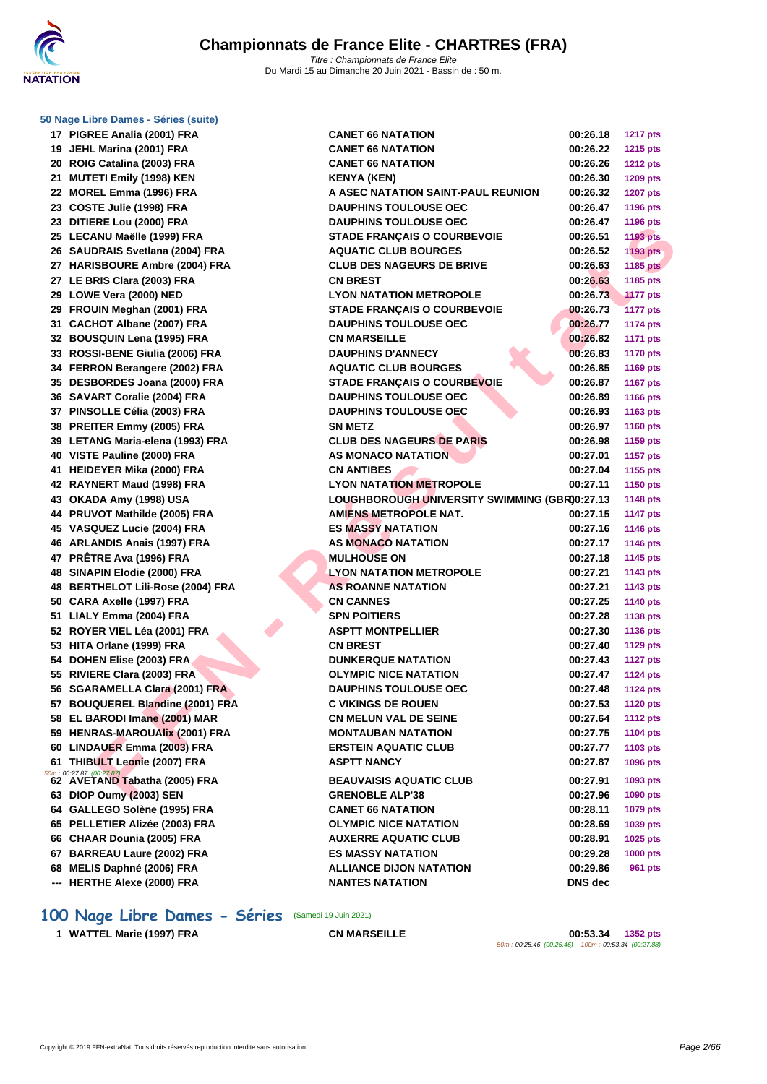| 50 Nage Libre Dames - Séries (suite)                                    |                                                   |                      |                      |  |  |  |  |
|-------------------------------------------------------------------------|---------------------------------------------------|----------------------|----------------------|--|--|--|--|
| 17 PIGREE Analia (2001) FRA                                             | <b>CANET 66 NATATION</b>                          | 00:26.18             | <b>1217 pts</b>      |  |  |  |  |
| 19 JEHL Marina (2001) FRA                                               | <b>CANET 66 NATATION</b>                          | 00:26.22             | <b>1215 pts</b>      |  |  |  |  |
| 20 ROIG Catalina (2003) FRA                                             | <b>CANET 66 NATATION</b>                          | 00:26.26             | <b>1212 pts</b>      |  |  |  |  |
| 21 MUTETI Emily (1998) KEN                                              | KENYA (KEN)                                       | 00:26.30             | 1209 pts             |  |  |  |  |
| 22 MOREL Emma (1996) FRA                                                | A ASEC NATATION SAINT-PAUL REUNION                | 00:26.32             | <b>1207 pts</b>      |  |  |  |  |
| 23 COSTE Julie (1998) FRA                                               | <b>DAUPHINS TOULOUSE OEC</b>                      | 00:26.47             | <b>1196 pts</b>      |  |  |  |  |
| 23 DITIERE Lou (2000) FRA                                               | <b>DAUPHINS TOULOUSE OEC</b>                      | 00:26.47             | 1196 pts             |  |  |  |  |
| 25 LECANU Maëlle (1999) FRA                                             | <b>STADE FRANÇAIS O COURBEVOIE</b>                | 00:26.51             | <b>1193 pts</b>      |  |  |  |  |
| 26 SAUDRAIS Svetlana (2004) FRA                                         | <b>AQUATIC CLUB BOURGES</b>                       | 00:26.52             | 1193 pts             |  |  |  |  |
| 27 HARISBOURE Ambre (2004) FRA                                          | <b>CLUB DES NAGEURS DE BRIVE</b>                  | 00:26.63             | 1185 pts             |  |  |  |  |
| 27 LE BRIS Clara (2003) FRA                                             | <b>CN BREST</b>                                   | 00:26.63             | 1185 pts             |  |  |  |  |
| 29 LOWE Vera (2000) NED                                                 | <b>LYON NATATION METROPOLE</b>                    | 00:26.73             | <b>1177 pts</b>      |  |  |  |  |
| 29 FROUIN Meghan (2001) FRA                                             | <b>STADE FRANÇAIS O COURBEVOIE</b>                | 00:26.73             | <b>1177 pts</b>      |  |  |  |  |
| 31 CACHOT Albane (2007) FRA                                             | <b>DAUPHINS TOULOUSE OEC</b>                      | 00:26.77             | <b>1174 pts</b>      |  |  |  |  |
| 32 BOUSQUIN Lena (1995) FRA                                             | <b>CN MARSEILLE</b>                               | 00:26.82             | <b>1171 pts</b>      |  |  |  |  |
| 33 ROSSI-BENE Giulia (2006) FRA                                         | <b>DAUPHINS D'ANNECY</b>                          | 00:26.83             | <b>1170 pts</b>      |  |  |  |  |
| 34 FERRON Berangere (2002) FRA                                          | <b>AQUATIC CLUB BOURGES</b>                       | 00:26.85             | <b>1169 pts</b>      |  |  |  |  |
| 35 DESBORDES Joana (2000) FRA                                           | <b>STADE FRANÇAIS O COURBEVOIE</b>                | 00:26.87             | <b>1167 pts</b>      |  |  |  |  |
| 36 SAVART Coralie (2004) FRA                                            | <b>DAUPHINS TOULOUSE OEC</b>                      | 00:26.89             | <b>1166 pts</b>      |  |  |  |  |
| 37 PINSOLLE Célia (2003) FRA                                            | <b>DAUPHINS TOULOUSE OEC</b>                      | 00:26.93             | 1163 pts             |  |  |  |  |
| 38 PREITER Emmy (2005) FRA                                              | <b>SN METZ</b>                                    | 00:26.97             | <b>1160 pts</b>      |  |  |  |  |
| 39 LETANG Maria-elena (1993) FRA                                        | <b>CLUB DES NAGEURS DE PARIS</b>                  | 00:26.98             | 1159 pts             |  |  |  |  |
| 40 VISTE Pauline (2000) FRA                                             | <b>AS MONACO NATATION</b>                         | 00:27.01             | <b>1157 pts</b>      |  |  |  |  |
| 41 HEIDEYER Mika (2000) FRA                                             | <b>CN ANTIBES</b>                                 | 00:27.04             | 1155 pts             |  |  |  |  |
| 42 RAYNERT Maud (1998) FRA                                              | <b>LYON NATATION METROPOLE</b>                    | 00:27.11             | <b>1150 pts</b>      |  |  |  |  |
| 43 OKADA Amy (1998) USA                                                 | LOUGHBOROUGH UNIVERSITY SWIMMING (GBR00:27.13     |                      | <b>1148 pts</b>      |  |  |  |  |
| 44 PRUVOT Mathilde (2005) FRA                                           | <b>AMIENS METROPOLE NAT.</b>                      | 00:27.15             | <b>1147 pts</b>      |  |  |  |  |
| 45 VASQUEZ Lucie (2004) FRA                                             | <b>ES MASSY NATATION</b>                          | 00:27.16             | <b>1146 pts</b>      |  |  |  |  |
| 46 ARLANDIS Anais (1997) FRA                                            | <b>AS MONACO NATATION</b>                         | 00:27.17             | <b>1146 pts</b>      |  |  |  |  |
| 47 PRÊTRE Ava (1996) FRA                                                | <b>MULHOUSE ON</b>                                | 00:27.18             | <b>1145 pts</b>      |  |  |  |  |
| 48 SINAPIN Elodie (2000) FRA                                            | LYON NATATION METROPOLE                           | 00:27.21             | <b>1143 pts</b>      |  |  |  |  |
| 48 BERTHELOT Lili-Rose (2004) FRA                                       | <b>AS ROANNE NATATION</b>                         | 00:27.21             | 1143 pts             |  |  |  |  |
| 50 CARA Axelle (1997) FRA                                               | <b>CN CANNES</b>                                  | 00:27.25             | <b>1140 pts</b>      |  |  |  |  |
| 51 LIALY Emma (2004) FRA                                                | <b>SPN POITIERS</b>                               | 00:27.28             | <b>1138 pts</b>      |  |  |  |  |
| 52 ROYER VIEL Léa (2001) FRA                                            | <b>ASPTT MONTPELLIER</b>                          | 00:27.30             | <b>1136 pts</b>      |  |  |  |  |
| 53 HITA Orlane (1999) FRA                                               | <b>CN BREST</b>                                   | 00:27.40             | <b>1129 pts</b>      |  |  |  |  |
| 54 DOHEN Elise (2003) FRA                                               | <b>DUNKERQUE NATATION</b>                         | 00:27.43             | <b>1127 pts</b>      |  |  |  |  |
| 55 RIVIERE Clara (2003) FRA                                             | <b>OLYMPIC NICE NATATION</b>                      | 00:27.47             | <b>1124 pts</b>      |  |  |  |  |
| 56 SGARAMELLA Clara (2001) FRA                                          | <b>DAUPHINS TOULOUSE OEC</b>                      | 00:27.48             | <b>1124 pts</b>      |  |  |  |  |
| 57 BOUQUEREL Blandine (2001) FRA                                        | <b>C VIKINGS DE ROUEN</b>                         | 00:27.53             | <b>1120 pts</b>      |  |  |  |  |
| 58 EL BARODI Imane (2001) MAR<br>59 HENRAS-MAROUAlix (2001) FRA         | <b>CN MELUN VAL DE SEINE</b>                      | 00:27.64             | <b>1112 pts</b>      |  |  |  |  |
|                                                                         | <b>MONTAUBAN NATATION</b>                         | 00:27.75             | 1104 pts<br>1103 pts |  |  |  |  |
| 60 LINDAUER Emma (2003) FRA<br>61 THIBULT Leonie (2007) FRA             | <b>ERSTEIN AQUATIC CLUB</b><br><b>ASPTT NANCY</b> | 00:27.77<br>00:27.87 |                      |  |  |  |  |
| $\frac{50m}{62}$ : 00:27.87 (00:27.87)<br>62 AVETAND Tabatha (2005) FRA |                                                   |                      | <b>1096 pts</b>      |  |  |  |  |
|                                                                         | <b>BEAUVAISIS AQUATIC CLUB</b>                    | 00:27.91             | 1093 pts             |  |  |  |  |
| 63 DIOP Oumy (2003) SEN                                                 | <b>GRENOBLE ALP'38</b>                            | 00:27.96             | 1090 pts             |  |  |  |  |
| 64 GALLEGO Solène (1995) FRA                                            | <b>CANET 66 NATATION</b>                          | 00:28.11             | 1079 pts             |  |  |  |  |
| 65 PELLETIER Alizée (2003) FRA                                          | <b>OLYMPIC NICE NATATION</b>                      | 00:28.69             | 1039 pts             |  |  |  |  |
| 66 CHAAR Dounia (2005) FRA                                              | <b>AUXERRE AQUATIC CLUB</b>                       | 00:28.91             | 1025 pts             |  |  |  |  |
| 67 BARREAU Laure (2002) FRA                                             | <b>ES MASSY NATATION</b>                          | 00:29.28             | <b>1000 pts</b>      |  |  |  |  |
| 68 MELIS Daphné (2006) FRA                                              | <b>ALLIANCE DIJON NATATION</b>                    | 00:29.86             | 961 pts              |  |  |  |  |
| --- HERTHE Alexe (2000) FRA                                             | <b>NANTES NATATION</b>                            | DNS dec              |                      |  |  |  |  |
|                                                                         |                                                   |                      |                      |  |  |  |  |

# **100 Nage Libre Dames - Séries** (Samedi 19 Juin 2021)

**WATTEL Marie (1997) FRA CN MARSEILLE 00:53.34 1352 pts** 50m : 00:25.46 (00:25.46) 100m : 00:53.34 (00:27.88)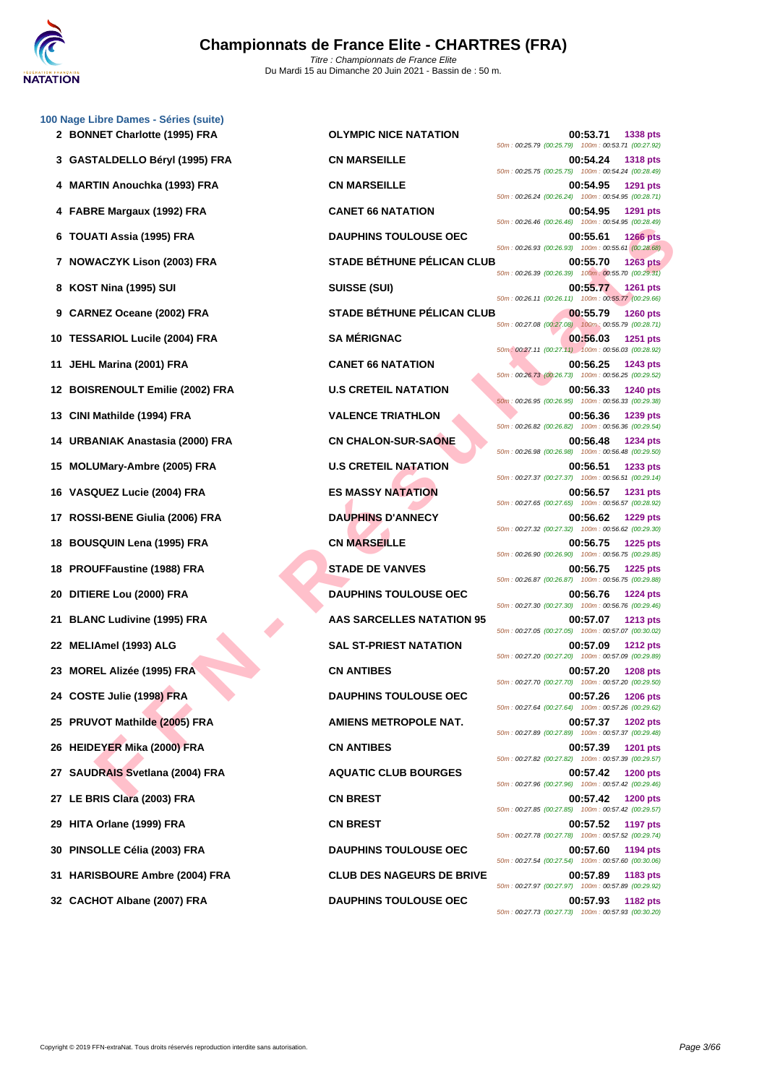

|    | 100 Nage Libre Dames - Séries (suite)<br>2 BONNET Charlotte (1995) FRA | <b>OLYMPIC NICE NATATION</b>      | 00:53.71<br><b>1338 pts</b>                                                         |
|----|------------------------------------------------------------------------|-----------------------------------|-------------------------------------------------------------------------------------|
|    |                                                                        |                                   | 50m: 00:25.79 (00:25.79) 100m: 00:53.71 (00:27.92)                                  |
|    | 3 GASTALDELLO Béryl (1995) FRA                                         | <b>CN MARSEILLE</b>               | 00:54.24<br><b>1318 pts</b><br>50m: 00:25.75 (00:25.75) 100m: 00:54.24 (00:28.49)   |
|    | 4 MARTIN Anouchka (1993) FRA                                           | <b>CN MARSEILLE</b>               | 00:54.95<br><b>1291 pts</b><br>50m: 00:26.24 (00:26.24) 100m: 00:54.95 (00:28.71)   |
|    | 4 FABRE Margaux (1992) FRA                                             | <b>CANET 66 NATATION</b>          | 00:54.95<br>1291 pts<br>50m: 00:26.46 (00:26.46) 100m: 00:54.95 (00:28.49)          |
|    | 6 TOUATI Assia (1995) FRA                                              | <b>DAUPHINS TOULOUSE OEC</b>      | 00:55.61<br><b>1266 pts</b><br>50m : 00:26.93 (00:26.93) 100m : 00:55.61 (00:28.68) |
|    | 7 NOWACZYK Lison (2003) FRA                                            | <b>STADE BÉTHUNE PÉLICAN CLUB</b> | 00:55.70<br><b>1263 pts</b>                                                         |
|    | 8 KOST Nina (1995) SUI                                                 | <b>SUISSE (SUI)</b>               | 50m : 00:26.39 (00:26.39) 100m : 00:55.70 (00:29.31)<br>00:55.77<br><b>1261 pts</b> |
|    | 9 CARNEZ Oceane (2002) FRA                                             | <b>STADE BÉTHUNE PÉLICAN CLUB</b> | 50m: 00:26.11 (00:26.11) 100m: 00:55.77 (00:29.66)<br>00:55.79<br><b>1260 pts</b>   |
|    | 10 TESSARIOL Lucile (2004) FRA                                         | <b>SA MÉRIGNAC</b>                | 50m: 00:27.08 (00:27.08) 100m: 00:55.79 (00:28.71)<br>00:56.03<br><b>1251 pts</b>   |
| 11 | JEHL Marina (2001) FRA                                                 | <b>CANET 66 NATATION</b>          | 50m: 00:27.11 (00:27.11) 100m: 00:56.03 (00:28.92)<br>00:56.25<br>1243 pts          |
|    | 12 BOISRENOULT Emilie (2002) FRA                                       | <b>U.S CRETEIL NATATION</b>       | 50m: 00:26.73 (00:26.73) 100m: 00:56.25 (00:29.52)<br>00:56.33<br>1240 pts          |
| 13 | CINI Mathilde (1994) FRA                                               | <b>VALENCE TRIATHLON</b>          | 50m: 00:26.95 (00:26.95) 100m: 00:56.33 (00:29.38)<br>00:56.36<br><b>1239 pts</b>   |
|    | 14 URBANIAK Anastasia (2000) FRA                                       | <b>CN CHALON-SUR-SAONE</b>        | 50m: 00:26.82 (00:26.82) 100m: 00:56.36 (00:29.54)<br>00:56.48<br><b>1234 pts</b>   |
| 15 | <b>MOLUMary-Ambre (2005) FRA</b>                                       | <b>U.S CRETEIL NATATION</b>       | 50m: 00:26.98 (00:26.98) 100m: 00:56.48 (00:29.50)<br>00:56.51<br>1233 pts          |
|    |                                                                        |                                   | 50m: 00:27.37 (00:27.37) 100m: 00:56.51 (00:29.14)                                  |
| 16 | VASQUEZ Lucie (2004) FRA                                               | <b>ES MASSY NATATION</b>          | 00:56.57<br><b>1231 pts</b><br>50m: 00:27.65 (00:27.65) 100m: 00:56.57 (00:28.92)   |
| 17 | ROSSI-BENE Giulia (2006) FRA                                           | <b>DAUPHINS D'ANNECY</b>          | 00:56.62<br>1229 pts<br>50m : 00:27.32 (00:27.32) 100m : 00:56.62 (00:29.30)        |
| 18 | <b>BOUSQUIN Lena (1995) FRA</b>                                        | <b>CN MARSEILLE</b>               | 00:56.75<br><b>1225 pts</b><br>50m: 00:26.90 (00:26.90) 100m: 00:56.75 (00:29.85)   |
| 18 | <b>PROUFFaustine (1988) FRA</b>                                        | <b>STADE DE VANVES</b>            | 00:56.75<br><b>1225 pts</b><br>50m: 00:26.87 (00:26.87) 100m: 00:56.75 (00:29.88)   |
| 20 | DITIERE Lou (2000) FRA                                                 | <b>DAUPHINS TOULOUSE OEC</b>      | 00:56.76<br><b>1224 pts</b><br>50m: 00:27.30 (00:27.30) 100m: 00:56.76 (00:29.46)   |
| 21 | <b>BLANC Ludivine (1995) FRA</b>                                       | <b>AAS SARCELLES NATATION 95</b>  | 00:57.07<br><b>1213 pts</b>                                                         |
|    | 22 MELIAmel (1993) ALG                                                 | <b>SAL ST-PRIEST NATATION</b>     | 50m: 00:27.05 (00:27.05) 100m: 00:57.07 (00:30.02)<br>00:57.09<br><b>1212 pts</b>   |
| 23 | <b>MOREL Alizée (1995) FRA</b>                                         | <b>CN ANTIBES</b>                 | 50m: 00:27.20 (00:27.20) 100m: 00:57.09 (00:29.89)<br>00:57.20<br><b>1208 pts</b>   |
|    | 24 COSTE Julie (1998) FRA                                              | <b>DAUPHINS TOULOUSE OEC</b>      | 50m: 00:27.70 (00:27.70) 100m: 00:57.20 (00:29.50)<br>00:57.26<br><b>1206 pts</b>   |
|    | 25 PRUVOT Mathilde (2005) FRA                                          | <b>AMIENS METROPOLE NAT.</b>      | 50m: 00:27.64 (00:27.64) 100m: 00:57.26 (00:29.62)<br>00:57.37<br><b>1202 pts</b>   |
|    | 26 HEIDEYER Mika (2000) FRA                                            | <b>CN ANTIBES</b>                 | 50m: 00:27.89 (00:27.89) 100m: 00:57.37 (00:29.48)<br>00:57.39<br><b>1201 pts</b>   |
|    | 27 SAUDRAIS Svetlana (2004) FRA                                        | <b>AQUATIC CLUB BOURGES</b>       | 50m: 00:27.82 (00:27.82) 100m: 00:57.39 (00:29.57)<br>00:57.42<br><b>1200 pts</b>   |
|    |                                                                        |                                   | 50m: 00:27.96 (00:27.96) 100m: 00:57.42 (00:29.46)                                  |
|    | 27 LE BRIS Clara (2003) FRA                                            | <b>CN BREST</b>                   | 00:57.42<br><b>1200 pts</b><br>50m: 00:27.85 (00:27.85) 100m: 00:57.42 (00:29.57)   |
| 29 | HITA Orlane (1999) FRA                                                 | <b>CN BREST</b>                   | 00:57.52<br>1197 pts<br>50m: 00:27.78 (00:27.78) 100m: 00:57.52 (00:29.74)          |
| 30 | PINSOLLE Célia (2003) FRA                                              | <b>DAUPHINS TOULOUSE OEC</b>      | 00:57.60<br>1194 pts<br>50m: 00:27.54 (00:27.54) 100m: 00:57.60 (00:30.06)          |
|    | 31 HARISBOURE Ambre (2004) FRA                                         | <b>CLUB DES NAGEURS DE BRIVE</b>  | 00:57.89<br>1183 pts<br>50m: 00:27.97 (00:27.97) 100m: 00:57.89 (00:29.92)          |
|    | 32 CACHOT Albane (2007) FRA                                            | <b>DAUPHINS TOULOUSE OEC</b>      | 00:57.93 1182 pts                                                                   |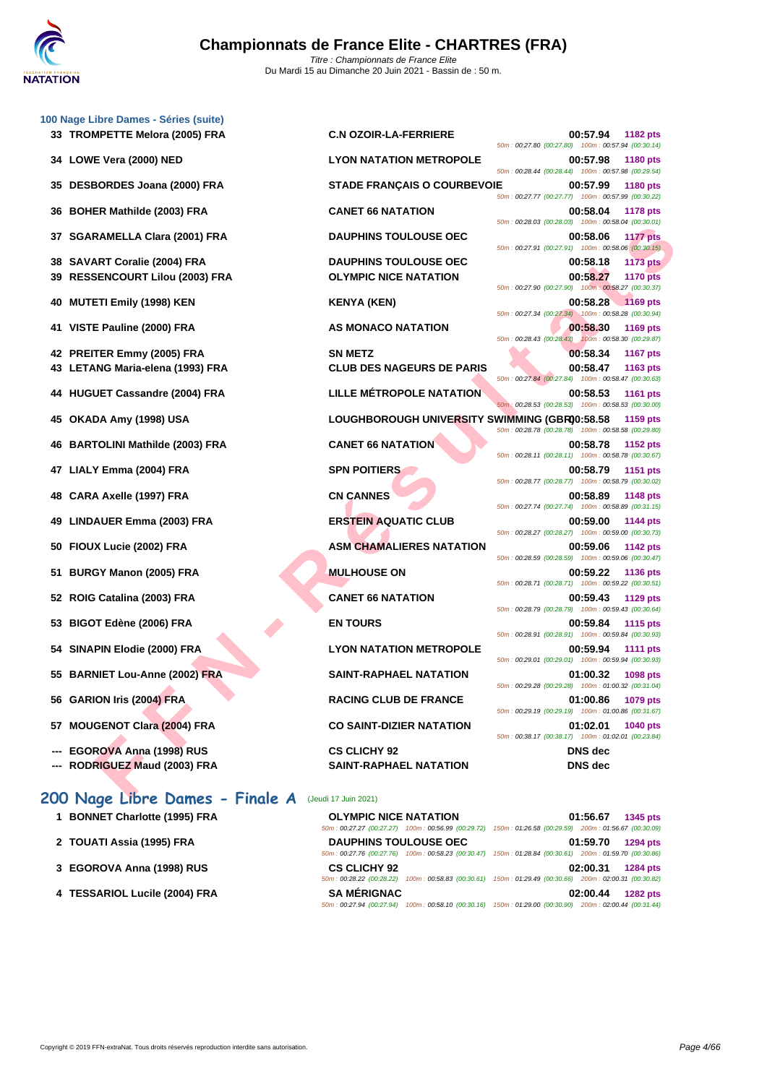|    | 100 Nage Libre Dames - Séries (suite)                           |                                                      |                                                                                        |
|----|-----------------------------------------------------------------|------------------------------------------------------|----------------------------------------------------------------------------------------|
|    | 33   TROMPETTE Melora (2005) FRA                                | <b>C.N OZOIR-LA-FERRIERE</b>                         | 00:57.94<br>1182 pts<br>50m: 00:27.80 (00:27.80) 100m: 00:57.94 (00:30.14)             |
|    | 34 LOWE Vera (2000) NED                                         | <b>LYON NATATION METROPOLE</b>                       | 00:57.98<br>1180 pts<br>50m: 00:28.44 (00:28.44) 100m: 00:57.98 (00:29.54)             |
| 35 | DESBORDES Joana (2000) FRA                                      | <b>STADE FRANÇAIS O COURBEVOIE</b>                   | 00:57.99<br><b>1180 pts</b><br>50m: 00:27.77 (00:27.77) 100m: 00:57.99 (00:30.22)      |
| 36 | <b>BOHER Mathilde (2003) FRA</b>                                | <b>CANET 66 NATATION</b>                             | 00:58.04<br><b>1178 pts</b><br>50m: 00:28.03 (00:28.03) 100m: 00:58.04 (00:30.01)      |
| 37 | <b>SGARAMELLA Clara (2001) FRA</b>                              | <b>DAUPHINS TOULOUSE OEC</b>                         | 00:58.06<br><b>1177 pts</b><br>50m: 00:27.91 (00:27.91) 100m: 00:58.06 (00:30.15)      |
| 38 | <b>SAVART Coralie (2004) FRA</b>                                | <b>DAUPHINS TOULOUSE OEC</b>                         | 00:58.18<br><b>1173 pts</b>                                                            |
| 39 | <b>RESSENCOURT Lilou (2003) FRA</b>                             | <b>OLYMPIC NICE NATATION</b>                         | 00:58.27<br><b>1170 pts</b><br>50m: 00:27.90 (00:27.90) 100m: 00:58.27 (00:30.37)      |
| 40 | <b>MUTETI Emily (1998) KEN</b>                                  | <b>KENYA (KEN)</b>                                   | 00:58.28<br>$1169$ pts<br>50m: 00:27.34 (00:27.34) 100m: 00:58.28 (00:30.94)           |
| 41 | VISTE Pauline (2000) FRA                                        | AS MONACO NATATION                                   | 00:58.30<br>1169 pts<br>50m: 00:28.43 (00:28.43) 100m: 00:58.30 (00:29.87)             |
|    | 42 PREITER Emmy (2005) FRA                                      | <b>SN METZ</b>                                       | 00:58.34<br><b>1167 pts</b>                                                            |
|    | 43 LETANG Maria-elena (1993) FRA                                | <b>CLUB DES NAGEURS DE PARIS</b>                     | 00:58.47<br>1163 pts                                                                   |
| 44 | <b>HUGUET Cassandre (2004) FRA</b>                              | <b>LILLE MÉTROPOLE NATATION</b>                      | 50m: 00:27.84 (00:27.84) 100m: 00:58.47 (00:30.63)<br>00:58.53<br><b>1161 pts</b>      |
| 45 | OKADA Amy (1998) USA                                            | LOUGHBOROUGH UNIVERSITY SWIMMING (GBR00:58.58        | 50m: 00:28.53 (00:28.53) 100m: 00:58.53 (00:30.00)<br>1159 pts                         |
| 46 | <b>BARTOLINI Mathilde (2003) FRA</b>                            | <b>CANET 66 NATATION</b>                             | 50m: 00:28.78 (00:28.78) 100m: 00:58.58 (00:29.80)<br>00:58.78<br>1152 pts             |
| 47 | LIALY Emma (2004) FRA                                           | <b>SPN POITIERS</b>                                  | 50m: 00:28.11 (00:28.11) 100m: 00:58.78 (00:30.67)<br>00:58.79<br>1151 pts             |
| 48 | CARA Axelle (1997) FRA                                          | <b>CN CANNES</b>                                     | 50m: 00:28.77 (00:28.77) 100m: 00:58.79 (00:30.02)<br>00:58.89<br>1148 pts             |
| 49 | LINDAUER Emma (2003) FRA                                        | <b>ERSTEIN AQUATIC CLUB</b>                          | 50m: 00:27.74 (00:27.74) 100m: 00:58.89 (00:31.15)<br>00:59.00<br>1144 pts             |
| 50 | FIOUX Lucie (2002) FRA                                          | <b>ASM CHAMALIERES NATATION</b>                      | 50m: 00:28.27 (00:28.27) 100m: 00:59.00 (00:30.73)<br>00:59.06<br>1142 pts             |
| 51 | <b>BURGY Manon (2005) FRA</b>                                   | <b>MULHOUSE ON</b>                                   | 50m: 00:28.59 (00:28.59) 100m: 00:59.06 (00:30.47)<br>00:59.22<br><b>1136 pts</b>      |
| 52 | ROIG Catalina (2003) FRA                                        | <b>CANET 66 NATATION</b>                             | 50m: 00:28.71 (00:28.71) 100m: 00:59.22 (00:30.51)<br>00:59.43<br>1129 pts             |
| 53 | BIGOT Edène (2006) FRA                                          | <b>EN TOURS</b>                                      | 50m: 00:28.79 (00:28.79) 100m: 00:59.43 (00:30.64)<br>00:59.84<br><b>1115 pts</b>      |
| 54 | SINAPIN Elodie (2000) FRA                                       | <b>LYON NATATION METROPOLE</b>                       | 50m: 00:28.91 (00:28.91) 100m: 00:59.84 (00:30.93)<br>00:59.94<br><b>1111 pts</b>      |
|    | 55 BARNIET Lou-Anne (2002) FRA                                  | <b>SAINT-RAPHAEL NATATION</b>                        | 50m: 00:29.01 (00:29.01) 100m: 00:59.94 (00:30.93)<br>01:00.32<br><b>1098 pts</b>      |
|    | 56 GARION Iris (2004) FRA                                       | <b>RACING CLUB DE FRANCE</b>                         | 50m: 00:29.28 (00:29.28) 100m: 01:00.32 (00:31.04)<br>01:00.86<br>1079 pts             |
| 57 | <b>MOUGENOT Clara (2004) FRA</b>                                | <b>CO SAINT-DIZIER NATATION</b>                      | 50m: 00:29.19 (00:29.19) 100m: 01:00.86 (00:31.67)<br>01:02.01<br>1040 pts             |
|    | <b>EGOROVA Anna (1998) RUS</b><br>--- RODRIGUEZ Maud (2003) FRA | <b>CS CLICHY 92</b><br><b>SAINT-RAPHAEL NATATION</b> | 50m: 00:38.17 (00:38.17) 100m: 01:02.01 (00:23.84)<br><b>DNS</b> dec<br><b>DNS</b> dec |
|    |                                                                 |                                                      |                                                                                        |
|    | 200 Nage Libre Dames - Finale A                                 | (Jeudi 17 Juin 2021)                                 |                                                                                        |
|    | 1 BONNET Charlotte (1995) FRA                                   | <b>OLYMPIC NICE NATATION</b>                         | 01:56.67<br>1345 pts                                                                   |

- **2 TOUATI Assia (1995) FRA DAUPHINS TOULOUSE OEC 01:59.70 1294 pts**
- **3 [EGOROVA Anna \(1998\) RUS](http://www.ffnatation.fr/webffn/resultats.php?idact=nat&go=epr&idcpt=70185&idepr=3) CS CLICHY 92 02:00.31 1284 pts**
- **4 TESSARIOL Lucile (2004) FRA**

| <b>OLYMPIC NICE NATATION</b> |                                                    |                           | 01:56.67 1345 pts                                                                                      |
|------------------------------|----------------------------------------------------|---------------------------|--------------------------------------------------------------------------------------------------------|
|                              | 50m: 00:27.27 (00:27.27) 100m: 00:56.99 (00:29.72) | 150m: 01:26.58 (00:29.59) | 200m: 01:56.67 (00:30.09)                                                                              |
| <b>DAUPHINS TOULOUSE OEC</b> |                                                    |                           | 01:59.70 1294 pts                                                                                      |
|                              |                                                    |                           | 50m: 00:27.76 (00:27.76) 100m: 00:58.23 (00:30.47) 150m: 01:28.84 (00:30.61) 200m: 01:59.70 (00:30.86) |
| <b>CS CLICHY 92</b>          |                                                    |                           | 02:00.31 1284 pts                                                                                      |
| 50m: 00:28.22 (00:28.22)     |                                                    |                           | 100m: 00:58.83 (00:30.61) 150m: 01:29.49 (00:30.66) 200m: 02:00.31 (00:30.82)                          |
| <b>SA MÉRIGNAC</b>           |                                                    |                           | 02:00.44<br><b>1282 pts</b>                                                                            |
| 50m: 00:27.94 (00:27.94)     | 100m: 00:58.10 (00:30.16)                          | 150m: 01:29.00 (00:30.90) | 200m: 02:00.44 (00:31.44)                                                                              |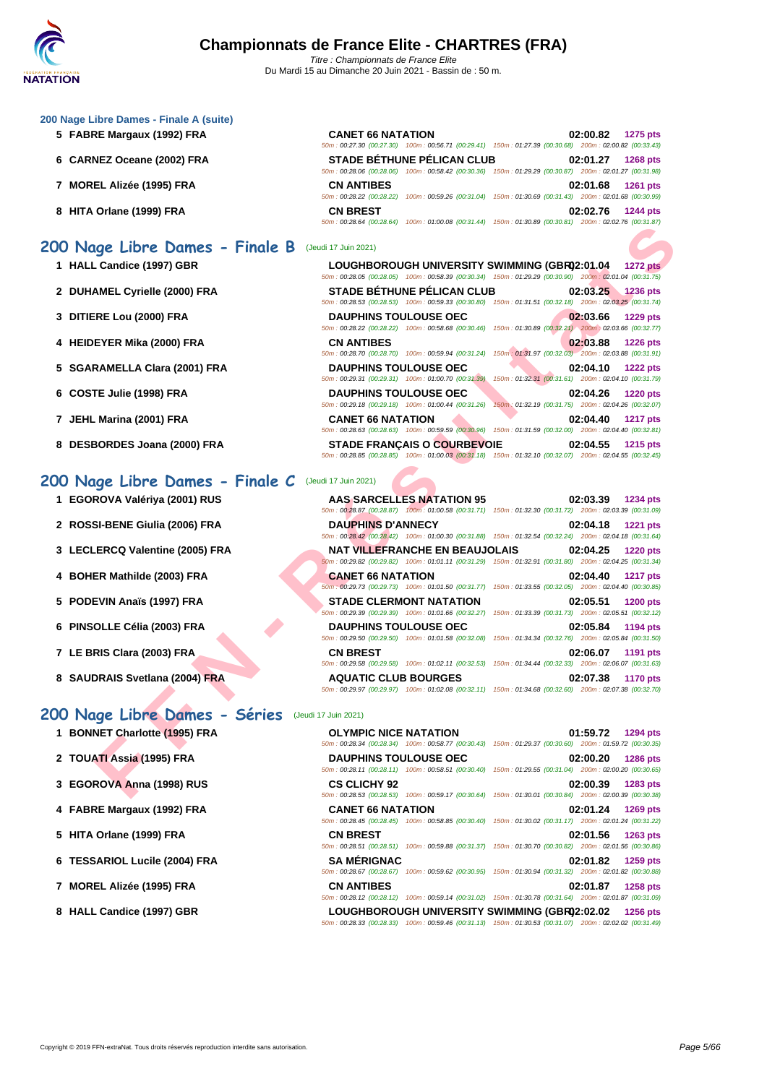| 200 Nage Libre Dames - Finale A (suite) |  |
|-----------------------------------------|--|
|-----------------------------------------|--|

- **5 FABRE Margaux (1992) FRA**
- **6** CARNEZ Oceane (2002) FRA
- **7 MOREL Alizée (1995) FRA**
- **8 HITA Orlane (1999) FRA**

### **200 Nage Libre Dames - Finale B** (Jeudi 17 Juin 2021)

- **1 HALL Candice (1997) GBR**
- 2 **DUHAMEL Cyrielle (2000) FRA**
- **3 DITIERE Lou (2000) FRA DAUPHINS TOULOUSE OEC 02:03.66 1229 pts**
- **4 HEIDEYER Mika (2000) FRA CN ANTIBES 02:03.88 1226 pts**
- **5** SGARAMELLA Clara (2001) FRA
- **6** COSTE Julie (1998) FRA
- **7 JEHL Marina (2001) FRA CANET 66 NATATION 02:04.40 1217 pts**
- **8 DESBORDES** Joana (2000) FRA

### **200 Nage Libre Dames - Finale C** (Jeudi 17 Juin 2021)

- **1 EGOROVA Valériya (2001) RUS**
- **2 ROSSI-BENE Giulia (2006) FRA**
- **3** LECLERCQ Valentine (2005) FRA
- **4 BOHER Mathilde (2003) FRA CANET 66 NATATION 02:04.40 1217 pts**
- **5 PODEVIN Anaïs (1997) FRA**
- **6 PINSOLLE Célia (2003) FRA**
- **7** LE BRIS Clara (2003) FRA
- **8 SAUDRAIS Svetlana (2004) FRA**

### **200 Nage Libre Dames - Séries** (Jeudi 17 Juin 2021)

- 
- **2 TOUATI Assia (1995) FRA**
- **3 EGOROVA Anna (1998) RUS CS CLICHY 92 02:00.39 1283 pts**
- **4 FABRE Margaux (1992) FRA CANET 66 NATATION 02:01.24 1269 pts**
- **5 HITA Orlane (1999) FRA**
- **6 TESSARIOL Lucile (2004) FRA**
- **7 MOREL Alizée (1995) FRA**
- **8 HALL Candice (1997) GBR**

| <b>CANET 66 NATATION</b> |                                                                               |                           |          | 02:00.82 1275 pts         |
|--------------------------|-------------------------------------------------------------------------------|---------------------------|----------|---------------------------|
|                          | 50m: 00:27.30 (00:27.30) 100m: 00:56.71 (00:29.41) 150m: 01:27.39 (00:30.68)  |                           |          | 200m: 02:00.82 (00:33.43) |
|                          | <b>STADE BÉTHUNE PÉLICAN CLUB</b>                                             |                           |          | 02:01.27 1268 pts         |
|                          | 50m: 00:28.06 (00:28.06) 100m: 00:58.42 (00:30.36) 150m: 01:29.29 (00:30.87)  |                           |          | 200m: 02:01.27 (00:31.98) |
| <b>CN ANTIBES</b>        |                                                                               |                           |          | 02:01.68 1261 pts         |
| 50m: 00:28.22 (00:28.22) | 100m: 00:59.26 (00:31.04) 150m: 01:30.69 (00:31.43) 200m: 02:01.68 (00:30.99) |                           |          |                           |
| <b>CN BREST</b>          |                                                                               |                           | 02:02.76 | <b>1244 pts</b>           |
| 50m: 00:28.64 (00:28.64) | 100m: 01:00.08 (00:31.44)                                                     | 150m: 01:30.89 (00:30.81) |          | 200m: 02:02.76 (00:31.87) |

|                              | LOUGHBOROUGH UNIVERSITY SWIMMING (GBR02:01.04<br>50m: 00:28.05 (00:28.05) 100m: 00:58.39 (00:30.34) 150m: 01:29.29 (00:30.90) 200m: 02:01.04 (00:31.75) |                                                     |          | <b>1272 pts</b>   |
|------------------------------|---------------------------------------------------------------------------------------------------------------------------------------------------------|-----------------------------------------------------|----------|-------------------|
|                              | <b>STADE BÉTHUNE PÉLICAN CLUB</b><br>50m: 00:28.53 (00:28.53) 100m: 00:59.33 (00:30.80)                                                                 | 150m: 01:31.51 (00:32.18) 200m: 02:03.25 (00:31.74) |          | 02:03.25 1236 pts |
| <b>DAUPHINS TOULOUSE OEC</b> | 50m: 00:28.22 (00:28.22) 100m: 00:58.68 (00:30.46)                                                                                                      | 150m: 01:30.89 (00:32.21) 200m: 02:03.66 (00:32.77) |          | 02:03.66 1229 pts |
| <b>CN ANTIBES</b>            | 50m: 00:28.70 (00:28.70) 100m: 00:59.94 (00:31.24)                                                                                                      | 150m: 01:31.97 (00:32.03) 200m: 02:03.88 (00:31.91) |          | 02:03.88 1226 pts |
| <b>DAUPHINS TOULOUSE OEC</b> | 50m: 00:29.31 (00:29.31) 100m: 01:00.70 (00:31.39)                                                                                                      | 150m: 01:32.31 (00:31.61) 200m: 02:04.10 (00:31.79) |          | 02:04.10 1222 pts |
| <b>DAUPHINS TOULOUSE OEC</b> | 50m: 00:29.18 (00:29.18) 100m: 01:00.44 (00:31.26)                                                                                                      | 150m: 01:32.19 (00:31.75) 200m: 02:04.26 (00:32.07) |          | 02:04.26 1220 pts |
| <b>CANET 66 NATATION</b>     | 50m: 00:28.63 (00:28.63) 100m: 00:59.59 (00:30.96)                                                                                                      | 150m: 01:31.59 (00:32.00) 200m: 02:04.40 (00:32.81) |          | 02:04.40 1217 pts |
|                              | <b>STADE FRANCAIS O COURBEVOIE</b>                                                                                                                      |                                                     | 02:04.55 | <b>1215 pts</b>   |

|                            | $10011. 00.20.04$ (00.20.04) $10011. 01.00.00$ (00.31.44) $10011. 01.30.03$ (00.30.01) |                                                                                                                                           |
|----------------------------|----------------------------------------------------------------------------------------|-------------------------------------------------------------------------------------------------------------------------------------------|
| ige Libre Dames - Finale B | (Jeudi 17 Juin 2021)                                                                   |                                                                                                                                           |
| L Candice (1997) GBR       | LOUGHBOROUGH UNIVERSITY SWIMMING (GBR02:01.04                                          | <b>1272 pts</b><br>50m : 00:28.05 (00:28.05) 100m : 00:58.39 (00:30.34) 150m : 01:29.29 (00:30.90) 200m : 02:01.04 (00:31.75)             |
| AMEL Cyrielle (2000) FRA   | <b>STADE BÉTHUNE PÉLICAN CLUB</b>                                                      | 02:03.25<br><b>1236 pts</b><br>50m: 00:28.53 (00:28.53) 100m: 00:59.33 (00:30.80) 150m: 01:31.51 (00:32.18) 200m: 02:03.25 (00:31.74)     |
| ERE Lou (2000) FRA         | <b>DAUPHINS TOULOUSE OEC</b>                                                           | 02:03.66<br><b>1229 pts</b><br>50m : 00:28.22 (00:28.22) 100m : 00:58.68 (00:30.46) 150m : 01:30.89 (00:32.21) 200m : 02:03.66 (00:32.77) |
| EYER Mika (2000) FRA       | <b>CN ANTIBES</b>                                                                      | 02:03.88<br><b>1226 pts</b><br>50m: 00:28.70 (00:28.70) 100m: 00:59.94 (00:31.24) 150m: 01:31.97 (00:32.03) 200m: 02:03.88 (00:31.91)     |
| RAMELLA Clara (2001) FRA   | <b>DAUPHINS TOULOUSE OEC</b><br>50m: 00:29.31 (00:29.31) 100m: 01:00.70 (00:31.39)     | 02:04.10<br><b>1222 pts</b><br>150m: 01:32.31 (00:31.61) 200m: 02:04.10 (00:31.79)                                                        |
| <b>TE Julie (1998) FRA</b> | <b>DAUPHINS TOULOUSE OEC</b><br>50m: 00:29.18 (00:29.18) 100m: 01:00.44 (00:31.26)     | 02:04.26<br><b>1220 pts</b><br>150m: 01:32.19 (00:31.75) 200m: 02:04.26 (00:32.07)                                                        |
| . Marina (2001) FRA        | <b>CANET 66 NATATION</b>                                                               | 02:04.40<br><b>1217 pts</b><br>50m : 00:28.63 (00:28.63) 100m : 00:59.59 (00:30.96) 150m : 01:31.59 (00:32.00) 200m : 02:04.40 (00:32.81) |
| BORDES Joana (2000) FRA    | <b>STADE FRANÇAIS O COURBEVOIE</b>                                                     | 02:04.55<br>1215 pts<br>50m : 00:28.85 (00:28.85) 100m : 01:00.03 (00:31.18) 150m : 01:32.10 (00:32.07) 200m : 02:04.55 (00:32.45)        |
| ige Libre Dames - Finale C | (Jeudi 17 Juin 2021)                                                                   |                                                                                                                                           |
| ROVA Valériya (2001) RUS   | <b>AAS SARCELLES NATATION 95</b>                                                       | 02:03.39<br>1234 pts<br>50m: 00:28.87 (00:28.87) 100m: 01:00.58 (00:31.71) 150m: 01:32.30 (00:31.72) 200m: 02:03.39 (00:31.09)            |
| SI-BENE Giulia (2006) FRA  | <b>DAUPHINS D'ANNECY</b>                                                               | 02:04.18<br>1221 pts<br>50m: 00:28.42 (00:28.42) 100m: 01:00.30 (00:31.88) 150m: 01:32.54 (00:32.24) 200m: 02:04.18 (00:31.64)            |
| LERCQ Valentine (2005) FRA | <b>NAT VILLEFRANCHE EN BEAUJOLAIS</b>                                                  | 02:04.25<br><b>1220 pts</b><br>60m : 00:29.82 (00:29.82) 100m : 01:01.11 (00:31.29) 150m : 01:32.91 (00:31.80) 200m : 02:04.25 (00:31.34) |
| ER Mathilde (2003) FRA     | <b>CANET 66 NATATION</b>                                                               | 02:04.40<br><b>1217 pts</b><br>50m : 00:29.73 (00:29.73) 100m : 01:01.50 (00:31.77) 150m : 01:33.55 (00:32.05) 200m : 02:04.40 (00:30.85) |
| EVIN Anaïs (1997) FRA      | <b>STADE CLERMONT NATATION</b>                                                         | 02:05.51<br><b>1200 pts</b><br>50m: 00:29.39 (00:29.39) 100m: 01:01.66 (00:32.27) 150m: 01:33.39 (00:31.73) 200m: 02:05.51 (00:32.12)     |
| OLLE Célia (2003) FRA      | <b>DAUPHINS TOULOUSE OEC</b>                                                           | 02:05.84<br>1194 pts<br>50m: 00:29.50 (00:29.50) 100m: 01:01.58 (00:32.08) 150m: 01:34.34 (00:32.76) 200m: 02:05.84 (00:31.50)            |
| RIS Clara (2003) FRA       | <b>CN BREST</b>                                                                        | 02:06.07<br>1191 pts<br>50m: 00:29.58 (00:29.58) 100m: 01:02.11 (00:32.53) 150m: 01:34.44 (00:32.33) 200m: 02:06.07 (00:31.63)            |
| DRAIS Svetlana (2004) FRA  | <b>AQUATIC CLUB BOURGES</b>                                                            | 02:07.38<br><b>1170 pts</b><br>50m: 00:29.97 (00:29.97) 100m: 01:02.08 (00:32.11) 150m: 01:34.68 (00:32.60) 200m: 02:07.38 (00:32.70)     |
| ige Libre Dames - Séries   | (Jeudi 17 Juin 2021)                                                                   |                                                                                                                                           |
| NET Charlotte (1995) FRA   | <b>OLYMPIC NICE NATATION</b>                                                           | 01:59.72<br>1294 pts<br>50m: 00:28.34 (00:28.34) 100m: 00:58.77 (00:30.43) 150m: 01:29.37 (00:30.60) 200m: 01:59.72 (00:30.35)            |
| ATI Assia (1995) FRA       | <b>DAUPHINS TOULOUSE OEC</b>                                                           | 02:00.20<br><b>1286 pts</b><br>50m: 00:28.11 (00:28.11) 100m: 00:58.51 (00:30.40) 150m: 01:29.55 (00:31.04) 200m: 02:00.20 (00:30.65)     |
| ROVA Anna (1998) RUS       | <b>CS CLICHY 92</b>                                                                    | 02:00.39<br>1283 pts<br>50m: 00:28.53 (00:28.53) 100m: 00:59.17 (00:30.64) 150m: 01:30.01 (00:30.84) 200m: 02:00.39 (00:30.38)            |

| 1 BONNET Charlotte (1995) FRA | <b>OLYMPIC NICE NATATION</b><br>50m: 00:28.34 (00:28.34) 100m: 00:58.77 (00:30.43) 150m: 01:29.37 (00:30.60) 200m: 01:59.72 (00:30.35) |                                                                                                        | 01:59.72 | <b>1294 pts</b> |
|-------------------------------|----------------------------------------------------------------------------------------------------------------------------------------|--------------------------------------------------------------------------------------------------------|----------|-----------------|
| 2 TOUATI Assia (1995) FRA     | <b>DAUPHINS TOULOUSE OEC</b><br>50m: 00:28.11 (00:28.11) 100m: 00:58.51 (00:30.40) 150m: 01:29.55 (00:31.04) 200m: 02:00.20 (00:30.65) |                                                                                                        | 02:00.20 | <b>1286 pts</b> |
| 3 EGOROVA Anna (1998) RUS     | <b>CS CLICHY 92</b><br>50m: 00:28.53 (00:28.53) 100m: 00:59.17 (00:30.64) 150m: 01:30.01 (00:30.84) 200m: 02:00.39 (00:30.38)          |                                                                                                        | 02:00.39 | 1283 pts        |
| 4 FABRE Margaux (1992) FRA    | <b>CANET 66 NATATION</b>                                                                                                               | 50m: 00:28.45 (00:28.45) 100m: 00:58.85 (00:30.40) 150m: 01:30.02 (00:31.17) 200m: 02:01.24 (00:31.22) | 02:01.24 | <b>1269 pts</b> |
| 5 HITA Orlane (1999) FRA      | <b>CN BREST</b><br>50m: 00:28.51 (00:28.51) 100m: 00:59.88 (00:31.37) 150m: 01:30.70 (00:30.82) 200m: 02:01.56 (00:30.86)              |                                                                                                        | 02:01.56 | <b>1263 pts</b> |
| 6 TESSARIOL Lucile (2004) FRA | <b>SA MÉRIGNAC</b><br>50m: 00:28.67 (00:28.67) 100m: 00:59.62 (00:30.95) 150m: 01:30.94 (00:31.32) 200m: 02:01.82 (00:30.88)           |                                                                                                        | 02:01.82 | 1259 pts        |
| 7 MOREL Alizée (1995) FRA     | <b>CN ANTIBES</b><br>50m: 00:28.12 (00:28.12) 100m: 00:59.14 (00:31.02) 150m: 01:30.78 (00:31.64) 200m: 02:01.87 (00:31.09)            |                                                                                                        | 02:01.87 | <b>1258 pts</b> |
| 8 HALL Candice (1997) GBR     | 50m: 00:28.33 (00:28.33) 100m: 00:59.46 (00:31.13) 150m: 01:30.53 (00:31.07) 200m: 02:02.02 (00:31.49)                                 | LOUGHBOROUGH UNIVERSITY SWIMMING (GBR02:02.02                                                          |          | <b>1256 pts</b> |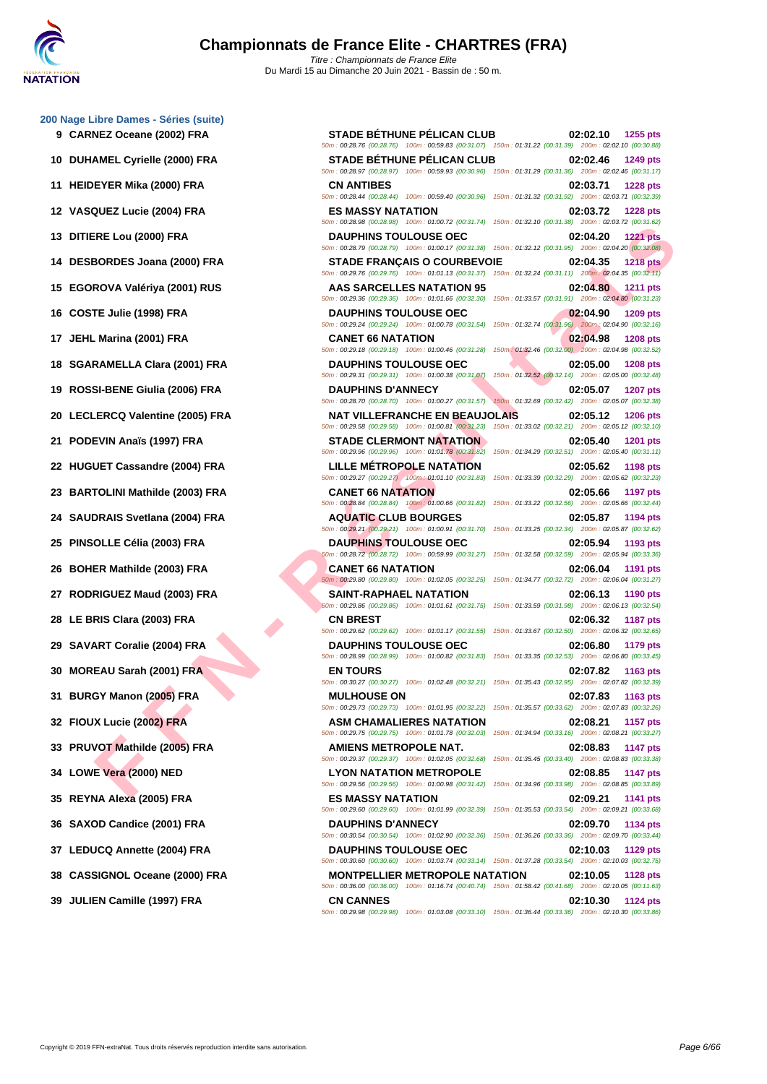**[200 Nage](http://www.ffnatation.fr/webffn/index.php) Libre Dames - Séries (suite)**

| DUHAMEL Cyrielle (2000) FRA<br>10          |
|--------------------------------------------|
| <b>HEIDEYER Mika (2000) FRA</b><br>11      |
| VASQUEZ Lucie (2004) FRA<br>12             |
| 13<br>DITIERE Lou (2000) FRA               |
| 14<br>DESBORDES Joana (2000) FRA           |
| EGOROVA Valériya (2001) RUS<br>15          |
| 16<br>COSTE Julie (1998) FRA               |
| JEHL Marina (2001) FRA<br>17               |
| <b>SGARAMELLA Clara (2001) FRA</b><br>18   |
| 19<br>ROSSI-BENE Giulia (2006) FRA         |
| LECLERCQ Valentine (2005) FRA<br>20        |
| 21<br>PODEVIN Anaïs (1997) FRA             |
| <b>HUGUET Cassandre (2004) FRA</b><br>22   |
| 23<br><b>BARTOLINI Mathilde (2003) FRA</b> |
| 24 SAUDRAIS Svetlana (2004) FRA            |
| PINSOLLE Célia (2003) FRA<br>25            |
| BOHER Mathilde (2003) FRA<br>26            |
| RODRIGUEZ Maud (2003) FRA<br>27            |
| LE BRIS Clara (2003) FRA<br>28             |
| <b>SAVART Coralie (2004) FRA</b><br>29     |
| MOREAU Sarah (2001) FRA<br>30              |
| BURGY Manon (2005) FRA<br>31               |
| FIOUX Lucie (2002) FRA<br>32               |
| 33 PRUVOT Mathilde (2005) FRA              |
| 34 LOWE Vera (2000) NED                    |
| 35 REYNA Alexa (2005) FRA                  |
| 36 SAXOD Candice (2001) FRA                |
| 37 LEDUCQ Annette (2004) FRA               |
| 38 CASSIGNOL Oceane (2000) FRA             |
| 39 JULIEN Camille (1997) FRA               |
|                                            |

| י וישטר שטוויטט פטוווטט שומות שטוויט<br>9 CARNEZ Oceane (2002) FRA | <b>STADE BETHUNE PELICAN CLUB</b><br>50m: 00:28.76 (00:28.76) 100m: 00:59.83 (00:31.07) 150m: 01:31.22 (00:31.39) 200m: 02:02.10 (00:30.88)                                                                                                          | 02:02.10<br>1255 pts                                                               |
|--------------------------------------------------------------------|------------------------------------------------------------------------------------------------------------------------------------------------------------------------------------------------------------------------------------------------------|------------------------------------------------------------------------------------|
| 10 DUHAMEL Cyrielle (2000) FRA                                     | <b>STADE BÉTHUNE PÉLICAN CLUB</b>                                                                                                                                                                                                                    | 02:02.46<br>1249 pts                                                               |
| 11 HEIDEYER Mika (2000) FRA                                        | 50m : 00:28.97 (00:28.97) 100m : 00:59.93 (00:30.96) 150m : 01:31.29 (00:31.36) 200m : 02:02.46 (00:31.17)<br><b>CN ANTIBES</b>                                                                                                                      | 02:03.71<br>1228 pts                                                               |
| 12 VASQUEZ Lucie (2004) FRA                                        | 50m: 00:28.44 (00:28.44) 100m: 00:59.40 (00:30.96) 150m: 01:31.32 (00:31.92) 200m: 02:03.71 (00:32.39)<br><b>ES MASSY NATATION</b>                                                                                                                   | 02:03.72<br><b>1228 pts</b>                                                        |
| 13 DITIERE Lou (2000) FRA                                          | 50m: 00:28.98 (00:28.98) 100m: 01:00.72 (00:31.74) 150m: 01:32.10 (00:31.38) 200m: 02:03.72 (00:31.62)<br><b>DAUPHINS TOULOUSE OEC</b><br>50m : 00:28.79 (00:28.79) 100m : 01:00.17 (00:31.38) 150m : 01:32.12 (00:31.95) 200m : 02:04.20 (00:32.08) | 02:04.20<br><b>1221 pts</b>                                                        |
| 14 DESBORDES Joana (2000) FRA                                      | <b>STADE FRANÇAIS O COURBEVOIE</b><br>50m: 00:29.76 (00:29.76) 100m: 01:01.13 (00:31.37) 150m: 01:32.24 (00:31.11) 200m: 02:04.35 (00:32.11)                                                                                                         | 02:04.35<br><b>1218 pts</b>                                                        |
| 15 EGOROVA Valériya (2001) RUS                                     | <b>AAS SARCELLES NATATION 95</b><br>50m: 00:29.36 (00:29.36) 100m: 01:01.66 (00:32.30)                                                                                                                                                               | 02:04.80<br><b>1211 pts</b><br>150m: 01:33.57 (00:31.91) 200m: 02:04.80 (00:31.23) |
| 16   COSTE Julie (1998) FRA                                        | <b>DAUPHINS TOULOUSE OEC</b><br>50m : 00:29.24 (00:29.24) 100m : 01:00.78 (00:31.54) 150m : 01:32.74 (00:31.96) 200m : 02:04.90 (00:32.16)                                                                                                           | 02:04.90<br>1209 pts                                                               |
| 17 JEHL Marina (2001) FRA                                          | <b>CANET 66 NATATION</b>                                                                                                                                                                                                                             | 02:04.98<br><b>1208 pts</b>                                                        |
| 18 SGARAMELLA Clara (2001) FRA                                     | 50m: 00:29.18 (00:29.18) 100m: 01:00.46 (00:31.28) 150m: 01:32.46 (00:32.00) 200m: 02:04.98 (00:32.52)<br><b>DAUPHINS TOULOUSE OEC</b><br>50m: 00:29.31 (00:29.31) 100m: 01:00.38 (00:31.07)                                                         | 02:05.00<br><b>1208 pts</b>                                                        |
| 19 ROSSI-BENE Giulia (2006) FRA                                    | <b>DAUPHINS D'ANNECY</b>                                                                                                                                                                                                                             | 150m: 01:32.52 (00:32.14) 200m: 02:05.00 (00:32.48)<br>02:05.07<br><b>1207 pts</b> |
| 20 LECLERCQ Valentine (2005) FRA                                   | 50m: 00:28.70 (00:28.70) 100m: 01:00.27 (00:31.57) 150m: 01:32.69 (00:32.42) 200m: 02:05.07 (00:32.38)<br>NAT VILLEFRANCHE EN BEAUJOLAIS                                                                                                             | 02:05.12<br><b>1206 pts</b>                                                        |
| 21 PODEVIN Anaïs (1997) FRA                                        | 50m: 00:29.58 (00:29.58) 100m: 01:00.81 (00:31.23) 150m: 01:33.02 (00:32.21) 200m: 02:05.12 (00:32.10)<br><b>STADE CLERMONT NATATION</b>                                                                                                             | 02:05.40<br><b>1201 pts</b>                                                        |
| 22 HUGUET Cassandre (2004) FRA                                     | 50m: 00:29.96 (00:29.96) 100m: 01:01:78 (00:31.82) 150m: 01:34.29 (00:32.51) 200m: 02:05.40 (00:31.11)<br><b>LILLE METROPOLE NATATION</b>                                                                                                            | 02:05.62<br>1198 pts                                                               |
| 23 BARTOLINI Mathilde (2003) FRA                                   | 50m: 00:29.27 (00:29.27) 100m: 01:01.10 (00:31.83) 150m: 01:33.39 (00:32.29) 200m: 02:05.62 (00:32.23)<br><b>CANET 66 NATATION</b>                                                                                                                   | 02:05.66<br><b>1197 pts</b>                                                        |
| 24   SAUDRAIS Svetlana (2004) FRA                                  | 50m : 00:28.84 (00:28.84) 100m : 01:00.66 (00:31.82) 150m : 01:33.22 (00:32.56) 200m : 02:05.66 (00:32.44)<br><b>AQUATIC CLUB BOURGES</b>                                                                                                            | 02:05.87<br>1194 pts                                                               |
| 25 PINSOLLE Célia (2003) FRA                                       | 50m: 00:29.21 (00:29.21) 100m: 01:00.91 (00:31.70) 150m: 01:33.25 (00:32.34) 200m: 02:05.87 (00:32.62)<br><b>DAUPHINS TOULOUSE OEC</b>                                                                                                               | 02:05.94<br>1193 pts                                                               |
| 26 BOHER Mathilde (2003) FRA                                       | 50m : 00:28.72 (00:28.72) 100m : 00:59.99 (00:31.27) 150m : 01:32.58 (00:32.59) 200m : 02:05.94 (00:33.36)<br><b>CANET 66 NATATION</b>                                                                                                               | 02:06.04<br>1191 pts                                                               |
| 27 RODRIGUEZ Maud (2003) FRA                                       | 50m: 00:29.80 (00:29.80) 100m: 01:02.05 (00:32.25) 150m: 01:34.77 (00:32.72) 200m: 02:06.04 (00:31.27)<br><b>SAINT-RAPHAEL NATATION</b>                                                                                                              | 02:06.13<br>1190 pts                                                               |
| 28 LE BRIS Clara (2003) FRA                                        | 50m: 00:29.86 (00:29.86) 100m: 01:01.61 (00:31.75) 150m: 01:33.59 (00:31.98) 200m: 02:06.13 (00:32.54)<br><b>CN BREST</b>                                                                                                                            | 02:06.32<br><b>1187 pts</b>                                                        |
| 29 SAVART Coralie (2004) FRA                                       | 50m: 00:29.62 (00:29.62) 100m: 01:01.17 (00:31.55) 150m: 01:33.67 (00:32.50) 200m: 02:06.32 (00:32.65)<br><b>DAUPHINS TOULOUSE OEC</b>                                                                                                               | 02:06.80<br><b>1179 pts</b>                                                        |
| 30 MOREAU Sarah (2001) FRA                                         | 50m: 00:28.99 (00:28.99) 100m: 01:00.82 (00:31.83) 150m: 01:33.35 (00:32.53) 200m: 02:06.80 (00:33.45)<br><b>EN TOURS</b>                                                                                                                            | 02:07.82<br>1163 pts                                                               |
| 31 BURGY Manon (2005) FRA                                          | 50m: 00:30.27 (00:30.27) 100m: 01:02.48 (00:32.21) 150m: 01:35.43 (00:32.95) 200m: 02:07.82 (00:32.39)<br><b>MULHOUSE ON</b>                                                                                                                         | 02:07.83<br>1163 pts                                                               |
| 32 FIOUX Lucie (2002) FRA                                          | 50m: 00:29.73 (00:29.73) 100m: 01:01.95 (00:32.22) 150m: 01:35.57 (00:33.62) 200m: 02:07.83 (00:32.26)<br><b>ASM CHAMALIERES NATATION</b>                                                                                                            | 02:08.21<br><b>1157 pts</b>                                                        |
| 33 PRUVOT Mathilde (2005) FRA                                      | 50m: 00:29.75 (00:29.75) 100m: 01:01.78 (00:32.03)<br>AMIENS METROPOLE NAT.                                                                                                                                                                          | 150m: 01:34.94 (00:33.16) 200m: 02:08.21 (00:33.27)<br>02:08.83<br>1147 pts        |
| 34 LOWE Vera (2000) NED                                            | 50m: 00:29.37 (00:29.37) 100m: 01:02.05 (00:32.68) 150m: 01:35.45 (00:33.40) 200m: 02:08.83 (00:33.38)<br><b>LYON NATATION METROPOLE</b>                                                                                                             | 02:08.85<br>1147 pts                                                               |
| 35 REYNA Alexa (2005) FRA                                          | 50m: 00:29.56 (00:29.56) 100m: 01:00.98 (00:31.42) 150m: 01:34.96 (00:33.98) 200m: 02:08.85 (00:33.89)<br><b>ES MASSY NATATION</b>                                                                                                                   | 02:09.21<br>1141 pts                                                               |
| 36   SAXOD Candice (2001) FRA                                      | 50m: 00:29.60 (00:29.60) 100m: 01:01.99 (00:32.39)<br><b>DAUPHINS D'ANNECY</b>                                                                                                                                                                       | 150m: 01:35.53 (00:33.54) 200m: 02:09.21 (00:33.68)<br>02:09.70<br>1134 pts        |
| 37 LEDUCQ Annette (2004) FRA                                       | 50m: 00:30.54 (00:30.54) 100m: 01:02.90 (00:32.36) 150m: 01:36.26 (00:33.36) 200m: 02:09.70 (00:33.44)<br><b>DAUPHINS TOULOUSE OEC</b>                                                                                                               | 02:10.03<br>1129 pts                                                               |
| 38 CASSIGNOL Oceane (2000) FRA                                     | 50m: 00:30.60 (00:30.60) 100m: 01:03.74 (00:33.14) 150m: 01:37.28 (00:33.54) 200m: 02:10.03 (00:32.75)<br><b>MONTPELLIER METROPOLE NATATION</b>                                                                                                      | 02:10.05<br><b>1128 pts</b>                                                        |
| 39 JULIEN Camille (1997) FRA                                       | 50m : 00:36.00 (00:36.00) 100m : 01:16.74 (00:40.74) 150m : 01:58.42 (00:41.68) 200m : 02:10.05 (00:11.63)<br><b>CN CANNES</b>                                                                                                                       | 02:10.30<br><b>1124 pts</b>                                                        |
|                                                                    | 50m : 00:29.98 (00:29.98) 100m : 01:03.08 (00:33.10) 150m : 01:36.44 (00:33.36) 200m : 02:10.30 (00:33.86)                                                                                                                                           |                                                                                    |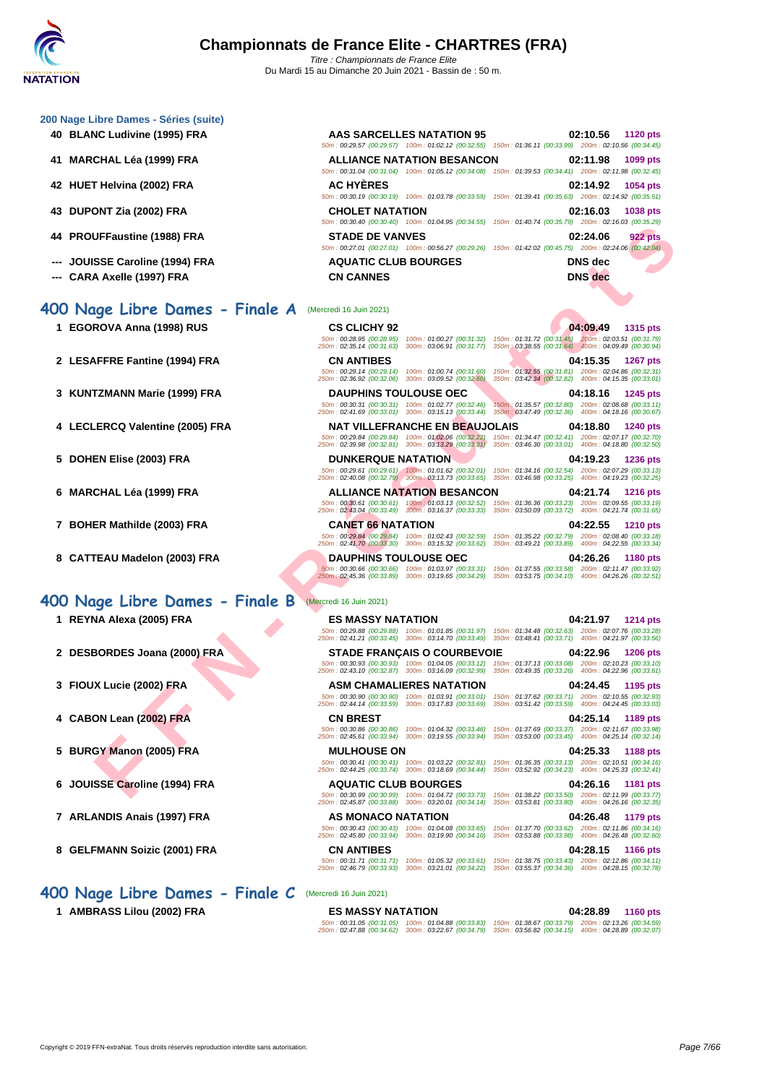| 200 Nage Libre Dames - Séries (suite)                     |                                                                                                                                                                                                                                                                                                                                                   |                                                                                                                                    |
|-----------------------------------------------------------|---------------------------------------------------------------------------------------------------------------------------------------------------------------------------------------------------------------------------------------------------------------------------------------------------------------------------------------------------|------------------------------------------------------------------------------------------------------------------------------------|
| 40 BLANC Ludivine (1995) FRA                              | AAS SARCELLES NATATION 95<br>50m: 00:29.57 (00:29.57) 100m: 01:02.12 (00:32.55) 150m: 01:36.11 (00:33.99) 200m: 02:10.56 (00:34.45)                                                                                                                                                                                                               | 02:10.56<br><b>1120 pts</b>                                                                                                        |
| 41 MARCHAL Léa (1999) FRA                                 | <b>ALLIANCE NATATION BESANCON</b><br>50m: 00:31.04 (00:31.04) 100m: 01:05.12 (00:34.08) 150m: 01:39.53 (00:34.41) 200m: 02:11.98 (00:32.45)                                                                                                                                                                                                       | 02:11.98<br>1099 pts                                                                                                               |
| 42 HUET Helvina (2002) FRA                                | <b>AC HYÈRES</b><br>50m: 00:30.19 (00:30.19) 100m: 01:03.78 (00:33.59) 150m: 01:39.41 (00:35.63) 200m: 02:14.92 (00:35.51)                                                                                                                                                                                                                        | 02:14.92<br>1054 pts                                                                                                               |
| DUPONT Zia (2002) FRA<br>43                               | <b>CHOLET NATATION</b><br>50m : 00:30.40 (00:30.40) 100m : 01:04.95 (00:34.55) 150m : 01:40.74 (00:35.79) 200m : 02:16.03 (00:35.29)                                                                                                                                                                                                              | 02:16.03<br>1038 pts                                                                                                               |
| 44 PROUFFaustine (1988) FRA                               | <b>STADE DE VANVES</b><br>50m: 00:27.01 (00:27.01) 100m: 00:56.27 (00:29.26) 150m: 01:42.02 (00:45.75) 200m: 02:24.06 (00:42.04)                                                                                                                                                                                                                  | 02:24.06<br><b>922 pts</b>                                                                                                         |
| JOUISSE Caroline (1994) FRA<br>--- CARA Axelle (1997) FRA | <b>AQUATIC CLUB BOURGES</b><br><b>CN CANNES</b>                                                                                                                                                                                                                                                                                                   | <b>DNS</b> dec<br><b>DNS</b> dec                                                                                                   |
| 400 Nage Libre Dames - Finale A                           | (Mercredi 16 Juin 2021)                                                                                                                                                                                                                                                                                                                           |                                                                                                                                    |
| 1 EGOROVA Anna (1998) RUS                                 | <b>CS CLICHY 92</b><br>$\frac{50m}{200m}, \frac{00.28.95}{00.28.95}, \frac{00.28.95}{00.31.79}, \frac{100m}{000m}, \frac{01.00.27}{000.31.77}, \frac{(00.31.32)}{000m}, \frac{101.31.72}{000.31.64}, \frac{(00.31.45)}{0000m}, \frac{200m}{0000m}, \frac{02.31.79}{0000m}, \frac{02.000m}{0000m}, \frac{02.000m}{0000m}, \frac{02$                | 04:09.49<br><b>1315 pts</b>                                                                                                        |
| 2 LESAFFRE Fantine (1994) FRA                             | <b>CN ANTIBES</b><br>50m: 00:29.14 (00:29.14) 100m: 01:00.74 (00:31.60)<br>250m: 02:36.92 (00:32.06) 300m: 03:09.52 (00:32.60)                                                                                                                                                                                                                    | 04:15.35<br>1267 pts<br>150m: 01:32.55 (00:31.81) 200m: 02:04.86 (00:32.31)<br>350m: 03:42.34 (00:32.82) 400m: 04:15.35 (00:33.01) |
| 3 KUNTZMANN Marie (1999) FRA                              | <b>DAUPHINS TOULOUSE OEC</b><br>50m: 00:30.31 (00:30.31) 100m: 01:02.77 (00:32.46)<br>250m: 02:41.69 (00:33.01) 300m: 03:15.13 (00:33.44)                                                                                                                                                                                                         | 04:18.16<br>1245 pts<br>150m: 01:35.57 (00:32.80) 200m: 02:08.68 (00:33.11)<br>350m: 03:47.49 (00:32.36) 400m: 04:18.16 (00:30.67) |
| 4 LECLERCQ Valentine (2005) FRA                           | <b>NAT VILLEFRANCHE EN BEAUJOLAIS</b><br>50m: 00:29.84 (00:29.84) 100m: 01:02.06 (00:32.22) 150m: 01:34.47 (00:32.41) 200m: 02:07.17 (00:32.70)                                                                                                                                                                                                   | 04:18.80<br><b>1240 pts</b>                                                                                                        |
| 5 DOHEN Elise (2003) FRA                                  | 250m: 02:39.98 (00:32.81) 300m: 03:13.29 (00:33.31) 350m: 03:46.30 (00:33.01) 400m: 04:18.80 (00:32.50)<br><b>DUNKERQUE NATATION</b><br>50m : 00:29.61 (00:29.61) 100m : 01:01.62 (00:32.01) 150m : 01:34.16 (00:32.54) 200m : 02:07.29 (00:33.13)                                                                                                | 04:19.23<br><b>1236 pts</b>                                                                                                        |
| 6 MARCHAL Léa (1999) FRA                                  | 250m: 02:40.08 (00:32.79) 300m: 03:13.73 (00:33.65) 350m: 03:46.98 (00:33.25) 400m: 04:19.23 (00:32.25)<br><b>ALLIANCE NATATION BESANCON</b><br>50m : 00:30.61 (00:30.61) 100m : 01:03.13 (00:32.52) 150m : 01:36.36 (00:33.23) 200m : 02:09.55 (00:33.19)                                                                                        | 04:21.74<br><b>1216 pts</b>                                                                                                        |
| 7 BOHER Mathilde (2003) FRA                               | 250m: 02:43.04 (00:33.49) 300m: 03:16.37 (00:33.33)<br><b>CANET 66 NATATION</b><br>50m: 00:29.84 (00:29.84) 100m: 01:02.43 (00:32.59) 150m: 01:35.22 (00:32.79) 200m: 02:08.40 (00:33.18)                                                                                                                                                         | 350m: 03:50.09 (00:33.72) 400m: 04:21.74 (00:31.65)<br>04:22.55<br><b>1210 pts</b>                                                 |
| 8 CATTEAU Madelon (2003) FRA                              | 250m: 02:41.70 (00:33.30) 300m: 03:15.32 (00:33.62)<br><b>DAUPHINS TOULOUSE OEC</b><br>50m: 00:30.66 (00:30.66) 100m: 01:03.97 (00:33.31) 150m: 01:37.55 (00:33.58) 200m: 02:11.47 (00:33.92)<br>250m : 02:45.36 (00:33.89) 300m : 03:19.65 (00:34.29) 350m : 03:53.75 (00:34.10) 400m : 04:26.26 (00:32.51)                                      | 350m: 03:49.21 (00:33.89) 400m: 04:22.55 (00:33.34)<br>04:26.26<br><b>1180 pts</b>                                                 |
| 400 Nage Libre Dames - Finale B                           | (Mercredi 16 Juin 2021)                                                                                                                                                                                                                                                                                                                           |                                                                                                                                    |
| 1 REYNA Alexa (2005) FRA                                  | <b>ES MASSY NATATION</b><br>50m: 00:29.88 (00:29.88) 100m: 01:01.85 (00:31.97) 150m: 01:34.48 (00:32.63) 200m: 02:07.76 (00:33.28)<br>250m: 02:41.21 (00:33.45) 300m: 03:14.70 (00:33.49) 350m: 03:48.41 (00:33.71) 400m: 04:21.97 (00:33.56)                                                                                                     | 04:21.97<br><b>1214 pts</b>                                                                                                        |
| 2 DESBORDES Joana (2000) FRA                              | <b>STADE FRANÇAIS O COURBEVOIE</b><br>50m: 00:30.93 (00:30.93) 100m: 01:04.05 (00:33.12) 150m: 01:37.13 (00:33.08) 200m: 02:10.23 (00:33.10)                                                                                                                                                                                                      | 04:22.96<br><b>1206 pts</b>                                                                                                        |
| 3 FIOUX Lucie (2002) FRA                                  | 250m: 02:43.10 (00:32.87) 300m: 03:16.09 (00:32.99) 350m: 03:49.35 (00:33.26) 400m: 04:22.96 (00:33.61)<br>ASM CHAMALIERES NATATION<br>50m: 00:30.90 (00:30.90) 100m: 01:03.91 (00:33.01) 150m: 01:37.62 (00:33.71) 200m: 02:10.55 (00:32.93)                                                                                                     | 1195 pts<br>04:24.45                                                                                                               |
| 4 CABON Lean (2002) FRA                                   | 250m: 02:44.14 (00:33.59) 300m: 03:17.83 (00:33.69) 350m: 03:51.42 (00:33.59) 400m: 04:24.45 (00:33.03)<br><b>CN BREST</b><br>50m: 00:30.86 (00:30.86) 100m: 01:04.32 (00:33.46)                                                                                                                                                                  | 04:25.14<br>1189 pts<br>150m: 01:37.69 (00:33.37) 200m: 02:11.67 (00:33.98)                                                        |
| 5 BURGY Manon (2005) FRA                                  | 250m: 02:45.61 (00:33.94) 300m: 03:19.55 (00:33.94)<br><b>MULHOUSE ON</b><br>50m: 00:30.41 (00:30.41) 100m: 01:03.22 (00:32.81) 150m: 01:36.35 (00:33.13) 200m: 02:10.51 (00:34.16)                                                                                                                                                               | 350m: 03:53.00 (00:33.45) 400m: 04:25.14 (00:32.14)<br>04:25.33<br>1188 pts                                                        |
| 6 JOUISSE Caroline (1994) FRA                             | 250m: 02:44.25 (00:33.74) 300m: 03:18.69 (00:34.44) 350m: 03:52.92 (00:34.23) 400m: 04:25.33 (00:32.41)<br><b>AQUATIC CLUB BOURGES</b><br>50m: 00:30.99 (00:30.99) 100m: 01:04.72 (00:33.73) 150m: 01:38.22 (00:33.50) 200m: 02:11.99 (00:33.77)                                                                                                  | 04:26.16<br>1181 pts                                                                                                               |
| 7 ARLANDIS Anais (1997) FRA                               | 250m: 02:45.87 (00:33.88) 300m: 03:20.01 (00:34.14) 350m: 03:53.81 (00:33.80) 400m: 04:26.16 (00:32.35)<br>AS MONACO NATATION<br>50m: 00:30.43 (00:30.43) 100m: 01:04.08 (00:33.65) 150m: 01:37.70 (00:33.62) 200m: 02:11.86 (00:34.16)                                                                                                           | 04:26.48<br>1179 pts                                                                                                               |
| 8 GELFMANN Soizic (2001) FRA                              | 250m: 02:45.80 (00:33.94) 300m: 03:19.90 (00:34.10) 350m: 03:53.88 (00:33.98) 400m: 04:26.48 (00:32.60)<br><b>CN ANTIBES</b><br>50m: 00:31.71 (00:31.71) 100m: 01:05.32 (00:33.61) 150m: 01:38.75 (00:33.43) 200m: 02:12.86 (00:34.11)<br>250m: 02:46.79 (00:33.93) 300m: 03:21.01 (00:34.22) 350m: 03:55.37 (00:34.36) 400m: 04:28.15 (00:32.78) | 04:28.15<br>1166 pts                                                                                                               |
| 400 Nage Libre Dames - Finale C                           | (Mercredi 16 Juin 2021)                                                                                                                                                                                                                                                                                                                           |                                                                                                                                    |
| 1 AMBRASS Lilou (2002) FRA                                | <b>FS MASSY NATATION</b>                                                                                                                                                                                                                                                                                                                          | $04.28.89$ 1160 pts                                                                                                                |

1 AMBRASS Lilou (2002) FRA ES MASSY NATATION<br>50m : 00:31.837 | 10:03.833 | 150m : 01:38.67 (00:31.83) | 160 m; 01:38.67 (00:33.83) | 160 m; 03:383 | 160m :<br>250m : 02:34.789 | 00:34.62) | 300m : 03:22.67 (00:34.79) | 300m :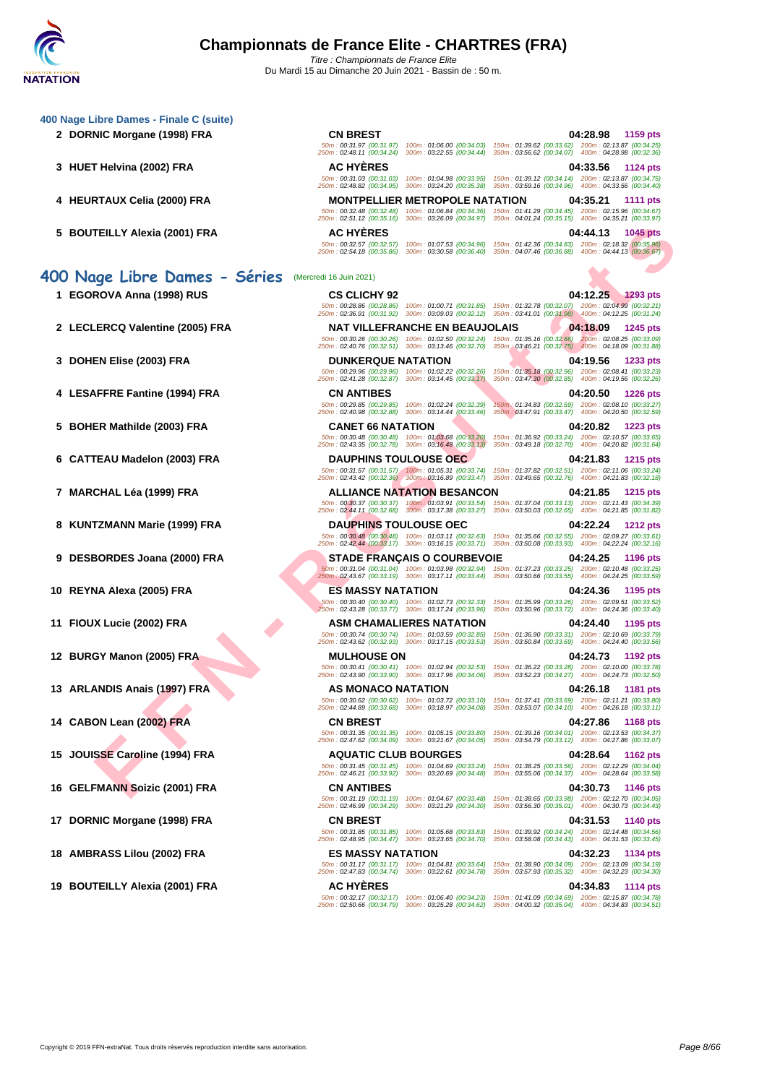**FELLY AREAIS (300) FRANCISCO (300) FRANCISCO (300) FRANCISCO (300) FRANCISCO (300) FRANCISCO (300) FRANCISCO (300) FRANCISCO (300) FRANCISCO (300) FRANCISCO (300) FRANCISCO (300) FRANCISCO (300) FRANCISCO (300) FRANCISCO [400 Nage](http://www.ffnatation.fr/webffn/index.php) Libre Dames - Finale C (suite) 2 DORNIC Morgane (1998) FRA CN BREST 04:28.98 1159 pts** 50m : 00:31.97 (00:31.97) 100m : 01:06.00 (00:34.03) 150m : 01:39.62 (00:33.62) 200m : 02:13.87 (00:34.25) 250m : 02:48.11 (00:34.24) 300m : 03:22.55 (00:34.44) 350m : 03:56.62 (00:34.07) 400m : 04:28.98 (00:32.36) **3 HUET Helvina (2002) FRA AC HYÈRES 04:33.56 1124 pts** 50m : 00:31.03 (00:31.03) 100m : 01:04.98 (00:33.95) 150m : 01:39.12 (00:34.14) 200m : 02:13.87 (00:34.75) 250m : 02:48.82 (00:34.95) 300m : 03:24.20 (00:35.38) 350m : 03:59.16 (00:34.96) 400m : 04:33.56 (00:34.40) **4 HEURTAUX Celia (2000) FRA MONTPELLIER METROPOLE NATATION 04:35.21 1111 pts** 50m : 00:32.48 (00:32.48) 100m : 01:06.84 (00:34.36) 150m : 01:41.29 (00:34.45) 200m : 02:15.96 (00:34.67) 250m : 02:51.12 (00:35.16) 300m : 03:26.09 (00:34.97) 350m : 04:01.24 (00:35.15) 400m : 04:35.21 (00:33.97) **5 BOUTEILLY Alexia (2001) FRA AC HYÈRES 04:44.13 1045 pts** 50m : 00:32.57 (00:32.57) 100m : 01:07.53 (00:34.96) 150m : 01:42.36 (00:34.83) 200m : 02:18.32 (00:35.96) 250m : 02:54.18 (00:35.86) 300m : 03:30.58 (00:36.40) 350m : 04:07.46 (00:36.88) 400m : 04:44.13 (00:36.67) **400 Nage Libre Dames - Séries** (Mercredi 16 Juin 2021) **1 EGOROVA Anna (1998) RUS CS CLICHY 92 04:12.25 1293 pts** 50m : 00:28.86 (00:28.86) 100m : 01:00.71 (00:31.85) 150m : 01:32.78 (00:32.07) 200m : 02:04.99 (00:32.21) 250m : 02:36.91 (00:31.92) 300m : 03:09.03 (00:32.12) 350m : 03:41.01 (00:31.98) 400m : 04:12.25 (00:31.24) **2 LECLERCQ Valentine (2005) FRA NAT VILLEFRANCHE EN BEAUJOLAIS 04:18.09 1245 pts** 50m : 00:30.26 (00:30.26) 100m : 01:02.50 (00:32.24) 150m : 01:35.16 (00:32.66) 200m : 02:08.25 (00:33.09) 250m : 02:40.76 (00:32.51) 300m : 03:13.46 (00:32.70) 350m : 03:46.21 (00:32.75) 400m : 04:18.09 (00:31.88) **3 DOHEN Elise (2003) FRA DUNKERQUE NATATION 04:19.56 1233 pts** 50m : 00:29.96 (00:29.96) 100m : 01:02.22 (00:32.26) 150m : 01:35.18 (00:32.96) 200m : 02:08.41 (00:33.23) 250m : 02:41.28 (00:32.87) 300m : 03:14.45 (00:33.17) 350m : 03:47.30 (00:32.85) 400m : 04:19.56 (00:32.26) **4 LESAFFRE Fantine (1994) FRA CN ANTIBES 04:20.50 1226 pts** 50m : 00:29.85 (00:29.85) 100m : 01:02.24 (00:32.39) 150m : 01:34.83 (00:32.59) 200m : 02:08.10 (00:33.27) 250m : 02:40.98 (00:32.88) 300m : 03:14.44 (00:33.46) 350m : 03:47.91 (00:33.47) 400m : 04:20.50 (00:32.59) **5 BOHER Mathilde (2003) FRA CANET 66 NATATION 04:20.82 1223 pts** 50m : 00:30.48 (00:30.48) 100m : 01:03.68 (00:33.20) 150m : 01:36.92 (00:33.24) 200m : 02:10.57 (00:33.65) 250m : 02:43.35 (00:32.78) 300m : 03:16.48 (00:33.13) 350m : 03:49.18 (00:32.70) 400m : 04:20.82 (00:31.64) **6 CATTEAU Madelon (2003) FRA DAUPHINS TOULOUSE OEC 04:21.83 1215 pts** 50m : 00:31.57 (00:31.57) 100m : 01:05.31 (00:33.74) 150m : 01:37.82 (00:32.51) 200m : 02:11.06 (00:33.24) 250m : 02:43.42 (00:32.36) 300m : 03:16.89 (00:33.47) 350m : 03:49.65 (00:32.76) 400m : 04:21.83 (00:32.18) **7 MARCHAL Léa (1999) FRA ALLIANCE NATATION BESANCON 04:21.85 1215 pts** 50m : 00:30.37 (00:30.37) 100m : 01:03.91 (00:33.54) 150m : 01:37.04 (00:33.13) 200m : 02:11.43 (00:34.39) 250m : 02:44.11 (00:32.68) 300m : 03:17.38 (00:33.27) 350m : 03:50.03 (00:32.65) 400m : 04:21.85 (00:31.82) **8 KUNTZMANN Marie (1999) FRA DAUPHINS TOULOUSE OEC 04:22.24 1212 pts** 50m : 00:30.48 (00:30.48) 100m : 01:03.11 (00:32.63) 150m : 01:35.66 (00:32.55) 200m : 02:09.27 (00:33.61) 250m : 02:42.44 (00:33.17) 300m : 03:16.15 (00:33.71) 350m : 03:50.08 (00:33.93) 400m : 04:22.24 (00:32.16) **9 DESBORDES Joana (2000) FRA STADE FRANÇAIS O COURBEVOIE 04:24.25 1196 pts** 50m : 00:31.04 (00:31.04) 100m : 01:03.98 (00:32.94) 150m : 01:37.23 (00:33.25) 200m : 02:10.48 (00:33.25) 250m : 02:43.67 (00:33.19) 300m : 03:17.11 (00:33.44) 350m : 03:50.66 (00:33.55) 400m : 04:24.25 (00:33.59) **10 REYNA Alexa (2005) FRA ES MASSY NATATION 04:24.36 1195 pts** 50m : 00:30.40 (00:30.40) 100m : 01:02.73 (00:32.33) 150m : 01:35.99 (00:33.26) 200m : 02:09.51 (00:33.52) 250m : 02:43.28 (00:33.77) 300m : 03:17.24 (00:33.96) 350m : 03:50.96 (00:33.72) 400m : 04:24.36 (00:33.40) **11 FIOUX Lucie (2002) FRA ASM CHAMALIERES NATATION 04:24.40 1195 pts** 50m : 00:30.74 (00:30.74) 100m : 01:03.59 (00:32.85) 150m : 01:36.90 (00:33.31) 200m : 02:10.69 (00:33.79) 250m : 02:43.62 (00:32.93) 300m : 03:17.15 (00:33.53) 350m : 03:50.84 (00:33.69) 400m : 04:24.40 (00:33.56) **12 BURGY Manon (2005) FRA MULHOUSE ON 04:24.73 1192 pts** 50m : 00:30.41 (00:30.41) 100m : 01:02.94 (00:32.53) 150m : 01:36.22 (00:33.28) 200m : 02:10.00 (00:33.78) 250m : 02:43.90 (00:33.90) 300m : 03:17.96 (00:34.06) 350m : 03:52.23 (00:34.27) 400m : 04:24.73 (00:32.50) **13 ARLANDIS Anais (1997) FRA AS MONACO NATATION 04:26.18 1181 pts** 50m : 00:30.62 (00:30.62) 100m : 01:03.72 (00:33.10) 150m : 01:37.41 (00:33.69) 200m : 02:11.21 (00:33.80) 250m : 02:44.89 (00:33.68) 300m : 03:18.97 (00:34.08) 350m : 03:53.07 (00:34.10) 400m : 04:26.18 (00:33.11) **14 CABON Lean (2002) FRA CN BREST 04:27.86 1168 pts** 50m : 00:31.35 (00:31.35) 100m : 01:05.15 (00:33.80) 150m : 01:39.16 (00:34.01) 200m : 02:13.53 (00:34.37) 250m : 02:47.62 (00:34.09) 300m : 03:21.67 (00:34.05) 350m : 03:54.79 (00:33.12) 400m : 04:27.86 (00:33.07) **15 JOUISSE Caroline (1994) FRA AQUATIC CLUB BOURGES 04:28.64 1162 pts** 50m : 00:31.45 (00:31.45) 100m : 01:04.69 (00:33.24) 150m : 01:38.25 (00:33.56) 200m : 02:12.29 (00:34.04) 250m : 02:46.21 (00:33.92) 300m : 03:20.69 (00:34.48) 350m : 03:55.06 (00:34.37) 400m : 04:28.64 (00:33.58) **16 GELFMANN Soizic (2001) FRA CN ANTIBES 04:30.73 1146 pts** 50m : 00:31.19 (00:31.19) 100m : 01:04.67 (00:33.48) 150m : 01:38.65 (00:33.98) 200m : 02:12.70 (00:34.05) 250m : 02:46.99 (00:34.29) 300m : 03:21.29 (00:34.30) 350m : 03:56.30 (00:35.01) 400m : 04:30.73 (00:34.43) **17 DORNIC Morgane (1998) FRA CN BREST 04:31.53 1140 pts** 50m : 00:31.85 (00:31.85) 100m : 01:05.68 (00:33.83) 150m : 01:39.92 (00:34.24) 200m : 02:14.48 (00:34.56) 250m : 02:48.95 (00:34.47) 300m : 03:23.65 (00:34.70) 350m : 03:58.08 (00:34.43) 400m : 04:31.53 (00:33.45) **18 AMBRASS Lilou (2002) FRA ES MASSY NATATION 04:32.23 1134 pts** 50m : 00:31.17 (00:31.17) 100m : 01:04.81 (00:33.64) 150m : 01:38.90 (00:34.09) 200m : 02:13.09 (00:34.19) 250m : 02:47.83 (00:34.74) 300m : 03:22.61 (00:34.78) 350m : 03:57.93 (00:35.32) 400m : 04:32.23 (00:34.30) **19 BOUTEILLY Alexia (2001) FRA AC HYÈRES 04:34.83 1114 pts** 50m : 00:32.17 (00:32.17) 100m : 01:06.40 (00:34.23) 150m : 01:41.09 (00:34.69) 200m : 02:15.87 (00:34.78) 250m : 02:50.66 (00:34.79) 300m : 03:25.28 (00:34.62) 350m : 04:00.32 (00:35.04) 400m : 04:34.83 (00:34.51)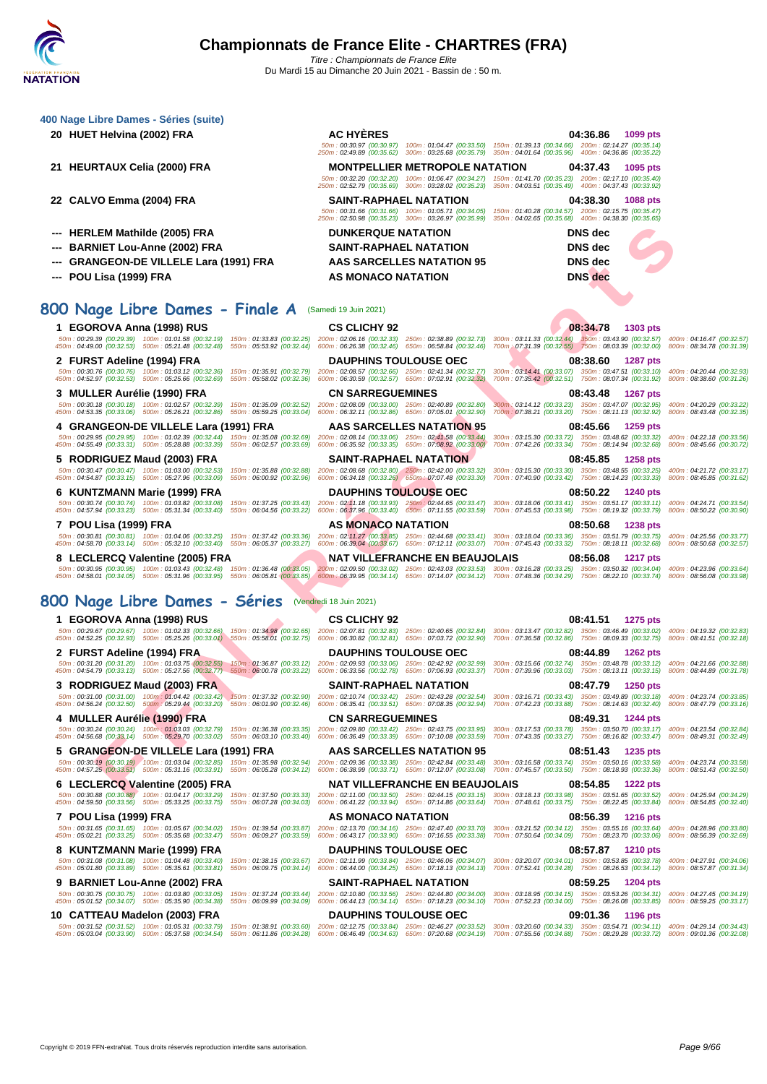| 400 Nage Libre Dames - Séries (suite)                                                                                                                                                                                                                                                                                                                                                                                                                                        |                                                                                                                                                                                                |                                                                                                                                                                                                                                           |                                                        |
|------------------------------------------------------------------------------------------------------------------------------------------------------------------------------------------------------------------------------------------------------------------------------------------------------------------------------------------------------------------------------------------------------------------------------------------------------------------------------|------------------------------------------------------------------------------------------------------------------------------------------------------------------------------------------------|-------------------------------------------------------------------------------------------------------------------------------------------------------------------------------------------------------------------------------------------|--------------------------------------------------------|
| 20 HUET Helvina (2002) FRA                                                                                                                                                                                                                                                                                                                                                                                                                                                   | <b>AC HYERES</b>                                                                                                                                                                               | 04:36.86<br>1099 pts<br>50m: 00:30.97 (00:30.97) 100m: 01:04.47 (00:33.50) 150m: 01:39.13 (00:34.66) 200m: 02:14.27 (00:35.14)<br>250m: 02:49.89 (00:35.62) 300m: 03:25.68 (00:35.79) 350m: 04:01.64 (00:35.96) 400m: 04:36.86 (00:35.22) |                                                        |
| 21 HEURTAUX Celia (2000) FRA                                                                                                                                                                                                                                                                                                                                                                                                                                                 | <b>MONTPELLIER METROPOLE NATATION</b><br>250m: 02:52.79 (00:35.69) 300m: 03:28.02 (00:35.23)                                                                                                   | 04:37.43<br>1095 pts<br>50m: 00:32.20 (00:32.20) 100m: 01:06.47 (00:34.27) 150m: 01:41.70 (00:35.23) 200m: 02:17.10 (00:35.40)<br>350m: 04:03.51 (00:35.49) 400m: 04:37.43 (00:33.92)                                                     |                                                        |
| 22 CALVO Emma (2004) FRA                                                                                                                                                                                                                                                                                                                                                                                                                                                     | SAINT-RAPHAEL NATATION<br>50m: 00:31.66 (00:31.66) 100m: 01:05.71 (00:34.05)<br>250m: 02:50.98 (00:35.23) 300m: 03:26.97 (00:35.99)                                                            | 04:38.30<br><b>1088 pts</b><br>150m: 01:40.28 (00:34.57) 200m: 02:15.75 (00:35.47)<br>350m: 04:02.65 (00:35.68) 400m: 04:38.30 (00:35.65)                                                                                                 |                                                        |
| --- HERLEM Mathilde (2005) FRA                                                                                                                                                                                                                                                                                                                                                                                                                                               | <b>DUNKERQUE NATATION</b>                                                                                                                                                                      | DNS dec                                                                                                                                                                                                                                   |                                                        |
| --- BARNIET Lou-Anne (2002) FRA                                                                                                                                                                                                                                                                                                                                                                                                                                              | <b>SAINT-RAPHAEL NATATION</b>                                                                                                                                                                  | <b>DNS</b> dec                                                                                                                                                                                                                            |                                                        |
| --- GRANGEON-DE VILLELE Lara (1991) FRA                                                                                                                                                                                                                                                                                                                                                                                                                                      | AAS SARCELLES NATATION 95                                                                                                                                                                      | DNS dec                                                                                                                                                                                                                                   |                                                        |
| --- POU Lisa (1999) FRA                                                                                                                                                                                                                                                                                                                                                                                                                                                      | AS MONACO NATATION                                                                                                                                                                             | <b>DNS</b> dec                                                                                                                                                                                                                            |                                                        |
| 800 Nage Libre Dames - Finale A                                                                                                                                                                                                                                                                                                                                                                                                                                              | (Samedi 19 Juin 2021)                                                                                                                                                                          |                                                                                                                                                                                                                                           |                                                        |
| 1 EGOROVA Anna (1998) RUS<br>50m: 00:29.39 (00:29.39) 100m: 01:01.58 (00:32.19) 150m: 01:33.83 (00:32.25) 200m: 02:06.16 (00:32.33) 250m: 02:38.89 (00:32.73) 300m: 03:11.33 (00:32.44) 350m: 03:43.90 (00:32.57) 400m: 04:16.47 (00:32.57)                                                                                                                                                                                                                                  | <b>CS CLICHY 92</b>                                                                                                                                                                            | 08:34.78<br>1303 pts                                                                                                                                                                                                                      |                                                        |
| 450m: 04:49.00 (00:32.53) 500m: 05:21.48 (00:32.48) 550m: 05:53.92 (00:32.44) 600m: 06:26.38 (00:32.46) 650m: 06:58.84 (00:32.46) 700m 07:31.39 (00:32.55) 750m: 08:03.39 (00:32.00) 800m: 08:34.78 (00:31.39)                                                                                                                                                                                                                                                               |                                                                                                                                                                                                |                                                                                                                                                                                                                                           |                                                        |
| 2 FURST Adeline (1994) FRA<br>50m: 00:30.76 (00:30.76) 100m: 01:03.12 (00:32.36) 150m: 01:35.91 (00:32.79) 200m: 02:08.57 (00:32.66) 250m: 02:41.34 (00:32.77)<br>450m: 04:52.97 (00:32.53) 500m: 05:25.66 (00:32.69)                                                                                                                                                                                                                                                        | <b>DAUPHINS TOULOUSE OEC</b><br>550m: 05:58.02 (00:32.36) 600m: 06:30.59 (00:32.57) 650m: 07:02.91 (00:32.32)                                                                                  | 08:38.60<br><b>1287 pts</b><br>300m: 03:14.41 (00:33.07) 350m: 03:47.51 (00:33.10) 400m: 04:20.44 (00:32.93)<br>700m: 07:35.42 (00:32.51) 750m: 08:07.34 (00:31.92) 800m: 08:38.60 (00:31.26)                                             |                                                        |
| 3 MULLER Aurélie (1990) FRA                                                                                                                                                                                                                                                                                                                                                                                                                                                  | <b>CN SARREGUEMINES</b>                                                                                                                                                                        | 08:43.48<br><b>1267 pts</b>                                                                                                                                                                                                               |                                                        |
| 50m: 00:30.18 (00:30.18) 100m: 01:02.57 (00:32.39) 150m: 01:35.09 (00:32.52) 200m: 02:08.09 (00:33.00) 250m: 02:40.89 (00:32.80)<br>450m: 04:53.35 (00:33.06) 500m: 05:26.21 (00:32.86)                                                                                                                                                                                                                                                                                      | 550m: 05:59.25 (00:33.04) 600m: 06:32.11 (00:32.86) 650m: 07:05.01 (00:32.90)                                                                                                                  | 300m; 03:14.12 (00:33.23) 350m: 03:47.07 (00:32.95) 400m: 04:20.29 (00:33.22)<br>700m: 07:38.21 (00:33.20) 750m: 08:11.13 (00:32.92) 800m: 08:43.48 (00:32.35)                                                                            |                                                        |
| 4 GRANGEON-DE VILLELE Lara (1991) FRA<br>50m: 00:29.95 (00:29.95) 100m: 01:02.39 (00:32.44) 150m: 01:35.08 (00:32.69) 200m: 02:08.14 (00:33.06) 250m: 02:41.58 (00:33.44)<br>450m: 04:55.49 (00:33.31) 500m: 05:28.88 (00:33.39) 550m: 06:02.57 (00:33.69) 600m: 06:35.92 (00:33.35) 650m: 07:08.92 (00:33.00)                                                                                                                                                               | <b>AAS SARCELLES NATATION 95</b>                                                                                                                                                               | 08:45.66<br>1259 pts<br>300m: 03:15.30 (00:33.72) 350m: 03:48.62 (00:33.32) 400m: 04:22.18 (00:33.56)<br>700m: 07:42.26 (00:33.34) 750m: 08:14.94 (00:32.68) 800m: 08:45.66 (00:30.72)                                                    |                                                        |
| 5 RODRIGUEZ Maud (2003) FRA                                                                                                                                                                                                                                                                                                                                                                                                                                                  | <b>SAINT-RAPHAEL NATATION</b>                                                                                                                                                                  | 08:45.85<br><b>1258 pts</b>                                                                                                                                                                                                               |                                                        |
| 50m : 00:30.47 (00:30.47) 100m : 01:03.00 (00:32.53) 150m : 01:35.88 (00:32.88) 200m : 02:08.68 (00:32.80) 250m : 02:42.00 (00:33.32)<br>450m: 04:54.87 (00:33.15) 500m: 05:27.96 (00:33.09)                                                                                                                                                                                                                                                                                 | 550m: 06:00.92 (00:32.96) 600m: 06:34.18 (00:33.26) 650m: 07:07.48 (00:33.30)                                                                                                                  | 300m: 03:15.30 (00:33.30) 350m: 03:48.55 (00:33.25) 400m: 04:21.72 (00:33.17)<br>700m: 07:40.90 (00:33.42) 750m: 08:14.23 (00:33.33) 800m: 08:45.85 (00:31.62)                                                                            |                                                        |
| 6 KUNTZMANN Marie (1999) FRA<br>50m: 00:30.74 (00:30.74) 100m: 01:03.82 (00:33.08)<br>450m: 04:57.94 (00:33.23) 500m: 05:31.34 (00:33.40)                                                                                                                                                                                                                                                                                                                                    | <b>DAUPHINS TOULOUSE OEC</b><br>150m: 01:37.25 (00:33.43) 200m: 02:11.18 (00:33.93) 250m: 02:44.65 (00:33.47)<br>550m: 06:04.56 (00:33.22) 600m: 06:37.96 (00:33.40) 650m: 07:11.55 (00:33.59) | 08:50.22<br>1240 pts<br>300m: 03:18.06 (00:33.41) 350m: 03:51.17 (00:33.11) 400m: 04:24.71 (00:33.54)<br>700m: 07:45.53 (00:33.98) 750m: 08:19.32 (00:33.79) 800m: 08:50.22 (00:30.90)                                                    |                                                        |
| 7 POU Lisa (1999) FRA                                                                                                                                                                                                                                                                                                                                                                                                                                                        | AS MONACO NATATION                                                                                                                                                                             | 08:50.68<br><b>1238 pts</b>                                                                                                                                                                                                               |                                                        |
| 50m: 00:30.81 (00:30.81) 100m: 01:04.06 (00:33.25) 150m: 01:37.42 (00:33.36) 200m: 02:11.27 (00:33.85) 250m: 02:44.68 (00:33.41) 300m: 03:18.04 (00:33.36) 350m: 03:51.79 (00:33.75)<br>450m: 04:58.70 (00:33.14) 500m: 05:32.10 (00:33.40) 550m: 06:05.37 (00:33.27)                                                                                                                                                                                                        |                                                                                                                                                                                                | 600m: 06:39.04 (00:33.67) 650m: 07:12.11 (00:33.07) 700m: 07:45.43 (00:33.32) 750m: 08:18.11 (00:32.68)                                                                                                                                   | 400m: 04:25.56 (00:33.77)<br>800m: 08:50.68 (00:32.57) |
| 8 LECLERCQ Valentine (2005) FRA<br>50m: 00:30.95 (00:30.95) 100m: 01:03.43 (00:32.48) 150m: 01:36.48 (00:33.05) 200m: 02:09.50 (00:33.02) 250m: 02:43.03 (00:33.53) 300m: 03:16.28 (00:33.25) 350m: 03:50.32 (00:34.04) 400m: 04:23.96 (00:33.64)<br>450m : 04:58.01 (00:34.05) 500m : 05:31.96 (00:33.95) 550m : 06:05.81 (00:33.85) 600m : 06:39.95 (00:34.14) 650m : 07:14.07 (00:34.12) 700m : 07:48.36 (00:34.29) 750m : 08:22.10 (00:33.74) 800m : 08:56.08 (00:33.98) | <b>NAT VILLEFRANCHE EN BEAUJOLAIS</b>                                                                                                                                                          | 08:56.08<br><b>1217 pts</b>                                                                                                                                                                                                               |                                                        |
| 800 Nage Libre Dames - Séries (Vendredi 18 Juin 2021)                                                                                                                                                                                                                                                                                                                                                                                                                        |                                                                                                                                                                                                |                                                                                                                                                                                                                                           |                                                        |
| 1 EGOROVA Anna (1998) RUS                                                                                                                                                                                                                                                                                                                                                                                                                                                    | <b>CS CLICHY 92</b>                                                                                                                                                                            | 08:41.51<br><b>1275 pts</b>                                                                                                                                                                                                               |                                                        |
| 50m: 00:29.67 (00:29.67) 100m: 01:02.33 (00:32.66) 150m: 01:34.98 (00:32.65) 200m: 02:07.81 (00:32.83) 250m: 02:40.65 (00:32.84) 300m: 03:13.47 (00:32.82) 350m: 03:46.49 (00:32.02) 400m: 04:19.32 (00:32.83)<br>450m : 04:52.25 (00:32.33) 500m : 05:25.26 (00:33.01) 550m : 05:58.01 (00:32.75) 600m : 06:30.82 (00:32.81) 650m : 07:03.72 (00:32.20) 700m : 07:03.68 (00:32.86) 750m : 08:09.33 (00:32.75) 800m : 08:41.51 (00:32.18)                                    |                                                                                                                                                                                                |                                                                                                                                                                                                                                           |                                                        |
| 2 FURST Adeline (1994) FRA                                                                                                                                                                                                                                                                                                                                                                                                                                                   | <b>DAUPHINS TOULOUSE OEC</b>                                                                                                                                                                   | 08:44.89<br><b>1262 pts</b>                                                                                                                                                                                                               |                                                        |
| 50m: 00:31.20 (00:31.20) 100m: 01:03.75 (00:32.55) 150m: 01:06.87 (00:33.12) 200m: 02:09.93 (00:33.06) 250m: 02:42.92 (00:32.99) 300m: 03:15.66 (00:32.74) 350m: 03:48.78 (00:32.12) 400m: 04:21.66 (00:32.88)<br>450m : 04:54.79 (00:33.13) 500m : 05:27.56 (00:32.77) 550m : 06:00.78 (00:33.22) 600m : 06:33.56 (00:32.78) 650m : 07:06.93 (00:33.37) 700m : 07:39.96 (00:33.03) 750m : 08:13.11 (00:33.15) 800m : 08:44.89 (00:31.78)                                    |                                                                                                                                                                                                |                                                                                                                                                                                                                                           |                                                        |
| 3 RODRIGUEZ Maud (2003) FRA                                                                                                                                                                                                                                                                                                                                                                                                                                                  | <b>SAINT-RAPHAEL NATATION</b>                                                                                                                                                                  | 08:47.79<br><b>1250 pts</b>                                                                                                                                                                                                               |                                                        |
| 50m: 00:31.00 (00:31.00) 100m: 01:04.42 (00:33.42) 150m: 01:37.32 (00:32.90) 200m: 02:10.74 (00:33.42) 250m: 02:43.28 (00:32.54)<br>450m: 04:56.24 (00:32.50) 500m: 05:29:44 (00:33.20) 550m: 06:01.90 (00:32.46) 600m: 06:35.41 (00:33.51) 650m: 07:08.35 (00:32.94)                                                                                                                                                                                                        |                                                                                                                                                                                                | 300m: 03:16.71 (00:33.43) 350m: 03:49.89 (00:33.18) 400m: 04:23.74 (00:33.85)<br>700m: 07:42.23 (00:33.88) 750m: 08:14.63 (00:32.40) 800m: 08:47.79 (00:33.16)                                                                            |                                                        |
| 4 MULLER Aurélie (1990) FRA<br>50m: 00:30.24 (00:30.24) 100m: 01:03.03 (00:32.79) 150m: 01:05.38 (00:33.35) 200m: 02:09.80 (00:33.42) 250m: 02:43.75 (00:33.95) 300m: 03:17.53 (00:33.78) 350m: 03:50.70 (00:33.17) 400m: 04:23.54 (00:32.84)                                                                                                                                                                                                                                | <b>CN SARREGUEMINES</b>                                                                                                                                                                        | 08:49.31<br>1244 pts                                                                                                                                                                                                                      |                                                        |
| 450m: 04:56.68 (00:33.14) 500m: 05:29.70 (00:33.02) 550m: 06:03.10 (00:33.40) 600m: 06:36.49 (00:33.39) 650m: 07:10.08 (00:33.59)                                                                                                                                                                                                                                                                                                                                            |                                                                                                                                                                                                | 700m: 07:43.35 (00:33.27) 750m: 08:16.82 (00:33.47) 800m: 08:49.31 (00:32.49)                                                                                                                                                             |                                                        |
| 5 GRANGEON-DE VILLELE Lara (1991) FRA<br>50m: 00:30.19 (00:30.19) 100m: 01:03.04 (00:32.85) 150m: 01:35.98 (00:32.94) 200m: 02:09.36 (00:33.38) 250m: 02:42.84 (00:33.48)<br>450m: 04:57.25 (00:33.51) 500m: 05:31.16 (00:33.91) 550m: 06:05.28 (00:34.12) 600m: 06:38.99 (00:33.71) 650m: 07:12.07 (00:33.08)                                                                                                                                                               | AAS SARCELLES NATATION 95                                                                                                                                                                      | 08:51.43<br>1235 pts<br>300m: 03:16.58 (00:33.74) 350m: 03:50.16 (00:33.58) 400m: 04:23.74 (00:33.58)<br>700m: 07:45.57 (00:33.50) 750m: 08:18.93 (00:33.36)                                                                              | 800m: 08:51.43 (00:32.50)                              |
| 6 LECLERCQ Valentine (2005) FRA<br>50m: 00:30.88 (00:30.88) 100m: 01:04.17 (00:33.29) 150m: 01:37.50 (00:33.33) 200m: 02:11.00 (00:33.50) 250m: 02:44.15 (00:33.15) 300m: 03:18.13 (00:33.98) 350m: 03:51.65 (00:33.52) 400m: 04:25.94 (00:34.29)                                                                                                                                                                                                                            | <b>NAT VILLEFRANCHE EN BEAUJOLAIS</b>                                                                                                                                                          | 08:54.85<br><b>1222 pts</b>                                                                                                                                                                                                               |                                                        |
| 450m : 04:59.50 (00:33.56) 500m : 05:33.25 (00:33.75) 550m : 06:07.28 (00:34.03) 600m : 06:41.22 (00:33.94) 650m : 07:14.86 (00:33.64) 700m : 07:48.61 (00:33.75) 750m : 08:22.45 (00:33.84) 800m : 08:54.85 (00:32.40)                                                                                                                                                                                                                                                      |                                                                                                                                                                                                |                                                                                                                                                                                                                                           |                                                        |
| 7 POU Lisa (1999) FRA<br>50m: 00:31.65 (00:31.65) 100m: 01:05.67 (00:34.02) 150m: 01:39.54 (00:33.87) 200m: 02:13.70 (00:34.16) 250m: 02:47.40 (00:33.70) 300m: 03:21.52 (00:34.12) 350m: 03:55.16 (00:33.64) 400m: 04:28.96 (00:33.80)<br>450m : 05:02.21 (00:33.25) 500m : 05:35.68 (00:33.47) 550m : 06:09.27 (00:33.59) 600m : 06:43.17 (00:33.90) 650m : 07:16.55 (00:33.38) 700m : 07:50.64 (00:34.09) 750m : 08:23.70 (00:33.06) 800m : 08:56.39 (00:32.69)           | AS MONACO NATATION                                                                                                                                                                             | 08:56.39<br><b>1216 pts</b>                                                                                                                                                                                                               |                                                        |
| 8 KUNTZMANN Marie (1999) FRA                                                                                                                                                                                                                                                                                                                                                                                                                                                 | <b>DAUPHINS TOULOUSE OEC</b>                                                                                                                                                                   | 08:57.87<br><b>1210 pts</b>                                                                                                                                                                                                               |                                                        |
| 50m: 00:31.08 (00:31.08) 100m: 01:04.48 (00:33.40) 150m: 01:38.15 (00:33.67) 200m: 02:11.99 (00:33.84) 250m: 02:46.06 (00:34.07) 300m: 03:20.07 (00:34.01) 350m: 03:53.85 (00:33.78) 400m: 04:27.91 (00:34.06)<br>450m: 05:01.80 (00:33.89) 500m: 05:35.61 (00:33.81) 550m: 06:09.75 (00:34.14) 600m: 06:44.00 (00:34.25) 650m: 07:18.13 (00:34.13)                                                                                                                          |                                                                                                                                                                                                | 700m: 07:52.41 (00:34.28) 750m: 08:26.53 (00:34.12) 800m: 08:57.87 (00:31.34)                                                                                                                                                             |                                                        |
| 9 BARNIET Lou-Anne (2002) FRA<br>50m: 00:30.75 (00:30.75) 100m: 01:03.80 (00:33.05) 150m: 01:37.24 (00:33.44) 200m: 02:10.80 (00:33.56) 250m: 02:44.80 (00:34.00) 300m: 03:18.95 (00:34.15) 350m: 03:53.26 (00:34.31) 400m: 04:27.45 (00:34.19)                                                                                                                                                                                                                              | <b>SAINT-RAPHAEL NATATION</b>                                                                                                                                                                  | 08:59.25<br>1204 pts                                                                                                                                                                                                                      |                                                        |
| 450m: 05:01.52 (00:34.07) 500m: 05:35.90 (00:34.38) 550m: 06:09.99 (00:34.09) 600m: 06:44.13 (00:34.14) 650m: 07:18.23 (00:34.10)                                                                                                                                                                                                                                                                                                                                            |                                                                                                                                                                                                | 700m: 07:52.23 (00:34.00) 750m: 08:26.08 (00:33.85) 800m: 08:59.25 (00:33.17)                                                                                                                                                             |                                                        |
| 10 CATTEAU Madelon (2003) FRA<br>50m: 00:31.52 (00:31.52) 100m: 01:05.31 (00:33.79) 150m: 01:38.91 (00:33.60) 200m: 02:12.75 (00:33.84) 250m: 02:46.27 (00:33.52) 300m: 03:20.60 (00:34.33) 350m: 03:54.71 (00:34.11) 400m: 04:29.14 (00:34.43)                                                                                                                                                                                                                              | <b>DAUPHINS TOULOUSE OEC</b>                                                                                                                                                                   | 09:01.36<br>1196 pts                                                                                                                                                                                                                      |                                                        |
| 450m: 05:03.04 (00:33.90) 500m: 05:37.58 (00:34.54) 550m: 06:11.86 (00:34.28) 600m: 06:46.49 (00:34.63) 650m: 07:20.68 (00:34.19)                                                                                                                                                                                                                                                                                                                                            |                                                                                                                                                                                                | 700m: 07:55.56 (00:34.88) 750m: 08:29.28 (00:33.72) 800m: 09:01.36 (00:32.08)                                                                                                                                                             |                                                        |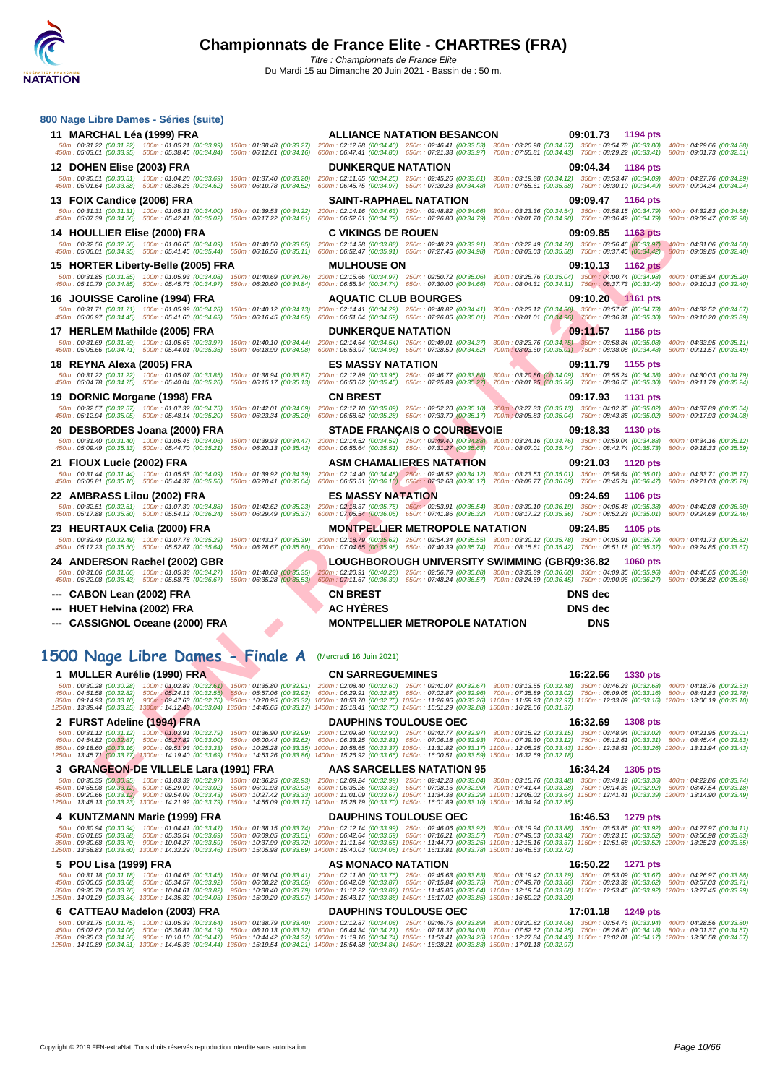

| 11 MARCHAL Léa (1999) FRA                                                                                                                                              | <b>ALLIANCE NATATION BESANCON</b>                                                                                                                                                                                                                                                                                                                                                                                                                                                                                                                                                                                   | 09:01.73 1194 pts                                                                         |
|------------------------------------------------------------------------------------------------------------------------------------------------------------------------|---------------------------------------------------------------------------------------------------------------------------------------------------------------------------------------------------------------------------------------------------------------------------------------------------------------------------------------------------------------------------------------------------------------------------------------------------------------------------------------------------------------------------------------------------------------------------------------------------------------------|-------------------------------------------------------------------------------------------|
|                                                                                                                                                                        | 50m: 00:31.22 (00:31.22) 100m: 01:05.21 (00:33.99) 150m: 01:38.48 (00:33.27) 200m: 02:12.88 (00:34.40) 250m: 02:46.41 (00:33.53) 300m: 03:20.98 (00:34.57) 350m: 03:54.78 (00:33.80) 400m: 04:29.66 (00:34.88)<br>450m : 05:03.61 (00:33.95) 500m : 05:38.45 (00:34.84) 550m : 06:12.61 (00:34.16) 600m : 06:47.41 (00:34.80) 650m : 07:21.38 (00:33.97) 700m : 07:55.81 (00:34.43) 750m : 08:29.22 (00:33.41) 800m : 09:01.73 (00:32.51)                                                                                                                                                                           |                                                                                           |
| 12 DOHEN Elise (2003) FRA                                                                                                                                              | <b>DUNKERQUE NATATION</b><br>09:04.34                                                                                                                                                                                                                                                                                                                                                                                                                                                                                                                                                                               | 1184 pts                                                                                  |
|                                                                                                                                                                        | 50m: 00:30.51 (00:30.51) 100m: 01:04.20 (00:33.69) 150m: 01:37.40 (00:33.20) 200m: 02:11.65 (00:34.25) 250m: 02:45.26 (00:33.61) 300m: 03:19.38 (00:34.12) 350m: 03:53.47 (00:34.09) 400m: 04:27.76 (00:34.29)<br>450m : 05:01.64 (00:33.88) 500m : 05:36.26 (00:34.62) 550m : 06:10.78 (00:34.52) 600m : 06:45.75 (00:34.97) 650m : 07:20.23 (00:34.48) 700m : 07:55.61 (00:35.38) 750m : 08:30.10 (00:34.49) 800m : 09:04.34 (00:34.24)                                                                                                                                                                           |                                                                                           |
| 13 FOIX Candice (2006) FRA                                                                                                                                             | <b>SAINT-RAPHAEL NATATION</b><br>09:09.47                                                                                                                                                                                                                                                                                                                                                                                                                                                                                                                                                                           | 1164 pts                                                                                  |
| 50m: 00:31.31 (00:31.31) 100m: 01:05.31 (00:34.00) 150m: 01:39.53 (00:34.22) 200m: 02:14.16 (00:34.63) 250m: 02:48.82 (00:34.66)                                       | 300m: 03:23.36 (00:34.54) 350m: 03:58.15 (00:34.79)                                                                                                                                                                                                                                                                                                                                                                                                                                                                                                                                                                 | 400m: 04:32.83 (00:34.68)                                                                 |
| 450m: 05:07.39 (00:34.56) 500m: 05:42.41 (00:35.02) 550m: 06:17.22 (00:34.81)                                                                                          | 600m: 06:52.01 (00:34.79) 650m: 07:26.80 (00:34.79)<br>700m: 08:01.70 (00:34.90) 750m: 08:36.49 (00:34.79)                                                                                                                                                                                                                                                                                                                                                                                                                                                                                                          | 800m: 09:09.47 (00:32.98)                                                                 |
| 14 HOULLIER Elise (2000) FRA<br>50m: 00:32.56 (00:32.56) 100m: 01:06.65 (00:34.09) 150m: 01:40.50 (00:33.85) 200m: 02:14.38 (00:33.88) 250m: 02:48.29 (00:33.91)       | <b>C VIKINGS DE ROUEN</b><br>09:09.85                                                                                                                                                                                                                                                                                                                                                                                                                                                                                                                                                                               | 1163 pts<br>300m: 03:22.49 (00:34.20) 350m: 03:56.46 (00:33.97) 400m: 04:31.06 (00:34.60) |
| 450m: 05:06.01 (00:34.95) 500m: 05:41.45 (00:35.44) 550m: 06:16.56 (00:35.11) 600m: 06:52.47 (00:35.91) 650m: 07:27.45 (00:34.98)                                      |                                                                                                                                                                                                                                                                                                                                                                                                                                                                                                                                                                                                                     | 700m: 08:03.03 (00:35.58) 750m: 08:37.45 (00:34.42) 800m: 09:09.85 (00:32.40)             |
| 15 HORTER Liberty-Belle (2005) FRA<br>50m: 00:31.85 (00:31.85) 100m: 01:05.93 (00:34.08) 150m: 01:40.69 (00:34.76) 200m: 02:15.66 (00:34.97) 250m: 02:50.72 (00:35.06) | <b>MULHOUSE ON</b><br>09:10.13                                                                                                                                                                                                                                                                                                                                                                                                                                                                                                                                                                                      | 1162 pts<br>300m: 03:25.76 (00:35.04) 350m: 04:00.74 (00:34.98) 400m: 04:35.94 (00:35.20) |
| 450m : 05:10.79 (00:34.85) 500m : 05:45.76 (00:34.97) 550m : 06:20.60 (00:34.84) 600m : 06:55.34 (00:34.74) 650m : 07:30.00 (00:34.66)                                 |                                                                                                                                                                                                                                                                                                                                                                                                                                                                                                                                                                                                                     | 700m: 08:04.31 (00:34.31) 750m: 08:37.73 (00:33.42) 800m: 09:10.13 (00:32.40)             |
| 16 JOUISSE Caroline (1994) FRA                                                                                                                                         | <b>AQUATIC CLUB BOURGES</b>                                                                                                                                                                                                                                                                                                                                                                                                                                                                                                                                                                                         | 09:10.20 1161 pts                                                                         |
| 450m: 05:06.97 (00:34.45) 500m: 05:41.60 (00:34.63)                                                                                                                    | 50m: 00:31.71 (00:31.71) 100m: 01:05.99 (00:34.28) 150m: 01:40.12 (00:34.13) 200m: 02:14.41 (00:34.29) 250m: 02:48.82 (00:34.41) 300m: 03:23.12 (00:34.30) 350m: 03:57.85 (00:34.73)<br>550m: 06:16.45 (00:34.85) 600m: 06:51.04 (00:34.59) 650m: 07:26.05 (00:35.01) 700m: 08:01.01 (00:34.96) 750m: 08:36.31 (00:35.30) 800m: 09:10.20 (00:33.89)                                                                                                                                                                                                                                                                 | 400m: 04:32.52 (00:34.67)                                                                 |
| 17 HERLEM Mathilde (2005) FRA                                                                                                                                          | <b>DUNKERQUE NATATION</b><br>09:11.57                                                                                                                                                                                                                                                                                                                                                                                                                                                                                                                                                                               | 1156 pts                                                                                  |
| 450m : 05:08.66 (00:34.71) 500m : 05:44.01 (00:35.35) 550m : 06:18.99 (00:34.98) 600m : 06:53.97 (00:34.98) 650m : 07:28.59 (00:34.62)                                 |                                                                                                                                                                                                                                                                                                                                                                                                                                                                                                                                                                                                                     |                                                                                           |
| 18 REYNA Alexa (2005) FRA                                                                                                                                              | <b>ES MASSY NATATION</b><br>09:11.79                                                                                                                                                                                                                                                                                                                                                                                                                                                                                                                                                                                | 1155 pts                                                                                  |
|                                                                                                                                                                        | 50m: 00:31.22 (00:31.22) 100m: 01:05.07 (00:33.85) 150m: 01:38.94 (00:33.87) 200m: 02:12.89 (00:33.95) 250m: 02:46.77 (00:33.88) 300m: 03:20.86 (00:34.09) 350m: 03:55.24 (00:34.38) 400m: 04:30.03 (00:34.79)                                                                                                                                                                                                                                                                                                                                                                                                      |                                                                                           |
| 450m: 05:04.78 (00:34.75) 500m: 05:40.04 (00:35.26)                                                                                                                    | 550m : 06:15.17 (00:35.13) 600m : 06:50.62 (00:35.45) 650m : 07:25.89 (00:35.27) 700m : 08:01.25 (00:35.36) 750m : 08:36.55 (00:35.30) 800m : 09:11.79 (00:35.24)<br><b>CN BREST</b><br>09:17.93                                                                                                                                                                                                                                                                                                                                                                                                                    |                                                                                           |
| 19 DORNIC Morgane (1998) FRA                                                                                                                                           | 50m: 00:32.57 (00:32.57) 100m: 01:07:32 (00:34.75) 150m: 01:42.01 (00:34.69) 200m: 02:17.10 (00:35.09) 250m: 02:52.20 (00:35.10) 300m: 03:27.33 (00:35.13) 350m: 04:02.35 (00:35.02) 400m: 04:37.89 (00:35.54)                                                                                                                                                                                                                                                                                                                                                                                                      | <b>1131 pts</b>                                                                           |
| 450m: 05:12.94 (00:35.05) 500m: 05:48.14 (00:35.20)                                                                                                                    | 550m: 06:23.34 (00:35.20) 600m: 06:58.62 (00:35.28) 650m: 07:33.79 (00:35.17) 700m: 08:08.83 (00:35.04) 750m: 08:43.85 (00:35.02) 800m: 09:17.93 (00:34.08)                                                                                                                                                                                                                                                                                                                                                                                                                                                         |                                                                                           |
| 20 DESBORDES Joana (2000) FRA<br>50m: 00:31.40 (00:31.40) 100m: 01:05.46 (00:34.06)                                                                                    | <b>STADE FRANÇAIS O COURBEVOIE</b><br>09:18.33<br>150m: 01:39.93 (00:34.47) 200m: 02:14.52 (00:34.59) 250m: 02:49.40 (00:34.88)<br>300m: 03:24.16 (00:34.76) 350m: 03:59.04 (00:34.88)                                                                                                                                                                                                                                                                                                                                                                                                                              | <b>1130 pts</b><br>400m: 04:34.16 (00:35.12)                                              |
| 450m: 05:09.49 (00:35.33) 500m: 05:44.70 (00:35.21)                                                                                                                    | 550m: 06:20.13 (00:35.43) 600m: 06:55.64 (00:35.51) 650m: 07:31.27 (00:35.63) 700m: 08:07.01 (00:35.74) 750m: 08:42.74 (00:35.73)                                                                                                                                                                                                                                                                                                                                                                                                                                                                                   | 800m: 09:18.33 (00:35.59)                                                                 |
| 21 FIOUX Lucie (2002) FRA                                                                                                                                              | <b>ASM CHAMALIERES NATATION</b><br>09:21.03                                                                                                                                                                                                                                                                                                                                                                                                                                                                                                                                                                         | <b>1120 pts</b>                                                                           |
| 450m: 05:08.81 (00:35.10) 500m: 05:44.37 (00:35.56)<br>550m: 06:20.41 (00:36.04)                                                                                       | 50m: 00:31.44 (00:31.44) 100m: 01:05.53 (00:34.09) 150m: 01:39.92 (00:34.39) 200m: 02:14.40 (00:34.48) 250m: 02:48.52 (00:34.12) 300m: 03:23.53 (00:35.01) 350m: 03:58.54 (00:35.01) 400m: 04:33.71 (00:35.17)<br>$600m$ : 06:56.51 $(00.36.10)$ 650 $m$ : 07:32.68 $(00.36.17)$ 700 $m$ : 08:08.77 $(00.36.09)$ 750 $m$ : 08:45.24 $(00.36.47)$                                                                                                                                                                                                                                                                    | 800m: 09:21.03 (00:35.79)                                                                 |
| 22 AMBRASS Lilou (2002) FRA                                                                                                                                            | <b>ES MASSY NATATION</b><br>09:24.69                                                                                                                                                                                                                                                                                                                                                                                                                                                                                                                                                                                | <b>1106 pts</b>                                                                           |
| 50m: 00:32.51 (00:32.51) 100m: 01:07.39 (00:34.88)<br>150m: 01:42.62 (00:35.23)<br>450m: 05:17.88 (00:35.80) 500m: 05:54.12 (00:36.24)<br>550m: 06:29.49 (00:35.37)    | 200m: 02:18.37 (00:35.75) 250m: 02:53.91 (00:35.54) 300m: 03:30.10 (00:36.19) 350m: 04:05.48 (00:35.38)<br>600m: 07:05.54 (00:36.05) 650m: 07:41.86 (00:36.32) 700m: 08:17.22 (00:35.36) 750m: 08:52.23 (00:35.01) 800m: 09:24.69 (00:32.46)                                                                                                                                                                                                                                                                                                                                                                        | 400m: 04:42.08 (00:36.60)                                                                 |
|                                                                                                                                                                        |                                                                                                                                                                                                                                                                                                                                                                                                                                                                                                                                                                                                                     |                                                                                           |
|                                                                                                                                                                        | <b>MONTPELLIER METROPOLE NATATION</b><br>09:24.85                                                                                                                                                                                                                                                                                                                                                                                                                                                                                                                                                                   | 1105 pts                                                                                  |
| 23 HEURTAUX Celia (2000) FRA<br>50m: 00:32.49 (00:32.49) 100m: 01:07.78 (00:35.29) 150m: 01:43.17 (00:35.39)                                                           | 200m: 02:18.79 (00:35.62) 250m: 02:54.34 (00:35.55) 300m: 03:30.12 (00:35.78) 350m: 04:05.91 (00:35.79) 400m: 04:41.73 (00:35.82)                                                                                                                                                                                                                                                                                                                                                                                                                                                                                   |                                                                                           |
| 450m: 05:17.23 (00:35.50) 500m: 05:52.87 (00:35.64) 550m: 06:28.67 (00:35.80)                                                                                          | 600m: 07:04.65 (00:35.98) 650m: 07:40.39 (00:35.74) 700m: 08:15.81 (00:35.42) 750m: 08:51.18 (00:35.37) 800m: 09:24.85 (00:33.67)                                                                                                                                                                                                                                                                                                                                                                                                                                                                                   |                                                                                           |
| 24 ANDERSON Rachel (2002) GBR<br>50m: 00:31.06 (00:31.06) 100m: 01:05.33 (00:34.27) 150m: 01:40.68 (00:35.35)                                                          | LOUGHBOROUGH UNIVERSITY SWIMMING (GBR09:36.82<br>200m: 02:20.91 (00:40.23) 250m: 02:56.79 (00:35.88) 300m: 03:33.39 (00:36.60) 350m: 04:09.35 (00:35.96) 400m: 04:45.65 (00:36.30)                                                                                                                                                                                                                                                                                                                                                                                                                                  | 1060 pts                                                                                  |
|                                                                                                                                                                        | 450m : 05:22.08 (00:36.43) 500m : 05:58.75 (00:36.87) 550m : 06:35.28 (00:36.53) 600m : 07:11.67 (00:36.39) 650m : 07:48.24 (00:36.57) 700m : 08:24.69 (00:36.45) 750m : 09:00.96 (00:36.27) 800m : 09:36.82 (00:35.86)                                                                                                                                                                                                                                                                                                                                                                                             |                                                                                           |
| --- CABON Lean (2002) FRA                                                                                                                                              | <b>CN BREST</b><br><b>DNS</b> dec                                                                                                                                                                                                                                                                                                                                                                                                                                                                                                                                                                                   |                                                                                           |
| --- HUET Helvina (2002) FRA                                                                                                                                            | <b>AC HYERES</b><br><b>DNS</b> dec                                                                                                                                                                                                                                                                                                                                                                                                                                                                                                                                                                                  |                                                                                           |
| --- CASSIGNOL Oceane (2000) FRA                                                                                                                                        | <b>MONTPELLIER METROPOLE NATATION</b><br><b>DNS</b>                                                                                                                                                                                                                                                                                                                                                                                                                                                                                                                                                                 |                                                                                           |
|                                                                                                                                                                        |                                                                                                                                                                                                                                                                                                                                                                                                                                                                                                                                                                                                                     |                                                                                           |
| 1500 Nage Libre Dames - Finale A                                                                                                                                       | (Mercredi 16 Juin 2021)                                                                                                                                                                                                                                                                                                                                                                                                                                                                                                                                                                                             |                                                                                           |
| 1 MULLER Aurélie (1990) FRA                                                                                                                                            | <b>CN SARREGUEMINES</b><br>16:22.66                                                                                                                                                                                                                                                                                                                                                                                                                                                                                                                                                                                 | <b>1330 pts</b>                                                                           |
|                                                                                                                                                                        | 50m: 00:30.28 (00:30.28) 100m: 01:02.89 (00:32.61) 150m: 01:35.80 (00:32.91) 200m: 02:08.40 (00:32.60) 250m: 02:41.07 (00:32.67) 300m: 03:13.55 (00:32.88) 350m: 03:46.23 (00:32.68) 400m: 04:18.76 (00:32.53)<br>450m : 04:51.58 (00:32.82) 500m : 05:24.13 (00:32.55) 550m : 05:57.06 (00:32.93) 600m : 06:29.91 (00:32.85) 650m : 07:02.87 (00:32.96) 700m : 07:05.89 (00:33.92) 750m : 08:09.05 (00:33.16) 800m : 08:41.83 (00:32.78)                                                                                                                                                                           |                                                                                           |
|                                                                                                                                                                        | 850m : 09:14.93 (00:33.10) 900m : 09:47.63 (00:32.70) 950m : 10:20.95 (00:33.32) 1000m : 10:53.70 (00:32.75) 1050m : 11:26.96 (00:33.26) 1100m : 11:59.93 (00:32.97) 1150m : 12:33.09 (00:33.16) 1200m : 13:06.19 (00:33.10)<br>1250m: 13:39.44 (00:33.25) 1300m: 14:12.48 (00:33.04) 1350m: 14:45.65 (00:33.17) 1400m: 15:18.41 (00:32.76) 1450m: 15:51.29 (00:32.88) 1500m: 16:22.66 (00:31.37)                                                                                                                                                                                                                   |                                                                                           |
| 2 FURST Adeline (1994) FRA                                                                                                                                             | <b>DAUPHINS TOULOUSE OEC</b><br>16:32.69                                                                                                                                                                                                                                                                                                                                                                                                                                                                                                                                                                            | <b>1308 pts</b>                                                                           |
|                                                                                                                                                                        | 50m: 00:31.12 (00:31.12) 100m: 01:03.91 (00:32.79) 150m: 01:36.90 (00:32.99) 200m: 02:09.80 (00:32.90) 250m: 02:42.77 (00:32.97) 300m: 03:15.92 (00:33.15) 350m: 03:48.94 (00:33.02) 400m: 04:21.95 (00:33.01)<br>450m: 04:54.82 (00:32.87) 500m: 05:27.82 (00:33.00) 550m: 06:00.44 (00:32.62) 600m: 06:33.25 (00:32.81) 650m: 07:06.18 (00:32.83) 700m: 07:39.30 (00:33.12) 750m: 08:12.61 (00:33.31) 800m: 08:45.44 (00:32.83)                                                                                                                                                                                   |                                                                                           |
|                                                                                                                                                                        | 850m: 09:18.60 (00:33.16) 900m: 09:51.93 (00:33.33) 950m: 10:25.28 (00:33.35) 1000m: 10:58.65 (00:33.37) 1050m: 11:31.82 (00:33.17) 1100m: 12:05.25 (00:33.43) 1150m: 12:38.51 (00:33.26) 1200m: 13:11.94 (00:33.43)<br>1250m: 13:45.71 (00:33.77) 1300m: 14:19.40 (00:33.69) 1350m: 14:53.26 (00:33.86) 1400m: 15:26.92 (00:33.66) 1450m: 16:00.51 (00:33.59) 1500m: 16:32.69 (00:32.69)                                                                                                                                                                                                                           |                                                                                           |
| 3 GRANGEON-DE VILLELE Lara (1991) FRA                                                                                                                                  | AAS SARCELLES NATATION 95<br>16:34.24                                                                                                                                                                                                                                                                                                                                                                                                                                                                                                                                                                               | 1305 pts                                                                                  |
|                                                                                                                                                                        | 50m: 00:30.35 (00:30.35) 100m: 01:03.32 (00:32.97) 150m: 01:36.25 (00:32.93) 200m: 02:09.24 (00:32.99) 250m: 02:42.28 (00:33.04) 300m: 03:15.76 (00:33.48) 350m: 03:49.12 (00:33.36) 400m: 04:22.86 (00:33.74)                                                                                                                                                                                                                                                                                                                                                                                                      |                                                                                           |
|                                                                                                                                                                        | 450m : 04:55.98 (00:33.12) 500m : 05:29.00 (00:33.02) 550m : 06:01.93 (00:32.93) 600m : 06:35.26 (00:33.33) 650m : 07:08.16 (00:32.90) 700m : 07:41.44 (00:32.8) 750m : 08:14.36 (00:32.92) 800m : 08:47.54 (00:33.18)<br>850m: 09:20.66 (00:33.12) 900m: 09:54.09 (00:33.43) 950m: 10:27.42 (00:33.33) 1000m: 11:01.09 (00:33.67) 1050m: 11:34.38 (00:33.29) 1100m: 12:08.02 (00:33.64) 1150m: 12:41.41 (00:33.39) 1200m: 13:14.90 (00:33.49)<br>1250m: 13:48.13 (00:33.23) 1300m: 14:21.92 (00:33.79) 1350m: 14:55.09 (00:33.17) 1400m: 15:28.79 (00:33.70) 1450m: 16:01.89 (00:33.10) 1500m: 16:34.24 (00:32.35) |                                                                                           |
| 4 KUNTZMANN Marie (1999) FRA                                                                                                                                           | <b>DAUPHINS TOULOUSE OEC</b><br>16:46.53                                                                                                                                                                                                                                                                                                                                                                                                                                                                                                                                                                            | 1279 pts                                                                                  |
| 50m: 00:30.94 (00:30.94) 100m: 01:04.41 (00:33.47)                                                                                                                     | 150m: 01:38.15 (00:33.74) 200m: 02:12.14 (00:33.99) 250m: 02:46.06 (00:33.92) 300m: 03:19.94 (00:33.88) 350m: 03:53.86 (00:33.92) 400m: 04:27.97 (00:34.11)                                                                                                                                                                                                                                                                                                                                                                                                                                                         |                                                                                           |
| 450m: 05:01.85 (00:33.88) 500m: 05:35.54 (00:33.69)<br>850m: 09:30.68 (00:33.70) 900m: 10:04.27 (00:33.59)                                                             | 550m: 06:09.05 (00:33.51) 600m: 06:42.64 (00:33.59) 650m: 07:16.21 (00:33.57)<br>950m: 10:37.99 (00:33.72) 1000m: 11:11.54 (00:33.55) 1050m: 11:44.79 (00:33.25) 1100m: 12:18.16 (00:33.37) 1150m: 12:51.68 (00:33.52) 1200m: 13:25.23 (00:33.55)                                                                                                                                                                                                                                                                                                                                                                   | 700m: 07:49.63 (00:33.42) 750m: 08:23.15 (00:33.52) 800m: 08:56.98 (00:33.83)             |
|                                                                                                                                                                        | 1250m: 13:58.83 (00:33.60) 1300m: 14:32.29 (00:33.46) 1350m: 15:05.98 (00:33.69) 1400m: 15:40.03 (00:34.05) 1450m: 16:13.81 (00:33.78) 1500m: 16:46.53 (00:32.72)                                                                                                                                                                                                                                                                                                                                                                                                                                                   |                                                                                           |
| 5 POU Lisa (1999) FRA                                                                                                                                                  | AS MONACO NATATION<br>16:50.22<br>50m: 00:31.18 (00:31.18) 100m: 01:04.63 (00:33.45) 150m: 01:38.04 (00:33.41) 200m: 02:11.80 (00:33.76) 250m: 02:45.63 (00:33.83) 300m: 03:19.42 (00:33.79) 350m: 03:53.09 (00:33.67) 400m: 04:26.97 (00:33.88)                                                                                                                                                                                                                                                                                                                                                                    | 1271 pts                                                                                  |
| 450m: 05:00.65 (00:33.68) 500m: 05:34.57 (00:33.92)<br>850m: 09:30.79 (00:33.76) 900m: 10:04.61 (00:33.82)                                                             | 550m: 06:08.22 (00:33.65) 600m: 06:42.09 (00:33.87) 650m: 07:15.84 (00:33.75) 700m: 07:49.70 (00:33.86) 750m: 08:23.32 (00:33.62) 800m: 08:57.03 (00:33.71)<br>950m: 10:38.40 (00:33.79) 1000m: 11:12.22 (00:33.82) 1050m: 11:45.86 (00:33.64) 1100m: 12:19.54 (00:33.68) 1150m: 12:53.46 (00:33.92) 1200m: 13:27.45 (00:33.99)<br>1250m: 14:01.29 (00:33.84) 1300m: 14:35.32 (00:34.03) 1350m: 15:09.29 (00:33.97) 1400m: 15:43.17 (00:33.88) 1450m: 16:17.02 (00:33.85) 1500m: 16:50.22 (00:33.20)                                                                                                                |                                                                                           |

|  | 6 CATTEAU Madelon (2003) FRA | <b>DAUPHINS TOULOUSE OEC</b> |                                                                                                                                                                                                              | 17:01.18 1249 pts |                                                                                                                                                                                                                 |
|--|------------------------------|------------------------------|--------------------------------------------------------------------------------------------------------------------------------------------------------------------------------------------------------------|-------------------|-----------------------------------------------------------------------------------------------------------------------------------------------------------------------------------------------------------------|
|  |                              |                              |                                                                                                                                                                                                              |                   | 50m:00:31.75 (00:31.75) 100m:01:05.39 (00:33.64) 150m:01:38.79 (00:33.40) 200m:02:12.87 (00:34.08) 250m:02:46.76 (00:33.89) 300m:03:20.82 (00:34.06) 350m:03:54.76 (00:33.94) 400m:04:28.56 (00:33.80)          |
|  |                              |                              |                                                                                                                                                                                                              |                   | 450m: 05:02.62 (00:34.06) 500m: 05:36.81 (00:34.19) 550m: 06:10.13 (00:33.32) 600m: 06:44.34 (00:34.21) 650m: 07:18.37 (00:34.03) 700m: 07:52.62 (00:34.25) 750m: 08:26.80 (00:34.18) 800m: 09:01.37 (00:34.57) |
|  |                              |                              | 850m:09:35.63 (00:34.26) 900m:10:10.10 (00:34.47) 950m:10:44.42 (00:34.32) 1000m:11:19.16 (00:34.74) 1050m:11:53.41 (00:34.25) 1100m:12:27.84 (00:34.43) 1150m:13:02.01 (00:34.17) 1200m:13:36.58 (00:34.57) |                   |                                                                                                                                                                                                                 |
|  |                              |                              | 1250m: 14:10.89 (00:34.31) 1300m: 14:45.33 (00:34.44) 1350m: 15:19.54 (00:34.21) 1400m: 15:54.38 (00:34.84) 1450m: 16:28.21 (00:33.83) 1500m: 17:01.18 (00:32.97)                                            |                   |                                                                                                                                                                                                                 |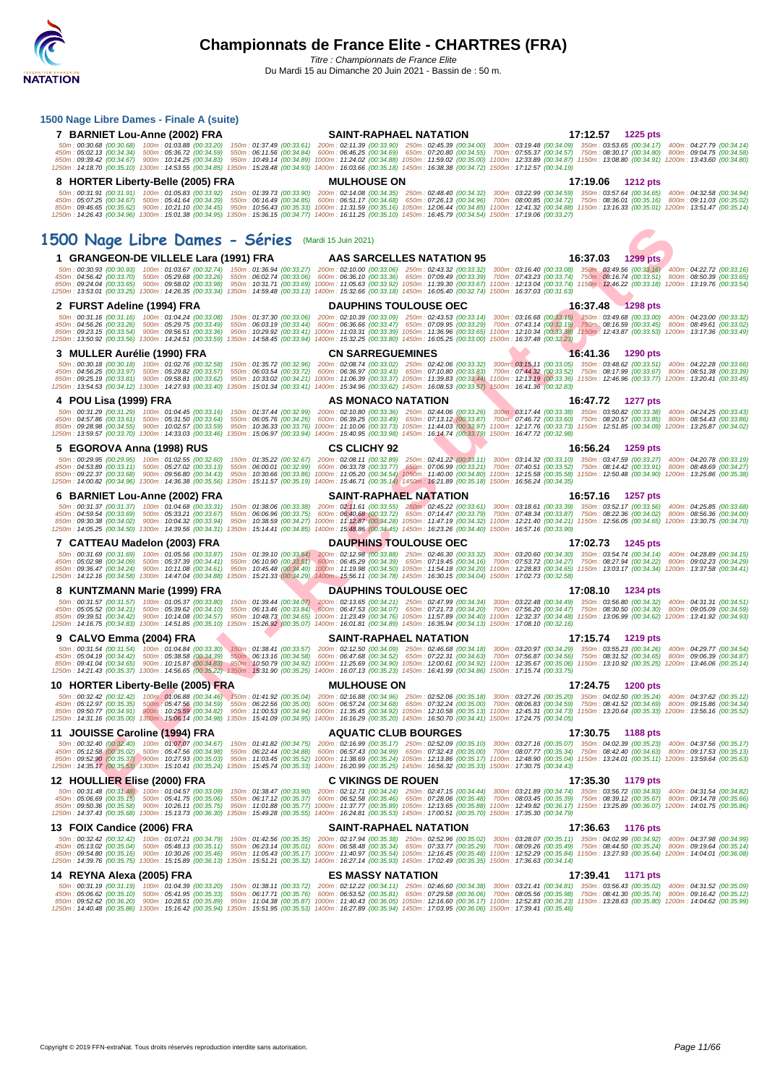#### **[1500 Nag](http://www.ffnatation.fr/webffn/index.php)e Libre Dames - Finale A (suite)**

| 7 BARNIET Lou-Anne (2002) FRA                                                                                                                                                                                                                                                                                                                                                                  | SAINT-RAPHAEL NATATION                                                                                      | 17:12.57 1225 pts                                                                                                                                                                                                                                                                                                                                                                                                                                                                                                                                                                                                                                                         |
|------------------------------------------------------------------------------------------------------------------------------------------------------------------------------------------------------------------------------------------------------------------------------------------------------------------------------------------------------------------------------------------------|-------------------------------------------------------------------------------------------------------------|---------------------------------------------------------------------------------------------------------------------------------------------------------------------------------------------------------------------------------------------------------------------------------------------------------------------------------------------------------------------------------------------------------------------------------------------------------------------------------------------------------------------------------------------------------------------------------------------------------------------------------------------------------------------------|
| 50m: 00:30.68 (00:30.68) 100m: 01:03.88 (00:33.20)<br>450m: 05:02.13 (00:34.34) 500m: 05:36.72 (00:34.59)<br>1250m : 14:18.70 (00:35.10) 1300m : 14:53.55 (00:34.85) 1350m : 15:28.48 (00:34.93) 1400m : 16:03.66 (00:35.18) 1450m : 16:38.38 (00:34.72) 1500m : 17:12.57 (00:34.19)                                                                                                           |                                                                                                             | 150m: 01:37.49 (00:33.61) 200m: 02:11.39 (00:33.90) 250m: 02:45.39 (00:34.00) 300m: 03:19.48 (00:34.09) 350m: 03:53.65 (00:34.17) 400m: 04:27.79 (00:34.14)<br>550m: 06:11.56 (00:34.84) 600m: 06:46.25 (00:34.69) 650m: 07:20.80 (00:34.55) 700m: 07:55.37 (00:34.57) 750m: 08:30.17 (00:34.80) 800m: 09:04.75 (00:34.86)<br>850m : 09:39.42 (00:34.67) 900m : 10:14.25 (00:34.83) 950m : 10:49.14 (00:34.89) 1000m : 11:24.02 (00:34.88) 1050m : 11:59.02 (00:35.00) 1100m : 12:33.89 (00:34.87) 1150m : 13:08.80 (00:34.91) 1200m : 13:43.60 (00:34.80)                                                                                                                |
| 8 HORTER Liberty-Belle (2005) FRA                                                                                                                                                                                                                                                                                                                                                              | <b>MULHOUSE ON</b>                                                                                          | 17:19.06 1212 pts                                                                                                                                                                                                                                                                                                                                                                                                                                                                                                                                                                                                                                                         |
| 1250m: 14:26.43 (00:34.96) 1300m: 15:01.38 (00:34.95) 1350m: 15:36.15 (00:34.77) 1400m: 16:11.25 (00:35.10) 1450m: 16:45.79 (00:34.54) 1500m: 17:19.06 (00:33.27)                                                                                                                                                                                                                              |                                                                                                             | 850m : 09:46.65 (00:35.62) 900m : 10:21.10 (00:34.45) 950m : 10:56.43 (00:35.33) 1000m : 11:31.59 (00:35.16) 1050m : 12:06.44 (00:34.85) 1100m : 12:41.32 (00:34.88) 1150m : 13:16.33 (00:35.01) 1200m : 13:51.47 (00:35.14)                                                                                                                                                                                                                                                                                                                                                                                                                                              |
| 1500 Nage Libre Dames - Séries Mardi 15 Juin 2021)                                                                                                                                                                                                                                                                                                                                             |                                                                                                             |                                                                                                                                                                                                                                                                                                                                                                                                                                                                                                                                                                                                                                                                           |
| 1 GRANGEON-DE VILLELE Lara (1991) FRA                                                                                                                                                                                                                                                                                                                                                          | AAS SARCELLES NATATION 95                                                                                   | 16:37.03 1299 pts                                                                                                                                                                                                                                                                                                                                                                                                                                                                                                                                                                                                                                                         |
| 1250m: 13:53.01 (00:33.25) 1300m: 14:26.35 (00:33.34) 1350m: 14:59.48 (00:33.13) 1400m: 15:32.66 (00:33.18) 1450m: 16:05.40 (00:32.74) 1500m: 16:37.03 (00:31.63)                                                                                                                                                                                                                              |                                                                                                             | 50m: 00:30.93 (00:30.93) 100m: 01:03.67 (00:32.74) 150m: 01:36.94 (00:33.27) 200m: 02:10.00 (00:33.06) 250m: 02:43.32 (00:33.32) 300m: 03:16.40 (00:33.08) 350m: 03:49.56 (00:33.16) 400m: 04:22.72 (00:33.16)<br>450m : 04:56.42 (00:33.70) 500m : 05:29.68 (00:33.26) 550m : 06:02.74 (00:33.06) 600m : 06:36.10 (00:33.36) 650m : 07:09.49 (00:33.39) 700m : 07:43.23 (00:33.74) 750m : 08:16.74 (00:33.51) 800m : 08:50.39 (00:33.65)<br>850m : 09:24.04 (00:33.65) 900m : 09:58.02 (00:33.96) 950m : 10:31.71 (00:33.69) 1000m : 11:05.63 (00:33.92) 1050m : 11:39.30 (00:33.67) 1100m : 12:13.04 (00:33.74) 1150m : 12:46.22 (00:33.19) 12:00 : 13:19.76 (00:33.54) |
| 2 FURST Adeline (1994) FRA                                                                                                                                                                                                                                                                                                                                                                     | <b>DAUPHINS TOULOUSE OEC</b>                                                                                | 16:37.48 1298 pts                                                                                                                                                                                                                                                                                                                                                                                                                                                                                                                                                                                                                                                         |
| 1250m: 13:50.92 (00:33.56) 1300m: 14:24.51 (00:33.59) 1350m: 14:58.45 (00:33.94) 1400m: 15:32.25 (00:33.80) 1450m: 16:05.25 (00:33.00) 1500m: 16:07.48 (00:32.23)                                                                                                                                                                                                                              |                                                                                                             | 50m: 00:31.16 (00:31.16) 100m: 01:04.24 (00:33.08) 150m: 01:37.30 (00:33.06) 200m: 02:10.39 (00:33.09) 250m: 02:43.53 (00:33.14) 300m: 03:16.68 (00:33.15) 350m: 03:49.68 (00:33.00) 400m: 04:23.00 (00:33.32)<br>450m : 04:56.26 (00:33.26) 500m : 05:29.75 (00:33.49) 550m : 06:03.19 (00:33.44) 600m : 06:36.66 (00:33.47) 650m : 07:09.95 (00:33.29) 700m : 07:43.14 (00:33.19) 750m : 08:16.59 (00:33.45) 800m : 08:49.61 (00:33.02)<br>850m: 09:23.15 (00:33.54) 900m: 09:56.51 (00:33.36) 950m: 10:29.92 (00:33.41) 1000m: 11:03.31 (00:33.39) 1050m: 11:36.96 (00:33.65) 1100m: 12:10.34 (00:33.38) 1150m: 12:43.87 (00:33.53) 1200m: 13:17.36 (00:33.49)         |
| 3 MULLER Aurélie (1990) FRA                                                                                                                                                                                                                                                                                                                                                                    | <b>CN SARREGUEMINES</b>                                                                                     | <b>16:41.36</b> 1290 pts                                                                                                                                                                                                                                                                                                                                                                                                                                                                                                                                                                                                                                                  |
| 1250m: 13:54.53 (00:34.12) 1300m: 14:27.93 (00:33.40) 1350m: 15:01.34 (00:33.41) 1400m: 15:34.96 (00:33.62) 1450m: 16:08.53 (00:33.57) 1500m: 16:41.36 (00:32.83)                                                                                                                                                                                                                              |                                                                                                             | 50m: 00:30.18 (00:30.18) 100m: 01:02.76 (00:32.58) 150m: 01:35.72 (00:32.96) 200m: 02:08.74 (00:33.02) 250m: 02:42.06 (00:33.32) 300m 03:15.11 (00:33.05) 350m: 03:48.62 (00:33.51) 400m: 04:22.28 (00:33.66)<br>450m : 04:56.25 (00:33.97) 500m : 05:29.82 (00:33.57) 550m : 06:03.54 (00:33.72) 600m : 06:36.97 (00:33.43) 650m : 07:10.80 (00:33.83) 700m : 07:44.32 (00:33.52) 750m : 08:17.99 (00:33.67) 800m : 08:51.38 (00:33.39)<br>850m: 09:25.19 (00:33.81) 900m: 09:58.81 (00:33.62) 950m: 10:33.02 (00:34.21) 1000m: 11:06.39 (00:33.37) 1050m: 11:39.83 (00:33.44) 1100m: 12:13.19 (00:33.36) 1150m: 12:46.96 (00:33.77) 1200m: 13:20.41 (00:33.45)          |
| 4 POU Lisa (1999) FRA                                                                                                                                                                                                                                                                                                                                                                          | <b>AS MONACO NATATION</b>                                                                                   | 16:47.72 1277 pts                                                                                                                                                                                                                                                                                                                                                                                                                                                                                                                                                                                                                                                         |
| 1250m: 13:59.57 (00:33.70) 1300m: 14:33.03 (00:33.46) 1350m: 15:06.97 (00:33.94) 1400m: 15:40.95 (00:33.98) 1450m: 16:14.74 (00:33.79) 1500m: 16:47.72 (00:32.78)                                                                                                                                                                                                                              |                                                                                                             | 50m : 00:31.29 (00:31.29) 100m : 01:04.45 (00:33.16) 150m : 01:37.44 (00:32.99) 200m : 02:10.80 (00:33.36) 250m : 02:44.06 (00:32.26) 300m : 03:17.44 (00:33.38) 350m : 03:50.82 (00:33.38) 400m : 04:24.25 (00:33.43)<br>450m: 04:57.86 (00:33.61) 500m: 05:31.50 (00:33.64) 550m: 06:05.76 (00:34.26) 600m: 06:39.25 (00:33.49) 650m: 07:13.12 (00:33.87) 700m: 07:46.72 (00:33.60) 750m: 08:20.57 (00:33.85) 800m: 08:54.43 (00:33.86)<br>850m: 09:28.98 (00:34.55) 900m: 10:02.57 (00:33.59) 950m: 10:36.33 (00:33.76) 1000m: 11:10.06 (00:33.73) 1050m: 11:44.03 (00:33.97) 1100m: 12:17.76 (00:33.73) 1150m: 12:51.85 (00:34.09) 1200m: 13:25.87 (00:34.02)         |
| 5 EGOROVA Anna (1998) RUS                                                                                                                                                                                                                                                                                                                                                                      | <b>CS CLICHY 92</b>                                                                                         | 16:56.24 1259 pts                                                                                                                                                                                                                                                                                                                                                                                                                                                                                                                                                                                                                                                         |
| 450m: 04:53.89 (00:33.11) 500m: 05:27.02 (00:33.13)<br>850m: 09:22.37 (00:33.68) 900m: 09:56.80 (00:34.43)<br>1250m : 14:00.82 (00:34.96) 1300m : 14:36.38 (00:35.56) 1350m : 15:11.57 (00:35.19) 1400m : 15:46.71 (00:35.14) 1450m : 16:21.89 (00:35.18) 1500m : 16:56.24 (00:34.35)                                                                                                          |                                                                                                             | 50m: 00:29.95 (00:29.95) 100m: 01:02.55 (00:32.60) 150m: 01:05.22 (00:32.67) 200m: 02:08.11 (00:32.89) 250m: 02:41.22 (00:33.11) 300m: 03:14.32 (00:33.10) 350m: 03:47.59 (00:33.27) 400m: 04:20.78 (00:33.19)<br>550m : 06:00.01 (00:32.99) 600m : 06:33.78 (00:33.77) 650m : 07:06.99 (00:33.21) 700m : 07:40.51 (00:33.52) 750m : 08:14.42 (00:33.91) 800m : 08:48.69 (00:3427)<br>950m: 10:30.66 (00:33.86) 1000m: 11:05.20 (00:34.54) 1050m: 11:40.00 (00:34.80) 1100m: 12:15.58 (00:35.58) 1150m: 12:50.48 (00:34.90) 1200m: 13:25.86 (00:33.89)                                                                                                                    |
| 6 BARNIET Lou-Anne (2002) FRA                                                                                                                                                                                                                                                                                                                                                                  | SAINT-RAPHAEL NATATION                                                                                      | 16:57.16 1257 pts                                                                                                                                                                                                                                                                                                                                                                                                                                                                                                                                                                                                                                                         |
| 50m: 00:31.37 (00:31.37) 100m: 01:04.68 (00:33.31)<br>150m: 01:38.06 (00:33.38)<br>450m: 04:59.54 (00:33.69) 500m: 05:33.21 (00:33.67)<br>850m: 09:30.38 (00:34.02) 900m: 10:04.32 (00:33.94)<br>1250m: 14:05.25 (00:34.50) 1300m: 14:39.56 (00:34.31) 1350m: 15:14.41 (00:34.85) 1400m: 15:48.86 (00:34.45) 1450m: 16:23.26 (00:34.40) 1500m: 16:57.16 (00:33.90)                             |                                                                                                             | 200m: 02:11.61 (00:33.55) 250m: 02:45.22 (00:33.61) 300m: 03:18.61 (00:33.39) 350m: 03:52.17 (00:33.56) 400m: 04:25.85 (00:33.68)<br>550m : 06:06.96 (00:33.75) 600m : 06:40.68 (00:33.72) 650m : 07:14.47 (00:33.79) 700m : 07:48.34 (00:33.87) 750m : 08:22.36 (00:34.02) 800m : 08:56.36 (00:34.00) 950m : 08:56.36 (00:34.00) 950m : 08:56.36 (00:34.00) 950m :                                                                                                                                                                                                                                                                                                       |
| 7 CATTEAU Madelon (2003) FRA                                                                                                                                                                                                                                                                                                                                                                   | <b>DAUPHINS TOULOUSE OEC</b>                                                                                | 17:02.73 1245 pts                                                                                                                                                                                                                                                                                                                                                                                                                                                                                                                                                                                                                                                         |
| 50m: 00:31.69 (00:31.69) 100m: 01:05.56 (00:33.87)<br>450m: 05:02.98 (00:34.09) 500m: 05:37.39 (00:34.41)<br>850m: 09:36.47 (00:34.24) 900m: 10:11.08 (00:34.61)<br>1250m: 14:12.16 (00:34.58) 1300m: 14:47.04 (00:34.88)                                                                                                                                                                      | 1350m: 15:21.33 (00:34.29) 1400m: 15:56.11 (00:34.78) 1450m: 16:30.15 (00:34.04) 1500m: 17:02.73 (00:32.58) | 150m: 01:39.10 (00:33.54) 200m: 02:12.98 (00:33.88) 250m: 02:46.30 (00:33.32) 300m: 03:20.60 (00:34.30) 350m: 03:54.74 (00:34.14) 400m: 04:28.89 (00:34.15)<br>550m: 06:10.90 (00:33.51) 600m: 06:45.29 (00:34.39) 650m: 07:19.45 (00:34.16) 700m: 07:53.72 (00:34.27) 750m: 08:27.94 (00:34.22) 800m: 09:02.23 (00:34.29)<br>950m: 10:45.48 (00:34.40) 1000m: 11:19.98 (00:34.50) 1050m: 11:54.18 (00:34.20) 1100m: 12:28.83 (00:34.65) 1150m: 13:03.17 (00:34.34) 1200m: 13:37.58 (00:34.41)                                                                                                                                                                            |
| 8 KUNTZMANN Marie (1999) FRA                                                                                                                                                                                                                                                                                                                                                                   | <b>DAUPHINS TOULOUSE OEC</b>                                                                                | 17:08.10 1234 pts                                                                                                                                                                                                                                                                                                                                                                                                                                                                                                                                                                                                                                                         |
| 50m: 00:31.57 (00:31.57) 100m: 01:05.37 (00:33.80)<br>450m: 05:05.52 (00:34.21) 500m: 05:39.62 (00:34.10)<br>850m: 09:39.51 (00:34.42) 900m: 10:14.08 (00:34.57)<br>1250m: 14:16.75 (00:34.83) 1300m: 14:51.85 (00:35.10) 1350m: 15:26.92 (00:35.07) 1400m: 16:01.81 (00:34.89) 1450m: 16:35.94 (00:34.13) 1500m: 17:08.10 (00:32.16)                                                          |                                                                                                             | 150m: 01:39.44 (00:34.07) 200m: 02:13.65 (00:34.21) 250m: 02:47.99 (00:34.34) 300m: 03:22.48 (00:34.49) 350m: 03:56.80 (00:34.32) 400m: 04:31.31 (00:34.51)<br>550m : 06:13.46 (00:33.84) 600m : 06:47.53 (00:34.07) 650m : 07:21.73 (00:34.20) 700m : 07:56.20 (00:34.47) 750m : 08:30.50 (00:34.30) 800m : 09:05.09 (00:34.59)<br>950m : 10:48.73 (00:34.65) 1000m : 11:23.49 (00:34.76) 1050m : 11:57.89 (00:34.40) 1100m : 12:32.37 (00:34.46) 1150m : 13:06.99 (00:34.62) 1200m : 13:41.92 (00:34.63)                                                                                                                                                                |
| 9 CALVO Emma (2004) FRA                                                                                                                                                                                                                                                                                                                                                                        | SAINT-RAPHAEL NATATION                                                                                      | 17:15.74 1219 pts                                                                                                                                                                                                                                                                                                                                                                                                                                                                                                                                                                                                                                                         |
| 850m: 09:41.04 (00:34.65) 900m: 10:15.87 (00:34.83) 950m: 10:50.79 (00:34.92)<br>1250m: 14:21.43 (00:35.37) 1300m: 14:56.65 (00:35.22) 1350m: 15:31.90 (00:35.25) 1400m: 16:07.13 (00:35.23) 1450m: 16:41.99 (00:34.86) 1500m: 17:15.74 (00:33.75)                                                                                                                                             |                                                                                                             | 50m: 00:31.54 (00:31.54) 100m: 01:04.84 (00:33.30) 150m: 01:38.41 (00:33.57) 200m: 02:12.50 (00:34.09) 250m: 02:46.68 (00:34.18) 300m: 03:20.97 (00:34.29) 350m: 03:55.23 (00:34.26) 400m: 04:29.77 (00:34.54)<br>450m : 05:04.19 (00:34.42) 500m : 05:38.58 (00:34.39) 550m : 06:13.16 (00:34.58) 600m : 06:47.68 (00:34.52) 650m : 07:22.31 (00:34.63) 700m : 07:56.87 (00:34.56) 750m : 08:31.52 (00:34.55) 800m : 09:06.39 (00:34.87)<br>1000m: 11:25.69 (00:34.90) 1050m: 12:00.61 (00:34.92) 1100m: 12:35.67 (00:35.06) 1150m: 13:10.92 (00:35.25) 1200m: 13:46.06 (00:35.14)                                                                                       |
| 10 HORTER Liberty-Belle (2005) FRA                                                                                                                                                                                                                                                                                                                                                             | <b>MULHOUSE ON</b>                                                                                          | 17:24.75 1200 pts                                                                                                                                                                                                                                                                                                                                                                                                                                                                                                                                                                                                                                                         |
| 50m: 00:32.42 (00:32.42) 100m: 01:06.88 (00:34.46) 150m: 01:41.92 (00:35.04)<br>450m: 05:12.97 (00:35.35) 500m: 05:47.56 (00:34.59)<br>550m: 06:22.56 (00:35.00)<br>850m : 09:50.77 (00:34.91) 900m : 10:25.59 (00:34.82)<br>1250m: 14:31.16 (00:35.00) 1300m: 15:06.14 (00:34.98) 1350m: 15:41.09 (00:34.95) 1400m: 16:16.29 (00:35.20) 1450m: 16:50.70 (00:34.41) 1500m: 17:24.75 (00:34.05) |                                                                                                             | 200m: 02:16.88 (00:34.96) 250m: 02:52.06 (00:35.18) 300m: 03:27.26 (00:35.20) 350m: 04:02.50 (00:35.24) 400m: 04:37.62 (00:35.12)<br>600m: 06:57.24 (00:34.68) 650m: 07:32.24 (00:35.00) 700m: 08:06.83 (00:34.59) 750m: 08:41.52 (00:34.69) 800m: 09:15.86 (00:34.34)<br>950m: 11:00.53 (00:34.94) 1000m: 11:35.45 (00:34.92) 1050m: 12:10.58 (00:35.13) 1100m: 12:45.31 (00:34.73) 1150m: 13:20.64 (00:35.33) 1200m: 13:56.16 (00:352)                                                                                                                                                                                                                                  |
| 11 JOUISSE Caroline (1994) FRA                                                                                                                                                                                                                                                                                                                                                                 | <b>AQUATIC CLUB BOURGES</b>                                                                                 | 17:30.75 1188 pts                                                                                                                                                                                                                                                                                                                                                                                                                                                                                                                                                                                                                                                         |
| 50m: 00:32.40 (00:32.40) 100m: 01:07.07 (00:34.67)<br>150m: 01:41.82 (00:34.75)<br>450m: 05:12.58 (00:35.02) 500m: 05:47.56 (00:34.98)<br>850m: 09:52.90 (00:35.37) 900m: 10:27.93 (00:35.03)<br>1250m: 14:35.17 (00:35.53) 1300m: 15:10.41 (00:35.24) 1350m: 15:45.74 (00:35.33) 1400m: 16:20.99 (00:35.25) 1450m: 16:66.32 (00:35.33) 1500m: 17:30.75 (00:34.43)                             |                                                                                                             | 200m: 02:16.99 (00:35.17) 250m: 02:52.09 (00:35.10) 300m: 03:27.16 (00:35.07) 350m: 04:02.39 (00:35.23) 400m: 04:37.56 (00:35.17)<br>550m: 06:22.44 (00:34.88) 600m: 06:57.43 (00:34.99) 650m: 07:32.43 (00:35.00) 700m: 08:07.77 (00:35.34) 750m: 08:42.40 (00:34.63) 800m: 09:17.53 (00:35.13)<br>950m: 11:03.45 (00:35.52) 1000m: 11:38.69 (00:35.24) 1050m: 12:13.86 (00:35.17) 1100m: 12:48.90 (00:35.04) 1150m: 13:24.01 (00:35.11) 1200m: 13:59.64 (00:35.63)                                                                                                                                                                                                      |
| 12 HOULLIER Elise (2000) FRA                                                                                                                                                                                                                                                                                                                                                                   | <b>C VIKINGS DE ROUEN</b>                                                                                   | 17:35.30 1179 pts                                                                                                                                                                                                                                                                                                                                                                                                                                                                                                                                                                                                                                                         |
| $F = 0$ $\cdots$ $0.04740$ $(0.002707)$                                                                                                                                                                                                                                                                                                                                                        | $27.00.00$ (00.05 (0) $700$ 00.00.15                                                                        | 50m: 00:31.48 (00:31.48) 100m: 01:04.57 (00:33.09) 150m: 01:38.47 (00:33.90) 200m: 02:12.71 (00:34.24) 250m: 02:47.15 (00:34.44) 300m: 03:21.89 (00:34.74) 350m: 03:56.72 (00:34.83) 400m: 04:31.54 (00:34.82)                                                                                                                                                                                                                                                                                                                                                                                                                                                            |

| 3 MULLER Aurélie (1990) FRA | <b>CN SARREGUEMINES</b>                                                                                                                                                                                        | 16.41.36 1290 pts |
|-----------------------------|----------------------------------------------------------------------------------------------------------------------------------------------------------------------------------------------------------------|-------------------|
|                             | 50m: 00:30.18 (00:30.18) 100m: 01:02.76 (00:32.58) 150m: 01:35.72 (00:32.96) 200m: 02:08.74 (00:33.02) 250m: 02:42.06 (00:33.32) 300m: 03:15.11 (00:33.05) 350m: 03:48.62 (00:33.51) 400m: 04:22.28 (00:33.66) |                   |
|                             | 450m:04:56.25 (00:33.97) 500m:05:29.82 (00:33.57) 550m:06:03.54 (00:33.72) 600m:06:36.97 (00:33.43) 650m:07:10.80 (00:33.83) 700m:07:44.32 (00:33.52) 750m:08:17.99 (00:33.67) 800m:08:51.38 (00:33.39)        |                   |
|                             | 850m:09:25.19 (00:33.81) 900m:09:58.81 (00:33.62) 950m:10:33.02 (00:34.21) 1000m:11:06.39 (00:33.37) 1050m:11:39.83 (00:33.44) 1100m:12:13.19 (00:33.36) 1150m:12:46.96 (00:33.77) 1200m:13:20.41 (00:33.45)   |                   |
|                             | 1250m: 13:54.53 (00:34.12) 1300m: 14:27.93 (00:33.40) 1350m: 15:01.34 (00:33.41) 1400m: 15:34.96 (00:33.62) 1450m: 16:08.53 (00:33.57) 1500m: 16:41.36 (00:32.83)                                              |                   |
| 4 POU Lisa (1999) FRA       | AS MONACO NATATION                                                                                                                                                                                             | 16:47.72 1277 pts |

| 5 EGOROVA Anna (1998) RUS                                                                                                                                                                                              |  | <b>CS CLICHY 92</b> |  | 16:56.24 | <b>1259 pts</b> |  |
|------------------------------------------------------------------------------------------------------------------------------------------------------------------------------------------------------------------------|--|---------------------|--|----------|-----------------|--|
| 1250m: 13:59.57 (00:33.70) 1300m: 14:33.03 (00:33.46) 1350m: 15:06.97 (00:33.94) 1400m: 15:40.95 (00:33.98) 1450m: 16:14.74 (00:33.79) 1500m: 16:47.72 (00:32.98)                                                      |  |                     |  |          |                 |  |
| 850m:09:28.98 (00:34.55) 900m:10:02.57 (00:33.59) 950m:10:36.33 (00:33.76) 1000m:11:10.06 (00:33.73) 1050m:11:44.03 (00:33.97) 1100m:12:17.76 (00:33.73) 1150m:12:51.85 (00:34.09) 1200m:13:25.87 (00:34.02)           |  |                     |  |          |                 |  |
| 450m: 04:57.86 (00:33.61) 500m: 05:31.50 (00:33.64) 550m: 06:05.76 (00:34.26) 600m: 06:39.25 (00:33.49) 650m: 07:13.12 (00:33.87) 700m: 07:46.72 (00:33.60) 750m: 08:20.57 (00:33.85) 800m: 08:54.43 (00:33.86)        |  |                     |  |          |                 |  |
| 50m : 00:31.29 (00:31.29) 100m : 01:04.45 (00:33.16) 150m : 01:37.44 (00:32.99) 200m : 02:10.80 (00:33.36) 250m : 02:44.06 (00:33.26) 300m : 03:17.44 (00:33.38) 350m : 03:50.82 (00:33.38) 400m : 04:24.25 (00:33.43) |  |                     |  |          |                 |  |

|                                                                                                                                                                   |  |  |  | 50m: 00:29.95 (00:29.95) 100m: 01:02.55 (00:32.60) 150m: 01:35.22 (00:32.67) 200m: 02:08.11 (00:32.89) 250m: 02:41.22 (00:33.11) 300m: 03:14.32 (00:33.10) 350m: 03:47.59 (00:33.27) 400m: 04:20.78 (00:33.19)       |
|-------------------------------------------------------------------------------------------------------------------------------------------------------------------|--|--|--|----------------------------------------------------------------------------------------------------------------------------------------------------------------------------------------------------------------------|
|                                                                                                                                                                   |  |  |  | 450m: 04:53.89 (00:33.11) 500m: 05:27.02 (00:33.13) 550m: 06:00.01 (00:32.99) 600m: 06:33.78 (00:33.77) 650m: 07:06.99 (00:33.21) 700m: 07:40.51 (00:33.52) 750m: 08:14.42 (00:33.91) 800m: 08:48.69 (00:34.27)      |
|                                                                                                                                                                   |  |  |  | 850m; 09:22.37 (00:33.68) 900m; 09:56.80 (00:34.43) 950m; 10:30.66 (00:33.86) 1000m; 11:05.20 (00:34.54) 1050m; 11:40.00 (00:34.80) 1100m; 12:15.58 (00:35.58) 1150m; 12:50.48 (00:34.90) 1200m; 13:25.86 (00:35.38) |
| 1250m: 14:00.82 (00:34.96) 1300m: 14:36.38 (00:35.56) 1350m: 15:11.57 (00:35.19) 1400m: 15:46.71 (00:35.14) 1450m: 16:21.89 (00:35.18) 1500m: 16:56.24 (00:34.35) |  |  |  |                                                                                                                                                                                                                      |

#### **6 BARNIET Lou-Anne (2002) FRA SAINT-RAPHAEL NATATION 16:57.16 1257 pts**

|                              |                                                                                                                                                                   | 50m : 00:31.37 (00:31.37) 100m : 01:04.68 (00:33.31) 150m : 01:38.06 (00:33.38) 200m : 02:11.61 (00:33.55) 250m : 02:45.22 (00:33.61) 300m : 03:18.61 (00:33.39) 350m : 03:52.17 (00:33.56) 400m : 04:25.85 (00:33.68) |
|------------------------------|-------------------------------------------------------------------------------------------------------------------------------------------------------------------|------------------------------------------------------------------------------------------------------------------------------------------------------------------------------------------------------------------------|
|                              |                                                                                                                                                                   | 450m:04:59.54 (00:33.69) 500m:05:33.21 (00:33.67) 550m:06:08.96 (00:33.75) 600m:06:40.68 (00:33.72) 650m:07:14.47 (00:33.79) 700m:07:48.34 (00:33.87) 750m:08:22.36 (00:34.02) 800m:08:56.36 (00:34.00)                |
|                              |                                                                                                                                                                   | 850m: 09:30.38 (00:34.02) 900m: 10:04.32 (00:33.94) 950m: 10:38.59 (00:34.27) 1000m: 11:12.87 (00:34.28) 1050m: 11:47.19 (00:34.32) 1100m: 12:21.40 (00:34.21) 1150m: 12:56.05 (00:34.65) 1200m: 13:30.75 (00:34.70)   |
|                              | 1250m: 14:05.25 (00:34.50) 1300m: 14:39.56 (00:34.31) 1350m: 15:14.41 (00:34.85) 1400m: 15:48.86 (00:34.45) 1450m: 16:23.26 (00:34.40) 1500m: 16:57.16 (00:33.90) |                                                                                                                                                                                                                        |
|                              |                                                                                                                                                                   |                                                                                                                                                                                                                        |
| 7 CATTEAU Madelon (2003) FRA | <b>DAUPHINS TOULOUSE OEC</b>                                                                                                                                      | 17:02.73 1245 pts                                                                                                                                                                                                      |

|                              |  |                                                                                                                                                                                                                      | 50m: 00:31.69 (00:31.69) 100m: 01:05.56 (00:33.87) 150m: 01:39.10 (00:33.54) 200m: 02:12.98 (00:33.88) 250m: 02:46.30 (00:33.32) 300m: 03:20.60 (00:34.30) 350m: 03:54.74 (00:34.14) 400m: 04:28.89 (00:34.15) |                   |  |
|------------------------------|--|----------------------------------------------------------------------------------------------------------------------------------------------------------------------------------------------------------------------|----------------------------------------------------------------------------------------------------------------------------------------------------------------------------------------------------------------|-------------------|--|
|                              |  | 450m: 05:02.98 (00:34.09) 500m: 05:37.39 (00:34.41) 550m: 06:10.90 (00:33.51) 600m: 06:45.29 (00:34.39) 650m: 07:19.45 (00:34.16) 700m: 07:53.72 (00:34.27) 750m: 08:27.94 (00:34.22) 800m: 09:02.23 (00:34.29)      |                                                                                                                                                                                                                |                   |  |
|                              |  | 850m; 09:36.47 (00:34.24) 900m; 10:11.08 (00:34.61) 950m; 10:45.48 (00:34.40) 1000m; 11:19.98 (00:34.50) 1050m; 11:54.18 (00:34.20) 1100m; 12:28.83 (00:34.65) 1150m; 13:03.17 (00:34.34) 1200m; 13:37.58 (00:34.41) |                                                                                                                                                                                                                |                   |  |
|                              |  | 1250m: 14:12.16 (00:34.58) 1300m: 14:47.04 (00:34.88) 1350m: 15:21.33 (00:34.29) 1400m: 15:56.11 (00:34.78) 1450m: 16:30.15 (00:34.04) 1500m: 17:02.73 (00:32.58)                                                    |                                                                                                                                                                                                                |                   |  |
|                              |  |                                                                                                                                                                                                                      |                                                                                                                                                                                                                |                   |  |
| 8 KUNTZMANN Marie (1999) FRA |  | <b>DAUPHINS TOULOUSE OEC</b>                                                                                                                                                                                         |                                                                                                                                                                                                                | 17:08.10 1234 pts |  |
|                              |  |                                                                                                                                                                                                                      |                                                                                                                                                                                                                |                   |  |
|                              |  | 50m: 00:31.57 (00:31.57) 100m: 01:05.37 (00:33.80) 150m: 01:39.44 (00:34.07) 200m: 02:13.65 (00:34.21) 250m: 02:47.99 (00:34.34) 300m: 03:22.48 (00:34.49) 350m: 03:56.80 (00:34.32) 400m: 04:31.31 (00:34.51)       |                                                                                                                                                                                                                |                   |  |
|                              |  | 450m: 05:05.52 (00:34.21) 500m: 05:39.62 (00:34.10) 550m: 06:13.46 (00:33.84) 600m: 06:47.53 (00:34.07) 650m: 07:21.73 (00:34.20) 700m: 07:56.20 (00:34.47) 750m: 08:30.50 (00:34.30) 800m: 09:05.09 (00:34.59)      |                                                                                                                                                                                                                |                   |  |
|                              |  | 850m:09:39.51 (00:34.42) 900m:10:14.08 (00:34.57) 950m:10:48.73 (00:34.65) 1000m:11:23.49 (00:34.76) 1050m:11:57.89 (00:34.40) 1100m:12:32.37 (00:34.48) 1150m:13:06.99 (00:34.62) 1200m:13:41.92 (00:34.93)         |                                                                                                                                                                                                                |                   |  |

#### **9 CALVO Emma (2004) FRA SAINT-RAPHAEL NATATION 17:15.74 1219 pts**

| $3$ ORLY O LIMING (2007) I IVA | <u>UAINENALIALEIMAIAINN</u>                                                                                                                                       | $11.13.17$ $12.000$                                                                                                                                                                                                  |
|--------------------------------|-------------------------------------------------------------------------------------------------------------------------------------------------------------------|----------------------------------------------------------------------------------------------------------------------------------------------------------------------------------------------------------------------|
|                                |                                                                                                                                                                   | 50m: 00:31.54 (00:31.54) 100m: 01:04.84 (00:33.30) 150m: 01:38.41 (00:33.57) 200m: 02:12.50 (00:34.09) 250m: 02:46.68 (00:34.18) 300m: 03:20.97 (00:34.29) 350m: 03:55.23 (00:34.26) 400m: 04:29.77 (00:34.54)       |
|                                |                                                                                                                                                                   | 450m: 05:04.19 (00:34.42) 500m: 05:38.58 (00:34.39) 550m: 06:13.16 (00:34.58) 600m: 06:47.68 (00:34.52) 650m: 07:22.31 (00:34.63) 700m: 07:56.87 (00:34.56) 750m: 08:31.52 (00:34.65) 800m: 09:06.39 (00:34.87)      |
|                                |                                                                                                                                                                   | 850m; 09:41.04 (00:34.65) 900m; 10:15.87 (00:34.83) 950m; 10:50.79 (00:34.92) 1000m; 11:25.69 (00:34.90) 1050m; 12:00.61 (00:34.92) 1100m; 12:35.67 (00:35.06) 1150m; 13:10.92 (00:35.25) 1200m; 13:46.06 (00:35.14) |
|                                | 1250m: 14:21.43 (00:35.37) 1300m: 14:56.65 (00:35.22) 1350m: 15:31.90 (00:35.25) 1400m: 16:07.13 (00:35.23) 1450m: 16:41.99 (00:34.86) 1500m: 17:15.74 (00:33.75) |                                                                                                                                                                                                                      |

| 10 HORTER Liberty-Belle (2005) FRA                                                                                                                                                                                      | <b>MULHOUSE ON</b>          | 17:24.75 1200 pts |
|-------------------------------------------------------------------------------------------------------------------------------------------------------------------------------------------------------------------------|-----------------------------|-------------------|
|                                                                                                                                                                                                                         |                             |                   |
| 50m; 00:32.42 (00:32.42) 100m; 01:06.88 (00:34.46) 150m; 01:41.92 (00:35.04) 200m; 02:16.88 (00:34.96) 250m; 02:52.06 (00:35.18) 300m; 03:27.26 (00:35.20) 350m; 04:02.50 (00:35.24) 400m; 04:37.62 (00:35.24)          |                             |                   |
| 450m : 05:12.97 (00:35.35) 500m : 05:47.56 (00:34.59) 550m : 06:22.56 (00:35.00) 600m : 06:57.24 (00:34.68) 650m : 07:32.24 (00:35.00) 700m : 08:06.83 (00:34.59) 750m : 08:41.52 (00:34.69) 800m : 09:15.86 (00:34.34) |                             |                   |
| 850m:09:50.77 (00:34.91) 900m:10:25.59 (00:34.82) 950m:11:00.53 (00:34.94) 1000m:11:35.45 (00:34.92) 1050m:12:10.58 (00:35.13) 1100m:12:45.31 (00:34.73) 1150m:13:20.64 (00:35.33) 1200m:13:56.16 (00:35.52)            |                             |                   |
| 1250m: 14:31.16 (00:35.00) 1300m: 15:06.14 (00:34.98) 1350m: 15:41.09 (00:34.95) 1400m: 16:16.29 (00:35.20) 1450m: 16:50.70 (00:34.41) 1500m: 17:24.75 (00:34.05)                                                       |                             |                   |
|                                                                                                                                                                                                                         |                             |                   |
| 11 JOUISSE Caroline (1994) FRA                                                                                                                                                                                          | <b>AQUATIC CLUB BOURGES</b> | 17:30.75 1188 pts |
| - 50 - 00:00 10 (00:00 10) 100 - 01:07.07 (00:01.07) 150 - 01:11:00 (00:01.75) 00:40:00 (00:05 17) 050 - 00:00 00 (00:05 10) 00:05 00 (00:05 07) 050 - 01:00 00 (00:05 00) 100 - 01:07 50 (00:05 17)                    |                             |                   |

# $\begin{array}{cccccccc} 50m: 00:32.40 & (00:32.40) & 100m: 01:07.07 & (00:34.67) & 150m: 01:41.82 & (00:34.75) & 200m: 02:16.99 & (00:35.17) & 250m: 02:52.09 & (00:35.10) & 300m: 03:27.16 & (00:35.07) & 350m: 04:02.39 & (00:35.23) & 400m: 04:37.56 & (00:35.1$

### **12 HOULLIER Elise (2000) FRA C VIKINGS DE ROUEN 17:35.30 1179 pts**

| $12.1000$ $12.10000$ $12000$ , $11.11$                                                                                                                            |  |  |                                                                                                                                                                                                                                |  |
|-------------------------------------------------------------------------------------------------------------------------------------------------------------------|--|--|--------------------------------------------------------------------------------------------------------------------------------------------------------------------------------------------------------------------------------|--|
|                                                                                                                                                                   |  |  | 50m:00:31.48 (00:31.48) 100m:01:04.57 (00:33.09) 150m:01:38.47 (00:33.90) 200m:02:12.71 (00:34.24) 250m:02:47.15 (00:34.44) 300m:03:21.89 (00:34.74) 350m:03:56.72 (00:34.83) 400m:04:31.54 (00:34.82)                         |  |
|                                                                                                                                                                   |  |  | 450m: 05:06.69 (00:35.15) 500m: 05:41.75 (00:35.06) 550m: 06:17.12 (00:35.37) 600m: 06:52.58 (00:35.46) 650m: 07:28.06 (00:35.48) 700m: 08:03.45 (00:35.39) 750m: 08:03.42 (00:35.6) 800m: 09:03.56) 800m: 09:14.78 (00:35.66) |  |
|                                                                                                                                                                   |  |  | 850m: 09:50.36 (00:35.58) 900m: 10:26.11 (00:35.75) 950m: 11:01.88 (00:35.77) 1000m: 11:37.77 (00:35.89) 1050m: 12:13.65 (00:35.88) 1100m: 12:49.82 (00:36.17) 1150m: 13:25.89 (00:36.07) 1200m: 14:01.75 (00:35.86)           |  |
| 1250m: 14:37.43 (00:35.68) 1300m: 15:13.73 (00:36.30) 1350m: 15:49.28 (00:35.55) 1400m: 16:24.81 (00:35.53) 1450m: 17:00.51 (00:35.70) 1500m: 17:35.30 (00:34.79) |  |  |                                                                                                                                                                                                                                |  |

#### **13 FOIX Candice (2006) FRA SAINT-RAPHAEL NATATION 17:36.63 1176 pts**

|                                                                                                                                                                   |  |  |  | 50m: 00:32.42 (00:32.42) 100m: 01:07.21 (00:34.79) 150m: 01:42.56 (00:35.35) 200m: 02:17.94 (00:35.38) 250m: 02:52.96 (00:35.02) 300m: 03:28.07 (00:35.11) 350m: 04:02.99 (00:34.92) 400m: 04:07.98 (00:34.99)       |
|-------------------------------------------------------------------------------------------------------------------------------------------------------------------|--|--|--|----------------------------------------------------------------------------------------------------------------------------------------------------------------------------------------------------------------------|
|                                                                                                                                                                   |  |  |  | 450m: 05:13.02 (00:35.04) 500m: 05:48.13 (00:35.11) 550m: 06:23.14 (00:35.01) 600m: 06:58.48 (00:35.34) 650m: 07:33.77 (00:35.29) 700m: 08:09.26 (00:35.49) 750m: 08:44.50 (00:35.24) 800m: 09:19.64 (00:35.14)      |
|                                                                                                                                                                   |  |  |  | 850m: 09:54.80 (00:35.16) 900m: 10:30.26 (00:35.46) 950m: 11:05.43 (00:35.17) 1000m: 11:40.97 (00:35.54) 1050m: 12:16.45 (00:35.48) 1100m: 12:52.29 (00:35.84) 1150m: 13:27.93 (00:35.64) 1200m: 14:00.01 (00:36.08) |
| 1250m: 14:39.76 (00:35.75) 1300m: 15:15.89 (00:36.13) 1350m: 15:51.21 (00:35.32) 1400m: 16:27.14 (00:35.93) 1450m: 17:02.49 (00:35.35) 1500m: 17:36.63 (00:34.14) |  |  |  |                                                                                                                                                                                                                      |

#### **14 REYNA Alexa (2005) FRA ES MASSY NATATION 17:39.41 1171 pts**

| $\cdots$ $\cdots$ $\cdots$ $\cdots$                                                                                                                               |                                                                                                                                                                                                                        | ---------------------- |  |  |
|-------------------------------------------------------------------------------------------------------------------------------------------------------------------|------------------------------------------------------------------------------------------------------------------------------------------------------------------------------------------------------------------------|------------------------|--|--|
|                                                                                                                                                                   | 50m : 00:31.19 (00:31.19) 100m : 01:04.39 (00:33.20) 150m : 01:38.11 (00:33.72) 200m : 02:12.22 (00:34.11) 250m : 02:46.60 (00:34.38) 300m : 03:21.41 (00:34.81) 350m : 03:56.43 (00:35.02) 400m : 04:31.52 (00:35.09) |                        |  |  |
|                                                                                                                                                                   | 450m; 05:06.62 (00:35.10) 500m; 05:41.95 (00:35.33) 550m; 06:17.71 (00:35.76) 600m; 06:53.52 (00:35.81) 650m; 07:29.58 (00:36.06) 700m; 08:05.56 (00:35.98) 750m; 08:41.30 (00:35.74) 800m; 08:16.42 (00:35.12)        |                        |  |  |
|                                                                                                                                                                   | 850m: 09:52.62 (00:36.20) 900m: 10:28.51 (00:35.89) 950m: 11:04.38 (00:35.87) 1000m: 11:40.43 (00:36.05) 1050m: 12:16.60 (00:36.17) 1100m: 12:52.83 (00:36.23) 1150m: 13:28.63 (00:35.80) 1200m: 14:04.62 (00:35.89)   |                        |  |  |
| 1250m: 14:40.48 (00:35.86) 1300m: 15:16.42 (00:35.94) 1350m: 15:51.95 (00:35.53) 1400m: 16:27.89 (00:35.94) 1450m: 17:03.95 (00:36.06) 1500m: 17:39.41 (00:35.46) |                                                                                                                                                                                                                        |                        |  |  |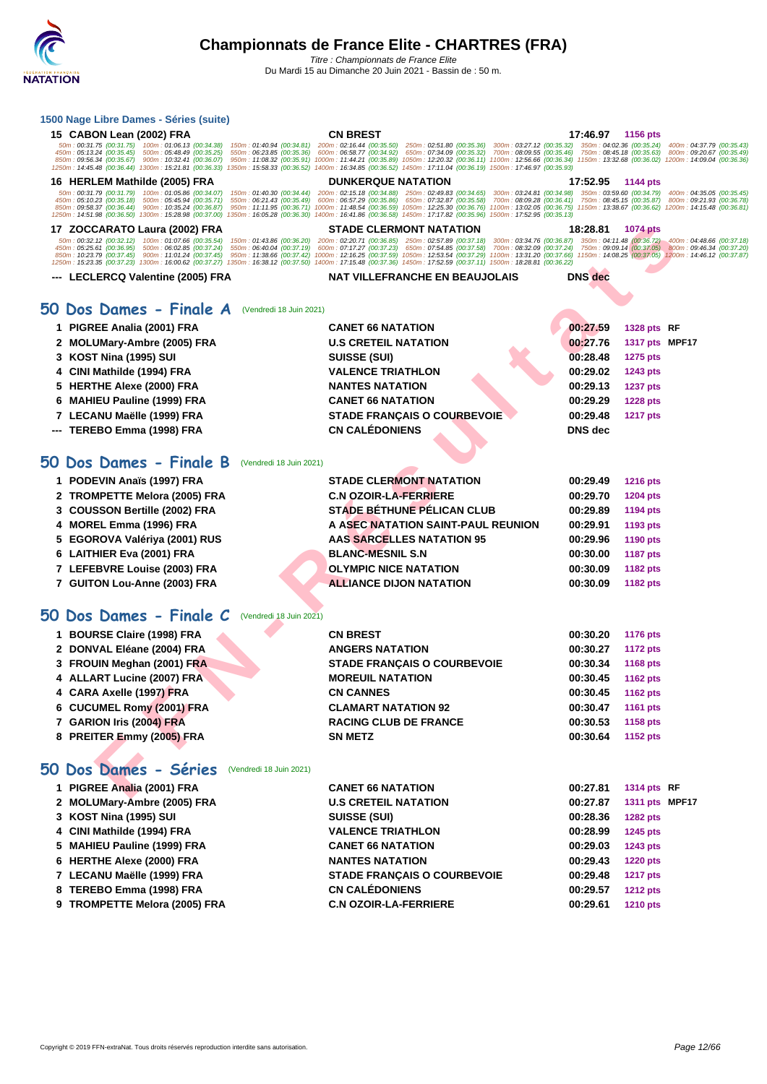#### **[1500 Nag](http://www.ffnatation.fr/webffn/index.php)e Libre Dames - Séries (suite)**

| 50m: 00:31.75 (00:31.75) 100m: 01:06.13 (00:34.38)<br>350m: 04:02.36 (00:35.24)<br>150m: 01:40.94 (00:34.81)<br>200m: 02:16.44 (00:35.50)<br>250m: 02:51.80 (00:35.36)<br>300m: 03:27.12 (00:35.32)<br>450m: 05:13.24 (00:35.45) 500m: 05:48.49 (00:35.25)<br>550m: 06:23.85 (00:35.36)<br>600m: 06:58.77 (00:34.92) 650m: 07:34.09 (00:35.32)<br>700m: 08:09.55 (00:35.46)<br>750m: 08:45.18 (00:35.63)<br>850m: 09:56.34 (00:35.67) 900m: 10:32.41 (00:36.07)<br>950m: 11:08.32 (00:35.91) 1000m: 11:44.21 (00:35.89) 1050m: 12:20.32 (00:36.11) 1100m: 12:56.66 (00:36.34) 1150m: 13:32.68 (00:36.02) 1200m: 14:09.04 (00:36.36)<br>1250m: 14:45.48 (00:36.44) 1300m: 15:21.81 (00:36.33)<br>1350m: 15:58.33 (00:36.52) 1400m: 16:34.85 (00:36.52) 1450m: 17:11.04 (00:36.19) 1500m: 17:46.97 (00:35.93)<br><b>DUNKERQUE NATATION</b><br>16 HERLEM Mathilde (2005) FRA<br>17:52.95<br>1144 pts<br>50m: 00:31.79 (00:31.79) 100m: 01:05.86 (00:34.07)<br>150m: 01:40.30 (00:34.44)<br>200m: 02:15.18 (00:34.88) 250m: 02:49.83 (00:34.65)<br>300m: 03:24.81 (00:34.98) 350m: 03:59.60 (00:34.79) 400m: 04:35.05 (00:35.45)<br>450m: 05:10.23 (00:35.18) 500m: 05:45.94 (00:35.71)<br>550m: 06:21.43 (00:35.49)<br>600m: 06:57.29 (00:35.86) 650m: 07:32.87 (00:35.58)<br>700m: 08:09.28 (00:36.41)<br>750m: 08:45.15 (00:35.87) 800m: 09:21.93 (00:36.78)<br>850m: 09:58.37 (00:36.44)<br>900m: 10:35.24 (00:36.87)<br>950m: 11:11.95 (00:36.71)<br>1000m: 11:48.54 (00:36.59) 1050m: 12:25.30 (00:36.76)<br>1100m: 13:02.05 (00:36.75)<br>1150m: 13:38.67 (00:36.62) 1200m: 14:15.48 (00:36.81)<br>1250m: 14:51.98 (00:36.50) 1300m: 15:28.98 (00:37.00)<br>1350m: 16:05.28 (00:36.30)<br>1400m: 16:41.86 (00:36.58) 1450m: 17:17.82 (00:35.96) 1500m: 17:52.95 (00:35.13)<br>17 ZOCCARATO Laura (2002) FRA<br>STADE CLERMONT NATATION<br>18:28.81<br><b>1074 pts</b><br>50m: 00:32.12 (00:32.12)<br>100m: 01:07.66 (00:35.54)<br>200m: 02:20.71 (00:36.85) 250m: 02:57.89 (00:37.18)<br>350m: 04:11.48 (00:36.72)<br>150m: 01:43.86 (00:36.20)<br>300m: 03:34.76 (00:36.87)<br>450m: 05:25.61 (00:36.95)<br>500m: 06:02.85 (00:37.24)<br>550m: 06:40.04 (00:37.19)<br>600m: 07:17.27 (00:37.23) 650m: 07:54.85 (00:37.58)<br>700m: 08:32.09 (00:37.24)<br>750m: 09:09.14 (00:37.05) 800m: 09:46.34 (00:37.20)<br>850m: 10:23.79 (00:37.45) 900m: 11:01.24 (00:37.45)<br>950m: 11:38.66 (00:37.42)<br>1000m: 12:16.25 (00:37.59) 1050m: 12:53.54 (00:37.29) 1100m: 13:31.20 (00:37.66)<br>1150m: 14:08.25 (00:37.05) 1200m: 14:46.12 (00:37.87)<br>1250m: 15:23.35 (00:37.23) 1300m: 16:00.62 (00:37.27)<br>1350m: 16:38.12 (00:37.50) 1400m: 17:15.48 (00:37.36) 1450m: 17:52.59 (00:37.11) 1500m: 18:28.81 (00:36.22)<br><b>DNS</b> dec<br>--- LECLERCQ Valentine (2005) FRA<br><b>NAT VILLEFRANCHE EN BEAUJOLAIS</b><br>50 Dos Dames - Finale A<br>(Vendredi 18 Juin 2021)<br>1 PIGREE Analia (2001) FRA<br>00:27.59<br>1328 pts RF<br><b>CANET 66 NATATION</b><br>2 MOLUMary-Ambre (2005) FRA<br><b>U.S CRETEIL NATATION</b><br>00:27.76<br>1317 pts MPF17<br>00:28.48<br>KOST Nina (1995) SUI<br><b>SUISSE (SUI)</b><br><b>1275 pts</b><br>3<br>CINI Mathilde (1994) FRA<br><b>VALENCE TRIATHLON</b><br>00:29.02<br>1243 pts<br>4<br>00:29.13<br><b>HERTHE Alexe (2000) FRA</b><br><b>NANTES NATATION</b><br><b>1237 pts</b><br>5<br><b>CANET 66 NATATION</b><br>00:29.29<br><b>MAHIEU Pauline (1999) FRA</b><br><b>1228 pts</b><br>6<br><b>STADE FRANÇAIS O COURBEVOIE</b><br>00:29.48<br>7 LECANU Maëlle (1999) FRA<br><b>1217 pts</b><br><b>CN CALÉDONIENS</b><br><b>DNS</b> dec<br>TEREBO Emma (1998) FRA<br>50 Dos Dames - Finale B<br>(Vendredi 18 Juin 2021)<br>1 PODEVIN Anaïs (1997) FRA<br><b>STADE CLERMONT NATATION</b><br>00:29.49<br><b>1216 pts</b><br><b>C.N OZOIR-LA-FERRIERE</b><br>00:29.70<br><b>TROMPETTE Melora (2005) FRA</b><br>1204 pts<br>2<br><b>STADE BETHUNE PELICAN CLUB</b><br>3 COUSSON Bertille (2002) FRA<br>00:29.89<br>1194 pts<br>A ASEC NATATION SAINT-PAUL REUNION<br>00:29.91<br><b>MOREL Emma (1996) FRA</b><br>1193 pts<br>4<br><b>AAS SARCELLES NATATION 95</b><br>00:29.96<br>5 EGOROVA Valériya (2001) RUS<br>1190 pts<br>6 LAITHIER Eva (2001) FRA<br><b>BLANC-MESNIL S.N</b><br>00:30.00<br><b>1187 pts</b><br>7 LEFEBVRE Louise (2003) FRA<br><b>OLYMPIC NICE NATATION</b><br>00:30.09<br>1182 pts<br>7 GUITON Lou-Anne (2003) FRA<br><b>ALLIANCE DIJON NATATION</b><br>00:30.09<br>1182 pts<br>50 Dos Dames - Finale C<br>(Vendredi 18 Juin 2021)<br>1 BOURSE Claire (1998) FRA<br><b>CN BREST</b><br>00:30.20<br><b>1176 pts</b><br>2 DONVAL Eléane (2004) FRA<br><b>ANGERS NATATION</b><br>00:30.27<br><b>1172 pts</b> | 400m: 04:37.79 (00:35.43)<br>800m: 09:20.67 (00:35.49)<br>400m: 04:48.66 (00:37.18) |
|-----------------------------------------------------------------------------------------------------------------------------------------------------------------------------------------------------------------------------------------------------------------------------------------------------------------------------------------------------------------------------------------------------------------------------------------------------------------------------------------------------------------------------------------------------------------------------------------------------------------------------------------------------------------------------------------------------------------------------------------------------------------------------------------------------------------------------------------------------------------------------------------------------------------------------------------------------------------------------------------------------------------------------------------------------------------------------------------------------------------------------------------------------------------------------------------------------------------------------------------------------------------------------------------------------------------------------------------------------------------------------------------------------------------------------------------------------------------------------------------------------------------------------------------------------------------------------------------------------------------------------------------------------------------------------------------------------------------------------------------------------------------------------------------------------------------------------------------------------------------------------------------------------------------------------------------------------------------------------------------------------------------------------------------------------------------------------------------------------------------------------------------------------------------------------------------------------------------------------------------------------------------------------------------------------------------------------------------------------------------------------------------------------------------------------------------------------------------------------------------------------------------------------------------------------------------------------------------------------------------------------------------------------------------------------------------------------------------------------------------------------------------------------------------------------------------------------------------------------------------------------------------------------------------------------------------------------------------------------------------------------------------------------------------------------------------------------------------------------------------------------------------------------------------------------------------------------------------------------------------------------------------------------------------------------------------------------------------------------------------------------------------------------------------------------------------------------------------------------------------------------------------------------------------------------------------------------------------------------------------------------------------------------------------------------------------------------------------------------------------------------------------------------------------------------------------------------------------------------------------------------------------------------------------------------------------------------------------------------------------------------------------------------------------------------------------------------------------------------------------------------------------------------------------------------------------------------------------------------------------------------------------------------------------------------------------------------------------------------------------------------------------------------------------------------------------------------------------------------------------------------------------------------------------------------------------------------------------------------------------------------------------------------------------------------------|-------------------------------------------------------------------------------------|
|                                                                                                                                                                                                                                                                                                                                                                                                                                                                                                                                                                                                                                                                                                                                                                                                                                                                                                                                                                                                                                                                                                                                                                                                                                                                                                                                                                                                                                                                                                                                                                                                                                                                                                                                                                                                                                                                                                                                                                                                                                                                                                                                                                                                                                                                                                                                                                                                                                                                                                                                                                                                                                                                                                                                                                                                                                                                                                                                                                                                                                                                                                                                                                                                                                                                                                                                                                                                                                                                                                                                                                                                                                                                                                                                                                                                                                                                                                                                                                                                                                                                                                                                                                                                                                                                                                                                                                                                                                                                                                                                                                                                                                                                                   |                                                                                     |
|                                                                                                                                                                                                                                                                                                                                                                                                                                                                                                                                                                                                                                                                                                                                                                                                                                                                                                                                                                                                                                                                                                                                                                                                                                                                                                                                                                                                                                                                                                                                                                                                                                                                                                                                                                                                                                                                                                                                                                                                                                                                                                                                                                                                                                                                                                                                                                                                                                                                                                                                                                                                                                                                                                                                                                                                                                                                                                                                                                                                                                                                                                                                                                                                                                                                                                                                                                                                                                                                                                                                                                                                                                                                                                                                                                                                                                                                                                                                                                                                                                                                                                                                                                                                                                                                                                                                                                                                                                                                                                                                                                                                                                                                                   |                                                                                     |
|                                                                                                                                                                                                                                                                                                                                                                                                                                                                                                                                                                                                                                                                                                                                                                                                                                                                                                                                                                                                                                                                                                                                                                                                                                                                                                                                                                                                                                                                                                                                                                                                                                                                                                                                                                                                                                                                                                                                                                                                                                                                                                                                                                                                                                                                                                                                                                                                                                                                                                                                                                                                                                                                                                                                                                                                                                                                                                                                                                                                                                                                                                                                                                                                                                                                                                                                                                                                                                                                                                                                                                                                                                                                                                                                                                                                                                                                                                                                                                                                                                                                                                                                                                                                                                                                                                                                                                                                                                                                                                                                                                                                                                                                                   |                                                                                     |
|                                                                                                                                                                                                                                                                                                                                                                                                                                                                                                                                                                                                                                                                                                                                                                                                                                                                                                                                                                                                                                                                                                                                                                                                                                                                                                                                                                                                                                                                                                                                                                                                                                                                                                                                                                                                                                                                                                                                                                                                                                                                                                                                                                                                                                                                                                                                                                                                                                                                                                                                                                                                                                                                                                                                                                                                                                                                                                                                                                                                                                                                                                                                                                                                                                                                                                                                                                                                                                                                                                                                                                                                                                                                                                                                                                                                                                                                                                                                                                                                                                                                                                                                                                                                                                                                                                                                                                                                                                                                                                                                                                                                                                                                                   |                                                                                     |
|                                                                                                                                                                                                                                                                                                                                                                                                                                                                                                                                                                                                                                                                                                                                                                                                                                                                                                                                                                                                                                                                                                                                                                                                                                                                                                                                                                                                                                                                                                                                                                                                                                                                                                                                                                                                                                                                                                                                                                                                                                                                                                                                                                                                                                                                                                                                                                                                                                                                                                                                                                                                                                                                                                                                                                                                                                                                                                                                                                                                                                                                                                                                                                                                                                                                                                                                                                                                                                                                                                                                                                                                                                                                                                                                                                                                                                                                                                                                                                                                                                                                                                                                                                                                                                                                                                                                                                                                                                                                                                                                                                                                                                                                                   |                                                                                     |
|                                                                                                                                                                                                                                                                                                                                                                                                                                                                                                                                                                                                                                                                                                                                                                                                                                                                                                                                                                                                                                                                                                                                                                                                                                                                                                                                                                                                                                                                                                                                                                                                                                                                                                                                                                                                                                                                                                                                                                                                                                                                                                                                                                                                                                                                                                                                                                                                                                                                                                                                                                                                                                                                                                                                                                                                                                                                                                                                                                                                                                                                                                                                                                                                                                                                                                                                                                                                                                                                                                                                                                                                                                                                                                                                                                                                                                                                                                                                                                                                                                                                                                                                                                                                                                                                                                                                                                                                                                                                                                                                                                                                                                                                                   |                                                                                     |
|                                                                                                                                                                                                                                                                                                                                                                                                                                                                                                                                                                                                                                                                                                                                                                                                                                                                                                                                                                                                                                                                                                                                                                                                                                                                                                                                                                                                                                                                                                                                                                                                                                                                                                                                                                                                                                                                                                                                                                                                                                                                                                                                                                                                                                                                                                                                                                                                                                                                                                                                                                                                                                                                                                                                                                                                                                                                                                                                                                                                                                                                                                                                                                                                                                                                                                                                                                                                                                                                                                                                                                                                                                                                                                                                                                                                                                                                                                                                                                                                                                                                                                                                                                                                                                                                                                                                                                                                                                                                                                                                                                                                                                                                                   |                                                                                     |
|                                                                                                                                                                                                                                                                                                                                                                                                                                                                                                                                                                                                                                                                                                                                                                                                                                                                                                                                                                                                                                                                                                                                                                                                                                                                                                                                                                                                                                                                                                                                                                                                                                                                                                                                                                                                                                                                                                                                                                                                                                                                                                                                                                                                                                                                                                                                                                                                                                                                                                                                                                                                                                                                                                                                                                                                                                                                                                                                                                                                                                                                                                                                                                                                                                                                                                                                                                                                                                                                                                                                                                                                                                                                                                                                                                                                                                                                                                                                                                                                                                                                                                                                                                                                                                                                                                                                                                                                                                                                                                                                                                                                                                                                                   |                                                                                     |
|                                                                                                                                                                                                                                                                                                                                                                                                                                                                                                                                                                                                                                                                                                                                                                                                                                                                                                                                                                                                                                                                                                                                                                                                                                                                                                                                                                                                                                                                                                                                                                                                                                                                                                                                                                                                                                                                                                                                                                                                                                                                                                                                                                                                                                                                                                                                                                                                                                                                                                                                                                                                                                                                                                                                                                                                                                                                                                                                                                                                                                                                                                                                                                                                                                                                                                                                                                                                                                                                                                                                                                                                                                                                                                                                                                                                                                                                                                                                                                                                                                                                                                                                                                                                                                                                                                                                                                                                                                                                                                                                                                                                                                                                                   |                                                                                     |
|                                                                                                                                                                                                                                                                                                                                                                                                                                                                                                                                                                                                                                                                                                                                                                                                                                                                                                                                                                                                                                                                                                                                                                                                                                                                                                                                                                                                                                                                                                                                                                                                                                                                                                                                                                                                                                                                                                                                                                                                                                                                                                                                                                                                                                                                                                                                                                                                                                                                                                                                                                                                                                                                                                                                                                                                                                                                                                                                                                                                                                                                                                                                                                                                                                                                                                                                                                                                                                                                                                                                                                                                                                                                                                                                                                                                                                                                                                                                                                                                                                                                                                                                                                                                                                                                                                                                                                                                                                                                                                                                                                                                                                                                                   |                                                                                     |
|                                                                                                                                                                                                                                                                                                                                                                                                                                                                                                                                                                                                                                                                                                                                                                                                                                                                                                                                                                                                                                                                                                                                                                                                                                                                                                                                                                                                                                                                                                                                                                                                                                                                                                                                                                                                                                                                                                                                                                                                                                                                                                                                                                                                                                                                                                                                                                                                                                                                                                                                                                                                                                                                                                                                                                                                                                                                                                                                                                                                                                                                                                                                                                                                                                                                                                                                                                                                                                                                                                                                                                                                                                                                                                                                                                                                                                                                                                                                                                                                                                                                                                                                                                                                                                                                                                                                                                                                                                                                                                                                                                                                                                                                                   |                                                                                     |
|                                                                                                                                                                                                                                                                                                                                                                                                                                                                                                                                                                                                                                                                                                                                                                                                                                                                                                                                                                                                                                                                                                                                                                                                                                                                                                                                                                                                                                                                                                                                                                                                                                                                                                                                                                                                                                                                                                                                                                                                                                                                                                                                                                                                                                                                                                                                                                                                                                                                                                                                                                                                                                                                                                                                                                                                                                                                                                                                                                                                                                                                                                                                                                                                                                                                                                                                                                                                                                                                                                                                                                                                                                                                                                                                                                                                                                                                                                                                                                                                                                                                                                                                                                                                                                                                                                                                                                                                                                                                                                                                                                                                                                                                                   |                                                                                     |
|                                                                                                                                                                                                                                                                                                                                                                                                                                                                                                                                                                                                                                                                                                                                                                                                                                                                                                                                                                                                                                                                                                                                                                                                                                                                                                                                                                                                                                                                                                                                                                                                                                                                                                                                                                                                                                                                                                                                                                                                                                                                                                                                                                                                                                                                                                                                                                                                                                                                                                                                                                                                                                                                                                                                                                                                                                                                                                                                                                                                                                                                                                                                                                                                                                                                                                                                                                                                                                                                                                                                                                                                                                                                                                                                                                                                                                                                                                                                                                                                                                                                                                                                                                                                                                                                                                                                                                                                                                                                                                                                                                                                                                                                                   |                                                                                     |
|                                                                                                                                                                                                                                                                                                                                                                                                                                                                                                                                                                                                                                                                                                                                                                                                                                                                                                                                                                                                                                                                                                                                                                                                                                                                                                                                                                                                                                                                                                                                                                                                                                                                                                                                                                                                                                                                                                                                                                                                                                                                                                                                                                                                                                                                                                                                                                                                                                                                                                                                                                                                                                                                                                                                                                                                                                                                                                                                                                                                                                                                                                                                                                                                                                                                                                                                                                                                                                                                                                                                                                                                                                                                                                                                                                                                                                                                                                                                                                                                                                                                                                                                                                                                                                                                                                                                                                                                                                                                                                                                                                                                                                                                                   |                                                                                     |
|                                                                                                                                                                                                                                                                                                                                                                                                                                                                                                                                                                                                                                                                                                                                                                                                                                                                                                                                                                                                                                                                                                                                                                                                                                                                                                                                                                                                                                                                                                                                                                                                                                                                                                                                                                                                                                                                                                                                                                                                                                                                                                                                                                                                                                                                                                                                                                                                                                                                                                                                                                                                                                                                                                                                                                                                                                                                                                                                                                                                                                                                                                                                                                                                                                                                                                                                                                                                                                                                                                                                                                                                                                                                                                                                                                                                                                                                                                                                                                                                                                                                                                                                                                                                                                                                                                                                                                                                                                                                                                                                                                                                                                                                                   |                                                                                     |
|                                                                                                                                                                                                                                                                                                                                                                                                                                                                                                                                                                                                                                                                                                                                                                                                                                                                                                                                                                                                                                                                                                                                                                                                                                                                                                                                                                                                                                                                                                                                                                                                                                                                                                                                                                                                                                                                                                                                                                                                                                                                                                                                                                                                                                                                                                                                                                                                                                                                                                                                                                                                                                                                                                                                                                                                                                                                                                                                                                                                                                                                                                                                                                                                                                                                                                                                                                                                                                                                                                                                                                                                                                                                                                                                                                                                                                                                                                                                                                                                                                                                                                                                                                                                                                                                                                                                                                                                                                                                                                                                                                                                                                                                                   |                                                                                     |
|                                                                                                                                                                                                                                                                                                                                                                                                                                                                                                                                                                                                                                                                                                                                                                                                                                                                                                                                                                                                                                                                                                                                                                                                                                                                                                                                                                                                                                                                                                                                                                                                                                                                                                                                                                                                                                                                                                                                                                                                                                                                                                                                                                                                                                                                                                                                                                                                                                                                                                                                                                                                                                                                                                                                                                                                                                                                                                                                                                                                                                                                                                                                                                                                                                                                                                                                                                                                                                                                                                                                                                                                                                                                                                                                                                                                                                                                                                                                                                                                                                                                                                                                                                                                                                                                                                                                                                                                                                                                                                                                                                                                                                                                                   |                                                                                     |
|                                                                                                                                                                                                                                                                                                                                                                                                                                                                                                                                                                                                                                                                                                                                                                                                                                                                                                                                                                                                                                                                                                                                                                                                                                                                                                                                                                                                                                                                                                                                                                                                                                                                                                                                                                                                                                                                                                                                                                                                                                                                                                                                                                                                                                                                                                                                                                                                                                                                                                                                                                                                                                                                                                                                                                                                                                                                                                                                                                                                                                                                                                                                                                                                                                                                                                                                                                                                                                                                                                                                                                                                                                                                                                                                                                                                                                                                                                                                                                                                                                                                                                                                                                                                                                                                                                                                                                                                                                                                                                                                                                                                                                                                                   |                                                                                     |
|                                                                                                                                                                                                                                                                                                                                                                                                                                                                                                                                                                                                                                                                                                                                                                                                                                                                                                                                                                                                                                                                                                                                                                                                                                                                                                                                                                                                                                                                                                                                                                                                                                                                                                                                                                                                                                                                                                                                                                                                                                                                                                                                                                                                                                                                                                                                                                                                                                                                                                                                                                                                                                                                                                                                                                                                                                                                                                                                                                                                                                                                                                                                                                                                                                                                                                                                                                                                                                                                                                                                                                                                                                                                                                                                                                                                                                                                                                                                                                                                                                                                                                                                                                                                                                                                                                                                                                                                                                                                                                                                                                                                                                                                                   |                                                                                     |
|                                                                                                                                                                                                                                                                                                                                                                                                                                                                                                                                                                                                                                                                                                                                                                                                                                                                                                                                                                                                                                                                                                                                                                                                                                                                                                                                                                                                                                                                                                                                                                                                                                                                                                                                                                                                                                                                                                                                                                                                                                                                                                                                                                                                                                                                                                                                                                                                                                                                                                                                                                                                                                                                                                                                                                                                                                                                                                                                                                                                                                                                                                                                                                                                                                                                                                                                                                                                                                                                                                                                                                                                                                                                                                                                                                                                                                                                                                                                                                                                                                                                                                                                                                                                                                                                                                                                                                                                                                                                                                                                                                                                                                                                                   |                                                                                     |
|                                                                                                                                                                                                                                                                                                                                                                                                                                                                                                                                                                                                                                                                                                                                                                                                                                                                                                                                                                                                                                                                                                                                                                                                                                                                                                                                                                                                                                                                                                                                                                                                                                                                                                                                                                                                                                                                                                                                                                                                                                                                                                                                                                                                                                                                                                                                                                                                                                                                                                                                                                                                                                                                                                                                                                                                                                                                                                                                                                                                                                                                                                                                                                                                                                                                                                                                                                                                                                                                                                                                                                                                                                                                                                                                                                                                                                                                                                                                                                                                                                                                                                                                                                                                                                                                                                                                                                                                                                                                                                                                                                                                                                                                                   |                                                                                     |
|                                                                                                                                                                                                                                                                                                                                                                                                                                                                                                                                                                                                                                                                                                                                                                                                                                                                                                                                                                                                                                                                                                                                                                                                                                                                                                                                                                                                                                                                                                                                                                                                                                                                                                                                                                                                                                                                                                                                                                                                                                                                                                                                                                                                                                                                                                                                                                                                                                                                                                                                                                                                                                                                                                                                                                                                                                                                                                                                                                                                                                                                                                                                                                                                                                                                                                                                                                                                                                                                                                                                                                                                                                                                                                                                                                                                                                                                                                                                                                                                                                                                                                                                                                                                                                                                                                                                                                                                                                                                                                                                                                                                                                                                                   |                                                                                     |
|                                                                                                                                                                                                                                                                                                                                                                                                                                                                                                                                                                                                                                                                                                                                                                                                                                                                                                                                                                                                                                                                                                                                                                                                                                                                                                                                                                                                                                                                                                                                                                                                                                                                                                                                                                                                                                                                                                                                                                                                                                                                                                                                                                                                                                                                                                                                                                                                                                                                                                                                                                                                                                                                                                                                                                                                                                                                                                                                                                                                                                                                                                                                                                                                                                                                                                                                                                                                                                                                                                                                                                                                                                                                                                                                                                                                                                                                                                                                                                                                                                                                                                                                                                                                                                                                                                                                                                                                                                                                                                                                                                                                                                                                                   |                                                                                     |
|                                                                                                                                                                                                                                                                                                                                                                                                                                                                                                                                                                                                                                                                                                                                                                                                                                                                                                                                                                                                                                                                                                                                                                                                                                                                                                                                                                                                                                                                                                                                                                                                                                                                                                                                                                                                                                                                                                                                                                                                                                                                                                                                                                                                                                                                                                                                                                                                                                                                                                                                                                                                                                                                                                                                                                                                                                                                                                                                                                                                                                                                                                                                                                                                                                                                                                                                                                                                                                                                                                                                                                                                                                                                                                                                                                                                                                                                                                                                                                                                                                                                                                                                                                                                                                                                                                                                                                                                                                                                                                                                                                                                                                                                                   |                                                                                     |
|                                                                                                                                                                                                                                                                                                                                                                                                                                                                                                                                                                                                                                                                                                                                                                                                                                                                                                                                                                                                                                                                                                                                                                                                                                                                                                                                                                                                                                                                                                                                                                                                                                                                                                                                                                                                                                                                                                                                                                                                                                                                                                                                                                                                                                                                                                                                                                                                                                                                                                                                                                                                                                                                                                                                                                                                                                                                                                                                                                                                                                                                                                                                                                                                                                                                                                                                                                                                                                                                                                                                                                                                                                                                                                                                                                                                                                                                                                                                                                                                                                                                                                                                                                                                                                                                                                                                                                                                                                                                                                                                                                                                                                                                                   |                                                                                     |
|                                                                                                                                                                                                                                                                                                                                                                                                                                                                                                                                                                                                                                                                                                                                                                                                                                                                                                                                                                                                                                                                                                                                                                                                                                                                                                                                                                                                                                                                                                                                                                                                                                                                                                                                                                                                                                                                                                                                                                                                                                                                                                                                                                                                                                                                                                                                                                                                                                                                                                                                                                                                                                                                                                                                                                                                                                                                                                                                                                                                                                                                                                                                                                                                                                                                                                                                                                                                                                                                                                                                                                                                                                                                                                                                                                                                                                                                                                                                                                                                                                                                                                                                                                                                                                                                                                                                                                                                                                                                                                                                                                                                                                                                                   |                                                                                     |
|                                                                                                                                                                                                                                                                                                                                                                                                                                                                                                                                                                                                                                                                                                                                                                                                                                                                                                                                                                                                                                                                                                                                                                                                                                                                                                                                                                                                                                                                                                                                                                                                                                                                                                                                                                                                                                                                                                                                                                                                                                                                                                                                                                                                                                                                                                                                                                                                                                                                                                                                                                                                                                                                                                                                                                                                                                                                                                                                                                                                                                                                                                                                                                                                                                                                                                                                                                                                                                                                                                                                                                                                                                                                                                                                                                                                                                                                                                                                                                                                                                                                                                                                                                                                                                                                                                                                                                                                                                                                                                                                                                                                                                                                                   |                                                                                     |
| 00:30.34<br><b>FROUIN Meghan (2001) FRA</b><br><b>STADE FRANÇAIS O COURBEVOIE</b><br>1168 pts<br>3.                                                                                                                                                                                                                                                                                                                                                                                                                                                                                                                                                                                                                                                                                                                                                                                                                                                                                                                                                                                                                                                                                                                                                                                                                                                                                                                                                                                                                                                                                                                                                                                                                                                                                                                                                                                                                                                                                                                                                                                                                                                                                                                                                                                                                                                                                                                                                                                                                                                                                                                                                                                                                                                                                                                                                                                                                                                                                                                                                                                                                                                                                                                                                                                                                                                                                                                                                                                                                                                                                                                                                                                                                                                                                                                                                                                                                                                                                                                                                                                                                                                                                                                                                                                                                                                                                                                                                                                                                                                                                                                                                                               |                                                                                     |
| <b>MOREUIL NATATION</b><br>00:30.45<br>ALLART Lucine (2007) FRA<br>4<br><b>1162 pts</b>                                                                                                                                                                                                                                                                                                                                                                                                                                                                                                                                                                                                                                                                                                                                                                                                                                                                                                                                                                                                                                                                                                                                                                                                                                                                                                                                                                                                                                                                                                                                                                                                                                                                                                                                                                                                                                                                                                                                                                                                                                                                                                                                                                                                                                                                                                                                                                                                                                                                                                                                                                                                                                                                                                                                                                                                                                                                                                                                                                                                                                                                                                                                                                                                                                                                                                                                                                                                                                                                                                                                                                                                                                                                                                                                                                                                                                                                                                                                                                                                                                                                                                                                                                                                                                                                                                                                                                                                                                                                                                                                                                                           |                                                                                     |
| CARA Axelle (1997) FRA<br><b>CN CANNES</b><br>00:30.45<br><b>1162 pts</b><br>4                                                                                                                                                                                                                                                                                                                                                                                                                                                                                                                                                                                                                                                                                                                                                                                                                                                                                                                                                                                                                                                                                                                                                                                                                                                                                                                                                                                                                                                                                                                                                                                                                                                                                                                                                                                                                                                                                                                                                                                                                                                                                                                                                                                                                                                                                                                                                                                                                                                                                                                                                                                                                                                                                                                                                                                                                                                                                                                                                                                                                                                                                                                                                                                                                                                                                                                                                                                                                                                                                                                                                                                                                                                                                                                                                                                                                                                                                                                                                                                                                                                                                                                                                                                                                                                                                                                                                                                                                                                                                                                                                                                                    |                                                                                     |
| <b>CUCUMEL Romy (2001) FRA</b><br><b>CLAMART NATATION 92</b><br>00:30.47<br><b>1161 pts</b><br>6                                                                                                                                                                                                                                                                                                                                                                                                                                                                                                                                                                                                                                                                                                                                                                                                                                                                                                                                                                                                                                                                                                                                                                                                                                                                                                                                                                                                                                                                                                                                                                                                                                                                                                                                                                                                                                                                                                                                                                                                                                                                                                                                                                                                                                                                                                                                                                                                                                                                                                                                                                                                                                                                                                                                                                                                                                                                                                                                                                                                                                                                                                                                                                                                                                                                                                                                                                                                                                                                                                                                                                                                                                                                                                                                                                                                                                                                                                                                                                                                                                                                                                                                                                                                                                                                                                                                                                                                                                                                                                                                                                                  |                                                                                     |
| 7 GARION Iris (2004) FRA<br>00:30.53<br><b>RACING CLUB DE FRANCE</b><br>1158 pts                                                                                                                                                                                                                                                                                                                                                                                                                                                                                                                                                                                                                                                                                                                                                                                                                                                                                                                                                                                                                                                                                                                                                                                                                                                                                                                                                                                                                                                                                                                                                                                                                                                                                                                                                                                                                                                                                                                                                                                                                                                                                                                                                                                                                                                                                                                                                                                                                                                                                                                                                                                                                                                                                                                                                                                                                                                                                                                                                                                                                                                                                                                                                                                                                                                                                                                                                                                                                                                                                                                                                                                                                                                                                                                                                                                                                                                                                                                                                                                                                                                                                                                                                                                                                                                                                                                                                                                                                                                                                                                                                                                                  |                                                                                     |
| 8 PREITER Emmy (2005) FRA<br><b>SN METZ</b><br>00:30.64<br>1152 pts                                                                                                                                                                                                                                                                                                                                                                                                                                                                                                                                                                                                                                                                                                                                                                                                                                                                                                                                                                                                                                                                                                                                                                                                                                                                                                                                                                                                                                                                                                                                                                                                                                                                                                                                                                                                                                                                                                                                                                                                                                                                                                                                                                                                                                                                                                                                                                                                                                                                                                                                                                                                                                                                                                                                                                                                                                                                                                                                                                                                                                                                                                                                                                                                                                                                                                                                                                                                                                                                                                                                                                                                                                                                                                                                                                                                                                                                                                                                                                                                                                                                                                                                                                                                                                                                                                                                                                                                                                                                                                                                                                                                               |                                                                                     |
|                                                                                                                                                                                                                                                                                                                                                                                                                                                                                                                                                                                                                                                                                                                                                                                                                                                                                                                                                                                                                                                                                                                                                                                                                                                                                                                                                                                                                                                                                                                                                                                                                                                                                                                                                                                                                                                                                                                                                                                                                                                                                                                                                                                                                                                                                                                                                                                                                                                                                                                                                                                                                                                                                                                                                                                                                                                                                                                                                                                                                                                                                                                                                                                                                                                                                                                                                                                                                                                                                                                                                                                                                                                                                                                                                                                                                                                                                                                                                                                                                                                                                                                                                                                                                                                                                                                                                                                                                                                                                                                                                                                                                                                                                   |                                                                                     |
| 50 Dos Dames - Séries<br>(Vendredi 18 Juin 2021)                                                                                                                                                                                                                                                                                                                                                                                                                                                                                                                                                                                                                                                                                                                                                                                                                                                                                                                                                                                                                                                                                                                                                                                                                                                                                                                                                                                                                                                                                                                                                                                                                                                                                                                                                                                                                                                                                                                                                                                                                                                                                                                                                                                                                                                                                                                                                                                                                                                                                                                                                                                                                                                                                                                                                                                                                                                                                                                                                                                                                                                                                                                                                                                                                                                                                                                                                                                                                                                                                                                                                                                                                                                                                                                                                                                                                                                                                                                                                                                                                                                                                                                                                                                                                                                                                                                                                                                                                                                                                                                                                                                                                                  |                                                                                     |
| 1 PIGREE Analia (2001) FRA<br><b>CANET 66 NATATION</b><br>00:27.81<br>1314 pts RF                                                                                                                                                                                                                                                                                                                                                                                                                                                                                                                                                                                                                                                                                                                                                                                                                                                                                                                                                                                                                                                                                                                                                                                                                                                                                                                                                                                                                                                                                                                                                                                                                                                                                                                                                                                                                                                                                                                                                                                                                                                                                                                                                                                                                                                                                                                                                                                                                                                                                                                                                                                                                                                                                                                                                                                                                                                                                                                                                                                                                                                                                                                                                                                                                                                                                                                                                                                                                                                                                                                                                                                                                                                                                                                                                                                                                                                                                                                                                                                                                                                                                                                                                                                                                                                                                                                                                                                                                                                                                                                                                                                                 |                                                                                     |

| 2 TROMPETTE Melora (2005) FRA | <b>C.N OZOIR-LA-FERRIERE</b>       | 00:29.70 | <b>1204 pts</b> |
|-------------------------------|------------------------------------|----------|-----------------|
| 3 COUSSON Bertille (2002) FRA | <b>STADE BÉTHUNE PÉLICAN CLUB</b>  | 00:29.89 | 1194 pts        |
| 4 MOREL Emma (1996) FRA       | A ASEC NATATION SAINT-PAUL REUNION | 00:29.91 | 1193 pts        |
| 5 EGOROVA Valériya (2001) RUS | <b>AAS SARCELLES NATATION 95</b>   | 00:29.96 | 1190 pts        |
| 6 LAITHIER Eva (2001) FRA     | <b>BLANC-MESNIL S.N</b>            | 00:30.00 | <b>1187 pts</b> |
| 7 LEFEBVRE Louise (2003) FRA  | <b>OLYMPIC NICE NATATION</b>       | 00:30.09 | 1182 pts        |
| 7 GUITON Lou-Anne (2003) FRA  | <b>ALLIANCE DIJON NATATION</b>     | 00:30.09 | 1182 pts        |
|                               |                                    |          |                 |

## **50 Dos Dames - Finale C** (Vendredi 18 Juin 2021)

| 1 BOURSE Claire (1998) FRA | <b>CN BREST</b>                    | 00:30.20 | 1176 pts        |
|----------------------------|------------------------------------|----------|-----------------|
| 2 DONVAL Eléane (2004) FRA | <b>ANGERS NATATION</b>             | 00:30.27 | <b>1172 pts</b> |
| 3 FROUIN Meghan (2001) FRA | <b>STADE FRANCAIS O COURBEVOIE</b> | 00:30.34 | 1168 pts        |
| 4 ALLART Lucine (2007) FRA | <b>MOREUIL NATATION</b>            | 00:30.45 | 1162 pts        |
| 4 CARA Axelle (1997) FRA   | <b>CN CANNES</b>                   | 00:30.45 | 1162 pts        |
| 6 CUCUMEL Romy (2001) FRA  | <b>CLAMART NATATION 92</b>         | 00:30.47 | 1161 pts        |
| 7 GARION Iris (2004) FRA   | <b>RACING CLUB DE FRANCE</b>       | 00:30.53 | 1158 pts        |
| 8 PREITER Emmy (2005) FRA  | <b>SN METZ</b>                     | 00:30.64 | 1152 pts        |

# **50 Dos Dames - Séries** (Vendredi 18 Juin 2021)

| 1 PIGREE Analia (2001) FRA    | <b>CANET 66 NATATION</b>           | 00:27.81 | 1314 pts $RF$   |  |
|-------------------------------|------------------------------------|----------|-----------------|--|
| 2 MOLUMary-Ambre (2005) FRA   | <b>U.S CRETEIL NATATION</b>        | 00:27.87 | 1311 pts MPF17  |  |
| 3 KOST Nina (1995) SUI        | <b>SUISSE (SUI)</b>                | 00:28.36 | <b>1282 pts</b> |  |
| 4 CINI Mathilde (1994) FRA    | <b>VALENCE TRIATHLON</b>           | 00:28.99 | <b>1245 pts</b> |  |
| 5 MAHIEU Pauline (1999) FRA   | <b>CANET 66 NATATION</b>           | 00:29.03 | 1243 pts        |  |
| 6 HERTHE Alexe (2000) FRA     | <b>NANTES NATATION</b>             | 00:29.43 | <b>1220 pts</b> |  |
| 7 LECANU Maëlle (1999) FRA    | <b>STADE FRANCAIS O COURBEVOIE</b> | 00:29.48 | <b>1217 pts</b> |  |
| 8 TEREBO Emma (1998) FRA      | <b>CN CALÉDONIENS</b>              | 00:29.57 | <b>1212 pts</b> |  |
| 9 TROMPETTE Melora (2005) FRA | <b>C.N OZOIR-LA-FERRIERE</b>       | 00:29.61 | <b>1210 pts</b> |  |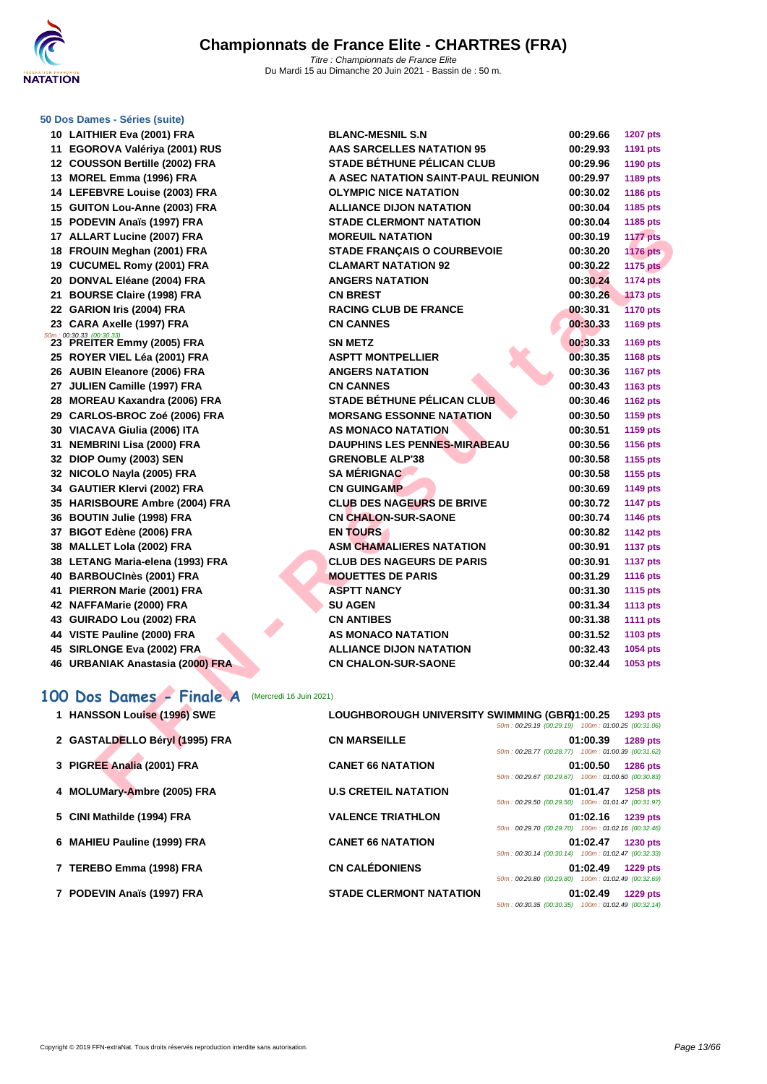

#### **[50 Dos D](http://www.ffnatation.fr/webffn/index.php)ames - Séries (suite)**

| 10 | <b>LAITHIER Eva (2001) FRA</b>                             |
|----|------------------------------------------------------------|
| 11 | EGOROVA Valériya (2001) RUS                                |
|    | 12 COUSSON Bertille (2002) FRA                             |
|    | 13 MOREL Emma (1996) FRA                                   |
|    | 14 LEFEBVRE Louise (2003) FRA                              |
|    | 15 GUITON Lou-Anne (2003) FRA                              |
|    | 15 PODEVIN Anaïs (1997) FRA                                |
|    | 17 ALLART Lucine (2007) FRA                                |
|    | 18 FROUIN Meghan (2001) FRA                                |
|    | 19 CUCUMEL Romy (2001) FRA                                 |
|    | 20 DONVAL Eléane (2004) FRA                                |
|    | 21 BOURSE Claire (1998) FRA                                |
|    | 22 GARION Iris (2004) FRA                                  |
|    | 23 CARA Axelle (1997) FRA                                  |
| 23 | 50m: 00:30.33 (00:30.33)<br><b>PREITER Emmy (2005) FRA</b> |
|    | 25 ROYER VIEL Léa (2001) FRA                               |
|    | 26 AUBIN Eleanore (2006) FRA                               |
|    | 27 JULIEN Camille (1997) FRA                               |
|    | 28 MOREAU Kaxandra (2006) FRA                              |
|    | 29 CARLOS-BROC Zoé (2006) FRA                              |
|    | 30 VIACAVA Giulia (2006) ITA                               |
| 31 | <b>NEMBRINI Lisa (2000) FRA</b>                            |
|    | 32 DIOP Oumy (2003) SEN                                    |
|    | 32 NICOLO Nayla (2005) FRA                                 |
|    | 34 GAUTIER Klervi (2002) FRA                               |
|    | 35 HARISBOURE Ambre (2004) FRA                             |
|    | 36 BOUTIN Julie (1998) FRA                                 |
|    | 37 BIGOT Edène (2006) FRA                                  |
| 38 | <b>MALLET Lola (2002) FRA</b>                              |
|    | 38 LETANG Maria-elena (1993) FRA                           |
|    | 40 BARBOUCInès (2001) FRA                                  |
| 41 | PIERRON Marie (2001) FRA                                   |
|    | 42 NAFFAMarie (2000) FRA                                   |
|    | 43 GUIRADO Lou (2002) FRA                                  |
|    | 44 VISTE Pauline (2000) FRA                                |
|    | 45 SIRLONGE Eva (2002) FRA                                 |
| 46 | <b>URBANIAK Anastasia (2000) FRA</b>                       |

| <b>AAS SARCELLES NATATION 95</b><br>00:29.93<br>1191 pts<br><b>STADE BÉTHUNE PÉLICAN CLUB</b><br>00:29.96<br>1190 pts<br>A ASEC NATATION SAINT-PAUL REUNION<br>00:29.97<br>1189 pts<br>00:30.02<br>1186 pts<br>00:30.04<br>1185 pts<br>00:30.04<br>1185 pts<br>00:30.19<br><b>1177 pts</b><br><b>STADE FRANÇAIS O COURBEVOIE</b><br>00:30.20<br><b>1176 pts</b><br>00:30.22<br><b>1175 pts</b><br>00:30.24<br><b>1174 pts</b><br>00:30.26<br><b>1173 pts</b><br>00:30.31<br><b>1170 pts</b><br>00:30.33<br>1169 pts<br>00:30.33<br>1169 pts<br>00:30.35<br>1168 pts<br>00:30.36<br><b>1167 pts</b><br>00:30.43<br>1163 pts<br><b>STADE BÉTHUNE PÉLICAN CLUB</b><br>00:30.46<br><b>1162 pts</b> |
|------------------------------------------------------------------------------------------------------------------------------------------------------------------------------------------------------------------------------------------------------------------------------------------------------------------------------------------------------------------------------------------------------------------------------------------------------------------------------------------------------------------------------------------------------------------------------------------------------------------------------------------------------------------------------------------------|
|                                                                                                                                                                                                                                                                                                                                                                                                                                                                                                                                                                                                                                                                                                |
|                                                                                                                                                                                                                                                                                                                                                                                                                                                                                                                                                                                                                                                                                                |
|                                                                                                                                                                                                                                                                                                                                                                                                                                                                                                                                                                                                                                                                                                |
|                                                                                                                                                                                                                                                                                                                                                                                                                                                                                                                                                                                                                                                                                                |
|                                                                                                                                                                                                                                                                                                                                                                                                                                                                                                                                                                                                                                                                                                |
|                                                                                                                                                                                                                                                                                                                                                                                                                                                                                                                                                                                                                                                                                                |
|                                                                                                                                                                                                                                                                                                                                                                                                                                                                                                                                                                                                                                                                                                |
|                                                                                                                                                                                                                                                                                                                                                                                                                                                                                                                                                                                                                                                                                                |
|                                                                                                                                                                                                                                                                                                                                                                                                                                                                                                                                                                                                                                                                                                |
|                                                                                                                                                                                                                                                                                                                                                                                                                                                                                                                                                                                                                                                                                                |
|                                                                                                                                                                                                                                                                                                                                                                                                                                                                                                                                                                                                                                                                                                |
|                                                                                                                                                                                                                                                                                                                                                                                                                                                                                                                                                                                                                                                                                                |
|                                                                                                                                                                                                                                                                                                                                                                                                                                                                                                                                                                                                                                                                                                |
|                                                                                                                                                                                                                                                                                                                                                                                                                                                                                                                                                                                                                                                                                                |
|                                                                                                                                                                                                                                                                                                                                                                                                                                                                                                                                                                                                                                                                                                |
|                                                                                                                                                                                                                                                                                                                                                                                                                                                                                                                                                                                                                                                                                                |
|                                                                                                                                                                                                                                                                                                                                                                                                                                                                                                                                                                                                                                                                                                |
|                                                                                                                                                                                                                                                                                                                                                                                                                                                                                                                                                                                                                                                                                                |
| <b>MORSANG ESSONNE NATATION</b><br>00:30.50<br>1159 pts                                                                                                                                                                                                                                                                                                                                                                                                                                                                                                                                                                                                                                        |
| 00:30.51<br>1159 pts                                                                                                                                                                                                                                                                                                                                                                                                                                                                                                                                                                                                                                                                           |
| <b>DAUPHINS LES PENNES-MIRABEAU</b><br>00:30.56<br>1156 pts                                                                                                                                                                                                                                                                                                                                                                                                                                                                                                                                                                                                                                    |
| 00:30.58<br>1155 pts                                                                                                                                                                                                                                                                                                                                                                                                                                                                                                                                                                                                                                                                           |
| 00:30.58<br>1155 pts                                                                                                                                                                                                                                                                                                                                                                                                                                                                                                                                                                                                                                                                           |
| 00:30.69<br>1149 pts                                                                                                                                                                                                                                                                                                                                                                                                                                                                                                                                                                                                                                                                           |
| <b>CLUB DES NAGEURS DE BRIVE</b><br>00:30.72<br><b>1147 pts</b>                                                                                                                                                                                                                                                                                                                                                                                                                                                                                                                                                                                                                                |
| 00:30.74<br>1146 pts                                                                                                                                                                                                                                                                                                                                                                                                                                                                                                                                                                                                                                                                           |
| 00:30.82<br><b>1142 pts</b>                                                                                                                                                                                                                                                                                                                                                                                                                                                                                                                                                                                                                                                                    |
| <b>ASM CHAMALIERES NATATION</b><br>00:30.91<br><b>1137 pts</b>                                                                                                                                                                                                                                                                                                                                                                                                                                                                                                                                                                                                                                 |
| <b>CLUB DES NAGEURS DE PARIS</b><br>00:30.91<br><b>1137 pts</b>                                                                                                                                                                                                                                                                                                                                                                                                                                                                                                                                                                                                                                |
| 00:31.29<br><b>1116 pts</b>                                                                                                                                                                                                                                                                                                                                                                                                                                                                                                                                                                                                                                                                    |
| 00:31.30<br><b>1115 pts</b>                                                                                                                                                                                                                                                                                                                                                                                                                                                                                                                                                                                                                                                                    |
| 00:31.34<br><b>1113 pts</b>                                                                                                                                                                                                                                                                                                                                                                                                                                                                                                                                                                                                                                                                    |
| 00:31.38<br><b>1111 pts</b>                                                                                                                                                                                                                                                                                                                                                                                                                                                                                                                                                                                                                                                                    |
| 00:31.52<br>1103 pts                                                                                                                                                                                                                                                                                                                                                                                                                                                                                                                                                                                                                                                                           |
| 00:32.43<br>1054 pts                                                                                                                                                                                                                                                                                                                                                                                                                                                                                                                                                                                                                                                                           |
| 00:32.44<br>1053 pts                                                                                                                                                                                                                                                                                                                                                                                                                                                                                                                                                                                                                                                                           |
|                                                                                                                                                                                                                                                                                                                                                                                                                                                                                                                                                                                                                                                                                                |
|                                                                                                                                                                                                                                                                                                                                                                                                                                                                                                                                                                                                                                                                                                |
| LOUGHBOROUGH UNIVERSITY SWIMMING (GBR01:00.25<br>1293 pts<br>50m: 00:29.19 (00:29.19) 100m: 01:00.25 (00:31.06)                                                                                                                                                                                                                                                                                                                                                                                                                                                                                                                                                                                |
| 01:00.39<br><b>1289 pts</b>                                                                                                                                                                                                                                                                                                                                                                                                                                                                                                                                                                                                                                                                    |
| 50m: 00:28.77 (00:28.77) 100m: 01:00.39 (00:31.62)                                                                                                                                                                                                                                                                                                                                                                                                                                                                                                                                                                                                                                             |
| 01:00.50<br><b>1286 pts</b><br>50m: 00:29.67 (00:29.67) 100m: 01:00.50 (00:30.83)                                                                                                                                                                                                                                                                                                                                                                                                                                                                                                                                                                                                              |
| 01:01.47<br><b>1258 pts</b>                                                                                                                                                                                                                                                                                                                                                                                                                                                                                                                                                                                                                                                                    |
|                                                                                                                                                                                                                                                                                                                                                                                                                                                                                                                                                                                                                                                                                                |

# 100 Dos Dames - Finale A (Mercredi 16 Juin 2021)

#### **HANSSON Louise (1996) SWE LOUGHBOROUGH UNIVERSITY SWIMMING (GBR)01:00.25 1293 pts** 50m : 00:29.19 (00:29.19) 100m : 01:00.25 (00:31.06)

|                                |                                | 00 00.20.10 (00.20.10) 100 01.00.20 (00.01.00)     |          |                 |
|--------------------------------|--------------------------------|----------------------------------------------------|----------|-----------------|
| 2 GASTALDELLO Béryl (1995) FRA | <b>CN MARSEILLE</b>            |                                                    | 01:00.39 | 1289 pts        |
|                                |                                | 50m: 00:28.77 (00:28.77) 100m: 01:00.39 (00:31.62) |          |                 |
| 3 PIGREE Analia (2001) FRA     | <b>CANET 66 NATATION</b>       |                                                    | 01:00.50 | <b>1286 pts</b> |
|                                |                                | 50m: 00:29.67 (00:29.67) 100m: 01:00.50 (00:30.83) |          |                 |
| 4 MOLUMary-Ambre (2005) FRA    | <b>U.S CRETEIL NATATION</b>    |                                                    | 01:01.47 | <b>1258 pts</b> |
|                                |                                | 50m: 00:29.50 (00:29.50) 100m: 01:01.47 (00:31.97) |          |                 |
| 5 CINI Mathilde (1994) FRA     | <b>VALENCE TRIATHLON</b>       |                                                    | 01:02.16 | 1239 pts        |
|                                |                                | 50m: 00:29.70 (00:29.70) 100m: 01:02.16 (00:32.46) |          |                 |
| 6 MAHIEU Pauline (1999) FRA    | <b>CANET 66 NATATION</b>       |                                                    | 01:02.47 | <b>1230 pts</b> |
|                                |                                | 50m: 00:30.14 (00:30.14) 100m: 01:02.47 (00:32.33) |          |                 |
| 7 TEREBO Emma (1998) FRA       | <b>CN CALÉDONIENS</b>          |                                                    | 01:02.49 | <b>1229 pts</b> |
|                                |                                | 50m: 00:29.80 (00:29.80) 100m: 01:02.49 (00:32.69) |          |                 |
| 7 PODEVIN Anaïs (1997) FRA     | <b>STADE CLERMONT NATATION</b> |                                                    | 01:02.49 | <b>1229 pts</b> |
|                                |                                | 50m: 00:30.35 (00:30.35) 100m: 01:02.49 (00:32.14) |          |                 |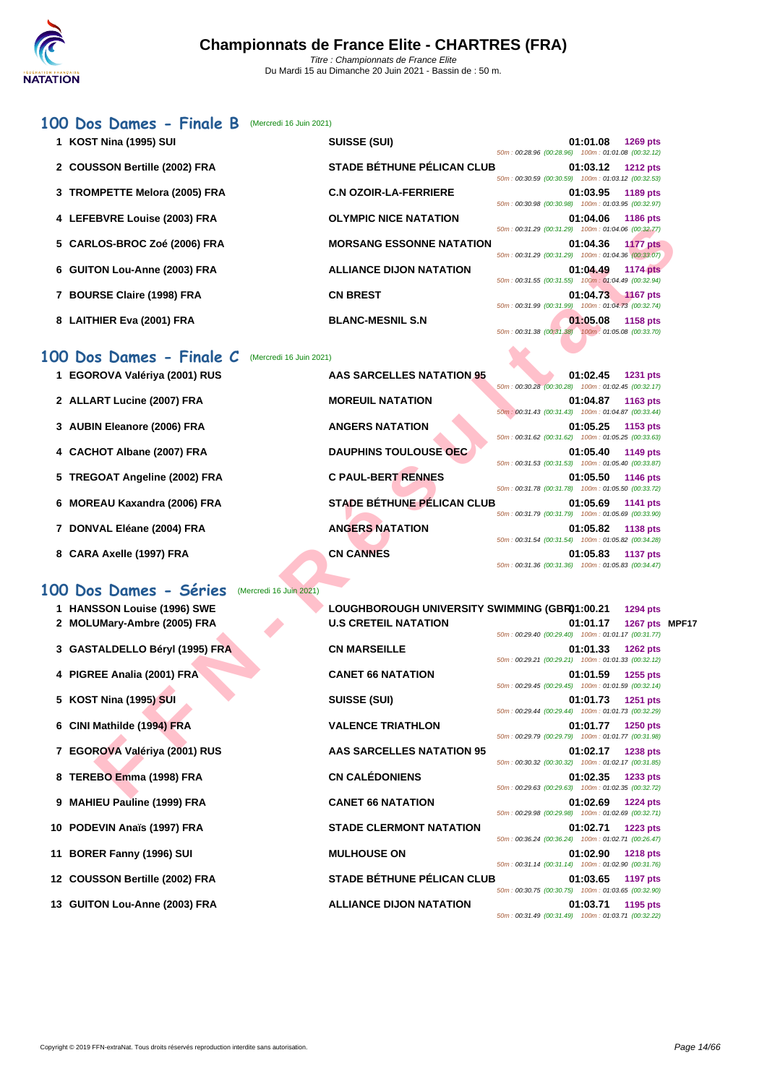### **[100 D](http://www.ffnatation.fr/webffn/index.php)os Dames - Finale B** (Mercredi 16 Juin 2021)

| 1 KOST Nina (1995) SUI                             | <b>SUISSE (SUI)</b>                           | 01:01.08<br>1269 pts<br>50m: 00:28.96 (00:28.96) 100m: 01:01.08 (00:32.12)        |               |
|----------------------------------------------------|-----------------------------------------------|-----------------------------------------------------------------------------------|---------------|
| 2 COUSSON Bertille (2002) FRA                      | <b>STADE BÉTHUNE PÉLICAN CLUB</b>             | 01:03.12<br><b>1212 pts</b><br>50m: 00:30.59 (00:30.59) 100m: 01:03.12 (00:32.53) |               |
| 3 TROMPETTE Melora (2005) FRA                      | <b>C.N OZOIR-LA-FERRIERE</b>                  | 01:03.95<br>1189 pts<br>50m: 00:30.98 (00:30.98) 100m: 01:03.95 (00:32.97)        |               |
| 4 LEFEBVRE Louise (2003) FRA                       | <b>OLYMPIC NICE NATATION</b>                  | <b>1186 pts</b><br>01:04.06<br>50m: 00:31.29 (00:31.29) 100m: 01:04.06 (00:32.77) |               |
| 5 CARLOS-BROC Zoé (2006) FRA                       | <b>MORSANG ESSONNE NATATION</b>               | 01:04.36<br><b>1177 pts</b><br>50m: 00:31.29 (00:31.29) 100m: 01:04.36 (00:33.07) |               |
| 6 GUITON Lou-Anne (2003) FRA                       | <b>ALLIANCE DIJON NATATION</b>                | 01:04.49<br><b>1174 pts</b><br>50m: 00:31.55 (00:31.55) 100m: 01:04.49 (00:32.94) |               |
| 7 BOURSE Claire (1998) FRA                         | <b>CN BREST</b>                               | 01:04.73<br><b>1167 pts</b><br>50m: 00:31.99 (00:31.99) 100m: 01:04.73 (00:32.74) |               |
| 8 LAITHIER Eva (2001) FRA                          | <b>BLANC-MESNIL S.N</b>                       | 01:05.08<br>1158 pts<br>50m: 00:31.38 (00:31.38) 100m: 01:05.08 (00:33.70)        |               |
| 00 Dos Dames - Finale C<br>(Mercredi 16 Juin 2021) |                                               |                                                                                   |               |
| 1 EGOROVA Valériya (2001) RUS                      | <b>AAS SARCELLES NATATION 95</b>              | 01:02.45<br><b>1231 pts</b><br>50m: 00:30.28 (00:30.28) 100m: 01:02.45 (00:32.17) |               |
| 2 ALLART Lucine (2007) FRA                         | <b>MOREUIL NATATION</b>                       | 01:04.87<br>1163 pts<br>50m: 00:31.43 (00:31.43) 100m: 01:04.87 (00:33.44)        |               |
| 3 AUBIN Eleanore (2006) FRA                        | <b>ANGERS NATATION</b>                        | 01:05.25<br>1153 pts<br>50m: 00:31.62 (00:31.62) 100m: 01:05.25 (00:33.63)        |               |
| 4 CACHOT Albane (2007) FRA                         | <b>DAUPHINS TOULOUSE OEC</b>                  | 01:05.40<br>1149 pts<br>50m: 00:31.53 (00:31.53) 100m: 01:05.40 (00:33.87)        |               |
| 5 TREGOAT Angeline (2002) FRA                      | <b>C PAUL-BERT RENNES</b>                     | 01:05.50<br>1146 pts<br>50m: 00:31.78 (00:31.78) 100m: 01:05.50 (00:33.72)        |               |
| 6 MOREAU Kaxandra (2006) FRA                       | <b>STADE BÉTHUNE PÉLICAN CLUB</b>             | 01:05.69<br>1141 pts<br>50m: 00:31.79 (00:31.79) 100m: 01:05.69 (00:33.90)        |               |
| 7 DONVAL Eléane (2004) FRA                         | <b>ANGERS NATATION</b>                        | 01:05.82<br>1138 pts<br>50m: 00:31.54 (00:31.54) 100m: 01:05.82 (00:34.28)        |               |
| 8 CARA Axelle (1997) FRA                           | <b>CN CANNES</b>                              | 01:05.83<br><b>1137 pts</b><br>50m: 00:31.36 (00:31.36) 100m: 01:05.83 (00:34.47) |               |
| 00 Dos Dames - Séries<br>(Mercredi 16 Juin 2021)   |                                               |                                                                                   |               |
| 1 HANSSON Louise (1996) SWE                        | LOUGHBOROUGH UNIVERSITY SWIMMING (GBR01:00.21 | 1294 pts                                                                          |               |
| 2 MOLUMary-Ambre (2005) FRA                        | <b>U.S CRETEIL NATATION</b>                   | 01:01.17<br>50m: 00:29.40 (00:29.40) 100m: 01:01.17 (00:31.77)                    | 1267 pts MPF1 |
| 3 GASTALDELLO Béryl (1995) FRA                     | <b>CN MARSEILLE</b>                           | 01:01.33<br><b>1262 pts</b><br>50m: 00:29.21 (00:29.21) 100m: 01:01.33 (00:32.12) |               |
| 4 PIGREE Analia (2001) FRA                         | <b>CANET 66 NATATION</b>                      | 01:01.59<br>1255 pts<br>50m: 00:29.45 (00:29.45) 100m: 01:01.59 (00:32.14)        |               |
| 5 KOST Nina (1995) SUI                             | <b>SUISSE (SUI)</b>                           | 01:01.73<br><b>1251 pts</b><br>50m: 00:29.44 (00:29.44) 100m: 01:01.73 (00:32.29) |               |
| 6 CINI Mathilde (1994) FRA                         | <b>VALENCE TRIATHLON</b>                      | 1250 pts<br>01:01.77<br>50m: 00:29.79 (00:29.79) 100m: 01:01.77 (00:31.98)        |               |
| 7 EGOROVA Valériya (2001) RUS                      | AAS SARCELLES NATATION 95                     | 01:02.17<br><b>1238 pts</b><br>50m: 00:30.32 (00:30.32) 100m: 01:02.17 (00:31.85) |               |
| 8 TEREBO Emma (1998) FRA                           | <b>CN CALÉDONIENS</b>                         | 01:02.35<br>1233 pts<br>50m: 00:29.63 (00:29.63) 100m: 01:02.35 (00:32.72)        |               |
|                                                    |                                               |                                                                                   |               |

### **100 Dos Dames - Finale C** (Mercredi 16 Juin 2021)

- **1 EGOROVA Valériya (2001) RUS AAS SARCELLES NATATION 95 01:02.45 1231 pts**
- 
- 
- 
- 
- 
- 
- 

### **100 Dos Dames - Séries** (Mercredi 16 Juin 2021)

- 
- 
- 
- 
- 
- 
- 
- 
- 
- 
- 
- 
- 

| 1 HANSSON Louise (1996) SWE    | LOUGHBOROUGH UNIVERSITY SWIMMING (GBR01:00.21 |                                                    |                     | 1294 pts        |  |
|--------------------------------|-----------------------------------------------|----------------------------------------------------|---------------------|-----------------|--|
| 2 MOLUMary-Ambre (2005) FRA    | <b>U.S CRETEIL NATATION</b>                   | 50m: 00:29.40 (00:29.40) 100m: 01:01.17 (00:31.77) | 01:01.17            | 1267 pts MPF17  |  |
| 3 GASTALDELLO Béryl (1995) FRA | <b>CN MARSEILLE</b>                           | 50m: 00:29.21 (00:29.21) 100m: 01:01.33 (00:32.12) | $01:01.33$ 1262 pts |                 |  |
| 4 PIGREE Analia (2001) FRA     | <b>CANET 66 NATATION</b>                      | 50m: 00:29.45 (00:29.45) 100m: 01:01.59 (00:32.14) | 01:01.59 1255 pts   |                 |  |
| 5 KOST Nina (1995) SUI         | <b>SUISSE (SUI)</b>                           | 50m: 00:29.44 (00:29.44) 100m: 01:01.73 (00:32.29) | 01:01.73            | 1251 pts        |  |
| 6 CINI Mathilde (1994) FRA     | <b>VALENCE TRIATHLON</b>                      | 50m: 00:29.79 (00:29.79) 100m: 01:01.77 (00:31.98) | 01:01.77            | 1250 pts        |  |
| 7 EGOROVA Valériya (2001) RUS  | <b>AAS SARCELLES NATATION 95</b>              | 50m: 00:30.32 (00:30.32) 100m: 01:02.17 (00:31.85) | 01:02.17            | <b>1238 pts</b> |  |
| 8 TEREBO Emma (1998) FRA       | <b>CN CALÉDONIENS</b>                         | 50m: 00:29.63 (00:29.63) 100m: 01:02.35 (00:32.72) | 01:02.35            | 1233 pts        |  |
| 9 MAHIEU Pauline (1999) FRA    | <b>CANET 66 NATATION</b>                      | 50m: 00:29.98 (00:29.98) 100m: 01:02.69 (00:32.71) | 01:02.69            | <b>1224 pts</b> |  |
| 10 PODEVIN Anaïs (1997) FRA    | <b>STADE CLERMONT NATATION</b>                | 50m: 00:36.24 (00:36.24) 100m: 01:02.71 (00:26.47) | 01:02.71            | <b>1223 pts</b> |  |
| 11 BORER Fanny (1996) SUI      | <b>MULHOUSE ON</b>                            | 50m: 00:31.14 (00:31.14) 100m: 01:02.90 (00:31.76) | 01:02.90            | <b>1218 pts</b> |  |
| 12 COUSSON Bertille (2002) FRA | <b>STADE BÉTHUNE PÉLICAN CLUB</b>             | 50m: 00:30.75 (00:30.75) 100m: 01:03.65 (00:32.90) | 01:03.65            | <b>1197 pts</b> |  |
| 13 GUITON Lou-Anne (2003) FRA  | <b>ALLIANCE DIJON NATATION</b>                |                                                    | 01:03.71            | 1195 pts        |  |

50m : 00:31.49 (00:31.49) 100m : 01:03.71 (00:32.22)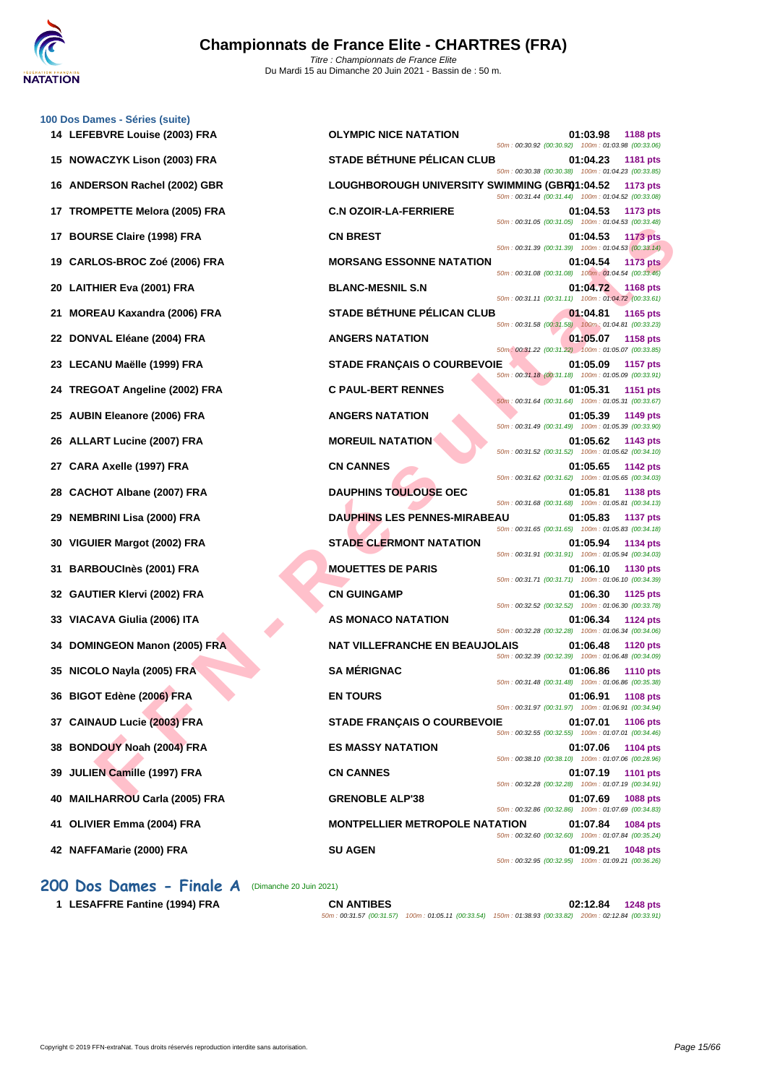

**[100 Dos D](http://www.ffnatation.fr/webffn/index.php)ames - Séries (suite)**

| <b>OLYMPIC NICE NATATION</b><br>01:03.98<br><b>1188 pts</b><br>50m: 00:30.92 (00:30.92) 100m: 01:03.98 (00:33.06)          |
|----------------------------------------------------------------------------------------------------------------------------|
| <b>STADE BÉTHUNE PÉLICAN CLUB</b><br>01:04.23<br>1181 pts<br>50m: 00:30.38 (00:30.38) 100m: 01:04.23 (00:33.85)            |
| LOUGHBOROUGH UNIVERSITY SWIMMING (GBR01:04.52<br>1173 pts<br>50m: 00:31.44 (00:31.44) 100m: 01:04.52 (00:33.08)            |
| <b>C.N OZOIR-LA-FERRIERE</b><br>01:04.53<br>1173 pts<br>50m: 00:31.05 (00:31.05) 100m: 01:04.53 (00:33.48)                 |
| <b>CN BREST</b><br>01:04.53<br><b>1173 pts</b><br>50m: 00:31.39 (00:31.39) 100m: 01:04.53 (00:33.14)                       |
| <b>MORSANG ESSONNE NATATION</b><br>01:04.54<br><b>1173 pts</b><br>50m: 00:31.08 (00:31.08) 100m: 01:04.54 (00:33.46)       |
| <b>BLANC-MESNIL S.N</b><br>01:04.72 1168 pts<br>50m: 00:31.11 (00:31.11) 100m: 01:04.72 (00:33.61)                         |
| <b>STADE BÉTHUNE PÉLICAN CLUB</b><br>01:04.81<br>1165 pts<br>50m: 00:31.58 (00:31.58) 100m: 01:04.81 (00:33.23)            |
| <b>ANGERS NATATION</b><br>01:05.07<br><b>1158 pts</b><br>50m: 00:31.22 (00:31.22) 100m: 01:05.07 (00:33.85)                |
| <b>STADE FRANÇAIS O COURBEVOIE</b><br>01:05.09<br><b>1157 pts</b><br>50m: 00:31.18 (00:31.18) 100m: 01:05.09 (00:33.91)    |
| <b>C PAUL-BERT RENNES</b><br>01:05.31<br>1151 pts<br>50m: 00:31.64 (00:31.64) 100m: 01:05.31 (00:33.67)                    |
| <b>ANGERS NATATION</b><br>01:05.39<br>1149 pts<br>50m: 00:31.49 (00:31.49) 100m: 01:05.39 (00:33.90)                       |
| <b>MOREUIL NATATION</b><br>01:05.62<br>1143 pts<br>50m: 00:31.52 (00:31.52) 100m: 01:05.62 (00:34.10)                      |
| <b>CN CANNES</b><br>01:05.65<br>1142 pts<br>50m: 00:31.62 (00:31.62) 100m: 01:05.65 (00:34.03)                             |
| <b>DAUPHINS TOULOUSE OEC</b><br>01:05.81<br>1138 pts<br>50m: 00:31.68 (00:31.68) 100m: 01:05.81 (00:34.13)                 |
| <b>DAUPHINS LES PENNES-MIRABEAU</b><br>01:05.83<br><b>1137 pts</b><br>50m: 00:31.65 (00:31.65) 100m: 01:05.83 (00:34.18)   |
| <b>STADE CLERMONT NATATION</b><br>01:05.94<br>1134 pts<br>50m: 00:31.91 (00:31.91) 100m: 01:05.94 (00:34.03)               |
| <b>MOUETTES DE PARIS</b><br>01:06.10<br>1130 pts<br>50m: 00:31.71 (00:31.71) 100m: 01:06.10 (00:34.39)                     |
| <b>CN GUINGAMP</b><br>01:06.30<br>1125 pts<br>50m: 00:32.52 (00:32.52) 100m: 01:06.30 (00:33.78)                           |
| AS MONACO NATATION<br>01:06.34<br>1124 pts<br>50m: 00:32.28 (00:32.28) 100m: 01:06.34 (00:34.06)                           |
| <b>NAT VILLEFRANCHE EN BEAUJOLAIS</b><br>01:06.48<br><b>1120 pts</b><br>50m: 00:32.39 (00:32.39) 100m: 01:06.48 (00:34.09) |
| <b>SA MÉRIGNAC</b><br>01:06.86<br><b>1110 pts</b><br>50m: 00:31.48 (00:31.48) 100m: 01:06.86 (00:35.38)                    |
| <b>EN TOURS</b><br>01:06.91<br><b>1108 pts</b><br>50m: 00:31.97 (00:31.97) 100m: 01:06.91 (00:34.94)                       |
| <b>STADE FRANÇAIS O COURBEVOIE</b><br>01:07.01<br>1106 pts<br>50m: 00:32.55 (00:32.55) 100m: 01:07.01 (00:34.46)           |
| <b>ES MASSY NATATION</b><br>01:07.06<br><b>1104 pts</b><br>50m: 00:38.10 (00:38.10) 100m: 01:07.06 (00:28.96)              |
| <b>CN CANNES</b><br>01:07.19<br><b>1101 pts</b><br>50m: 00:32.28 (00:32.28) 100m: 01:07.19 (00:34.91)                      |
| <b>GRENOBLE ALP'38</b><br>01:07.69<br><b>1088 pts</b><br>50m: 00:32.86 (00:32.86) 100m: 01:07.69 (00:34.83)                |
| <b>MONTPELLIER METROPOLE NATATION</b><br>01:07.84<br>1084 pts<br>50m: 00:32.60 (00:32.60) 100m: 01:07.84 (00:35.24)        |
| <b>SU AGEN</b><br>01:09.21<br>1048 pts<br>50m: 00:32.95 (00:32.95) 100m: 01:09.21 (00:36.26)                               |
|                                                                                                                            |

**200 Dos Dames - Finale A** (Dimanche 20 Juin 2021)

**1 LESAFFRE Fantine (1994) FRA CN ANTIBES 02:12.84 1248 pts**

50m : 00:31.57 (00:31.57) 100m : 01:05.11 (00:33.54) 150m : 01:38.93 (00:33.82) 200m : 02:12.84 (00:33.91)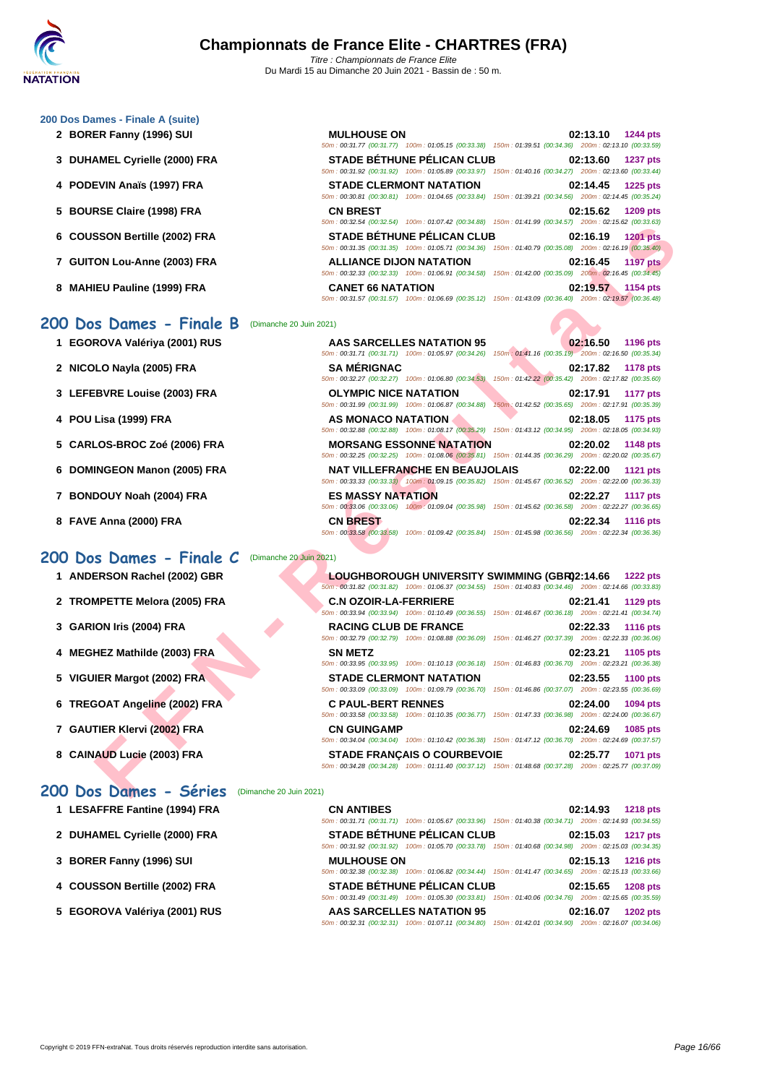#### **[200 Dos D](http://www.ffnatation.fr/webffn/index.php)ames - Finale A (suite)**

- **2 BORER Fanny (1996) SUI** 
	- **3** DUHAMEL Cyrielle (2000) FRA
	- **4 PODEVIN Anaïs (1997) FRA**
	- **5 BOURSE Claire (1998) FRA**
	- **6** COUSSON Bertille (2002) FRA
	- **7 GUITON Lou-Anne (2003) FRA**
	- **8 MAHIEU Pauline (1999) FRA**

#### **200 Dos Dames - Finale B** (Dimanche 20 Juin 2021)

- **1 EGOROVA Valériya (2001) RUS**
- **2 NICOLO Nayla (2005) FRA**
- **3** LEFEBVRE Louise (2003) FRA
- **4 POU Lisa (1999) FRA**
- **5 CARLOS-BROC Zoé (2006) FRA**
- **6 DOMINGEON Manon (2005) FRA**
- **7 BONDOUY Noah (2004) FRA**
- **8 FAVE Anna (2000) FRA**

#### **200 Dos Dames - Finale C** (Dimanche 20 Juin 2021)

- **1 ANDERSON Rachel (2002) GBR**
- **2 TROMPETTE Melora (2005) FRA**
- **3 GARION Iris (2004) FRA RACING CLUB DE FRANCE 02:22.33 1116 pts**
- **4 MEGHEZ Mathilde (2003) FRA**
- **5 VIGUIER Margot (2002) FRA**
- **6 TREGOAT Angeline (2002) FRA**
- **7 GAUTIER Klervi (2002) FRA**
- **8 CAINAUD Lucie (2003) FRA**

#### **200 Dos Dames - Séries** (Dimanche 20 Juin 2021)

|  |  |  | 1 LESAFFRE Fantine (1994) FRA |  |  |
|--|--|--|-------------------------------|--|--|
|--|--|--|-------------------------------|--|--|

- 2 **DUHAMEL Cyrielle (2000) FRA**
- **3 [BORER Fanny \(1996\) SUI](http://www.ffnatation.fr/webffn/resultats.php?idact=nat&go=epr&idcpt=70185&idepr=13)**
- **4** COUSSON Bertille (2002) FRA
- **5 EGOROVA Valériya (2001) RUS**

| <b>MULHOUSE ON</b>             |                                                                                                                                          |                                                     |          | 02:13.10 1244 pts |
|--------------------------------|------------------------------------------------------------------------------------------------------------------------------------------|-----------------------------------------------------|----------|-------------------|
|                                | 50m: 00:31.77 (00:31.77) 100m: 01:05.15 (00:33.38) 150m: 01:39.51 (00:34.36) 200m: 02:13.10 (00:33.59)                                   |                                                     |          |                   |
|                                | <b>STADE BÉTHUNE PÉLICAN CLUB</b>                                                                                                        |                                                     |          | 02:13.60 1237 pts |
|                                | 50m: 00:31.92 (00:31.92) 100m: 01:05.89 (00:33.97) 150m: 01:40.16 (00:34.27) 200m: 02:13.60 (00:33.44)                                   |                                                     |          |                   |
|                                | <b>STADE CLERMONT NATATION</b><br>50m: 00:30.81 (00:30.81) 100m: 01:04.65 (00:33.84) 150m: 01:39.21 (00:34.56) 200m: 02:14.45 (00:35.24) |                                                     |          | 02:14.45 1225 pts |
| <b>CN BREST</b>                | 50m: 00:32.54 (00:32.54) 100m: 01:07.42 (00:34.88) 150m: 01:41.99 (00:34.57) 200m: 02:15.62 (00:33.63)                                   |                                                     |          | 02:15.62 1209 pts |
|                                | <b>STADE BÉTHUNE PÉLICAN CLUB</b>                                                                                                        |                                                     |          | 02:16.19 1201 pts |
|                                | 50m: 00:31.35 (00:31.35) 100m: 01:05.71 (00:34.36) 150m: 01:40.79 (00:35.08) 200m: 02:16.19 (00:35.40)                                   |                                                     |          |                   |
| <b>ALLIANCE DIJON NATATION</b> |                                                                                                                                          |                                                     | 02:16.45 | <b>1197 pts</b>   |
|                                | 50m: 00:32.33 (00:32.33) 100m: 01:06.91 (00:34.58)                                                                                       | 150m: 01:42.00 (00:35.09) 200m: 02:16.45 (00:34.45) |          |                   |
| <b>CANET 66 NATATION</b>       |                                                                                                                                          |                                                     | 02:19.57 | 1154 pts          |
|                                | 50m: 00:31.57 (00:31.57) 100m: 01:06.69 (00:35.12) 150m: 01:43.09 (00:36.40) 200m: 02:19.57 (00:36.48)                                   |                                                     |          |                   |

|                                 | UU.JZ.JT (UU.JZ.JT) TUUMI. UT.UT.HZ (UU.JH.UU) TUUMI. UT.HT.JJ (UU.JH.JT)                                                                               |                                                                                    |
|---------------------------------|---------------------------------------------------------------------------------------------------------------------------------------------------------|------------------------------------------------------------------------------------|
| SSON Bertille (2002) FRA        | <b>STADE BÉTHUNE PÉLICAN CLUB</b><br>50m: 00:31.35 (00:31.35) 100m: 01:05.71 (00:34.36) 150m: 01:40.79 (00:35.08) 200m: 02:16.19 (00:35.40)             | 02:16.19<br><b>1201 pts</b>                                                        |
| <b>ON Lou-Anne (2003) FRA</b>   | <b>ALLIANCE DIJON NATATION</b><br>50m : 00:32.33 (00:32.33) 100m : 01:06.91 (00:34.58) 150m : 01:42.00 (00:35.09) 200m : 02:16.45 (00:34.45)            | 02:16.45<br><b>1197 pts</b>                                                        |
| IEU Pauline (1999) FRA          | <b>CANET 66 NATATION</b><br>50m: 00:31.57 (00:31.57) 100m: 01:06.69 (00:35.12) 150m: 01:43.09 (00:36.40) 200m: 02:19.57 (00:36.48)                      | 02:19.57<br>1154 pts                                                               |
| s Dames - Finale B              | (Dimanche 20 Juin 2021)                                                                                                                                 |                                                                                    |
| ROVA Valériya (2001) RUS        | <b>AAS SARCELLES NATATION 95</b><br>50m: 00:31.71 (00:31.71) 100m: 01:05.97 (00:34.26) 150m: 01:41.16 (00:35.19) 200m: 02:16.50 (00:35.34)              | 02:16.50<br>1196 pts                                                               |
| )LO Nayla (2005) FRA            | <b>SA MÉRIGNAC</b><br>50m: 00:32.27 (00:32.27) 100m: 01:06.80 (00:34.53)                                                                                | 02:17.82<br><b>1178 pts</b><br>150m: 01:42.22 (00:35.42) 200m: 02:17.82 (00:35.60) |
| <b>EBVRE Louise (2003) FRA</b>  | <b>OLYMPIC NICE NATATION</b><br>50m: 00:31.99 (00:31.99) 100m: 01:06.87 (00:34.88)                                                                      | 02:17.91<br>1177 pts<br>150m: 01:42.52 (00:35.65) 200m: 02:17.91 (00:35.39)        |
| Lisa (1999) FRA                 | AS MONACO NATATION<br>50m : 00:32.88 (00:32.88) 100m : 01:08.17 (00:35.29) 150m : 01:43.12 (00:34.95) 200m : 02:18.05 (00:34.93)                        | 02:18.05<br>1175 pts                                                               |
| LOS-BROC Zoé (2006) FRA         | <b>MORSANG ESSONNE NATATION</b><br>50m : 00:32.25 (00:32.25) 100m : 01:08.06 (00:35.81) 150m : 01:44.35 (00:36.29) 200m : 02:20.02 (00:35.67)           | 02:20.02<br>1148 pts                                                               |
| <b>INGEON Manon (2005) FRA</b>  | <b>NAT VILLEFRANCHE EN BEAUJOLAIS</b><br>50m: 00:33.33 (00:33.33) 100m: 01:09.15 (00:35.82) 150m: 01:45.67 (00:36.52) 200m: 02:22.00 (00:36.33)         | 02:22.00<br>1121 pts                                                               |
| DOUY Noah (2004) FRA            | <b>ES MASSY NATATION</b><br>50m: 00:33.06 (00:33.06) 100m: 01:09.04 (00:35.98) 150m: 01:45.62 (00:36.58) 200m: 02:22.27 (00:36.65)                      | 02:22.27<br><b>1117 pts</b>                                                        |
| E Anna (2000) FRA               | <b>CN BREST</b><br>50m: 00:33,58 (00:33.58) 100m: 01:09.42 (00:35.84) 150m: 01:45.98 (00:36.56) 200m: 02:22.34 (00:36.36)                               | 02:22.34<br><b>1116 pts</b>                                                        |
| s Dames - Finale C              | (Dimanche 20 Juin 2021)                                                                                                                                 |                                                                                    |
| ERSON Rachel (2002) GBR         | LOUGHBOROUGH UNIVERSITY SWIMMING (GBR02:14.66<br>50m; 00:31.82 (00:31.82) 100m: 01:06.37 (00:34.55) 150m: 01:40.83 (00:34.46) 200m: 02:14.66 (00:33.83) | <b>1222 pts</b>                                                                    |
| <b>MPETTE Melora (2005) FRA</b> | <b>C.N OZOIR-LA-FERRIERE</b><br>50m: 00:33.94 (00:33.94) 100m: 01:10.49 (00:36.55) 150m: 01:46.67 (00:36.18) 200m: 02:21.41 (00:34.74)                  | 02:21.41<br>1129 pts                                                               |
| ION Iris (2004) FRA             | <b>RACING CLUB DE FRANCE</b><br>50m : 00:32.79 (00:32.79) 100m : 01:08.88 (00:36.09) 150m : 01:46.27 (00:37.39) 200m : 02:22.33 (00:36.06)              | 02:22.33<br><b>1116 pts</b>                                                        |
| HEZ Mathilde (2003) FRA         | <b>SN METZ</b><br>50m: 00:33.95 (00:33.95) 100m: 01:10.13 (00:36.18) 150m: 01:46.83 (00:36.70) 200m: 02:23.21 (00:36.38)                                | 02:23.21<br>1105 pts                                                               |
| <b>IER Margot (2002) FRA</b>    | <b>STADE CLERMONT NATATION</b><br>50m : 00:33.09 (00:33.09) 100m : 01:09.79 (00:36.70) 150m : 01:46.86 (00:37.07) 200m : 02:23.55 (00:36.69)            | 02:23.55<br><b>1100 pts</b>                                                        |
| <b>GOAT Angeline (2002) FRA</b> | <b>C PAUL-BERT RENNES</b><br>50m: 00:33.58 (00:33.58) 100m: 01:10.35 (00:36.77) 150m: 01:47.33 (00:36.98) 200m: 02:24.00 (00:36.67)                     | 02:24.00<br>1094 pts                                                               |
| TIER Klervi (2002) FRA          | <b>CN GUINGAMP</b><br>50m : 00:34.04 (00:34.04) 100m : 01:10.42 (00:36.38) 150m : 01:47.12 (00:36.70) 200m : 02:24.69 (00:37.57)                        | 02:24.69<br>1085 pts                                                               |
| IAUD Lucie (2003) FRA           | <b>STADE FRANCAIS O COURBEVOIE</b>                                                                                                                      | 02:25.77<br>1071 pts                                                               |

|                              | LOUGHBOROUGH UNIVERSITY SWIMMING (GBR02:14.66 1222 pts                                                     |  |                   |
|------------------------------|------------------------------------------------------------------------------------------------------------|--|-------------------|
|                              | 50m: 00:31.82 (00:31.82) 100m: 01:06.37 (00:34.55) 150m: 01:40.83 (00:34.46) 200m: 02:14.66 (00:33.83)     |  |                   |
| <b>C.N OZOIR-LA-FERRIERE</b> |                                                                                                            |  | 02:21.41 1129 pts |
|                              | 50m: 00:33.94 (00:33.94) 100m: 01:10.49 (00:36.55) 150m: 01:46.67 (00:36.18) 200m: 02:21.41 (00:34.74)     |  |                   |
| <b>RACING CLUB DE FRANCE</b> |                                                                                                            |  | 02:22.33 1116 pts |
|                              | 50m: 00:32.79 (00:32.79) 100m: 01:08.88 (00:36.09) 150m: 01:46.27 (00:37.39) 200m: 02:22.33 (00:36.06)     |  |                   |
| <b>SN METZ</b>               |                                                                                                            |  | 02:23.21 1105 pts |
|                              | 50m: 00:33.95 (00:33.95) 100m: 01:10.13 (00:36.18) 150m: 01:46.83 (00:36.70) 200m: 02:23.21 (00:36.38)     |  |                   |
|                              | <b>STADE CLERMONT NATATION</b>                                                                             |  | 02:23.55 1100 pts |
|                              | 50m: 00:33.09 (00:33.09) 100m: 01:09.79 (00:36.70) 150m: 01:46.86 (00:37.07) 200m: 02:23.55 (00:36.69)     |  |                   |
| <b>C PAUL-BERT RENNES</b>    |                                                                                                            |  | 02:24.00 1094 pts |
|                              | 50m: 00:33.58 (00:33.58) 100m: 01:10.35 (00:36.77) 150m: 01:47.33 (00:36.98) 200m: 02:24.00 (00:36.67)     |  |                   |
| <b>CN GUINGAMP</b>           |                                                                                                            |  | 02:24.69 1085 pts |
|                              | 50m: 00:34.04 (00:34.04) 100m: 01:10.42 (00:36.38) 150m: 01:47.12 (00:36.70) 200m: 02:24.69 (00:37.57)     |  |                   |
|                              | <b>STADE FRANCAIS O COURBEVOIE</b>                                                                         |  | 02:25.77 1071 pts |
|                              | 50m : 00:34.28 (00:34.28) 100m : 01:11.40 (00:37.12) 150m : 01:48.68 (00:37.28) 200m : 02:25.77 (00:37.09) |  |                   |

| 1 LESAFFRE Fantine (1994) FRA | <b>CN ANTIBES</b>                 | 02:14.93<br><b>1218 pts</b>                                                                            |
|-------------------------------|-----------------------------------|--------------------------------------------------------------------------------------------------------|
|                               |                                   | 50m: 00:31.71 (00:31.71) 100m: 01:05.67 (00:33.96) 150m: 01:40.38 (00:34.71) 200m: 02:14.93 (00:34.55) |
| 2 DUHAMEL Cyrielle (2000) FRA | <b>STADE BÉTHUNE PÉLICAN CLUB</b> | 02:15.03<br><b>1217 pts</b>                                                                            |
|                               |                                   | 50m; 00:31.92 (00:31.92) 100m; 01:05.70 (00:33.78) 150m; 01:40.68 (00:34.98) 200m; 02:15.03 (00:34.35) |
| 3 BORER Fanny (1996) SUI      | <b>MULHOUSE ON</b>                | 02:15.13<br><b>1216 pts</b>                                                                            |
|                               |                                   | 50m; 00:32.38 (00:32.38) 100m; 01:06.82 (00:34.44) 150m; 01:41.47 (00:34.65) 200m; 02:15.13 (00:33.66) |
| 4 COUSSON Bertille (2002) FRA | <b>STADE BÉTHUNE PÉLICAN CLUB</b> | 02:15.65<br><b>1208 pts</b>                                                                            |
|                               |                                   | 50m: 00:31.49 (00:31.49) 100m: 01:05.30 (00:33.81) 150m: 01:40.06 (00:34.76) 200m: 02:15.65 (00:35.59) |
| 5 EGOROVA Valériya (2001) RUS | <b>AAS SARCELLES NATATION 95</b>  | 02:16.07<br><b>1202 pts</b>                                                                            |
|                               |                                   | 50m: 00:32.31 (00:32.31) 100m: 01:07.11 (00:34.80) 150m: 01:42.01 (00:34.90) 200m: 02:16.07 (00:34.06) |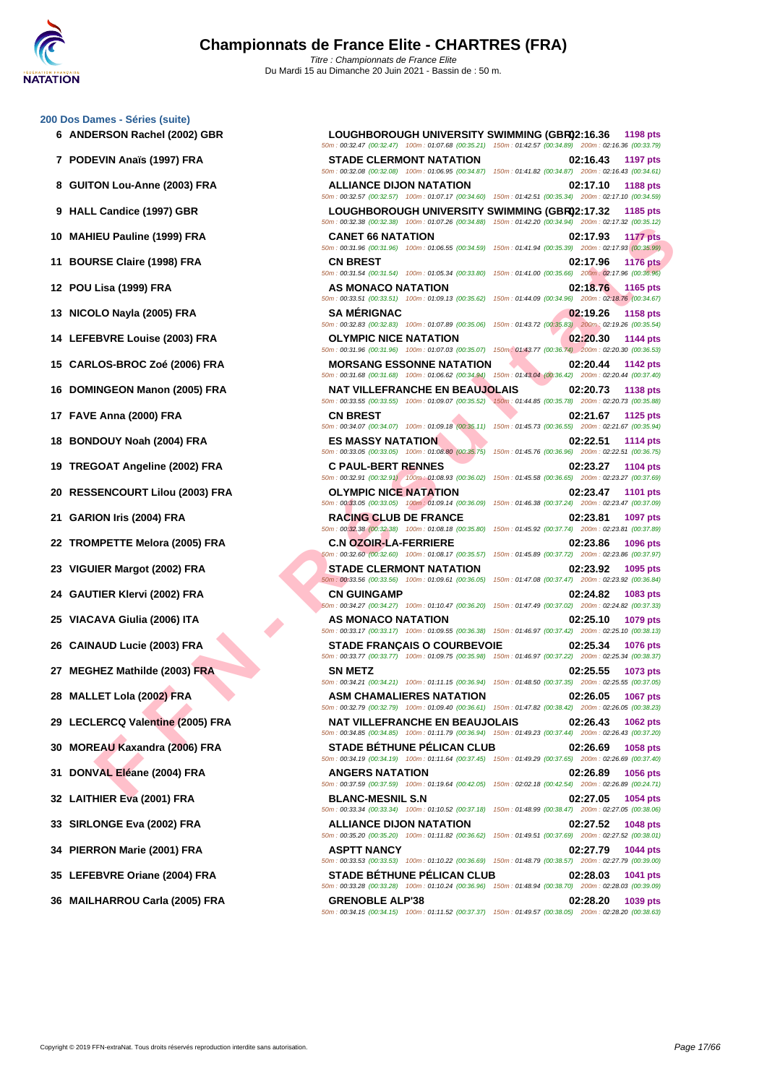#### **[200 Dos D](http://www.ffnatation.fr/webffn/index.php)ames - Séries (suite)**

- 
- 
- 
- 
- 
- 
- 
- 
- 
- 
- 
- 
- 
- 
- 
- 
- 
- 
- 
- 
- 
- 
- 
- 
- 
- 
- 
- 
- 
- 
- 

**F F N - R é s u l t a t s 6 ANDERSON Rachel (2002) GBR LOUGHBOROUGH UNIVERSITY SWIMMING (GBR)02:16.36 1198 pts** 50m : 00:32.47 (00:32.47) 100m : 01:07.68 (00:35.21) 150m : 01:42.57 (00:34.89) 200m : 02:16.36 (00:33.79) **7 PODEVIN Anaïs (1997) FRA STADE CLERMONT NATATION 02:16.43 1197 pts** 50m : 00:32.08 (00:32.08) 100m : 01:06.95 (00:34.87) 150m : 01:41.82 (00:34.87) 200m : 02:16.43 (00:34.61) **8 GUITON Lou-Anne (2003) FRA ALLIANCE DIJON NATATION 02:17.10 1188 pts** 50m : 00:32.57 (00:32.57) 100m : 01:07.17 (00:34.60) 150m : 01:42.51 (00:35.34) 200m : 02:17.10 (00:34.59) **9 HALL Candice (1997) GBR LOUGHBOROUGH UNIVERSITY SWIMMING (GBR)02:17.32 1185 pts** 50m : 00:32.38 (00:32.38) 100m : 01:07.26 (00:34.88) 150m : 01:42.20 (00:34.94) 200m : 02:17.32 (00:35.12) **10 MAHIEU Pauline (1999) FRA CANET 66 NATATION 02:17.93 1177 pts** 50m : 00:31.96 (00:31.96) 100m : 01:06.55 (00:34.59) 150m : 01:41.94 (00:35.39) 200m : 02:17.93 (00:35.99) **11 BOURSE Claire (1998) FRA CN BREST 02:17.96 1176 pts** 50m : 00:31.54 (00:31.54) 100m : 01:05.34 (00:33.80) 150m : 01:41.00 (00:35.66) 200m : 02:17.96 (00:36.96) **12 POU Lisa (1999) FRA AS MONACO NATATION 02:18.76 1165 pts** 50m : 00:33.51 (00:33.51) 100m : 01:09.13 (00:35.62) 150m : 01:44.09 (00:34.96) 200m : 02:18.76 (00:34.67) **13 NICOLO Nayla (2005) FRA SA MÉRIGNAC 02:19.26 1158 pts** 50m : 00:32.83 (00:32.83) 100m : 01:07.89 (00:35.06) 150m : 01:43.72 (00:35.83) 200m : 02:19.26 (00:35.54) **14 LEFEBVRE Louise (2003) FRA OLYMPIC NICE NATATION 02:20.30 1144 pts** 50m : 00:31.96 (00:31.96) 100m : 01:07.03 (00:35.07) 150m : 01:43.77 (00:36.74) 200m : 02:20.30 (00:36.53) **15 CARLOS-BROC Zoé (2006) FRA MORSANG ESSONNE NATATION 02:20.44 1142 pts** 50m : 00:31.68 (00:31.68) 100m : 01:06.62 (00:34.94) 150m : 01:43.04 (00:36.42) 200m : 02:20.44 (00:37.40) **16 DOMINGEON Manon (2005) FRA NAT VILLEFRANCHE EN BEAUJOLAIS 02:20.73 1138 pts** 50m : 00:33.55 (00:33.55) 100m : 01:09.07 (00:35.52) 150m : 01:44.85 (00:35.78) 200m : 02:20.73 (00:35.88) **17 FAVE Anna (2000) FRA CN BREST 02:21.67 1125 pts** 50m : 00:34.07 (00:34.07) 100m : 01:09.18 (00:35.11) 150m : 01:45.73 (00:36.55) 200m : 02:21.67 (00:35.94) **18 BONDOUY Noah (2004) FRA ES MASSY NATATION 02:22.51 1114 pts** 50m : 00:33.05 (00:33.05) 100m : 01:08.80 (00:35.75) 150m : 01:45.76 (00:36.96) 200m : 02:22.51 (00:36.75) **19 TREGOAT Angeline (2002) FRA C PAUL-BERT RENNES 02:23.27 1104 pts** 50m : 00:32.91 (00:32.91) 100m : 01:08.93 (00:36.02) 150m : 01:45.58 (00:36.65) 200m : 02:23.27 (00:37.69) **20 RESSENCOURT Lilou (2003) FRA OLYMPIC NICE NATATION 02:23.47 1101 pts** 50m : 00:33.05 (00:33.05) 100m : 01:09.14 (00:36.09) 150m : 01:46.38 (00:37.24) 200m : 02:23.47 (00:37.09) **21 GARION Iris (2004) FRA RACING CLUB DE FRANCE 02:23.81 1097 pts** 50m : 00:32.38 (00:32.38) 100m : 01:08.18 (00:35.80) 150m : 01:45.92 (00:37.74) 200m : 02:23.81 (00:37.89) **22 TROMPETTE Melora (2005) FRA C.N OZOIR-LA-FERRIERE 02:23.86 1096 pts** 50m : 00:32.60 (00:32.60) 100m : 01:08.17 (00:35.57) 150m : 01:45.89 (00:37.72) 200m : 02:23.86 (00:37.97) **23 VIGUIER Margot (2002) FRA STADE CLERMONT NATATION 02:23.92 1095 pts** 50m : 00:33.56 (00:33.56) 100m : 01:09.61 (00:36.05) 150m : 01:47.08 (00:37.47) 200m : 02:23.92 (00:36.84) **24 GAUTIER Klervi (2002) FRA CN GUINGAMP 02:24.82 1083 pts** 50m : 00:34.27 (00:34.27) 100m : 01:10.47 (00:36.20) 150m : 01:47.49 (00:37.02) 200m : 02:24.82 (00:37.33) **25 VIACAVA Giulia (2006) ITA AS MONACO NATATION 02:25.10 1079 pts** 50m : 00:33.17 (00:33.17) 100m : 01:09.55 (00:36.38) 150m : 01:46.97 (00:37.42) 200m : 02:25.10 (00:38.13) **26 CAINAUD Lucie (2003) FRA STADE FRANÇAIS O COURBEVOIE 02:25.34 1076 pts** 50m : 00:33.77 (00:33.77) 100m : 01:09.75 (00:35.98) 150m : 01:46.97 (00:37.22) 200m : 02:25.34 (00:38.37) **27 MEGHEZ Mathilde (2003) FRA SN METZ 02:25.55 1073 pts** 50m : 00:34.21 (00:34.21) 100m : 01:11.15 (00:36.94) 150m : 01:48.50 (00:37.35) 200m : 02:25.55 (00:37.05) **28 MALLET Lola (2002) FRA ASM CHAMALIERES NATATION 02:26.05 1067 pts** 50m : 00:32.79 (00:32.79) 100m : 01:09.40 (00:36.61) 150m : 01:47.82 (00:38.42) 200m : 02:26.05 (00:38.23) **29 LECLERCQ Valentine (2005) FRA NAT VILLEFRANCHE EN BEAUJOLAIS 02:26.43 1062 pts** 50m : 00:34.85 (00:34.85) 100m : 01:11.79 (00:36.94) 150m : 01:49.23 (00:37.44) 200m : 02:26.43 (00:37.20) **30 MOREAU Kaxandra (2006) FRA STADE BÉTHUNE PÉLICAN CLUB 02:26.69 1058 pts** 50m : 00:34.19 (00:34.19) 100m : 01:11.64 (00:37.45) 150m : 01:49.29 (00:37.65) 200m : 02:26.69 (00:37.40) **31 DONVAL Eléane (2004) FRA ANGERS NATATION 02:26.89 1056 pts** 50m : 00:37.59 (00:37.59) 100m : 01:19.64 (00:42.05) 150m : 02:02.18 (00:42.54) 200m : 02:26.89 (00:24.71) **32 LAITHIER Eva (2001) FRA BLANC-MESNIL S.N 02:27.05 1054 pts** 50m : 00:33.34 (00:33.34) 100m : 01:10.52 (00:37.18) 150m : 01:48.99 (00:38.47) 200m : 02:27.05 (00:38.06) **33 SIRLONGE Eva (2002) FRA ALLIANCE DIJON NATATION 02:27.52 1048 pts** 50m : 00:35.20 (00:35.20) 100m : 01:11.82 (00:36.62) 150m : 01:49.51 (00:37.69) 200m : 02:27.52 (00:38.01) **34 PIERRON Marie (2001) FRA ASPTT NANCY 02:27.79 1044 pts** 50m : 00:33.53 (00:33.53) 100m : 01:10.22 (00:36.69) 150m : 01:48.79 (00:38.57) 200m : 02:27.79 (00:39.00) **35 LEFEBVRE Oriane (2004) FRA STADE BÉTHUNE PÉLICAN CLUB 02:28.03 1041 pts** 50m : 00:33.28 (00:33.28) 100m : 01:10.24 (00:36.96) 150m : 01:48.94 (00:38.70) 200m : 02:28.03 (00:39.09) **36 MAILHARROU Carla (2005) FRA GRENOBLE ALP'38 02:28.20 1039 pts** 50m : 00:34.15 (00:34.15) 100m : 01:11.52 (00:37.37) 150m : 01:49.57 (00:38.05) 200m : 02:28.20 (00:38.63)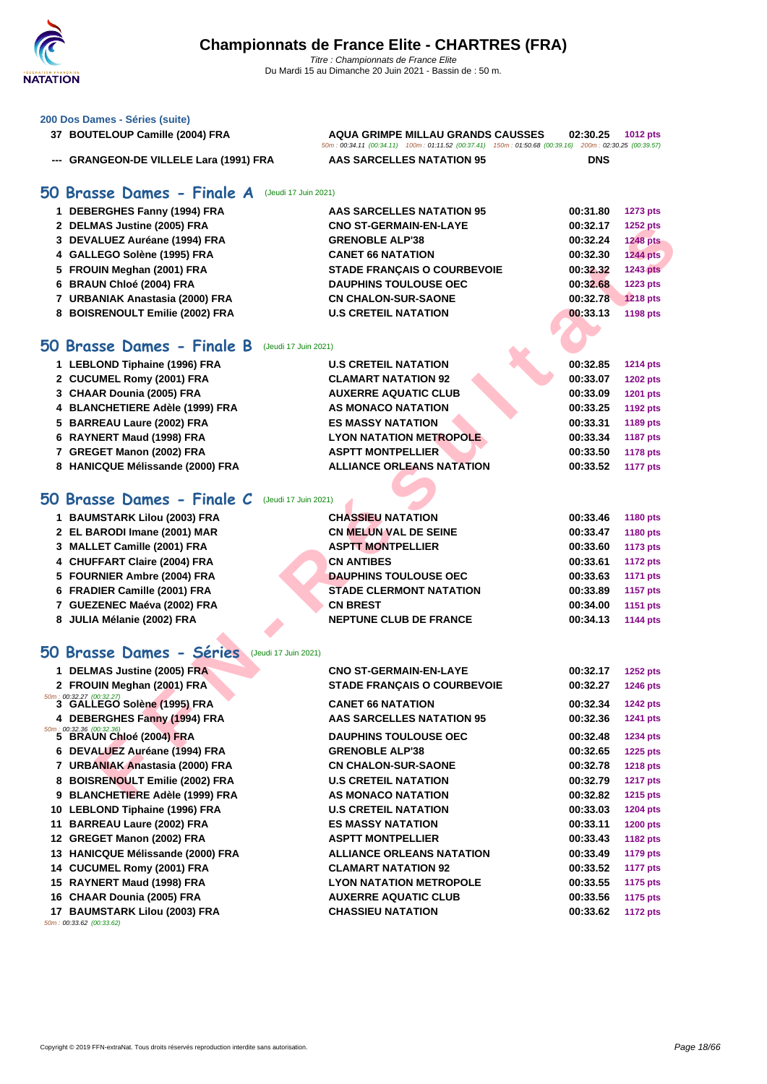#### **[200 Dos D](http://www.ffnatation.fr/webffn/index.php)ames - Séries (suite)**

| 37 BOUTELOUP Camille (2004) FRA         | AQUA GRIMPE MILLAU GRANDS CAUSSES                                                                      | 02:30.25<br><b>1012 pts</b> |
|-----------------------------------------|--------------------------------------------------------------------------------------------------------|-----------------------------|
|                                         | 50m: 00:34.11 (00:34.11) 100m: 01:11.52 (00:37.41) 150m: 01:50.68 (00:39.16) 200m: 02:30.25 (00:39.57) |                             |
| --- GRANGEON-DE VILLELE Lara (1991) FRA | AAS SARCELLES NATATION 95                                                                              | <b>DNS</b>                  |

### **50 Brasse Dames - Finale A** (Jeudi 17 Juin 2021)

| 1 DEBERGHES Fanny (1994) FRA    | AAS SARCELLES NATATION 95          | 00:31.80 | <b>1273 pts</b> |
|---------------------------------|------------------------------------|----------|-----------------|
| 2 DELMAS Justine (2005) FRA     | <b>CNO ST-GERMAIN-EN-LAYE</b>      | 00:32.17 | <b>1252 pts</b> |
| 3 DEVALUEZ Auréane (1994) FRA   | <b>GRENOBLE ALP'38</b>             | 00:32.24 | <b>1248 pts</b> |
| 4 GALLEGO Solène (1995) FRA     | <b>CANET 66 NATATION</b>           | 00:32.30 | <b>1244 pts</b> |
| 5 FROUIN Meghan (2001) FRA      | <b>STADE FRANCAIS O COURBEVOIE</b> | 00:32.32 | <b>1243 pts</b> |
| 6 BRAUN Chloé (2004) FRA        | <b>DAUPHINS TOULOUSE OEC</b>       | 00:32.68 | <b>1223 pts</b> |
| 7 URBANIAK Anastasia (2000) FRA | <b>CN CHALON-SUR-SAONE</b>         | 00:32.78 | <b>1218 pts</b> |
| 8 BOISRENOULT Emilie (2002) FRA | <b>U.S CRETEIL NATATION</b>        | 00:33.13 | 1198 pts        |

### **50 Brasse Dames - Finale B** (Jeudi 17 Juin 2021)

| 1 LEBLOND Tiphaine (1996) FRA    | <b>U.S CRETEIL NATATION</b>      | 00:32.85 | <b>1214 pts</b> |
|----------------------------------|----------------------------------|----------|-----------------|
| 2 CUCUMEL Romy (2001) FRA        | <b>CLAMART NATATION 92</b>       | 00:33.07 | <b>1202 pts</b> |
| 3 CHAAR Dounia (2005) FRA        | <b>AUXERRE AQUATIC CLUB</b>      | 00:33.09 | 1201 pts        |
| 4 BLANCHETIERE Adèle (1999) FRA  | <b>AS MONACO NATATION</b>        | 00:33.25 | 1192 pts        |
| 5 BARREAU Laure (2002) FRA       | <b>ES MASSY NATATION</b>         | 00:33.31 | 1189 pts        |
| 6 RAYNERT Maud (1998) FRA        | <b>LYON NATATION METROPOLE</b>   | 00:33.34 | <b>1187 pts</b> |
| 7 GREGET Manon (2002) FRA        | <b>ASPTT MONTPELLIER</b>         | 00:33.50 | 1178 pts        |
| 8 HANICQUE Mélissande (2000) FRA | <b>ALLIANCE ORLEANS NATATION</b> | 00:33.52 | <b>1177 pts</b> |
|                                  |                                  |          |                 |

# **50 Brasse Dames - Finale C** (Jeudi 17 Juin 2021)

| 1 BAUMSTARK Lilou (2003) FRA | <b>CHASSIEU NATATION</b>       | 00:33.46 | <b>1180 pts</b> |
|------------------------------|--------------------------------|----------|-----------------|
| 2 EL BARODI Imane (2001) MAR | <b>CN MELUN VAL DE SEINE</b>   | 00:33.47 | <b>1180 pts</b> |
| 3 MALLET Camille (2001) FRA  | <b>ASPTT MONTPELLIER</b>       | 00:33.60 | 1173 pts        |
| 4 CHUFFART Claire (2004) FRA | <b>CN ANTIBES</b>              | 00:33.61 | <b>1172 pts</b> |
| 5 FOURNIER Ambre (2004) FRA  | <b>DAUPHINS TOULOUSE OEC</b>   | 00:33.63 | 1171 pts        |
| 6 FRADIER Camille (2001) FRA | <b>STADE CLERMONT NATATION</b> | 00:33.89 | 1157 pts        |
| 7 GUEZENEC Maéva (2002) FRA  | <b>CN BREST</b>                | 00:34.00 | 1151 pts        |
| 8 JULIA Mélanie (2002) FRA   | <b>NEPTUNE CLUB DE FRANCE</b>  | 00:34.13 | <b>1144 pts</b> |
|                              |                                |          |                 |

### **50 Brasse Dames - Séries** (Jeudi 17 Juin 2021)

| 2 DELMAS Justine (2005) FRA                                      | <b>CNO ST-GERMAIN-EN-LAYE</b>      | 00:32.17 | 1252 pts                           |
|------------------------------------------------------------------|------------------------------------|----------|------------------------------------|
| 3 DEVALUEZ Auréane (1994) FRA                                    | <b>GRENOBLE ALP'38</b>             | 00:32.24 | <b>1248 pts</b>                    |
| 4 GALLEGO Solène (1995) FRA                                      | <b>CANET 66 NATATION</b>           | 00:32.30 | <b>1244 pts</b>                    |
| 5 FROUIN Meghan (2001) FRA                                       | <b>STADE FRANÇAIS O COURBEVOIE</b> | 00:32.32 | <b>1243 pts</b>                    |
| 6 BRAUN Chloé (2004) FRA                                         | <b>DAUPHINS TOULOUSE OEC</b>       | 00:32.68 | <b>1223 pts</b>                    |
| 7 URBANIAK Anastasia (2000) FRA                                  | <b>CN CHALON-SUR-SAONE</b>         | 00:32.78 | <b>1218 pts</b>                    |
| 8 BOISRENOULT Emilie (2002) FRA                                  | <b>U.S CRETEIL NATATION</b>        | 00:33.13 | <b>1198 pts</b>                    |
|                                                                  |                                    |          |                                    |
| 50 Brasse Dames - Finale B<br>(Jeudi 17 Juin 2021)               |                                    |          |                                    |
| 1 LEBLOND Tiphaine (1996) FRA                                    | <b>U.S CRETEIL NATATION</b>        | 00:32.85 | <b>1214 pts</b>                    |
| 2 CUCUMEL Romy (2001) FRA                                        | <b>CLAMART NATATION 92</b>         | 00:33.07 | <b>1202 pts</b>                    |
| 3 CHAAR Dounia (2005) FRA                                        | <b>AUXERRE AQUATIC CLUB</b>        | 00:33.09 | <b>1201 pts</b>                    |
| 4 BLANCHETIERE Adèle (1999) FRA                                  | <b>AS MONACO NATATION</b>          | 00:33.25 | <b>1192 pts</b>                    |
| 5 BARREAU Laure (2002) FRA                                       | <b>ES MASSY NATATION</b>           | 00:33.31 | 1189 pts                           |
| 6 RAYNERT Maud (1998) FRA                                        | <b>LYON NATATION METROPOLE</b>     | 00:33.34 | <b>1187 pts</b>                    |
| 7 GREGET Manon (2002) FRA                                        | <b>ASPTT MONTPELLIER</b>           | 00:33.50 | <b>1178 pts</b>                    |
| 8 HANICQUE Mélissande (2000) FRA                                 | <b>ALLIANCE ORLEANS NATATION</b>   | 00:33.52 | <b>1177 pts</b>                    |
|                                                                  |                                    |          |                                    |
| 50 Brasse Dames - Finale C<br>(Jeudi 17 Juin 2021)               |                                    |          |                                    |
|                                                                  | <b>CHASSIEU NATATION</b>           | 00:33.46 |                                    |
| 1 BAUMSTARK Lilou (2003) FRA<br>2 EL BARODI Imane (2001) MAR     | <b>CN MELUN VAL DE SEINE</b>       | 00:33.47 | 1180 pts                           |
| 3 MALLET Camille (2001) FRA                                      | <b>ASPTT MONTPELLIER</b>           | 00:33.60 | <b>1180 pts</b>                    |
|                                                                  | <b>CN ANTIBES</b>                  | 00:33.61 | <b>1173 pts</b><br><b>1172 pts</b> |
| 4 CHUFFART Claire (2004) FRA                                     |                                    |          | <b>1171 pts</b>                    |
| 5 FOURNIER Ambre (2004) FRA                                      | <b>DAUPHINS TOULOUSE OEC</b>       | 00:33.63 |                                    |
| 6 FRADIER Camille (2001) FRA                                     | <b>STADE CLERMONT NATATION</b>     | 00:33.89 | <b>1157 pts</b>                    |
| 7 GUEZENEC Maéva (2002) FRA                                      | <b>CN BREST</b>                    | 00:34.00 | 1151 pts                           |
| 8 JULIA Mélanie (2002) FRA                                       | <b>NEPTUNE CLUB DE FRANCE</b>      | 00:34.13 | 1144 pts                           |
|                                                                  |                                    |          |                                    |
| 50 Brasse Dames - Séries<br>(Jeudi 17 Juin 2021)                 |                                    |          |                                    |
| 1 DELMAS Justine (2005) FRA                                      | <b>CNO ST-GERMAIN-EN-LAYE</b>      | 00:32.17 | <b>1252 pts</b>                    |
| 2 FROUIN Meghan (2001) FRA                                       | <b>STADE FRANÇAIS O COURBEVOIE</b> | 00:32.27 | <b>1246 pts</b>                    |
| 50m; 00:32.27 (00:32.27)<br>3 GALLEGO Solène (1995) FRA          | <b>CANET 66 NATATION</b>           | 00:32.34 | <b>1242 pts</b>                    |
| 4 DEBERGHES Fanny (1994) FRA                                     | <b>AAS SARCELLES NATATION 95</b>   | 00:32.36 | <b>1241 pts</b>                    |
| $\frac{50m}{5}$ $\frac{00.32.36}{\text{BRAUN}}$ Chloé (2004) FRA | <b>DAUPHINS TOULOUSE OEC</b>       | 00:32.48 | 1234 pts                           |
| 6 DEVALUEZ Auréane (1994) FRA                                    | <b>GRENOBLE ALP'38</b>             | 00:32.65 | <b>1225 pts</b>                    |
| 7 URBANIAK Anastasia (2000) FRA                                  | <b>CN CHALON-SUR-SAONE</b>         | 00:32.78 | <b>1218 pts</b>                    |
| 8 BOISRENOULT Emilie (2002) FRA                                  | <b>U.S CRETEIL NATATION</b>        | 00:32.79 | <b>1217 pts</b>                    |
| 9 BLANCHETIERE Adèle (1999) FRA                                  | <b>AS MONACO NATATION</b>          | 00:32.82 | 1215 pts                           |
| 10 LEBLOND Tiphaine (1996) FRA                                   | <b>U.S CRETEIL NATATION</b>        | 00:33.03 | <b>1204 pts</b>                    |
| 11 BARREAU Laure (2002) FRA                                      | <b>ES MASSY NATATION</b>           | 00:33.11 | <b>1200 pts</b>                    |
| 12 GREGET Manon (2002) FRA                                       | <b>ASPTT MONTPELLIER</b>           | 00:33.43 | 1182 pts                           |
| 13 HANICQUE Mélissande (2000) FRA                                | <b>ALLIANCE ORLEANS NATATION</b>   | 00:33.49 | <b>1179 pts</b>                    |
| 14 CUCUMEL Romy (2001) FRA                                       | <b>CLAMART NATATION 92</b>         | 00:33.52 | <b>1177 pts</b>                    |
| 15 RAYNERT Maud (1998) FRA                                       | <b>LYON NATATION METROPOLE</b>     | 00:33.55 | 1175 pts                           |
| 16 CHAAR Dounia (2005) FRA                                       | <b>AUXERRE AQUATIC CLUB</b>        | 00:33.56 | 1175 pts                           |
| 17 BAUMSTARK Lilou (2003) FRA                                    | <b>CHASSIEU NATATION</b>           | 00:33.62 | <b>1172 pts</b>                    |
| 50m: 00:33.62 (00:33.62)                                         |                                    |          |                                    |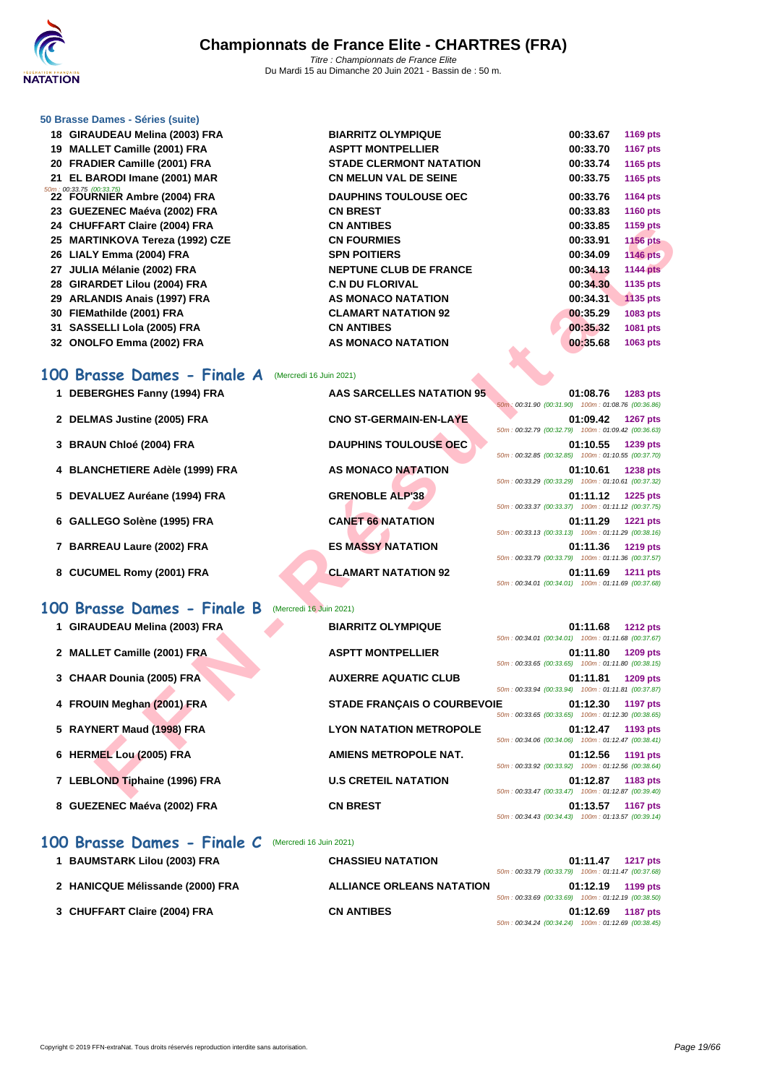

|    | 50 Brasse Dames - Séries (suite)                                 |                                |          |                 |
|----|------------------------------------------------------------------|--------------------------------|----------|-----------------|
|    | 18 GIRAUDEAU Melina (2003) FRA                                   | <b>BIARRITZ OLYMPIQUE</b>      | 00:33.67 | 1169 pts        |
|    | 19 MALLET Camille (2001) FRA                                     | <b>ASPTT MONTPELLIER</b>       | 00:33.70 | <b>1167 pts</b> |
|    | 20 FRADIER Camille (2001) FRA                                    | <b>STADE CLERMONT NATATION</b> | 00:33.74 | 1165 pts        |
|    | 21 EL BARODI Imane (2001) MAR                                    | <b>CN MELUN VAL DE SEINE</b>   | 00:33.75 | 1165 pts        |
|    | $\frac{50m}{22}$ $\frac{60.33.75}{22}$ FOURNIER Ambre (2004) FRA | <b>DAUPHINS TOULOUSE OEC</b>   | 00:33.76 | <b>1164 pts</b> |
|    | 23 GUEZENEC Maéva (2002) FRA                                     | <b>CN BREST</b>                | 00:33.83 | 1160 pts        |
|    | 24 CHUFFART Claire (2004) FRA                                    | <b>CN ANTIBES</b>              | 00:33.85 | 1159 pts        |
|    | 25 MARTINKOVA Tereza (1992) CZE                                  | <b>CN FOURMIES</b>             | 00:33.91 | <b>1156 pts</b> |
|    | 26 LIALY Emma (2004) FRA                                         | <b>SPN POITIERS</b>            | 00:34.09 | <b>1146 pts</b> |
| 27 | JULIA Mélanie (2002) FRA                                         | <b>NEPTUNE CLUB DE FRANCE</b>  | 00:34.13 | <b>1144 pts</b> |
| 28 | <b>GIRARDET Lilou (2004) FRA</b>                                 | <b>C.N DU FLORIVAL</b>         | 00:34.30 | 1135 pts        |
| 29 | <b>ARLANDIS Anais (1997) FRA</b>                                 | AS MONACO NATATION             | 00:34.31 | <b>1135 pts</b> |
| 30 | FIEMathilde (2001) FRA                                           | <b>CLAMART NATATION 92</b>     | 00:35.29 | 1083 pts        |
|    | 31 SASSELLI Lola (2005) FRA                                      | <b>CN ANTIBES</b>              | 00:35.32 | 1081 pts        |
|    | 32 ONOLFO Emma (2002) FRA                                        | AS MONACO NATATION<br><b>A</b> | 00:35.68 | 1063 pts        |

#### **100 Brasse Dames - Finale A** (Mercredi 16 Juin 2021)

| 24 CHUFFART Claire (2004) FRA                         | <b>CN ANTIBES</b>                  | 00:33.85<br>1159 pts                                                              |
|-------------------------------------------------------|------------------------------------|-----------------------------------------------------------------------------------|
| 25 MARTINKOVA Tereza (1992) CZE                       | <b>CN FOURMIES</b>                 | 00:33.91<br><b>1156 pts</b>                                                       |
| 26 LIALY Emma (2004) FRA                              | <b>SPN POITIERS</b>                | 00:34.09<br><b>1146 pts</b>                                                       |
| 27 JULIA Mélanie (2002) FRA                           | <b>NEPTUNE CLUB DE FRANCE</b>      | 00:34.13<br><b>1144 pts</b>                                                       |
| 28 GIRARDET Lilou (2004) FRA                          | <b>C.N DU FLORIVAL</b>             | 00:34.30<br>1135 pts                                                              |
| 29 ARLANDIS Anais (1997) FRA                          | AS MONACO NATATION                 | 00:34.31<br><b>1135 pts</b>                                                       |
| 30 FIEMathilde (2001) FRA                             | <b>CLAMART NATATION 92</b>         | 00:35.29<br>1083 pts                                                              |
| 31 SASSELLI Lola (2005) FRA                           | <b>CN ANTIBES</b>                  | 00:35.32<br>1081 pts                                                              |
| 32 ONOLFO Emma (2002) FRA                             | AS MONACO NATATION                 | 00:35.68<br>1063 pts                                                              |
|                                                       |                                    |                                                                                   |
| 00 Brasse Dames - Finale A<br>(Mercredi 16 Juin 2021) |                                    |                                                                                   |
| 1 DEBERGHES Fanny (1994) FRA                          | AAS SARCELLES NATATION 95          | 01:08.76<br>1283 pts                                                              |
|                                                       |                                    | 50m: 00:31.90 (00:31.90) 100m: 01:08.76 (00:36.86)                                |
| 2 DELMAS Justine (2005) FRA                           | <b>CNO ST-GERMAIN-EN-LAYE</b>      | 01:09.42<br><b>1267 pts</b>                                                       |
|                                                       |                                    | 50m: 00:32.79 (00:32.79) 100m: 01:09.42 (00:36.63)                                |
| 3 BRAUN Chloé (2004) FRA                              | <b>DAUPHINS TOULOUSE OEC</b>       | 01:10.55<br>1239 pts<br>50m: 00:32.85 (00:32.85) 100m: 01:10.55 (00:37.70)        |
| 4 BLANCHETIERE Adèle (1999) FRA                       | AS MONACO NATATION                 | 01:10.61<br>1238 pts                                                              |
|                                                       |                                    | 50m: 00:33.29 (00:33.29) 100m: 01:10.61 (00:37.32)                                |
| 5 DEVALUEZ Auréane (1994) FRA                         | <b>GRENOBLE ALP'38</b>             | 01:11.12<br><b>1225 pts</b>                                                       |
|                                                       |                                    | 50m: 00:33.37 (00:33.37) 100m: 01:11.12 (00:37.75)                                |
| 6 GALLEGO Solène (1995) FRA                           | <b>CANET 66 NATATION</b>           | 01:11.29<br><b>1221 pts</b><br>50m: 00:33.13 (00:33.13) 100m: 01:11.29 (00:38.16) |
| 7 BARREAU Laure (2002) FRA                            | <b>ES MASSY NATATION</b>           | 01:11.36<br><b>1219 pts</b>                                                       |
|                                                       |                                    | 50m: 00:33.79 (00:33.79) 100m: 01:11.36 (00:37.57)                                |
| 8 CUCUMEL Romy (2001) FRA                             | <b>CLAMART NATATION 92</b>         | 01:11.69<br><b>1211 pts</b>                                                       |
|                                                       |                                    | 50m: 00:34.01 (00:34.01) 100m: 01:11.69 (00:37.68)                                |
| 00 Brasse Dames - Finale B<br>(Mercredi 16 Juin 2021) |                                    |                                                                                   |
|                                                       | <b>BIARRITZ OLYMPIQUE</b>          |                                                                                   |
| 1 GIRAUDEAU Melina (2003) FRA                         |                                    | 01:11.68<br><b>1212 pts</b><br>50m: 00:34.01 (00:34.01) 100m: 01:11.68 (00:37.67) |
| 2 MALLET Camille (2001) FRA                           | <b>ASPTT MONTPELLIER</b>           | 01:11.80<br><b>1209 pts</b>                                                       |
|                                                       |                                    | 50m: 00:33.65 (00:33.65) 100m: 01:11.80 (00:38.15)                                |
| 3 CHAAR Dounia (2005) FRA                             | <b>AUXERRE AQUATIC CLUB</b>        | 01:11.81<br><b>1209 pts</b>                                                       |
|                                                       |                                    | 50m: 00:33.94 (00:33.94) 100m: 01:11.81 (00:37.87)                                |
| 4 FROUIN Meghan (2001) FRA                            | <b>STADE FRANÇAIS O COURBEVOIE</b> | 01:12.30<br>1197 pts<br>50m: 00:33.65 (00:33.65) 100m: 01:12.30 (00:38.65)        |
| 5 RAYNERT Maud (1998) FRA                             | <b>LYON NATATION METROPOLE</b>     | 01:12.47<br>1193 pts                                                              |
|                                                       |                                    | 50m: 00:34.06 (00:34.06) 100m: 01:12.47 (00:38.41)                                |
| 6 HERMEL Lou (2005) FRA                               | <b>AMIENS METROPOLE NAT.</b>       | 01:12.56<br>1191 pts                                                              |
|                                                       |                                    | 50m: 00:33.92 (00:33.92) 100m: 01:12.56 (00:38.64)                                |
| 7 LEBLOND Tiphaine (1996) FRA                         | <b>U.S CRETEIL NATATION</b>        | 01:12.87<br>1183 pts<br>50m: 00:33.47 (00:33.47) 100m: 01:12.87 (00:39.40)        |
|                                                       |                                    |                                                                                   |

### **100 Brasse Dames - Finale B** (Mercredi 16 Juin 2021)

| 1 GIRAUDEAU Melina (2003) FRA | <b>BIARRITZ OLYMPIQUE</b>          | <b>1212 pts</b><br>01:11.68                                                       |
|-------------------------------|------------------------------------|-----------------------------------------------------------------------------------|
| 2 MALLET Camille (2001) FRA   | <b>ASPTT MONTPELLIER</b>           | 50m: 00:34.01 (00:34.01) 100m: 01:11.68 (00:37.67)<br>01:11.80<br><b>1209 pts</b> |
| 3 CHAAR Dounia (2005) FRA     | <b>AUXERRE AQUATIC CLUB</b>        | 50m: 00:33.65 (00:33.65) 100m: 01:11.80 (00:38.15)<br>01:11.81<br><b>1209 pts</b> |
|                               |                                    | 50m: 00:33.94 (00:33.94) 100m: 01:11.81 (00:37.87)                                |
| 4 FROUIN Meghan (2001) FRA    | <b>STADE FRANCAIS O COURBEVOIE</b> | 01:12.30<br><b>1197 pts</b><br>50m: 00:33.65 (00:33.65) 100m: 01:12.30 (00:38.65) |
| 5 RAYNERT Maud (1998) FRA     | <b>LYON NATATION METROPOLE</b>     | 01:12.47<br>1193 pts<br>50m: 00:34.06 (00:34.06) 100m: 01:12.47 (00:38.41)        |
| 6 HERMEL Lou (2005) FRA       | AMIENS METROPOLE NAT.              | 01:12.56<br><b>1191 pts</b><br>50m: 00:33.92 (00:33.92) 100m: 01:12.56 (00:38.64) |
| 7 LEBLOND Tiphaine (1996) FRA | <b>U.S CRETEIL NATATION</b>        | 01:12.87<br>1183 pts<br>50m: 00:33.47 (00:33.47) 100m: 01:12.87 (00:39.40)        |
| 8 GUEZENEC Maéva (2002) FRA   | <b>CN BREST</b>                    | 01:13.57<br><b>1167 pts</b><br>50m: 00:34.43 (00:34.43) 100m: 01:13.57 (00:39.14) |

### **100 Brasse Dames - Finale C** (Mercredi 16 Juin 2021)

| 1 BAUMSTARK Lilou (2003) FRA     | <b>CHASSIEU NATATION</b>         |                                                    | 01:11.47 | <b>1217 pts</b> |
|----------------------------------|----------------------------------|----------------------------------------------------|----------|-----------------|
|                                  |                                  | 50m: 00:33.79 (00:33.79) 100m: 01:11.47 (00:37.68) |          |                 |
| 2 HANICQUE Mélissande (2000) FRA | <b>ALLIANCE ORLEANS NATATION</b> |                                                    | 01:12.19 | 1199 pts        |
|                                  |                                  | 50m: 00:33.69 (00:33.69) 100m: 01:12.19 (00:38.50) |          |                 |
| 3 CHUFFART Claire (2004) FRA     | <b>CN ANTIBES</b>                |                                                    | 01:12.69 | <b>1187 pts</b> |
|                                  |                                  | 50m: 00:34.24 (00:34.24) 100m: 01:12.69 (00:38.45) |          |                 |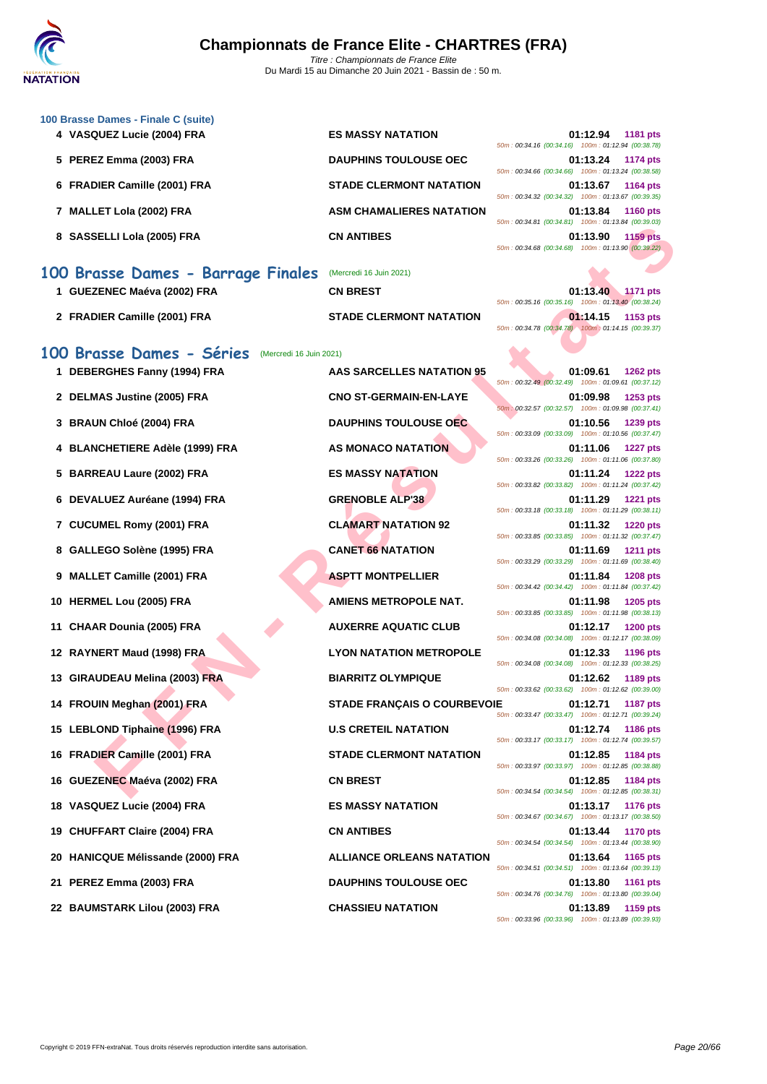

| 100 Brasse Dames - Finale C (suite)<br>4 VASQUEZ Lucie (2004) FRA | <b>ES MASSY NATATION</b>           | 01:12.94<br><b>1181 pts</b>                                                                                                      |
|-------------------------------------------------------------------|------------------------------------|----------------------------------------------------------------------------------------------------------------------------------|
| 5 PEREZ Emma (2003) FRA                                           | <b>DAUPHINS TOULOUSE OEC</b>       | 50m: 00:34.16 (00:34.16) 100m: 01:12.94 (00:38.78)<br>01:13.24<br><b>1174 pts</b>                                                |
| 6 FRADIER Camille (2001) FRA                                      | <b>STADE CLERMONT NATATION</b>     | 50m: 00:34.66 (00:34.66) 100m: 01:13.24 (00:38.58)<br>01:13.67<br>1164 pts<br>50m: 00:34.32 (00:34.32) 100m: 01:13.67 (00:39.35) |
| 7 MALLET Lola (2002) FRA                                          | <b>ASM CHAMALIERES NATATION</b>    | 01:13.84<br><b>1160 pts</b><br>50m: 00:34.81 (00:34.81) 100m: 01:13.84 (00:39.03)                                                |
| 8 SASSELLI Lola (2005) FRA                                        | <b>CN ANTIBES</b>                  | 01:13.90<br><b>1159 pts</b><br>50m: 00:34.68 (00:34.68) 100m: 01:13.90 (00:39.22)                                                |
| 100 Brasse Dames - Barrage Finales                                | (Mercredi 16 Juin 2021)            |                                                                                                                                  |
| 1 GUEZENEC Maéva (2002) FRA                                       | <b>CN BREST</b>                    | 01:13.40<br>1171 pts<br>50m: 00:35.16 (00:35.16) 100m: 01:13.40 (00:38.24)                                                       |
| 2 FRADIER Camille (2001) FRA                                      | <b>STADE CLERMONT NATATION</b>     | 01:14.15<br>1153 pts<br>50m: 00:34.78 (00:34.78) 100m: 01:14.15 (00:39.37)                                                       |
| 100 Brasse Dames - Séries<br>(Mercredi 16 Juin 2021)              |                                    |                                                                                                                                  |
| 1 DEBERGHES Fanny (1994) FRA                                      | AAS SARCELLES NATATION 95          | 01:09.61<br><b>1262 pts</b><br>50m: 00:32.49 (00:32.49) 100m: 01:09.61 (00:37.12)                                                |
| 2 DELMAS Justine (2005) FRA                                       | <b>CNO ST-GERMAIN-EN-LAYE</b>      | 01:09.98<br>1253 pts<br>50m: 00:32.57 (00:32.57) 100m: 01:09.98 (00:37.41)                                                       |
| 3 BRAUN Chloé (2004) FRA                                          | <b>DAUPHINS TOULOUSE OEC</b>       | 01:10.56<br><b>1239 pts</b><br>50m: 00:33.09 (00:33.09) 100m: 01:10.56 (00:37.47)                                                |
| 4 BLANCHETIERE Adèle (1999) FRA                                   | <b>AS MONACO NATATION</b>          | 01:11.06<br><b>1227 pts</b><br>50m: 00:33.26 (00:33.26) 100m: 01:11.06 (00:37.80)                                                |
| <b>BARREAU Laure (2002) FRA</b><br>5                              | <b>ES MASSY NATATION</b>           | 01:11.24<br><b>1222 pts</b><br>50m: 00:33.82 (00:33.82) 100m: 01:11.24 (00:37.42)                                                |
| 6 DEVALUEZ Auréane (1994) FRA                                     | <b>GRENOBLE ALP'38</b>             | 01:11.29<br><b>1221 pts</b><br>50m: 00:33.18 (00:33.18) 100m: 01:11.29 (00:38.11)                                                |
| 7 CUCUMEL Romy (2001) FRA                                         | <b>CLAMART NATATION 92</b>         | 01:11.32<br>1220 pts<br>50m: 00:33.85 (00:33.85) 100m: 01:11.32 (00:37.47)                                                       |
| GALLEGO Solène (1995) FRA<br>8                                    | <b>CANET 66 NATATION</b>           | 01:11.69<br><b>1211 pts</b><br>50m: 00:33.29 (00:33.29) 100m: 01:11.69 (00:38.40)                                                |
| 9 MALLET Camille (2001) FRA                                       | <b>ASPTT MONTPELLIER</b>           | 01:11.84<br><b>1208 pts</b><br>50m: 00:34.42 (00:34.42) 100m: 01:11.84 (00:37.42)                                                |
| 10 HERMEL Lou (2005) FRA                                          | <b>AMIENS METROPOLE NAT.</b>       | 01:11.98<br><b>1205 pts</b><br>50m: 00:33.85 (00:33.85) 100m: 01:11.98 (00:38.13)                                                |
| 11 CHAAR Dounia (2005) FRA                                        | <b>AUXERRE AQUATIC CLUB</b>        | 01:12.17<br><b>1200 pts</b><br>50m: 00:34.08 (00:34.08) 100m: 01:12.17 (00:38.09)                                                |
| 12 RAYNERT Maud (1998) FRA                                        | <b>LYON NATATION METROPOLE</b>     | 01:12.33<br>1196 pts<br>50m: 00:34.08 (00:34.08) 100m: 01:12.33 (00:38.25)                                                       |
| 13 GIRAUDEAU Melina (2003) FRA                                    | <b>BIARRITZ OLYMPIQUE</b>          | 01:12.62<br>1189 pts<br>50m: 00:33.62 (00:33.62) 100m: 01:12.62 (00:39.00)                                                       |
| 14 FROUIN Meghan (2001) FRA                                       | <b>STADE FRANÇAIS O COURBEVOIE</b> | 01:12.71<br>1187 pts<br>50m: 00:33.47 (00:33.47) 100m: 01:12.71 (00:39.24)                                                       |
| 15 LEBLOND Tiphaine (1996) FRA                                    | <b>U.S CRETEIL NATATION</b>        | 01:12.74<br>1186 pts<br>50m: 00:33.17 (00:33.17) 100m: 01:12.74 (00:39.57)                                                       |
| 16 FRADIER Camille (2001) FRA                                     | <b>STADE CLERMONT NATATION</b>     | 01:12.85<br>1184 pts<br>50m: 00:33.97 (00:33.97) 100m: 01:12.85 (00:38.88)                                                       |
| 16 GUEZENEC Maéva (2002) FRA                                      | <b>CN BREST</b>                    | 01:12.85<br>1184 pts<br>50m: 00:34.54 (00:34.54) 100m: 01:12.85 (00:38.31)                                                       |

**18 VASQUEZ Lucie (2004) FRA ES MASSY NATATION 01:13.17 1176 pts**

**19 CHUFFART Claire (2004) FRA CN ANTIBES 01:13.44 1170 pts**

50m : 00:34.54 (00:34.54) 100m : 01:13.44 (00:38.90) **20 HANICQUE Mélissande (2000) FRA ALLIANCE ORLEANS NATATION 01:13.64 1165 pts** 50m : 00:34.51 (00:34.51) 100m : 01:13.64 (00:39.13) **21 PEREZ Emma (2003) FRA DAUPHINS TOULOUSE OEC 01:13.80 1161 pts** 50m : 00:34.76 (00:34.76) 100m : 01:13.80 (00:39.04) **22 BAUMSTARK Lilou (2003) FRA CHASSIEU NATATION 01:13.89 1159 pts** 50m : 00:33.96 (00:33.96) 100m : 01:13.89 (00:39.93)

50m : 00:34.67 (00:34.67) 100m : 01:13.17 (00:38.50)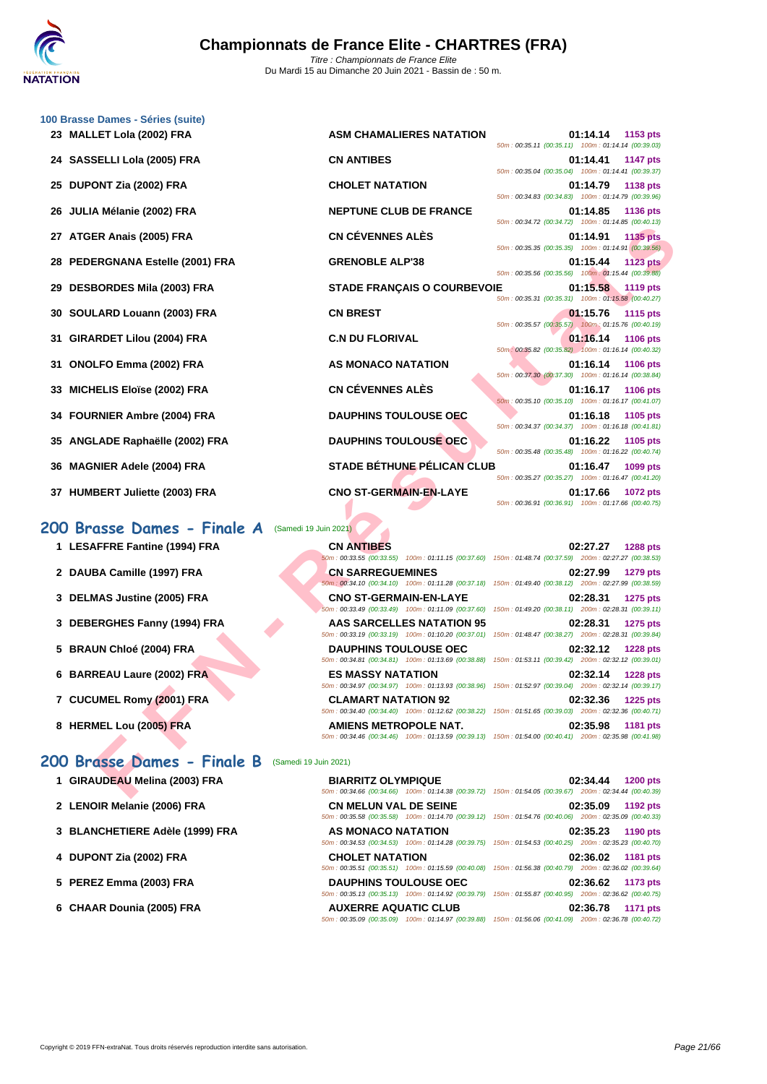

|    | 100 Brasse Dames - Séries (suite)                    |                                                                                                                                                                                                                                                          |                                                                                                                                       |
|----|------------------------------------------------------|----------------------------------------------------------------------------------------------------------------------------------------------------------------------------------------------------------------------------------------------------------|---------------------------------------------------------------------------------------------------------------------------------------|
|    | 23 MALLET Lola (2002) FRA                            | <b>ASM CHAMALIERES NATATION</b>                                                                                                                                                                                                                          | 01:14.14<br>1153 pts<br>50m: 00:35.11 (00:35.11) 100m: 01:14.14 (00:39.03)                                                            |
|    | 24 SASSELLI Lola (2005) FRA                          | <b>CN ANTIBES</b>                                                                                                                                                                                                                                        | 01:14.41<br><b>1147 pts</b><br>50m: 00:35.04 (00:35.04) 100m: 01:14.41 (00:39.37)                                                     |
| 25 | DUPONT Zia (2002) FRA                                | <b>CHOLET NATATION</b>                                                                                                                                                                                                                                   | 01:14.79<br>1138 pts<br>50m: 00:34.83 (00:34.83) 100m: 01:14.79 (00:39.96)                                                            |
| 26 | JULIA Mélanie (2002) FRA                             | <b>NEPTUNE CLUB DE FRANCE</b>                                                                                                                                                                                                                            | 01:14.85<br><b>1136 pts</b>                                                                                                           |
|    | 27 ATGER Anais (2005) FRA                            | <b>CN CÉVENNES ALÈS</b>                                                                                                                                                                                                                                  | 50m: 00:34.72 (00:34.72) 100m: 01:14.85 (00:40.13)<br>01:14.91<br><b>1135 pts</b>                                                     |
| 28 | PEDERGNANA Estelle (2001) FRA                        | <b>GRENOBLE ALP'38</b>                                                                                                                                                                                                                                   | 50m: 00:35.35 (00:35.35) 100m: 01:14.91 (00:39.56)<br>01:15.44<br><b>1123 pts</b>                                                     |
| 29 | <b>DESBORDES Mila (2003) FRA</b>                     | <b>STADE FRANÇAIS O COURBEVOIE</b>                                                                                                                                                                                                                       | 50m: 00:35.56 (00:35.56) 100m: 01:15.44 (00:39.88)<br>01:15.58 1119 pts                                                               |
| 30 | SOULARD Louann (2003) FRA                            | <b>CN BREST</b>                                                                                                                                                                                                                                          | 50m: 00:35.31 (00:35.31) 100m: 01:15.58 (00:40.27)<br>01:15.76<br><b>1115 pts</b>                                                     |
| 31 | GIRARDET Lilou (2004) FRA                            | <b>C.N DU FLORIVAL</b>                                                                                                                                                                                                                                   | 50m: 00:35.57 (00:35.57) 100m: 01:15.76 (00:40.19)<br>01:16.14<br><b>1106 pts</b>                                                     |
| 31 | <b>ONOLFO Emma (2002) FRA</b>                        | <b>AS MONACO NATATION</b>                                                                                                                                                                                                                                | 50m: 00:35.82 (00:35.82) 100m: 01:16.14 (00:40.32)<br>01:16.14<br><b>1106 pts</b>                                                     |
|    |                                                      | <b>CN CÉVENNES ALÈS</b>                                                                                                                                                                                                                                  | 50m: 00:37.30 (00:37.30) 100m: 01:16.14 (00:38.84)                                                                                    |
| 33 | <b>MICHELIS Eloïse (2002) FRA</b>                    |                                                                                                                                                                                                                                                          | 01:16.17<br>1106 pts<br>50m: 00:35.10 (00:35.10) 100m: 01:16.17 (00:41.07)                                                            |
| 34 | <b>FOURNIER Ambre (2004) FRA</b>                     | <b>DAUPHINS TOULOUSE OEC</b>                                                                                                                                                                                                                             | 01:16.18<br>1105 pts<br>50m: 00:34.37 (00:34.37) 100m: 01:16.18 (00:41.81)                                                            |
| 35 | ANGLADE Raphaëlle (2002) FRA                         | <b>DAUPHINS TOULOUSE OEC</b>                                                                                                                                                                                                                             | 01:16.22<br>1105 pts<br>50m: 00:35.48 (00:35.48) 100m: 01:16.22 (00:40.74)                                                            |
| 36 | <b>MAGNIER Adele (2004) FRA</b>                      | <b>STADE BÉTHUNE PÉLICAN CLUB</b>                                                                                                                                                                                                                        | 01:16.47<br>1099 pts<br>50m: 00:35.27 (00:35.27) 100m: 01:16.47 (00:41.20)                                                            |
|    | 37 HUMBERT Juliette (2003) FRA                       | <b>CNO ST-GERMAIN-EN-LAYE</b>                                                                                                                                                                                                                            | 01:17.66<br><b>1072 pts</b><br>50m: 00:36.91 (00:36.91) 100m: 01:17.66 (00:40.75)                                                     |
|    | 200 Brasse Dames - Finale A<br>(Samedi 19 Juin 2021) |                                                                                                                                                                                                                                                          |                                                                                                                                       |
|    | 1 LESAFFRE Fantine (1994) FRA                        | <b>CN ANTIBES</b>                                                                                                                                                                                                                                        | 02:27.27<br><b>1288 pts</b>                                                                                                           |
|    | 2 DAUBA Camille (1997) FRA                           | 50m: 00:33.55 (00:33.55) 100m: 01:11.15 (00:37.60) 150m: 01:48.74 (00:37.59) 200m: 02:27.27 (00:38.53)<br><b>CN SARREGUEMINES</b>                                                                                                                        | 02:27.99<br>1279 pts                                                                                                                  |
|    |                                                      | 50m: 00:34.10 (00:34.10) 100m: 01:11.28 (00:37.18) 150m: 01:49.40 (00:38.12) 200m: 02:27.99 (00:38.59)                                                                                                                                                   |                                                                                                                                       |
|    | 3 DELMAS Justine (2005) FRA                          | <b>CNO ST-GERMAIN-EN-LAYE</b><br>50m: 00:33.49 (00:33.49) 100m: 01:11.09 (00:37.60)                                                                                                                                                                      | 02:28.31<br><b>1275 pts</b><br>150m: 01:49.20 (00:38.11) 200m: 02:28.31 (00:39.11)                                                    |
|    | 3 DEBERGHES Fanny (1994) FRA                         | <b>AAS SARCELLES NATATION 95</b><br>50m: 00:33.19 (00:33.19) 100m: 01:10.20 (00:37.01)                                                                                                                                                                   | 02:28.31<br>1275 pts<br>150m: 01:48.47 (00:38.27) 200m: 02:28.31 (00:39.84)                                                           |
|    | 5 BRAUN Chloé (2004) FRA                             | <b>DAUPHINS TOULOUSE OEC</b>                                                                                                                                                                                                                             | 02:32.12<br><b>1228 pts</b><br>50m: 00:34.81 (00:34.81) 100m: 01:13.69 (00:38.88) 150m: 01:53.11 (00:39.42) 200m: 02:32.12 (00:39.01) |
|    | 6 BARREAU Laure (2002) FRA                           | <b>ES MASSY NATATION</b><br>50m: 00:34.97 (00:34.97) 100m: 01:13.93 (00:38.96) 150m: 01:52.97 (00:39.04) 200m: 02:32.14 (00:39.17)                                                                                                                       | 02:32.14<br><b>1228 pts</b>                                                                                                           |
|    | 7 CUCUMEL Romy (2001) FRA                            | <b>CLAMART NATATION 92</b>                                                                                                                                                                                                                               | 02:32.36<br><b>1225 pts</b>                                                                                                           |
|    | 8 HERMEL Lou (2005) FRA                              | 50m : 00:34.40 (00:34.40) 100m : 01:12.62 (00:38.22) 150m : 01:51.65 (00:39.03) 200m : 02:32.36 (00:40.71)<br><b>AMIENS METROPOLE NAT.</b><br>50m : 00:34.46 (00:34.46) 100m : 01:13.59 (00:39.13) 150m : 01:54.00 (00:40.41) 200m : 02:35.98 (00:41.98) | 02:35.98<br>1181 pts                                                                                                                  |
|    | 200 Brasse Dames - Finale B<br>(Samedi 19 Juin 2021) |                                                                                                                                                                                                                                                          |                                                                                                                                       |
|    | 1 GIRAUDEAU Melina (2003) FRA                        | <b>BIARRITZ OLYMPIQUE</b>                                                                                                                                                                                                                                | 02:34.44<br><b>1200 pts</b>                                                                                                           |
|    |                                                      | 50m : 00:34.66 (00:34.66) 100m : 01:14.38 (00:39.72) 150m : 01:54.05 (00:39.67) 200m : 02:34.44 (00:40.39)                                                                                                                                               |                                                                                                                                       |

#### **200 Brasse Dames - Finale A** (Samedi 19 Juin 2021)

- 
- 
- 
- 
- 
- 
- 
- 

## **1 LESAFFRE Fantine (1994) FRA CN ANTIBES 02:27.27 1288 pts 2 DAUBA Camille (1997) FRA CN SARREGUEMINES 02:27.99 1279 pts 3 DELMAS Justine (2005) FRA CNO ST-GERMAIN-EN-LAYE 02:28.31 1275 pts 3 DEBERGHES Fanny (1994) FRA AAS SARCELLES NATATION 95 02:28.31 1275 pts 5 BRAUN Chloé (2004) FRA DAUPHINS TOULOUSE OEC 02:32.12 1228 pts 6 BARREAU Laure (2002) FRA ES MASSY NATATION 02:32.14 1228 pts** 50m : 00:34.97 (00:34.97) 100m : 01:13.93 (00:38.96) 150m : 01:52.97 (00:39.04) 200m : 02:32.14 (00:39.17) **7 CUCUMEL Romy (2001) FRA CLAMART NATATION 92 02:32.36 1225 pts 8 HERMEL Lou (2005) FRA AMIENS METROPOLE NAT. 02:35.98 1181 pts** 50m : 00:34.46 (00:34.46) 100m : 01:13.59 (00:39.13) 150m : 01:54.00 (00:40.41) 200m : 02:35.98 (00:41.98)

# $: 01:16.18 (00:41.81)$  $\frac{1}{10}$ : 01:16.22 (00:40.74) n : 01:16.47 (00:41.20) 50m : 00:36.91 (00:36.91) 100m : 01:17.66 (00:40.75) 50m : 00:33.55 (00:33.55) 100m : 01:11.15 (00:37.60) 150m : 01:48.74 (00:37.59) 200m : 02:27.27 (00:38.53) 50m : 00:34.10 (00:34.10) 100m : 01:11.28 (00:37.18) 150m : 01:49.40 (00:38.12) 200m : 02:27.99 (00:38.59) 50m : 00:33.49 (00:33.49) 100m : 01:11.09 (00:37.60) 150m : 01:49.20 (00:38.11) 200m : 02:28.31 (00:39.11) 50m : 00:33.19 (00:33.19) 100m : 01:10.20 (00:37.01) 150m : 01:48.47 (00:38.27) 200m : 02:28.31 (00:39.84) 50m : 00:34.81 (00:34.81) 100m : 01:13.69 (00:38.88) 150m : 01:53.11 (00:39.42) 200m : 02:32.12 (00:39.01) 50m : 00:34.40 (00:34.40) 100m : 01:12.62 (00:38.22) 150m : 01:51.65 (00:39.03) 200m : 02:32.36 (00:40.71)

- **1 GIRAUDEAU Melina (2003) FRA BIARRITZ OLYMPIQUE 02:34.44 1200 pts**
- 
- **3 [BLANCHETIERE Adèle \(1999\) FRA](http://www.ffnatation.fr/webffn/resultats.php?idact=nat&go=epr&idcpt=70185&idepr=23) AS MONACO NATATION 02:35.23 1190 pts**
- 
- 
- 

50m : 00:34.66 (00:34.66) 100m : 01:14.38 (00:39.72) 150m : 01:54.05 (00:39.67) 200m : 02:34.44 (00:40.39) **2 LENOIR Melanie (2006) FRA CN MELUN VAL DE SEINE 02:35.09 1192 pts** 50m : 00:35.58 (00:35.58) 100m : 01:14.70 (00:39.12) 150m : 01:54.76 (00:40.06) 200m : 02:35.09 (00:40.33) 50m : 00:34.53 (00:34.53) 100m : 01:14.28 (00:39.75) 150m : 01:54.53 (00:40.25) 200m : 02:35.23 (00:40.70) **4 DUPONT Zia (2002) FRA CHOLET NATATION 02:36.02 1181 pts** 50m : 00:35.51 (00:35.51) 100m : 01:15.59 (00:40.08) 150m : 01:56.38 (00:40.79) 200m : 02:36.02 (00:39.64) **5 PEREZ Emma (2003) FRA DAUPHINS TOULOUSE OEC 02:36.62 1173 pts** 50m : 00:35.13 (00:35.13) 100m : 01:14.92 (00:39.79) 150m : 01:55.87 (00:40.95) 200m : 02:36.62 (00:40.75) **6 CHAAR Dounia (2005) FRA AUXERRE AQUATIC CLUB 02:36.78 1171 pts** 50m : 00:35.09 (00:35.09) 100m : 01:14.97 (00:39.88) 150m : 01:56.06 (00:41.09) 200m : 02:36.78 (00:40.72)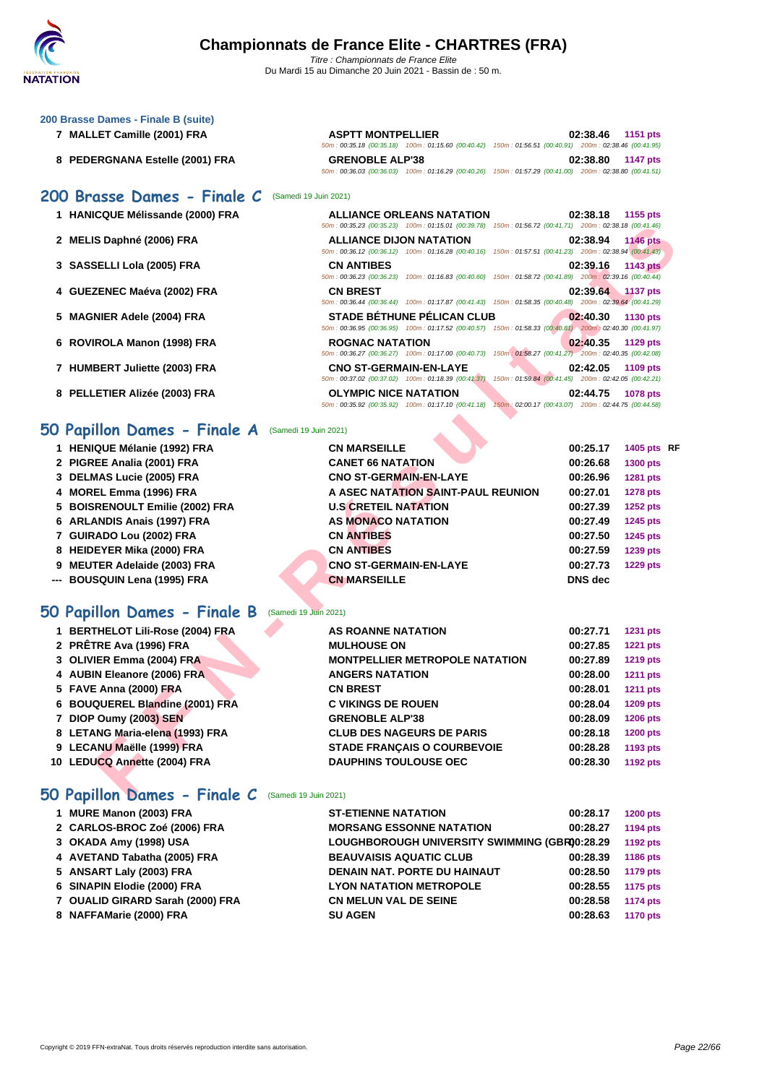50m : 00:35.18 (00:35.18) 100m : 01:15.60 (00:40.42) 150m : 01:56.51 (00:40.91) 200m : 02:38.46 (00:41.95)

50m : 00:36.03 (00:36.03) 100m : 01:16.29 (00:40.26) 150m : 01:57.29 (00:41.00) 200m : 02:38.80 (00:41.51)

50m : 00:35.23 (00:35.23) 100m : 01:15.01 (00:39.78) 150m : 01:56.72 (00:41.71) 200m : 02:38.18 (00:41.46)

### **[200 Brass](http://www.ffnatation.fr/webffn/index.php)e Dames - Finale B (suite)**

- **MALLET Camille (2001) FRA ASPTT MONTPELLIER 02:38.46 1151 pts**
- **PEDERGNANA Estelle (2001) FRA GRENOBLE ALP'38 02:38.80 1147 pts**

### **200 Brasse Dames - Finale C** (Samedi 19 Juin 2021)

- **HANICQUE Mélissande (2000) FRA ALLIANCE ORLEANS NATATION 02:38.18 1155 pts**
- **MELIS Daphné (2006) FRA ALLIANCE DIJON NATATION 02:38.94 1146 pts**
- **SASSELLI Lola (2005) FRA CN ANTIBES 02:39.16 1143 pts**
- **GUEZENEC Maéva (2002) FRA CN BREST 02:39.64 1137 pts**
- **MAGNIER Adele (2004) FRA STADE BÉTHUNE PÉLICAN CLUB 02:40.30 1130 pts**
- **ROVIROLA Manon (1998) FRA ROGNAC NATATION 02:40.35 1129 pts**
- **HUMBERT Juliette (2003) FRA CNO ST-GERMAIN-EN-LAYE 02:42.05 1109 pts**
- **PELLETIER Alizée (2003) FRA OLYMPIC NICE NATATION 02:44.75 1078 pts**

### **50 Papillon Dames - Finale A** (Samedi 19 Juin 2021)

|                                                         | 50m: 00:35.23 (00:35.23) 100m: 01:15.01 (00:39.78) 150m: 01:56.72 (00:41.71) 200m: 02:38.18 (00:41.46)                                          |                |                 |  |
|---------------------------------------------------------|-------------------------------------------------------------------------------------------------------------------------------------------------|----------------|-----------------|--|
| 2 MELIS Daphné (2006) FRA                               | <b>ALLIANCE DIJON NATATION</b>                                                                                                                  | 02:38.94       | <b>1146 pts</b> |  |
|                                                         | 50m: 00:36.12 (00:36.12) 100m: 01:16.28 (00:40.16) 150m: 01:57.51 (00:41.23) 200m: 02:38.94 (00:41.43)                                          |                |                 |  |
| 3 SASSELLI Lola (2005) FRA                              | <b>CN ANTIBES</b><br>50m : 00:36.23 (00:36.23) 100m : 01:16.83 (00:40.60) 150m : 01:58.72 (00:41.89) 200m : 02:39.16 (00:40.44)                 | 02:39.16       | <b>1143 pts</b> |  |
| 4 GUEZENEC Maéva (2002) FRA                             | <b>CN BREST</b>                                                                                                                                 | 02:39.64       | <b>1137 pts</b> |  |
|                                                         | 50m: 00:36.44 (00:36.44) 100m: 01:17.87 (00:41.43) 150m: 01:58.35 (00:40.48) 200m: 02:39.64 (00:41.29)                                          |                |                 |  |
| 5 MAGNIER Adele (2004) FRA                              | <b>STADE BÉTHUNE PÉLICAN CLUB</b><br>50m : 00:36.95 (00:36.95) 100m : 01:17.52 (00:40.57) 150m : 01:58.33 (00:40.81) 200m : 02:40.30 (00:41.97) | 02:40.30       | 1130 pts        |  |
| 6 ROVIROLA Manon (1998) FRA                             | <b>ROGNAC NATATION</b>                                                                                                                          | 02:40.35       | 1129 pts        |  |
|                                                         | 50m: 00:36.27 (00:36.27) 100m: 01:17.00 (00:40.73) 150m: 01:58.27 (00:41.27) 200m: 02:40.35 (00:42.08)                                          |                |                 |  |
| 7 HUMBERT Juliette (2003) FRA                           | <b>CNO ST-GERMAIN-EN-LAYE</b><br>50m: 00:37.02 (00:37.02) 100m: 01:18.39 (00:41.37)<br>150m: 01:59.84 (00:41.45) 200m: 02:42.05 (00:42.21)      | 02:42.05       | 1109 pts        |  |
| 8 PELLETIER Alizée (2003) FRA                           | <b>OLYMPIC NICE NATATION</b>                                                                                                                    | 02:44.75       | 1078 pts        |  |
|                                                         | 50m: 00:35.92 (00:35.92) 100m: 01:17.10 (00:41.18) 150m: 02:00.17 (00:43.07) 200m: 02:44.75 (00:44.58)                                          |                |                 |  |
|                                                         |                                                                                                                                                 |                |                 |  |
| 50 Papillon Dames - Finale A<br>(Samedi 19 Juin 2021)   |                                                                                                                                                 |                |                 |  |
| 1 HENIQUE Mélanie (1992) FRA                            | <b>CN MARSEILLE</b>                                                                                                                             | 00:25.17       | 1405 pts RF     |  |
| 2 PIGREE Analia (2001) FRA                              | <b>CANET 66 NATATION</b>                                                                                                                        | 00:26.68       | 1300 pts        |  |
| 3 DELMAS Lucie (2005) FRA                               | <b>CNO ST-GERMAIN-EN-LAYE</b>                                                                                                                   | 00:26.96       | 1281 pts        |  |
| 4 MOREL Emma (1996) FRA                                 | A ASEC NATATION SAINT-PAUL REUNION                                                                                                              | 00:27.01       | <b>1278 pts</b> |  |
| 5 BOISRENOULT Emilie (2002) FRA                         | <b>U.S CRETEIL NATATION</b>                                                                                                                     | 00:27.39       | <b>1252 pts</b> |  |
| 6 ARLANDIS Anais (1997) FRA                             | <b>AS MONACO NATATION</b>                                                                                                                       | 00:27.49       | 1245 pts        |  |
| 7 GUIRADO Lou (2002) FRA                                | <b>CN ANTIBES</b>                                                                                                                               | 00:27.50       | <b>1245 pts</b> |  |
| 8 HEIDEYER Mika (2000) FRA                              | <b>CN ANTIBES</b>                                                                                                                               | 00:27.59       | 1239 pts        |  |
| 9 MEUTER Adelaide (2003) FRA                            | <b>CNO ST-GERMAIN-EN-LAYE</b>                                                                                                                   | 00:27.73       | <b>1229 pts</b> |  |
| --- BOUSQUIN Lena (1995) FRA                            | <b>CN MARSEILLE</b>                                                                                                                             | <b>DNS</b> dec |                 |  |
|                                                         |                                                                                                                                                 |                |                 |  |
| 50 Papillon Dames - Finale B<br>(Samedi 19 Juin 2021)   |                                                                                                                                                 |                |                 |  |
| 1 BERTHELOT Lili-Rose (2004) FRA                        | <b>AS ROANNE NATATION</b>                                                                                                                       | 00:27.71       | 1231 pts        |  |
| 2 PRÊTRE Ava (1996) FRA                                 | <b>MULHOUSE ON</b>                                                                                                                              | 00:27.85       | <b>1221 pts</b> |  |
| 3 OLIVIER Emma (2004) FRA                               | <b>MONTPELLIER METROPOLE NATATION</b>                                                                                                           | 00:27.89       | <b>1219 pts</b> |  |
| 4 AUBIN Eleanore (2006) FRA                             | <b>ANGERS NATATION</b>                                                                                                                          | 00:28.00       | <b>1211 pts</b> |  |
| 5 FAVE Anna (2000) FRA                                  | <b>CN BREST</b>                                                                                                                                 | 00:28.01       | <b>1211 pts</b> |  |
| 6 BOUQUEREL Blandine (2001) FRA                         | <b>C VIKINGS DE ROUEN</b>                                                                                                                       | 00:28.04       | 1209 pts        |  |
| 7 DIOP Oumy (2003) SEN                                  | <b>GRENOBLE ALP'38</b>                                                                                                                          | 00:28.09       | <b>1206 pts</b> |  |
| 8 LETANG Maria-elena (1993) FRA                         | <b>CLUB DES NAGEURS DE PARIS</b>                                                                                                                | 00:28.18       | <b>1200 pts</b> |  |
| 9 LECANU Maëlle (1999) FRA                              | <b>STADE FRANÇAIS O COURBEVOIE</b>                                                                                                              | 00:28.28       | 1193 pts        |  |
| 10 LEDUCQ Annette (2004) FRA                            | <b>DAUPHINS TOULOUSE OEC</b>                                                                                                                    | 00:28.30       | 1192 pts        |  |
|                                                         |                                                                                                                                                 |                |                 |  |
| $50$ Panillon Dames - Finale C $($ Samedi 19 Juin 2021) |                                                                                                                                                 |                |                 |  |

### **50 Papillon Dames - Finale B** (Samedi 19 Juin 2021)

| 1 BERTHELOT Lili-Rose (2004) FRA | AS ROANNE NATATION                    | 00:27.71 | 1231 pts        |
|----------------------------------|---------------------------------------|----------|-----------------|
| 2 PRÊTRE Ava (1996) FRA          | <b>MULHOUSE ON</b>                    | 00:27.85 | <b>1221 pts</b> |
| 3 OLIVIER Emma (2004) FRA        | <b>MONTPELLIER METROPOLE NATATION</b> | 00:27.89 | <b>1219 pts</b> |
| 4 AUBIN Eleanore (2006) FRA      | <b>ANGERS NATATION</b>                | 00:28.00 | <b>1211 pts</b> |
| 5 FAVE Anna (2000) FRA           | <b>CN BREST</b>                       | 00:28.01 | <b>1211 pts</b> |
| 6 BOUQUEREL Blandine (2001) FRA  | <b>C VIKINGS DE ROUEN</b>             | 00:28.04 | <b>1209 pts</b> |
| 7 DIOP Oumy (2003) SEN           | <b>GRENOBLE ALP'38</b>                | 00:28.09 | <b>1206 pts</b> |
| 8 LETANG Maria-elena (1993) FRA  | <b>CLUB DES NAGEURS DE PARIS</b>      | 00:28.18 | <b>1200 pts</b> |
| 9 LECANU Maëlle (1999) FRA       | <b>STADE FRANCAIS O COURBEVOIE</b>    | 00:28.28 | 1193 pts        |
| 10 LEDUCQ Annette (2004) FRA     | <b>DAUPHINS TOULOUSE OEC</b>          | 00:28.30 | 1192 pts        |
|                                  |                                       |          |                 |

### **50 Papillon Dames - Finale C** (Samedi 19 Juin 2021)

| 1 MURE Manon (2003) FRA          | <b>ST-ETIENNE NATATION</b>                    | 00:28.17 | <b>1200 pts</b> |
|----------------------------------|-----------------------------------------------|----------|-----------------|
| 2 CARLOS-BROC Zoé (2006) FRA     | <b>MORSANG ESSONNE NATATION</b>               | 00:28.27 | 1194 pts        |
| 3 OKADA Amy (1998) USA           | LOUGHBOROUGH UNIVERSITY SWIMMING (GBR00:28.29 |          | 1192 pts        |
| 4 AVETAND Tabatha (2005) FRA     | <b>BEAUVAISIS AQUATIC CLUB</b>                | 00:28.39 | 1186 pts        |
| 5 ANSART Laly (2003) FRA         | DENAIN NAT. PORTE DU HAINAUT                  | 00:28.50 | 1179 pts        |
| 6 SINAPIN Elodie (2000) FRA      | <b>LYON NATATION METROPOLE</b>                | 00:28.55 | 1175 pts        |
| 7 OUALID GIRARD Sarah (2000) FRA | <b>CN MELUN VAL DE SEINE</b>                  | 00:28.58 | <b>1174 pts</b> |
| 8 NAFFAMarie (2000) FRA          | <b>SU AGEN</b>                                | 00:28.63 | <b>1170 pts</b> |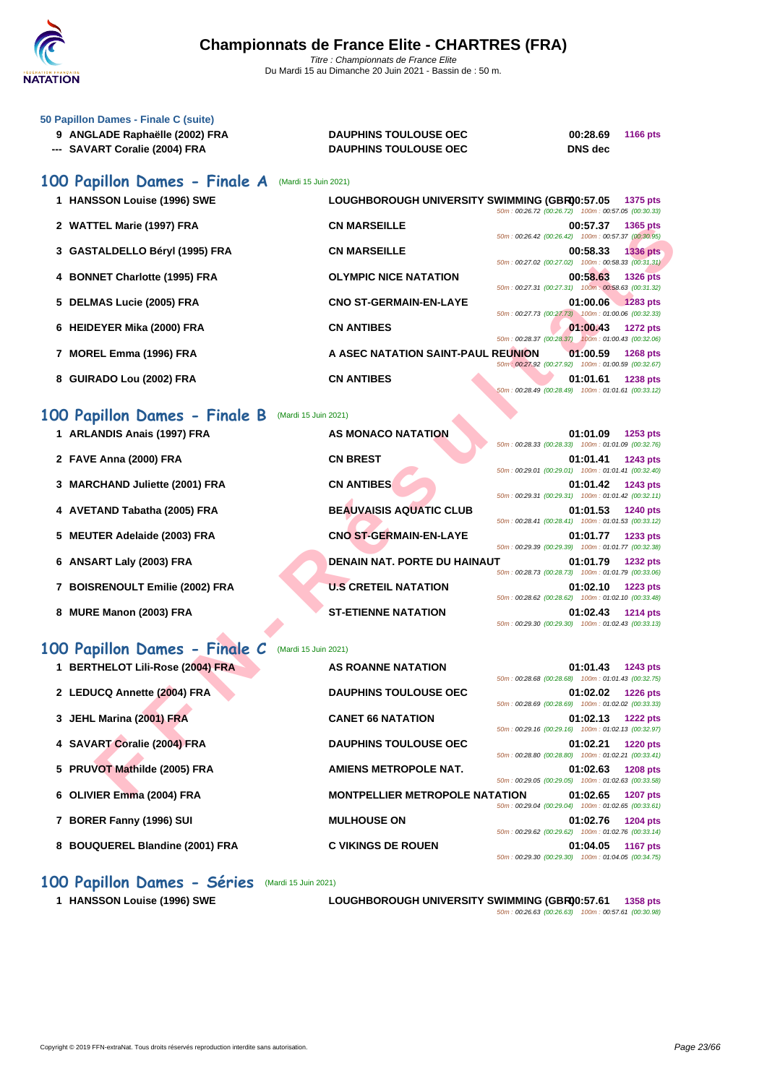

| 50 Papillon Dames - Finale C (suite) |                              |          |                 |
|--------------------------------------|------------------------------|----------|-----------------|
| 9 ANGLADE Raphaëlle (2002) FRA       | <b>DAUPHINS TOULOUSE OEC</b> | 00:28.69 | <b>1166 pts</b> |
| --- SAVART Coralie (2004) FRA        | <b>DAUPHINS TOULOUSE OEC</b> | DNS dec  |                 |

## **100 Papillon Dames - Finale A** (Mardi 15 Juin 2021)

| 1 HANSSON Louise (1996) SWE    | LOUGHBOROUGH UNIVERSITY SWIMMING (GBR00:57.05<br>1375 pts<br>50m: 00:26.72 (00:26.72) 100m: 00:57.05 (00:30.33)    |
|--------------------------------|--------------------------------------------------------------------------------------------------------------------|
| 2 WATTEL Marie (1997) FRA      | <b>CN MARSEILLE</b><br>00:57.37<br>1365 pts<br>50m: 00:26.42 (00:26.42) 100m: 00:57.37 (00:30.95)                  |
| 3 GASTALDELLO Béryl (1995) FRA | <b>CN MARSEILLE</b><br>00:58.33<br>$1336$ pts<br>50m: 00:27.02 (00:27.02) 100m: 00:58.33 (00:31.31)                |
| 4 BONNET Charlotte (1995) FRA  | <b>OLYMPIC NICE NATATION</b><br>00:58.63<br><b>1326 pts</b><br>50m: 00:27.31 (00:27.31) 100m: 00:58.63 (00:31.32)  |
| 5 DELMAS Lucie (2005) FRA      | <b>CNO ST-GERMAIN-EN-LAYE</b><br>$01:00.06$ 1283 pts<br>50m: 00:27.73 (00:27.73) 100m: 01:00.06 (00:32.33)         |
| 6 HEIDEYER Mika (2000) FRA     | <b>CN ANTIBES</b><br>01:00.43<br><b>1272 pts</b><br>50m: 00:28.37 (00:28.37) 100m: 01:00.43 (00:32.06)             |
| 7 MOREL Emma (1996) FRA        | A ASEC NATATION SAINT-PAUL REUNION<br>01:00.59<br>1268 pts<br>50m : 00:27.92 (00:27.92) 100m : 01:00.59 (00:32.67) |
| 8 GUIRADO Lou (2002) FRA       | <b>CN ANTIBES</b><br>01:01.61<br><b>1238 pts</b><br>50m: 00:28.49 (00:28.49) 100m: 01:01.61 (00:33.12)             |
| 00 Papillon Dames - Finale B   | (Mardi 15 Juin 2021)                                                                                               |
|                                |                                                                                                                    |

## **100 Papillon Dames - Finale B** (Mardi 15 Juin 2021)

| 2 WATTEL Marie (1997) FRA        | CN MARSEILLE<br>00:57.37<br>1365 pts<br>50m: 00:26.42 (00:26.42) 100m: 00:57.37 (00:30.95)                                                                                     |
|----------------------------------|--------------------------------------------------------------------------------------------------------------------------------------------------------------------------------|
| 3 GASTALDELLO Béryl (1995) FRA   | <b>CN MARSEILLE</b><br>00:58.33<br>1336 pts<br>50m: 00:27.02 (00:27.02) 100m: 00:58.33 (00:31.31)                                                                              |
| 4 BONNET Charlotte (1995) FRA    | <b>OLYMPIC NICE NATATION</b><br>00:58.63<br><b>1326 pts</b><br>50m: 00:27.31 (00:27.31) 100m: 00:58.63 (00:31.32)                                                              |
| 5 DELMAS Lucie (2005) FRA        | <b>CNO ST-GERMAIN-EN-LAYE</b><br>01:00.06<br>1283 pts<br>50m: 00:27.73 (00:27.73) 100m: 01:00.06 (00:32.33)                                                                    |
| 6 HEIDEYER Mika (2000) FRA       | <b>CN ANTIBES</b><br>01:00.43<br><b>1272 pts</b>                                                                                                                               |
| 7 MOREL Emma (1996) FRA          | 50m: 00:28.37 (00:28.37) 100m: 01:00.43 (00:32.06)<br>A ASEC NATATION SAINT-PAUL REUNION<br>01:00.59<br><b>1268 pts</b>                                                        |
| 8 GUIRADO Lou (2002) FRA         | 50m : 00:27.92 (00:27.92) 100m : 01:00.59 (00:32.67)<br><b>CN ANTIBES</b><br>01:01.61<br><b>1238 pts</b><br>50m: 00:28.49 (00:28.49) 100m: 01:01.61 (00:33.12)                 |
| 100 Papillon Dames - Finale B    | (Mardi 15 Juin 2021)                                                                                                                                                           |
| 1 ARLANDIS Anais (1997) FRA      | AS MONACO NATATION<br>01:01.09<br>1253 pts<br>50m: 00:28.33 (00:28.33) 100m: 01:01.09 (00:32.76)                                                                               |
| 2 FAVE Anna (2000) FRA           | <b>CN BREST</b><br>01:01.41<br>1243 pts<br>50m: 00:29.01 (00:29.01) 100m: 01:01.41 (00:32.40)                                                                                  |
| 3 MARCHAND Juliette (2001) FRA   | <b>CN ANTIBES</b><br>01:01.42<br><b>1243 pts</b><br>50m: 00:29.31 (00:29.31) 100m: 01:01.42 (00:32.11)                                                                         |
| 4 AVETAND Tabatha (2005) FRA     | <b>BEAUVAISIS AQUATIC CLUB</b><br>01:01.53<br><b>1240 pts</b><br>50m: 00:28.41 (00:28.41) 100m: 01:01.53 (00:33.12)                                                            |
| 5 MEUTER Adelaide (2003) FRA     | <b>CNO ST-GERMAIN-EN-LAYE</b><br>01:01.77<br>1233 pts                                                                                                                          |
| 6 ANSART Laly (2003) FRA         | 50m: 00:29.39 (00:29.39) 100m: 01:01.77 (00:32.38)<br><b>DENAIN NAT. PORTE DU HAINAUT</b><br>01:01.79<br><b>1232 pts</b><br>50m: 00:28.73 (00:28.73) 100m: 01:01.79 (00:33.06) |
| 7 BOISRENOULT Emilie (2002) FRA  | <b>U.S CRETEIL NATATION</b><br>01:02.10<br><b>1223 pts</b><br>50m: 00:28.62 (00:28.62) 100m: 01:02.10 (00:33.48)                                                               |
| 8 MURE Manon (2003) FRA          | <b>ST-ETIENNE NATATION</b><br>01:02.43<br><b>1214 pts</b><br>50m: 00:29.30 (00:29.30) 100m: 01:02.43 (00:33.13)                                                                |
| 100 Papillon Dames - Finale C    | (Mardi 15 Juin 2021)                                                                                                                                                           |
| 1 BERTHELOT Lili-Rose (2004) FRA | <b>AS ROANNE NATATION</b><br>01:01.43<br>1243 pts<br>50m: 00:28.68 (00:28.68) 100m: 01:01.43 (00:32.75)                                                                        |
| 2 LEDUCQ Annette (2004) FRA      | <b>DAUPHINS TOULOUSE OEC</b><br>01:02.02<br><b>1226 pts</b><br>50m: 00:28.69 (00:28.69) 100m: 01:02.02 (00:33.33)                                                              |
| 3 JEHL Marina (2001) FRA         | <b>CANET 66 NATATION</b><br>01:02.13<br><b>1222 pts</b>                                                                                                                        |
| 4 SAVART Coralie (2004) FRA      | 50m: 00:29.16 (00:29.16) 100m: 01:02.13 (00:32.97)<br><b>DAUPHINS TOULOUSE OEC</b><br>01:02.21<br><b>1220 pts</b>                                                              |
| 5 PRUVOT Mathilde (2005) FRA     | 50m: 00:28.80 (00:28.80) 100m: 01:02.21 (00:33.41)<br>AMIENS METROPOLE NAT.<br>01:02.63<br><b>1208 pts</b>                                                                     |
| 6 OLIVIER Emma (2004) FRA        | 50m: 00:29.05 (00:29.05) 100m: 01:02.63 (00:33.58)<br><b>MONTPELLIER METROPOLE NATATION</b><br>01:02.65<br><b>1207 pts</b>                                                     |

### **100 Papillon Dames - Finale C** (Mardi 15 Juin 2021)

| 1 BERTHELOT Lili-Rose (2004) FRA | <b>AS ROANNE NATATION</b><br>01:01.43<br><b>1243 pts</b>                                                                                                                |
|----------------------------------|-------------------------------------------------------------------------------------------------------------------------------------------------------------------------|
| 2 LEDUCQ Annette (2004) FRA      | 50m: 00:28.68 (00:28.68) 100m: 01:01.43 (00:32.75)<br><b>DAUPHINS TOULOUSE OEC</b><br>01:02.02<br><b>1226 pts</b><br>50m: 00:28.69 (00:28.69) 100m: 01:02.02 (00:33.33) |
| 3 JEHL Marina (2001) FRA         | <b>CANET 66 NATATION</b><br>01:02.13<br><b>1222 pts</b><br>50m: 00:29.16 (00:29.16) 100m: 01:02.13 (00:32.97)                                                           |
| 4 SAVART Coralie (2004) FRA      | <b>DAUPHINS TOULOUSE OEC</b><br>01:02.21<br><b>1220 pts</b><br>50m: 00:28.80 (00:28.80) 100m: 01:02.21 (00:33.41)                                                       |
| 5 PRUVOT Mathilde (2005) FRA     | AMIENS METROPOLE NAT.<br>01:02.63<br><b>1208 pts</b><br>50m: 00:29.05 (00:29.05) 100m: 01:02.63 (00:33.58)                                                              |
| 6 OLIVIER Emma (2004) FRA        | <b>MONTPELLIER METROPOLE NATATION</b><br>01:02.65<br><b>1207 pts</b><br>50m: 00:29.04 (00:29.04) 100m: 01:02.65 (00:33.61)                                              |
| 7 BORER Fanny (1996) SUI         | <b>MULHOUSE ON</b><br>01:02.76<br><b>1204 pts</b><br>50m: 00:29.62 (00:29.62) 100m: 01:02.76 (00:33.14)                                                                 |
| 8 BOUQUEREL Blandine (2001) FRA  | <b>C VIKINGS DE ROUEN</b><br>01:04.05<br><b>1167 pts</b><br>50m: 00:29.30 (00:29.30) 100m: 01:04.05 (00:34.75)                                                          |

### **100 Papillon Dames - Séries** (Mardi 15 Juin 2021)

**1 HANSSON Louise (1996) SWE LOUGHBOROUGH UNIVERSITY SWIMMING (GBR)00:57.61 1358 pts** 50m : 00:26.63 (00:26.63) 100m : 00:57.61 (00:30.98)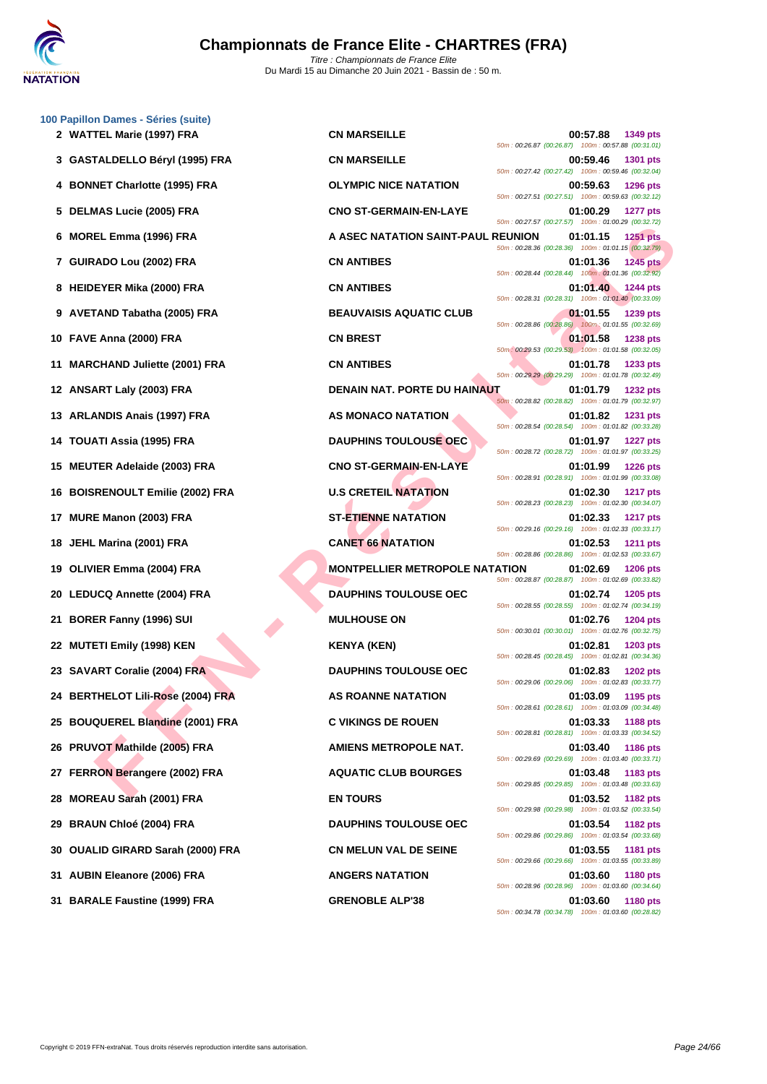

|     | 100 Papillon Dames - Séries (suite)<br>2 WATTEL Marie (1997) FRA | <b>CN MARSEILLE</b>                   | 00:57.88<br>1349 pts                                                              |
|-----|------------------------------------------------------------------|---------------------------------------|-----------------------------------------------------------------------------------|
|     | 3 GASTALDELLO Béryl (1995) FRA                                   | <b>CN MARSEILLE</b>                   | 50m: 00:26.87 (00:26.87) 100m: 00:57.88 (00:31.01)<br>00:59.46<br><b>1301 pts</b> |
|     |                                                                  |                                       | 50m: 00:27.42 (00:27.42) 100m: 00:59.46 (00:32.04)                                |
|     | 4 BONNET Charlotte (1995) FRA                                    | <b>OLYMPIC NICE NATATION</b>          | 00:59.63<br><b>1296 pts</b><br>50m: 00:27.51 (00:27.51) 100m: 00:59.63 (00:32.12) |
|     | 5 DELMAS Lucie (2005) FRA                                        | <b>CNO ST-GERMAIN-EN-LAYE</b>         | 01:00.29<br><b>1277 pts</b><br>50m: 00:27.57 (00:27.57) 100m: 01:00.29 (00:32.72) |
| 6   | MOREL Emma (1996) FRA                                            | A ASEC NATATION SAINT-PAUL REUNION    | 01:01.15<br><b>1251 pts</b><br>50m: 00:28.36 (00:28.36) 100m: 01:01.15 (00:32.79) |
|     | 7 GUIRADO Lou (2002) FRA                                         | <b>CN ANTIBES</b>                     | <b>1245 pts</b><br>01:01.36<br>50m: 00:28.44 (00:28.44) 100m: 01:01.36 (00:32.92) |
|     | 8 HEIDEYER Mika (2000) FRA                                       | <b>CN ANTIBES</b>                     | 01:01.40<br><b>1244 pts</b><br>50m: 00:28.31 (00:28.31) 100m: 01:01.40 (00:33.09) |
|     | 9 AVETAND Tabatha (2005) FRA                                     | <b>BEAUVAISIS AQUATIC CLUB</b>        | 01:01.55<br>1239 pts<br>50m: 00:28.86 (00:28.86) 100m: 01:01.55 (00:32.69)        |
|     | 10 FAVE Anna (2000) FRA                                          | <b>CN BREST</b>                       | 01:01.58<br><b>1238 pts</b><br>50m: 00:29.53 (00:29.53) 100m: 01:01.58 (00:32.05) |
| 11  | <b>MARCHAND Juliette (2001) FRA</b>                              | <b>CN ANTIBES</b>                     | 01:01.78<br>1233 pts                                                              |
|     | 12 ANSART Laly (2003) FRA                                        | <b>DENAIN NAT. PORTE DU HAINAUT</b>   | 50m: 00:29.29 (00:29.29) 100m: 01:01.78 (00:32.49)<br>01:01.79<br><b>1232 pts</b> |
| 13  | ARLANDIS Anais (1997) FRA                                        | AS MONACO NATATION                    | 50m: 00:28.82 (00:28.82) 100m: 01:01.79 (00:32.97)<br>01:01.82<br><b>1231 pts</b> |
| 14  | TOUATI Assia (1995) FRA                                          | <b>DAUPHINS TOULOUSE OEC</b>          | 50m: 00:28.54 (00:28.54) 100m: 01:01.82 (00:33.28)<br>01:01.97<br><b>1227 pts</b> |
| 15  | <b>MEUTER Adelaide (2003) FRA</b>                                | <b>CNO ST-GERMAIN-EN-LAYE</b>         | 50m: 00:28.72 (00:28.72) 100m: 01:01.97 (00:33.25)<br>01:01.99<br><b>1226 pts</b> |
| 16  | <b>BOISRENOULT Emilie (2002) FRA</b>                             | <b>U.S CRETEIL NATATION</b>           | 50m: 00:28.91 (00:28.91) 100m: 01:01.99 (00:33.08)<br>01:02.30<br><b>1217 pts</b> |
| 17  | MURE Manon (2003) FRA                                            | <b>ST-ETIENNE NATATION</b>            | 50m: 00:28.23 (00:28.23) 100m: 01:02.30 (00:34.07)<br>01:02.33<br><b>1217 pts</b> |
| 18  | JEHL Marina (2001) FRA                                           | <b>CANET 66 NATATION</b>              | 50m: 00:29.16 (00:29.16) 100m: 01:02.33 (00:33.17)<br>01:02.53<br><b>1211 pts</b> |
| 19  | OLIVIER Emma (2004) FRA                                          | <b>MONTPELLIER METROPOLE NATATION</b> | 50m: 00:28.86 (00:28.86) 100m: 01:02.53 (00:33.67)<br>01:02.69<br><b>1206 pts</b> |
|     |                                                                  | <b>DAUPHINS TOULOUSE OEC</b>          | 50m: 00:28.87 (00:28.87) 100m: 01:02.69 (00:33.82)                                |
|     | 20 LEDUCQ Annette (2004) FRA                                     |                                       | 01:02.74<br>1205 pts<br>50m: 00:28.55 (00:28.55) 100m: 01:02.74 (00:34.19)        |
| 21. | <b>BORER Fanny (1996) SUI</b>                                    | <b>MULHOUSE ON</b>                    | 01:02.76<br><b>1204 pts</b><br>50m: 00:30.01 (00:30.01) 100m: 01:02.76 (00:32.75) |
|     | 22 MUTETI Emily (1998) KEN                                       | <b>KENYA (KEN)</b>                    | 01:02.81<br>1203 pts<br>50m: 00:28.45 (00:28.45) 100m: 01:02.81 (00:34.36)        |
|     | 23 SAVART Coralie (2004) FRA                                     | <b>DAUPHINS TOULOUSE OEC</b>          | 01:02.83<br><b>1202 pts</b><br>50m: 00:29.06 (00:29.06) 100m: 01:02.83 (00:33.77) |
|     | 24 BERTHELOT Lili-Rose (2004) FRA                                | <b>AS ROANNE NATATION</b>             | 01:03.09<br>1195 pts<br>50m: 00:28.61 (00:28.61) 100m: 01:03.09 (00:34.48)        |
|     | 25 BOUQUEREL Blandine (2001) FRA                                 | <b>C VIKINGS DE ROUEN</b>             | 01:03.33<br>1188 pts<br>50m: 00:28.81 (00:28.81) 100m: 01:03.33 (00:34.52)        |
| 26  | PRUVOT Mathilde (2005) FRA                                       | <b>AMIENS METROPOLE NAT.</b>          | 01:03.40<br><b>1186 pts</b><br>50m: 00:29.69 (00:29.69) 100m: 01:03.40 (00:33.71) |
| 27  | <b>FERRON Berangere (2002) FRA</b>                               | <b>AQUATIC CLUB BOURGES</b>           | 01:03.48<br>1183 pts                                                              |
| 28  | <b>MOREAU Sarah (2001) FRA</b>                                   | <b>EN TOURS</b>                       | 50m: 00:29.85 (00:29.85) 100m: 01:03.48 (00:33.63)<br>01:03.52<br>1182 pts        |
| 29  | <b>BRAUN Chloé (2004) FRA</b>                                    | <b>DAUPHINS TOULOUSE OEC</b>          | 50m: 00:29.98 (00:29.98) 100m: 01:03.52 (00:33.54)<br>01:03.54<br>1182 pts        |
| 30  | <b>OUALID GIRARD Sarah (2000) FRA</b>                            | <b>CN MELUN VAL DE SEINE</b>          | 50m: 00:29.86 (00:29.86) 100m: 01:03.54 (00:33.68)<br>01:03.55<br><b>1181 pts</b> |
| 31  | <b>AUBIN Eleanore (2006) FRA</b>                                 | <b>ANGERS NATATION</b>                | 50m: 00:29.66 (00:29.66) 100m: 01:03.55 (00:33.89)<br>01:03.60<br>1180 pts        |
|     | 31 BARALE Faustine (1999) FRA                                    | <b>GRENOBLE ALP'38</b>                | 50m: 00:28.96 (00:28.96) 100m: 01:03.60 (00:34.64)<br>01:03.60<br>1180 pts        |
|     |                                                                  |                                       | 50m : 00:34.78 (00:34.78) 100m : 01:03.60 (00:28.82)                              |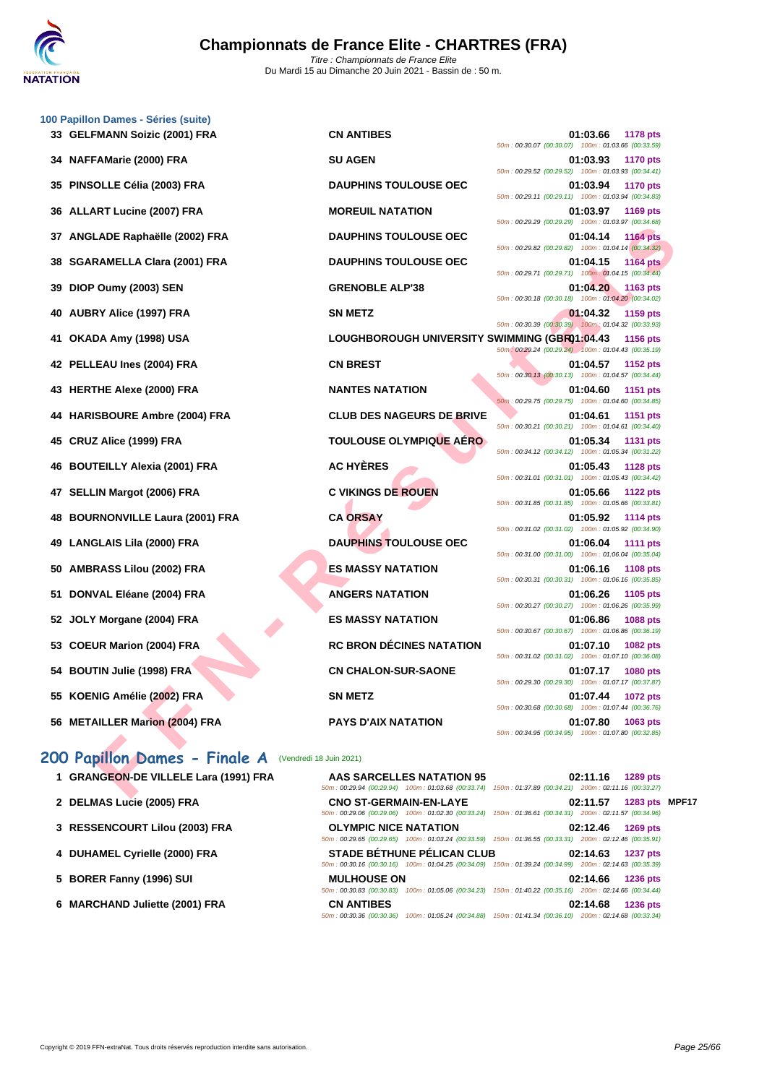|    | 100 Papillon Dames - Séries (suite)                      |                                               |                                                                                                                                |
|----|----------------------------------------------------------|-----------------------------------------------|--------------------------------------------------------------------------------------------------------------------------------|
|    | 33 GELFMANN Soizic (2001) FRA                            | <b>CN ANTIBES</b>                             | 01:03.66<br><b>1178 pts</b><br>50m: 00:30.07 (00:30.07) 100m: 01:03.66 (00:33.59)                                              |
| 34 | NAFFAMarie (2000) FRA                                    | <b>SU AGEN</b>                                | 01:03.93<br><b>1170 pts</b><br>50m: 00:29.52 (00:29.52) 100m: 01:03.93 (00:34.41)                                              |
| 35 | PINSOLLE Célia (2003) FRA                                | <b>DAUPHINS TOULOUSE OEC</b>                  | 01:03.94<br><b>1170 pts</b>                                                                                                    |
| 36 | <b>ALLART Lucine (2007) FRA</b>                          | <b>MOREUIL NATATION</b>                       | 50m: 00:29.11 (00:29.11) 100m: 01:03.94 (00:34.83)<br>01:03.97<br>1169 pts                                                     |
| 37 | ANGLADE Raphaëlle (2002) FRA                             | <b>DAUPHINS TOULOUSE OEC</b>                  | 50m: 00:29.29 (00:29.29) 100m: 01:03.97 (00:34.68)<br>01:04.14<br><b>1164 pts</b>                                              |
| 38 | <b>SGARAMELLA Clara (2001) FRA</b>                       | <b>DAUPHINS TOULOUSE OEC</b>                  | 50m: 00:29.82 (00:29.82) 100m: 01:04.14 (00:34.32)<br>01:04.15<br><b>1164 pts</b>                                              |
| 39 | DIOP Oumy (2003) SEN                                     | <b>GRENOBLE ALP'38</b>                        | 50m: 00:29.71 (00:29.71) 100m: 01:04.15 (00:34.44)<br>01:04.20<br>1163 pts                                                     |
| 40 | AUBRY Alice (1997) FRA                                   | <b>SN METZ</b>                                | 50m: 00:30.18 (00:30.18) 100m: 01:04.20 (00:34.02)<br>01:04.32<br>1159 pts                                                     |
| 41 | OKADA Amy (1998) USA                                     | LOUGHBOROUGH UNIVERSITY SWIMMING (GBR01:04.43 | 50m: 00:30.39 (00:30.39) 100m: 01:04.32 (00:33.93)<br><b>1156 pts</b>                                                          |
|    | 42 PELLEAU Ines (2004) FRA                               | <b>CN BREST</b>                               | 50m: 00:29.24 (00:29.24) 100m: 01:04.43 (00:35.19)<br>01:04.57<br>1152 pts                                                     |
|    | 43 HERTHE Alexe (2000) FRA                               | <b>NANTES NATATION</b>                        | 50m: 00:30.13 (00:30.13) 100m: 01:04.57 (00:34.44)<br>01:04.60<br>1151 pts                                                     |
| 44 | <b>HARISBOURE Ambre (2004) FRA</b>                       | <b>CLUB DES NAGEURS DE BRIVE</b>              | 50m: 00:29.75 (00:29.75) 100m: 01:04.60 (00:34.85)<br>01:04.61<br>1151 pts                                                     |
| 45 | CRUZ Alice (1999) FRA                                    | <b>TOULOUSE OLYMPIQUE AERO</b>                | 50m: 00:30.21 (00:30.21) 100m: 01:04.61 (00:34.40)<br>01:05.34<br><b>1131 pts</b>                                              |
|    |                                                          | <b>AC HYÈRES</b>                              | 50m: 00:34.12 (00:34.12) 100m: 01:05.34 (00:31.22)                                                                             |
| 46 | <b>BOUTEILLY Alexia (2001) FRA</b>                       |                                               | 01:05.43<br><b>1128 pts</b><br>50m: 00:31.01 (00:31.01) 100m: 01:05.43 (00:34.42)                                              |
| 47 | <b>SELLIN Margot (2006) FRA</b>                          | <b>C VIKINGS DE ROUEN</b>                     | 01:05.66<br><b>1122 pts</b><br>50m: 00:31.85 (00:31.85) 100m: 01:05.66 (00:33.81)                                              |
| 48 | <b>BOURNONVILLE Laura (2001) FRA</b>                     | <b>CA ORSAY</b>                               | 01:05.92<br><b>1114 pts</b><br>50m: 00:31.02 (00:31.02) 100m: 01:05.92 (00:34.90)                                              |
| 49 | <b>LANGLAIS Lila (2000) FRA</b>                          | <b>DAUPHINS TOULOUSE OEC</b>                  | 01:06.04<br><b>1111 pts</b><br>50m: 00:31.00 (00:31.00) 100m: 01:06.04 (00:35.04)                                              |
| 50 | <b>AMBRASS Lilou (2002) FRA</b>                          | <b>ES MASSY NATATION</b>                      | 01:06.16<br>1108 pts<br>50m : 00:30.31 (00:30.31) 100m : 01:06.16 (00:35.85)                                                   |
| 51 | DONVAL Eléane (2004) FRA                                 | <b>ANGERS NATATION</b>                        | 01:06.26<br>1105 pts<br>50m: 00:30.27 (00:30.27) 100m: 01:06.26 (00:35.99)                                                     |
| 52 | JOLY Morgane (2004) FRA                                  | <b>ES MASSY NATATION</b>                      | 01:06.86<br>1088 pts<br>50m: 00:30.67 (00:30.67) 100m: 01:06.86 (00:36.19)                                                     |
| 53 | <b>COEUR Marion (2004) FRA</b>                           | <b>RC BRON DÉCINES NATATION</b>               | 01:07.10<br><b>1082 pts</b><br>50m: 00:31.02 (00:31.02) 100m: 01:07.10 (00:36.08)                                              |
|    | 54 BOUTIN Julie (1998) FRA                               | <b>CN CHALON-SUR-SAONE</b>                    | 01:07.17<br><b>1080 pts</b>                                                                                                    |
|    | 55 KOENIG Amélie (2002) FRA                              | SN METZ                                       | 50m: 00:29.30 (00:29.30) 100m: 01:07.17 (00:37.87)<br>01:07.44 1072 pts                                                        |
|    | 56 METAILLER Marion (2004) FRA                           | <b>PAYS D'AIX NATATION</b>                    | 50m: 00:30.68 (00:30.68) 100m: 01:07.44 (00:36.76)<br>01:07.80<br>1063 pts                                                     |
|    |                                                          |                                               | 50m: 00:34.95 (00:34.95) 100m: 01:07.80 (00:32.85)                                                                             |
|    | 200 Papillon Dames - Finale A<br>(Vendredi 18 Juin 2021) |                                               |                                                                                                                                |
|    | 1 GRANGEON-DE VILLELE Lara (1991) FRA                    | AAS SARCELLES NATATION 95                     | 02:11.16<br>1289 pts<br>50m: 00:29.94 (00:29.94) 100m: 01:03.68 (00:33.74) 150m: 01:37.89 (00:34.21) 200m: 02:11.16 (00:33.27) |
|    |                                                          |                                               |                                                                                                                                |

### 200 Papillon Dames - Finale A **(Vendredi 18 Juin 2021**)

- **1 GRANGEON-DE VILLELE Lara (1991) FRA AB AB AB**
- **2 DELMAS** Lucie (2005) FRA **CNO CNO** SON:
- **3 [RESSENCOURT Lilou \(2003\) FRA](http://www.ffnatation.fr/webffn/resultats.php?idact=nat&go=epr&idcpt=70185&idepr=33) OL**<br> **00 01:12.46 01:47 02:12.46 01:47 02:12.46 120:47 120:47 120:47 120:47 120:47 120:47 120:47**
- **4 DUHAMEL Cyrielle (2000) FRA ST**<br>  $\frac{50m}{10}$
- **5 BORER Fanny (1996) SUI MULHOUSE ON MULHOUSE ON 1997 1236 1236 1236 1236 1236 1236 1236 1236**
- **6 MARCHAND Juliette (2001) FRA CN CN**

| <b>1289 pts</b> | 02:11.16                | AAS SARCELLES NATATION 95<br>50m: 00:29.94 (00:29.94) 100m: 01:03.68 (00:33.74) 150m: 01:37.89 (00:34.21) 200m: 02:11.16 (00:33.27)         |  |
|-----------------|-------------------------|---------------------------------------------------------------------------------------------------------------------------------------------|--|
|                 | 02:11.57 1283 pts MPF17 | <b>CNO ST-GERMAIN-EN-LAYE</b><br>50m: 00:29.06 (00:29.06) 100m: 01:02.30 (00:33.24) 150m: 01:36.61 (00:34.31) 200m: 02:11.57 (00:34.96)     |  |
|                 | 02:12.46 1269 pts       | <b>OLYMPIC NICE NATATION</b><br>50m: 00:29.65 (00:29.65) 100m: 01:03.24 (00:33.59) 150m: 01:36.55 (00:33.31) 200m: 02:12.46 (00:35.91)      |  |
|                 | 02:14.63 1237 pts       | <b>STADE BÉTHUNE PÉLICAN CLUB</b><br>50m: 00:30.16 (00:30.16) 100m: 01:04.25 (00:34.09) 150m: 01:39.24 (00:34.99) 200m: 02:14.63 (00:35.39) |  |
|                 | 02:14.66 1236 pts       | <b>MULHOUSE ON</b><br>50m: 00:30.83 (00:30.83) 100m: 01:05.06 (00:34.23) 150m: 01:40.22 (00:35.16) 200m: 02:14.66 (00:34.44)                |  |
| 1236 pts        | 02:14.68                | <b>CN ANTIBES</b><br>50m: 00:30.36 (00:30.36) 100m: 01:05.24 (00:34.88) 150m: 01:41.34 (00:36.10) 200m: 02:14.68 (00:33.34)                 |  |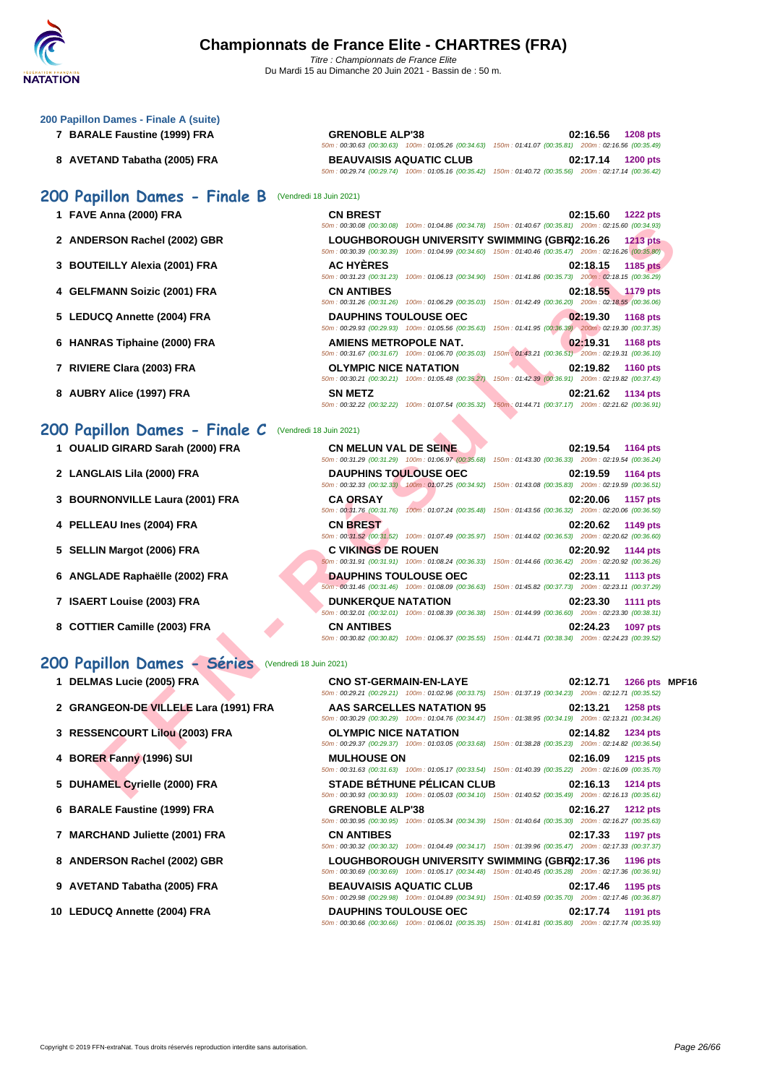### **[200 Papil](http://www.ffnatation.fr/webffn/index.php)lon Dames - Finale A (suite)**

- **7 BARALE Faustine (1999) FRA**
- **8** AVETAND Tabatha (2005) FRA

### **200 Papillon Dames - Finale B (Vendredi**

- 
- 
- 
- 
- 
- 
- 
- 

### **200 Papillon Dames - Finale C** (Vendredi 18 Juin 2021)

- **1** OUALID GIRARD Sarah (2000) FRA
- **2** LANGLAIS Lila (2000) FRA
- **3 BOURNONVILLE Laura (2001) FRA**
- **4 PELLEAU Ines (2004) FRA**
- **5 SELLIN Margot (2006) FRA**
- **6** ANGLADE Raphaëlle (2002) FRA
- **7 ISAERT Louise (2003) FRA**
- **8 COTTIER Camille (2003) FRA**

### **200 Papillon Dames - Séries** (Vendredi 18 Juin 2021)

| <b>I</b> DELIVIAS LUCIO (2003) I IVA  | <u>CNC OF CENTRING CNEATE</u>     | <u>VL.IL.II</u><br>בוע טעבו                                                                            |
|---------------------------------------|-----------------------------------|--------------------------------------------------------------------------------------------------------|
|                                       |                                   | 50m: 00:29.21 (00:29.21) 100m: 01:02.96 (00:33.75) 150m: 01:37.19 (00:34.23) 200m: 02:12.71 (00:35.52) |
| 2 GRANGEON-DE VILLELE Lara (1991) FRA | AAS SARCELLES NATATION 95         | 02:13.21<br>1258 pts                                                                                   |
|                                       |                                   | 50m: 00:30.29 (00:30.29) 100m: 01:04.76 (00:34.47) 150m: 01:38.95 (00:34.19) 200m: 02:13.21 (00:34.26) |
| 3 RESSENCOURT Lilou (2003) FRA        | <b>OLYMPIC NICE NATATION</b>      | 02:14.82<br><b>1234 pts</b>                                                                            |
|                                       |                                   | 50m: 00:29.37 (00:29.37) 100m: 01:03.05 (00:33.68) 150m: 01:38.28 (00:35.23) 200m: 02:14.82 (00:36.54) |
| 4 BORER Fanny (1996) SUI              | <b>MULHOUSE ON</b>                | 02:16.09<br><b>1215 pts</b>                                                                            |
|                                       |                                   | 50m: 00:31.63 (00:31.63) 100m: 01:05.17 (00:33.54) 150m: 01:40.39 (00:35.22) 200m: 02:16.09 (00:35.70) |
| 5 DUHAMEL Cyrielle (2000) FRA         | <b>STADE BÉTHUNE PÉLICAN CLUB</b> | 02:16.13<br><b>1214 pts</b>                                                                            |

- 
- **6 BARALE Faustine (1999) FRA GRENOBLE ALP**
- **7 MARCHAND Juliette (2001) FRA CN ANTIBES**
- 8 **ANDERSON Rachel (2002) GBR** LOUGHBORC
- **9** AVETAND Tabatha (2005) FRA BEAUVAISIS
- 

| <b>GRENOBLE ALP'38</b>         |                                                                                                        |  | 02:16.56 1208 pts |
|--------------------------------|--------------------------------------------------------------------------------------------------------|--|-------------------|
|                                | 50m: 00:30.63 (00:30.63) 100m: 01:05.26 (00:34.63) 150m: 01:41.07 (00:35.81) 200m: 02:16.56 (00:35.49) |  |                   |
| <b>BEAUVAISIS AQUATIC CLUB</b> |                                                                                                        |  | 02:17.14 1200 pts |
|                                | 50m: 00:29.74 (00:29.74) 100m: 01:05.16 (00:35.42) 150m: 01:40.72 (00:35.56) 200m: 02:17.14 (00:36.42) |  |                   |

| 3 BOUTEILLY Alexia (2001) FRA | <b>AC HYÈRES</b>                              | 02:18.15<br><b>1185 pts</b>                                                                            |  |
|-------------------------------|-----------------------------------------------|--------------------------------------------------------------------------------------------------------|--|
|                               |                                               | 50m: 00:30.39 (00:30.39) 100m: 01:04.99 (00:34.60) 150m: 01:40.46 (00:35.47) 200m: 02:16.26 (00:35.80) |  |
| 2 ANDERSON Rachel (2002) GBR  | LOUGHBOROUGH UNIVERSITY SWIMMING (GBR02:16.26 | <b>1213 pts</b>                                                                                        |  |
|                               |                                               | 50m: 00:30.08 (00:30.08) 100m: 01:04.86 (00:34.78) 150m: 01:40.67 (00:35.81) 200m: 02:15.60 (00:34.93) |  |
| 1 FAVE Anna (2000) FRA        | <b>CN BREST</b>                               | 02:15.60<br><b>1222 pts</b>                                                                            |  |
| 00 Papillon Dames - Finale B  | (Vendredi 18 Juin 2021)                       |                                                                                                        |  |
|                               |                                               | 50m: 00:29.74 (00:29.74) 100m: 01:05.16 (00:35.42) 150m: 01:40.72 (00:35.56) 200m: 02:17.14 (00:36.42) |  |

|                              |                              | 50m: 00:31.23 (00:31.23) 100m: 01:06.13 (00:34.90) 150m: 01:41.86 (00:35.73) 200m: 02:18.15 (00:36.29)                                 |
|------------------------------|------------------------------|----------------------------------------------------------------------------------------------------------------------------------------|
| 4 GELFMANN Soizic (2001) FRA | <b>CN ANTIBES</b>            | 02:18.55<br><b>1179 pts</b><br>50m: 00:31.26 (00:31.26) 100m: 01:06.29 (00:35.03) 150m: 01:42.49 (00:36.20) 200m: 02:18.55 (00:36.06)  |
| 5 LEDUCQ Annette (2004) FRA  | <b>DAUPHINS TOULOUSE OEC</b> | 02:19.30<br>1168 pts<br>50m: 00:29.93 (00:29.93) 100m: 01:05.56 (00:35.63) 150m: 01:41.95 (00:36.39) 200m: 02:19.30 (00:37.35)         |
| 6 HANRAS Tiphaine (2000) FRA | AMIENS METROPOLE NAT.        | 02:19.31<br><b>1168 pts</b><br>50m: 00:31.67 (00:31.67) 100m: 01:06.70 (00:35.03) 150m : 01:43.21 (00:36.51) 200m: 02:19.31 (00:36.10) |
| 7 RIVIERE Clara (2003) FRA   | <b>OLYMPIC NICE NATATION</b> | 02:19.82<br><b>1160 pts</b><br>50m: 00:30.21 (00:30.21) 100m: 01:05.48 (00:35.27) 150m: 01:42.39 (00:36.91) 200m: 02:19.82 (00:37.43)  |
| 8 AUBRY Alice (1997) FRA     | <b>SN METZ</b>               | 02:21.62<br><b>1134 pts</b>                                                                                                            |

|                                  |                                                                                    | 50m: 00:30.08 (00:30.08) 100m: 01:04.86 (00:34.78) 150m: 01:40.67 (00:35.81) 200m: 02:15.60 (00:34.93)                                |  |
|----------------------------------|------------------------------------------------------------------------------------|---------------------------------------------------------------------------------------------------------------------------------------|--|
| ERSON Rachel (2002) GBR          | LOUGHBOROUGH UNIVERSITY SWIMMING (GBR02:16.26                                      | $1213$ pts<br>50m : 00:30.39 (00:30.39) 100m : 01:04.99 (00:34.60) 150m : 01:40.46 (00:35.47) 200m : 02:16.26 (00:35.80)              |  |
| TEILLY Alexia (2001) FRA         | <b>AC HYERES</b>                                                                   | 02:18.15<br><b>1185 pts</b><br>50m: 00:31.23 (00:31.23) 100m: 01:06.13 (00:34.90) 150m: 01:41.86 (00:35.73) 200m: 02:18.15 (00:36.29) |  |
| FMANN Soizic (2001) FRA          | <b>CN ANTIBES</b>                                                                  | 02:18.55<br><b>1179 pts</b><br>50m: 00:31.26 (00:31.26) 100m: 01:06.29 (00:35.03) 150m: 01:42.49 (00:36.20) 200m: 02:18.55 (00:36.06) |  |
| JCQ Annette (2004) FRA           | <b>DAUPHINS TOULOUSE OEC</b><br>50m: 00:29.93 (00:29.93) 100m: 01:05.56 (00:35.63) | 02:19.30<br><b>1168 pts</b><br>150m: 01:41.95 (00:36.39) 200m: 02:19.30 (00:37.35)                                                    |  |
| RAS Tiphaine (2000) FRA          | <b>AMIENS METROPOLE NAT.</b><br>50m: 00:31.67 (00:31.67) 100m: 01:06.70 (00:35.03) | 02:19.31<br><b>1168 pts</b><br>150m: 01:43.21 (00:36.51) 200m: 02:19.31 (00:36.10)                                                    |  |
| ERE Clara (2003) FRA             | <b>OLYMPIC NICE NATATION</b><br>50m: 00:30.21 (00:30.21) 100m: 01:05.48 (00:35.27) | 02:19.82<br><b>1160 pts</b><br>150m: 01:42.39 (00:36.91) 200m: 02:19.82 (00:37.43)                                                    |  |
| RY Alice (1997) FRA              | <b>SN METZ</b><br>50m: 00:32.22 (00:32.22) 100m: 01:07.54 (00:35.32)               | 02:21.62<br>1134 pts<br>150m: 01:44.71 (00:37.17) 200m: 02:21.62 (00:36.91)                                                           |  |
| pillon Dames - Finale C          | (Vendredi 18 Juin 2021)                                                            |                                                                                                                                       |  |
| LID GIRARD Sarah (2000) FRA      | <b>CN MELUN VAL DE SEINE</b>                                                       | 02:19.54<br>1164 pts<br>50m: 00:31.29 (00:31.29) 100m: 01:06.97 (00:35.68) 150m: 01:43.30 (00:36.33) 200m: 02:19.54 (00:36.24)        |  |
| <b>GLAIS Lila (2000) FRA</b>     | <b>DAUPHINS TOULOUSE OEC</b>                                                       | 02:19.59<br><b>1164 pts</b><br>50m: 00:32.33 (00:32.33) 100m: 01:07.25 (00:34.92) 150m: 01:43.08 (00:35.83) 200m: 02:19.59 (00:36.51) |  |
| RNONVILLE Laura (2001) FRA       | <b>CA ORSAY</b>                                                                    | 02:20.06<br><b>1157 pts</b><br>50m: 00:31.76 (00:31.76) 100m: 01:07.24 (00:35.48) 150m: 01:43.56 (00:36.32) 200m: 02:20.06 (00:36.50) |  |
| <b>.EAU Ines (2004) FRA</b>      | <b>CN BREST</b>                                                                    | 02:20.62<br>1149 pts<br>50m: 00:31.52 (00:31.52) 100m: 01:07.49 (00:35.97) 150m: 01:44.02 (00:36.53) 200m: 02:20.62 (00:36.60)        |  |
| IN Margot (2006) FRA.            | <b>C VIKINGS DE ROUEN</b>                                                          | 02:20.92<br>1144 pts<br>50m: 00:31.91 (00:31.91) 100m: 01:08.24 (00:36.33) 150m: 01:44.66 (00:36.42) 200m: 02:20.92 (00:36.26)        |  |
| LADE Raphaëlle (2002) FRA        | <b>DAUPHINS TOULOUSE OEC</b>                                                       | 02:23.11<br>1113 pts<br>50m : 00:31.46 (00:31.46) 100m : 01:08.09 (00:36.63) 150m : 01:45.82 (00:37.73) 200m : 02:23.11 (00:37.29)    |  |
| RT Louise (2003) FRA             | <b>DUNKERQUE NATATION</b>                                                          | 02:23.30<br><b>1111 pts</b><br>50m: 00:32.01 (00:32.01) 100m: 01:08.39 (00:36.38) 150m: 01:44.99 (00:36.60) 200m: 02:23.30 (00:38.31) |  |
| TIER Camille (2003) FRA          | <b>CN ANTIBES</b>                                                                  | 02:24.23<br>1097 pts<br>50m: 00:30.82 (00:30.82) 100m: 01:06.37 (00:35.55) 150m: 01:44.71 (00:38.34) 200m: 02:24.23 (00:39.52)        |  |
| pillon Dames - Séries            | (Vendredi 18 Juin 2021)                                                            |                                                                                                                                       |  |
| MAS Lucie (2005) FRA             | <b>CNO ST-GERMAIN-EN-LAYE</b>                                                      | 1266 pts MPF1<br>02:12.71<br>50m: 00:29.21 (00:29.21) 100m: 01:02.96 (00:33.75) 150m: 01:37.19 (00:34.23) 200m: 02:12.71 (00:35.52)   |  |
| NGEON-DE VILLELE Lara (1991) FRA | AAS SARCELLES NATATION 95                                                          | 02:13.21<br>1258 pts<br>50m: 00:30.29 (00:30.29) 100m: 01:04.76 (00:34.47) 150m: 01:38.95 (00:34.19) 200m: 02:13.21 (00:34.26)        |  |
| <b>SENCOURT Lilou (2003) FRA</b> | <b>OLYMPIC NICE NATATION</b>                                                       | 02:14.82<br>1234 pts<br>50m: 00:29.37 (00:29.37) 100m: 01:03.05 (00:33.68) 150m: 01:38.28 (00:35.23) 200m: 02:14.82 (00:36.54)        |  |
| ER Fanny (1996) SUI              | <b>MULHOUSE ON</b>                                                                 | 02:16.09<br><b>1215 pts</b><br>50m: 00:31.63 (00:31.63) 100m: 01:05.17 (00:33.54) 150m: 01:40.39 (00:35.22) 200m: 02:16.09 (00:35.70) |  |
| AMEL Cyrielle (2000) FRA         | <b>STADE BÉTHUNE PÉLICAN CLUB</b>                                                  | 02:16.13<br><b>1214 pts</b><br>50m: 00:30.93 (00:30.93) 100m: 01:05.03 (00:34.10) 150m: 01:40.52 (00:35.49) 200m: 02:16.13 (00:35.61) |  |

| 1 DELMAS Lucie (2005) FRA                    | CNO ST-GERMAIN-EN-LAYE                                                                                 | 02:12.71          | 1266 pts MPF16  |  |
|----------------------------------------------|--------------------------------------------------------------------------------------------------------|-------------------|-----------------|--|
|                                              | 50m: 00:29.21 (00:29.21) 100m: 01:02.96 (00:33.75) 150m: 01:37.19 (00:34.23) 200m: 02:12.71 (00:35.52) |                   |                 |  |
| 2 GRANGEON-DE VILLELE Lara (1991) FRA        | AAS SARCELLES NATATION 95                                                                              | 02:13.21          | 1258 pts        |  |
|                                              | 50m: 00:30.29 (00:30.29) 100m: 01:04.76 (00:34.47) 150m: 01:38.95 (00:34.19) 200m: 02:13.21 (00:34.26) |                   |                 |  |
| 3 RESSENCOURT Lilou (2003) FRA               | <b>OLYMPIC NICE NATATION</b>                                                                           | 02:14.82          | 1234 pts        |  |
|                                              | 50m: 00:29.37 (00:29.37) 100m: 01:03.05 (00:33.68) 150m: 01:38.28 (00:35.23) 200m: 02:14.82 (00:36.54) |                   |                 |  |
| 4 BORER Fanny (1996) SUI                     | <b>MULHOUSE ON</b>                                                                                     | 02:16.09 1215 pts |                 |  |
|                                              | 50m: 00:31.63 (00:31.63) 100m: 01:05.17 (00:33.54) 150m: 01:40.39 (00:35.22) 200m: 02:16.09 (00:35.70) |                   |                 |  |
| 5 DUHAMEL Cyrielle (2000) FRA                | <b>STADE BÉTHUNE PÉLICAN CLUB</b>                                                                      | 02:16.13          | 1214 pts        |  |
|                                              | 50m: 00:30.93 (00:30.93) 100m: 01:05.03 (00:34.10) 150m: 01:40.52 (00:35.49) 200m: 02:16.13 (00:35.61) |                   |                 |  |
| 6 BARALE Faustine (1999) FRA                 | <b>GRENOBLE ALP'38</b>                                                                                 | 02:16.27          | <b>1212 pts</b> |  |
|                                              | 50m: 00:30.95 (00:30.95) 100m: 01:05.34 (00:34.39) 150m: 01:40.64 (00:35.30) 200m: 02:16.27 (00:35.63) |                   |                 |  |
| 7 MARCHAND Juliette (2001) FRA               | <b>CN ANTIBES</b>                                                                                      | 02:17.33          | 1197 pts        |  |
|                                              | 50m: 00:30.32 (00:30.32) 100m: 01:04.49 (00:34.17) 150m: 01:39.96 (00:35.47) 200m: 02:17.33 (00:37.37) |                   |                 |  |
| 8 ANDERSON Rachel (2002) GBR                 | LOUGHBOROUGH UNIVERSITY SWIMMING (GBR02:17.36 1196 pts                                                 |                   |                 |  |
|                                              | 50m: 00:30.69 (00:30.69) 100m: 01:05.17 (00:34.48) 150m: 01:40.45 (00:35.28) 200m: 02:17.36 (00:36.91) |                   |                 |  |
| 9 AVETAND Tabatha (2005) FRA                 | <b>BEAUVAISIS AQUATIC CLUB</b>                                                                         | 02:17.46          | 1195 pts        |  |
|                                              | 50m: 00:29.98 (00:29.98) 100m: 01:04.89 (00:34.91) 150m: 01:40.59 (00:35.70) 200m: 02:17.46 (00:36.87) |                   |                 |  |
| $\Omega$ , $\Gamma$ DUCO, Annatta (2004) EDA | <b>DAUDUBLE TOULOUSE OFC.</b>                                                                          | $0.4771 - 4404$   |                 |  |

**10 LEDUCQ Annette (2004) FRA DAUPHINS TOULOUSE OEC 02:17.74 1191 pts** 50m : 00:30.66 (00:30.66) 100m : 01:06.01 (00:35.35) 150m : 01:41.81 (00:35.80) 200m : 02:17.74 (00:35.93)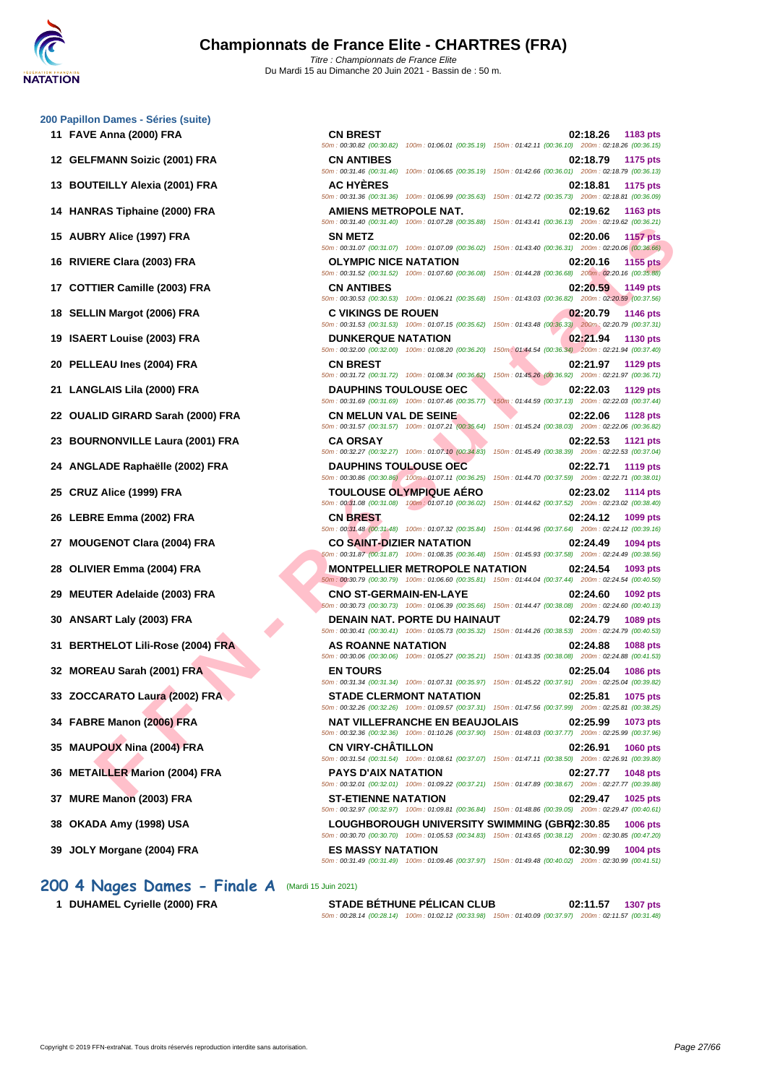#### **[200 Papil](http://www.ffnatation.fr/webffn/index.php)lon Dames - Séries (suite)**

- 
- 
- 
- 
- 
- 
- 
- 
- 
- 
- 
- 
- 
- 
- 
- 
- 
- 
- 
- 
- 
- 
- 
- 
- 
- 
- 
- 
- 

### **200 4 Nages Dames - Finale A** (Mardi 15 Juin 2021)

**FY AICE (1997) FRA**<br> **FRICAING (1997) FRA**<br> **FRICAL CONSUMER ANTATION**<br> **FRICAL CONSUMER ANTATION**<br> **FRICAL CONSUMER ANTELES AND CONSUMER ANTATION**<br> **FRICAL CONSUMER ANTELES AND CONSUMER ANTATION**<br> **FRICAL CONSUMER ANTIS 11 FAVE Anna (2000) FRA CN BREST 02:18.26 1183 pts** 50m : 00:30.82 (00:30.82) 100m : 01:06.01 (00:35.19) 150m : 01:42.11 (00:36.10) 200m : 02:18.26 (00:36.15) **12 GELFMANN Soizic (2001) FRA CN ANTIBES 02:18.79 1175 pts** 50m : 00:31.46 (00:31.46) 100m : 01:06.65 (00:35.19) 150m : 01:42.66 (00:36.01) 200m : 02:18.79 (00:36.13) **13 BOUTEILLY Alexia (2001) FRA AC HYÈRES 02:18.81 1175 pts** 50m : 00:31.36 (00:31.36) 100m : 01:06.99 (00:35.63) 150m : 01:42.72 (00:35.73) 200m : 02:18.81 (00:36.09) **14 HANRAS Tiphaine (2000) FRA AMIENS METROPOLE NAT. 02:19.62 1163 pts** 50m : 00:31.40 (00:31.40) 100m : 01:07.28 (00:35.88) 150m : 01:43.41 (00:36.13) 200m : 02:19.62 (00:36.21) **15 AUBRY Alice (1997) FRA SN METZ 02:20.06 1157 pts** 50m : 00:31.07 (00:31.07) 100m : 01:07.09 (00:36.02) 150m : 01:43.40 (00:36.31) 200m : 02:20.06 (00:36.66) **16 RIVIERE Clara (2003) FRA OLYMPIC NICE NATATION 02:20.16 1155 pts** 50m : 00:31.52 (00:31.52) 100m : 01:07.60 (00:36.08) 150m : 01:44.28 (00:36.68) 200m : 02:20.16 (00:35.88) **17 COTTIER Camille (2003) FRA CN ANTIBES 02:20.59 1149 pts** 50m : 00:30.53 (00:30.53) 100m : 01:06.21 (00:35.68) 150m : 01:43.03 (00:36.82) 200m : 02:20.59 (00:37.56) **18 SELLIN Margot (2006) FRA C VIKINGS DE ROUEN 02:20.79 1146 pts** 50m : 00:31.53 (00:31.53) 100m : 01:07.15 (00:35.62) 150m : 01:43.48 (00:36.33) 200m : 02:20.79 (00:37.31) **19 ISAERT Louise (2003) FRA DUNKERQUE NATATION 02:21.94 1130 pts** 50m : 00:32.00 (00:32.00) 100m : 01:08.20 (00:36.20) 150m : 01:44.54 (00:36.34) 200m : 02:21.94 (00:37.40) **20 PELLEAU Ines (2004) FRA CN BREST 02:21.97 1129 pts** 50m : 00:31.72 (00:31.72) 100m : 01:08.34 (00:36.62) 150m : 01:45.26 (00:36.92) 200m : 02:21.97 (00:36.71) **21 LANGLAIS Lila (2000) FRA DAUPHINS TOULOUSE OEC 02:22.03 1129 pts** 50m : 00:31.69 (00:31.69) 100m : 01:07.46 (00:35.77) 150m : 01:44.59 (00:37.13) 200m : 02:22.03 (00:37.44) **22 OUALID GIRARD Sarah (2000) FRA CN MELUN VAL DE SEINE 02:22.06 1128 pts** 50m : 00:31.57 (00:31.57) 100m : 01:07.21 (00:35.64) 150m : 01:45.24 (00:38.03) 200m : 02:22.06 (00:36.82) **23 BOURNONVILLE Laura (2001) FRA CA ORSAY 02:22.53 1121 pts** 50m : 00:32.27 (00:32.27) 100m : 01:07.10 (00:34.83) 150m : 01:45.49 (00:38.39) 200m : 02:22.53 (00:37.04) **24 ANGLADE Raphaëlle (2002) FRA DAUPHINS TOULOUSE OEC 02:22.71 1119 pts** 50m : 00:30.86 (00:30.86) 100m : 01:07.11 (00:36.25) 150m : 01:44.70 (00:37.59) 200m : 02:22.71 (00:38.01) **25 CRUZ Alice (1999) FRA TOULOUSE OLYMPIQUE AÉRO 02:23.02 1114 pts** 50m : 00:31.08 (00:31.08) 100m : 01:07.10 (00:36.02) 150m : 01:44.62 (00:37.52) 200m : 02:23.02 (00:38.40) **26 LEBRE Emma (2002) FRA CN BREST 02:24.12 1099 pts** 50m : 00:31.48 (00:31.48) 100m : 01:07.32 (00:35.84) 150m : 01:44.96 (00:37.64) 200m : 02:24.12 (00:39.16) **27 MOUGENOT Clara (2004) FRA CO SAINT-DIZIER NATATION 02:24.49 1094 pts** 50m : 00:31.87 (00:31.87) 100m : 01:08.35 (00:36.48) 150m : 01:45.93 (00:37.58) 200m : 02:24.49 (00:38.56) **28** OLIVIER Emma (2004) FRA **MONTPELLIER METROPOLE NATATION 02:24.54 1093 pts** 50m : 00:30.79 (00:30.79) 100m : 01:06.60 (00:35.81) 150m : 01:44.04 (00:37.44) 200m : 02:24.54 (00:40.50) **29 MEUTER Adelaide (2003) FRA CNO ST-GERMAIN-EN-LAYE 02:24.60 1092 pts** 50m : 00:30.73 (00:30.73) 100m : 01:06.39 (00:35.66) 150m : 01:44.47 (00:38.08) 200m : 02:24.60 (00:40.13) **30 ANSART Laly (2003) FRA DENAIN NAT. PORTE DU HAINAUT 02:24.79 1089 pts** 50m : 00:30.41 (00:30.41) 100m : 01:05.73 (00:35.32) 150m : 01:44.26 (00:38.53) 200m : 02:24.79 (00:40.53) **31 BERTHELOT Lili-Rose (2004) FRA AS ROANNE NATATION 02:24.88 1088 pts** 50m : 00:30.06 (00:30.06) 100m : 01:05.27 (00:35.21) 150m : 01:43.35 (00:38.08) 200m : 02:24.88 (00:41.53) **32 MOREAU Sarah (2001) FRA EN TOURS 02:25.04 1086 pts** 50m : 00:31.34 (00:31.34) 100m : 01:07.31 (00:35.97) 150m : 01:45.22 (00:37.91) 200m : 02:25.04 (00:39.82) **33 ZOCCARATO Laura (2002) FRA STADE CLERMONT NATATION 02:25.81 1075 pts** 50m : 00:32.26 (00:32.26) 100m : 01:09.57 (00:37.31) 150m : 01:47.56 (00:37.99) 200m : 02:25.81 (00:38.25) **34 FABRE Manon (2006) FRA NAT VILLEFRANCHE EN BEAUJOLAIS 02:25.99 1073 pts** 50m : 00:32.36 (00:32.36) 100m : 01:10.26 (00:37.90) 150m : 01:48.03 (00:37.77) 200m : 02:25.99 (00:37.96) **35 MAUPOUX Nina (2004) FRA CN VIRY-CHÂTILLON 02:26.91 1060 pts** 50m : 00:31.54 (00:31.54) 100m : 01:08.61 (00:37.07) 150m : 01:47.11 (00:38.50) 200m : 02:26.91 (00:39.80) **36 METAILLER Marion (2004) FRA PAYS D'AIX NATATION 02:27.77 1048 pts** 50m : 00:32.01 (00:32.01) 100m : 01:09.22 (00:37.21) 150m : 01:47.89 (00:38.67) 200m : 02:27.77 (00:39.88) **37 MURE Manon (2003) FRA ST-ETIENNE NATATION 02:29.47 1025 pts** 50m : 00:32.97 (00:32.97) 100m : 01:09.81 (00:36.84) 150m : 01:48.86 (00:39.05) 200m : 02:29.47 (00:40.61) **38 OKADA Amy (1998) USA LOUGHBOROUGH UNIVERSITY SWIMMING (GBR)2:30.85 1006 pts** 50m : 00:30.70 (00:30.70) 100m : 01:05.53 (00:34.83) 150m : 01:43.65 (00:38.12) 200m : 02:30.85 (00:47.20) **39 JOLY Morgane (2004) FRA ES MASSY NATATION 02:30.99 1004 pts** 50m : 00:31.49 (00:31.49) 100m : 01:09.46 (00:37.97) 150m : 01:49.48 (00:40.02) 200m : 02:30.99 (00:41.51)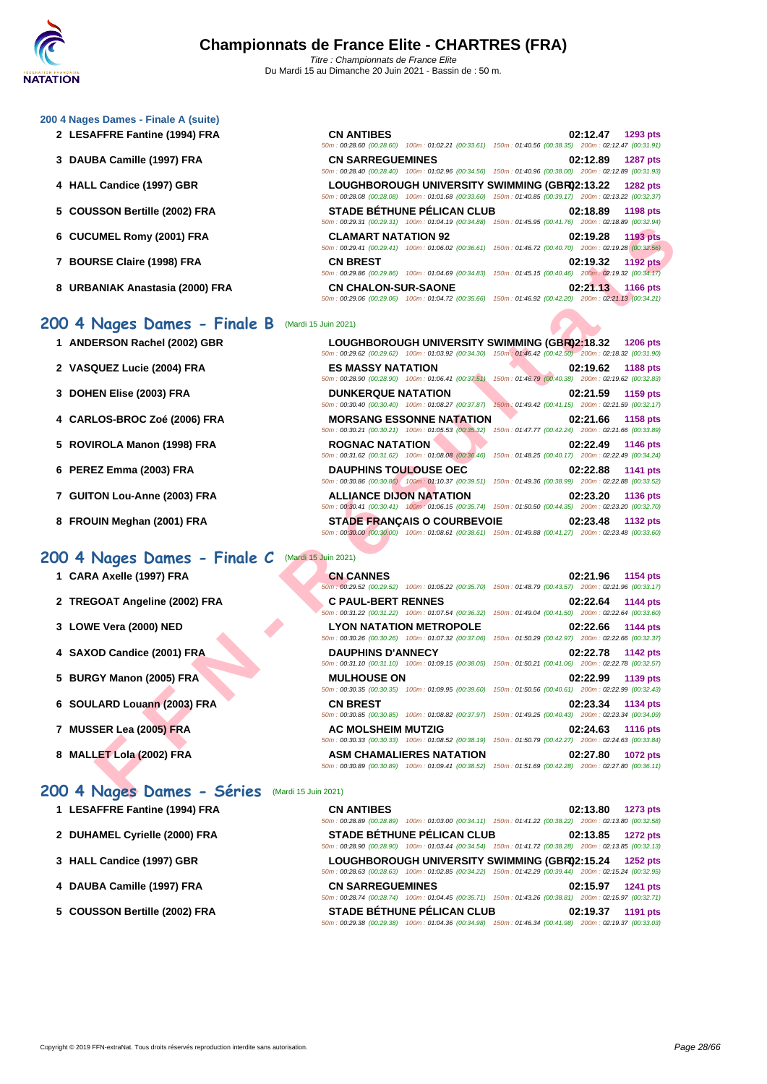#### **[200 4 Nag](http://www.ffnatation.fr/webffn/index.php)es Dames - Finale A (suite)**

- **2** LESAFFRE Fantine (1994) FRA
- **3** DAUBA Camille (1997) FRA
- **4 HALL Candice (1997) GBR**
- **5** COUSSON Bertille (2002) FRA
- **6 CUCUMEL Romy (2001) FRA CLAMART NATATION 92 02:19.28 1193 pts**
- **7 BOURSE Claire (1998) FRA**
- **8 URBANIAK Anastasia (2000) FRA**

### **200 4 Nages Dames - Finale B** (Mardi 15 Juin 2021)

- **1 ANDERSON Rachel (2002) GBR**
- **2 VASQUEZ Lucie (2004) FRA ES MASSY NATATION 02:19.62 1188 pts**
- **3 DOHEN Elise (2003) FRA DUNKERQUE NATATION 02:21.59 1159 pts**
- **4 CARLOS-BROC Zoé (2006) FRA MORSANG ESSONNE NATATION 02:21.66 1158 pts**
- **5** ROVIROLA Manon (1998) FRA
- **6 PEREZ Emma (2003) FRA**
- **7 GUITON Lou-Anne (2003) FRA**
- **8 FROUIN Meghan (2001) FRA**

### **200 4 Nages Dames - Finale C** (Mardi 15 Juin 2021)

- **1 CARA Axelle (1997) FRA**
- **2 TREGOAT Angeline (2002) FRA**
- **3 LOWE Vera (2000) NED LYON NATATION METROPOLE 02:22.66 1144 pts**
- **4 SAXOD Candice (2001) FRA**
- **5 BURGY Manon (2005) FRA**
- **6 SOULARD Louann (2003) FRA**
- **7 MUSSER Lea (2005) FRA**
- **8 MALLET** Lola (2002) FRA

### **200 4 Nages Dames - Séries** (Mardi 15 Juin 2021)

- **1** LESAFFRE Fantine (1994) FRA
- 2 **DUHAMEL Cyrielle (2000) FRA**
- **3 [HALL Candice \(1997\) GBR](http://www.ffnatation.fr/webffn/resultats.php?idact=nat&go=epr&idcpt=70185&idepr=41)**
- **4** DAUBA Camille (1997) FRA
- **5** COUSSON Bertille (2002) FRA

| <b>CN ANTIBES</b>          |                                                                                                        |                                                     |  | 02:12.47 1293 pts |
|----------------------------|--------------------------------------------------------------------------------------------------------|-----------------------------------------------------|--|-------------------|
|                            | 50m: 00:28.60 (00:28.60) 100m: 01:02.21 (00:33.61) 150m: 01:40.56 (00:38.35) 200m: 02:12.47 (00:31.91) |                                                     |  |                   |
| <b>CN SARREGUEMINES</b>    |                                                                                                        |                                                     |  | 02:12.89 1287 pts |
|                            | 50m: 00:28.40 (00:28.40) 100m: 01:02.96 (00:34.56) 150m: 01:40.96 (00:38.00) 200m: 02:12.89 (00:31.93) |                                                     |  |                   |
|                            | LOUGHBOROUGH UNIVERSITY SWIMMING (GBR02:13.22                                                          |                                                     |  | <b>1282 pts</b>   |
|                            | 50m: 00:28.08 (00:28.08) 100m: 01:01.68 (00:33.60) 150m: 01:40.85 (00:39.17) 200m: 02:13.22 (00:32.37) |                                                     |  |                   |
|                            | <b>STADE BÉTHUNE PÉLICAN CLUB</b>                                                                      |                                                     |  | 02:18.89 1198 pts |
|                            | 50m: 00:29.31 (00:29.31) 100m: 01:04.19 (00:34.88) 150m: 01:45.95 (00:41.76) 200m: 02:18.89 (00:32.94) |                                                     |  |                   |
| <b>CLAMART NATATION 92</b> |                                                                                                        |                                                     |  | 02:19.28 1193 pts |
|                            | 50m: 00:29.41 (00:29.41) 100m: 01:06.02 (00:36.61)                                                     | 150m: 01:46.72 (00:40.70) 200m: 02:19.28 (00:32.56) |  |                   |
| <b>CN BREST</b>            |                                                                                                        |                                                     |  | 02:19.32 1192 pts |
|                            | 50m: 00:29.86 (00:29.86) 100m: 01:04.69 (00:34.83)                                                     | 150m: 01:45.15 (00:40.46) 200m: 02:19.32 (00:34.17) |  |                   |
| <b>CN CHALON-SUR-SAONE</b> |                                                                                                        |                                                     |  | 02:21.13 1166 pts |
|                            | 50m: 00:29.06 (00:29.06) 100m: 01:04.72 (00:35.66)                                                     | 150m: 01:46.92 (00:42.20) 200m: 02:21.13 (00:34.21) |  |                   |

|                                 | $0011.0023.31$ $0023.31$ $10011.091.0913$ $00.39.00$ $10011.0193.33$ $0039.100$                                                                                            |
|---------------------------------|----------------------------------------------------------------------------------------------------------------------------------------------------------------------------|
| UMEL Romy (2001) FRA            | <b>CLAMART NATATION 92</b><br>02:19.28<br><b>1193 pts</b><br>50m : 00:29.41 (00:29.41) 100m : 01:06.02 (00:36.61) 150m : 01:46.72 (00:40.70) 200m : 02:19.28 (00:32.56)    |
| RSE Claire (1998) FRA           | <b>CN BREST</b><br>02:19.32<br><b>1192 pts</b><br>50m : 00:29.86 (00:29.86) 100m : 01:04.69 (00:34.83) 150m : 01:45.15 (00:40.46) 200m : 02:19.32 (00:34.17)               |
| ANIAK Anastasia (2000) FRA      | <b>CN CHALON-SUR-SAONE</b><br>02:21.13<br><b>1166 pts</b><br>50m : 00:29.06 (00:29.06) 100m : 01:04.72 (00:35.66) 150m : 01:46.92 (00:42.20) 200m : 02:21.13 (00:34.21)    |
| Nages Dames - Finale B          | (Mardi 15 Juin 2021)                                                                                                                                                       |
| ERSON Rachel (2002) GBR         | LOUGHBOROUGH UNIVERSITY SWIMMING (GBR02:18.32<br><b>1206 pts</b><br>50m: 00:29.62 (00:29.62) 100m: 01:03.92 (00:34.30) 150m: 01:46.42 (00:42.50) 200m: 02:18.32 (00:31.90) |
| <b>QUEZ Lucie (2004) FRA</b>    | <b>ES MASSY NATATION</b><br>02:19.62<br>1188 pts<br>50m : 00:28.90 (00:28.90) 100m : 01:06.41 (00:37.51) 150m : 01:46.79 (00:40.38) 200m : 02:19.62 (00:32.83)             |
| <b>EN Elise (2003) FRA</b>      | <b>DUNKERQUE NATATION</b><br>02:21.59<br>1159 pts<br>50m: 00:30.40 (00:30.40) 100m: 01:08.27 (00:37.87) 150m: 01:49.42 (00:41.15) 200m: 02:21.59 (00:32.17)                |
| <b>LOS-BROC Zoé (2006) FRA</b>  | <b>MORSANG ESSONNE NATATION</b><br>02:21.66<br>1158 pts<br>50m: 00:30.21 (00:30.21) 100m: 01:05.53 (00:35.32) 150m: 01:47.77 (00:42.24) 200m: 02:21.66 (00:33.89)          |
| IROLA Manon (1998) FRA          | <b>ROGNAC NATATION</b><br>02:22.49<br><b>1146 pts</b><br>50m: 00:31.62 (00:31.62) 100m: 01:08.08 (00:36.46) 150m: 01:48.25 (00:40.17) 200m: 02:22.49 (00:34.24)            |
| EZ Emma (2003) FRA              | <b>DAUPHINS TOULOUSE OEC</b><br>02:22.88<br>1141 pts<br>50m: 00:30.86 (00:30.86) 100m: 01:10.37 (00:39.51) 150m: 01:49.36 (00:38.99) 200m: 02:22.88 (00:33.52)             |
| ON Lou-Anne (2003) FRA          | <b>ALLIANCE DIJON NATATION</b><br>02:23.20<br>1136 pts<br>50m: 00:30.41 (00:30.41) 100m: 01:06.15 (00:35.74) 150m: 01:50.50 (00:44.35) 200m: 02:23.20 (00:32.70)           |
| UIN Meghan (2001) FRA           | <b>STADE FRANÇAIS O COURBEVOIE</b><br>02:23.48<br>1132 pts<br>50m: 00:30.00 (00:30.00) 100m: 01:08.61 (00:38.61) 150m: 01:49.88 (00:41.27) 200m: 02:23.48 (00:33.60)       |
| Nages Dames - Finale C          | (Mardi 15 Juin 2021)                                                                                                                                                       |
| A Axelle (1997) FRA             | <b>CN CANNES</b><br>02:21.96<br>1154 pts<br>50m; 00:29.52 (00:29.52) 100m: 01:05.22 (00:35.70) 150m: 01:48.79 (00:43.57) 200m: 02:21.96 (00:33.17)                         |
| <b>GOAT Angeline (2002) FRA</b> | <b>C PAUL-BERT RENNES</b><br>02:22.64<br>1144 pts<br>50m: 00:31.22 (00:31.22) 100m: 01:07.54 (00:36.32) 150m: 01:49.04 (00:41.50) 200m: 02:22.64 (00:33.60)                |
| E Vera (2000) NED               | <b>LYON NATATION METROPOLE</b><br>02:22.66<br>1144 pts<br>50m : 00:30.26 (00:30.26) 100m : 01:07.32 (00:37.06) 150m : 01:50.29 (00:42.97) 200m : 02:22.66 (00:32.37)       |
| <b>OD Candice (2001) FRA</b>    | <b>DAUPHINS D'ANNECY</b><br>02:22.78<br><b>1142 pts</b><br>50m: 00:31.10 (00:31.10) 100m: 01:09.15 (00:38.05) 150m: 01:50.21 (00:41.06) 200m: 02:22.78 (00:32.57)          |
| GY Manon (2005) FRA             | <b>MULHOUSE ON</b><br>02:22.99<br>1139 pts<br>50m : 00:30.35 (00:30.35) 100m : 01:09.95 (00:39.60) 150m : 01:50.56 (00:40.61) 200m : 02:22.99 (00:32.43)                   |
|                                 | <b>CN BREST</b><br>02:23.34<br>1134 pts                                                                                                                                    |
| LARD Louann (2003) FRA          | 50m: 00:30.85 (00:30.85) 100m: 01:08.82 (00:37.97) 150m: 01:49.25 (00:40.43) 200m: 02:23.34 (00:34.09)                                                                     |
| SER Lea (2005) FRA              | <b>AC MOLSHEIM MUTZIG</b><br>02:24.63<br><b>1116 pts</b><br>50m: 00:30.33 (00:30.33) 100m: 01:08.52 (00:38.19) 150m: 01:50.79 (00:42.27) 200m: 02:24.63 (00:33.84)         |

| <b>CN CANNES</b>          |                                                                                                        | 02:21.96 1154 pts |  |
|---------------------------|--------------------------------------------------------------------------------------------------------|-------------------|--|
|                           | 50m: 00:29.52 (00:29.52) 100m: 01:05.22 (00:35.70) 150m: 01:48.79 (00:43.57) 200m: 02:21.96 (00:33.17) |                   |  |
| <b>C PAUL-BERT RENNES</b> |                                                                                                        | 02:22.64 1144 pts |  |
|                           | 50m: 00:31.22 (00:31.22) 100m: 01:07.54 (00:36.32) 150m: 01:49.04 (00:41.50) 200m: 02:22.64 (00:33.60) |                   |  |
|                           | <b>LYON NATATION METROPOLE</b>                                                                         | 02:22.66 1144 pts |  |
|                           | 50m: 00:30.26 (00:30.26) 100m: 01:07.32 (00:37.06) 150m: 01:50.29 (00:42.97) 200m: 02:22.66 (00:32.37) |                   |  |
| <b>DAUPHINS D'ANNECY</b>  |                                                                                                        | 02:22.78 1142 pts |  |
|                           | 50m: 00:31.10 (00:31.10) 100m: 01:09.15 (00:38.05) 150m: 01:50.21 (00:41.06) 200m: 02:22.78 (00:32.57) |                   |  |
| <b>MULHOUSE ON</b>        |                                                                                                        | 02:22.99 1139 pts |  |
|                           | 50m: 00:30.35 (00:30.35) 100m: 01:09.95 (00:39.60) 150m: 01:50.56 (00:40.61) 200m: 02:22.99 (00:32.43) |                   |  |
| <b>CN BREST</b>           |                                                                                                        | 02:23.34 1134 pts |  |
|                           | 50m: 00:30.85 (00:30.85) 100m: 01:08.82 (00:37.97) 150m: 01:49.25 (00:40.43) 200m: 02:23.34 (00:34.09) |                   |  |
| <b>AC MOLSHEIM MUTZIG</b> |                                                                                                        | 02:24.63 1116 pts |  |
|                           | 50m: 00:30.33 (00:30.33) 100m: 01:08.52 (00:38.19) 150m: 01:50.79 (00:42.27) 200m: 02:24.63 (00:33.84) |                   |  |
|                           | <b>ASM CHAMALIERES NATATION</b>                                                                        | 02:27.80 1072 pts |  |
|                           | 50m; 00:30.89 (00:30.89) 100m; 01:09.41 (00:38.52) 150m; 01:51.69 (00:42.28) 200m; 02:27.80 (00:36.11) |                   |  |

| <b>CN ANTIBES</b>        |                                                                                                        |                                                     |          | 02:13.80 1273 pts |
|--------------------------|--------------------------------------------------------------------------------------------------------|-----------------------------------------------------|----------|-------------------|
|                          | 50m; 00:28.89 (00:28.89) 100m; 01:03.00 (00:34.11) 150m; 01:41.22 (00:38.22) 200m; 02:13.80 (00:32.58) |                                                     |          |                   |
|                          | STADE BÉTHUNE PÉLICAN CLUB                                                                             |                                                     | 02:13.85 | <b>1272 pts</b>   |
| 50m: 00:28.90 (00:28.90) | 100m: 01:03.44 (00:34.54) 150m: 01:41.72 (00:38.28) 200m: 02:13.85 (00:32.13)                          |                                                     |          |                   |
|                          | LOUGHBOROUGH UNIVERSITY SWIMMING (GBR02:15.24                                                          |                                                     |          | $1252$ pts        |
|                          | 50m: 00:28.63 (00:28.63) 100m: 01:02.85 (00:34.22) 150m: 01:42.29 (00:39.44) 200m: 02:15.24 (00:32.95) |                                                     |          |                   |
| <b>CN SARREGUEMINES</b>  |                                                                                                        |                                                     |          | 02:15.97 1241 pts |
|                          | 50m: 00:28.74 (00:28.74) 100m: 01:04.45 (00:35.71)                                                     | 150m: 01:43.26 (00:38.81) 200m: 02:15.97 (00:32.71) |          |                   |
|                          | STADE BÉTHUNE PÉLICAN CLUB                                                                             |                                                     | 02:19.37 | 1191 pts          |
|                          | 50m: 00:29.38 (00:29.38) 100m: 01:04.36 (00:34.98) 150m: 01:46.34 (00:41.98) 200m: 02:19.37 (00:33.03) |                                                     |          |                   |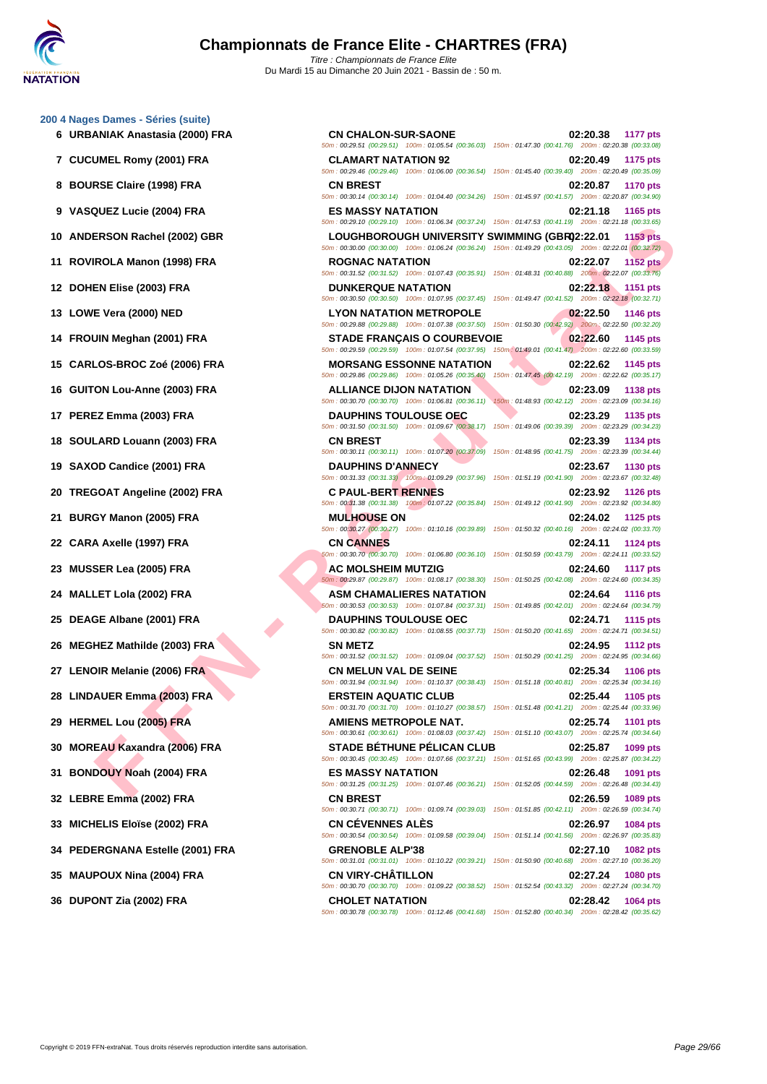**[200 4 Nag](http://www.ffnatation.fr/webffn/index.php)es Dames - Séries (suite)**

**FROM Recher (3002) FRA**<br> **FROM A Mannon (1998) FRA**<br> **FROM A Mannon (1998) FRA**<br> **FROM A Mannon (1998) FRA**<br> **FROM A Mannon (1998) FRA**<br> **FROM A MANNINON MEXITY (2002) FRA**<br> **FROM A MANNINON MEXITY (2002) FRA**<br> **FROM A M 6 URBANIAK Anastasia (2000) FRA CN CHALON-SUR-SAONE 02:20.38 1177 pts** 50m : 00:29.51 (00:29.51) 100m : 01:05.54 (00:36.03) 150m : 01:47.30 (00:41.76) 200m : 02:20.38 (00:33.08) **7 CUCUMEL Romy (2001) FRA CLAMART NATATION 92 02:20.49 1175 pts** 50m : 00:29.46 (00:29.46) 100m : 01:06.00 (00:36.54) 150m : 01:45.40 (00:39.40) 200m : 02:20.49 (00:35.09) **8 BOURSE Claire (1998) FRA CN BREST 02:20.87 1170 pts** 50m : 00:30.14 (00:30.14) 100m : 01:04.40 (00:34.26) 150m : 01:45.97 (00:41.57) 200m : 02:20.87 (00:34.90) **9 VASQUEZ Lucie (2004) FRA ES MASSY NATATION 02:21.18 1165 pts** 50m : 00:29.10 (00:29.10) 100m : 01:06.34 (00:37.24) 150m : 01:47.53 (00:41.19) 200m : 02:21.18 (00:33.65) **10 ANDERSON Rachel (2002) GBR LOUGHBOROUGH UNIVERSITY SWIMMING (GBR)02:22.01 1153 pts** 50m : 00:30.00 (00:30.00) 100m : 01:06.24 (00:36.24) 150m : 01:49.29 (00:43.05) 200m : 02:22.01 (00:32.72) **11 ROVIROLA Manon (1998) FRA ROGNAC NATATION 02:22.07 1152 pts** 50m : 00:31.52 (00:31.52) 100m : 01:07.43 (00:35.91) 150m : 01:48.31 (00:40.88) 200m : 02:22.07 (00:33.76) **12 DOHEN Elise (2003) FRA DUNKERQUE NATATION 02:22.18 1151 pts** 50m : 00:30.50 (00:30.50) 100m : 01:07.95 (00:37.45) 150m : 01:49.47 (00:41.52) 200m : 02:22.18 (00:32.71) **13 LOWE Vera (2000) NED LYON NATATION METROPOLE 02:22.50 1146 pts** 50m : 00:29.88 (00:29.88) 100m : 01:07.38 (00:37.50) 150m : 01:50.30 (00:42.92) 200m : 02:22.50 (00:32.20) **14 FROUIN Meghan (2001) FRA STADE FRANÇAIS O COURBEVOIE 02:22.60 1145 pts** 50m : 00:29.59 (00:29.59) 100m : 01:07.54 (00:37.95) 150m : 01:49.01 (00:41.47) 200m : 02:22.60 (00:33.59) **15 CARLOS-BROC Zoé (2006) FRA MORSANG ESSONNE NATATION 02:22.62 1145 pts** 50m : 00:29.86 (00:29.86) 100m : 01:05.26 (00:35.40) 150m : 01:47.45 (00:42.19) 200m : 02:22.62 (00:35.17) **16 GUITON Lou-Anne (2003) FRA ALLIANCE DIJON NATATION 02:23.09 1138 pts** 50m : 00:30.70 (00:30.70) 100m : 01:06.81 (00:36.11) 150m : 01:48.93 (00:42.12) 200m : 02:23.09 (00:34.16) **17 PEREZ Emma (2003) FRA DAUPHINS TOULOUSE OEC 02:23.29 1135 pts** 50m : 00:31.50 (00:31.50) 100m : 01:09.67 (00:38.17) 150m : 01:49.06 (00:39.39) 200m : 02:23.29 (00:34.23) **18 SOULARD Louann (2003) FRA CN BREST 02:23.39 1134 pts** 50m : 00:30.11 (00:30.11) 100m : 01:07.20 (00:37.09) 150m : 01:48.95 (00:41.75) 200m : 02:23.39 (00:34.44) **19 SAXOD Candice (2001) FRA DAUPHINS D'ANNECY 02:23.67 1130 pts** 50m : 00:31.33 (00:31.33) 100m : 01:09.29 (00:37.96) 150m : 01:51.19 (00:41.90) 200m : 02:23.67 (00:32.48) **20 TREGOAT Angeline (2002) FRA C PAUL-BERT RENNES 02:23.92 1126 pts** 50m : 00:31.38 (00:31.38) 100m : 01:07.22 (00:35.84) 150m : 01:49.12 (00:41.90) 200m : 02:23.92 (00:34.80) **21 BURGY Manon (2005) FRA MULHOUSE ON 02:24.02 1125 pts** 50m : 00:30.27 (00:30.27) 100m : 01:10.16 (00:39.89) 150m : 01:50.32 (00:40.16) 200m : 02:24.02 (00:33.70) **22 CARA Axelle (1997) FRA CN CANNES 02:24.11 1124 pts** 50m : 00:30.70 (00:30.70) 100m : 01:06.80 (00:36.10) 150m : 01:50.59 (00:43.79) 200m : 02:24.11 (00:33.52) **23 MUSSER Lea (2005) FRA AC MOLSHEIM MUTZIG 02:24.60 1117 pts** 50m : 00:29.87 (00:29.87) 100m : 01:08.17 (00:38.30) 150m : 01:50.25 (00:42.08) 200m : 02:24.60 (00:34.35) **24 MALLET Lola (2002) FRA ASM CHAMALIERES NATATION 02:24.64 1116 pts** 50m : 00:30.53 (00:30.53) 100m : 01:07.84 (00:37.31) 150m : 01:49.85 (00:42.01) 200m : 02:24.64 (00:34.79) **25 DEAGE Albane (2001) FRA DAUPHINS TOULOUSE OEC 02:24.71 1115 pts** 50m : 00:30.82 (00:30.82) 100m : 01:08.55 (00:37.73) 150m : 01:50.20 (00:41.65) 200m : 02:24.71 (00:34.51) **26 MEGHEZ Mathilde (2003) FRA SN METZ 02:24.95 1112 pts** 50m : 00:31.52 (00:31.52) 100m : 01:09.04 (00:37.52) 150m : 01:50.29 (00:41.25) 200m : 02:24.95 (00:34.66) **27 LENOIR Melanie (2006) FRA CN MELUN VAL DE SEINE 02:25.34 1106 pts** 50m : 00:31.94 (00:31.94) 100m : 01:10.37 (00:38.43) 150m : 01:51.18 (00:40.81) 200m : 02:25.34 (00:34.16) **28 LINDAUER Emma (2003) FRA ERSTEIN AQUATIC CLUB 02:25.44 1105 pts** 50m : 00:31.70 (00:31.70) 100m : 01:10.27 (00:38.57) 150m : 01:51.48 (00:41.21) 200m : 02:25.44 (00:33.96) **29 HERMEL Lou (2005) FRA AMIENS METROPOLE NAT. 02:25.74 1101 pts** 50m : 00:30.61 (00:30.61) 100m : 01:08.03 (00:37.42) 150m : 01:51.10 (00:43.07) 200m : 02:25.74 (00:34.64) **30 MOREAU Kaxandra (2006) FRA STADE BÉTHUNE PÉLICAN CLUB 02:25.87 1099 pts** 50m : 00:30.45 (00:30.45) 100m : 01:07.66 (00:37.21) 150m : 01:51.65 (00:43.99) 200m : 02:25.87 (00:34.22) **31 BONDOUY Noah (2004) FRA ES MASSY NATATION 02:26.48 1091 pts** 50m : 00:31.25 (00:31.25) 100m : 01:07.46 (00:36.21) 150m : 01:52.05 (00:44.59) 200m : 02:26.48 (00:34.43) **32 LEBRE Emma (2002) FRA CN BREST 02:26.59 1089 pts** 50m : 00:30.71 (00:30.71) 100m : 01:09.74 (00:39.03) 150m : 01:51.85 (00:42.11) 200m : 02:26.59 (00:34.74) **33 MICHELIS Eloïse (2002) FRA CN CÉVENNES ALÈS 02:26.97 1084 pts** 50m : 00:30.54 (00:30.54) 100m : 01:09.58 (00:39.04) 150m : 01:51.14 (00:41.56) 200m : 02:26.97 (00:35.83) **34 PEDERGNANA Estelle (2001) FRA GRENOBLE ALP'38 02:27.10 1082 pts** 50m : 00:31.01 (00:31.01) 100m : 01:10.22 (00:39.21) 150m : 01:50.90 (00:40.68) 200m : 02:27.10 (00:36.20) **35 MAUPOUX Nina (2004) FRA CN VIRY-CHÂTILLON 02:27.24 1080 pts** 50m : 00:30.70 (00:30.70) 100m : 01:09.22 (00:38.52) 150m : 01:52.54 (00:43.32) 200m : 02:27.24 (00:34.70) **36 DUPONT Zia (2002) FRA CHOLET NATATION 02:28.42 1064 pts** 50m : 00:30.78 (00:30.78) 100m : 01:12.46 (00:41.68) 150m : 01:52.80 (00:40.34) 200m : 02:28.42 (00:35.62)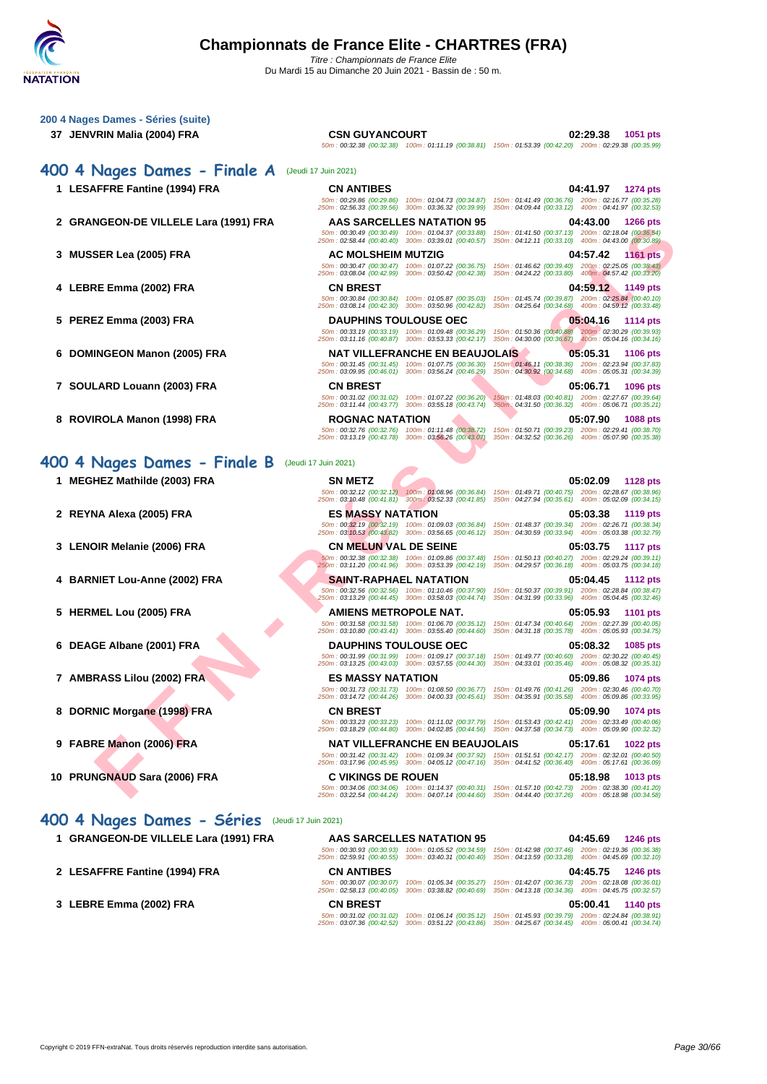

| 200 4 Nages Dames - Séries (suite)                                  |                                                                                                                                                                                            |                                                                                                                                                                                                                                                                                                                                                                                                                    |
|---------------------------------------------------------------------|--------------------------------------------------------------------------------------------------------------------------------------------------------------------------------------------|--------------------------------------------------------------------------------------------------------------------------------------------------------------------------------------------------------------------------------------------------------------------------------------------------------------------------------------------------------------------------------------------------------------------|
| 37 JENVRIN Malia (2004) FRA                                         | <b>CSN GUYANCOURT</b>                                                                                                                                                                      | 02:29.38<br>1051 pts<br>50m: 00:32.38 (00:32.38) 100m: 01:11.19 (00:38.81) 150m: 01:53.39 (00:42.20) 200m: 02:29.38 (00:35.99)                                                                                                                                                                                                                                                                                     |
| 400 4 Nages Dames - Finale A                                        | (Jeudi 17 Juin 2021)                                                                                                                                                                       |                                                                                                                                                                                                                                                                                                                                                                                                                    |
| 1 LESAFFRE Fantine (1994) FRA                                       | <b>CN ANTIBES</b><br>250m: 02:56.33 (00:39.56) 300m: 03:36.32 (00:39.99)                                                                                                                   | 04:41.97<br>1274 pts<br>50m: 00:29.86 (00:29.86) 100m: 01:04.73 (00:34.87) 150m: 01:41.49 (00:36.76) 200m: 02:16.77 (00:35.28)<br>350m: 04:09.44 (00:33.12) 400m: 04:41.97 (00:32.53)                                                                                                                                                                                                                              |
| 2 GRANGEON-DE VILLELE Lara (1991) FRA                               | AAS SARCELLES NATATION 95<br>50m: 00:30.49 (00:30.49) 100m: 01:04.37 (00:33.88)<br>250m: 02:58.44 (00:40.40) 300m: 03:39.01 (00:40.57)                                                     | 04:43.00<br><b>1266 pts</b><br>150m: 01:41.50 (00:37.13) 200m: 02:18.04 (00:36.54)<br>350m: 04:12.11 (00:33.10) 400m: 04:43.00 (00:30.89)                                                                                                                                                                                                                                                                          |
| 3 MUSSER Lea (2005) FRA                                             | <b>AC MOLSHEIM MUTZIG</b><br>50m: 00:30.47 (00:30.47) 100m: 01:07.22 (00:36.75)<br>250m: 03:08.04 (00:42.99) 300m: 03:50.42 (00:42.38)                                                     | 04:57.42<br><b>1161 pts</b><br>150m: 01:46.62 (00:39.40) 200m: 02:25.05 (00:38.43)<br>350m: 04:24.22 (00:33.80) 400m: 04:57.42 (00:33.20)                                                                                                                                                                                                                                                                          |
| 4 LEBRE Emma (2002) FRA                                             | <b>CN BREST</b><br>50m: 00:30.84 (00:30.84) 100m: 01:05.87 (00:35.03)<br>250m: 03:08.14 (00:42.30) 300m: 03:50.96 (00:42.82)                                                               | 04:59.12 1149 pts<br>150m: 01:45.74 (00:39.87) 200m: 02:25.84 (00:40.10)<br>350m: 04:25.64 (00:34.68) 400m: 04:59.12 (00:33.48)                                                                                                                                                                                                                                                                                    |
| 5 PEREZ Emma (2003) FRA                                             | <b>DAUPHINS TOULOUSE OEC</b><br>50m: 00:33.19 (00:33.19) 100m: 01:09.48 (00:36.29)<br>250m: 03:11.16 (00:40.87) 300m: 03:53.33 (00:42.17)                                                  | 05:04.16<br>1114 pts<br>150m: 01:50.36 (00:40.88) 200m: 02:30.29 (00:39.93)<br>350m: 04:30.00 (00:36.67) 400m: 05:04.16 (00:34.16)                                                                                                                                                                                                                                                                                 |
| 6 DOMINGEON Manon (2005) FRA                                        | NAT VILLEFRANCHE EN BEAUJOLAIS.<br>50m: 00:31.45 (00:31.45) 100m: 01:07.75 (00:36.30)                                                                                                      | 05:05.31<br><b>1106 pts</b><br>150m : 01:46.11 (00:38.36) 200m : 02:23.94 (00:37.83)                                                                                                                                                                                                                                                                                                                               |
| 7 SOULARD Louann (2003) FRA                                         | 250m: 03:09.95 (00:46.01) 300m: 03:56.24 (00:46.29)<br><b>CN BREST</b><br>50m: 00:31.02 (00:31.02) 100m: 01:07.22 (00:36.20)                                                               | 350m: 04:30.92 (00:34.68) 400m: 05:05.31 (00:34.39)<br>05:06.71<br><b>1096 pts</b><br>150m: 01:48.03 (00:40.81) 200m: 02:27.67 (00:39.64)                                                                                                                                                                                                                                                                          |
| 8 ROVIROLA Manon (1998) FRA                                         | 250m: 03:11.44 (00:43.77) 300m: 03:55.18 (00:43.74)<br><b>ROGNAC NATATION</b><br>50m: 00:32.76 (00:32.76) 100m: 01:11.48 (00:38.72)<br>250m: 03:13.19 (00:43.78) 300m: 03:56.26 (00:43.07) | 350m; 04:31.50 (00:36.32) 400m: 05:06.71 (00:35.21)<br>05:07.90<br><b>1088 pts</b><br>150m: 01:50.71 (00:39.23) 200m: 02:29.41 (00:38.70)<br>350m: 04:32.52 (00:36.26) 400m: 05:07.90 (00:35.38)                                                                                                                                                                                                                   |
| 400 4 Nages Dames - Finale B                                        | (Jeudi 17 Juin 2021)                                                                                                                                                                       |                                                                                                                                                                                                                                                                                                                                                                                                                    |
| 1 MEGHEZ Mathilde (2003) FRA                                        | <b>SN METZ</b>                                                                                                                                                                             | 05:02.09<br><b>1128 pts</b><br>50m : 00:32.12 (00:32.12) 100m : 01:08.96 (00:36.84) 150m : 01:49.71 (00:40.75) 200m : 02:28.67 (00:38.96)<br>250m: 03:10.48 (00:41.81) 300m: 03:52.33 (00:41.85) 350m: 04:27.94 (00:35.61) 400m: 05:02.09 (00:34.15)                                                                                                                                                               |
| 2 REYNA Alexa (2005) FRA                                            | <b>ES MASSY NATATION</b><br>50m: 00:32.19 (00:32.19) 100m: 01:09.03 (00:36.84)<br>250m: 03:10.53 (00:43.82) 300m: 03:56.65 (00:46.12)                                                      | 05:03.38<br>1119 pts<br>150m: 01:48.37 (00:39.34) 200m: 02:26.71 (00:38.34)<br>350m: 04:30.59 (00:33.94) 400m: 05:03.38 (00:32.79)                                                                                                                                                                                                                                                                                 |
| 3 LENOIR Melanie (2006) FRA                                         | <b>CN MELUN VAL DE SEINE</b><br>50m: 00:32.38 (00:32.38) 100m: 01:09.86 (00:37.48)<br>250m: 03:11.20 (00:41.96) 300m: 03:53.39 (00:42.19)                                                  | 05:03.75<br><b>1117 pts</b><br>150m: 01:50.13 (00:40.27) 200m: 02:29.24 (00:39.11)<br>350m: 04:29.57 (00:36.18) 400m: 05:03.75 (00:34.18)                                                                                                                                                                                                                                                                          |
| 4 BARNIET Lou-Anne (2002) FRA                                       | <b>SAINT-RAPHAEL NATATION</b><br>50m: 00:32.56 (00:32.56) 100m: 01:10.46 (00:37.90)                                                                                                        | 05:04.45<br>1112 pts<br>150m: 01:50.37 (00:39.91) 200m: 02:28.84 (00:38.47)                                                                                                                                                                                                                                                                                                                                        |
| 5 HERMEL Lou (2005) FRA                                             | 250m: 03:13.29 (00:44.45) 300m: 03:58.03 (00:44.74)<br>AMIENS METROPOLE NAT.<br>50m: 00:31.58 (00:31.58) 100m: 01:06.70 (00:35.12)                                                         | 350m: 04:31.99 (00:33.96) 400m: 05:04.45 (00:32.46)<br>05:05.93<br><b>1101 pts</b><br>150m: 01:47.34 (00:40.64) 200m: 02:27.39 (00:40.05)                                                                                                                                                                                                                                                                          |
| 6 DEAGE Albane (2001) FRA                                           | 250m: 03:10.80 (00:43.41) 300m: 03:55.40 (00:44.60)<br><b>DAUPHINS TOULOUSE OEC</b><br>50m: 00:31.99 (00:31.99) 100m: 01:09.17 (00:37.18)                                                  | 350m: 04:31.18 (00:35.78) 400m: 05:05.93 (00:34.75)<br>05:08.32<br>1085 pts<br>150m: 01:49.77 (00:40.60) 200m: 02:30.22 (00:40.45)                                                                                                                                                                                                                                                                                 |
| 7 AMBRASS Lilou (2002) FRA                                          | 250m: 03:13.25 (00:43.03) 300m: 03:57.55 (00:44.30)<br><b>ES MASSY NATATION</b>                                                                                                            | 350m: 04:33.01 (00:35.46) 400m: 05:08.32 (00:35.31)<br>05:09.86<br><b>1074 pts</b><br>.50m; 00:31.73 (00:31.73) 100m; 01:08.50 (00:36.77) 150m; 01:49.76 (00:41.26) 200m; 02:30.46 (00:40.70                                                                                                                                                                                                                       |
| 8 DORNIC Morgane (1998) FRA                                         | <b>CN BREST</b>                                                                                                                                                                            | 250m: 03:14.72 (00:44.26) 300m: 04:00.33 (00:45.61) 350m: 04:35.91 (00:35.58) 400m: 05:09.86 (00:33.95)<br>05:09.90<br><b>1074 pts</b><br>50m: 00:33.23 (00:33.23) 100m: 01:11.02 (00:37.79) 150m: 01:53.43 (00:42.41) 200m: 02:33.49 (00:40.06)                                                                                                                                                                   |
| 9 FABRE Manon (2006) FRA                                            | <b>NAT VILLEFRANCHE EN BEAUJOLAIS</b>                                                                                                                                                      | 250m: 03:18.29 (00:44.80) 300m: 04:02.85 (00:44.56) 350m: 04:37.58 (00:34.73) 400m: 05:09.90 (00:32.32)<br>05:17.61<br>1022 pts<br>50m: 00:31.42 (00:31.42) 100m: 01:09.34 (00:37.92) 150m: 01:51.51 (00:42.17) 200m: 02:32.01 (00:40.50)                                                                                                                                                                          |
| 10 PRUNGNAUD Sara (2006) FRA                                        | <b>C VIKINGS DE ROUEN</b>                                                                                                                                                                  | 250m: 03:17.96 (00:45.95) 300m: 04:05.12 (00:47.16) 350m: 04:41.52 (00:36.40) 400m: 05:17.61 (00:36.09)<br>05:18.98<br>1013 pts<br>50m: 00:34.06 (00:34.06) 100m: 01:14.37 (00:40.31) 150m: 01:57.10 (00:42.73) 200m: 02:38.30 (00:41.20)                                                                                                                                                                          |
|                                                                     |                                                                                                                                                                                            | 250m: 03:22.54 (00:44.24) 300m: 04:07.14 (00:44.60) 350m: 04:44.40 (00:37.26) 400m: 05:18.98 (00:34.58)                                                                                                                                                                                                                                                                                                            |
| 400 4 Nages Dames - Séries<br>1 GRANGEON-DE VILLELE Lara (1991) FRA | (Jeudi 17 Juin 2021)<br>AAS SARCELLES NATATION 95<br>50m: 00:30.93 (00:30.93) 100m: 01:05.52 (00:34.59)                                                                                    | 04:45.69<br><b>1246 pts</b>                                                                                                                                                                                                                                                                                                                                                                                        |
| 2 LESAFFRE Fantine (1994) FRA                                       | <b>CN ANTIBES</b>                                                                                                                                                                          | 150m: 01:42.98 (00:37.46) 200m: 02:19.36 (00:36.38)<br>250m: 02:59.91 (00:40.55) 300m: 03:40.31 (00:40.40) 350m: 04:13.59 (00:33.28) 400m: 04:45.69 (00:32.10)<br>04:45.75<br><b>1246 pts</b><br>50m: 00:30.07 (00:30.07) 100m: 01:05.34 (00:35.27) 150m: 01:42.07 (00:36.73) 200m: 02:18.08 (00:36.01)<br>250m: 02:58.13 (00:40.05) 300m: 03:38.82 (00:40.69) 350m: 04:13.18 (00:34.36) 400m: 04:45.75 (00:32.57) |

3 LEBRE Emma (2002) FRA  $\text{C}\text{N} \text{ BREST}$ <br>  $\text{C}\text{N} \text{ BREST}$   $\text{C}\text{N} \text{ BREST}$   $\text{C}\text{N} \text{ BEST}$   $\text{C}\text{N} \text{ BEST}$   $\text{C}\text{N} \text{ BIST}$   $\text{C}\text{N} \text{ BIST}$   $\text{C}\text{N} \text{ BIST}$   $\text{C}\text{N} \text{ BIST}$   $\text{C}\text{N} \text{ BIST}$   $\text{C}\text{N} \text{ BIST}$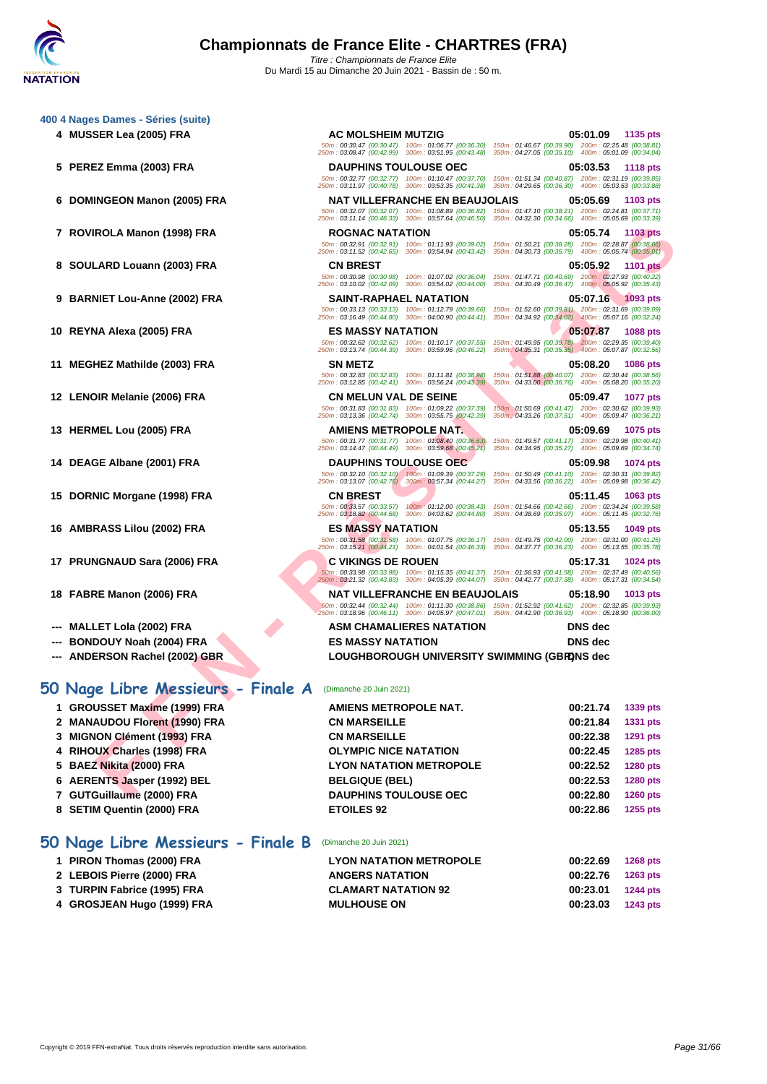#### **[400 4 Nag](http://www.ffnatation.fr/webffn/index.php)es Dames - Séries (suite)**

- 
- 
- 
- 
- 
- 
- 
- 
- 
- 
- 
- 
- 
- 
- 
- 
- 
- 

### **50 Nage Libre Messieurs - Finale A** (Dimanche 20 Juin 2021)

- 
- 
- 
- 
- 
- 
- 
- 

### **50 Nage Libre Messieurs - Finale B** (Dimanche 20 Juin 2021)

- 
- 
- 
- 

**FROLAMELO (300) FRA**<br> **FROLAME (300) FRA**<br> **FROLAME (300) FRA**<br> **EARD LOUGING PROPER CONTRACT CONTRACT CONTRACT CONTRACT CONTRACT CONTRACT CONTRACT CONTRACT CONTRACT CONTRACT CONTRACT CONTRACT CONTRACT CONTRACT CONTRACT C 4 MUSSER Lea (2005) FRA AC MOLSHEIM MUTZIG 05:01.09 1135 pts** 50m : 00:30.47 (00:30.47) 100m : 01:06.77 (00:36.30) 150m : 01:46.67 (00:39.90) 200m : 02:25.48 (00:38.81) 250m : 03:08.47 (00:42.99) 300m : 03:51.95 (00:43.48) 350m : 04:27.05 (00:35.10) 400m : 05:01.09 (00:34.04) **5 PEREZ Emma (2003) FRA DAUPHINS TOULOUSE OEC 05:03.53 1118 pts** 50m : 00:32.77 (00:32.77) 100m : 01:10.47 (00:37.70) 150m : 01:51.34 (00:40.87) 200m : 02:31.19 (00:39.85) 250m : 03:11.97 (00:40.78) 300m : 03:53.35 (00:41.38) 350m : 04:29.65 (00:36.30) 400m : 05:03.53 (00:33.88) **6 DOMINGEON Manon (2005) FRA NAT VILLEFRANCHE EN BEAUJOLAIS 05:05.69 1103 pts** 50m : 00:32.07 (00:32.07) 100m : 01:08.89 (00:36.82) 150m : 01:47.10 (00:38.21) 200m : 02:24.81 (00:37.71) 250m : 03:11.14 (00:46.33) 300m : 03:57.64 (00:46.50) 350m : 04:32.30 (00:34.66) 400m : 05:05.69 (00:33.39) **7 ROVIROLA Manon (1998) FRA ROGNAC NATATION 05:05.74 1103 pts** 50m : 00:32.91 (00:32.91) 100m : 01:11.93 (00:39.02) 150m : 01:50.21 (00:38.28) 200m : 02:28.87 (00:38.66) 250m : 03:11.52 (00:42.65) 300m : 03:54.94 (00:43.42) 350m : 04:30.73 (00:35.79) 400m : 05:05.74 (00:35.01) **8 SOULARD Louann (2003) FRA CN BREST 05:05.92 1101 pts** 50m : 00:30.98 (00:30.98) 100m : 01:07.02 (00:36.04) 150m : 01:47.71 (00:40.69) 200m : 02:27.93 (00:40.22) 250m : 03:10.02 (00:42.09) 300m : 03:54.02 (00:44.00) 350m : 04:30.49 (00:36.47) 400m : 05:05.92 (00:35.43) **9 BARNIET Lou-Anne (2002) FRA SAINT-RAPHAEL NATATION 05:07.16 1093 pts** 50m : 00:33.13 (00:33.13) 100m : 01:12.79 (00:39.66) 150m : 01:52.60 (00:39.81) 200m : 02:31.69 (00:39.09) 250m : 03:16.49 (00:44.80) 300m : 04:00.90 (00:44.41) 350m : 04:34.92 (00:34.02) 400m : 05:07.16 (00:32.24) **10 REYNA Alexa (2005) FRA ES MASSY NATATION 05:07.87 1088 pts** 50m : 00:32.62 (00:32.62) 100m : 01:10.17 (00:37.55) 150m : 01:49.95 (00:39.78) 200m : 02:29.35 (00:39.40) 250m : 03:13.74 (00:44.39) 300m : 03:59.96 (00:46.22) 350m : 04:35.31 (00:35.35) 400m : 05:07.87 (00:32.56) **11 MEGHEZ Mathilde (2003) FRA SN METZ 05:08.20 1086 pts** 50m : 00:32.83 (00:32.83) 100m : 01:11.81 (00:38.98) 150m : 01:51.88 (00:40.07) 200m : 02:30.44 (00:38.56) 250m : 03:12.85 (00:42.41) 300m : 03:56.24 (00:43.39) 350m : 04:33.00 (00:36.76) 400m : 05:08.20 (00:35.20) **12 LENOIR Melanie (2006) FRA CN MELUN VAL DE SEINE 05:09.47 1077 pts** 50m : 00:31.83 (00:31.83) 100m : 01:09.22 (00:37.39) 150m : 01:50.69 (00:41.47) 200m : 02:30.62 (00:39.93) 250m : 03:13.36 (00:42.74) 300m : 03:55.75 (00:42.39) 350m : 04:33.26 (00:37.51) 400m : 05:09.47 (00:36.21) **13 HERMEL Lou (2005) FRA AMIENS METROPOLE NAT. 05:09.69 1075 pts** 50m : 00:31.77 (00:31.77) 100m : 01:08.40 (00:36.63) 150m : 01:49.57 (00:41.17) 200m : 02:29.98 (00:40.41) 250m : 03:14.47 (00:44.49) 300m : 03:59.68 (00:45.21) 350m : 04:34.95 (00:35.27) 400m : 05:09.69 (00:34.74) **14 DEAGE Albane (2001) FRA DAUPHINS TOULOUSE OEC 05:09.98 1074 pts** 50m : 00:32.10 (00:32.10) 100m : 01:09.39 (00:37.29) 150m : 01:50.49 (00:41.10) 200m : 02:30.31 (00:39.82) 250m : 03:13.07 (00:42.76) 300m : 03:57.34 (00:44.27) 350m : 04:33.56 (00:36.22) 400m : 05:09.98 (00:36.42) **15 DORNIC Morgane (1998) FRA CN BREST 05:11.45 1063 pts** 50m : 00:33.57 (00:33.57) 100m : 01:12.00 (00:38.43) 150m : 01:54.66 (00:42.66) 200m : 02:34.24 (00:39.58) 250m : 03:18.82 (00:44.58) 300m : 04:03.62 (00:44.80) 350m : 04:38.69 (00:35.07) 400m : 05:11.45 (00:32.76)

**17 PRUNGNAUD Sara (2006) FRA C VIKINGS DE ROUEN 05:17.31 1024 pts** 50m : 00:33.98 (00:33.98) 100m : 01:15.35 (00:41.37) 150m : 01:56.93 (00:41.58) 200m : 02:37.49 (00:40.56) 250m : 03:21.32 (00:43.83) 300m : 04:05.39 (00:44.07) 350m : 04:42.77 (00:37.38) 400m : 05:17.31 (00:34.54)

**--- MALLET Lola (2002) FRA ASM CHAMALIERES NATATION DNS dec --- BONDOUY Noah (2004) FRA ES MASSY NATATION DNS dec --- ANDERSON Rachel (2002) GBR LOUGHBOROUGH UNIVERSITY SWIMMING (GBR)DNS dec**

**1 GROUSSET Maxime (1999) FRA AMIENS METROPOLE NAT. 00:21.74 1339 pts**

**16 AMBRASS Lilou (2002) FRA ES MASSY NATATION 05:13.55 1049 pts** 50m : 00:31.58 (00:31.58) 100m : 01:07.75 (00:36.17) 150m : 01:49.75 (00:42.00) 200m : 02:31.00 (00:41.25) 250m : 03:15.21 (00:44.21) 300m : 04:01.54 (00:46.33) 350m : 04:37.77 (00:36.23) 400m : 05:13.55 (00:35.78)

**18 FABRE Manon (2006) FRA NAT VILLEFRANCHE EN BEAUJOLAIS 05:18.90 1013 pts** 50m : 00:32.44 (00:32.44) 100m : 01:11.30 (00:38.86) 150m : 01:52.92 (00:41.62) 200m : 02:32.85 (00:39.93) 250m : 03:18.96 (00:46.11) 300m : 04:05.97 (00:47.01) 350m : 04:42.90 (00:36.93) 400m : 05:18.90 (00:36.00)

 **MANAUDOU Florent (1990) FRA CN MARSEILLE 00:21.84 1331 pts MIGNON Clément (1993) FRA CN MARSEILLE 00:22.38 1291 pts RIHOUX Charles (1998) FRA OLYMPIC NICE NATATION 00:22.45 1285 pts BAEZ Nikita (2000) FRA LYON NATATION METROPOLE 00:22.52 1280 pts AERENTS Jasper (1992) BEL BELGIQUE (BEL) 00:22.53 1280 pts GUTGuillaume (2000) FRA DAUPHINS TOULOUSE OEC 00:22.80 1260 pts SETIM Quentin (2000) FRA ETOILES 92 00:22.86 1255 pts PIRON Thomas (2000) FRA LYON NATATION METROPOLE 00:22.69 1268 pts**

| 1 PIRON Thomas (2000) FRA   | <b>LYON NATATION METROPOLE</b> | 00:22.69 | <b>1268 pts</b> |
|-----------------------------|--------------------------------|----------|-----------------|
| 2 LEBOIS Pierre (2000) FRA  | <b>ANGERS NATATION</b>         | 00:22.76 | 1263 pts        |
| 3 TURPIN Fabrice (1995) FRA | <b>CLAMART NATATION 92</b>     | 00:23.01 | 1244 pts        |
| 4 GROSJEAN Hugo (1999) FRA  | <b>MULHOUSE ON</b>             | 00:23.03 | 1243 pts        |
|                             |                                |          |                 |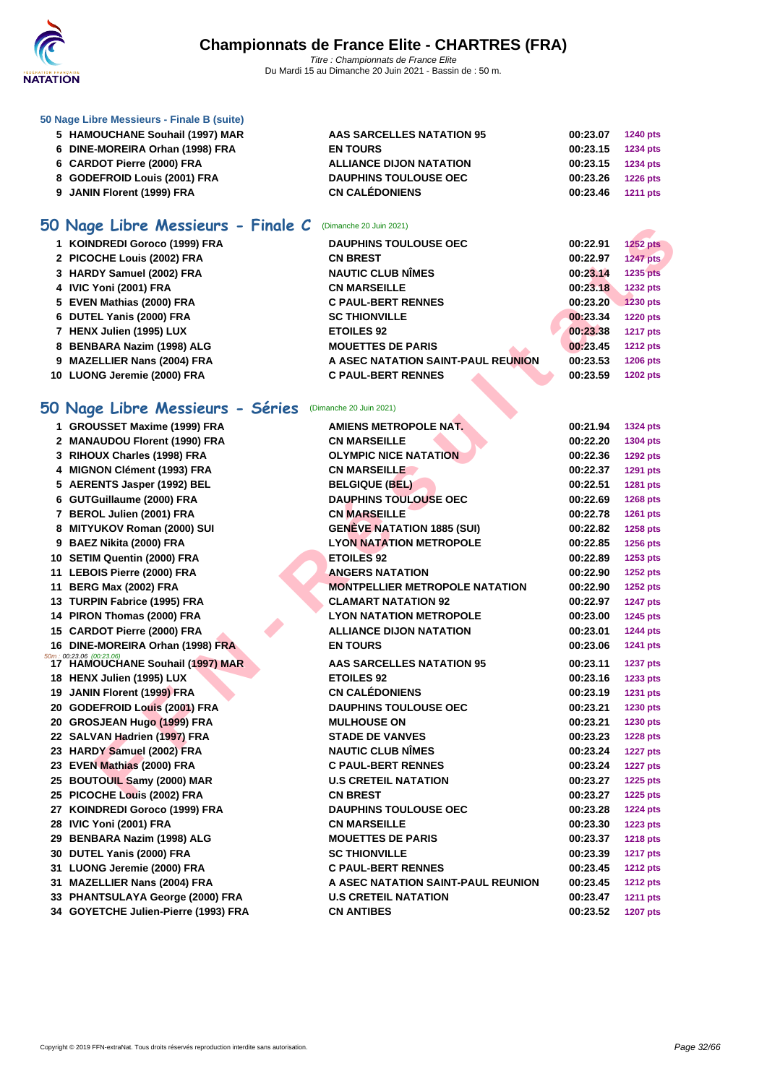

#### **[50 Nage L](http://www.ffnatation.fr/webffn/index.php)ibre Messieurs - Finale B (suite)**

| 5 HAMOUCHANE Souhail (1997) MAR | AAS SARCELLES NATATION 95      | 00:23.07          | <b>1240 pts</b> |
|---------------------------------|--------------------------------|-------------------|-----------------|
| 6 DINE-MOREIRA Orhan (1998) FRA | <b>EN TOURS</b>                | 00:23.15 1234 pts |                 |
| 6 CARDOT Pierre (2000) FRA      | <b>ALLIANCE DIJON NATATION</b> | 00:23.15 1234 pts |                 |
| 8 GODEFROID Louis (2001) FRA    | <b>DAUPHINS TOULOUSE OEC</b>   | 00:23.26 1226 pts |                 |
| 9 JANIN Florent (1999) FRA      | <b>CN CALÉDONIENS</b>          | 00:23.46 1211 pts |                 |

# **50 Nage Libre Messieurs - Finale C** (Dimanche 20 Juin 2021)

| 1 KOINDREDI Goroco (1999) FRA | <b>DAUPHINS TOULOUSE OEC</b>       | 00:22.91 | $1252$ pts      |
|-------------------------------|------------------------------------|----------|-----------------|
| 2 PICOCHE Louis (2002) FRA    | <b>CN BREST</b>                    | 00:22.97 | 1247 pts        |
| 3 HARDY Samuel (2002) FRA     | <b>NAUTIC CLUB NÎMES</b>           | 00:23.14 | <b>1235 pts</b> |
| 4 IVIC Yoni (2001) FRA        | <b>CN MARSEILLE</b>                | 00:23.18 | <b>1232 pts</b> |
| 5 EVEN Mathias (2000) FRA     | <b>C PAUL-BERT RENNES</b>          | 00:23.20 | <b>1230 pts</b> |
| 6 DUTEL Yanis (2000) FRA      | <b>SC THIONVILLE</b>               | 00:23.34 | <b>1220 pts</b> |
| 7 HENX Julien (1995) LUX      | <b>ETOILES 92</b>                  | 00:23.38 | <b>1217 pts</b> |
| 8 BENBARA Nazim (1998) ALG    | <b>MOUETTES DE PARIS</b>           | 00:23.45 | <b>1212 pts</b> |
| 9 MAZELLIER Nans (2004) FRA   | A ASEC NATATION SAINT-PAUL REUNION | 00:23.53 | <b>1206 pts</b> |
| 10 LUONG Jeremie (2000) FRA   | <b>C PAUL-BERT RENNES</b>          | 00:23.59 | <b>1202 pts</b> |

# **50 Nage Libre Messieurs - Séries** (Dimanche 20 Juin 2021)

| <b>DU Nage Libre Messieurs - Finale C</b> (Dimanche 20 Juin 2021) |                                       |          |                 |
|-------------------------------------------------------------------|---------------------------------------|----------|-----------------|
| 1 KOINDREDI Goroco (1999) FRA                                     | <b>DAUPHINS TOULOUSE OEC</b>          | 00:22.91 | <b>1252 pts</b> |
| 2 PICOCHE Louis (2002) FRA                                        | <b>CN BREST</b>                       | 00:22.97 | <b>1247 pts</b> |
| 3 HARDY Samuel (2002) FRA                                         | <b>NAUTIC CLUB NIMES</b>              | 00:23.14 | 1235 pts        |
| 4 IVIC Yoni (2001) FRA                                            | <b>CN MARSEILLE</b>                   | 00:23.18 | 1232 pts        |
| 5 EVEN Mathias (2000) FRA                                         | <b>C PAUL-BERT RENNES</b>             | 00:23.20 | <b>1230 pts</b> |
| 6 DUTEL Yanis (2000) FRA                                          | <b>SC THIONVILLE</b>                  | 00:23.34 | <b>1220 pts</b> |
| 7 HENX Julien (1995) LUX                                          | <b>ETOILES 92</b>                     | 00:23.38 | <b>1217 pts</b> |
| 8 BENBARA Nazim (1998) ALG                                        | <b>MOUETTES DE PARIS</b>              | 00:23.45 | <b>1212 pts</b> |
| 9 MAZELLIER Nans (2004) FRA                                       | A ASEC NATATION SAINT-PAUL REUNION    | 00:23.53 | <b>1206 pts</b> |
| 10 LUONG Jeremie (2000) FRA                                       | <b>C PAUL-BERT RENNES</b>             | 00:23.59 | <b>1202 pts</b> |
|                                                                   |                                       |          |                 |
| 50 Nage Libre Messieurs - Séries (Dimanche 20 Juin 2021)          |                                       |          |                 |
| 1 GROUSSET Maxime (1999) FRA                                      | <b>AMIENS METROPOLE NAT.</b>          | 00:21.94 | 1324 pts        |
| 2 MANAUDOU Florent (1990) FRA                                     | <b>CN MARSEILLE</b>                   | 00:22.20 | 1304 pts        |
| 3 RIHOUX Charles (1998) FRA                                       | <b>OLYMPIC NICE NATATION</b>          | 00:22.36 | <b>1292 pts</b> |
| 4 MIGNON Clément (1993) FRA                                       | <b>CN MARSEILLE</b>                   | 00:22.37 | <b>1291 pts</b> |
| 5 AERENTS Jasper (1992) BEL                                       | <b>BELGIQUE (BEL)</b>                 | 00:22.51 | 1281 pts        |
| 6 GUTGuillaume (2000) FRA                                         | <b>DAUPHINS TOULOUSE OEC</b>          | 00:22.69 | <b>1268 pts</b> |
| 7 BEROL Julien (2001) FRA                                         | <b>CN MARSEILLE</b>                   | 00:22.78 | 1261 pts        |
| 8 MITYUKOV Roman (2000) SUI                                       | <b>GENÈVE NATATION 1885 (SUI)</b>     | 00:22.82 | 1258 pts        |
| 9 BAEZ Nikita (2000) FRA                                          | <b>LYON NATATION METROPOLE</b>        | 00:22.85 | 1256 pts        |
| 10 SETIM Quentin (2000) FRA                                       | <b>ETOILES 92</b>                     | 00:22.89 | 1253 pts        |
| 11 LEBOIS Pierre (2000) FRA                                       | <b>ANGERS NATATION</b>                | 00:22.90 | 1252 pts        |
| 11 BERG Max (2002) FRA                                            | <b>MONTPELLIER METROPOLE NATATION</b> | 00:22.90 | 1252 pts        |
| 13 TURPIN Fabrice (1995) FRA                                      | <b>CLAMART NATATION 92</b>            | 00:22.97 | <b>1247 pts</b> |
| 14 PIRON Thomas (2000) FRA                                        | <b>LYON NATATION METROPOLE</b>        | 00:23.00 | <b>1245 pts</b> |
| 15 CARDOT Pierre (2000) FRA                                       | <b>ALLIANCE DIJON NATATION</b>        | 00:23.01 | <b>1244 pts</b> |
| 16 DINE-MOREIRA Orhan (1998) FRA                                  | <b>EN TOURS</b>                       | 00:23.06 | <b>1241 pts</b> |
| 50m : 00:23.06 (00:23.06)<br>- 17   HAMOUCHANE Souhail (1997) MAR | <b>AAS SARCELLES NATATION 95</b>      | 00:23.11 | <b>1237 pts</b> |
| 18 HENX Julien (1995) LUX                                         | <b>ETOILES 92</b>                     | 00:23.16 | 1233 pts        |
| 19 JANIN Florent (1999) FRA                                       | <b>CN CALÉDONIENS</b>                 | 00:23.19 | <b>1231 pts</b> |
| 20 GODEFROID Louis (2001) FRA                                     | <b>DAUPHINS TOULOUSE OEC</b>          | 00:23.21 | 1230 pts        |
| 20 GROSJEAN Hugo (1999) FRA                                       | <b>MULHOUSE ON</b>                    | 00:23.21 | 1230 pts        |
| 22 SALVAN Hadrien (1997) FRA                                      | <b>STADE DE VANVES</b>                | 00:23.23 | <b>1228 pts</b> |
| 23 HARDY Samuel (2002) FRA                                        | <b>NAUTIC CLUB NÎMES</b>              | 00:23.24 | <b>1227 pts</b> |
| 23 EVEN Mathias (2000) FRA                                        | <b>C PAUL-BERT RENNES</b>             | 00:23.24 | <b>1227 pts</b> |
| 25 BOUTOUIL Samy (2000) MAR                                       | <b>U.S CRETEIL NATATION</b>           | 00:23.27 | <b>1225 pts</b> |
| 25 PICOCHE Louis (2002) FRA                                       | <b>CN BREST</b>                       | 00:23.27 | 1225 pts        |
| 27 KOINDREDI Goroco (1999) FRA                                    | <b>DAUPHINS TOULOUSE OEC</b>          | 00:23.28 | <b>1224 pts</b> |
| 28 IVIC Yoni (2001) FRA                                           | <b>CN MARSEILLE</b>                   | 00:23.30 | 1223 pts        |
| 29 BENBARA Nazim (1998) ALG                                       | <b>MOUETTES DE PARIS</b>              | 00:23.37 | <b>1218 pts</b> |
| 30 DUTEL Yanis (2000) FRA                                         | <b>SC THIONVILLE</b>                  | 00:23.39 | <b>1217 pts</b> |
| 31 LUONG Jeremie (2000) FRA                                       | <b>C PAUL-BERT RENNES</b>             | 00:23.45 | <b>1212 pts</b> |
| 31 MAZELLIER Nans (2004) FRA                                      | A ASEC NATATION SAINT-PAUL REUNION    | 00:23.45 | <b>1212 pts</b> |
| 33 PHANTSULAYA George (2000) FRA                                  | <b>U.S CRETEIL NATATION</b>           | 00:23.47 | <b>1211 pts</b> |
| 34 GOYETCHE Julien-Pierre (1993) FRA                              | <b>CN ANTIBES</b>                     | 00:23.52 | <b>1207 pts</b> |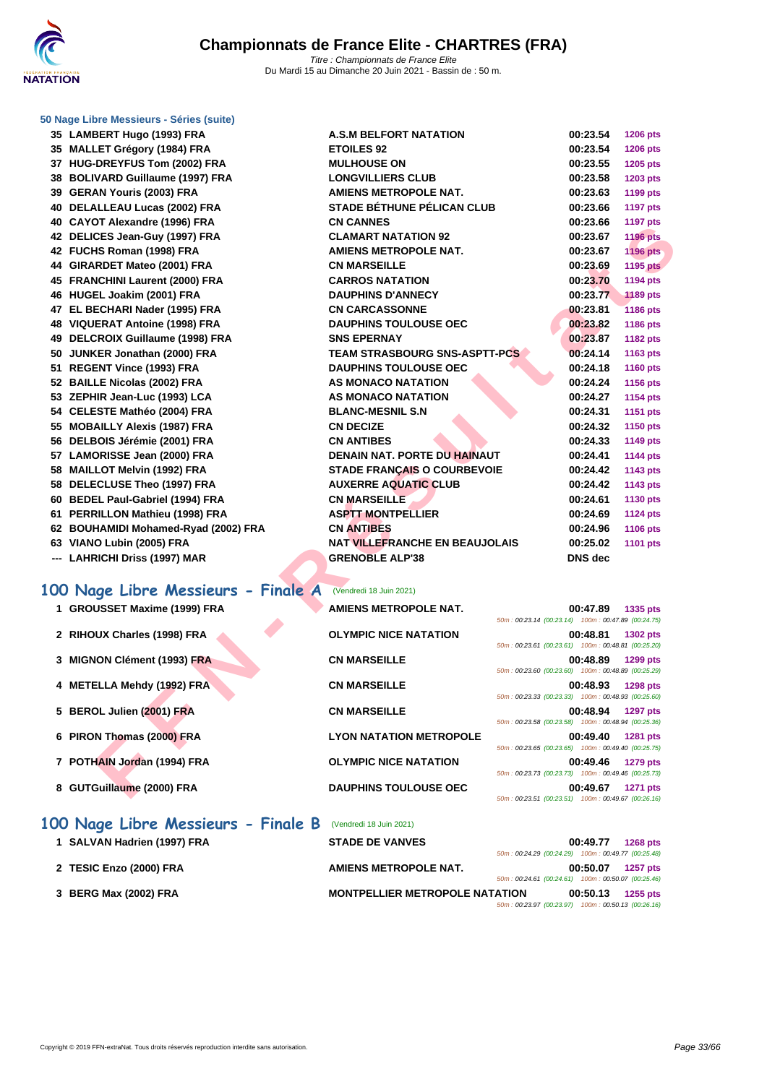|  | 50 Nage Libre Messieurs - Séries (suite) |  |
|--|------------------------------------------|--|
|  |                                          |  |

| 35 LAMBERT Hugo (1993) FRA           | <b>A.S.M BELFORT NATATION</b>         | 00:23.54       | <b>1206 pts</b> |
|--------------------------------------|---------------------------------------|----------------|-----------------|
| 35 MALLET Grégory (1984) FRA         | <b>ETOILES 92</b>                     | 00:23.54       | <b>1206 pts</b> |
| 37 HUG-DREYFUS Tom (2002) FRA        | <b>MULHOUSE ON</b>                    | 00:23.55       | 1205 pts        |
| 38 BOLIVARD Guillaume (1997) FRA     | <b>LONGVILLIERS CLUB</b>              | 00:23.58       | <b>1203 pts</b> |
| 39 GERAN Youris (2003) FRA           | <b>AMIENS METROPOLE NAT.</b>          | 00:23.63       | <b>1199 pts</b> |
| 40 DELALLEAU Lucas (2002) FRA        | <b>STADE BÉTHUNE PÉLICAN CLUB</b>     | 00:23.66       | <b>1197 pts</b> |
| 40 CAYOT Alexandre (1996) FRA        | <b>CN CANNES</b>                      | 00:23.66       | <b>1197 pts</b> |
| 42 DELICES Jean-Guy (1997) FRA       | <b>CLAMART NATATION 92</b>            | 00:23.67       | <b>1196 pts</b> |
| 42 FUCHS Roman (1998) FRA            | <b>AMIENS METROPOLE NAT.</b>          | 00:23.67       | <b>1196 pts</b> |
| 44 GIRARDET Mateo (2001) FRA         | <b>CN MARSEILLE</b>                   | 00:23.69       | <b>1195 pts</b> |
| 45 FRANCHINI Laurent (2000) FRA      | <b>CARROS NATATION</b>                | 00:23.70       | <b>1194 pts</b> |
| 46 HUGEL Joakim (2001) FRA           | <b>DAUPHINS D'ANNECY</b>              | 00:23.77       | <b>1189 pts</b> |
| 47 EL BECHARI Nader (1995) FRA       | <b>CN CARCASSONNE</b>                 | 00:23.81       | 1186 pts        |
| 48 VIQUERAT Antoine (1998) FRA       | <b>DAUPHINS TOULOUSE OEC</b>          | 00:23.82       | <b>1186 pts</b> |
| 49 DELCROIX Guillaume (1998) FRA     | <b>SNS EPERNAY</b>                    | 00:23.87       | <b>1182 pts</b> |
| 50 JUNKER Jonathan (2000) FRA        | <b>TEAM STRASBOURG SNS-ASPTT-PCS</b>  | 00:24.14       | 1163 pts        |
| 51 REGENT Vince (1993) FRA           | <b>DAUPHINS TOULOUSE OEC</b>          | 00:24.18       | <b>1160 pts</b> |
| 52 BAILLE Nicolas (2002) FRA         | AS MONACO NATATION                    | 00:24.24       | <b>1156 pts</b> |
| 53 ZEPHIR Jean-Luc (1993) LCA        | <b>AS MONACO NATATION</b>             | 00:24.27       | 1154 pts        |
| 54 CELESTE Mathéo (2004) FRA         | <b>BLANC-MESNIL S.N</b>               | 00:24.31       | 1151 pts        |
| 55 MOBAILLY Alexis (1987) FRA        | <b>CN DECIZE</b>                      | 00:24.32       | <b>1150 pts</b> |
| 56 DELBOIS Jérémie (2001) FRA        | <b>CN ANTIBES</b>                     | 00:24.33       | <b>1149 pts</b> |
| 57 LAMORISSE Jean (2000) FRA         | <b>DENAIN NAT. PORTE DU HAINAUT</b>   | 00:24.41       | <b>1144 pts</b> |
| 58 MAILLOT Melvin (1992) FRA         | <b>STADE FRANÇAIS O COURBEVOIE</b>    | 00:24.42       | 1143 pts        |
| 58 DELECLUSE Theo (1997) FRA         | <b>AUXERRE AQUATIC CLUB</b>           | 00:24.42       | <b>1143 pts</b> |
| 60 BEDEL Paul-Gabriel (1994) FRA     | <b>CN MARSEILLE</b>                   | 00:24.61       | <b>1130 pts</b> |
| 61 PERRILLON Mathieu (1998) FRA      | <b>ASPTT MONTPELLIER</b>              | 00:24.69       | <b>1124 pts</b> |
| 62 BOUHAMIDI Mohamed-Ryad (2002) FRA | <b>CN ANTIBES</b>                     | 00:24.96       | <b>1106 pts</b> |
| 63 VIANO Lubin (2005) FRA            | <b>NAT VILLEFRANCHE EN BEAUJOLAIS</b> | 00:25.02       | <b>1101 pts</b> |
| --- LAHRICHI Driss (1997) MAR        | <b>GRENOBLE ALP'38</b>                | <b>DNS</b> dec |                 |

### **100 Nage Libre Messieurs - Finale A** (Vendredi 18 Juin 2021)

| <b>TO CATO I AIGAGHUIG (1990) I INA</b> |                                      |                                                    | 00.ZJ.VV       | $1131$ pls      |
|-----------------------------------------|--------------------------------------|----------------------------------------------------|----------------|-----------------|
| 42 DELICES Jean-Guy (1997) FRA          | <b>CLAMART NATATION 92</b>           |                                                    | 00:23.67       | <b>1196 pts</b> |
| 42 FUCHS Roman (1998) FRA               | <b>AMIENS METROPOLE NAT.</b>         |                                                    | 00:23.67       | <b>1196 pts</b> |
| 44 GIRARDET Mateo (2001) FRA            | <b>CN MARSEILLE</b>                  |                                                    | 00:23.69       | <b>1195 pts</b> |
| 45 FRANCHINI Laurent (2000) FRA         | <b>CARROS NATATION</b>               |                                                    | 00:23.70       | <b>1194 pts</b> |
| 46 HUGEL Joakim (2001) FRA              | <b>DAUPHINS D'ANNECY</b>             |                                                    | 00:23.77       | <b>1189 pts</b> |
| 47 EL BECHARI Nader (1995) FRA          | <b>CN CARCASSONNE</b>                |                                                    | 00:23.81       | <b>1186 pts</b> |
| 48 VIQUERAT Antoine (1998) FRA          | <b>DAUPHINS TOULOUSE OEC</b>         |                                                    | 00:23.82       | 1186 pts        |
| 49 DELCROIX Guillaume (1998) FRA        | <b>SNS EPERNAY</b>                   |                                                    | 00:23.87       | <b>1182 pts</b> |
| 50 JUNKER Jonathan (2000) FRA           | <b>TEAM STRASBOURG SNS-ASPTT-PCS</b> |                                                    | 00:24.14       | 1163 pts        |
| 51 REGENT Vince (1993) FRA              | <b>DAUPHINS TOULOUSE OEC</b>         |                                                    | 00:24.18       | <b>1160 pts</b> |
| 52 BAILLE Nicolas (2002) FRA            | <b>AS MONACO NATATION</b>            |                                                    | 00:24.24       | 1156 pts        |
| 53 ZEPHIR Jean-Luc (1993) LCA           | <b>AS MONACO NATATION</b>            |                                                    | 00:24.27       | 1154 pts        |
| 54 CELESTE Mathéo (2004) FRA            | <b>BLANC-MESNIL S.N</b>              |                                                    | 00:24.31       | <b>1151 pts</b> |
| 55 MOBAILLY Alexis (1987) FRA           | <b>CN DECIZE</b>                     |                                                    | 00:24.32       | 1150 pts        |
| 56 DELBOIS Jérémie (2001) FRA           | <b>CN ANTIBES</b>                    |                                                    | 00:24.33       | 1149 pts        |
| 57 LAMORISSE Jean (2000) FRA            | <b>DENAIN NAT. PORTE DU HAINAUT</b>  |                                                    | 00:24.41       | <b>1144 pts</b> |
| 58 MAILLOT Melvin (1992) FRA            | <b>STADE FRANÇAIS O COURBEVOIE</b>   |                                                    | 00:24.42       | 1143 pts        |
| 58 DELECLUSE Theo (1997) FRA            | <b>AUXERRE AQUATIC CLUB</b>          |                                                    | 00:24.42       | 1143 pts        |
| 60 BEDEL Paul-Gabriel (1994) FRA        | <b>CN MARSEILLE</b>                  |                                                    | 00:24.61       | 1130 pts        |
| 61 PERRILLON Mathieu (1998) FRA         | <b>ASPTT MONTPELLIER</b>             |                                                    | 00:24.69       | <b>1124 pts</b> |
| 62 BOUHAMIDI Mohamed-Ryad (2002) FRA    | <b>CN ANTIBES</b>                    |                                                    | 00:24.96       | 1106 pts        |
| 63 VIANO Lubin (2005) FRA               | NAT VILLEFRANCHE EN BEAUJOLAIS       |                                                    | 00:25.02       | 1101 pts        |
| --- LAHRICHI Driss (1997) MAR           | <b>GRENOBLE ALP'38</b>               |                                                    | <b>DNS</b> dec |                 |
| 100 Nage Libre Messieurs - Finale A     | (Vendredi 18 Juin 2021)              |                                                    |                |                 |
| 1 GROUSSET Maxime (1999) FRA            | <b>AMIENS METROPOLE NAT.</b>         |                                                    | 00:47.89       | 1335 pts        |
|                                         |                                      | 50m: 00:23.14 (00:23.14) 100m: 00:47.89 (00:24.75) |                |                 |
| 2 RIHOUX Charles (1998) FRA             | <b>OLYMPIC NICE NATATION</b>         |                                                    | 00:48.81       | <b>1302 pts</b> |
|                                         |                                      | 50m: 00:23.61 (00:23.61) 100m: 00:48.81 (00:25.20) |                |                 |
| 3 MIGNON Clément (1993) FRA             | <b>CN MARSEILLE</b>                  | 50m: 00:23.60 (00:23.60) 100m: 00:48.89 (00:25.29) | 00:48.89       | 1299 pts        |
| 4 METELLA Mehdy (1992) FRA              | <b>CN MARSEILLE</b>                  |                                                    | 00:48.93       | <b>1298 pts</b> |
|                                         |                                      | 50m: 00:23.33 (00:23.33) 100m: 00:48.93 (00:25.60) |                |                 |
| 5 BEROL Julien (2001) FRA               | <b>CN MARSEILLE</b>                  |                                                    | 00:48.94       | <b>1297 pts</b> |
|                                         |                                      | 50m: 00:23.58 (00:23.58) 100m: 00:48.94 (00:25.36) |                |                 |
| 6 PIRON Thomas (2000) FRA               | <b>LYON NATATION METROPOLE</b>       |                                                    | 00:49.40       | <b>1281 pts</b> |
|                                         |                                      | 50m: 00:23.65 (00:23.65) 100m: 00:49.40 (00:25.75) |                |                 |
| 7 POTHAIN Jordan (1994) FRA             | <b>OLYMPIC NICE NATATION</b>         | 50m: 00:23.73 (00:23.73) 100m: 00:49.46 (00:25.73) | 00:49.46       | <b>1279 pts</b> |
| 8 GUTGuillaume (2000) FRA               | <b>DAUPHINS TOULOUSE OEC</b>         |                                                    | 00:49.67       | <b>1271 pts</b> |
|                                         |                                      | 50m: 00:23.51 (00:23.51) 100m: 00:49.67 (00:26.16) |                |                 |
|                                         |                                      |                                                    |                |                 |
| 100 Nage Libre Messieurs - Finale B     | (Vendredi 18 Juin 2021)              |                                                    |                |                 |

| 1 SALVAN Hadrien (1997) FRA | <b>STADE DE VANVES</b>                             | 00:49.77 | <b>1268 pts</b> |
|-----------------------------|----------------------------------------------------|----------|-----------------|
|                             | 50m: 00:24.29 (00:24.29) 100m: 00:49.77 (00:25.48) |          |                 |
| 2 TESIC Enzo (2000) FRA     | AMIENS METROPOLE NAT.                              | 00:50.07 | 1257 pts        |
|                             | 50m: 00:24.61 (00:24.61) 100m: 00:50.07 (00:25.46) |          |                 |
| 3 BERG Max (2002) FRA       | <b>MONTPELLIER METROPOLE NATATION</b>              | 00:50.13 | 1255 pts        |
|                             | 50m: 00:23.97 (00:23.97) 100m: 00:50.13 (00:26.16) |          |                 |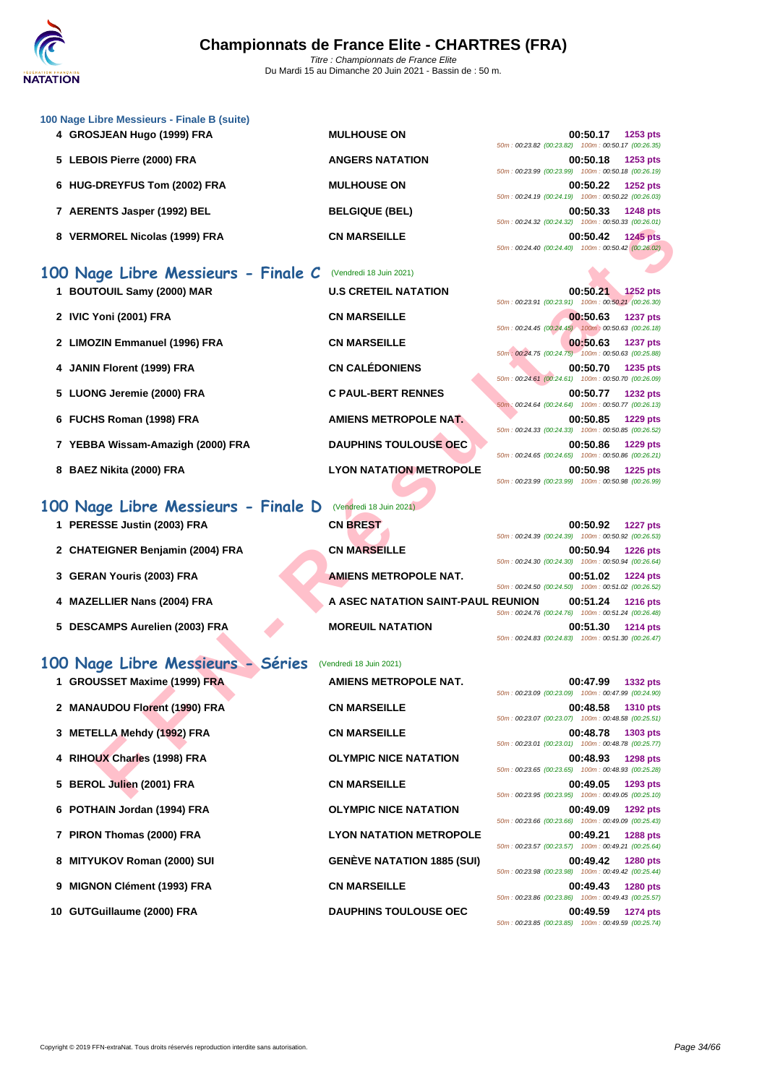

| 100 Nage Libre Messieurs - Finale B (suite) |                        |                                                    |
|---------------------------------------------|------------------------|----------------------------------------------------|
| 4 GROSJEAN Hugo (1999) FRA                  | <b>MULHOUSE ON</b>     | 00:50.17<br>1253 pts                               |
|                                             |                        | 50m: 00:23.82 (00:23.82) 100m: 00:50.17 (00:26.35) |
| 5 LEBOIS Pierre (2000) FRA                  | <b>ANGERS NATATION</b> | 00:50.18<br>1253 pts                               |
|                                             |                        | 50m: 00:23.99 (00:23.99) 100m: 00:50.18 (00:26.19) |
| 6 HUG-DREYFUS Tom (2002) FRA                | <b>MULHOUSE ON</b>     | 00:50.22<br>1252 pts                               |
|                                             |                        | 50m: 00:24.19 (00:24.19) 100m: 00:50.22 (00:26.03) |
| 7 AERENTS Jasper (1992) BEL                 | <b>BELGIQUE (BEL)</b>  | 00:50.33<br><b>1248 pts</b>                        |
|                                             |                        | 50m: 00:24.32 (00:24.32) 100m: 00:50.33 (00:26.01) |
| <b>VERMOREL Nicolas (1999) FRA</b>          | <b>CN MARSEILLE</b>    | 00:50.42<br><b>1245 pts</b>                        |

### **100 Nage Libre Messieurs - Finale C** (Vendredi 18 Juin 2021)

- **1 BOUTOUIL Samy (2000) MAR U.S CRETEIL NATATION 00:50.21 1252 pts**
- **2 IVIC Yoni (2001) FRA CN MARSEILLE 00:50.63 1237 pts**
- **2 LIMOZIN Emmanuel (1996) FRA CN MARSEILLE 00:50.63 1237 pts**
- **4 JANIN Florent (1999) FRA CN CALÉDONIENS 00:50.70 1235 pts**
- **5** LUONG Jeremie (2000) FRA **C PAUL-BERT RENNES**
- **6 FUCHS Roman (1998) FRA AMIENS METROPOLE NAT.**
- **7 YEBBA Wissam-Amazigh (2000) FRA DAUPHINS TOULOUSE OEC**
- **8 BAEZ Nikita (2000) FRA LYON NATATION METROPOLE 00:50.98 1225 pts**

### **100 Nage Libre Messieurs - Finale D** (Vendredi 18 Juin 2021)

- **1 PERESSE Justin (2003) FRA**
- **2 CHATEIGNER Benjamin (2004) FRA**
- 
- 
- **5 DESCAMPS Aurelien (2003) FRA MOREUIL NATATION**

#### **100 Nage Libre Messieurs - Séries** (Vendredi 18 Juin 2021) **1 GROUSSET Maxime (1999) FRA**

|                                |                                   | 50m: 00:23.09 (00:23.09) 100m: 00:47.99 (00:24.90) |                       |                 |
|--------------------------------|-----------------------------------|----------------------------------------------------|-----------------------|-----------------|
| 2 MANAUDOU Florent (1990) FRA  | <b>CN MARSEILLE</b>               |                                                    | 00:48.58 1310 pts     |                 |
|                                |                                   | 50m: 00:23.07 (00:23.07) 100m: 00:48.58 (00:25.51) |                       |                 |
| 3 METELLA Mehdy (1992) FRA     | <b>CN MARSEILLE</b>               | 50m: 00:23.01 (00:23.01) 100m: 00:48.78 (00:25.77) | 00:48.78 1303 pts     |                 |
| 4 RIHOUX Charles (1998) FRA    | <b>OLYMPIC NICE NATATION</b>      | 50m: 00:23.65 (00:23.65) 100m: 00:48.93 (00:25.28) | 00:48.93              | <b>1298 pts</b> |
| 5 BEROL Julien (2001) FRA      | <b>CN MARSEILLE</b>               |                                                    | 00:49.05              | 1293 pts        |
| 6 POTHAIN Jordan (1994) FRA    | <b>OLYMPIC NICE NATATION</b>      | 50m: 00:23.95 (00:23.95) 100m: 00:49.05 (00:25.10) | 00:49.09              | 1292 pts        |
| 7 PIRON Thomas (2000) FRA      | <b>LYON NATATION METROPOLE</b>    | 50m: 00:23.66 (00:23.66) 100m: 00:49.09 (00:25.43) | 00:49.21              | <b>1288 pts</b> |
| 8 MITYUKOV Roman (2000) SUI    | <b>GENÈVE NATATION 1885 (SUI)</b> | 50m: 00:23.57 (00:23.57) 100m: 00:49.21 (00:25.64) | 00:49.42              | <b>1280 pts</b> |
|                                |                                   | 50m: 00:23.98 (00:23.98) 100m: 00:49.42 (00:25.44) |                       |                 |
| 9 MIGNON Clément (1993) FRA    | <b>CN MARSEILLE</b>               | 50m: 00:23.86 (00:23.86) 100m: 00:49.43 (00:25.57) | 00:49.43              | <b>1280 pts</b> |
| 10. $CUTC$ willowno (2000) EDA | <b>DAIIDUING TOULOUGE OEC</b>     |                                                    | $00.40.50 - 4274$ nto |                 |

| 1 PERESSE Justin (2003) FRA       | <b>CN BREST</b>              |
|-----------------------------------|------------------------------|
| 2 CHATEIGNER Benjamin (2004) FRA  | <b>CN MARSEILLE</b>          |
| 3 GERAN Youris (2003) FRA         | <b>AMIENS METROPOLE NAT.</b> |
| 4 MAZELLIER Nans (2004) FRA       | A ASEC NATATION SAINT-PAU    |
| E. BECOAMBO A.I.L.I.L. (0000) EDA | MARELIII MATATIAM            |

| 1 GROUSSET Maxime (1999) FRA  | <b>AMIENS METROPOLE NAT.</b>    |
|-------------------------------|---------------------------------|
| 2 MANAUDOU Florent (1990) FRA | <b>CN MARSEILLE</b>             |
| 3 METELLA Mehdy (1992) FRA    | <b>CN MARSEILLE</b>             |
| 4 RIHOUX Charles (1998) FRA   | <b>OLYMPIC NICE NATATION</b>    |
| 5 BEROL Julien (2001) FRA     | <b>CN MARSEILLE</b>             |
| 6 POTHAIN Jordan (1994) FRA   | <b>OLYMPIC NICE NATATION</b>    |
| 7 PIRON Thomas (2000) FRA     | <b>LYON NATATION METROPOL</b>   |
| 8 MITYUKOV Roman (2000) SUI   | <b>GENÈVE NATATION 1885 (SU</b> |
| 9 MIGNON Clément (1993) FRA   | <b>CN MARSEILLE</b>             |
| 10 GUTGuillaume (2000) FRA    | <b>DAUPHINS TOULOUSE OEC</b>    |

|                                                    | 00:50.17 1253 pts |
|----------------------------------------------------|-------------------|
| 50m: 00:23.82 (00:23.82) 100m: 00:50.17 (00:26.35) |                   |
|                                                    | 00:50.18 1253 pts |
| 50m: 00:23.99 (00:23.99) 100m: 00:50.18 (00:26.19) |                   |
|                                                    | 00:50.22 1252 pts |
| 50m: 00:24.19 (00:24.19) 100m: 00:50.22 (00:26.03) |                   |
|                                                    | 00:50.33 1248 pts |
| 50m: 00:24.32 (00:24.32) 100m: 00:50.33 (00:26.01) |                   |
|                                                    | 00:50.42 1245 pts |
| 50m: 00:24.40 (00:24.40) 100m: 00:50.42 (00:26.02) |                   |
|                                                    |                   |
|                                                    |                   |
|                                                    |                   |

| <b>MOREL Nicolas (1999) FRA</b>                        | <b>CN MARSEILLE</b>                | 00:50.42<br><b>1245 pts</b><br>50m: 00:24.40 (00:24.40) 100m: 00:50.42 (00:26.02)   |
|--------------------------------------------------------|------------------------------------|-------------------------------------------------------------------------------------|
| age Libre Messieurs - Finale C (Vendredi 18 Juin 2021) |                                    |                                                                                     |
| TOUIL Samy (2000) MAR                                  | <b>U.S CRETEIL NATATION</b>        | 00:50.21 1252 pts<br>50m: 00:23.91 (00:23.91) 100m: 00:50.21 (00:26.30)             |
| Yoni (2001) FRA                                        | <b>CN MARSEILLE</b>                | 00:50.63<br><b>1237 pts</b><br>50m: 00:24.45 (00:24.45) 100m: 00:50.63 (00:26.18)   |
| <b>ZIN Emmanuel (1996) FRA</b>                         | <b>CN MARSEILLE</b>                | 00:50.63<br><b>1237 pts</b><br>50m : 00:24.75 (00:24.75) 100m : 00:50.63 (00:25.88) |
| N Florent (1999) FRA                                   | <b>CN CALÉDONIENS</b>              | 00:50.70<br>1235 pts<br>50m: 00:24.61 (00:24.61) 100m: 00:50.70 (00:26.09)          |
| NG Jeremie (2000) FRA                                  | <b>C PAUL-BERT RENNES</b>          | 00:50.77<br><b>1232 pts</b><br>50m: 00:24.64 (00:24.64) 100m: 00:50.77 (00:26.13)   |
| HS Roman (1998) FRA                                    | AMIENS METROPOLE NAT.              | 00:50.85<br>1229 pts<br>50m: 00:24.33 (00:24.33) 100m: 00:50.85 (00:26.52)          |
| BA Wissam-Amazigh (2000) FRA                           | <b>DAUPHINS TOULOUSE OEC</b>       | 00:50.86<br>1229 pts<br>50m: 00:24.65 (00:24.65) 100m: 00:50.86 (00:26.21)          |
| Z Nikita (2000) FRA                                    | <b>LYON NATATION METROPOLE</b>     | 00:50.98<br>1225 pts<br>50m: 00:23.99 (00:23.99) 100m: 00:50.98 (00:26.99)          |
| ige Libre Messieurs - Finale D                         | (Vendredi 18 Juin 2021)            |                                                                                     |
| ESSE Justin (2003) FRA                                 | <b>CN BREST</b>                    | 00:50.92<br><b>1227 pts</b><br>50m: 00:24.39 (00:24.39) 100m: 00:50.92 (00:26.53)   |
| TEIGNER Benjamin (2004) FRA                            | <b>CN MARSEILLE</b>                | 00:50.94<br><b>1226 pts</b><br>50m: 00:24.30 (00:24.30) 100m: 00:50.94 (00:26.64)   |
| AN Youris (2003) FRA                                   | <b>AMIENS METROPOLE NAT.</b>       | 00:51.02<br>1224 pts<br>50m: 00:24.50 (00:24.50) 100m: 00:51.02 (00:26.52)          |
| ELLIER Nans (2004) FRA                                 | A ASEC NATATION SAINT-PAUL REUNION | 00:51.24<br><b>1216 pts</b><br>50m: 00:24.76 (00:24.76) 100m: 00:51.24 (00:26.48)   |
| CAMPS Aurelien (2003) FRA                              | <b>MOREUIL NATATION</b>            | 00:51.30<br><b>1214 pts</b><br>50m: 00:24.83 (00:24.83) 100m: 00:51.30 (00:26.47)   |
| ige Libre Messieurs - Séries                           | (Vendredi 18 Juin 2021)            |                                                                                     |
| USSET Maxime (1999) FRA                                | AMIENS METROPOLE NAT.              | 00:47.99<br>1332 pts<br>50m: 00:23.09 (00:23.09) 100m: 00:47.99 (00:24.90)          |
| <b>AUDOU Florent (1990) FRA</b>                        | <b>CN MARSEILLE</b>                | 00:48.58<br>1310 pts<br>50m: 00:23.07 (00:23.07) 100m: 00:48.58 (00:25.51)          |
| ELLA Mehdy (1992) FRA                                  | <b>CN MARSEILLE</b>                | 00:48.78<br>1303 pts<br>50m: 00:23.01 (00:23.01) 100m: 00:48.78 (00:25.77)          |
| UX Charles (1998) FRA                                  | <b>OLYMPIC NICE NATATION</b>       | 00:48.93<br><b>1298 pts</b><br>50m: 00:23.65 (00:23.65) 100m: 00:48.93 (00:25.28)   |
| OL Julien (2001) FRA                                   | <b>CN MARSEILLE</b>                | 00:49.05<br>1293 pts<br>50m: 00:23.95 (00:23.95) 100m: 00:49.05 (00:25.10)          |

| 50m: 00:24.39 (00:24.39) 100m: 00:50.92 (00:26.53) |  | 00:50.92 1227 pts |
|----------------------------------------------------|--|-------------------|
| 50m: 00:24.30 (00:24.30) 100m: 00:50.94 (00:26.64) |  | 00:50.94 1226 pts |
| 50m: 00:24.50 (00:24.50) 100m: 00:51.02 (00:26.52) |  | 00:51.02 1224 pts |
| <b>IL REUNION</b>                                  |  | 00:51.24 1216 pts |
| 50m: 00:24.76 (00:24.76) 100m: 00:51.24 (00:26.48) |  | 00:51.30 1214 pts |
| 50m: 00:24.83 (00:24.83) 100m: 00:51.30 (00:26.47) |  |                   |

|                                                    | 00:47.99 1332 pts |  |
|----------------------------------------------------|-------------------|--|
| 50m: 00:23.09 (00:23.09) 100m: 00:47.99 (00:24.90) |                   |  |
|                                                    | 00:48.58 1310 pts |  |
| 50m: 00:23.07 (00:23.07) 100m: 00:48.58 (00:25.51) |                   |  |
|                                                    | 00:48.78 1303 pts |  |
| 50m: 00:23.01 (00:23.01) 100m: 00:48.78 (00:25.77) |                   |  |
|                                                    |                   |  |
|                                                    | 00:48.93 1298 pts |  |
| 50m: 00:23.65 (00:23.65) 100m: 00:48.93 (00:25.28) |                   |  |
|                                                    | 00:49.05 1293 pts |  |
| 50m: 00:23.95 (00:23.95) 100m: 00:49.05 (00:25.10) |                   |  |
|                                                    | 00:49.09 1292 pts |  |
| 50m: 00:23.66 (00:23.66) 100m: 00:49.09 (00:25.43) |                   |  |
|                                                    | 00:49.21 1288 pts |  |
| 50m: 00:23.57 (00:23.57) 100m: 00:49.21 (00:25.64) |                   |  |
|                                                    | 00:49.42 1280 pts |  |
| 50m: 00:23.98 (00:23.98) 100m: 00:49.42 (00:25.44) |                   |  |
|                                                    |                   |  |
|                                                    | 00:49.43 1280 pts |  |
| 50m: 00:23.86 (00:23.86) 100m: 00:49.43 (00:25.57) |                   |  |
|                                                    | 00:49.59 1274 pts |  |
| 50m: 00:23.85 (00:23.85) 100m: 00:49.59 (00:25.74) |                   |  |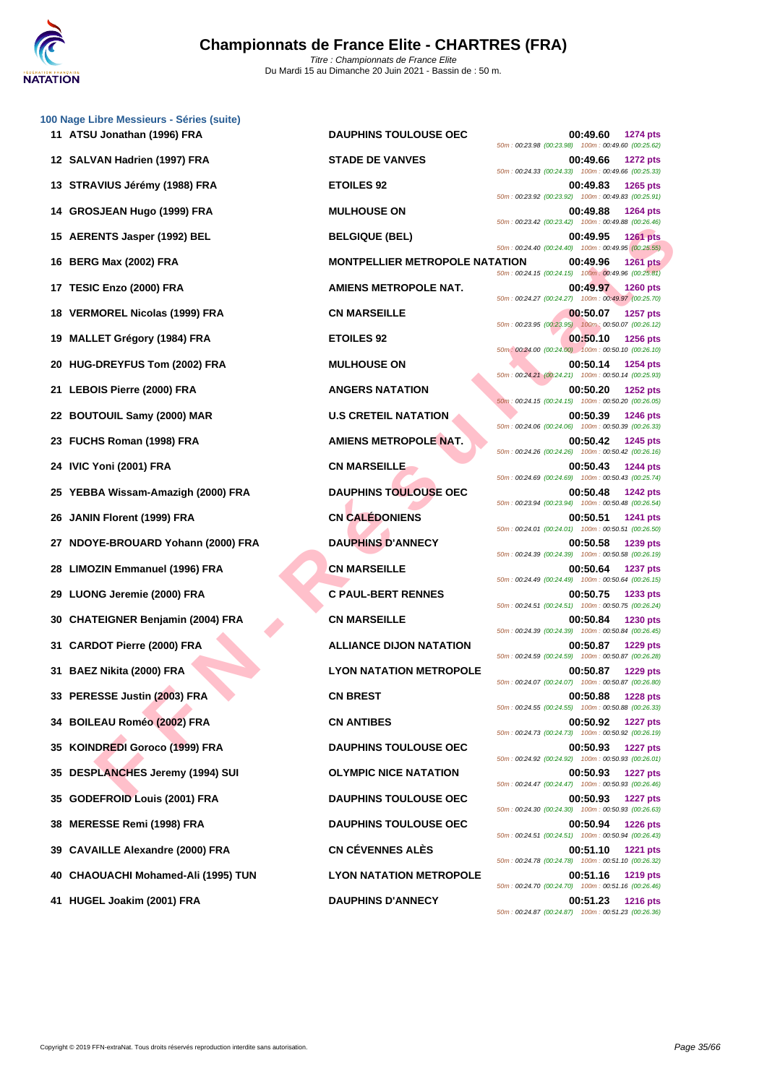|    | 100 Nage Libre Messieurs - Séries (suite)<br>11 ATSU Jonathan (1996) FRA | <b>DAUPHINS TOULOUSE OEC</b>          | 00:49.60<br><b>1274 pts</b>                                                         |
|----|--------------------------------------------------------------------------|---------------------------------------|-------------------------------------------------------------------------------------|
|    |                                                                          |                                       | 50m: 00:23.98 (00:23.98) 100m: 00:49.60 (00:25.62)                                  |
|    | 12 SALVAN Hadrien (1997) FRA                                             | <b>STADE DE VANVES</b>                | 00:49.66<br><b>1272 pts</b><br>50m: 00:24.33 (00:24.33) 100m: 00:49.66 (00:25.33)   |
|    | 13 STRAVIUS Jérémy (1988) FRA                                            | <b>ETOILES 92</b>                     | 00:49.83<br><b>1265 pts</b><br>50m: 00:23.92 (00:23.92) 100m: 00:49.83 (00:25.91)   |
| 14 | GROSJEAN Hugo (1999) FRA                                                 | <b>MULHOUSE ON</b>                    | 00:49.88<br><b>1264 pts</b><br>50m: 00:23.42 (00:23.42) 100m: 00:49.88 (00:26.46)   |
|    | 15 AERENTS Jasper (1992) BEL                                             | <b>BELGIQUE (BEL)</b>                 | 00:49.95<br><b>1261 pts</b><br>50m: 00:24.40 (00:24.40) 100m: 00:49.95 (00:25.55)   |
|    | 16 BERG Max (2002) FRA                                                   | <b>MONTPELLIER METROPOLE NATATION</b> | 00:49.96<br><b>1261 pts</b><br>50m: 00:24.15 (00:24.15) 100m: 00:49.96 (00:25.81)   |
|    | 17 TESIC Enzo (2000) FRA                                                 | <b>AMIENS METROPOLE NAT.</b>          | 00:49.97<br><b>1260 pts</b>                                                         |
| 18 | <b>VERMOREL Nicolas (1999) FRA</b>                                       | <b>CN MARSEILLE</b>                   | 50m: 00:24.27 (00:24.27) 100m: 00:49.97 (00:25.70)<br>00:50.07<br><b>1257 pts</b>   |
| 19 | <b>MALLET Grégory (1984) FRA</b>                                         | <b>ETOILES 92</b>                     | 50m: 00:23.95 (00:23.95) 100m: 00:50.07 (00:26.12)<br>00:50.10<br><b>1256 pts</b>   |
| 20 | HUG-DREYFUS Tom (2002) FRA                                               | <b>MULHOUSE ON</b>                    | 50m : 00:24.00 (00:24.00) 100m : 00:50.10 (00:26.10)<br>00:50.14<br><b>1254 pts</b> |
| 21 | <b>LEBOIS Pierre (2000) FRA</b>                                          | <b>ANGERS NATATION</b>                | 50m: 00:24.21 (00:24.21) 100m: 00:50.14 (00:25.93)<br>00:50.20<br><b>1252 pts</b>   |
| 22 | <b>BOUTOUIL Samy (2000) MAR</b>                                          | <b>U.S CRETEIL NATATION</b>           | 50m: 00:24.15 (00:24.15) 100m: 00:50.20 (00:26.05)<br>00:50.39<br><b>1246 pts</b>   |
|    | 23 FUCHS Roman (1998) FRA                                                | <b>AMIENS METROPOLE NAT.</b>          | 50m: 00:24.06 (00:24.06) 100m: 00:50.39 (00:26.33)<br>00:50.42<br>1245 pts          |
|    | 24 IVIC Yoni (2001) FRA                                                  | <b>CN MARSEILLE</b>                   | 50m: 00:24.26 (00:24.26) 100m: 00:50.42 (00:26.16)<br>00:50.43<br><b>1244 pts</b>   |
|    |                                                                          |                                       | 50m: 00:24.69 (00:24.69) 100m: 00:50.43 (00:25.74)                                  |
|    | YEBBA Wissam-Amazigh (2000) FRA                                          | <b>DAUPHINS TOULOUSE OEC</b>          | 00:50.48<br><b>1242 pts</b><br>50m: 00:23.94 (00:23.94) 100m: 00:50.48 (00:26.54)   |
| 26 | JANIN Florent (1999) FRA                                                 | <b>CN CALÉDONIENS</b>                 | 00:50.51<br>1241 pts<br>50m: 00:24.01 (00:24.01) 100m: 00:50.51 (00:26.50)          |
| 27 | NDOYE-BROUARD Yohann (2000) FRA                                          | <b>DAUPHINS D'ANNECY</b>              | 00:50.58<br>1239 pts<br>50m: 00:24.39 (00:24.39) 100m: 00:50.58 (00:26.19)          |
| 28 | <b>LIMOZIN Emmanuel (1996) FRA</b>                                       | <b>CN MARSEILLE</b>                   | 00:50.64<br><b>1237 pts</b><br>50m: 00:24.49 (00:24.49) 100m: 00:50.64 (00:26.15)   |
| 29 | LUONG Jeremie (2000) FRA                                                 | <b>C PAUL-BERT RENNES</b>             | 00:50.75<br>1233 pts<br>50m: 00:24.51 (00:24.51) 100m: 00:50.75 (00:26.24)          |
| 30 | <b>CHATEIGNER Benjamin (2004) FRA</b>                                    | <b>CN MARSEILLE</b>                   | 00:50.84<br>1230 pts<br>50m: 00:24.39 (00:24.39) 100m: 00:50.84 (00:26.45)          |
| 31 | <b>CARDOT Pierre (2000) FRA</b>                                          | <b>ALLIANCE DIJON NATATION</b>        | 00:50.87<br><b>1229 pts</b>                                                         |
|    | 31 BAEZ Nikita (2000) FRA                                                | <b>LYON NATATION METROPOLE</b>        | 50m: 00:24.59 (00:24.59) 100m: 00:50.87 (00:26.28)<br>00:50.87<br><b>1229 pts</b>   |
|    | 33 PERESSE Justin (2003) FRA                                             | <b>CN BREST</b>                       | 50m: 00:24.07 (00:24.07) 100m: 00:50.87 (00:26.80)<br>00:50.88<br><b>1228 pts</b>   |
|    | 34 BOILEAU Roméo (2002) FRA                                              | <b>CN ANTIBES</b>                     | 50m: 00:24.55 (00:24.55) 100m: 00:50.88 (00:26.33)<br>00:50.92<br><b>1227 pts</b>   |
| 35 | <b>KOINDREDI Goroco (1999) FRA</b>                                       | <b>DAUPHINS TOULOUSE OEC</b>          | 50m: 00:24.73 (00:24.73) 100m: 00:50.92 (00:26.19)<br>00:50.93<br><b>1227 pts</b>   |
|    |                                                                          |                                       | 50m: 00:24.92 (00:24.92) 100m: 00:50.93 (00:26.01)                                  |
| 35 | <b>DESPLANCHES Jeremy (1994) SUI</b>                                     | <b>OLYMPIC NICE NATATION</b>          | 00:50.93<br><b>1227 pts</b><br>50m: 00:24.47 (00:24.47) 100m: 00:50.93 (00:26.46)   |
| 35 | <b>GODEFROID Louis (2001) FRA</b>                                        | <b>DAUPHINS TOULOUSE OEC</b>          | 00:50.93<br><b>1227 pts</b><br>50m: 00:24.30 (00:24.30) 100m: 00:50.93 (00:26.63)   |
| 38 | <b>MERESSE Remi (1998) FRA</b>                                           | <b>DAUPHINS TOULOUSE OEC</b>          | 00:50.94<br><b>1226 pts</b><br>50m: 00:24.51 (00:24.51) 100m: 00:50.94 (00:26.43)   |
| 39 | <b>CAVAILLE Alexandre (2000) FRA</b>                                     | <b>CN CÉVENNES ALÈS</b>               | 00:51.10<br><b>1221 pts</b><br>50m: 00:24.78 (00:24.78) 100m: 00:51.10 (00:26.32)   |
|    | 40 CHAOUACHI Mohamed-Ali (1995) TUN                                      | <b>LYON NATATION METROPOLE</b>        | 00:51.16<br><b>1219 pts</b><br>50m: 00:24.70 (00:24.70) 100m: 00:51.16 (00:26.46)   |
|    | 41 HUGEL Joakim (2001) FRA                                               | <b>DAUPHINS D'ANNECY</b>              | $00:51.23$ 1216 pts                                                                 |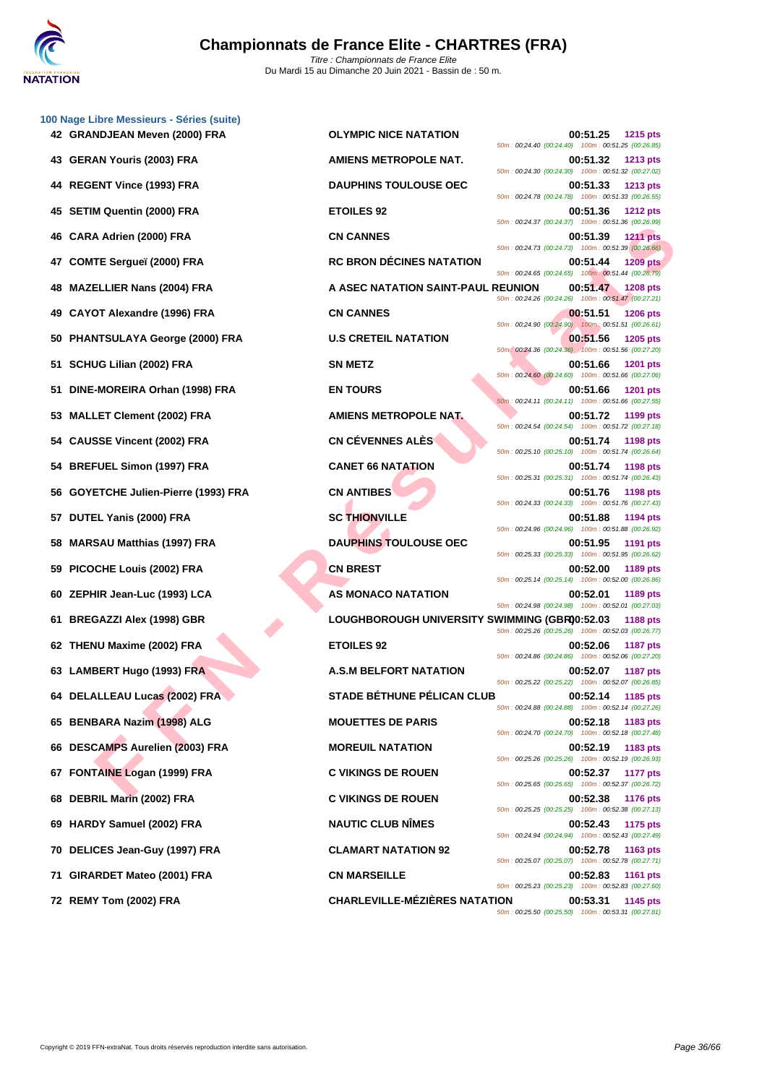| 100 Nage Libre Messieurs - Séries (suite)  |                                               |                                                                                                                                  |
|--------------------------------------------|-----------------------------------------------|----------------------------------------------------------------------------------------------------------------------------------|
| 42 GRANDJEAN Meven (2000) FRA              | <b>OLYMPIC NICE NATATION</b>                  | 00:51.25<br><b>1215 pts</b><br>50m: 00:24.40 (00:24.40) 100m: 00:51.25 (00:26.85)                                                |
| 43 GERAN Youris (2003) FRA                 | AMIENS METROPOLE NAT.                         | 00:51.32<br><b>1213 pts</b><br>50m: 00:24.30 (00:24.30) 100m: 00:51.32 (00:27.02)                                                |
| 44 REGENT Vince (1993) FRA                 | <b>DAUPHINS TOULOUSE OEC</b>                  | 00:51.33<br><b>1213 pts</b><br>50m: 00:24.78 (00:24.78) 100m: 00:51.33 (00:26.55)                                                |
| <b>SETIM Quentin (2000) FRA</b><br>45      | <b>ETOILES 92</b>                             | 00:51.36<br><b>1212 pts</b><br>50m: 00:24.37 (00:24.37) 100m: 00:51.36 (00:26.99)                                                |
| CARA Adrien (2000) FRA<br>46               | <b>CN CANNES</b>                              | 00:51.39<br><b>1211 pts</b><br>50m: 00:24.73 (00:24.73) 100m: 00:51.39 (00:26.66)                                                |
| <b>COMTE Sergueï (2000) FRA</b><br>47      | <b>RC BRON DÉCINES NATATION</b>               | 00:51.44<br><b>1209 pts</b><br>50m: 00:24.65 (00:24.65) 100m: 00:51.44 (00:26.79)                                                |
| <b>MAZELLIER Nans (2004) FRA</b><br>48     | A ASEC NATATION SAINT-PAUL REUNION            | 00:51.47<br><b>1208 pts</b><br>50m: 00:24.26 (00:24.26) 100m: 00:51.47 (00:27.21)                                                |
| <b>CAYOT Alexandre (1996) FRA</b><br>49    | <b>CN CANNES</b>                              | 00:51.51<br><b>1206 pts</b><br>50m: 00:24.90 (00:24.90) 100m: 00:51.51 (00:26.61)                                                |
| <b>PHANTSULAYA George (2000) FRA</b><br>50 | <b>U.S CRETEIL NATATION</b>                   | 00:51.56<br><b>1205 pts</b><br>50m: 00:24.36 (00:24.36) 100m: 00:51.56 (00:27.20)                                                |
| SCHUG Lilian (2002) FRA<br>51              | <b>SN METZ</b>                                | 00:51.66<br><b>1201 pts</b><br>50m: 00:24.60 (00:24.60) 100m: 00:51.66 (00:27.06)                                                |
| DINE-MOREIRA Orhan (1998) FRA<br>51        | <b>EN TOURS</b>                               | 00:51.66<br><b>1201 pts</b><br>50m: 00:24.11 (00:24.11) 100m: 00:51.66 (00:27.55)                                                |
| <b>MALLET Clement (2002) FRA</b><br>53     | AMIENS METROPOLE NAT.                         | 00:51.72<br>1199 pts<br>50m: 00:24.54 (00:24.54) 100m: 00:51.72 (00:27.18)                                                       |
| 54 CAUSSE Vincent (2002) FRA               | <b>CN CÉVENNES ALÈS</b>                       | 00:51.74<br><b>1198 pts</b><br>50m: 00:25.10 (00:25.10) 100m: 00:51.74 (00:26.64)                                                |
| <b>BREFUEL Simon (1997) FRA</b><br>54      | <b>CANET 66 NATATION</b>                      | 00:51.74<br><b>1198 pts</b><br>50m: 00:25.31 (00:25.31) 100m: 00:51.74 (00:26.43)                                                |
| GOYETCHE Julien-Pierre (1993) FRA<br>56    | <b>CN ANTIBES</b>                             | 00:51.76<br>1198 pts<br>50m: 00:24.33 (00:24.33) 100m: 00:51.76 (00:27.43)                                                       |
| DUTEL Yanis (2000) FRA<br>57               | <b>SC THIONVILLE</b>                          | 00:51.88<br>1194 pts                                                                                                             |
| <b>MARSAU Matthias (1997) FRA</b><br>58    | <b>DAUPHINS TOULOUSE OEC</b>                  | 50m: 00:24.96 (00:24.96) 100m: 00:51.88 (00:26.92)<br>00:51.95<br>1191 pts<br>50m: 00:25.33 (00:25.33) 100m: 00:51.95 (00:26.62) |
| PICOCHE Louis (2002) FRA<br>59             | <b>CN BREST</b>                               | 00:52.00<br>1189 pts<br>50m: 00:25.14 (00:25.14) 100m: 00:52.00 (00:26.86)                                                       |
| ZEPHIR Jean-Luc (1993) LCA<br>60           | AS MONACO NATATION                            | 00:52.01<br>1189 pts<br>50m: 00:24.98 (00:24.98) 100m: 00:52.01 (00:27.03)                                                       |
| <b>BREGAZZI Alex (1998) GBR</b><br>61      | LOUGHBOROUGH UNIVERSITY SWIMMING (GBR00:52.03 | <b>1188 pts</b><br>50m: 00:25.26 (00:25.26) 100m: 00:52.03 (00:26.77)                                                            |
| THENU Maxime (2002) FRA<br>62              | <b>ETOILES 92</b>                             | 00:52.06<br><b>1187 pts</b><br>50m: 00:24.86 (00:24.86) 100m: 00:52.06 (00:27.20)                                                |
| 63 LAMBERT Hugo (1993) FRA                 | <b>A.S.M BELFORT NATATION</b>                 | 00:52.07<br><b>1187 pts</b><br>50m: 00:25.22 (00:25.22) 100m: 00:52.07 (00:26.85)                                                |
| 64 DELALLEAU Lucas (2002) FRA              | <b>STADE BÉTHUNE PÉLICAN CLUB</b>             | 00:52.14<br>1185 pts<br>50m: 00:24.88 (00:24.88) 100m: 00:52.14 (00:27.26)                                                       |
| 65 BENBARA Nazim (1998) ALG                | <b>MOUETTES DE PARIS</b>                      | 00:52.18<br>1183 pts<br>50m: 00:24.70 (00:24.70) 100m: 00:52.18 (00:27.48)                                                       |
| <b>DESCAMPS Aurelien (2003) FRA</b><br>66  | <b>MOREUIL NATATION</b>                       | 00:52.19<br>1183 pts<br>50m: 00:25.26 (00:25.26) 100m: 00:52.19 (00:26.93)                                                       |
| 67 FONTAINE Logan (1999) FRA               | <b>C VIKINGS DE ROUEN</b>                     | 00:52.37<br>1177 pts<br>50m: 00:25.65 (00:25.65) 100m: 00:52.37 (00:26.72)                                                       |
| DEBRIL Marin (2002) FRA<br>68              | <b>C VIKINGS DE ROUEN</b>                     | 00:52.38<br><b>1176 pts</b><br>50m: 00:25.25 (00:25.25) 100m: 00:52.38 (00:27.13)                                                |
| <b>HARDY Samuel (2002) FRA</b><br>69       | <b>NAUTIC CLUB NÎMES</b>                      | 00:52.43<br>1175 pts<br>50m: 00:24.94 (00:24.94) 100m: 00:52.43 (00:27.49)                                                       |
| DELICES Jean-Guy (1997) FRA<br>70          | <b>CLAMART NATATION 92</b>                    | 00:52.78<br>1163 pts<br>50m: 00:25.07 (00:25.07) 100m: 00:52.78 (00:27.71)                                                       |
| GIRARDET Mateo (2001) FRA<br>71            | <b>CN MARSEILLE</b>                           | 00:52.83<br><b>1161 pts</b><br>50m: 00:25.23 (00:25.23) 100m: 00:52.83 (00:27.60)                                                |
| 72 REMY Tom (2002) FRA                     | <b>CHARLEVILLE-MÉZIÈRES NATATION</b>          | 00:53.31<br>1145 pts<br>50m: 00:25.50 (00:25.50) 100m: 00:53.31 (00:27.81)                                                       |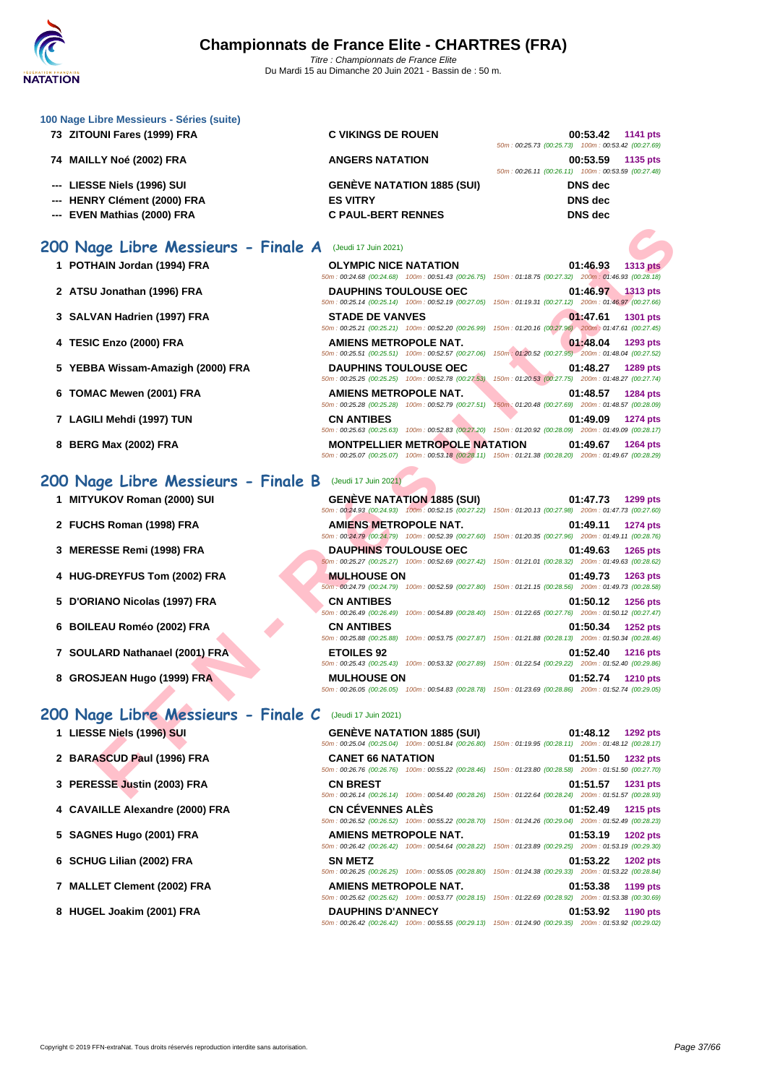

| <b>ATATION</b>                                                           | Du Mardi 15 au Dimanche Zu Juin 2021 - Bassin de : 50 m.                           |                                                                                                                                                                                                                                                 |
|--------------------------------------------------------------------------|------------------------------------------------------------------------------------|-------------------------------------------------------------------------------------------------------------------------------------------------------------------------------------------------------------------------------------------------|
| 100 Nage Libre Messieurs - Séries (suite)<br>73 ZITOUNI Fares (1999) FRA | <b>C VIKINGS DE ROUEN</b>                                                          | 00:53.42<br>1141 pts<br>50m: 00:25.73 (00:25.73) 100m: 00:53.42 (00:27.69)                                                                                                                                                                      |
| 74 MAILLY Noé (2002) FRA                                                 | <b>ANGERS NATATION</b>                                                             | 00:53.59<br>1135 pts<br>50m: 00:26.11 (00:26.11) 100m: 00:53.59 (00:27.48)                                                                                                                                                                      |
| --- LIESSE Niels (1996) SUI<br>--- HENRY Clément (2000) FRA              | <b>GENÈVE NATATION 1885 (SUI)</b><br><b>ES VITRY</b>                               | <b>DNS</b> dec<br><b>DNS</b> dec                                                                                                                                                                                                                |
| --- EVEN Mathias (2000) FRA                                              | <b>C PAUL-BERT RENNES</b>                                                          | <b>DNS</b> dec                                                                                                                                                                                                                                  |
| 200 Nage Libre Messieurs - Finale A                                      | (Jeudi 17 Juin 2021)                                                               |                                                                                                                                                                                                                                                 |
| 1 POTHAIN Jordan (1994) FRA                                              | <b>OLYMPIC NICE NATATION</b>                                                       | 01:46.93<br><b>1313 pts</b><br>50m: 00:24.68 (00:24.68) 100m: 00:51.43 (00:26.75) 150m: 01:18.75 (00:27.32) 200m: 01:46.93 (00:28.18)                                                                                                           |
| 2 ATSU Jonathan (1996) FRA                                               | <b>DAUPHINS TOULOUSE OEC</b><br>50m: 00:25.14 (00:25.14) 100m: 00:52.19 (00:27.05) | 01:46.97<br>1313 pts<br>150m: 01:19.31 (00:27.12) 200m: 01:46.97 (00:27.66)                                                                                                                                                                     |
| 3 SALVAN Hadrien (1997) FRA                                              | <b>STADE DE VANVES</b><br>50m: 00:25.21 (00:25.21) 100m: 00:52.20 (00:26.99)       | 01:47.61<br><b>1301 pts</b><br>150m: 01:20.16 (00:27.96) 200m: 01:47.61 (00:27.45)                                                                                                                                                              |
| 4 TESIC Enzo (2000) FRA                                                  | <b>AMIENS METROPOLE NAT.</b><br>50m: 00:25.51 (00:25.51) 100m: 00:52.57 (00:27.06) | 01:48.04<br>1293 pts<br>150m: 01:20.52 (00:27.95) 200m: 01:48.04 (00:27.52)                                                                                                                                                                     |
| 5 YEBBA Wissam-Amazigh (2000) FRA                                        | <b>DAUPHINS TOULOUSE OEC</b><br>50m: 00:25.25 (00:25.25) 100m: 00:52.78 (00:27.53) | 01:48.27<br>1289 pts<br>150m: 01:20.53 (00:27.75) 200m: 01:48.27 (00:27.74)                                                                                                                                                                     |
| 6 TOMAC Mewen (2001) FRA                                                 | <b>AMIENS METROPOLE NAT.</b><br>50m: 00:25.28 (00:25.28) 100m: 00:52.79 (00:27.51) | 01:48.57<br><b>1284 pts</b><br>150m: 01:20.48 (00:27.69) 200m: 01:48.57 (00:28.09)                                                                                                                                                              |
| 7 LAGILI Mehdi (1997) TUN                                                | <b>CN ANTIBES</b>                                                                  | 01:49.09<br>1274 pts<br>50m: 00:25.63 (00:25.63) 100m: 00:52.83 (00:27.20) 150m: 01:20.92 (00:28.09) 200m: 01:49.09 (00:28.17)                                                                                                                  |
| 8 BERG Max (2002) FRA                                                    | <b>MONTPELLIER METROPOLE NATATION</b>                                              | 01:49.67<br>1264 pts<br>50m: 00:25.07 (00:25.07) 100m: 00:53.18 (00:28.11) 150m: 01:21.38 (00:28.20) 200m: 01:49.67 (00:28.29)                                                                                                                  |
| 200 Nage Libre Messieurs - Finale B                                      | (Jeudi 17 Juin 2021)                                                               |                                                                                                                                                                                                                                                 |
| 1 MITYUKOV Roman (2000) SUI                                              | <b>GENÈVE NATATION 1885 (SUI)</b>                                                  | 01:47.73<br>1299 pts<br>50m: 00:24.93 (00:24.93) 100m: 00:52.15 (00:27.22) 150m: 01:20.13 (00:27.98) 200m: 01:47.73 (00:27.60)                                                                                                                  |
| 2 FUCHS Roman (1998) FRA                                                 | <b>AMIENS METROPOLE NAT.</b>                                                       | 01:49.11<br>1274 pts                                                                                                                                                                                                                            |
| 3 MERESSE Remi (1998) FRA                                                | <b>DAUPHINS TOULOUSE OEC</b>                                                       | 50m : 00:24.79 (00:24.79) 100m : 00:52.39 (00:27.60) 150m : 01:20.35 (00:27.96) 200m : 01:49.11 (00:28.76)<br>01:49.63<br>1265 pts                                                                                                              |
| 4 HUG-DREYFUS Tom (2002) FRA                                             | <b>MULHOUSE ON</b>                                                                 | 50m: 00:25.27 (00:25.27) 100m: 00:52.69 (00:27.42) 150m: 01:21.01 (00:28.32) 200m: 01:49.63 (00:28.62)<br>01:49.73<br>1263 pts                                                                                                                  |
| 5 D'ORIANO Nicolas (1997) FRA                                            | 50m: 00:24.79 (00:24.79) 100m: 00:52.59 (00:27.80)<br><b>CN ANTIBES</b>            | 150m: 01:21.15 (00:28.56) 200m: 01:49.73 (00:28.58)<br>01:50.12<br><b>1256 pts</b>                                                                                                                                                              |
| 6 BOILEAU Roméo (2002) FRA                                               | <b>CN ANTIBES</b>                                                                  | 50m: 00:26.49 (00:26.49) 100m: 00:54.89 (00:28.40) 150m: 01:22.65 (00:27.76) 200m: 01:50.12 (00:27.47)<br>01:50.34<br>1252 pts                                                                                                                  |
| 7 SOULARD Nathanael (2001) FRA                                           | <b>ETOILES 92</b>                                                                  | 50m: 00:25.88 (00:25.88) 100m: 00:53.75 (00:27.87) 150m: 01:21.88 (00:28.13) 200m: 01:50.34 (00:28.46)<br>01:52.40<br><b>1216 pts</b>                                                                                                           |
| 8 GROSJEAN Hugo (1999) FRA                                               | <b>MULHOUSE ON</b>                                                                 | 50m: 00:25.43 (00:25.43) 100m: 00:53.32 (00:27.89) 150m: 01:22.54 (00:29.22) 200m: 01:52.40 (00:29.86)<br>01:52.74<br><b>1210 pts</b><br>50m: 00:26.05 (00:26.05) 100m: 00:54.83 (00:28.78) 150m: 01:23.69 (00:28.86) 200m: 01:52.74 (00:29.05) |
| 200 Nage Libre Messieurs - Finale C                                      | (Jeudi 17 Juin 2021)                                                               |                                                                                                                                                                                                                                                 |
| 1 LIESSE Niels (1996) SUI                                                | <b>GENEVE NATATION 1885 (SUI)</b>                                                  | 01:48.12<br><b>1292 pts</b><br>50m : 00:25.04 (00:25.04) 100m : 00:51.84 (00:26.80) 150m : 01:19.95 (00:28.11) 200m : 01:48.12 (00:28.17)                                                                                                       |
| 2 BARASCUD Paul (1996) FRA                                               | <b>CANET 66 NATATION</b>                                                           | 01:51.50<br><b>1232 pts</b>                                                                                                                                                                                                                     |
| 3 PERESSE Justin (2003) FRA                                              | <b>CN BREST</b>                                                                    | 50m: 00:26.76 (00:26.76) 100m: 00:55.22 (00:28.46) 150m: 01:23.80 (00:28.58) 200m: 01:51.50 (00:27.70)<br>01:51.57<br><b>1231 pts</b>                                                                                                           |
| 4 CAVAILLE Alexandre (2000) FRA                                          | <b>CN CEVENNES ALES</b>                                                            | 50m: 00:26.14 (00:26.14) 100m: 00:54.40 (00:28.26) 150m: 01:22.64 (00:28.24) 200m: 01:51.57 (00:28.93)<br>01:52.49<br><b>1215 pts</b>                                                                                                           |
| 5 SAGNES Hugo (2001) FRA                                                 | AMIENS METROPOLE NAT.                                                              | 50m: 00:26.52 (00:26.52) 100m: 00:55.22 (00:28.70) 150m: 01:24.26 (00:29.04) 200m: 01:52.49 (00:28.23)<br>01:53.19<br><b>1202 pts</b>                                                                                                           |
| 6 SCHUG Lilian (2002) FRA                                                | SN METZ                                                                            | 50m: 00:26.42 (00:26.42) 100m: 00:54.64 (00:28.22) 150m: 01:23.89 (00:29.25) 200m: 01:53.19 (00:29.30)<br>01:53.22<br><b>1202 pts</b>                                                                                                           |

50m : 00:26.25 (00:26.25) 100m : 00:55.05 (00:28.80) 150m : 01:24.38 (00:29.33) 200m : 01:53.22 (00:28.84)

50m : 00:25.62 (00:25.62) 100m : 00:53.77 (00:28.15) 150m : 01:22.69 (00:28.92) 200m : 01:53.38 (00:30.69)

50m : 00:26.42 (00:26.42) 100m : 00:55.55 (00:29.13) 150m : 01:24.90 (00:29.35) 200m : 01:53.92 (00:29.02)

- **7 MALLET Clement (2002) FRA AMIENS METROPOLE NAT. 01:53.38 1199 pts**
- **8 HUGEL Joakim (2001) FRA DAUPHINS D'ANNECY 01:53.92 1190 pts**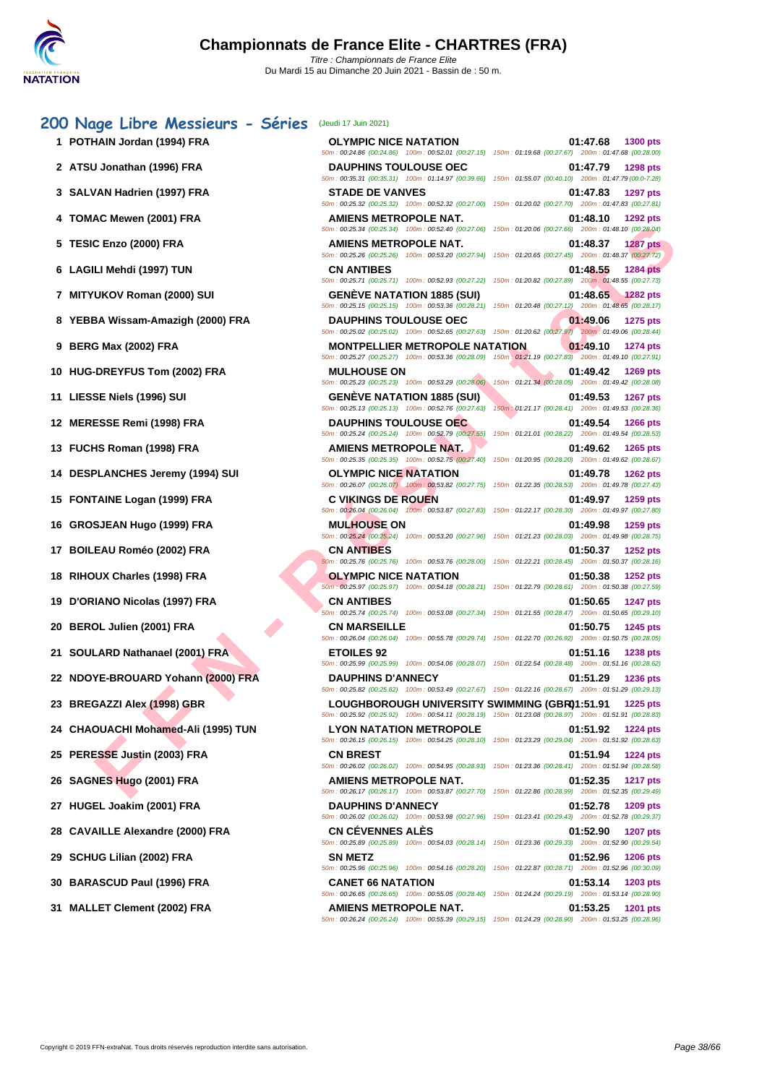|   | 1 POTHAIN Jordan (1994) FRA         | <b>OLYMPIC NICE NATATION</b><br>50m: 00:24.86 (00:24.86) 100m: 00:52.01 (00:27.15) 150m: 01:19.68 (00:27.67) 200m: 01:47.68 (00:28.00)                  | 01:47.68<br>1300 pts                                                                                                                  |
|---|-------------------------------------|---------------------------------------------------------------------------------------------------------------------------------------------------------|---------------------------------------------------------------------------------------------------------------------------------------|
|   | 2 ATSU Jonathan (1996) FRA          | <b>DAUPHINS TOULOUSE OEC</b>                                                                                                                            | 01:47.79<br>1298 pts                                                                                                                  |
|   | 3 SALVAN Hadrien (1997) FRA         | 50m: 00:35.31 (00:35.31) 100m: 01:14.97 (00:39.66) 150m: 01:55.07 (00:40.10) 200m: 01:47.79 (00:0-7.28)<br><b>STADE DE VANVES</b>                       | 01:47.83<br>1297 pts                                                                                                                  |
|   | 4 TOMAC Mewen (2001) FRA            | 50m : 00:25.32 (00:25.32) 100m : 00:52.32 (00:27.00) 150m : 01:20.02 (00:27.70) 200m : 01:47.83 (00:27.81)<br>AMIENS METROPOLE NAT.                     | 01:48.10<br>1292 pts                                                                                                                  |
|   |                                     | 50m : 00:25.34 (00:25.34) 100m : 00:52.40 (00:27.06) 150m : 01:20.06 (00:27.66) 200m : 01:48.10 (00:28.04)                                              |                                                                                                                                       |
|   | 5 TESIC Enzo (2000) FRA             | AMIENS METROPOLE NAT.<br>50m: 00:25.26 (00:25.26) 100m: 00:53.20 (00:27.94) 150m: 01:20.65 (00:27.45) 200m: 01:48.37 (00:27.72)                         | 01:48.37<br><b>1287 pts</b>                                                                                                           |
|   | 6 LAGILI Mehdi (1997) TUN           | <b>CN ANTIBES</b><br>50m: 00:25.71 (00:25.71) 100m: 00:52.93 (00:27.22) 150m: 01:20.82 (00:27.89) 200m: 01:48.55 (00:27.73)                             | 01:48.55<br><b>1284 pts</b>                                                                                                           |
|   | 7 MITYUKOV Roman (2000) SUI         | <b>GENEVE NATATION 1885 (SUI)</b><br>50m: 00:25.15 (00:25.15) 100m: 00:53.36 (00:28.21) 150m: 01:20.48 (00:27.12) 200m: 01:48.65 (00:28.17)             | 01:48.65<br><b>1282 pts</b>                                                                                                           |
|   | 8 YEBBA Wissam-Amazigh (2000) FRA   | <b>DAUPHINS TOULOUSE OEC</b>                                                                                                                            | 01:49.06<br><b>1275 pts</b>                                                                                                           |
|   | <b>BERG Max (2002) FRA</b>          | 50m : 00:25.02 (00:25.02) 100m : 00:52.65 (00:27.63) 150m : 01:20.62 (00:27.97) 200m : 01:49.06 (00:28.44)<br><b>MONTPELLIER METROPOLE NATATION</b>     | 01:49.10                                                                                                                              |
| 9 |                                     | 50m: 00:25.27 (00:25.27) 100m: 00:53.36 (00:28.09) 150m: 01:21.19 (00:27.83) 200m: 01:49.10 (00:27.91)                                                  | 1274 pts                                                                                                                              |
|   | 10 HUG-DREYFUS Tom (2002) FRA       | <b>MULHOUSE ON</b><br>50m: 00:25.23 (00:25.23) 100m: 00:53.29 (00:28.06)                                                                                | 01:49.42<br>1269 pts<br>150m: 01:21.34 (00:28.05) 200m: 01:49.42 (00:28.08)                                                           |
|   | 11 LIESSE Niels (1996) SUI          | <b>GENEVE NATATION 1885 (SUI)</b>                                                                                                                       | 01:49.53<br><b>1267 pts</b>                                                                                                           |
|   | 12 MERESSE Remi (1998) FRA          | 50m: 00:25.13 (00:25.13) 100m: 00:52.76 (00:27.63) 150m: 01:21.17 (00:28.41) 200m: 01:49.53 (00:28.36)<br><b>DAUPHINS TOULOUSE OEC</b>                  | 01:49.54<br><b>1266 pts</b>                                                                                                           |
|   |                                     | 50m: 00:25.24 (00:25.24) 100m: 00:52.79 (00:27.55)                                                                                                      | 150m: 01:21.01 (00:28.22) 200m: 01:49.54 (00:28.53)                                                                                   |
|   | 13 FUCHS Roman (1998) FRA           | <b>AMIENS METROPOLE NAT.</b><br>50m: 00:25.35 (00:25.35) 100m: 00:52.75 (00:27.40) 150m: 01:20.95 (00:28.20) 200m: 01:49.62 (00:28.67)                  | 01:49.62<br>1265 pts                                                                                                                  |
|   | 14 DESPLANCHES Jeremy (1994) SUI    | <b>OLYMPIC NICE NATATION</b>                                                                                                                            | 01:49.78<br><b>1262 pts</b>                                                                                                           |
|   | 15 FONTAINE Logan (1999) FRA        | 50m : 00:26.07 (00:26.07) 100m : 00:53.82 (00:27.75) 150m : 01:22.35 (00:28.53) 200m : 01:49.78 (00:27.43)<br><b>C VIKINGS DE ROUEN</b>                 | 01:49.97<br>1259 pts                                                                                                                  |
|   |                                     | 50m: 00:26.04 (00:26.04) 100m: 00:53.87 (00:27.83) 150m: 01:22.17 (00:28.30) 200m: 01:49.97 (00:27.80)                                                  |                                                                                                                                       |
|   | 16 GROSJEAN Hugo (1999) FRA         | <b>MULHOUSE ON</b><br>50m : 00:25.24 (00:25.24) 100m : 00:53.20 (00:27.96) 150m : 01:21.23 (00:28.03) 200m : 01:49.98 (00:28.75)                        | 01:49.98<br>1259 pts                                                                                                                  |
|   | 17 BOILEAU Roméo (2002) FRA         | <b>CN ANTIBES</b>                                                                                                                                       | 01:50.37<br>1252 pts                                                                                                                  |
|   | 18 RIHOUX Charles (1998) FRA        | 50m: 00:25.76 (00:25.76) 100m: 00:53.76 (00:28.00) 150m: 01:22.21 (00:28.45) 200m: 01:50.37 (00:28.16)<br><b>OLYMPIC NICE NATATION</b>                  | 01:50.38<br>1252 pts                                                                                                                  |
|   |                                     | 50m : 00:25.97 (00:25.97) 100m : 00:54.18 (00:28.21) 150m : 01:22.79 (00:28.61) 200m : 01:50.38 (00:27.59)                                              |                                                                                                                                       |
|   | 19 D'ORIANO Nicolas (1997) FRA      | <b>CN ANTIBES</b><br>50m: 00:25.74 (00:25.74) 100m: 00:53.08 (00:27.34) 150m: 01:21.55 (00:28.47) 200m: 01:50.65 (00:29.10)                             | 01:50.65<br><b>1247 pts</b>                                                                                                           |
|   | 20 BEROL Julien (2001) FRA          | <b>CN MARSEILLE</b><br>50m : 00:26.04 (00:26.04) 100m : 00:55.78 (00:29.74) 150m : 01:22.70 (00:26.92) 200m : 01:50.75 (00:28.05)                       | 01:50.75<br>1245 pts                                                                                                                  |
|   | 21 SOULARD Nathanael (2001) FRA     | <b>ETOILES 92</b>                                                                                                                                       | 01:51.16<br><b>1238 pts</b>                                                                                                           |
|   | 22 NDOYE-BROUARD Yohann (2000) FRA  | 50m: 00:25.99 (00:25.99) 100m: 00:54.06 (00:28.07) 150m: 01:22.54 (00:28.48) 200m: 01:51.16 (00:28.62)<br><b>DAUPHINS D'ANNECY</b>                      | 01:51.29<br>1236 pts                                                                                                                  |
|   |                                     | 50m : 00:25.82 (00:25.82) 100m : 00:53.49 (00:27.67) 150m : 01:22.16 (00:28.67) 200m : 01:51.29 (00:29.13)                                              |                                                                                                                                       |
|   | 23 BREGAZZI Alex (1998) GBR         | LOUGHBOROUGH UNIVERSITY SWIMMING (GBR01:51.91<br>50m: 00:25.92 (00:25.92) 100m: 00:54.11 (00:28.19) 150m: 01:23.08 (00:28.97) 200m: 01:51.91 (00:28.83) | 1225 pts                                                                                                                              |
|   | 24 CHAOUACHI Mohamed-Ali (1995) TUN | <b>LYON NATATION METROPOLE</b><br>50m: 00:26.15 (00:26.15) 100m: 00:54.25 (00:28.10) 150m: 01:23.29 (00:29.04) 200m: 01:51.92 (00:28.63)                | 01:51.92<br><b>1224 pts</b>                                                                                                           |
|   | 25 PERESSE Justin (2003) FRA        | <b>CN BREST</b>                                                                                                                                         | 01:51.94<br><b>1224 pts</b>                                                                                                           |
|   |                                     | 50m: 00:26.02 (00:26.02) 100m: 00:54.95 (00:28.93) 150m: 01:23.36 (00:28.41) 200m: 01:51.94 (00:28.58)                                                  |                                                                                                                                       |
|   | 26 SAGNES Hugo (2001) FRA           | AMIENS METROPOLE NAT.                                                                                                                                   | 01:52.35<br><b>1217 pts</b><br>50m: 00:26.17 (00:26.17) 100m: 00:53.87 (00:27.70) 150m: 01:22.86 (00:28.99) 200m: 01:52.35 (00:29.49) |

**27 HUGEL Joakim (2001) FRA DAUPHINS D'ANNECY 01:52.78 1209 pts**

**28 CAVAILLE Alexandre (2000) FRA CN CÉVENNES ALÈS 01:52.90 1207 pts**

**29 SCHUG Lilian (2002) FRA SN METZ 01:52.96 1206 pts**

**30 BARASCUD Paul (1996) FRA CANET 66 NATATION 01:53.14 1203 pts**

**31 MALLET Clement (2002) FRA AMIENS METROPOLE NAT. 01:53.25 1201 pts**

50m : 00:26.02 (00:26.02) 100m : 00:53.98 (00:27.96) 150m : 01:23.41 (00:29.43) 200m : 01:52.78 (00:29.37)

50m : 00:25.89 (00:25.89) 100m : 00:54.03 (00:28.14) 150m : 01:23.36 (00:29.33) 200m : 01:52.90 (00:29.54)

50m : 00:25.96 (00:25.96) 100m : 00:54.16 (00:28.20) 150m : 01:22.87 (00:28.71) 200m : 01:52.96 (00:30.09)

50m : 00:26.65 (00:26.65) 100m : 00:55.05 (00:28.40) 150m : 01:24.24 (00:29.19) 200m : 01:53.14 (00:28.90)

50m : 00:26.24 (00:26.24) 100m : 00:55.39 (00:29.15) 150m : 01:24.29 (00:28.90) 200m : 01:53.25 (00:28.96)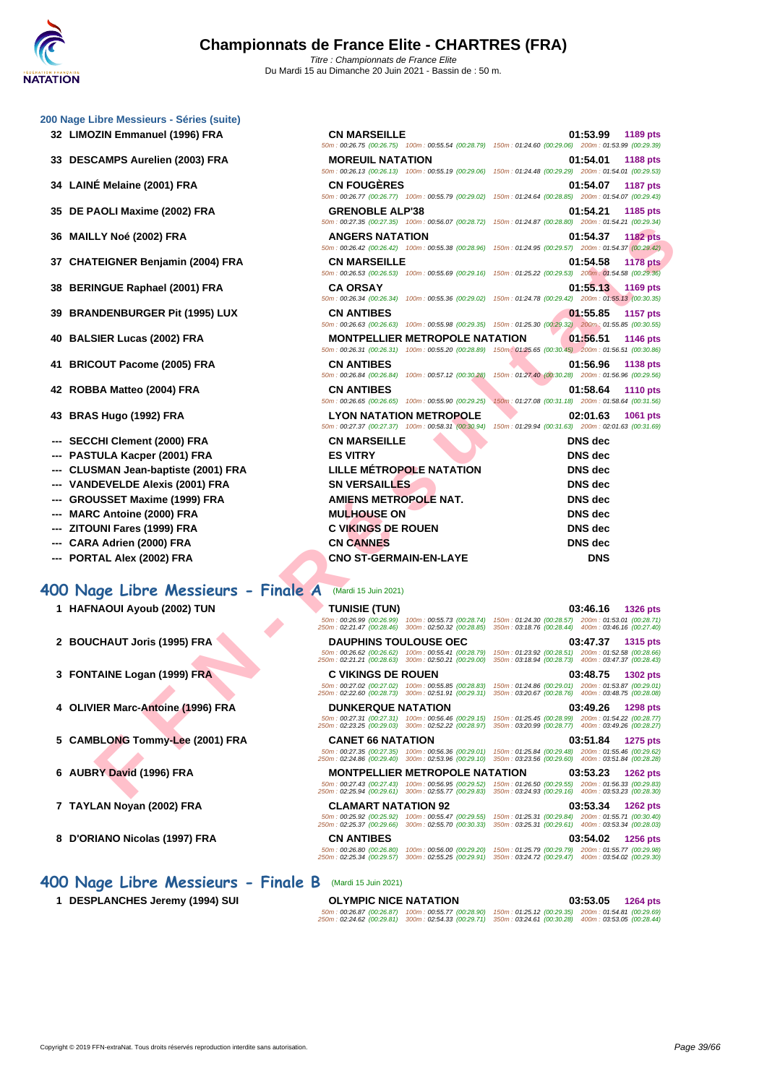#### **[200 Nage](http://www.ffnatation.fr/webffn/index.php) Libre Messieurs - Séries (suite)**

- 
- 
- 
- 
- 
- 
- 
- 
- 
- 
- 

- **--- SECCHI Clement (2000) FRA**
- **--- PASTULA Kacper (2001) FRA**
- **--- CLUSMAN Jean-baptiste (2001) FRA**
- **--- VANDEVELDE Alexis (2001) FRA**
- --- **GROUSSET Maxime (1999) FRA**
- **---** MARC Antoine (2000) FRA
- **--- ZITOUNI Fares (1999) FRA**
- **--- CARA Adrien (2000) FRA**
- **--- PORTAL Alex (2002) FRA CNO ST-GERMAIN-EN-LAYE**

#### **400 Nage Libre Messieurs - Finale A** (Mardi 15 Juin 2021)

- **1 HAFNAOUI Ayoub (2002) TUN TUNISIE (TUN) 03:46.16 1326 pts**
- **2 BOUCHAUT Joris (1995) FRA**
- **3 FONTAINE Logan (1999) FRA**
- **4 OLIVIER Marc-Antoine (1996) FRA**
- **5** CAMBLONG Tommy-Lee (2001) FRA
- **6 AUBRY David (1996) FRA**
- **7 TAYLAN Noyan (2002) FRA CLAMART NATATION 92 03:53.34 1262 pts**
- 
- **400 Nage Libre Messieurs Finale B** (Mardi 15 Juin 2021)
	-

| <b>CN MARSEILLE</b>                                                                                                                                                                                                   | 01:53.99<br>1189 pts                                                                                                                                                                                                                                                                                                                                                                                                                                                                                                                                                                                                                                                                                                                                                                                                                         |
|-----------------------------------------------------------------------------------------------------------------------------------------------------------------------------------------------------------------------|----------------------------------------------------------------------------------------------------------------------------------------------------------------------------------------------------------------------------------------------------------------------------------------------------------------------------------------------------------------------------------------------------------------------------------------------------------------------------------------------------------------------------------------------------------------------------------------------------------------------------------------------------------------------------------------------------------------------------------------------------------------------------------------------------------------------------------------------|
|                                                                                                                                                                                                                       |                                                                                                                                                                                                                                                                                                                                                                                                                                                                                                                                                                                                                                                                                                                                                                                                                                              |
|                                                                                                                                                                                                                       | 01:54.01<br>1188 pts                                                                                                                                                                                                                                                                                                                                                                                                                                                                                                                                                                                                                                                                                                                                                                                                                         |
|                                                                                                                                                                                                                       |                                                                                                                                                                                                                                                                                                                                                                                                                                                                                                                                                                                                                                                                                                                                                                                                                                              |
| 50m: 00:26.77 (00:26.77) 100m: 00:55.79 (00:29.02) 150m: 01:24.64 (00:28.85) 200m: 01:54.07 (00:29.43)                                                                                                                | 01:54.07<br><b>1187 pts</b>                                                                                                                                                                                                                                                                                                                                                                                                                                                                                                                                                                                                                                                                                                                                                                                                                  |
|                                                                                                                                                                                                                       | 01:54.21<br>1185 pts                                                                                                                                                                                                                                                                                                                                                                                                                                                                                                                                                                                                                                                                                                                                                                                                                         |
| 50m: 00:27.35 (00:27.35) 100m: 00:56.07 (00:28.72) 150m: 01:24.87 (00:28.80) 200m: 01:54.21 (00:29.34)                                                                                                                |                                                                                                                                                                                                                                                                                                                                                                                                                                                                                                                                                                                                                                                                                                                                                                                                                                              |
| <b>ANGERS NATATION</b>                                                                                                                                                                                                | 01:54.37<br><b>1182 pts</b>                                                                                                                                                                                                                                                                                                                                                                                                                                                                                                                                                                                                                                                                                                                                                                                                                  |
| 50m : 00:26.42 (00:26.42) 100m : 00:55.38 (00:28.96) 150m : 01:24.95 (00:29.57) 200m : 01:54.37 (00:29.42)                                                                                                            |                                                                                                                                                                                                                                                                                                                                                                                                                                                                                                                                                                                                                                                                                                                                                                                                                                              |
| <b>CN MARSEILLE</b>                                                                                                                                                                                                   | 01:54.58<br><b>1178 pts</b>                                                                                                                                                                                                                                                                                                                                                                                                                                                                                                                                                                                                                                                                                                                                                                                                                  |
|                                                                                                                                                                                                                       |                                                                                                                                                                                                                                                                                                                                                                                                                                                                                                                                                                                                                                                                                                                                                                                                                                              |
| <b>CA ORSAY</b>                                                                                                                                                                                                       | 01:55.13<br>1169 pts                                                                                                                                                                                                                                                                                                                                                                                                                                                                                                                                                                                                                                                                                                                                                                                                                         |
|                                                                                                                                                                                                                       |                                                                                                                                                                                                                                                                                                                                                                                                                                                                                                                                                                                                                                                                                                                                                                                                                                              |
|                                                                                                                                                                                                                       | 01:55.85<br>1157 pts                                                                                                                                                                                                                                                                                                                                                                                                                                                                                                                                                                                                                                                                                                                                                                                                                         |
|                                                                                                                                                                                                                       | 01:56.51                                                                                                                                                                                                                                                                                                                                                                                                                                                                                                                                                                                                                                                                                                                                                                                                                                     |
|                                                                                                                                                                                                                       | 1146 pts                                                                                                                                                                                                                                                                                                                                                                                                                                                                                                                                                                                                                                                                                                                                                                                                                                     |
|                                                                                                                                                                                                                       | 01:56.96<br><b>1138 pts</b>                                                                                                                                                                                                                                                                                                                                                                                                                                                                                                                                                                                                                                                                                                                                                                                                                  |
| 50m: 00:26.84 (00:26.84) 100m: 00:57.12 (00:30.28)                                                                                                                                                                    | 150m: 01:27.40 (00:30.28) 200m: 01:56.96 (00:29.56)                                                                                                                                                                                                                                                                                                                                                                                                                                                                                                                                                                                                                                                                                                                                                                                          |
| <b>CN ANTIBES</b>                                                                                                                                                                                                     | 01:58.64<br><b>1110 pts</b>                                                                                                                                                                                                                                                                                                                                                                                                                                                                                                                                                                                                                                                                                                                                                                                                                  |
| 50m: 00:26.65 (00:26.65) 100m: 00:55.90 (00:29.25)                                                                                                                                                                    | 150m: 01:27.08 (00:31.18) 200m: 01:58.64 (00:31.56)                                                                                                                                                                                                                                                                                                                                                                                                                                                                                                                                                                                                                                                                                                                                                                                          |
| <b>LYON NATATION METROPOLE</b>                                                                                                                                                                                        | 02:01.63<br>1061 pts                                                                                                                                                                                                                                                                                                                                                                                                                                                                                                                                                                                                                                                                                                                                                                                                                         |
| 50m: 00:27.37 (00:27.37) 100m: 00:58.31 (00:30.94) 150m: 01:29.94 (00:31.63) 200m: 02:01.63 (00:31.69)                                                                                                                |                                                                                                                                                                                                                                                                                                                                                                                                                                                                                                                                                                                                                                                                                                                                                                                                                                              |
| <b>CN MARSEILLE</b>                                                                                                                                                                                                   | <b>DNS</b> dec                                                                                                                                                                                                                                                                                                                                                                                                                                                                                                                                                                                                                                                                                                                                                                                                                               |
| <b>ES VITRY</b>                                                                                                                                                                                                       | <b>DNS</b> dec                                                                                                                                                                                                                                                                                                                                                                                                                                                                                                                                                                                                                                                                                                                                                                                                                               |
| <b>LILLE MÉTROPOLE NATATION</b>                                                                                                                                                                                       | <b>DNS</b> dec                                                                                                                                                                                                                                                                                                                                                                                                                                                                                                                                                                                                                                                                                                                                                                                                                               |
| <b>SN VERSAILLES</b>                                                                                                                                                                                                  | <b>DNS</b> dec                                                                                                                                                                                                                                                                                                                                                                                                                                                                                                                                                                                                                                                                                                                                                                                                                               |
| <b>AMIENS METROPOLE NAT.</b>                                                                                                                                                                                          | <b>DNS</b> dec                                                                                                                                                                                                                                                                                                                                                                                                                                                                                                                                                                                                                                                                                                                                                                                                                               |
|                                                                                                                                                                                                                       | <b>DNS</b> dec                                                                                                                                                                                                                                                                                                                                                                                                                                                                                                                                                                                                                                                                                                                                                                                                                               |
|                                                                                                                                                                                                                       |                                                                                                                                                                                                                                                                                                                                                                                                                                                                                                                                                                                                                                                                                                                                                                                                                                              |
|                                                                                                                                                                                                                       |                                                                                                                                                                                                                                                                                                                                                                                                                                                                                                                                                                                                                                                                                                                                                                                                                                              |
| <b>C VIKINGS DE ROUEN</b>                                                                                                                                                                                             | <b>DNS</b> dec                                                                                                                                                                                                                                                                                                                                                                                                                                                                                                                                                                                                                                                                                                                                                                                                                               |
| <b>CN CANNES</b>                                                                                                                                                                                                      | <b>DNS</b> dec                                                                                                                                                                                                                                                                                                                                                                                                                                                                                                                                                                                                                                                                                                                                                                                                                               |
| <b>CNO ST-GERMAIN-EN-LAYE</b>                                                                                                                                                                                         | <b>DNS</b>                                                                                                                                                                                                                                                                                                                                                                                                                                                                                                                                                                                                                                                                                                                                                                                                                                   |
|                                                                                                                                                                                                                       |                                                                                                                                                                                                                                                                                                                                                                                                                                                                                                                                                                                                                                                                                                                                                                                                                                              |
| 00 Nage Libre Messieurs - Finale A<br>(Mardi 15 Juin 2021)                                                                                                                                                            |                                                                                                                                                                                                                                                                                                                                                                                                                                                                                                                                                                                                                                                                                                                                                                                                                                              |
| <b>TUNISIE (TUN)</b>                                                                                                                                                                                                  | 03:46.16<br><b>1326 pts</b>                                                                                                                                                                                                                                                                                                                                                                                                                                                                                                                                                                                                                                                                                                                                                                                                                  |
| 50m: 00:26.99 (00:26.99) 100m: 00:55.73 (00:28.74)<br>250m: 02:21.47 (00:28.46) 300m: 02:50.32 (00:28.85)                                                                                                             | 150m: 01:24.30 (00:28.57) 200m: 01:53.01 (00:28.71)<br>350m: 03:18.76 (00:28.44) 400m: 03:46.16 (00:27.40)                                                                                                                                                                                                                                                                                                                                                                                                                                                                                                                                                                                                                                                                                                                                   |
| <b>DAUPHINS TOULOUSE OEC</b>                                                                                                                                                                                          | 03:47.37<br><b>1315 pts</b>                                                                                                                                                                                                                                                                                                                                                                                                                                                                                                                                                                                                                                                                                                                                                                                                                  |
| 50m: 00:26.62 (00:26.62) 100m: 00:55.41 (00:28.79)                                                                                                                                                                    | 150m: 01:23.92 (00:28.51) 200m: 01:52.58 (00:28.66)                                                                                                                                                                                                                                                                                                                                                                                                                                                                                                                                                                                                                                                                                                                                                                                          |
| 250m: 02:21.21 (00:28.63) 300m: 02:50.21 (00:29.00)                                                                                                                                                                   | 350m: 03:18.94 (00:28.73) 400m: 03:47.37 (00:28.43)                                                                                                                                                                                                                                                                                                                                                                                                                                                                                                                                                                                                                                                                                                                                                                                          |
| <b>C VIKINGS DE ROUEN</b><br>50m: 00:27.02 (00:27.02) 100m: 00:55.85 (00:28.83) 150m: 01:24.86 (00:29.01) 200m: 01:53.87 (00:29.01)                                                                                   | 03:48.75<br><b>1302 pts</b>                                                                                                                                                                                                                                                                                                                                                                                                                                                                                                                                                                                                                                                                                                                                                                                                                  |
| 250m: 02:22.60 (00:28.73) 300m: 02:51.91 (00:29.31) 350m: 03:20.67 (00:28.76) 400m: 03:48.75 (00:28.08)                                                                                                               |                                                                                                                                                                                                                                                                                                                                                                                                                                                                                                                                                                                                                                                                                                                                                                                                                                              |
| <b>DUNKERQUE NATATION</b>                                                                                                                                                                                             | 03:49.26<br><b>1298 pts</b>                                                                                                                                                                                                                                                                                                                                                                                                                                                                                                                                                                                                                                                                                                                                                                                                                  |
| 50m : 00:27.31 (00:27.31) 100m : 00:56.46 (00:29.15) 150m : 01:25.45 (00:28.99) 200m : 01:54.22 (00:28.77)<br>250m: 02:23.25 (00:29.03) 300m: 02:52.22 (00:28.97) 350m: 03:20.99 (00:28.77) 400m: 03:49.26 (00:28.27) |                                                                                                                                                                                                                                                                                                                                                                                                                                                                                                                                                                                                                                                                                                                                                                                                                                              |
| <b>CANET 66 NATATION</b>                                                                                                                                                                                              |                                                                                                                                                                                                                                                                                                                                                                                                                                                                                                                                                                                                                                                                                                                                                                                                                                              |
| 50m: 00:27.35 (00:27.35) 100m: 00:56.36 (00:29.01)                                                                                                                                                                    | 03:51.84<br><b>1275 pts</b><br>150m: 01:25.84 (00:29.48) 200m: 01:55.46 (00:29.62)                                                                                                                                                                                                                                                                                                                                                                                                                                                                                                                                                                                                                                                                                                                                                           |
| 250m: 02:24.86 (00:29.40) 300m: 02:53.96 (00:29.10) 350m: 03:23.56 (00:29.60) 400m: 03:51.84 (00:28.28)                                                                                                               |                                                                                                                                                                                                                                                                                                                                                                                                                                                                                                                                                                                                                                                                                                                                                                                                                                              |
| <b>MONTPELLIER METROPOLE NATATION</b><br>50m: 00:27.43 (00:27.43) 100m: 00:56.95 (00:29.52) 150m: 01:26.50 (00:29.55) 200m: 01:56.33 (00:29.83)                                                                       | 03:53.23<br><b>1262 pts</b>                                                                                                                                                                                                                                                                                                                                                                                                                                                                                                                                                                                                                                                                                                                                                                                                                  |
|                                                                                                                                                                                                                       | 50m: 00:26.75 (00:26.75) 100m: 00:55.54 (00:28.79) 150m: 01:24.60 (00:29.06) 200m: 01:53.99 (00:29.39)<br><b>MOREUIL NATATION</b><br>50m: 00:26.13 (00:26.13) 100m: 00:55.19 (00:29.06) 150m: 01:24.48 (00:29.29) 200m: 01:54.01 (00:29.53)<br><b>CN FOUGERES</b><br><b>GRENOBLE ALP'38</b><br>50m: 00:26.53 (00:26.53) 100m: 00:55.69 (00:29.16) 150m: 01:25.22 (00:29.53) 200m: 01:54.58 (00:29.36)<br>50m: 00:26.34 (00:26.34) 100m: 00:55.36 (00:29.02) 150m: 01:24.78 (00:29.42) 200m: 01:55.13 (00:30.35)<br><b>CN ANTIBES</b><br>50m: 00:26.63 (00:26.63) 100m: 00:55.98 (00:29.35) 150m: 01:25.30 (00:29.32) 200m: 01:55.85 (00:30.55)<br><b>MONTPELLIER METROPOLE NATATION</b><br>50m: 00:26.31 (00:26.31) 100m: 00:55.20 (00:28.89) 150m: 01:25.65 (00:30.45) 200m: 01:56.51 (00:30.86)<br><b>CN ANTIBES</b><br><b>MULHOUSE ON</b> |

| <b>TUNISIE (TUN)</b>                                  |                                                        |                                                                                                            | 03:46.16 1326 pts         |                                                        |
|-------------------------------------------------------|--------------------------------------------------------|------------------------------------------------------------------------------------------------------------|---------------------------|--------------------------------------------------------|
| 50m: 00:26.99 (00:26.99)<br>250m: 02:21.47 (00:28.46) | 100m: 00:55.73 (00:28.74)<br>300m: 02:50.32 (00:28.85) | 150m: 01:24.30 (00:28.57) 200m: 01:53.01 (00:28.71)<br>350m: 03:18.76 (00:28.44) 400m: 03:46.16 (00:27.40) |                           |                                                        |
| <b>DAUPHINS TOULOUSE OEC</b>                          |                                                        |                                                                                                            | 03:47.37 1315 pts         |                                                        |
| 50m: 00:26.62 (00:26.62)<br>250m: 02:21.21 (00:28.63) | 100m: 00:55.41 (00:28.79)<br>300m: 02:50.21 (00:29.00) | 150m: 01:23.92 (00:28.51) 200m: 01:52.58 (00:28.66)<br>350m: 03:18.94 (00:28.73) 400m: 03:47.37 (00:28.43) |                           |                                                        |
| C VIKINGS DE ROUEN                                    |                                                        |                                                                                                            | 03:48.75 1302 pts         |                                                        |
| 50m: 00:27.02 (00:27.02)<br>250m: 02:22.60 (00:28.73) | 100m: 00:55.85 (00:28.83)<br>300m: 02:51.91 (00:29.31) | 150m: 01:24.86 (00:29.01) 200m: 01:53.87 (00:29.01)<br>350m: 03:20.67 (00:28.76) 400m: 03:48.75 (00:28.08) |                           |                                                        |
| <b>DUNKERQUE NATATION</b>                             |                                                        |                                                                                                            | 03:49.26 1298 pts         |                                                        |
| 50m: 00:27.31 (00:27.31)<br>250m: 02:23.25 (00:29.03) | 100m: 00:56.46 (00:29.15)<br>300m: 02:52.22 (00:28.97) | 150m: 01:25.45 (00:28.99) 200m: 01:54.22 (00:28.77)<br>350m: 03:20.99 (00:28.77) 400m: 03:49.26 (00:28.27) |                           |                                                        |
| <b>CANET 66 NATATION</b>                              |                                                        |                                                                                                            | 03:51.84 1275 pts         |                                                        |
| 50m: 00:27.35 (00:27.35)<br>250m: 02:24.86 (00:29.40) | 100m: 00:56.36 (00:29.01)<br>300m: 02:53.96 (00:29.10) | 150m: 01:25.84 (00:29.48)<br>350m: 03:23.56 (00:29.60) 400m: 03:51.84 (00:28.28)                           | 200m: 01:55.46 (00:29.62) |                                                        |
|                                                       | MONTPELLIER METROPOLE NATATION                         |                                                                                                            | 03:53.23 1262 pts         |                                                        |
| 50m: 00:27.43 (00:27.43)<br>250m: 02:25.94 (00:29.61) | 100m: 00:56.95 (00:29.52)<br>300m: 02:55.77 (00:29.83) | 150m: 01:26.50 (00:29.55) 200m: 01:56.33 (00:29.83)<br>350m: 03:24.93 (00:29.16) 400m: 03:53.23 (00:28.30) |                           |                                                        |
| <b>CLAMART NATATION 92</b>                            |                                                        |                                                                                                            | 03:53.34 1262 pts         |                                                        |
| 50m: 00:25.92 (00:25.92)<br>250m: 02:25.37 (00:29.66) | 100m: 00:55.47 (00:29.55)<br>300m: 02:55.70 (00:30.33) | 150m: 01:25.31 (00:29.84)<br>350m: 03:25.31 (00:29.61)                                                     |                           | 200m: 01:55.71 (00:30.40)<br>400m: 03:53.34 (00:28.03) |

**8 D'ORIANO Nicolas (1997) FRA CN ANTIBES 03:54.02 1256 pts** 50m : 00:26.80 (00:26.80) 100m : 00:56.00 (00:29.20) 150m : 01:25.79 (00:29.79) 200m : 01:55.77 (00:29.98) 250m : 02:25.34 (00:29.57) 300m : 02:55.25 (00:29.91) 350m : 03:24.72 (00:29.47) 400m : 03:54.02 (00:29.30)

**1 DESPLANCHES Jeremy (1994) SUI OLYMPIC NICE NATATION 03:53.05 1264 pts** 50m : 00:26.87 (00:26.87) 100m : 00:55.77 (00:28.90) 150m : 01:25.12 (00:29.35) 200m : 01:54.81 (00:29.69) 250m : 02:24.62 (00:29.81) 300m : 02:54.33 (00:29.71) 350m : 03:24.61 (00:30.28) 400m : 03:53.05 (00:28.44)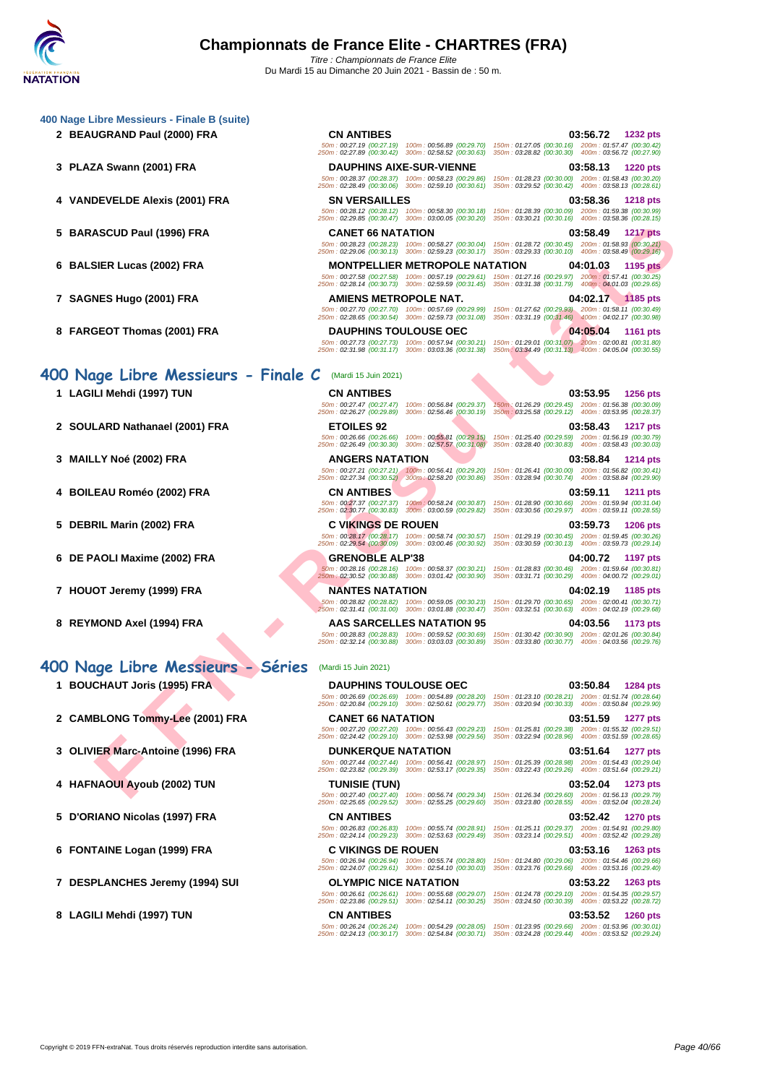#### **[400 Nage](http://www.ffnatation.fr/webffn/index.php) Libre Messieurs - Finale B (suite)**

- 
- 
- 
- 
- 
- 
- 

### **400 Nage Libre Messieurs - Finale C** (Mardi 15 Juin 2021)

- 
- 
- 
- 
- **5 DEBRIL Marin (2002) FRA C VIKINGS DE ROUEN 03:59.73 1206 pts**
- **6 DE PAOLI Maxime (2002) FRA GRENOBLE ALP'38 04:00.72 1197 pts**
- 
- 

### **400 Nage Libre Messieurs - Séries** (Mardi 15 Juin 2021)

- 
- 
- 
- **4 HAFNAOUI Ayoub (2002) TUN TUNISIE (TUN) 03:52.04 1273 pts**
- **5 D'ORIANO Nicolas (1997) FRA CN ANTIBES 03:52.42 1270 pts**
- 
- **7 DESPLANCHES Jeremy (1994) SUI OLYMPIC NICE NATATION 03:53.22 1263 pts**
- **8 LAGILI Mehdi (1997) TUN CN ANTIBES 03:53.52 1260 pts**

**2 BEAUGRAND Paul (2000) FRA CN ANTIBES 03:56.72 1232 pts** 50m : 00:27.19 (00:27.19) 100m : 00:56.89 (00:29.70) 150m : 01:27.05 (00:30.16) 200m : 01:57.47 (00:30.42) 250m : 02:27.89 (00:30.42) 300m : 02:58.52 (00:30.63) 350m : 03:28.82 (00:30.30) 400m : 03:56.72 (00:27.90) **3 PLAZA Swann (2001) FRA DAUPHINS AIXE-SUR-VIENNE 03:58.13 1220 pts** 50m : 00:28.37 (00:28.37) 100m : 00:58.23 (00:29.86) 150m : 01:28.23 (00:30.00) 200m : 01:58.43 (00:30.20) 250m : 02:28.49 (00:30.06) 300m : 02:59.10 (00:30.61) 350m : 03:29.52 (00:30.42) 400m : 03:58.13 (00:28.61) **4 VANDEVELDE Alexis (2001) FRA SN VERSAILLES 03:58.36 1218 pts** 50m : 00:28.12 (00:28.12) 100m : 00:58.30 (00:30.18) 150m : 01:28.39 (00:30.09) 200m : 01:59.38 (00:30.99) 250m : 02:29.85 (00:30.47) 300m : 03:00.05 (00:30.20) 350m : 03:30.21 (00:30.16) 400m : 03:58.36 (00:28.15) **5 BARASCUD Paul (1996) FRA CANET 66 NATATION 03:58.49 1217 pts** 50m : 00:28.23 (00:28.23) 100m : 00:58.27 (00:30.04) 150m : 01:28.72 (00:30.45) 200m : 01:58.93 (00:30.21) 250m : 02:29.06 (00:30.13) 300m : 02:59.23 (00:30.17) 350m : 03:29.33 (00:30.10) 400m : 03:58.49 (00:29.16) **6 BALSIER Lucas (2002) FRA MONTPELLIER METROPOLE NATATION 04:01.03 1195 pts**

50m : 00:27.58 (00:27.58) 100m : 00:57.19 (00:29.61) 150m : 01:27.16 (00:29.97) 200m : 01:57.41 (00:30.25) 250m : 02:28.14 (00:30.73) 300m : 02:59.59 (00:31.45) 350m : 03:31.38 (00:31.79) 400m : 04:01.03 (00:29.65) **7 SAGNES Hugo (2001) FRA AMIENS METROPOLE NAT. 04:02.17 1185 pts** 50m : 00:27.70 (00:27.70) 100m : 00:57.69 (00:29.99) 150m : 01:27.62 (00:29.93) 200m : 01:58.11 (00:30.49) 250m : 02:28.65 (00:30.54) 300m : 02:59.73 (00:31.08) 350m : 03:31.19 (00:31.46) 400m : 04:02.17 (00:30.98) **8 FARGEOT Thomas (2001) FRA DAUPHINS TOULOUSE OEC 04:05.04 1161 pts**

50m : 00:27.73 (00:27.73) 100m : 00:57.94 (00:30.21) 150m : 01:29.01 (00:31.07) 200m : 02:00.81 (00:31.80) 250m : 02:31.98 (00:31.17) 300m : 03:03.36 (00:31.38) 350m : 03:34.49 (00:31.13) 400m : 04:05.04 (00:30.55)

50m : 00:26.66 (00:26.66) 100m : 00:55.81 (00:29.15) 150m : 01:25.40 (00:29.59) 200m : 01:56.19 (00:30.79) 250m : 02:26.49 (00:30.30) 300m : 02:57.57 (00:31.08) 350m : 03:28.40 (00:30.83) 400m : 03:58.43 (00:30.03) **3 MAILLY Noé (2002) FRA ANGERS NATATION 03:58.84 1214 pts** 50m : 00:27.21 (00:27.21) 100m : 00:56.41 (00:29.20) 150m : 01:26.41 (00:30.00) 200m : 01:56.82 (00:30.41) 250m : 02:27.34 (00:30.52) 300m : 02:58.20 (00:30.86) 350m : 03:28.94 (00:30.74) 400m : 03:58.84 (00:29.90)

50m : 00:27.37 (00:27.37) 100m : 00:58.24 (00:30.87) 150m : 01:28.90 (00:30.66) 200m : 01:59.94 (00:31.04) 250m : 02:30.77 (00:30.83) 300m : 03:00.59 (00:29.82) 350m : 03:30.56 (00:29.97) 400m : 03:59.11 (00:28.55)

**7 HOUOT Jeremy (1999) FRA NANTES NATATION 04:02.19 1185 pts**

50m : 00:28.83 (00:28.83) 100m : 00:59.52 (00:30.69) 150m : 01:30.42 (00:30.90) 200m : 02:01.26 (00:30.84) 250m : 02:32.14 (00:30.88) 300m : 03:03.03 (00:30.89) 350m : 03:33.80 (00:30.77) 400m : 04:03.56 (00:29.76)

**[F](http://www.ffnatation.fr/webffn/resultats.php?idact=nat&go=epr&idcpt=70185&idepr=54) F EXAMPLE SIGNATION CONTRANT CONTRANT CONTRANT CONTRANT CONTRANT CONTRANT CONTRANT CONTRANT CONTRANT CONTRANT CONTRANT CONTRANT CONTRANT CONTRANT CONTRANT CONTRANT CONTRANT CONTRANT CONTRANT CONTRANT CONTRANT CONTRA** 50m : 00:26.69 (00:26.69) 100m : 00:54.89 (00:28.20) 150m : 01:23.10 (00:28.21) 200m : 01:51.74 (00:28.64) 250m : 02:20.84 (00:29.10) 300m : 02:50.61 (00:29.77) 350m : 03:20.94 (00:30.33) 400m : 03:50.84 (00:29.90) **2 CAMBLONG Tommy-Lee (2001) FRA CANET 66 NATATION 03:51.59 1277 pts** 50m : 00:27.20 (00:27.20) 100m : 00:56.43 (00:29.23) 150m : 01:25.81 (00:29.38) 200m : 01:55.32 (00:29.51) 250m : 02:24.42 (00:29.10) 300m : 02:53.98 (00:29.56) 350m : 03:22.94 (00:28.96) 400m : 03:51.59 (00:28.65) **3 OLIVIER Marc-Antoine (1996) FRA DUNKERQUE NATATION 03:51.64 1277 pts**

**6 FONTAINE Logan (1999) FRA C VIKINGS DE ROUEN 03:53.16 1263 pts**

50m : 00:26.94 (00:26.94) 100m : 00:55.74 (00:28.80) 150m : 01:24.80 (00:29.06) 200m : 01:54.46 (00:29.66) 250m : 02:24.07 (00:29.61) 300m : 02:54.10 (00:30.03) 350m : 03:23.76 (00:29.66) 400m : 03:53.16 (00:29.40)

**1 LAGILI Mehdi (1997) TUN CN ANTIBES 03:53.95 1256 pts** 50m : 00:27.47 (00:27.47) 100m : 00:56.84 (00:29.37) 150m : 01:26.29 (00:29.45) 200m : 01:56.38 (00:30.09) 250m : 02:26.27 (00:29.89) 300m : 02:56.46 (00:30.19) 350m : 03:25.58 (00:29.12) 400m : 03:53.95 (00:28.37) **2 SOULARD Nathanael (2001) FRA ETOILES 92 03:58.43 1217 pts**

**4 BOILEAU Roméo (2002) FRA CN ANTIBES 03:59.11 1211 pts**

50m : 00:28.17 (00:28.17) 100m : 00:58.74 (00:30.57) 150m : 01:29.19 (00:30.45) 200m : 01:59.45 (00:30.26) 250m : 02:29.54 (00:30.09) 300m : 03:00.46 (00:30.92) 350m : 03:30.59 (00:30.13) 400m : 03:59.73 (00:29.14)

50m : 00:28.16 (00:28.16) 100m : 00:58.37 (00:30.21) 150m : 01:28.83 (00:30.46) 200m : 01:59.64 (00:30.81) 250m : 02:30.52 (00:30.88) 300m : 03:01.42 (00:30.90) 350m : 03:31.71 (00:30.29) 400m : 04:00.72 (00:29.01)

50m : 00:28.82 (00:28.82) 100m : 00:59.05 (00:30.23) 150m : 01:29.70 (00:30.65) 200m : 02:00.41 (00:30.71) 250m : 02:31.41 (00:31.00) 300m : 03:01.88 (00:30.47) 350m : 03:32.51 (00:30.63) 400m : 04:02.19 (00:29.68)

**8 REYMOND Axel (1994) FRA AAS SARCELLES NATATION 95 04:03.56 1173 pts**

**1 BOUCHAUT Joris (1995) FRA DAUPHINS TOULOUSE OEC 03:50.84 1284 pts**

50m : 00:27.44 (00:27.44) 100m : 00:56.41 (00:28.97) 150m : 01:25.39 (00:28.98) 200m : 01:54.43 (00:29.04) 250m : 02:23.82 (00:29.39) 300m : 02:53.17 (00:29.35) 350m : 03:22.43 (00:29.26) 400m : 03:51.64 (00:29.21)

50m : 00:27.40 (00:27.40) 100m : 00:56.74 (00:29.34) 150m : 01:26.34 (00:29.60) 200m : 01:56.13 (00:29.79) 250m : 02:25.65 (00:29.52) 300m : 02:55.25 (00:29.60) 350m : 03:23.80 (00:28.55) 400m : 03:52.04 (00:28.24)

50m : 00:26.83 (00:26.83) 100m : 00:55.74 (00:28.91) 150m : 01:25.11 (00:29.37) 200m : 01:54.91 (00:29.80) 250m : 02:24.14 (00:29.23) 300m : 02:53.63 (00:29.49) 350m : 03:23.14 (00:29.51) 400m : 03:52.42 (00:29.28)

50m : 00:26.61 (00:26.61) 100m : 00:55.68 (00:29.07) 150m : 01:24.78 (00:29.10) 200m : 01:54.35 (00:29.57) 250m : 02:23.86 (00:29.51) 300m : 02:54.11 (00:30.25) 350m : 03:24.50 (00:30.39) 400m : 03:53.22 (00:28.72)

50m : 00:26.24 (00:26.24) 100m : 00:54.29 (00:28.05) 150m : 01:23.95 (00:29.66) 200m : 01:53.96 (00:30.01) 250m : 02:24.13 (00:30.17) 300m : 02:54.84 (00:30.71) 350m : 03:24.28 (00:29.44) 400m : 03:53.52 (00:29.24)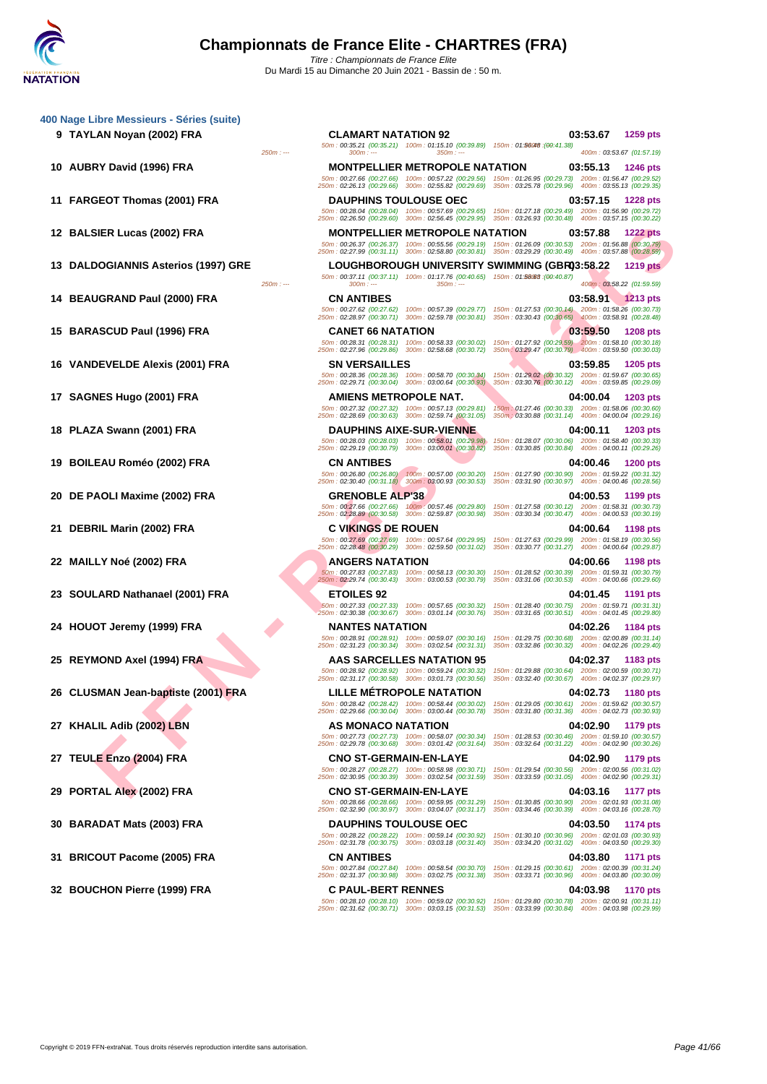|    | 9 TAYLAN Noyan (2002) FRA               | <b>CLAMART NATATION 92</b>                                                                                                                                                                                        |                                                                                                              | 03:53.67                  | <b>1259 pts</b> |
|----|-----------------------------------------|-------------------------------------------------------------------------------------------------------------------------------------------------------------------------------------------------------------------|--------------------------------------------------------------------------------------------------------------|---------------------------|-----------------|
|    | $250m: -$                               | 50m: 00:35.21 (00:35.21) 100m: 01:15.10 (00:39.89) 150m: 01:56048 : (00:41.38)<br>$300m: -$<br>$350m: -$                                                                                                          |                                                                                                              | 400m: 03:53.67 (01:57.19) |                 |
|    | 10 AUBRY David (1996) FRA               | <b>MONTPELLIER METROPOLE NATATION</b>                                                                                                                                                                             |                                                                                                              | 03:55.13                  | <b>1246 pts</b> |
|    |                                         | 50m: 00:27.66 (00:27.66) 100m: 00:57.22 (00:29.56) 150m: 01:26.95 (00:29.73) 200m: 01:56.47 (00:29.52)                                                                                                            |                                                                                                              |                           |                 |
|    |                                         | 250m: 02:26.13 (00:29.66) 300m: 02:55.82 (00:29.69) 350m: 03:25.78 (00:29.96) 400m: 03:55.13 (00:29.35)                                                                                                           |                                                                                                              |                           |                 |
|    | 11 FARGEOT Thomas (2001) FRA            | <b>DAUPHINS TOULOUSE OEC</b><br>50m: 00:28.04 (00:28.04) 100m: 00:57.69 (00:29.65) 150m: 01:27.18 (00:29.49) 200m: 01:56.90 (00:29.72)                                                                            |                                                                                                              | 03:57.15                  | <b>1228 pts</b> |
|    |                                         | 250m: 02:26.50 (00:29.60) 300m: 02:56.45 (00:29.95)                                                                                                                                                               | 350m: 03:26.93 (00:30.48) 400m: 03:57.15 (00:30.22)                                                          |                           |                 |
|    | 12 BALSIER Lucas (2002) FRA             | <b>MONTPELLIER METROPOLE NATATION</b>                                                                                                                                                                             |                                                                                                              | 03:57.88                  | <b>1222 pts</b> |
|    |                                         | 50m: 00:26.37 (00:26.37) 100m: 00:55.56 (00:29.19) 150m: 01:26.09 (00:30.53) 200m: 01:56.88 (00:30.79)<br>250m: 02:27.99 (00:31.11) 300m: 02:58.80 (00:30.81) 350m: 03:29.29 (00:30.49) 400m: 03:57.88 (00:28.59) |                                                                                                              |                           |                 |
| 13 | <b>DALDOGIANNIS Asterios (1997) GRE</b> | LOUGHBOROUGH UNIVERSITY SWIMMING (GBR03:58.22                                                                                                                                                                     |                                                                                                              |                           | <b>1219 pts</b> |
|    | $250m: -$                               | 50m: 00:37.11 (00:37.11) 100m: 01:17.76 (00:40.65) 150m: 01:58068 :(00:40.87)<br>$300m: -$<br>$350m: -$                                                                                                           |                                                                                                              | 400m: 03:58.22 (01:59.59) |                 |
|    | <b>BEAUGRAND Paul (2000) FRA</b>        | <b>CN ANTIBES</b>                                                                                                                                                                                                 |                                                                                                              | 03:58.91 1213 pts         |                 |
|    |                                         | 50m: 00:27.62 (00:27.62) 100m: 00:57.39 (00:29.77) 150m: 01:27.53 (00:30.14) 200m: 01:58.26 (00:30.73)                                                                                                            |                                                                                                              |                           |                 |
|    |                                         | 250m: 02:28.97 (00:30.71) 300m: 02:59.78 (00:30.81) 350m: 03:30.43 (00:30.65) 400m: 03:58.91 (00:28.48)                                                                                                           |                                                                                                              |                           |                 |
|    | 15 BARASCUD Paul (1996) FRA             | <b>CANET 66 NATATION</b><br>50m: 00:28.31 (00:28.31) 100m: 00:58.33 (00:30.02)                                                                                                                                    | 150m; 01:27.92 (00:29.59) 200m: 01:58.10 (00:30.18)                                                          | 03:59.50                  | <b>1208 pts</b> |
|    |                                         | 250m: 02:27.96 (00:29.86) 300m: 02:58.68 (00:30.72)                                                                                                                                                               | 350m: 03:29.47 (00:30.79) 400m: 03:59.50 (00:30.03)                                                          |                           |                 |
|    | 16 VANDEVELDE Alexis (2001) FRA         | <b>SN VERSAILLES</b>                                                                                                                                                                                              |                                                                                                              | 03:59.85                  | <b>1205 pts</b> |
|    |                                         | 50m: 00:28.36 (00:28.36) 100m: 00:58.70 (00:30.34)<br>250m: 02:29.71 (00:30.04) 300m: 03:00.64 (00:30.93)                                                                                                         | 150m: 01:29.02 (00:30.32) 200m: 01:59.67 (00:30.65)<br>350m: 03:30.76 (00:30.12) 400m: 03:59.85 (00:29.09)   |                           |                 |
|    | 17 SAGNES Hugo (2001) FRA               | AMIENS METROPOLE NAT.                                                                                                                                                                                             |                                                                                                              | 04:00.04                  | <b>1203 pts</b> |
|    |                                         | 50m: 00:27.32 (00:27.32) 100m: 00:57.13 (00:29.81)<br>250m: 02:28.69 (00:30.63) 300m: 02:59.74 (00:31.05)                                                                                                         | 150m: 01:27.46 (00:30.33) 200m: 01:58.06 (00:30.60)<br>350m : 03:30.88 (00:31.14) 400m : 04:00.04 (00:29.16) |                           |                 |
|    | 18 PLAZA Swann (2001) FRA               | <b>DAUPHINS AIXE-SUR-VIENNE</b>                                                                                                                                                                                   |                                                                                                              | 04:00.11                  | <b>1203 pts</b> |
|    |                                         | 50m: 00:28.03 (00:28.03) 100m: 00:58.01 (00:29.98)                                                                                                                                                                | 150m: 01:28.07 (00:30.06) 200m: 01:58.40 (00:30.33)                                                          |                           |                 |
|    |                                         | 250m: 02:29.19 (00:30.79) 300m: 03:00.01 (00:30.82)                                                                                                                                                               | 350m: 03:30.85 (00:30.84) 400m: 04:00.11 (00:29.26)                                                          |                           |                 |
| 19 | BOILEAU Roméo (2002) FRA                | <b>CN ANTIBES</b><br>50m: 00:26.80 (00:26.80) 100m: 00:57.00 (00:30.20)                                                                                                                                           | 150m: 01:27.90 (00:30.90) 200m: 01:59.22 (00:31.32)                                                          | 04:00.46                  | <b>1200 pts</b> |
|    |                                         | 250m: 02:30.40 (00:31.18) 300m: 03:00.93 (00:30.53)                                                                                                                                                               | 350m: 03:31.90 (00:30.97) 400m: 04:00.46 (00:28.56)                                                          |                           |                 |
| 20 | DE PAOLI Maxime (2002) FRA              | <b>GRENOBLE ALP'38</b>                                                                                                                                                                                            |                                                                                                              | 04:00.53                  | 1199 pts        |
|    |                                         | 50m: 00:27.66 (00:27.66) 100m: 00:57.46 (00:29.80)<br>250m: 02:28.89 (00:30.58) 300m: 02:59.87 (00:30.98)                                                                                                         | 150m: 01:27.58 (00:30.12) 200m: 01:58.31 (00:30.73)<br>350m: 03:30.34 (00:30.47) 400m: 04:00.53 (00:30.19)   |                           |                 |
| 21 | <b>DEBRIL Marin (2002) FRA</b>          | <b>C VIKINGS DE ROUEN</b>                                                                                                                                                                                         |                                                                                                              | 04:00.64                  | 1198 pts        |
|    |                                         | 50m: 00:27.69 (00:27.69) 100m: 00:57.64 (00:29.95)<br>250m: 02:28.48 (00:30.29) 300m: 02:59.50 (00:31.02)                                                                                                         | 150m: 01:27.63 (00:29.99) 200m: 01:58.19 (00:30.56)<br>350m: 03:30.77 (00:31.27) 400m: 04:00.64 (00:29.87)   |                           |                 |
|    | 22 MAILLY Noé (2002) FRA                | <b>ANGERS NATATION</b>                                                                                                                                                                                            |                                                                                                              | 04:00.66                  | <b>1198 pts</b> |
|    |                                         | 50m: 00:27.83 (00:27.83) 100m: 00:58.13 (00:30.30)                                                                                                                                                                | 150m: 01:28.52 (00:30.39) 200m: 01:59.31 (00:30.79)                                                          |                           |                 |
|    |                                         | 250m: 02:29.74 (00:30.43) 300m: 03:00.53 (00:30.79)                                                                                                                                                               | 350m: 03:31.06 (00:30.53) 400m: 04:00.66 (00:29.60)                                                          |                           |                 |
|    | 23 SOULARD Nathanael (2001) FRA         | <b>ETOILES 92</b><br>50m: 00:27.33 (00:27.33) 100m: 00:57.65 (00:30.32)                                                                                                                                           | 150m: 01:28.40 (00:30.75) 200m: 01:59.71 (00:31.31)                                                          | 04:01.45                  | 1191 pts        |
|    |                                         | 250m: 02:30.38 (00:30.67) 300m: 03:01.14 (00:30.76)                                                                                                                                                               | 350m: 03:31.65 (00:30.51) 400m: 04:01.45 (00:29.80)                                                          |                           |                 |
|    | 24 HOUOT Jeremy (1999) FRA              | <b>NANTES NATATION</b>                                                                                                                                                                                            | 150m: 01:29.75 (00:30.68) 200m: 02:00.89 (00:31.14)                                                          | 04:02.26                  | 1184 pts        |
|    |                                         | 50m: 00:28.91 (00:28.91) 100m: 00:59.07 (00:30.16)<br>250m: 02:31.23 (00:30.34) 300m: 03:02.54 (00:31.31)                                                                                                         | 350m: 03:32.86 (00:30.32) 400m: 04:02.26 (00:29.40)                                                          |                           |                 |
| 25 | REYMOND Axel (1994) FRA                 | AAS SARCELLES NATATION 95                                                                                                                                                                                         |                                                                                                              | 04:02.37                  | 1183 pts        |
|    |                                         | 50m: 00:28.92 (00:28.92) 100m: 00:59.24 (00:30.32)<br>250m: 02:31.17 (00:30.58) 300m: 03:01.73 (00:30.56)                                                                                                         | 150m: 01:29.88 (00:30.64) 200m: 02:00.59 (00:30.71)<br>350m: 03:32.40 (00:30.67) 400m: 04:02.37 (00:29.97)   |                           |                 |
|    | 26 CLUSMAN Jean-baptiste (2001) FRA     | <b>LILLE METROPOLE NATATION</b>                                                                                                                                                                                   |                                                                                                              | 04:02.73                  | <b>1180 pts</b> |
|    |                                         | 50m: 00:28.42 (00:28.42) 100m: 00:58.44 (00:30.02)                                                                                                                                                                | 150m: 01:29.05 (00:30.61) 200m: 01:59.62 (00:30.57)                                                          |                           |                 |
|    |                                         | 250m: 02:29.66 (00:30.04) 300m: 03:00.44 (00:30.78)                                                                                                                                                               | 350m: 03:31.80 (00:31.36) 400m: 04:02.73 (00:30.93)                                                          |                           |                 |
|    | 27 KHALIL Adib (2002) LBN               | AS MONACO NATATION<br>50m: 00:27.73 (00:27.73) 100m: 00:58.07 (00:30.34)                                                                                                                                          | 150m: 01:28.53 (00:30.46) 200m: 01:59.10 (00:30.57)                                                          | 04:02.90                  | 1179 pts        |
|    |                                         | 250m: 02:29.78 (00:30.68) 300m: 03:01.42 (00:31.64)                                                                                                                                                               | 350m: 03:32.64 (00:31.22) 400m: 04:02.90 (00:30.26)                                                          |                           |                 |
|    | 27 TEULE Enzo (2004) FRA                | <b>CNO ST-GERMAIN-EN-LAYE</b>                                                                                                                                                                                     |                                                                                                              | 04:02.90                  | 1179 pts        |
|    |                                         | 50m: 00:28.27 (00:28.27) 100m: 00:58.98 (00:30.71)<br>250m: 02:30.95 (00:30.39) 300m: 03:02.54 (00:31.59)                                                                                                         | 150m: 01:29.54 (00:30.56) 200m: 02:00.56 (00:31.02)<br>350m: 03:33.59 (00:31.05) 400m: 04:02.90 (00:29.31)   |                           |                 |
|    | 29 PORTAL Alex (2002) FRA               | <b>CNO ST-GERMAIN-EN-LAYE</b>                                                                                                                                                                                     |                                                                                                              | 04:03.16                  | 1177 pts        |
|    |                                         | 50m; 00:28.66 (00:28.66) 100m; 00:59.95 (00:31.29) 150m; 01:30.85 (00:30.90) 200m; 02:01.93 (00:31.08)                                                                                                            |                                                                                                              |                           |                 |

400m : 03:58.22 (01:59.59) 50m : 00:28.66 (00:28.66) 100m : 00:59.95 (00:31.29) 150m : 01:30.85 (00:30.90) 200m : 02:01.93 (00:31.08) 250m : 02:32.90 (00:30.97) 300m : 03:04.07 (00:31.17) 350m : 03:34.46 (00:30.39) 400m : 04:03.16 (00:28.70) **30 BARADAT Mats (2003) FRA DAUPHINS TOULOUSE OEC 04:03.50 1174 pts** 50m : 00:28.22 (00:28.22) 100m : 00:59.14 (00:30.92) 150m : 01:30.10 (00:30.96) 200m : 02:01.03 (00:30.93) 250m : 02:31.78 (00:30.75) 300m : 03:03.18 (00:31.40) 350m : 03:34.20 (00:31.02) 400m : 04:03.50 (00:29.30) **31 BRICOUT Pacome (2005) FRA CN ANTIBES 04:03.80 1171 pts** 50m : 00:27.84 (00:27.84) 100m : 00:58.54 (00:30.70) 150m : 01:29.15 (00:30.61) 200m : 02:00.39 (00:31.24) 250m : 02:31.37 (00:30.98) 300m : 03:02.75 (00:31.38) 350m : 03:33.71 (00:30.96) 400m : 04:03.80 (00:30.09) 32 BOUCHON Pierre (1999) FRA C PAUL-BERT RENNES<br>
5001 : 03:30.80 (00:30.82 (00:30.82 (00:30.82 (00:30.82) 150m : 01:29.80 (00:30.30) 00:30.98 1170 pts<br>
250m : 02:31.62 (00:30.71) 300m : 03:03.15 (00:31.53) 350m : 03:33.99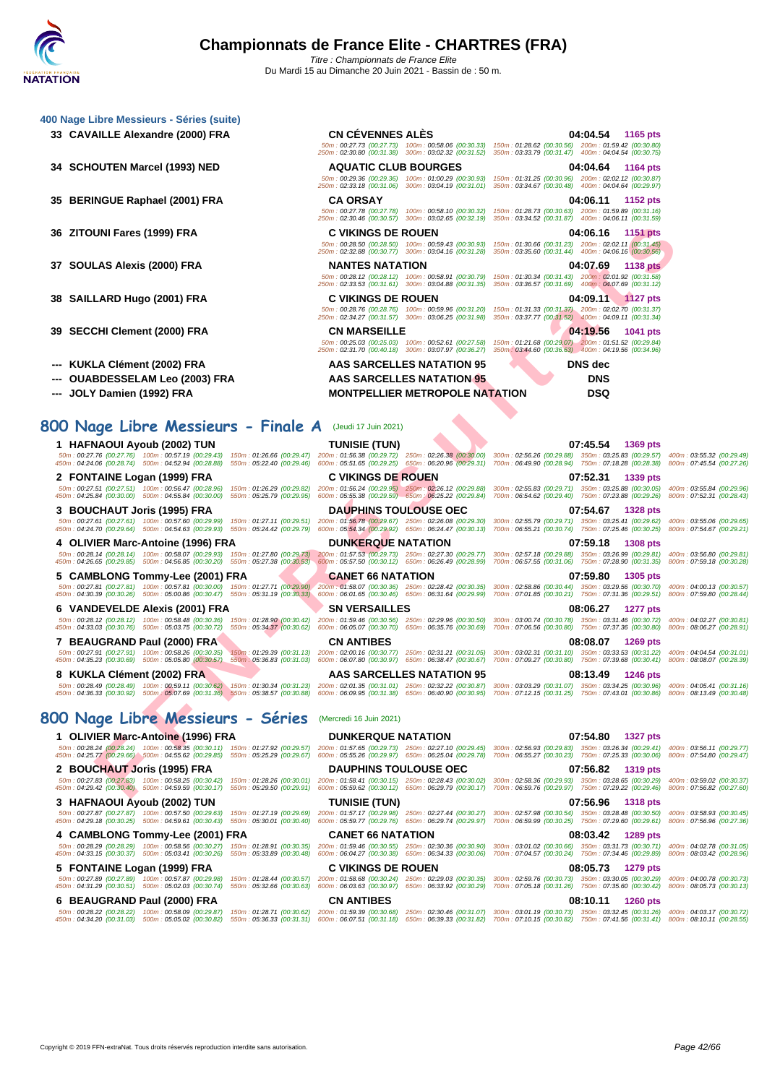| 400 Nage Libre Messieurs - Séries (suite)                                                                                                                                                                                                                                                                                                                                                                                                 |                                                                               |                                                                                                                                                                                                                                                                                                                                                       |                                                        |
|-------------------------------------------------------------------------------------------------------------------------------------------------------------------------------------------------------------------------------------------------------------------------------------------------------------------------------------------------------------------------------------------------------------------------------------------|-------------------------------------------------------------------------------|-------------------------------------------------------------------------------------------------------------------------------------------------------------------------------------------------------------------------------------------------------------------------------------------------------------------------------------------------------|--------------------------------------------------------|
| 33 CAVAILLE Alexandre (2000) FRA                                                                                                                                                                                                                                                                                                                                                                                                          | <b>CN CÉVENNES ALÈS</b>                                                       | 04:04.54<br>1165 pts<br>50m: 00:27.73 (00:27.73) 100m: 00:58.06 (00:30.33) 150m: 01:28.62 (00:30.56) 200m: 01:59.42 (00:30.80)<br>250m: 02:30.80 (00:31.38) 300m: 03:02.32 (00:31.52) 350m: 03:33.79 (00:31.47) 400m: 04:04.54 (00:30.75)                                                                                                             |                                                        |
| 34 SCHOUTEN Marcel (1993) NED                                                                                                                                                                                                                                                                                                                                                                                                             | <b>AQUATIC CLUB BOURGES</b>                                                   | 04:04.64 1164 pts<br>50m : 00:29.36 (00:29.36) 100m : 01:00.29 (00:30.93) 150m : 01:31.25 (00:30.96) 200m : 02:02.12 (00:30.87)<br>250m: 02:33.18 (00:31.06) 300m: 03:04.19 (00:31.01) 350m: 03:34.67 (00:30.48) 400m: 04:04.64 (00:29.97)                                                                                                            |                                                        |
| 35 BERINGUE Raphael (2001) FRA                                                                                                                                                                                                                                                                                                                                                                                                            | <b>CA ORSAY</b>                                                               | 04:06.11<br>1152 pts<br>50m: 00:27.78 (00:27.78) 100m: 00:58.10 (00:30.32) 150m: 01:28.73 (00:30.63) 200m: 01:59.89 (00:31.16)                                                                                                                                                                                                                        |                                                        |
| 36 ZITOUNI Fares (1999) FRA                                                                                                                                                                                                                                                                                                                                                                                                               | <b>C VIKINGS DE ROUEN</b>                                                     | 250m: 02:30.46 (00:30.57) 300m: 03:02.65 (00:32.19) 350m: 03:34.52 (00:31.87) 400m: 04:06.11 (00:31.59)<br>04:06.16<br>1151 pts<br>50m: 00:28.50 (00:28.50) 100m: 00:59.43 (00:30.93) 150m: 01:30.66 (00:31.23) 200m: 02:02.11 (00:31.45)                                                                                                             |                                                        |
| 37 SOULAS Alexis (2000) FRA                                                                                                                                                                                                                                                                                                                                                                                                               | 250m: 02:32.88 (00:30.77) 300m: 03:04.16 (00:31.28)<br><b>NANTES NATATION</b> | 350m: 03:35.60 (00:31.44) 400m: 04:06.16 (00:30.56)<br>04:07.69<br>1138 pts<br>50m: 00:28.12 (00:28.12) 100m: 00:58.91 (00:30.79) 150m: 01:30.34 (00:31.43) 200m: 02:01.92 (00:31.58)                                                                                                                                                                 |                                                        |
| 38 SAILLARD Hugo (2001) FRA                                                                                                                                                                                                                                                                                                                                                                                                               | <b>C VIKINGS DE ROUEN</b>                                                     | 250m: 02:33.53 (00:31.61) 300m: 03:04.88 (00:31.35) 350m: 03:36.57 (00:31.69) 400m: 04:07.69 (00:31.12)<br>04:09.11 1127 pts<br>50m : 00:28.76 (00:28.76) 100m : 00:59.96 (00:31.20) 150m : 01:31.33 (00:31.37) 200m : 02:02.70 (00:31.37)<br>250m: 02:34.27 (00:31.57) 300m: 03:06.25 (00:31.98) 350m: 03:37.77 (00:31.52) 400m: 04:09.11 (00:31.34) |                                                        |
| 39 SECCHI Clement (2000) FRA                                                                                                                                                                                                                                                                                                                                                                                                              | <b>CN MARSEILLE</b><br>250m: 02:31.70 (00:40.18) 300m: 03:07.97 (00:36.27)    | 04:19.56<br>1041 pts<br>50m: 00:25.03 (00:25.03) 100m: 00:52.61 (00:27.58) 150m: 01:21.68 (00:29.07) 200m: 01:51.52 (00:29.84)                                                                                                                                                                                                                        |                                                        |
|                                                                                                                                                                                                                                                                                                                                                                                                                                           |                                                                               | 350m 03:44.60 (00:36.63) 400m : 04:19.56 (00:34.96)                                                                                                                                                                                                                                                                                                   |                                                        |
| --- KUKLA Clément (2002) FRA                                                                                                                                                                                                                                                                                                                                                                                                              | AAS SARCELLES NATATION 95                                                     | <b>DNS</b> dec                                                                                                                                                                                                                                                                                                                                        |                                                        |
| ---   OUABDESSELAM Leo (2003) FRA                                                                                                                                                                                                                                                                                                                                                                                                         | <b>AAS SARCELLES NATATION 95</b>                                              | <b>DNS</b>                                                                                                                                                                                                                                                                                                                                            |                                                        |
| --- JOLY Damien (1992) FRA                                                                                                                                                                                                                                                                                                                                                                                                                | <b>MONTPELLIER METROPOLE NATATION</b>                                         | DSQ                                                                                                                                                                                                                                                                                                                                                   |                                                        |
|                                                                                                                                                                                                                                                                                                                                                                                                                                           |                                                                               |                                                                                                                                                                                                                                                                                                                                                       |                                                        |
| 800 Nage Libre Messieurs - Finale A (Jeudi 17 Juin 2021)                                                                                                                                                                                                                                                                                                                                                                                  |                                                                               |                                                                                                                                                                                                                                                                                                                                                       |                                                        |
|                                                                                                                                                                                                                                                                                                                                                                                                                                           |                                                                               |                                                                                                                                                                                                                                                                                                                                                       |                                                        |
| 1 HAFNAOUI Ayoub (2002) TUN<br>50m: 00:27.76 (00:27.76) 100m: 00:57.19 (00:29.43) 150m: 01:26.66 (00:29.47) 200m: 01:56.38 (00:29.72) 250m: 02:26.38 (00:30.00) 300m: 02:56.26 (00:29.88) 350m: 03:25.83 (00:29.89) 350m: 03:25.83 (00:29.89) 400m: 03:55.32                                                                                                                                                                              | <b>TUNISIE (TUN)</b>                                                          | 07:45.54<br><b>1369 pts</b>                                                                                                                                                                                                                                                                                                                           |                                                        |
| 450m: 04:24.06 (00:28.74) 500m: 04:52.94 (00:28.88)                                                                                                                                                                                                                                                                                                                                                                                       |                                                                               | 550m : 05:22.40 (00:29.46) 600m : 05:51.65 (00:29.25) 650m : 06:20.96 (00:29.31) 700m : 06:49.90 (00:28.94) 750m : 07:18.28 (00:28.38) 800m : 07:45.54 (00:27.26)                                                                                                                                                                                     |                                                        |
| 2 FONTAINE Logan (1999) FRA                                                                                                                                                                                                                                                                                                                                                                                                               | <b>C VIKINGS DE ROUEN</b>                                                     | 07:52.31<br>1339 pts                                                                                                                                                                                                                                                                                                                                  |                                                        |
| 50m: 00:27.51 (00:27.51) 100m: 00:56.47 (00:28.96) 150m: 01:26.29 (00:29.82) 200m: 01:56.24 (00:29.95) 250m: 02:26.12 (00:29.88) 300m: 02:55.83 (00:29.71) 350m: 03:25.88 (00:30.05) 400m: 03:55.84 (00:29.96)<br>450m : 04:25.84 (00:30.00) 500m : 04:55.84 (00:30.00) 550m : 05:25.79 (00:29.95) 600m : 05:55.38 (00:29.89) 650m : 06:25.22 (00:29.84) 700m : 06:54.62 (00:29.40) 750m : 07:23.88 (00:29.66) 800m : 07:23.31 (00:28.43) |                                                                               |                                                                                                                                                                                                                                                                                                                                                       |                                                        |
|                                                                                                                                                                                                                                                                                                                                                                                                                                           | <b>DAUPHINS TOULOUSE OEC</b>                                                  | 07:54.67                                                                                                                                                                                                                                                                                                                                              |                                                        |
| 3 BOUCHAUT Joris (1995) FRA<br>50m: 00:27.61 (00:27.61) 100m: 00:57.60 (00:29.99) 150m: 01:27.11 (00:29.51) 200m: 01:56.78 (00:29.67) 250m: 02:26.08 (00:29.30)                                                                                                                                                                                                                                                                           |                                                                               | 1328 pts<br>300m: 02:55.79 (00:29.71) 350m: 03:25.41 (00:29.62)                                                                                                                                                                                                                                                                                       | 400m: 03:55.06 (00:29.65)                              |
| 450m: 04:24.70 (00:29.64) 500m: 04:54.63 (00:29.93) 550m: 05:24.42 (00:29.79) 600m: 05:54.34 (00:29.92) 650m: 06:24.47 (00:30.13)                                                                                                                                                                                                                                                                                                         |                                                                               | 700m: 06:55.21 (00:30.74) 750m: 07:25.46 (00:30.25)                                                                                                                                                                                                                                                                                                   | 800m: 07:54.67 (00:29.21)                              |
| 4 OLIVIER Marc-Antoine (1996) FRA                                                                                                                                                                                                                                                                                                                                                                                                         | <b>DUNKERQUE NATATION</b>                                                     | 07:59.18<br>1308 pts                                                                                                                                                                                                                                                                                                                                  |                                                        |
| 50m: 00:28.14 (00:28.14) 100m: 00:58.07 (00:29.93) 150m: 01:27.80 (00:29.73) 200m: 01:57.53 (00:29.73) 250m: 02:27.30 (00:29.77)<br>450m: 04:26.65 (00:29.85) 500m: 04:56.85 (00:30.20) 550m: 05:27.38 (00:30.53) 600m: 05:57.50 (00:30.12) 650m: 06:26.49 (00:28.99)                                                                                                                                                                     |                                                                               | 300m: 02:57.18 (00:29.88) 350m: 03:26.99 (00:29.81)<br>700m: 06:57.55 (00:31.06) 750m: 07:28.90 (00:31.35)                                                                                                                                                                                                                                            | 400m: 03:56.80 (00:29.81)<br>800m: 07:59.18 (00:30.28) |
| 5 CAMBLONG Tommy-Lee (2001) FRA                                                                                                                                                                                                                                                                                                                                                                                                           | <b>CANET 66 NATATION</b>                                                      | 07:59.80<br>1305 pts                                                                                                                                                                                                                                                                                                                                  |                                                        |
| 50m: 00:27.81 (00:27.81) 100m: 00:57.81 (00:30.00) 150m: 01:27.71 (00:29.90) 200m: 01:58.07 (00:30.36) 250m: 02:28.42 (00:30.35)                                                                                                                                                                                                                                                                                                          |                                                                               | 300m: 02:58.86 (00:30.44) 350m: 03:29.56 (00:30.70) 400m: 04:00.13 (00:30.57)                                                                                                                                                                                                                                                                         |                                                        |
| 450m: 04:30.39 (00:30.26) 500m: 05:00.86 (00:30.47) 550m: 05:31.19 (00:30.33) 600m: 06:01.65 (00:30.46) 650m: 06:31.64 (00:29.99)                                                                                                                                                                                                                                                                                                         |                                                                               | 700m: 07:01.85 (00:30.21) 750m: 07:31.36 (00:29.51) 800m: 07:59.80 (00:28.44)                                                                                                                                                                                                                                                                         |                                                        |
| 6 VANDEVELDE Alexis (2001) FRA<br>50m : 00:28.12 (00:28.12) 100m : 00:58.48 (00:30.36) 150m : 01:28.90 (00:30.42) 200m : 01:59.46 (00:30.56) 250m : 02:29.96 (00:30.50) 300m : 03:00.74 (00:30.78) 350m : 03:31.46 (00:30.72) 400m : 04:02.27 (00:30.81)                                                                                                                                                                                  | <b>SN VERSAILLES</b>                                                          | 08:06.27<br>1277 pts                                                                                                                                                                                                                                                                                                                                  |                                                        |
| 450m : 04:33.03 (00:30.76) 500m : 05:03.75 (00:30.72) 550m : 05:34.37 (00:30.62) 600m : 06:05.07 (00:30.70) 650m : 06:35.76 (00:30.69) 700m : 07:06.56 (00:30.80) 750m : 07:37.36 (00:30.80) 800m : 08:05.27 (00:28.91)                                                                                                                                                                                                                   |                                                                               |                                                                                                                                                                                                                                                                                                                                                       |                                                        |
| 7 BEAUGRAND Paul (2000) FRA                                                                                                                                                                                                                                                                                                                                                                                                               | <b>CN ANTIBES</b>                                                             | 08:08.07<br>1269 pts                                                                                                                                                                                                                                                                                                                                  |                                                        |
| 50m: 00:27.91 (00:27.91) 100m: 00:58.26 (00:30.35) 150m: 01:29.39 (00:31.13) 200m: 02:00.16 (00:30.77) 250m: 02:31.21 (00:31.05) 300m: 03:02.31 (00:31.10) 350m: 03:33.53 (00:31.22) 400m: 04:04.54 (00:31.01)<br>450m : 04:35.23 (00:30.69) 500m : 05:05.80 (00:30.57) 550m : 05:36.83 (00:31.03) 600m : 06:07.80 (00:30.97) 650m : 06:38.47 (00:30.87) 700m : 07:09.27 (00:30.80) 750m : 07:39.68 (00:30.41) 800m : 08:08.07 (00:28.39) |                                                                               |                                                                                                                                                                                                                                                                                                                                                       |                                                        |
| 8 KUKLA Clément (2002) FRA                                                                                                                                                                                                                                                                                                                                                                                                                | <b>AAS SARCELLES NATATION 95</b>                                              | 08:13.49<br>1246 pts                                                                                                                                                                                                                                                                                                                                  |                                                        |
| 50m: 00:28.49 (00:28.49) 100m: 00:59.11 (00:30.62) 150m: 01:30.34 (00:31.23) 200m: 02:01.35 (00:31.01) 250m: 02:32.22 (00:30.87) 300m: 03:03.29 (00:31.07) 350m: 03:34.25 (00:30.96) 400m: 04:05.41 (00:31.16)                                                                                                                                                                                                                            |                                                                               |                                                                                                                                                                                                                                                                                                                                                       |                                                        |
| 450m : 04:36.33 (00:30.92) 500m : 05:07.69 (00:31.36) 550m : 05:38.57 (00:30.88) 600m : 06:09.95 (00:31.38) 650m : 06:40.90 (00:30.95) 700m : 07:12.15 (00:31.25) 750m : 07:43.01 (00:30.86) 800m : 08:13.49 (00:30.49)                                                                                                                                                                                                                   |                                                                               |                                                                                                                                                                                                                                                                                                                                                       |                                                        |
| 800 Nage Libre Messieurs - Séries (Mercredi 16 Juin 2021)                                                                                                                                                                                                                                                                                                                                                                                 |                                                                               |                                                                                                                                                                                                                                                                                                                                                       |                                                        |
|                                                                                                                                                                                                                                                                                                                                                                                                                                           |                                                                               |                                                                                                                                                                                                                                                                                                                                                       |                                                        |
| 1 OLIVIER Marc-Antoine (1996) FRA<br>50m: 00:28.24 (00:28.24) 100m: 00:58.35 (00:30.11) 150m: 01:27.92 (00:29.57) 200m: 01:57.65 (00:29.73) 250m: 02:27.10 (00:29.45) 300m: 02:56.93 (00:29.83) 350m: 03:26.34 (00:29.41) 400m: 03:56.11 (00:29.77)                                                                                                                                                                                       | <b>DUNKERQUE NATATION</b>                                                     | 07:54.80<br><b>1327 pts</b>                                                                                                                                                                                                                                                                                                                           |                                                        |
| 450m: 04:25.77 (00:29.66) 500m: 04:55.62 (00:29.85) 550m: 05:25.29 (00:29.67) 600m: 05:55.26 (00:29.97) 650m: 06:25.04 (00:29.78)                                                                                                                                                                                                                                                                                                         |                                                                               | 700m: 06:55.27 (00:30.23) 750m: 07:25.33 (00:30.06) 800m: 07:54.80 (00:29.47)                                                                                                                                                                                                                                                                         |                                                        |
| 2 BOUCHAUT Joris (1995) FRA                                                                                                                                                                                                                                                                                                                                                                                                               | <b>DAUPHINS TOULOUSE OEC</b>                                                  | 07:56.82<br>1319 pts                                                                                                                                                                                                                                                                                                                                  |                                                        |
| 50m: 00:27.83 (00:27.83) 100m: 00:58.25 (00:30.42) 150m: 01:28.26 (00:30.01) 200m: 01:58.41 (00:30.15) 250m: 02:28.43 (00:30.02) 300m: 02:58.36 (00:29.93) 350m: 03:28.65 (00:30.29) 400m: 03:59.02 (00:30.37)<br>450m: 04:29.42 (00:30.40) 500m: 04:59.59 (00:30.17) 550m: 05:29.50 (00:29.91) 600m: 05:59.62 (00:30.12) 650m: 06:29.79 (00:30.17)                                                                                       |                                                                               | 700m: 06:59.76 (00:29.97) 750m: 07:29.22 (00:29.46) 800m: 07:56.82 (00:27.60)                                                                                                                                                                                                                                                                         |                                                        |
| 3 HAFNAOUI Ayoub (2002) TUN                                                                                                                                                                                                                                                                                                                                                                                                               | <b>TUNISIE (TUN)</b>                                                          | 07:56.96<br>1318 pts                                                                                                                                                                                                                                                                                                                                  |                                                        |
| 50m: 00:27.87 (00:27.87) 100m: 00:57.50 (00:29.63) 150m: 01:27.19 (00:29.69) 200m: 01:57.17 (00:29.98) 250m: 02:27.44 (00:30.27)                                                                                                                                                                                                                                                                                                          |                                                                               | 300m: 02:57.98 (00:30.54) 350m: 03:28.48 (00:30.50) 400m: 03:58.93 (00:30.45)                                                                                                                                                                                                                                                                         |                                                        |
| 450m: 04:29.18 (00:30.25) 500m: 04:59.61 (00:30.43) 550m: 05:30.01 (00:30.40) 600m: 05:59.77 (00:29.76) 650m: 06:29.74 (00:29.97) 700m: 06:59.99 (00:30.25) 750m: 07:29.60 (00:29.61) 800m: 07:256.96 (00:27.36)                                                                                                                                                                                                                          | <b>CANET 66 NATATION</b>                                                      |                                                                                                                                                                                                                                                                                                                                                       |                                                        |
| 4 CAMBLONG Tommy-Lee (2001) FRA<br>50m: 00:28.29 (00:28.29) 100m: 00:58.56 (00:30.27) 150m: 01:28.91 (00:30.35) 200m: 01:59.46 (00:30.55) 250m: 02:30.36 (00:30.90) 300m: 03:01.02 (00:30.66) 350m: 03:31.73 (00:30.71) 400m: 04:02.78 (00:31.05)                                                                                                                                                                                         |                                                                               | 08:03.42<br>1289 pts                                                                                                                                                                                                                                                                                                                                  |                                                        |
| 450m: 04:33.15 (00:30.37) 500m: 05:03.41 (00:30.26) 550m: 05:33.89 (00:30.48) 600m: 06:04.27 (00:30.38) 650m: 06:34.33 (00:30.06)                                                                                                                                                                                                                                                                                                         |                                                                               | 700m: 07:04.57 (00:30.24) 750m: 07:34.46 (00:29.89) 800m: 08:03.42 (00:28.96)                                                                                                                                                                                                                                                                         |                                                        |
| 5 FONTAINE Logan (1999) FRA                                                                                                                                                                                                                                                                                                                                                                                                               | <b>C VIKINGS DE ROUEN</b>                                                     | 08:05.73<br>1279 pts                                                                                                                                                                                                                                                                                                                                  |                                                        |
| 50m: 00:27.89 (00:27.89) 100m: 00:57.87 (00:29.98) 150m: 01:28.44 (00:30.57) 200m: 01:58.68 (00:30.24) 250m: 02:29.03 (00:30.35) 300m: 02:59.76 (00:30.73) 350m: 03:30.05 (00:30.29) 400m: 04:00.78 (00:30.73)<br>450m: 04:31.29 (00:30.51) 500m: 05:02.03 (00:30.74) 550m: 05:32.66 (00:30.63) 600m: 06:03.63 (00:30.97) 650m: 06:33.92 (00:30.29) 700m: 07:05.18 (00:31.26) 750m: 07:35.60 (00:30.42) 800m: 08:05.73 (00:30.13)         |                                                                               |                                                                                                                                                                                                                                                                                                                                                       |                                                        |
| 6 BEAUGRAND Paul (2000) FRA                                                                                                                                                                                                                                                                                                                                                                                                               | <b>CN ANTIBES</b>                                                             | 08:10.11<br><b>1260 pts</b>                                                                                                                                                                                                                                                                                                                           |                                                        |
| 50m: 00:28.22 (00:28.22) 100m: 00:58.09 (00:29.87) 150m: 01:28.71 (00:30.62) 200m: 01:59.39 (00:30.68) 250m: 02:30.46 (00:31.07) 300m: 03:01.19 (00:30.73) 350m: 03:32.45 (00:31.26) 400m: 04:03.17 (00:30.72)                                                                                                                                                                                                                            |                                                                               |                                                                                                                                                                                                                                                                                                                                                       |                                                        |
| 450m: 04:34.20 (00:31.03) 500m: 05:05.02 (00:30.82) 550m: 05:36.33 (00:31.31) 600m: 06:07.51 (00:31.18) 650m: 06:39.33 (00:31.82) 700m: 07:10.15 (00:30.82) 750m: 07:41.56 (00:31.41) 800m: 08:10.11 (00:28.55)                                                                                                                                                                                                                           |                                                                               |                                                                                                                                                                                                                                                                                                                                                       |                                                        |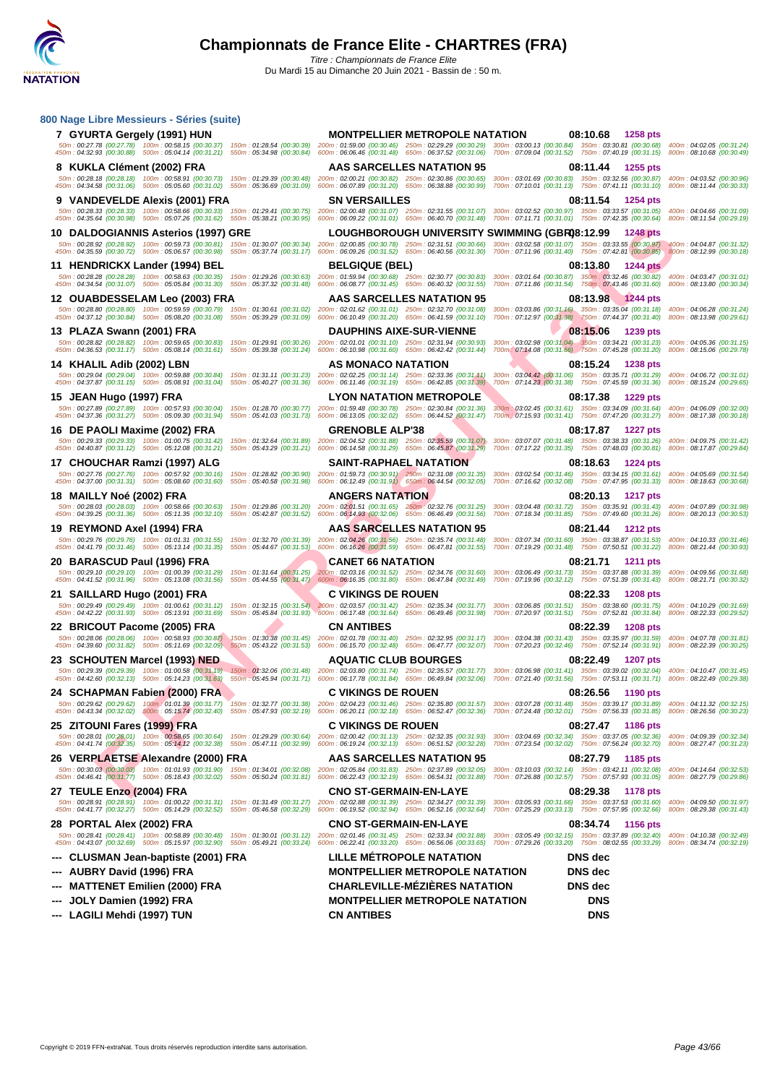

| 800 Nage Libre Messieurs - Séries (suite)                                                                                                                     |                                                                                                                                                                                                                                                                       |                                                                                                                                                                                                                                                                                                                                                                                                                                           |
|---------------------------------------------------------------------------------------------------------------------------------------------------------------|-----------------------------------------------------------------------------------------------------------------------------------------------------------------------------------------------------------------------------------------------------------------------|-------------------------------------------------------------------------------------------------------------------------------------------------------------------------------------------------------------------------------------------------------------------------------------------------------------------------------------------------------------------------------------------------------------------------------------------|
| 7 GYURTA Gergely (1991) HUN                                                                                                                                   | <b>MONTPELLIER METROPOLE NATATION</b><br>50m: 00:27.78 (00:27.78) 100m: 00:58.15 (00:30.37) 150m: 01:28.54 (00:30.39) 200m: 01:59.00 (00:30.46) 250m: 02:29.29 (00:30.29) 300m: 03:00.13 (00:30.84) 350m: 03:30.81 (00:30.86)                                         | 08:10.68<br>1258 pts<br>400m: 04:02.05 (00:31.24)                                                                                                                                                                                                                                                                                                                                                                                         |
|                                                                                                                                                               | 450m : 04:32.93 (00:30.88) 500m : 05:04.14 (00:31.21) 550m : 05:34.98 (00:30.84) 600m : 06:06.46 (00:31.48) 650m : 06:37.52 (00:31.06)                                                                                                                                | 700m: 07:09.04 (00:31.52) 750m: 07:40.19 (00:31.15) 800m: 08:10.68 (00:30.49)                                                                                                                                                                                                                                                                                                                                                             |
| 8 KUKLA Clément (2002) FRA<br>50m: 00:28.18 (00:28.18) 100m: 00:58.91 (00:30.73) 150m: 01:29.39 (00:30.48)                                                    | <b>AAS SARCELLES NATATION 95</b><br>200m: 02:00.21 (00:30.82) 250m: 02:30.86 (00:30.65)                                                                                                                                                                               | 08:11.44<br>1255 pts<br>300m: 03:01.69 (00:30.83) 350m: 03:32.56 (00:30.87)<br>400m: 04:03.52 (00:30.96)                                                                                                                                                                                                                                                                                                                                  |
| 450m: 04:34.58 (00:31.06) 500m: 05:05.60 (00:31.02) 550m: 05:36.69 (00:31.09)<br>9 VANDEVELDE Alexis (2001) FRA                                               | 600m: 06:07.89 (00:31.20) 650m: 06:38.88 (00:30.99)<br><b>SN VERSAILLES</b>                                                                                                                                                                                           | 700m: 07:10.01 (00:31.13) 750m: 07:41.11 (00:31.10)<br>800m: 08:11.44 (00:30.33)<br>08:11.54<br>1254 pts                                                                                                                                                                                                                                                                                                                                  |
| 50m: 00:28.33 (00:28.33) 100m: 00:58.66 (00:30.33) 150m: 01:29.41 (00:30.75)<br>450m: 04:35.64 (00:30.98) 500m: 05:07.26 (00:31.62) 550m: 05:38.21 (00:30.95) | 200m: 02:00.48 (00:31.07) 250m: 02:31.55 (00:31.07)                                                                                                                                                                                                                   | 300m: 03:02.52 (00:30.97) 350m: 03:33.57 (00:31.05) 400m: 04:04.66 (00:31.09)<br>600m: 06:09.22 (00:31.01) 650m: 06:40.70 (00:31.48) 700m: 07:11.71 (00:31.01) 750m: 07:42.35 (00:30.64) 800m: 08:11.54 (00:29.19)                                                                                                                                                                                                                        |
| 10 DALDOGIANNIS Asterios (1997) GRE                                                                                                                           | LOUGHBOROUGH UNIVERSITY SWIMMING (GBR08:12.99                                                                                                                                                                                                                         | 1248 pts                                                                                                                                                                                                                                                                                                                                                                                                                                  |
| 50m: 00:28.92 (00:28.92) 100m: 00:59.73 (00:30.81) 150m: 01:30.07 (00:30.34)<br>450m: 04:35.59 (00:30.72) 500m: 05:06.57 (00:30.98) 550m: 05:37.74 (00:31.17) | 200m: 02:00.85 (00:30.78) 250m: 02:31.51 (00:30.66)<br>600m: 06:09.26 (00:31.52) 650m: 06:40.56 (00:31.30)                                                                                                                                                            | 300m: 03:02.58 (00:31.07) 350m: 03:33.55 (00:30.97) 400m: 04:04.87 (00:31.32)<br>700m: 07:11.96 (00:31.40) 750m: 07:42.81 (00:30.85) 800m: 08:12.99 (00:30.18)                                                                                                                                                                                                                                                                            |
| 11 HENDRICKX Lander (1994) BEL                                                                                                                                | <b>BELGIQUE (BEL)</b>                                                                                                                                                                                                                                                 | 08:13.80<br><b>1244 pts</b>                                                                                                                                                                                                                                                                                                                                                                                                               |
| 50m: 00:28.28 (00:28.28) 100m: 00:58.63 (00:30.35) 150m: 01:29.26 (00:30.63)<br>450m: 04:34.54 (00:31.07) 500m: 05:05.84 (00:31.30) 550m: 05:37.32 (00:31.48) | 200m: 01:59.94 (00:30.68) 250m: 02:30.77 (00:30.83)<br>600m: 06:08.77 (00:31.45) 650m: 06:40.32 (00:31.55)                                                                                                                                                            | 300m: 03:01.64 (00:30.87) 350m: 03:32.46 (00:30.82) 400m: 04:03.47 (00:31.01)<br>700m: 07:11.86 (00:31.54) 750m: 07:43.46 (00:31.60) 800m: 08:13.80 (00:30.34)                                                                                                                                                                                                                                                                            |
| 12 OUABDESSELAM Leo (2003) FRA                                                                                                                                | <b>AAS SARCELLES NATATION 95</b>                                                                                                                                                                                                                                      | 08:13.98<br>1244 pts                                                                                                                                                                                                                                                                                                                                                                                                                      |
| 50m: 00:28.80 (00:28.80) 100m: 00:59.59 (00:30.79) 150m: 01:30.61 (00:31.02)<br>450m: 04:37.12 (00:30.84) 500m: 05:08.20 (00:31.08) 550m: 05:39.29 (00:31.09) | 200m: 02:01.62 (00:31.01) 250m: 02:32.70 (00:31.08)<br>600m: 06:10.49 (00:31.20) 650m: 06:41.59 (00:31.10)                                                                                                                                                            | 300m: 03:03.86 (00:31.16) 350m: 03:35.04 (00:31.18) 400m: 04:06.28 (00:31.24)<br>700m: 07:12.97 (00:31.38) 750m: 07:44.37 (00:31.40) 800m: 08:13.98 (00:29.61                                                                                                                                                                                                                                                                             |
| 13 PLAZA Swann (2001) FRA                                                                                                                                     | <b>DAUPHINS AIXE-SUR-VIENNE</b>                                                                                                                                                                                                                                       | 08:15.06<br>1239 pts                                                                                                                                                                                                                                                                                                                                                                                                                      |
|                                                                                                                                                               | 50m: 00:28.82 (00:28.82) 100m: 00:59.65 (00:30.83) 150m: 01:29.91 (00:30.26) 200m: 02:01.01 (00:31.10) 250m: 02:31.94 (00:30.93)<br>450m: 04:36.53 (00:31.17) 500m: 05:08.14 (00:31.61) 550m: 05:39.38 (00:31.24) 600m: 06:10.98 (00:31.60) 650m: 06:42.42 (00:31.44) | 300m; 03:02.98 (00:31.04) 350m: 03:34.21 (00:31.23) 400m: 04:05.36 (00:31.15)<br>700m: 07:14.08 (00:31.66) 750m: 07:45.28 (00:31.20) 800m: 08:15.06 (00:29.78)                                                                                                                                                                                                                                                                            |
| 14 KHALIL Adib (2002) LBN<br>50m: 00:29.04 (00:29.04) 100m: 00:59.88 (00:30.84) 150m: 01:31.11 (00:31.23)                                                     | AS MONACO NATATION<br>200m: 02:02.25 (00:31.14) 250m: 02:33.36 (00:31.11)                                                                                                                                                                                             | 08:15.24<br>1238 pts<br>300m: 03:04.42 (00:31.06) 350m: 03:35.71 (00:31.29)<br>400m: 04:06.72 (00:31.01)                                                                                                                                                                                                                                                                                                                                  |
| 450m: 04:37.87 (00:31.15) 500m: 05:08.91 (00:31.04)                                                                                                           | 550m: 05:40.27 (00:31.36)<br>600m: 06:11.46 (00:31.19) 650m: 06:42.85 (00:31.39)                                                                                                                                                                                      | 700m: 07:14.23 (00:31.38) 750m: 07:45.59 (00:31.36)<br>800m: 08:15.24 (00:29.65)                                                                                                                                                                                                                                                                                                                                                          |
| 15 JEAN Hugo (1997) FRA<br>50m: 00:27.89 (00:27.89) 100m: 00:57.93 (00:30.04)                                                                                 | <b>LYON NATATION METROPOLE</b><br>150m: 01:28.70 (00:30.77) 200m: 01:59.48 (00:30.78) 250m: 02:30.84 (00:31.36)                                                                                                                                                       | 08:17.38<br>1229 pts<br>300m: 03:02.45 (00:31.61) 350m: 03:34.09 (00:31.64) 400m: 04:06.09 (00:32.00)                                                                                                                                                                                                                                                                                                                                     |
| 450m: 04:37.36 (00:31.27) 500m: 05:09.30 (00:31.94)                                                                                                           | 550m: 05:41.03 (00:31.73)<br>600m: 06:13.05 (00:32.02) 650m: 06:44.52 (00:31.47)                                                                                                                                                                                      | 700m : 07:15.93 (00:31.41) 750m : 07:47.20 (00:31.27) 800m : 08:17.38 (00:30.18)                                                                                                                                                                                                                                                                                                                                                          |
| 16 DE PAOLI Maxime (2002) FRA<br>50m: 00:29.33 (00:29.33) 100m: 01:00.75 (00:31.42)                                                                           | <b>GRENOBLE ALP'38</b><br>200m: 02:04.52 (00:31.88) 250m: 02:35.59 (00:31.07)<br>150m: 01:32.64 (00:31.89)                                                                                                                                                            | 08:17.87<br><b>1227 pts</b><br>300m: 03:07.07 (00:31.48) 350m: 03:38.33 (00:31.26)<br>400m: 04:09.75 (00:31.42)                                                                                                                                                                                                                                                                                                                           |
| 450m: 04:40.87 (00:31.12) 500m: 05:12.08 (00:31.21)<br>17 CHOUCHAR Ramzi (1997) ALG                                                                           | 600m: 06:14.58 (00:31.29) 650m: 06:45.87 (00:31.29)<br>550m: 05:43.29 (00:31.21)<br><b>SAINT-RAPHAEL NATATION</b>                                                                                                                                                     | 700m: 07:17.22 (00:31.35) 750m: 07:48.03 (00:30.81)<br>800m: 08:17.87 (00:29.84)<br>08:18.63<br><b>1224 pts</b>                                                                                                                                                                                                                                                                                                                           |
| 50m: 00:27.76 (00:27.76) 100m: 00:57.92 (00:30.16)<br>450m: 04:37.00 (00:31.31) 500m: 05:08.60 (00:31.60)                                                     | 150m: 01:28.82 (00:30.90) 200m: 01:59.73 (00:30.91) 250m: 02:31.08 (00:31.35)<br>550m: 05:40.58 (00:31.98) 600m: 06:12.49 (00:31.91) 650m: 06:44.54 (00:32.05)                                                                                                        | 300m: 03:02.54 (00:31.46) 350m: 03:34.15 (00:31.61) 400m: 04:05.69 (00:31.54<br>700m: 07:16.62 (00:32.08) 750m: 07:47.95 (00:31.33) 800m: 08:18.63 (00:30.68)                                                                                                                                                                                                                                                                             |
| 18 MAILLY Noé (2002) FRA                                                                                                                                      | <b>ANGERS NATATION</b>                                                                                                                                                                                                                                                | 08:20.13<br>1217 pts                                                                                                                                                                                                                                                                                                                                                                                                                      |
| 450m: 04:39.25 (00:31.36) 500m: 05:11.35 (00:32.10)                                                                                                           | 50m: 00:28.03 (00:28.03) 100m: 00:58.66 (00:30.63) 150m: 01:29.86 (00:31.20) 200m: 02:01.51 (00:31.65) 250m: 02:32.76 (00:31.25)<br>550m: 05:42.87 (00:31.52) 600m: 06:14.93 (00:32.06) 650m: 06:46.49 (00:31.56)                                                     | 300m: 03:04.48 (00:31.72) 350m: 03:35.91 (00:31.43) 400m: 04:07.89 (00:31.98)<br>700m: 07:18.34 (00:31.85) 750m: 07:49.60 (00:31.26) 800m: 08:20.13 (00:30.53)                                                                                                                                                                                                                                                                            |
| 19 REYMOND Axel (1994) FRA                                                                                                                                    | <b>AAS SARCELLES NATATION 95</b>                                                                                                                                                                                                                                      | 08:21.44<br><b>1212 pts</b>                                                                                                                                                                                                                                                                                                                                                                                                               |
| 50m: 00:29.76 (00:29.76) 100m: 01:01.31 (00:31.55) 150m: 01:32.70 (00:31.39)<br>450m: 04:41.79 (00:31.46) 500m: 05:13.14 (00:31.35)                           | 200m: 02:04.26 (00:31.56) 250m: 02:35.74 (00:31.48)<br>600m: 06:16.26 (00:31.59) 650m: 06:47.81 (00:31.55)<br>550m: 05:44.67 (00:31.53)                                                                                                                               | 300m: 03:07.34 (00:31.60) 350m: 03:38.87 (00:31.53) 400m: 04:10.33 (00:31.46)<br>700m: 07:19.29 (00:31.48) 750m: 07:50.51 (00:31.22) 800m: 08:21.44 (00:30.93)                                                                                                                                                                                                                                                                            |
| 20 BARASCUD Paul (1996) FRA                                                                                                                                   | <b>CANET 66 NATATION</b>                                                                                                                                                                                                                                              | 08:21.71<br><b>1211 pts</b>                                                                                                                                                                                                                                                                                                                                                                                                               |
| 450m: 04:41.52 (00:31.96) 500m: 05:13.08 (00:31.56)                                                                                                           | 50m: 00:29.10 (00:29.10) 100m: 01:00.39 (00:31.29) 150m: 01:31.64 (00:31.25) 200m: 02:03.16 (00:31.52) 250m: 02:34.76 (00:31.60)<br>550m: 05:44.55 (00:31.47)<br>600m: 06:16.35 (00:31.80) 650m: 06:47.84 (00:31.49)                                                  | 300m: 03:06.49 (00:31.73) 350m: 03:37.88 (00:31.39) 400m: 04:09.56 (00:31.68)<br>700m: 07:19.96 (00:32.12) 750m: 07:51.39 (00:31.43) 800m: 08:21.71 (00:30.32)                                                                                                                                                                                                                                                                            |
| 21 SAILLARD Hugo (2001) FRA                                                                                                                                   | <b>C VIKINGS DE ROUEN</b><br>50m: 00:29.49 (00:29.49) 100m: 01:00.61 (00:31.12) 150m: 01:32.15 (00:31.54) 200m: 02:03.57 (00:31.42) 250m: 02:35.34 (00:31.77)                                                                                                         | 08:22.33<br><b>1208 pts</b><br>300m: 03:06.85 (00:31.51) 350m: 03:38.60 (00:31.75) 400m: 04:10.29 (00:31.69)                                                                                                                                                                                                                                                                                                                              |
| 450m: 04:42.22 (00:31.93) 500m: 05:13.91 (00:31.69)                                                                                                           | 550m: 05:45.84 (00:31.93) 600m: 06:17.48 (00:31.64) 650m: 06:49.46 (00:31.98)                                                                                                                                                                                         | 700m: 07:20.97 (00:31.51) 750m: 07:52.81 (00:31.84) 800m: 08:22.33 (00:29.52)                                                                                                                                                                                                                                                                                                                                                             |
| 22 BRICOUT Pacome (2005) FRA<br>50m: 00:28.06 (00:28.06) 100m: 00:58.93 (00:30.87) 150m: 01:30.38 (00:31.45)                                                  | <b>CN ANTIBES</b><br>200m: 02:01.78 (00:31.40) 250m: 02:32.95 (00:31.17)                                                                                                                                                                                              | 08:22.39<br><b>1208 pts</b><br>300m: 03:04.38 (00:31.43) 350m: 03:35.97 (00:31.59)<br>400m: 04:07.78 (00:31.81)                                                                                                                                                                                                                                                                                                                           |
| 450m: 04:39.60 (00:31.82) 500m: 05:11.69 (00:32.09) 550m: 05:43.22 (00:31.53)                                                                                 | 600m: 06:15.70 (00:32.48) 650m: 06:47.77 (00:32.07)                                                                                                                                                                                                                   | 700m: 07:20.23 (00:32.46) 750m: 07:52.14 (00:31.91) 800m: 08:22.39 (00:30.25)                                                                                                                                                                                                                                                                                                                                                             |
| 23 SCHOUTEN Marcel (1993) NED                                                                                                                                 | <b>AQUATIC CLUB BOURGES</b>                                                                                                                                                                                                                                           | 08:22.49<br><b>1207 pts</b><br>50m: 00:29.39 (00:29.39) 100m: 01:00.58 (00:31.19) 150m: 01:32.06 (00:31.48) 200m: 02:03.80 (00:31.74) 250m: 02:35.57 (00:31.77) 300m: 03:06.98 (00:31.41) 350m: 03:39.02 (00:32.04) 400m: 04:10.47 (00:31.45)                                                                                                                                                                                             |
| 24 SCHAPMAN Fabien (2000) FRA                                                                                                                                 | <b>C VIKINGS DE ROUEN</b>                                                                                                                                                                                                                                             | 450m : 04:42.60 (00:32.13) 500m : 05:14.23 (00:31.63) 550m : 05:45.94 (00:31.71) 600m : 06:17.78 (00:31.84) 650m : 06:49.84 (00:32.06) 700m : 07:21.40 (00:31.56) 750m : 07:53.11 (00:31.71) 800m : 08:22.49 (00:23.38)<br>08:26.56<br>1190 pts                                                                                                                                                                                           |
|                                                                                                                                                               |                                                                                                                                                                                                                                                                       | 50m: 00:29.62 (00:29.62) 100m: 01:01:39 (00:31.77) 150m: 01:32.77 (00:31.38) 200m: 02:04.23 (00:31.46) 250m: 02:35.80 (00:31.57) 300m: 03:07.28 (00:31.48) 350m: 03:39.17 (00:31.59) 400m: 04:11.32 (00:32.15)<br>450m : 04:43.34 (00:32.02) 600m : 05:15.74 (00:32.40) 550m : 05:47.93 (00:32.19) 600m : 06:20.11 (00:32.18) 650m : 06:52.47 (00:32.36) 700m : 07:24.48 (00:32.01) 750m : 07:56.33 (00:31.85) 800m : 08:26.56 (00:30.23) |
| 25 ZITOUNI Fares (1999) FRA                                                                                                                                   | <b>C VIKINGS DE ROUEN</b>                                                                                                                                                                                                                                             | 08:27.47<br>1186 pts                                                                                                                                                                                                                                                                                                                                                                                                                      |
| 450m: 04:41.74 (00:32.35) 500m: 05:14.12 (00:32.38) 550m: 05:47.11 (00:32.99)                                                                                 | 50m : 00:28.01 (00:28.01) 100m : 00:58.65 (00:30.64) 150m : 01:29.29 (00:30.64) 200m : 02:00.42 (00:31.13) 250m : 02:32.35 (00:31.93)<br>600m: 06:19.24 (00:32.13) 650m: 06:51.52 (00:32.28)                                                                          | 300m: 03:04.69 (00:32.34) 350m: 03:37.05 (00:32.36) 400m: 04:09.39 (00:32.34)<br>700m: 07:23.54 (00:32.02) 750m: 07:56.24 (00:32.70)<br>800m: 08:27.47 (00:31.23)                                                                                                                                                                                                                                                                         |
| 26 VERPLAETSE Alexandre (2000) FRA                                                                                                                            | AAS SARCELLES NATATION 95                                                                                                                                                                                                                                             | 08:27.79<br>1185 pts                                                                                                                                                                                                                                                                                                                                                                                                                      |
|                                                                                                                                                               | 50m: 00:30.03 (00:30.03) 100m: 01:01.93 (00:31.90) 150m: 01:34.01 (00:32.08) 200m: 02:05.84 (00:31.83) 250m: 02:37.89 (00:32.05)<br>450m: 04:46.41 (00:31.77) 500m: 05:18.43 (00:32.02) 550m: 05:50.24 (00:31.81) 600m: 06:22.43 (00:32.19) 650m: 06:54.31 (00:31.88) | 300m: 03:10.03 (00:32.14) 350m: 03:42.11 (00:32.08)<br>400m: 04:14.64 (00:32.53)<br>700m: 07:26.88 (00:32.57) 750m: 07:57.93 (00:31.05)<br>800m: 08:27.79 (00:29.86)                                                                                                                                                                                                                                                                      |
| 27 TEULE Enzo (2004) FRA                                                                                                                                      | <b>CNO ST-GERMAIN-EN-LAYE</b>                                                                                                                                                                                                                                         | 08:29.38<br>1178 pts                                                                                                                                                                                                                                                                                                                                                                                                                      |
|                                                                                                                                                               | 50m: 00:28.91 (00:28.91) 100m: 01:00.22 (00:31.31) 150m: 01:31.49 (00:31.27) 200m: 02:02.88 (00:31.39) 250m: 02:34.27 (00:31.39)<br>450m: 04:41.77 (00:32.27) 500m: 05:14.29 (00:32.52) 550m: 05:46.58 (00:32.29) 600m: 06:19.52 (00:32.94) 650m: 06:52.16 (00:32.64) | 300m: 03:05.93 (00:31.66) 350m: 03:37.53 (00:31.60)<br>400m: 04:09.50 (00:31.97)<br>700m: 07:25.29 (00:33.13) 750m: 07:57.95 (00:32.66)<br>800m: 08:29.38 (00:31.43)                                                                                                                                                                                                                                                                      |
| 28 PORTAL Alex (2002) FRA<br>50m: 00:28.41 (00:28.41) 100m: 00:58.89 (00:30.48) 150m: 01:30.01 (00:31.12)                                                     | <b>CNO ST-GERMAIN-EN-LAYE</b><br>200m: 02:01.46 (00:31.45) 250m: 02:33.34 (00:31.88)                                                                                                                                                                                  | 08:34.74<br>1156 pts<br>300m: 03:05.49 (00:32.15) 350m: 03:37.89 (00:32.40)<br>400m: 04:10.38 (00:32.49)                                                                                                                                                                                                                                                                                                                                  |
| 450m: 04:43.07 (00:32.69) 500m: 05:15.97 (00:32.90) 550m: 05:49.21 (00:33.24)                                                                                 | 600m: 06:22.41 (00:33.20) 650m: 06:56.06 (00:33.65)                                                                                                                                                                                                                   | 700m: 07:29.26 (00:33.20) 750m: 08:02.55 (00:33.29) 800m: 08:34.74 (00:32.19)                                                                                                                                                                                                                                                                                                                                                             |
| CLUSMAN Jean-baptiste (2001) FRA                                                                                                                              | <b>LILLE METROPOLE NATATION</b>                                                                                                                                                                                                                                       | <b>DNS</b> dec                                                                                                                                                                                                                                                                                                                                                                                                                            |
| AUBRY David (1996) FRA<br><b>MATTENET Emilien (2000) FRA</b>                                                                                                  | <b>MONTPELLIER METROPOLE NATATION</b><br><b>CHARLEVILLE-MEZIERES NATATION</b>                                                                                                                                                                                         | <b>DNS</b> dec<br><b>DNS</b> dec                                                                                                                                                                                                                                                                                                                                                                                                          |
| JOLY Damien (1992) FRA                                                                                                                                        | <b>MONTPELLIER METROPOLE NATATION</b>                                                                                                                                                                                                                                 | <b>DNS</b>                                                                                                                                                                                                                                                                                                                                                                                                                                |
| --- LAGILI Mehdi (1997) TUN                                                                                                                                   | <b>CN ANTIBES</b>                                                                                                                                                                                                                                                     | <b>DNS</b>                                                                                                                                                                                                                                                                                                                                                                                                                                |
|                                                                                                                                                               |                                                                                                                                                                                                                                                                       |                                                                                                                                                                                                                                                                                                                                                                                                                                           |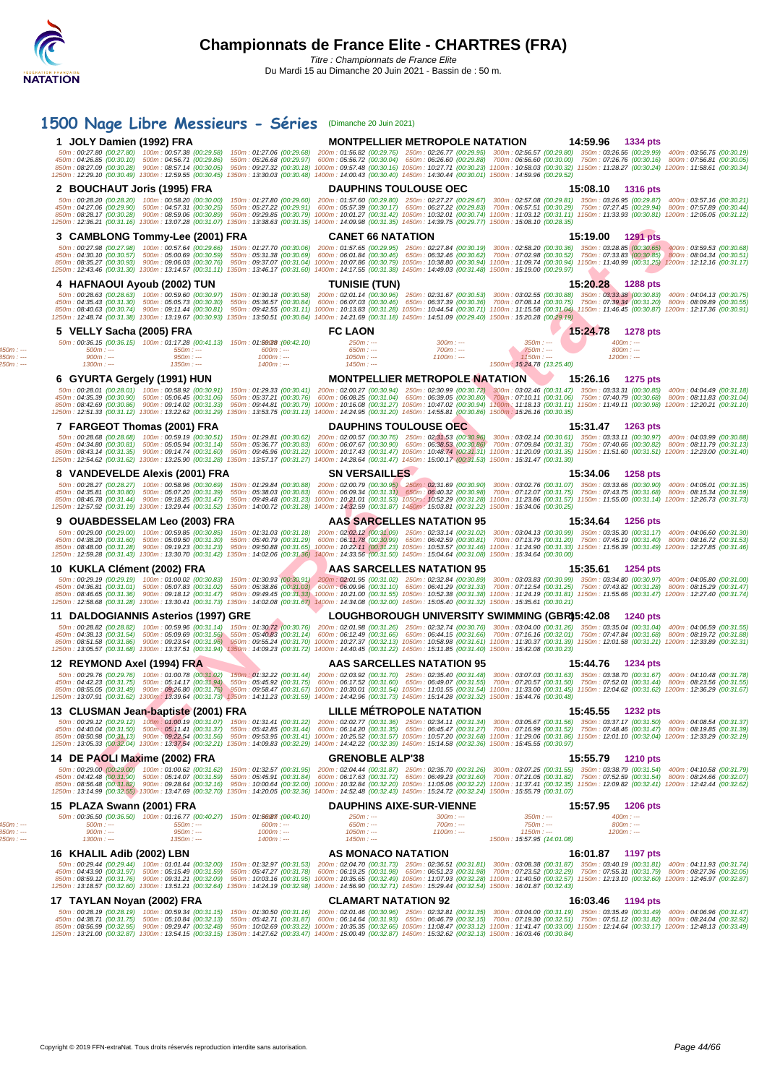|                                        | 1500 Nage Libre Messieurs - Séries (Dimanche 20 Juin 2021)                                                                                                                                                                                                                                                                                                                                                                                                                                                                                                                                                           |                                                                                                                                                                                                                                                                                                                                                                                                                                                   |                                                    |                                                        |                                                                     |                                       |  |
|----------------------------------------|----------------------------------------------------------------------------------------------------------------------------------------------------------------------------------------------------------------------------------------------------------------------------------------------------------------------------------------------------------------------------------------------------------------------------------------------------------------------------------------------------------------------------------------------------------------------------------------------------------------------|---------------------------------------------------------------------------------------------------------------------------------------------------------------------------------------------------------------------------------------------------------------------------------------------------------------------------------------------------------------------------------------------------------------------------------------------------|----------------------------------------------------|--------------------------------------------------------|---------------------------------------------------------------------|---------------------------------------|--|
|                                        | 1 JOLY Damien (1992) FRA                                                                                                                                                                                                                                                                                                                                                                                                                                                                                                                                                                                             |                                                                                                                                                                                                                                                                                                                                                                                                                                                   |                                                    | <b>MONTPELLIER METROPOLE NATATION</b>                  | 14:59.96                                                            | 1334 pts                              |  |
|                                        | 850m: 08:27.09 (00:30.28) 900m: 08:57.14 (00:30.05) 950m: 09:27.32 (00:30.18) 1000m: 09:57.48 (00:30.16) 1050m: 10:27.71 (00:30.23) 1100m: 10:58.03 (00:30.32) 1150m: 11:28.27 (00:30.24) 1200m: 11:58.61 (00:30.34)<br>1250m: 12:29.10 (00:30.49) 1300m: 12:59.55 (00:30.45) 1350m: 13:30.03 (00:30.48) 1400m: 14:00.43 (00:30.40) 1450m: 14:30.44 (00:30.01) 1500m: 14:59.96 (00:29.52)                                                                                                                                                                                                                            | 50m; 00:27.80 (00:27.80) 100m; 00:57.38 (00:29.58) 150m; 01:27.06 (00:29.68) 200m; 01:56.82 (00:29.76) 250m; 02:26.77 (00:29.95) 300m; 02:56.57 (00:29.80) 350m; 03:26.56 (00:29.99) 400m; 03:56.75 (00:30.19)<br>450m: 04:26.85 (00:30.10) 500m: 04:56.71 (00:29.86) 550m: 05:26.68 (00:29.97) 600m: 05:56.72 (00:30.04) 650m: 06:26.60 (00:29.88) 700m: 06:56.60 (00:30.00) 750m: 07:56 (00:30.01) 600m: 07:56.81 (00:30.05)                    |                                                    |                                                        |                                                                     |                                       |  |
|                                        | 2 BOUCHAUT Joris (1995) FRA                                                                                                                                                                                                                                                                                                                                                                                                                                                                                                                                                                                          |                                                                                                                                                                                                                                                                                                                                                                                                                                                   | <b>DAUPHINS TOULOUSE OEC</b>                       |                                                        |                                                                     | 15:08.10 1316 pts                     |  |
|                                        | 850m: 08:28.17 (00:30.28) 900m: 08:59.06 (00:30.89) 950m: 09:29.85 (00:30.79) 1000m: 10:01.27 (00:31.42) 1050m: 10:32.01 (00:30.74) 1100m: 11:03.12 (00:31.11) 1150m: 11:33.93 (00:30.81) 1200m: 12:05.05 (00:31.12)<br>1250m: 12:36.21 (00:31.16) 1300m: 13:07.28 (00:31.07) 1350m: 13:38.63 (00:31.35) 1400m: 14:09.98 (00:31.35) 1450m: 14:39.75 (00:29.77) 1500m: 15:08.10 (00:28.35)                                                                                                                                                                                                                            | 50m: 00:28.20 (00:28.20) 100m: 00:58.20 (00:30.00) 150m: 01:27.80 (00:29.60) 200m: 01:57.60 (00:29.80) 250m: 02:27.27 (00:29.67) 300m: 02:57.08 (00:29.81) 350m: 03:526.95 (00:29.87) 400m: 03:57.16 (00:30.21)<br>450m : 04:27.06 (00:29.90) 500m : 04:57.31 (00:30.25) 550m : 05:27.22 (00:29.91) 600m : 05:57.39 (00:30.17) 650m : 06:27.22 (00:29.83) 700m : 06:57.51 (00:30.29) 760m : 07:27.45 (00:29.94) 800m : 07:57.89 (00:30.44)        |                                                    |                                                        |                                                                     |                                       |  |
|                                        | 3 CAMBLONG Tommy-Lee (2001) FRA                                                                                                                                                                                                                                                                                                                                                                                                                                                                                                                                                                                      |                                                                                                                                                                                                                                                                                                                                                                                                                                                   | <b>CANET 66 NATATION</b>                           |                                                        |                                                                     | 15:19.00 1291 pts                     |  |
|                                        | 850m : 08:35.27 (00:30.93) 900m : 09:06.03 (00:30.76) 950m : 09:37.07 (00:31.04) 1000m : 10:07.86 (00:30.79) 1050m : 10:38.80 (00:30.94) 11:09.74 (00:30.94) 1150m : 11:40.99 (00:31.25) 1200m : 12:12.16 (00:31.17)<br>1250m: 12:43.46 (00:31.30) 1300m: 13:14.57 (00:31.11) 1350m: 13:46.17 (00:31.60) 1400m: 14:17.55 (00:31.38) 1450m: 14:49.03 (00:31.48) 1500m: 15:19.00 (00:29.97)                                                                                                                                                                                                                            | 50m : 00:27.98 (00:27.98) 100m : 00:57.64 (00:29.66) 150m : 01:27.70 (00:30.06) 200m : 01:57.65 (00:29.95) 250m : 02:27.84 (00:30.19) 300m : 02:58.20 (00:30.36) 350m : 03:28.85 (00:30.65) 400m : 03:59.53 (00:30.68)<br>450m : 04:30.10 (00:30.57) 500m : 05:00.69 (00:30.59) 550m : 05:31.38 (00:30.69) 600m : 06:01.84 (00:30.46) 650m : 06:32.46 (00:30.62) 700m : 07:02.98 (00:30.52) 750m : 07:33.83 (00:30.65) 800m : 08:04.34 (00:30.51) |                                                    |                                                        |                                                                     |                                       |  |
|                                        | 4 HAFNAOUI Ayoub (2002) TUN                                                                                                                                                                                                                                                                                                                                                                                                                                                                                                                                                                                          |                                                                                                                                                                                                                                                                                                                                                                                                                                                   | <b>TUNISIE (TUN)</b>                               |                                                        | 15:20.28                                                            | 1288 pts                              |  |
|                                        | 850m:08:40.63 (00:30.74) 900m:09:11.44 (00:30.81) 950m:09:42.55 (00:31.11) 1000m:10:13.83 (00:31.28) 1050m:10:44.54 (00:30.71) 1100m:11:15.58 (00:31.04) 1150m:11:46.45 (00:30.87) 1200m:12:17.36 (00:30.91)<br>1250m: 12:48.74 (00:31.38) 1300m: 13:19.67 (00:30.93) 1350m: 13:50.51 (00:30.84) 1400m: 14:21.69 (00:31.18) 1450m: 14:51.09 (00:29.40) 1500m: 15:20.28 (00:29.19)                                                                                                                                                                                                                                    | 50m: 00:28.63 (00:28.63) 100m: 00:59.60 (00:30.97) 150m: 01:30.18 (00:30.58) 200m: 02:01.14 (00:30.96) 250m: 02:31.67 (00:30.53) 300m: 03:02.55 (00:30.88) 350m: 03:33.38 (00:30.83) 400m: 04:04.13 (00:30.75)<br>450m : 04:35.43 (00:31.30) 500m : 05:05.73 (00:30.30) 550m : 05:36.57 (00:30.84) 600m : 06:07.03 (00:30.46) 650m : 06:37.39 (00:30.36) 700m : 07:08.14 (00:30.75) 750m : 07:39.34 (00:31.20) 800m : 08:09.89 (00:30.55)         |                                                    |                                                        |                                                                     |                                       |  |
|                                        | 5 VELLY Sacha (2005) FRA                                                                                                                                                                                                                                                                                                                                                                                                                                                                                                                                                                                             |                                                                                                                                                                                                                                                                                                                                                                                                                                                   | <b>FC LAON</b>                                     |                                                        |                                                                     | 15:24.78 1278 pts                     |  |
| 450m : ---<br>850m : ---<br>250m : --- | $500m: -$<br>$900m: -$<br>$1300m: -$                                                                                                                                                                                                                                                                                                                                                                                                                                                                                                                                                                                 | 50m: 00:36.15 (00:36.15) 100m: 01:17.28 (00:41.13) 150m: 01:59038 (00:42.10)<br>550m : ---<br>600m : ---<br>$950m: -$<br>$1000m: -$<br>$1350m: -$<br>1400m : ---                                                                                                                                                                                                                                                                                  | $250m: -$<br>$650m: -$<br>$1050m: -$<br>$1450m: -$ | $300m: -$<br>700m : ---<br>$1100m: -$                  | $350m: --$<br>$750m: -$<br>$1150m: -$<br>1500m: 15:24.78 (13:25.40) | $400m: -$<br>800m : ---<br>$1200m: -$ |  |
|                                        | 6 GYURTA Gergely (1991) HUN                                                                                                                                                                                                                                                                                                                                                                                                                                                                                                                                                                                          |                                                                                                                                                                                                                                                                                                                                                                                                                                                   |                                                    | <b>MONTPELLIER METROPOLE NATATION</b>                  |                                                                     | 15:26.16 1275 pts                     |  |
|                                        | 450m : 04:35.39 (00:30.90) =50m : 05:06.45 (00:31.06) =50m : 05:37.21 (00:30.76) =60m : 06:08.25 (00:31.04) =60m : 06:30.05 (00:30.06) =700m : 07:10.11 (00:31.06) =750m : 07:40.79 (00:30.66) =800m : 08:11.83 (00:31.04)<br>850<br>1250m: 12:51.33 (00:31.12) 1300m: 13:22.62 (00:31.29) 1350m: 13:53.75 (00:31.13) 1400m: 14:24.95 (00:31.20) 1450m: 14:55.81 (00:30.86) 1500m: 15:26.16 (00:30.35)                                                                                                                                                                                                               | 50m: 00:28.01 (00:28.01) 100m: 00:58.92 (00:30.91) 150m: 01:29.33 (00:30.41) 200m: 02:00.27 (00:30.94) 250m: 02:30.99 (00:30.72) 300m: 03:02.46 (00:31.47) 350m: 03:33.31 (00:30.85) 400m: 04:04.49 (00:31.18)                                                                                                                                                                                                                                    |                                                    |                                                        |                                                                     |                                       |  |
|                                        | 7 FARGEOT Thomas (2001) FRA                                                                                                                                                                                                                                                                                                                                                                                                                                                                                                                                                                                          |                                                                                                                                                                                                                                                                                                                                                                                                                                                   | DAUPHINS TOULOUSE OEC                              |                                                        | 15:31.47                                                            | 1263 pts                              |  |
|                                        | $\frac{50m}{450m}:0028.68\, \frac{(0028.68)}{100m}:0030.81\, \frac{(0030.51)}{100m}:0030.81\, \frac{(0030.61)}{100m}:0030.82\, \frac{(0030.62)}{100m}:0030.83\, \frac{(0030.62)}{100m}:0030.85\, \frac{(0030.66)}{100m}:0030.88\, \frac{(0030.86)}{100m}:0030.88\, \frac{(0030.86)}{100m}:$<br>850m : 08:43.14 (00:31.35) 900m : 09:14.74 (00:31.60) 950m : 09:45.96 (00:31.22) 1000m : 10:17.43 (00:31.47) 1050m : 10:48.74 (00:31.37) 1100m : 11:20.09 (00:31.35) 1150m : 11:51.60 (00:31.51) 1200m : 12:23.00 (00:31.40)<br>1                                                                                     |                                                                                                                                                                                                                                                                                                                                                                                                                                                   |                                                    |                                                        |                                                                     |                                       |  |
|                                        | 8 VANDEVELDE Alexis (2001) FRA                                                                                                                                                                                                                                                                                                                                                                                                                                                                                                                                                                                       |                                                                                                                                                                                                                                                                                                                                                                                                                                                   | <b>SN VERSAILLES</b>                               |                                                        | 15:34.06                                                            | 1258 pts                              |  |
|                                        | 850m: 08:46.78 (00:31.44) 900m: 09:18.25 (00:31.47) 950m: 09:49.48 (00:31.23) 1000m: 10:21.01 (00:31.53) 1050m: 10:52.29 (00:31.28) 1100m: 11:23.86 (00:31.57) 1150m: 11:55.00 (00:31.44) 900m: 12:26.73 (00:31.73)<br>1250m: 12:57.92 (00:31.19) 1300m: 13:29.44 (00:31.52) 1350m: 14:00.72 (00:31.28) 1400m: 14:32.59 (00:31.87) 1450m: 15:03.81 (00:31.22) 1500m: 15:034.06 (00:30.25)                                                                                                                                                                                                                            | 50m: 00:28.27 (00:28.27) 100m: 00:58.96 (00:30.69) 150m: 01:29.84 (00:30.88) 200m: 02:00.79 (00:30.95) 250m: 02:31.69 (00:30.90) 300m: 03:02.76 (00:31.07) 350m: 03:33.66 (00:30.90) 400m: 04:05.01 (00:31.35)<br>450m: 04:35.81 (00:30.80) 500m: 05:07.20 (00:31.39) 550m: 05:38.03 (00:30.83) 600m: 06:09.34 (00:31.31) 650m: 06:40.32 (00:30.98) 700m: 07:12.07 (00:31.75) 750m: 07:43.75 (00:31.68) 800m: 08:15.34 (00:31.59)                 |                                                    |                                                        |                                                                     |                                       |  |
|                                        | 9 OUABDESSELAM Leo (2003) FRA                                                                                                                                                                                                                                                                                                                                                                                                                                                                                                                                                                                        |                                                                                                                                                                                                                                                                                                                                                                                                                                                   | AAS SARCELLES NATATION 95                          |                                                        |                                                                     | 15:34.64 1256 pts                     |  |
|                                        | 850m : 08:48.00 (00:31.28) 900m : 09:19.23 (00:31.23) 950m : 09:50.88 (00:31.65) 1000m : 10:22.11 (00:31.23) 1050m : 10:53.57 (00:31.46) 1100m : 11:24.90 (00:31.33) 1150m : 11:56.39 (00:31.49) 1200m : 12:27.85 (00:31.46)<br>1250m: 12:59.28 (00:31.43) 1300m: 13:30.70 (00:31.42) 1350m: 14:02.06 (00:31.36) 1400m: 14:33.56 (00:31.50) 1450m: 15:04.64 (00:31.08) 1500m: 15:34.64 (00:30.00)                                                                                                                                                                                                                    | 50m: 00:29.00 (00:29.00) 100m: 00:59.85 (00:30.85) 150m: 01:31.03 (00:31.18) 200m: 02:02.12 (00:31.09) 250m: 02:33.14 (00:31.02) 300m: 03:04.13 (00:30.99) 350m: 03:35.30 (00:31.17) 400m: 04:06.60 (00:31.30)<br>450m : 04:38.20 (00:31.60) 500m : 05:09.50 (00:31.30) 550m : 05:40.79 (00:31.29) 600m : 06:11.78 (00:30.99) 650m : 06:42.59 (00:30.81) 700m : 07:13.79 (00:31.20) 750m : 07:45.19 (00:31.40) 800m : 08:16.72 (00:31.53)         |                                                    |                                                        |                                                                     |                                       |  |
|                                        | 10 KUKLA Clément (2002) FRA                                                                                                                                                                                                                                                                                                                                                                                                                                                                                                                                                                                          |                                                                                                                                                                                                                                                                                                                                                                                                                                                   | AAS SARCELLES NATATION 95                          |                                                        |                                                                     | 15:35.61 1254 pts                     |  |
|                                        | 850m: 08:46.65 (00:31.36) 900m: 09:18.12 (00:31.47) 950m: 09:49.45 (00:31.33) 1000m: 10:21.00 (00:31.55) 1050m: 10:52.38 (00:31.38) 1100m: 11:24.19 (00:31.81) 1150m: 11:55.66 (00:31.47) 1200m: 12:27.40 (00:31.74)<br>1250m: 12:58.68 (00:31.28) 1300m: 13:30.41 (00:31.73) 1350m: 14:02.08 (00:31.67) 1400m: 14:34.08 (00:32.00) 1450m: 15:05.40 (00:31.32) 1500m: 15:35.61 (00:30:1)                                                                                                                                                                                                                             | 50m: 00:29.19 (00:29.19) 100m: 01:00.02 (00:30.83) 150m: 01:30.93 (00:30.91) 200m: 02:01.95 (00:31.02) 250m: 02:32.84 (00:30.89) 300m: 03:03.83 (00:30.99) 350m: 03:34.80 (00:30.97) 400m: 04:05.80 (00:31.00)<br>450m : 04:36.81 (00:31.01) 500m : 05:07.83 (00:31.02) 550m : 05:38.86 (00:31.03) 600m : 06:09.96 (00:31.10) 650m : 06:41.29 (00:31.33) 700m : 07:12.54 (00:31.25) 750m : 07:43.82 (00:31.28) 800m : 08:15.29 (00:31.47)         |                                                    |                                                        |                                                                     |                                       |  |
|                                        | 11 DALDOGIANNIS Asterios (1997) GRE                                                                                                                                                                                                                                                                                                                                                                                                                                                                                                                                                                                  |                                                                                                                                                                                                                                                                                                                                                                                                                                                   |                                                    | LOUGHBOROUGH UNIVERSITY SWIMMING (GBR)5:42.08 1240 pts |                                                                     |                                       |  |
|                                        | 450m : 04:38.13 (00:31.54) 500m : 05:09.69 (00:31.56) 550m : 05:40.83 (00:31.14) 600m : 06:12.49 (00:31.66) 650m : 06:44.15 (00:31.66) 700m : 07:16.16 (00:32.01) 750m : 07:17.84 (00:31.68) 800m : 08:19.72 (00:31.88)<br>850m: 08:51.58 (00:31.86) 900m: 09:23.54 (00:31.96) 950m: 09:55.24 (00:31.70) 1000m: 10:27.37 (00:32.13) 1050m: 10:58.98 (00:31.61) 1100m: 11:30.37 (00:31.39) 1150m: 12:01.58 (00:31.21) 1200m: 12:33.89 (00:32.31)<br>1250m: 13:05.57 (00:31.68) 1300m: 13:37.51 (00:31.94) 1350m: 14:09.23 (00:31.72) 1400m: 14:40.45 (00:31.22) 1450m: 15:11.85 (00:31.40) 1500m: 15:42.08 (00:30.23) | 50m: 00:28.82 (00:28.82) 100m: 00:59.96 (00:31.14) 150m: 01:30.72 (00:30.76) 200m: 02:01.98 (00:31.26) 250m: 02:32.74 (00:30.76) 300m: 03:04.00 (00:31.26) 350m: 03:35.04 (00:31.04) 400m: 04:06.59 (00:31.55)                                                                                                                                                                                                                                    |                                                    |                                                        |                                                                     |                                       |  |
|                                        | 12 REYMOND Axel (1994) FRA                                                                                                                                                                                                                                                                                                                                                                                                                                                                                                                                                                                           | 50m: 00:29.76 (00:29.76) 100m: 01:00.78 (00:31.02) 150m: 01:32.22 (00:31.44) 200m: 02:03.92 (00:31.70) 250m: 02:35.40 (00:31.48) 300m: 03:07.03 (00:31.63) 350m: 03:38.70 (00:31.67) 400m: 04:10.48 (00:31.78)                                                                                                                                                                                                                                    | AAS SARCELLES NATATION 95                          |                                                        |                                                                     | 15:44.76 1234 pts                     |  |
|                                        | 450m : 04:42.23 (00:31.75) 500m : 05:14.17 (00:31.94) 550m : 05:45.92 (00:31.75) 600m : 06:17.52 (00:31.60) 650m : 06:49.07 (00:31.55) 700m : 07:20.57 (00:31.50) 750m : 07:52.01 (00:31.44) 800m : 08:23.56 (00:31.55)<br>1250m: 13:07.91 (00:31.62) 1300m: 13:39.64 (00:31.73) 1350m: 14:11.23 (00:31.59) 1400m: 14:42.96 (00:31.73) 1450m: 15:14.28 (00:31.32) 1500m: 15:44.76 (00:30.48)                                                                                                                                                                                                                         | 850m; 08:55.05 (00:31.49) 900m; 09:26.80 (00:31.75) 950m; 09:58.47 (00:31.67) 1000m; 10:30.01 (00:31.54) 1050m; 11:01.55 (00:31.54) 1100m; 11:33.00 (00:31.45) 1150m; 12:04.62 (00:31.62) 1200m; 12:36.29 (00:31.67)                                                                                                                                                                                                                              |                                                    |                                                        |                                                                     |                                       |  |
|                                        | 13 CLUSMAN Jean-baptiste (2001) FRA                                                                                                                                                                                                                                                                                                                                                                                                                                                                                                                                                                                  |                                                                                                                                                                                                                                                                                                                                                                                                                                                   | LILLE MÉTROPOLE NATATION                           |                                                        |                                                                     | 15:45.55 1232 pts                     |  |
|                                        | 850m: 08:50.98 (00:31.13) 900m: 09:22:54 (00:31.56) 950m: 09:53.95 (00:31.41) 1000m: 10:25.52 (00:31.57) 1050m: 10:57.20 (00:31.68) 1100m: 11:29.06 (00:31.66) 1150m: 12:01.10 (00:32.04) 1200m: 12:33.29 (00:32.19)<br>1250m: 13:05.33 (00:32.04) 1300m: 13:37.54 (00:32.21) 1350m: 14:09.83 (00:32.29) 1400m: 14:42.22 (00:32.39) 1450m: 15:14.58 (00:32.36) 1500m: 15:45.55 (00:30.37)                                                                                                                                                                                                                            | 50m: 00:29.12 (00:29.12) 100m: 01:00.19 (00:31.07) 150m: 01:31.41 (00:31.22) 200m: 02:02.77 (00:31.36) 250m: 02:34.11 (00:31.34) 300m: 03:05.67 (00:31.56) 350m: 03:37.17 (00:31.50) 400m: 04:08.54 (00:31.37)<br>450m : 04:40.04 (00:31.50) 500m : 05:11.41 (00:31.37) 550m : 05:42.85 (00:31.44) 600m : 06:14.20 (00:31.35) 650m : 06:45.47 (00:31.47) 700m : 07:16.99 (00:31.52) 750m : 07:48.46 (00:31.47) 800m : 08:19.85 (00:31.39)         |                                                    |                                                        |                                                                     |                                       |  |
|                                        | 14 DE PAOLI Maxime (2002) FRA                                                                                                                                                                                                                                                                                                                                                                                                                                                                                                                                                                                        | 50m: 00:29.00 (00:29.00) 100m: 01:00.62 (00:31.62) 150m: 01:32.57 (00:31.95) 200m: 02:04.44 (00:31.87) 250m: 02:35.70 (00:31.61) 300m: 03:07.26 (00:31.55) 350m: 03:38.79 (00:31.54) 400m: 04:10.58 (00:31.79)                                                                                                                                                                                                                                    | <b>GRENOBLE ALP'38</b>                             |                                                        | 15:55.79                                                            | 1210 pts                              |  |
|                                        | 850m: 08:56.48 (00:31.82) 900m: 09:28.64 (00:32.16) 950m: 10:00.64 (00:32.00) 1000m: 10:32.84 (00:32.20) 1050m: 11:05.06 (00:32.22) 1100m: 11:37.41 (00:32.35) 1150m: 12:09.82 (00:32.41) 1200m: 12:42.44 (00:32.62)<br>1250m: 13:14.99 (00:32.55) 1300m: 13:47.69 (00:32.70) 1350m: 14:20.05 (00:32.36) 1400m: 14:52.48 (00:32.43) 1450m: 15:24.72 (00:32.24) 1500m: 15:55.79 (00:31.07)                                                                                                                                                                                                                            | 450m : 04:42.48 (00:31.90) 500m : 05:14.07 (00:31.59) 550m : 05:45.91 (00:31.84) 600m : 06:17.63 (00:31.72) 650m : 06:49.23 (00:31.60) 700m : 07:21.05 (00:31.82) 750m : 07:52.59 (00:31.54) 800m : 08:24.66 (00:32.07)                                                                                                                                                                                                                           |                                                    |                                                        |                                                                     |                                       |  |
|                                        | 15 PLAZA Swann (2001) FRA                                                                                                                                                                                                                                                                                                                                                                                                                                                                                                                                                                                            | 50m: 00:36.50 (00:36.50) 100m: 01:16.77 (00:40.27) 150m: 01:56087 :(00:40.10)                                                                                                                                                                                                                                                                                                                                                                     | <b>DAUPHINS AIXE-SUR-VIENNE</b><br>$250m: -$       | $300m: -$                                              | $350m: -$                                                           | 15:57.95 1206 pts<br>$400m: -$        |  |
| 450m : ---<br>850m : ---<br>250m : --- | $500m: --$<br>$900m: --$<br>$1300m: -$                                                                                                                                                                                                                                                                                                                                                                                                                                                                                                                                                                               | $550m: --$<br>$600m: -$<br>$950m: --$<br>$1000m: --$<br>$1350m: -$<br>$1400m: --$                                                                                                                                                                                                                                                                                                                                                                 | $650m: -$<br>$1050m: --$<br>$1450m: -$             | $700m: -$<br>$1100m: -$                                | 750m : ---<br>$1150m: -$<br>1500m: 15:57.95 (14:01.08)              | $800m: -$<br>$1200m: -$               |  |
|                                        | 16 KHALIL Adib (2002) LBN                                                                                                                                                                                                                                                                                                                                                                                                                                                                                                                                                                                            |                                                                                                                                                                                                                                                                                                                                                                                                                                                   | AS MONACO NATATION                                 |                                                        |                                                                     | 16:01.87 1197 pts                     |  |
|                                        | 850m: 08:59.12 (00:31.76) 900m: 09:31.21 (00:32.09) 950m: 10:03.16 (00:31.95) 1000m: 10:35.65 (00:32.49) 1050m: 11:07.93 (00:32.28) 1100m: 11:40.50 (00:32.57) 1150m: 12:13.10 (00:32.60) 1200m: 12:45.97 (00:32.87)<br>1250m: 13:18.57 (00:32.60) 1300m: 13:51.21 (00:32.64) 1350m: 14:24.19 (00:32.88) 1400m: 14:56.90 (00:32.71) 1450m: 15:29.44 (00:32.54) 1500m: 16:01.87 (00:32.43)                                                                                                                                                                                                                            | 50m: 00:29.44 (00:29.44) 100m: 01:01.44 (00:32.00) 150m: 01:32.97 (00:31.53) 200m: 02:04.70 (00:31.73) 250m: 02:36.51 (00:31.81) 300m: 03:08.38 (00:31.87) 350m: 03:40.19 (00:31.81) 400m: 04:11.93 (00:31.74)<br>450m : 04:43.90 (00:31.97) 500m : 05:15.49 (00:31.59) 550m : 05:47.27 (00:31.78) 600m : 06:19.25 (00:31.98) 650m : 06:51.23 (00:31.98) 700m : 07:23.52 (00:32.29) 750m : 07:55.31 (00:31.79) 800m : 08:27.36 (00:32.05)         |                                                    |                                                        |                                                                     |                                       |  |
|                                        | 17 TAYLAN Noyan (2002) FRA                                                                                                                                                                                                                                                                                                                                                                                                                                                                                                                                                                                           |                                                                                                                                                                                                                                                                                                                                                                                                                                                   | <b>CLAMART NATATION 92</b>                         |                                                        |                                                                     | 16:03.46 1194 pts                     |  |
|                                        | 850m: 08:56.99 (00:32.95) 900m: 09:29.47 (00:32.48) 950m: 10:02.69 (00:33.22) 1000m: 10:35.35 (00:32.66) 1050m: 11:08.47 (00:33.12) 1100m: 11:41.47 (00:33.00) 1150m: 12:14.64 (00:33.17) 1200m: 12:48.13 (00:33.49)<br>1250m: 13:21.00 (00:32.87) 1300m: 13:54.15 (00:33.15) 1350m: 14:27.62 (00:33.47) 1400m: 15:00.49 (00:32.87) 1450m: 15:32.62 (00:32.13) 1500m: 16:03.46 (00:30.84)                                                                                                                                                                                                                            | 50m: 00:28.19 (00:28.19) 100m: 00:59.34 (00:31.15) 150m: 01:30.50 (00:31.16) 200m: 02:01.46 (00:30.96) 250m: 02:32.81 (00:31.35) 300m: 03:04.00 (00:31.19) 350m: 03:35.49 (00:31.49) 400m: 04:06.96 (00:31.47)<br>450m : 04:38.71 (00:31.75) 500m : 05:10.84 (00:32.13) 550m : 05:42.71 (00:31.87) 600m : 06:14.64 (00:31.93) 650m : 06:46.79 (00:32.15) 700m : 07:19.30 (00:32.51) 750m : 07:51.12 (00:31.82) 800m : 08:24.04 (00:32.92)         |                                                    |                                                        |                                                                     |                                       |  |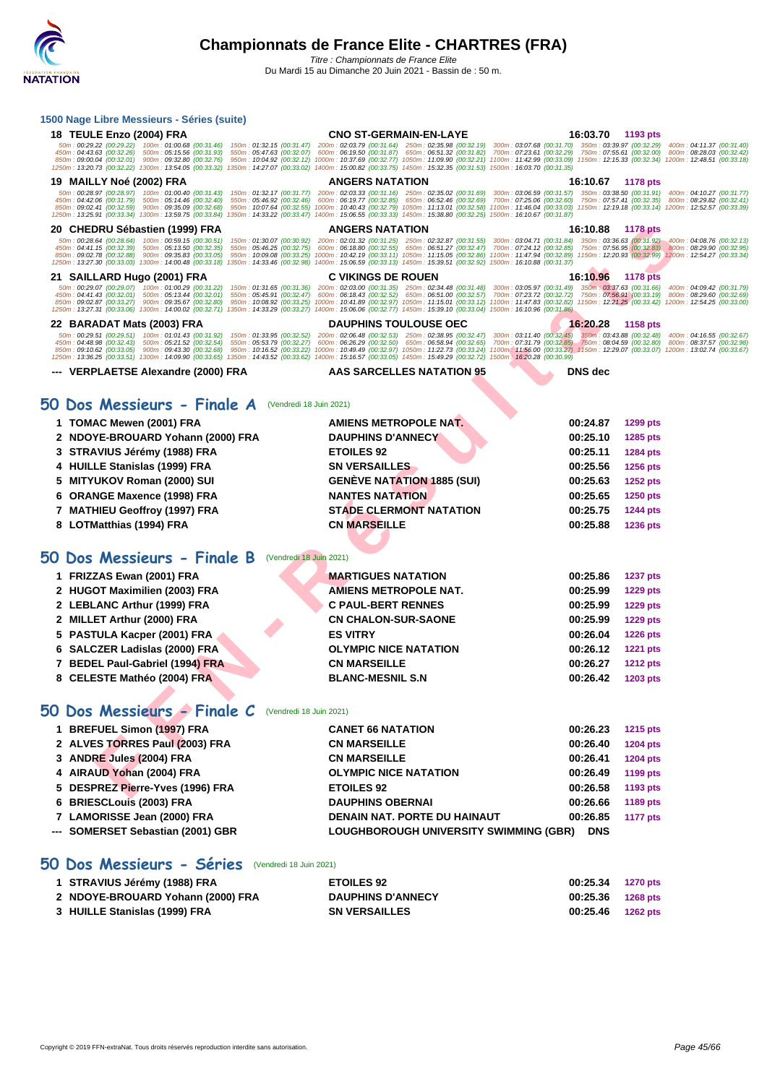#### **[1500 Nag](http://www.ffnatation.fr/webffn/index.php)e Libre Messieurs - Séries (suite)**

| 18 TEULE Enzo (2004) FRA                                                                                                                                                                                                                                                                                                                                                                        | <b>CNO ST-GERMAIN-EN-LAYE</b>                                                                                                                                                                                                                                                                                                                                                                                           | 16:03.70                                                                                                                                                       | 1193 pts                                                                         |
|-------------------------------------------------------------------------------------------------------------------------------------------------------------------------------------------------------------------------------------------------------------------------------------------------------------------------------------------------------------------------------------------------|-------------------------------------------------------------------------------------------------------------------------------------------------------------------------------------------------------------------------------------------------------------------------------------------------------------------------------------------------------------------------------------------------------------------------|----------------------------------------------------------------------------------------------------------------------------------------------------------------|----------------------------------------------------------------------------------|
| 50m: 00:29.22 (00:29.22) 100m: 01:00.68 (00:31.46)<br>450m: 04:43.63 (00:32.26) 500m: 05:15.56 (00:31.93)<br>550m: 05:47.63 (00:32.07)                                                                                                                                                                                                                                                          | 150m: 01:32.15 (00:31.47) 200m: 02:03.79 (00:31.64) 250m: 02:35.98 (00:32.19) 300m: 03:07.68 (00:31.70) 350m: 03:39.97 (00:32.29) 400m: 04:11.37 (00:31.40)<br>600m: 06:19.50 (00:31.87) 650m: 06:51.32 (00:31.82)                                                                                                                                                                                                      | 700m: 07:23.61 (00:32.29) 750m: 07:55.61 (00:32.00) 800m: 08:28.03 (00:32.42)                                                                                  |                                                                                  |
| 850m: 09:00.04 (00:32.01) 900m: 09:32.80 (00:32.76)<br>1250m: 13:20.73 (00:32.22) 1300m: 13:54.05 (00:33.32) 1350m: 14:27.07 (00:33.02) 1400m: 15:00.82 (00:33.75) 1450m: 15:32.35 (00:31.53) 1500m: 16:03.70 (00:31.35)                                                                                                                                                                        | 950m: 10:04.92 (00:32.12) 1000m: 10:37.69 (00:32.77) 1050m: 11:09.90 (00:32.21) 1100m: 11:42.99 (00:33.09) 1150m: 12:15.33 (00:32.34) 1200m: 12:48.51 (00:33.18)                                                                                                                                                                                                                                                        |                                                                                                                                                                |                                                                                  |
| 19 MAILLY Noé (2002) FRA                                                                                                                                                                                                                                                                                                                                                                        | <b>ANGERS NATATION</b>                                                                                                                                                                                                                                                                                                                                                                                                  | 16:10.67                                                                                                                                                       | <b>1178 pts</b>                                                                  |
| 50m: 00:28.97 (00:28.97) 100m: 01:00.40 (00:31.43)<br>450m: 04:42.06 (00:31.79) 500m: 05:14.46 (00:32.40)<br>550m: 05:46.92 (00:32.46)<br>850m: 09:02.41 (00:32.59) 900m: 09:35.09 (00:32.68)<br>1250m: 13:25.91 (00:33.34) 1300m: 13:59.75 (00:33.84)                                                                                                                                          | 150m: 01:32.17 (00:31.77) 200m: 02:03.33 (00:31.16) 250m: 02:35.02 (00:31.69)<br>600m: 06:19.77 (00:32.85) 650m: 06:52.46 (00:32.69)<br>950m: 10:07.64 (00:32.55) 1000m: 10:40.43 (00:32.79) 1050m: 11:13.01 (00:32.58) 1100m: 11:46.04 (00:33.03) 1150m: 12:19.18 (00:33.14) 1200m: 12:52.57 (00:33.39)<br>1350m: 14:33.22 (00:33.47) 1400m: 15:06.55 (00:33.33) 1450m: 15:38.80 (00:32.25) 1500m: 16:10.67 (00:31.87) | 300m: 03:06.59 (00:31.57) 350m: 03:38.50 (00:31.91) 400m: 04:10.27 (00:31.77)<br>700m: 07:25.06 (00:32.60) 750m: 07:57.41 (00:32.35) 800m: 08:29.82 (00:32.41) |                                                                                  |
| 20 CHEDRU Sébastien (1999) FRA                                                                                                                                                                                                                                                                                                                                                                  | <b>ANGERS NATATION</b>                                                                                                                                                                                                                                                                                                                                                                                                  | 16:10.88                                                                                                                                                       | <b>1178 pts</b>                                                                  |
| 50m: 00:28.64 (00:28.64) 100m: 00:59.15 (00:30.51)<br>450m: 04:41.15 (00:32.39)<br>500m: 05:13.50 (00:32.35)<br>550m: 05:46.25 (00:32.75)<br>850m: 09:02.78 (00:32.88) 900m: 09:35.83 (00:33.05)<br>1250m: 13:27.30 (00:33.03) 1300m: 14:00.48 (00:33.18) 1350m: 14:33.46 (00:32.98) 1400m: 15:06.59 (00:33.13) 1450m: 15:39.51 (00:32.92) 1500m: 16:10.88 (00:31.37)                           | 150m: 01:30.07 (00:30.92) 200m: 02:01.32 (00:31.25) 250m: 02:32.87 (00:31.55)<br>600m: 06:18.80 (00:32.55) 650m: 06:51.27 (00:32.47) 700m: 07:24.12 (00:32.85) 750m: 07:56.95 (00:32.83) 800m: 08:29.90 (00:32.95)<br>950m: 10:09.08 (00:33.25) 1000m: 10:42.19 (00:33.11) 1050m: 11:15.05 (00:32.86) 1100m: 11:47.94 (00:32.89) 1150m: 12:20.93 (00:32.99) 1200m: 12:54.27 (00:33.34)                                  | 300m: 03:04.71 (00:31.84) 350m: 03:36.63 (00:31.92) 400m: 04:08.76 (00:32.13)                                                                                  |                                                                                  |
| 21 SAILLARD Hugo (2001) FRA                                                                                                                                                                                                                                                                                                                                                                     | <b>C VIKINGS DE ROUEN</b>                                                                                                                                                                                                                                                                                                                                                                                               | 16:10.96                                                                                                                                                       | 1178 pts                                                                         |
| 50m: 00:29.07 (00:29.07) 100m: 01:00.29 (00:31.22)<br>150m: 01:31.65 (00:31.36)<br>450m: 04:41.43 (00:32.01) 500m: 05:13.44 (00:32.01)<br>550m: 05:45.91 (00:32.47)<br>850m: 09:02.87 (00:33.27) 900m: 09:35.67 (00:32.80)<br>1250m: 13:27.31 (00:33.06) 1300m: 14:00.02 (00:32.71) 1350m: 14:33.29 (00:33.27) 1400m: 15:06.06 (00:32.77) 1450m: 15:39.10 (00:33.04) 1500m: 16:10.96 (00:31.86) | 200m: 02:03.00 (00:31.35) 250m: 02:34.48 (00:31.48) 300m: 03:05.97 (00:31.49) 350m: 03:37.63 (00:31.66)<br>600m: 06:18.43 (00:32.52)<br>950m: 10:08.92 (00:33.25) 1000m: 10:41.89 (00:32.97) 1050m: 11:15.01 (00:33.12) 1100m: 11:47.83 (00:32.82) 1150m: 12:21.25 (00:33.42) 1200m: 12:54.25 (00:33.00)                                                                                                                | 650m: 06:51.00 (00:32.57) 700m: 07:23.72 (00:32.72)                                                                                                            | 400m: 04:09.42 (00:31.79)<br>750m: 07:56.91 (00:33.19) 800m: 08:29.60 (00:32.69) |
| 22 BARADAT Mats (2003) FRA                                                                                                                                                                                                                                                                                                                                                                      | <b>DAUPHINS TOULOUSE OEC</b>                                                                                                                                                                                                                                                                                                                                                                                            | 16:20.28                                                                                                                                                       | <b>1158 pts</b>                                                                  |
| 50m: 00:29.51 (00:29.51) 100m: 01:01.43 (00:31.92)<br>450m: 04:48.98 (00:32.43) 500m: 05:21.52 (00:32.54)<br>850m: 09:10.62 (00:33.05) 900m: 09:43.30 (00:32.68)<br>1250m: 13:36.25 (00:33.51) 1300m: 14:09.90 (00:33.65) 1350m: 14:43.52 (00:33.62) 1400m: 15:16.57 (00:33.05) 1450m: 15:49.29 (00:32.72) 1500m: 16:20.28 (00:30.99)                                                           | 150m: 01:33.95 (00:32.52) 200m: 02:06.48 (00:32.53) 250m: 02:38.95 (00:32.47) 300m: 03:11.40 (00:32,45) 350m: 03:43.88 (00:32.48) 400m: 04:16.55 (00:32.67)<br>550m: 05:53.79 (00:32.27) 600m: 06:26.29 (00:32.50) 650m: 06:58.94 (00:32.65)<br>950m: 10:16.52 (00:33.22) 1000m: 10:49.49 (00:32.97) 1050m: 11:22.73 (00:33.24) 1100m: 11:56.00 (00:33.27) 1150m: 12:29.07 (00:33.07) 1200m: 13:02.74 (00:33.67)        | 700m; 07:31.79 (00:32.85) 750m: 08:04.59 (00:32.80) 800m: 08:37.57 (00:32.98)                                                                                  |                                                                                  |
| --- VERPLAETSE Alexandre (2000) FRA                                                                                                                                                                                                                                                                                                                                                             | AAS SARCELLES NATATION 95                                                                                                                                                                                                                                                                                                                                                                                               | <b>DNS</b> dec                                                                                                                                                 |                                                                                  |
|                                                                                                                                                                                                                                                                                                                                                                                                 |                                                                                                                                                                                                                                                                                                                                                                                                                         |                                                                                                                                                                |                                                                                  |
| 50 Dos Messieurs - Finale A (Vendredi 18 Juin 2021)                                                                                                                                                                                                                                                                                                                                             |                                                                                                                                                                                                                                                                                                                                                                                                                         |                                                                                                                                                                |                                                                                  |
| 1 TOMAC Mewen (2001) FRA                                                                                                                                                                                                                                                                                                                                                                        | AMIENS METROPOLE NAT.                                                                                                                                                                                                                                                                                                                                                                                                   | 00:24.87                                                                                                                                                       | 1299 pts                                                                         |
| 2 NDOYE-BROUARD Yohann (2000) FRA                                                                                                                                                                                                                                                                                                                                                               | <b>DAUPHINS D'ANNECY</b>                                                                                                                                                                                                                                                                                                                                                                                                | 00:25.10                                                                                                                                                       | 1285 pts                                                                         |
| STRAVIUS Jérémy (1988) FRA                                                                                                                                                                                                                                                                                                                                                                      | <b>ETOILES 92</b>                                                                                                                                                                                                                                                                                                                                                                                                       | 00:25.11                                                                                                                                                       | 1284 pts                                                                         |
| <b>HUILLE Stanislas (1999) FRA</b><br>4                                                                                                                                                                                                                                                                                                                                                         | <b>SN VERSAILLES</b>                                                                                                                                                                                                                                                                                                                                                                                                    | 00:25.56                                                                                                                                                       | 1256 pts                                                                         |
| <b>MITYUKOV Roman (2000) SUI</b><br>5                                                                                                                                                                                                                                                                                                                                                           | <b>GENÈVE NATATION 1885 (SUI)</b>                                                                                                                                                                                                                                                                                                                                                                                       | 00:25.63                                                                                                                                                       | 1252 pts                                                                         |
| <b>ORANGE Maxence (1998) FRA</b><br>6                                                                                                                                                                                                                                                                                                                                                           | <b>NANTES NATATION</b>                                                                                                                                                                                                                                                                                                                                                                                                  | 00:25.65                                                                                                                                                       | <b>1250 pts</b>                                                                  |
| 7 MATHIEU Geoffroy (1997) FRA                                                                                                                                                                                                                                                                                                                                                                   | <b>STADE CLERMONT NATATION</b>                                                                                                                                                                                                                                                                                                                                                                                          | 00:25.75                                                                                                                                                       | <b>1244 pts</b>                                                                  |
| 8 LOTMatthias (1994) FRA                                                                                                                                                                                                                                                                                                                                                                        | <b>CN MARSEILLE</b>                                                                                                                                                                                                                                                                                                                                                                                                     | 00:25.88                                                                                                                                                       | <b>1236 pts</b>                                                                  |
|                                                                                                                                                                                                                                                                                                                                                                                                 |                                                                                                                                                                                                                                                                                                                                                                                                                         |                                                                                                                                                                |                                                                                  |
| 50 Dos Messieurs - Finale B (Vendredi 18 Juin 2021)                                                                                                                                                                                                                                                                                                                                             |                                                                                                                                                                                                                                                                                                                                                                                                                         |                                                                                                                                                                |                                                                                  |
| 1 FRIZZAS Ewan (2001) FRA                                                                                                                                                                                                                                                                                                                                                                       | <b>MARTIGUES NATATION</b>                                                                                                                                                                                                                                                                                                                                                                                               | 00:25.86                                                                                                                                                       | <b>1237 pts</b>                                                                  |
| 2 HUGOT Maximilien (2003) FRA                                                                                                                                                                                                                                                                                                                                                                   | <b>AMIENS METROPOLE NAT.</b>                                                                                                                                                                                                                                                                                                                                                                                            | 00:25.99                                                                                                                                                       | 1229 pts                                                                         |
| 2 LEBLANC Arthur (1999) FRA                                                                                                                                                                                                                                                                                                                                                                     | <b>C PAUL-BERT RENNES</b>                                                                                                                                                                                                                                                                                                                                                                                               | 00:25.99                                                                                                                                                       | 1229 pts                                                                         |
| <b>MILLET Arthur (2000) FRA</b><br>2                                                                                                                                                                                                                                                                                                                                                            | <b>CN CHALON-SUR-SAONE</b>                                                                                                                                                                                                                                                                                                                                                                                              | 00:25.99                                                                                                                                                       | 1229 pts                                                                         |
| PASTULA Kacper (2001) FRA<br>5                                                                                                                                                                                                                                                                                                                                                                  | <b>ES VITRY</b>                                                                                                                                                                                                                                                                                                                                                                                                         | 00:26.04                                                                                                                                                       | <b>1226 pts</b>                                                                  |
| <b>SALCZER Ladislas (2000) FRA</b><br>6                                                                                                                                                                                                                                                                                                                                                         | <b>OLYMPIC NICE NATATION</b>                                                                                                                                                                                                                                                                                                                                                                                            | 00:26.12                                                                                                                                                       | <b>1221 pts</b>                                                                  |
| 7 BEDEL Paul-Gabriel (1994) FRA                                                                                                                                                                                                                                                                                                                                                                 | <b>CN MARSEILLE</b>                                                                                                                                                                                                                                                                                                                                                                                                     | 00:26.27                                                                                                                                                       | <b>1212 pts</b>                                                                  |
| 8 CELESTE Mathéo (2004) FRA                                                                                                                                                                                                                                                                                                                                                                     | <b>BLANC-MESNIL S.N</b>                                                                                                                                                                                                                                                                                                                                                                                                 | 00:26.42                                                                                                                                                       | 1203 pts                                                                         |
| 50 Dos Messieurs - Finale C (Vendredi 18 Juin 2021)                                                                                                                                                                                                                                                                                                                                             |                                                                                                                                                                                                                                                                                                                                                                                                                         |                                                                                                                                                                |                                                                                  |
| 1 BREFUEL Simon (1997) FRA                                                                                                                                                                                                                                                                                                                                                                      | <b>CANET 66 NATATION</b>                                                                                                                                                                                                                                                                                                                                                                                                | 00:26.23                                                                                                                                                       | <b>1215 pts</b>                                                                  |
| 2 ALVES TORRES Paul (2003) FRA                                                                                                                                                                                                                                                                                                                                                                  | <b>CN MARSEILLE</b>                                                                                                                                                                                                                                                                                                                                                                                                     | 00:26.40                                                                                                                                                       | <b>1204 pts</b>                                                                  |
| 3 ANDRE Jules (2004) FRA                                                                                                                                                                                                                                                                                                                                                                        | <b>CN MARSEILLE</b>                                                                                                                                                                                                                                                                                                                                                                                                     | 00:26.41                                                                                                                                                       | <b>1204 pts</b>                                                                  |
| 4 AIRAUD Yohan (2004) FRA                                                                                                                                                                                                                                                                                                                                                                       | <b>OLYMPIC NICE NATATION</b>                                                                                                                                                                                                                                                                                                                                                                                            | 00:26.49                                                                                                                                                       | 1199 pts                                                                         |
| 5 DESPREZ Pierre-Yves (1996) FRA                                                                                                                                                                                                                                                                                                                                                                | <b>ETOILES 92</b>                                                                                                                                                                                                                                                                                                                                                                                                       | 00:26.58                                                                                                                                                       | 1193 pts                                                                         |
| 6 BRIESCLouis (2003) FRA                                                                                                                                                                                                                                                                                                                                                                        | <b>DAUPHINS OBERNAI</b>                                                                                                                                                                                                                                                                                                                                                                                                 | 00:26.66                                                                                                                                                       | 1189 pts                                                                         |

- **7 LAMORISSE Jean (2000) FRA DENAIN NAT. PORTE DU HAINAUT 00:26.85 1177 pts**
- **--- SOMERSET Sebastian (2001) GBR LOUGHBOROUGH UNIVERSITY SWIMMING (GBR) DNS**

### **50 Dos Messieurs - Séries** (Vendredi 18 Juin 2021)

| 1 STRAVIUS Jérémy (1988) FRA      | <b>ETOILES 92</b>        | 00:25.34 1270 pts |                 |
|-----------------------------------|--------------------------|-------------------|-----------------|
| 2 NDOYE-BROUARD Yohann (2000) FRA | <b>DAUPHINS D'ANNECY</b> | 00:25.36          | 1268 pts        |
| 3 HUILLE Stanislas (1999) FRA     | <b>SN VERSAILLES</b>     | 00:25.46          | <b>1262 pts</b> |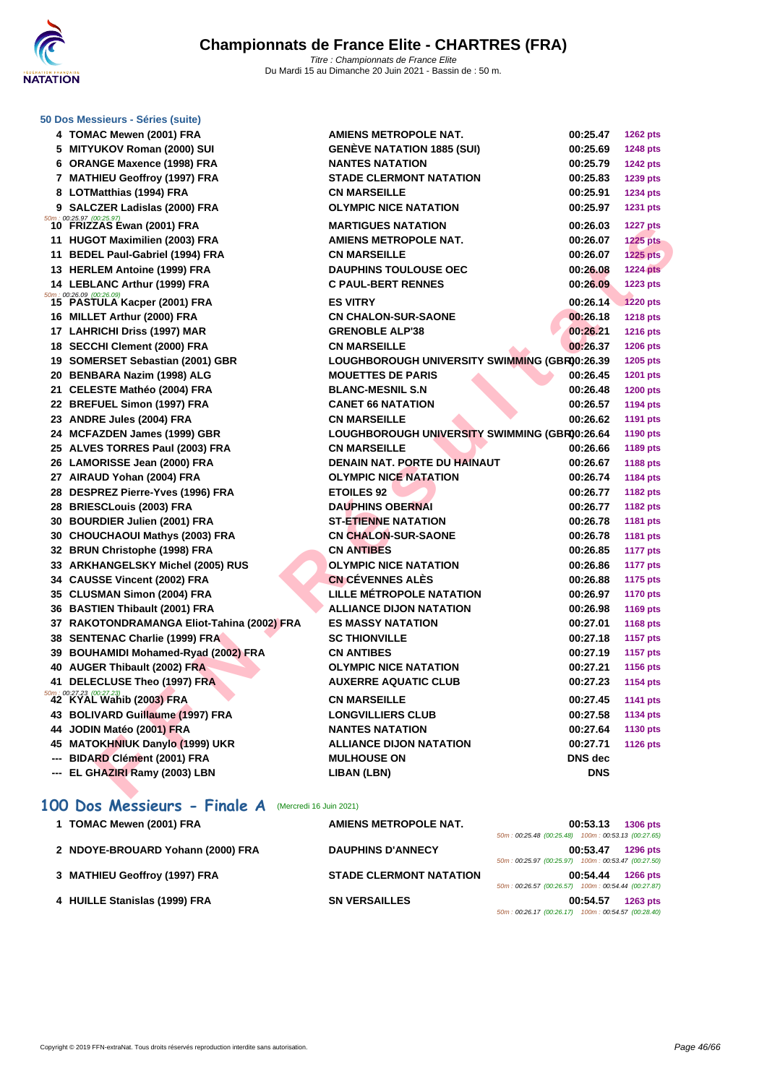

|    | 50 Dos Messieurs - Séries (suite)                                    |                                               |                |                 |
|----|----------------------------------------------------------------------|-----------------------------------------------|----------------|-----------------|
|    | 4 TOMAC Mewen (2001) FRA                                             | <b>AMIENS METROPOLE NAT.</b>                  | 00:25.47       | <b>1262 pts</b> |
|    | 5 MITYUKOV Roman (2000) SUI                                          | <b>GENÈVE NATATION 1885 (SUI)</b>             | 00:25.69       | <b>1248 pts</b> |
|    | 6 ORANGE Maxence (1998) FRA                                          | <b>NANTES NATATION</b>                        | 00:25.79       | <b>1242 pts</b> |
|    | 7 MATHIEU Geoffroy (1997) FRA                                        | <b>STADE CLERMONT NATATION</b>                | 00:25.83       | 1239 pts        |
|    | 8 LOTMatthias (1994) FRA                                             | <b>CN MARSEILLE</b>                           | 00:25.91       | <b>1234 pts</b> |
|    | 9 SALCZER Ladislas (2000) FRA                                        | <b>OLYMPIC NICE NATATION</b>                  | 00:25.97       | <b>1231 pts</b> |
|    | $\frac{50m}{10}$ : 00:25.97 (00:25.97)<br>10 FRIZZAS Ewan (2001) FRA | <b>MARTIGUES NATATION</b>                     | 00:26.03       | <b>1227 pts</b> |
|    | 11 HUGOT Maximilien (2003) FRA                                       | <b>AMIENS METROPOLE NAT.</b>                  | 00:26.07       | <b>1225 pts</b> |
|    | 11 BEDEL Paul-Gabriel (1994) FRA                                     | <b>CN MARSEILLE</b>                           | 00:26.07       | <b>1225 pts</b> |
|    | 13 HERLEM Antoine (1999) FRA                                         | <b>DAUPHINS TOULOUSE OEC</b>                  | 00:26.08       | <b>1224 pts</b> |
|    | 14 LEBLANC Arthur (1999) FRA                                         | <b>C PAUL-BERT RENNES</b>                     | 00:26.09       | <b>1223 pts</b> |
|    | 50m : 00:26.09 (00:26.09)<br>15 PASTULA Kacper (2001) FRA            | <b>ES VITRY</b>                               | 00:26.14       | <b>1220 pts</b> |
|    | 16 MILLET Arthur (2000) FRA                                          | <b>CN CHALON-SUR-SAONE</b>                    | 00:26.18       | <b>1218 pts</b> |
|    | 17 LAHRICHI Driss (1997) MAR                                         | <b>GRENOBLE ALP'38</b>                        | 00:26.21       | <b>1216 pts</b> |
|    | 18 SECCHI Clement (2000) FRA                                         | <b>CN MARSEILLE</b>                           | 00:26.37       | <b>1206 pts</b> |
|    | 19 SOMERSET Sebastian (2001) GBR                                     | LOUGHBOROUGH UNIVERSITY SWIMMING (GBR00:26.39 |                | 1205 pts        |
|    | 20 BENBARA Nazim (1998) ALG                                          | <b>MOUETTES DE PARIS</b>                      | 00:26.45       | 1201 pts        |
|    | 21 CELESTE Mathéo (2004) FRA                                         | <b>BLANC-MESNIL S.N</b>                       | 00:26.48       | <b>1200 pts</b> |
|    | 22 BREFUEL Simon (1997) FRA                                          | <b>CANET 66 NATATION</b>                      | 00:26.57       | <b>1194 pts</b> |
|    | 23 ANDRE Jules (2004) FRA                                            | <b>CN MARSEILLE</b>                           | 00:26.62       | <b>1191 pts</b> |
|    | 24 MCFAZDEN James (1999) GBR                                         | LOUGHBOROUGH UNIVERSITY SWIMMING (GBR00:26.64 |                | <b>1190 pts</b> |
|    | 25 ALVES TORRES Paul (2003) FRA                                      | <b>CN MARSEILLE</b>                           | 00:26.66       | 1189 pts        |
|    | 26 LAMORISSE Jean (2000) FRA                                         | DENAIN NAT. PORTE DU HAINAUT                  | 00:26.67       | <b>1188 pts</b> |
|    | 27 AIRAUD Yohan (2004) FRA                                           | <b>OLYMPIC NICE NATATION</b>                  | 00:26.74       | 1184 pts        |
|    | 28 DESPREZ Pierre-Yves (1996) FRA                                    | <b>ETOILES 92</b>                             | 00:26.77       | <b>1182 pts</b> |
|    | 28 BRIESCLouis (2003) FRA                                            | <b>DAUPHINS OBERNAI</b>                       | 00:26.77       | <b>1182 pts</b> |
|    | 30 BOURDIER Julien (2001) FRA                                        | <b>ST-ETIENNE NATATION</b>                    | 00:26.78       | <b>1181 pts</b> |
|    | 30 CHOUCHAOUI Mathys (2003) FRA                                      | <b>CN CHALON-SUR-SAONE</b>                    | 00:26.78       | 1181 pts        |
|    | 32 BRUN Christophe (1998) FRA                                        | <b>CN ANTIBES</b>                             | 00:26.85       | <b>1177 pts</b> |
|    | 33 ARKHANGELSKY Michel (2005) RUS                                    | <b>OLYMPIC NICE NATATION</b>                  | 00:26.86       | <b>1177 pts</b> |
|    | 34 CAUSSE Vincent (2002) FRA                                         | <b>CN CÉVENNES ALÈS</b>                       | 00:26.88       | <b>1175 pts</b> |
|    | 35 CLUSMAN Simon (2004) FRA                                          | LILLE MÉTROPOLE NATATION                      | 00:26.97       | <b>1170 pts</b> |
|    | 36 BASTIEN Thibault (2001) FRA                                       | <b>ALLIANCE DIJON NATATION</b>                | 00:26.98       | <b>1169 pts</b> |
|    | 37 RAKOTONDRAMANGA Eliot-Tahina (2002) FRA                           | <b>ES MASSY NATATION</b>                      | 00:27.01       | <b>1168 pts</b> |
|    | 38 SENTENAC Charlie (1999) FRA                                       | <b>SC THIONVILLE</b>                          | 00:27.18       | <b>1157 pts</b> |
|    | 39 BOUHAMIDI Mohamed-Ryad (2002) FRA                                 | <b>CN ANTIBES</b>                             | 00:27.19       | <b>1157 pts</b> |
|    | 40 AUGER Thibault (2002) FRA                                         | <b>OLYMPIC NICE NATATION</b>                  | 00:27.21       | <b>1156 pts</b> |
| 41 | DELECLUSE Theo (1997) FRA                                            | <b>AUXERRE AQUATIC CLUB</b>                   | 00:27.23       | 1154 pts        |
|    | 50m: 00:27.23 (00:27.23)<br>42 KYAL Wahib (2003) FRA                 | <b>CN MARSEILLE</b>                           | 00:27.45       | 1141 pts        |
|    | 43 BOLIVARD Guillaume (1997) FRA                                     | <b>LONGVILLIERS CLUB</b>                      | 00:27.58       | <b>1134 pts</b> |
|    | 44 JODIN Matéo (2001) FRA                                            | <b>NANTES NATATION</b>                        | 00:27.64       | 1130 pts        |
|    | 45 MATOKHNIUK Danylo (1999) UKR                                      | <b>ALLIANCE DIJON NATATION</b>                | 00:27.71       | <b>1126 pts</b> |
|    | <b>BIDARD Clément (2001) FRA</b>                                     | <b>MULHOUSE ON</b>                            | <b>DNS</b> dec |                 |
|    | EL GHAZIRI Ramy (2003) LBN                                           | <b>LIBAN (LBN)</b>                            | <b>DNS</b>     |                 |
|    |                                                                      |                                               |                |                 |

## 100 Dos Messieurs - Finale A (Mercredi 16 Juin 2021)

| 1 TOMAC Mewen (2001) FRA          | AMIENS METROPOLE NAT.          | 00:53.13<br><b>1306 pts</b>                           |
|-----------------------------------|--------------------------------|-------------------------------------------------------|
|                                   |                                | 50m: 00:25.48 (00:25.48) 100m: 00:53.13 (00:27.65)    |
| 2 NDOYE-BROUARD Yohann (2000) FRA | <b>DAUPHINS D'ANNECY</b>       | 00:53.47<br><b>1296 pts</b>                           |
|                                   |                                | 50m: 00:25.97 (00:25.97) 100m: 00:53.47 (00:27.50)    |
| 3 MATHIEU Geoffroy (1997) FRA     | <b>STADE CLERMONT NATATION</b> | 00:54.44<br><b>1266 pts</b>                           |
|                                   |                                | 100m: 00:54.44 (00:27.87)<br>50m: 00:26.57 (00:26.57) |
| 4 HUILLE Stanislas (1999) FRA     | <b>SN VERSAILLES</b>           | 00:54.57<br><b>1263 pts</b>                           |
|                                   |                                | 50m: 00:26.17 (00:26.17) 100m: 00:54.57 (00:28.40)    |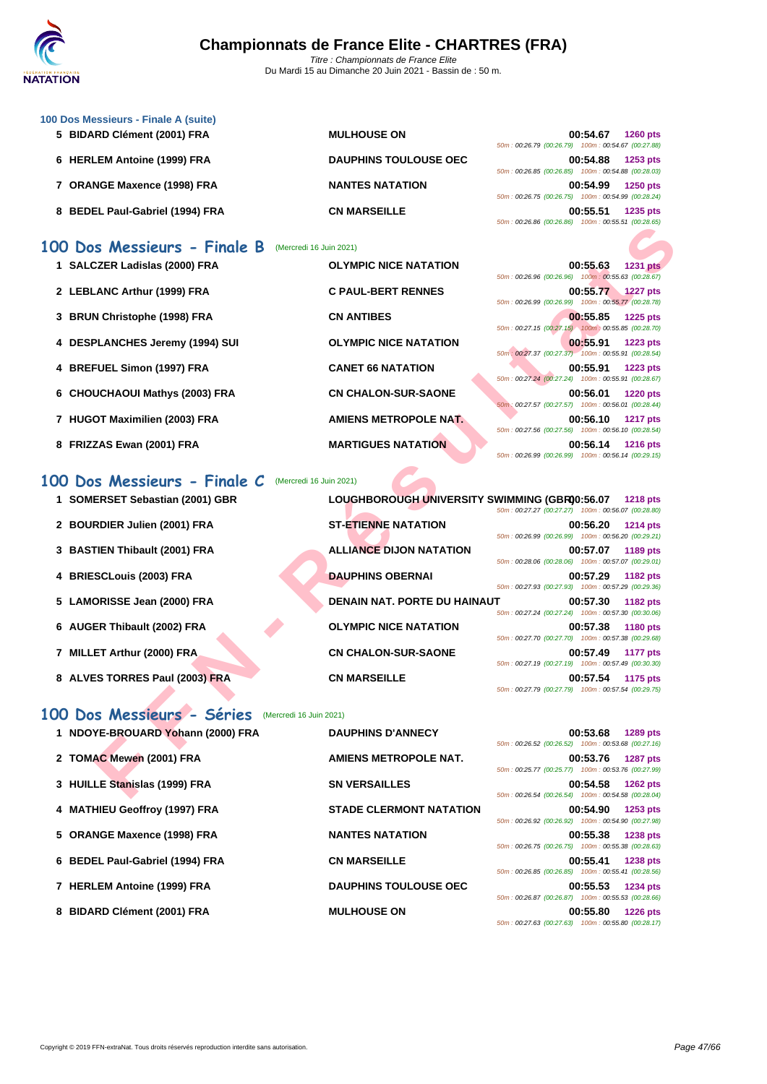

- **[100 Dos M](http://www.ffnatation.fr/webffn/index.php)essieurs Finale A (suite)**
	-
	-
	-

### **100 Dos Messieurs - Finale B** (Mercredi 16 Juin 2021)

- **1 SALCZER Ladislas (2000) FRA OLYMPIC** 2 LEBLANC Arthur (1999) FRA **C PAUL-BERT REN 3 BRUN Christophe (1998) FRA CN ANTIBE** 4 **DESPLANCHES** Jeremy (1994) SUI **OLYMPIC 4** BREFUEL Simon (1997) FRA **CANET 66 6** CHOUCHAOUI Mathys (2003) FRA **CN CHALC**
- **7 HUGOT Maximilien (2003) FRA AMIENS M**
- 

### **100 Dos Messieurs - Finale C** (Mercredi 16 Juin 2021)

- **1 SOMERSET Sebastian (2001) GBR LOUGHBOROUGH UNIVERSITY SWIMMING (GBR)00:56.07 1218 pts**
- **2 BOURDIER Julien (2001) FRA ST-ETIENNE NATATION**
- **3 BASTIEN Thibault (2001) FRA ALLIANCE DIJON NATATION**
- **4 BRIESCLouis (2003) FRA DAUPHINS OBERNAI**
- **5** LAMORISSE Jean (2000) FRA **DENAIN NAT. PORTE DU HA**
- **6** AUGER Thibault (2002) FRA **DELYMPIC NICE NATATION**
- **7 MILLET Arthur (2000) FRA CN CHALON-SUR-SAONE**
- **8** ALVES TORRES Paul (2003) FRA **CN MARSEILLE**

#### **100 Dos Messieurs - Séries** (Mercredi 16 Juin 2021)

|                                   |                         |                                               | $0.20011$ . 00.20.00 $(0.20000)$ $0.0011$ . 00.00.01 $(0.20000)$                                                                        |
|-----------------------------------|-------------------------|-----------------------------------------------|-----------------------------------------------------------------------------------------------------------------------------------------|
| 00 Dos Messieurs - Finale B       | (Mercredi 16 Juin 2021) |                                               |                                                                                                                                         |
| 1 SALCZER Ladislas (2000) FRA     |                         | <b>OLYMPIC NICE NATATION</b>                  | 00:55.63<br><b>1231 pts</b><br>50m: 00:26.96 (00:26.96) 100m: 00:55.63 (00:28.67)                                                       |
| 2 LEBLANC Arthur (1999) FRA       |                         | <b>C PAUL-BERT RENNES</b>                     | 00:55.77<br><b>1227 pts</b><br>50m: 00:26.99 (00:26.99) 100m: 00:55.77 (00:28.78)                                                       |
| 3 BRUN Christophe (1998) FRA      |                         | <b>CN ANTIBES</b>                             | 00:55.85<br>1225 pts<br>50m: 00:27.15 (00:27.15) 100m: 00:55.85 (00:28.70)                                                              |
| 4 DESPLANCHES Jeremy (1994) SUI   |                         | <b>OLYMPIC NICE NATATION</b>                  | 00:55.91<br>1223 pts                                                                                                                    |
| 4 BREFUEL Simon (1997) FRA        |                         | <b>CANET 66 NATATION</b>                      | 50m: 00:27.37 (00:27.37) 100m: 00:55.91 (00:28.54)<br>00:55.91<br>1223 pts                                                              |
| 6 CHOUCHAOUI Mathys (2003) FRA    |                         | <b>CN CHALON-SUR-SAONE</b>                    | 50m: 00:27.24 (00:27.24) 100m: 00:55.91 (00:28.67)<br>00:56.01<br><b>1220 pts</b>                                                       |
| 7 HUGOT Maximilien (2003) FRA     |                         | <b>AMIENS METROPOLE NAT.</b>                  | 50m: 00:27.57 (00:27.57) 100m: 00:56.01 (00:28.44)<br>00:56.10<br>1217 pts                                                              |
| 8 FRIZZAS Ewan (2001) FRA         |                         | <b>MARTIGUES NATATION</b>                     | 50m: 00:27.56 (00:27.56) 100m: 00:56.10 (00:28.54)<br>00:56.14<br><b>1216 pts</b><br>50m: 00:26.99 (00:26.99) 100m: 00:56.14 (00:29.15) |
| 00 Dos Messieurs - Finale C       |                         |                                               |                                                                                                                                         |
| 1 SOMERSET Sebastian (2001) GBR   | (Mercredi 16 Juin 2021) | LOUGHBOROUGH UNIVERSITY SWIMMING (GBR00:56.07 | <b>1218 pts</b>                                                                                                                         |
|                                   |                         |                                               | 50m: 00:27.27 (00:27.27) 100m: 00:56.07 (00:28.80)                                                                                      |
| 2 BOURDIER Julien (2001) FRA      |                         | <b>ST-ETIENNE NATATION</b>                    | 00:56.20<br>1214 pts<br>50m: 00:26.99 (00:26.99) 100m: 00:56.20 (00:29.21)                                                              |
| 3 BASTIEN Thibault (2001) FRA     |                         | <b>ALLIANCE DIJON NATATION</b>                | 00:57.07<br>1189 pts<br>50m: 00:28.06 (00:28.06) 100m: 00:57.07 (00:29.01)                                                              |
| 4 BRIESCLouis (2003) FRA          |                         | <b>DAUPHINS OBERNAI</b>                       | 00:57.29<br>1182 pts<br>50m: 00:27.93 (00:27.93) 100m: 00:57.29 (00:29.36)                                                              |
| 5 LAMORISSE Jean (2000) FRA       |                         | DENAIN NAT. PORTE DU HAINAUT                  | 00:57.30<br>1182 pts<br>50m: 00:27.24 (00:27.24) 100m: 00:57.30 (00:30.06)                                                              |
| 6 AUGER Thibault (2002) FRA       |                         | <b>OLYMPIC NICE NATATION</b>                  | 00:57.38<br>1180 pts                                                                                                                    |
| 7 MILLET Arthur (2000) FRA        |                         | <b>CN CHALON-SUR-SAONE</b>                    | 50m: 00:27.70 (00:27.70) 100m: 00:57.38 (00:29.68)<br>00:57.49<br><b>1177 pts</b>                                                       |
| 8 ALVES TORRES Paul (2003) FRA    |                         | <b>CN MARSEILLE</b>                           | 50m: 00:27.19 (00:27.19) 100m: 00:57.49 (00:30.30)<br>00:57.54<br>1175 pts<br>50m: 00:27.79 (00:27.79) 100m: 00:57.54 (00:29.75)        |
| 00 Dos Messieurs - Séries         | (Mercredi 16 Juin 2021) |                                               |                                                                                                                                         |
| 1 NDOYE-BROUARD Yohann (2000) FRA |                         | <b>DAUPHINS D'ANNECY</b>                      | 00:53.68<br>1289 pts                                                                                                                    |
| 2 TOMAC Mewen (2001) FRA          |                         | AMIENS METROPOLE NAT.                         | 50m: 00:26.52 (00:26.52) 100m: 00:53.68 (00:27.16)<br>00:53.76<br>1287 pts                                                              |
| 3 HUILLE Stanislas (1999) FRA     |                         | <b>SN VERSAILLES</b>                          | 50m: 00:25.77 (00:25.77) 100m: 00:53.76 (00:27.99)<br>00:54.58<br><b>1262 pts</b>                                                       |
| 4 MATHIEU Geoffroy (1997) FRA     |                         | <b>STADE CLERMONT NATATION</b>                | 50m: 00:26.54 (00:26.54) 100m: 00:54.58 (00:28.04)<br>00:54.90<br>1253 pts                                                              |
| 5 ORANGE Maxence (1998) FRA       |                         | <b>NANTES NATATION</b>                        | 50m: 00:26.92 (00:26.92) 100m: 00:54.90 (00:27.98)<br>00:55.38<br>1238 pts                                                              |
| 6 BEDEL Paul-Gabriel (1994) FRA   |                         | <b>CN MARSEILLE</b>                           | 50m: 00:26.75 (00:26.75) 100m: 00:55.38 (00:28.63)<br>00:55.41<br>1238 pts                                                              |
| 7 HERLEM Antoine (1999) FRA       |                         | <b>DAUPHINS TOULOUSE OEC</b>                  | 50m: 00:26.85 (00:26.85) 100m: 00:55.41 (00:28.56)<br>00:55.53<br>1234 pts                                                              |
|                                   |                         |                                               | 50m: 00:26.87 (00:26.87) 100m: 00:55.53 (00:28.66)                                                                                      |
| 8 BIDARD Clément (2001) FRA       |                         | <b>MULHOUSE ON</b>                            | 00:55.80<br><b>1226 pts</b>                                                                                                             |

50m : 00:27.63 (00:27.63) 100m : 00:55.80 (00:28.17)

| 5 BIDARD Clément (2001) FRA     | <b>MULHOUSE ON</b>           |                                                    | 00:54.67 | <b>1260 pts</b> |
|---------------------------------|------------------------------|----------------------------------------------------|----------|-----------------|
|                                 |                              | 50m: 00:26.79 (00:26.79) 100m: 00:54.67 (00:27.88) |          |                 |
| 6 HERLEM Antoine (1999) FRA     | <b>DAUPHINS TOULOUSE OEC</b> |                                                    | 00:54.88 | 1253 pts        |
|                                 |                              | 50m: 00:26.85 (00:26.85) 100m: 00:54.88 (00:28.03) |          |                 |
| 7 ORANGE Maxence (1998) FRA     | <b>NANTES NATATION</b>       |                                                    | 00:54.99 | <b>1250 pts</b> |
|                                 |                              | 50m: 00:26.75 (00:26.75) 100m: 00:54.99 (00:28.24) |          |                 |
| 8 BEDEL Paul-Gabriel (1994) FRA | <b>CN MARSEILLE</b>          |                                                    | 00:55.51 | <b>1235 pts</b> |

| 1 SALCZER Ladislas (2000) FRA<br><b>OLYMPIC NICE NATATION</b><br>00:55.63                                                         | <b>1231 pts</b>   |
|-----------------------------------------------------------------------------------------------------------------------------------|-------------------|
| 50m: 00:26.96 (00:26.96) 100m: 00:55.63 (00:28.67                                                                                 |                   |
| 2 LEBLANC Arthur (1999) FRA<br><b>C PAUL-BERT RENNES</b>                                                                          | 00:55.77 1227 pts |
| 50m: 00:26.99 (00:26.99) 100m: 00:55.77 (00:28.78)<br><b>CN ANTIBES</b><br>3 BRUN Christophe (1998) FRA<br>00:55.85               | <b>1225 pts</b>   |
| 50m: 00:27.15 (00:27.15) 100m: 00:55.85 (00:28.70)<br>4 DESPLANCHES Jeremy (1994) SUI<br><b>OLYMPIC NICE NATATION</b><br>00:55.91 | <b>1223 pts</b>   |
| 50m : 00:27.37 (00:27.37) 100m : 00:55.91 (00:28.54)<br>4 BREFUEL Simon (1997) FRA<br><b>CANET 66 NATATION</b><br>00:55.91        | <b>1223 pts</b>   |
| 50m: 00:27.24 (00:27.24) 100m: 00:55.91 (00:28.67)<br>6 CHOUCHAOUI Mathys (2003) FRA<br><b>CN CHALON-SUR-SAONE</b>                |                   |
| 00:56.01<br>50m; 00:27.57 (00:27.57) 100m: 00:56.01 (00:28.44)                                                                    | <b>1220 pts</b>   |
| AMIENS METROPOLE NAT.<br>7 HUGOT Maximilien (2003) FRA<br>00:56.10<br>50m: 00:27.56 (00:27.56) 100m: 00:56.10 (00:28.54)          | <b>1217 pts</b>   |
| <b>MARTIGUES NATATION</b><br>8 FRIZZAS Ewan (2001) FRA<br>00:56.14<br>50m : 00:26.99 (00:26.99) 100m : 00:56.14 (00:29.15)        | <b>1216 pts</b>   |

|                                                    | 00:55.63 1231 pts |
|----------------------------------------------------|-------------------|
| 50m: 00:26.96 (00:26.96) 100m: 00:55.63 (00:28.67) |                   |
|                                                    | 00:55.77 1227 pts |
| 50m: 00:26.99 (00:26.99) 100m: 00:55.77 (00:28.78) |                   |
|                                                    | 00:55.85 1225 pts |
| 50m: 00:27.15 (00:27.15) 100m: 00:55.85 (00:28.70) |                   |
|                                                    | 00:55.91 1223 pts |
| 50m: 00:27.37 (00:27.37) 100m: 00:55.91 (00:28.54) |                   |
|                                                    | 00:55.91 1223 pts |
| 50m: 00:27.24 (00:27.24) 100m: 00:55.91 (00:28.67) |                   |
|                                                    | 00:56.01 1220 pts |
| 50m: 00:27.57 (00:27.57) 100m: 00:56.01 (00:28.44) |                   |
|                                                    | 00:56.10 1217 pts |
| 50m: 00:27.56 (00:27.56) 100m: 00:56.10 (00:28.54) |                   |
|                                                    | 00.56.11 1916 nto |

50m : 00:26.86 (00:26.86) 100m : 00:55.51 (00:28.65)

|              |  | 50m: 00:27.27 (00:27.27) 100m: 00:56.07 (00:28.80)                      |  |
|--------------|--|-------------------------------------------------------------------------|--|
|              |  | 00:56.20 1214 pts<br>50m: 00:26.99 (00:26.99) 100m: 00:56.20 (00:29.21) |  |
| J            |  | 00:57.07 1189 pts<br>50m: 00:28.06 (00:28.06) 100m: 00:57.07 (00:29.01) |  |
|              |  | 00:57.29 1182 pts<br>50m: 00:27.93 (00:27.93) 100m: 00:57.29 (00:29.36) |  |
| <b>INAUT</b> |  | 00:57.30 1182 pts<br>50m: 00:27.24 (00:27.24) 100m: 00:57.30 (00:30.06) |  |
|              |  | 00:57.38 1180 pts<br>50m: 00:27.70 (00:27.70) 100m: 00:57.38 (00:29.68) |  |
|              |  | 00:57.49 1177 pts<br>50m: 00:27.19 (00:27.19) 100m: 00:57.49 (00:30.30) |  |
|              |  | 00:57.54 1175 pts<br>50m: 00:27.79 (00:27.79) 100m: 00:57.54 (00:29.75) |  |
|              |  |                                                                         |  |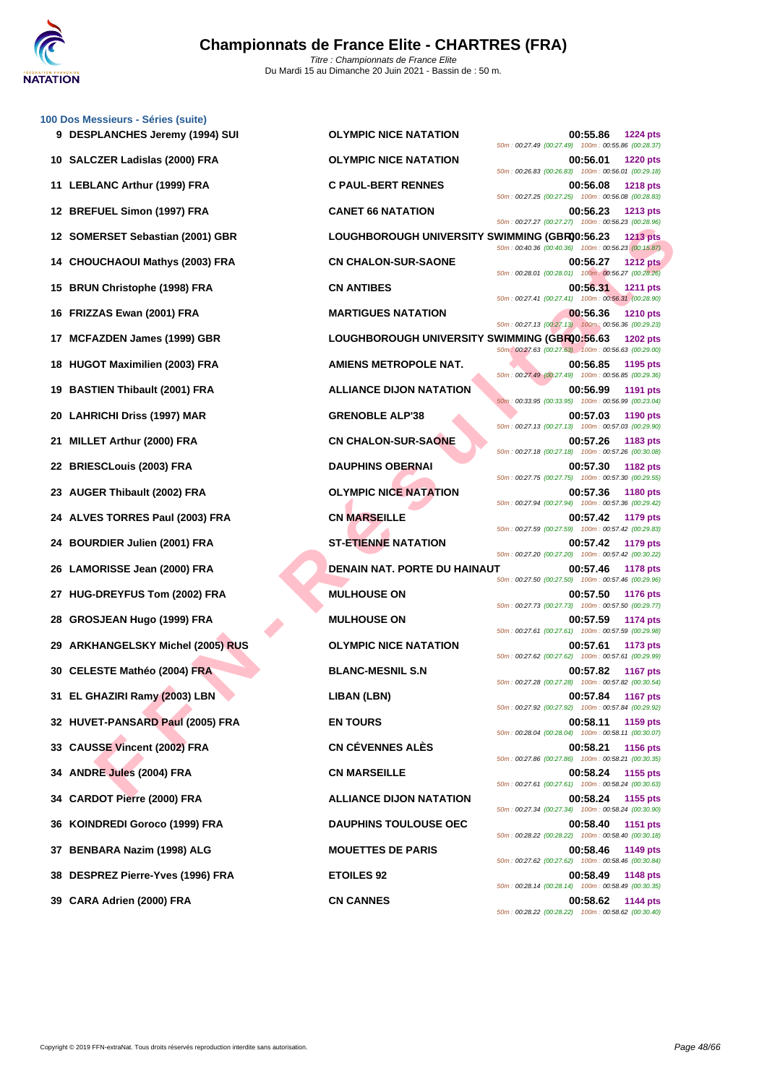

**[100 Dos M](http://www.ffnatation.fr/webffn/index.php)essieurs - Séries (suite)**

|     |                                   |                                               | 50m: 00:27.49 (00:27.49) 100m: 00:55.86 (00:28.37)                                                                   |                 |
|-----|-----------------------------------|-----------------------------------------------|----------------------------------------------------------------------------------------------------------------------|-----------------|
|     | 10 SALCZER Ladislas (2000) FRA    | <b>OLYMPIC NICE NATATION</b>                  | 00:56.01<br>50m: 00:26.83 (00:26.83) 100m: 00:56.01 (00:29.18)                                                       | <b>1220 pts</b> |
|     | 11 LEBLANC Arthur (1999) FRA      | <b>C PAUL-BERT RENNES</b>                     | 00:56.08                                                                                                             | <b>1218 pts</b> |
|     | 12 BREFUEL Simon (1997) FRA       | <b>CANET 66 NATATION</b>                      | 50m: 00:27.25 (00:27.25) 100m: 00:56.08 (00:28.83)<br>00:56.23<br>50m: 00:27.27 (00:27.27) 100m: 00:56.23 (00:28.96) | <b>1213 pts</b> |
|     | 12 SOMERSET Sebastian (2001) GBR  | LOUGHBOROUGH UNIVERSITY SWIMMING (GBR00:56.23 |                                                                                                                      | <b>1213 pts</b> |
|     | 14 CHOUCHAOUI Mathys (2003) FRA   | <b>CN CHALON-SUR-SAONE</b>                    | 50m: 00:40.36 (00:40.36) 100m: 00:56.23 (00:15.87)<br>00:56.27                                                       | <b>1212 pts</b> |
|     | 15 BRUN Christophe (1998) FRA     | <b>CN ANTIBES</b>                             | 50m: 00:28.01 (00:28.01) 100m: 00:56.27 (00:28.26)<br>00:56.31<br>50m: 00:27.41 (00:27.41) 100m: 00:56.31 (00:28.90) | <b>1211 pts</b> |
|     | 16 FRIZZAS Ewan (2001) FRA        | <b>MARTIGUES NATATION</b>                     | 00:56.36                                                                                                             | <b>1210 pts</b> |
| 17  | <b>MCFAZDEN James (1999) GBR</b>  | LOUGHBOROUGH UNIVERSITY SWIMMING (GBR00:56.63 | 50m: 00:27.13 (00:27.13) 100m: 00:56.36 (00:29.23)                                                                   | <b>1202 pts</b> |
|     | 18 HUGOT Maximilien (2003) FRA    | <b>AMIENS METROPOLE NAT.</b>                  | 50m: 00:27.63 (00:27.63) 100m: 00:56.63 (00:29.00)<br>00:56.85                                                       | 1195 pts        |
|     | 19 BASTIEN Thibault (2001) FRA    | <b>ALLIANCE DIJON NATATION</b>                | 50m: 00:27.49 (00:27.49) 100m: 00:56.85 (00:29.36)<br>00:56.99                                                       | <b>1191 pts</b> |
|     | 20 LAHRICHI Driss (1997) MAR      | <b>GRENOBLE ALP'38</b>                        | 50m: 00:33.95 (00:33.95) 100m: 00:56.99 (00:23.04)<br>00:57.03                                                       | <b>1190 pts</b> |
| 21. | MILLET Arthur (2000) FRA          | <b>CN CHALON-SUR-SAONE</b>                    | 50m: 00:27.13 (00:27.13) 100m: 00:57.03 (00:29.90)<br>00:57.26                                                       | 1183 pts        |
|     | 22 BRIESCLouis (2003) FRA         | <b>DAUPHINS OBERNAI</b>                       | 50m: 00:27.18 (00:27.18) 100m: 00:57.26 (00:30.08)<br>00:57.30                                                       | <b>1182 pts</b> |
|     | 23 AUGER Thibault (2002) FRA      | <b>OLYMPIC NICE NATATION</b>                  | 50m: 00:27.75 (00:27.75) 100m: 00:57.30 (00:29.55)<br>00:57.36                                                       | <b>1180 pts</b> |
|     | 24 ALVES TORRES Paul (2003) FRA   | <b>CN MARSEILLE</b>                           | 50m: 00:27.94 (00:27.94) 100m: 00:57.36 (00:29.42)<br>00:57.42                                                       | 1179 pts        |
|     | 24 BOURDIER Julien (2001) FRA     | <b>ST-ETIENNE NATATION</b>                    | 50m: 00:27.59 (00:27.59) 100m: 00:57.42 (00:29.83)<br>00:57.42                                                       | <b>1179 pts</b> |
|     | 26 LAMORISSE Jean (2000) FRA      | <b>DENAIN NAT. PORTE DU HAINAUT</b>           | 50m: 00:27.20 (00:27.20) 100m: 00:57.42 (00:30.22)<br>00:57.46                                                       | <b>1178 pts</b> |
| 27  | HUG-DREYFUS Tom (2002) FRA        | <b>MULHOUSE ON</b>                            | 50m: 00:27.50 (00:27.50) 100m: 00:57.46 (00:29.96)<br>00:57.50                                                       | <b>1176 pts</b> |
| 28  | <b>GROSJEAN Hugo (1999) FRA</b>   | <b>MULHOUSE ON</b>                            | 50m: 00:27.73 (00:27.73) 100m: 00:57.50 (00:29.77)<br>00:57.59                                                       | <b>1174 pts</b> |
|     | 29 ARKHANGELSKY Michel (2005) RUS | <b>OLYMPIC NICE NATATION</b>                  | 50m: 00:27.61 (00:27.61) 100m: 00:57.59 (00:29.98)<br>00:57.61                                                       | 1173 pts        |
|     | 30 CELESTE Mathéo (2004) FRA      | <b>BLANC-MESNIL S.N</b>                       | 50m: 00:27.62 (00:27.62) 100m: 00:57.61 (00:29.99)<br>00:57.82                                                       | <b>1167 pts</b> |
|     | 31 EL GHAZIRI Ramy (2003) LBN     | LIBAN (LBN)                                   | 50m: 00:27.28 (00:27.28) 100m: 00:57.82 (00:30.54)<br>00:57.84                                                       | <b>1167 pts</b> |
|     | 32 HUVET-PANSARD Paul (2005) FRA  | <b>EN TOURS</b>                               | 50m: 00:27.92 (00:27.92) 100m: 00:57.84 (00:29.92)<br>00:58.11                                                       | 1159 pts        |
|     | 33 CAUSSE Vincent (2002) FRA      | <b>CN CÉVENNES ALÈS</b>                       | 50m: 00:28.04 (00:28.04) 100m: 00:58.11 (00:30.07)<br>00:58.21                                                       | <b>1156 pts</b> |
|     | 34 ANDRE Jules (2004) FRA         | <b>CN MARSEILLE</b>                           | 50m: 00:27.86 (00:27.86) 100m: 00:58.21 (00:30.35)<br>00:58.24                                                       | 1155 pts        |
|     | 34 CARDOT Pierre (2000) FRA       | <b>ALLIANCE DIJON NATATION</b>                | 50m: 00:27.61 (00:27.61) 100m: 00:58.24 (00:30.63)<br>00:58.24                                                       | 1155 pts        |
| 36  | KOINDREDI Goroco (1999) FRA       | <b>DAUPHINS TOULOUSE OEC</b>                  | 50m: 00:27.34 (00:27.34) 100m: 00:58.24 (00:30.90)<br>00:58.40                                                       | <b>1151 pts</b> |
| 37  | BENBARA Nazim (1998) ALG          | <b>MOUETTES DE PARIS</b>                      | 50m: 00:28.22 (00:28.22) 100m: 00:58.40 (00:30.18)<br>00:58.46                                                       | 1149 pts        |
|     | 38 DESPREZ Pierre-Yves (1996) FRA | <b>ETOILES 92</b>                             | 50m: 00:27.62 (00:27.62) 100m: 00:58.46 (00:30.84)<br>00:58.49                                                       | <b>1148 pts</b> |
|     | 39 CARA Adrien (2000) FRA         | <b>CN CANNES</b>                              | 50m: 00:28.14 (00:28.14) 100m: 00:58.49 (00:30.35)<br>00:58.62                                                       | <b>1144 pts</b> |
|     |                                   |                                               | 50m : 00:28.22 (00:28.22) 100m : 00:58.62 (00:30.40)                                                                 |                 |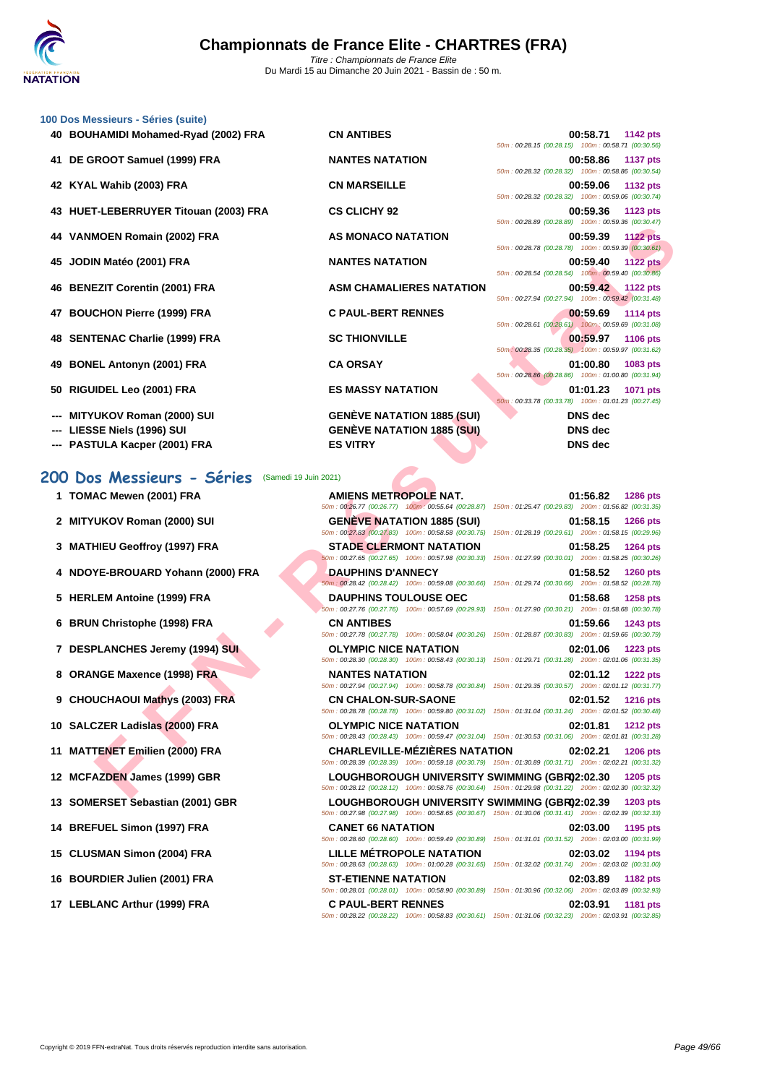| 100 Dos Messieurs - Séries (suite) |
|------------------------------------|
|------------------------------------|

| <b>00 Dos Messieurs - Séries (suite)</b>                       |                                                                                                                                                                                                                                                                   |                                                                                    |
|----------------------------------------------------------------|-------------------------------------------------------------------------------------------------------------------------------------------------------------------------------------------------------------------------------------------------------------------|------------------------------------------------------------------------------------|
| 40 BOUHAMIDI Mohamed-Ryad (2002) FRA                           | <b>CN ANTIBES</b>                                                                                                                                                                                                                                                 | 00:58.71<br>1142 pts<br>50m: 00:28.15 (00:28.15) 100m: 00:58.71 (00:30.56)         |
| 41 DE GROOT Samuel (1999) FRA                                  | <b>NANTES NATATION</b>                                                                                                                                                                                                                                            | 00:58.86<br><b>1137 pts</b><br>50m: 00:28.32 (00:28.32) 100m: 00:58.86 (00:30.54)  |
| 42 KYAL Wahib (2003) FRA                                       | <b>CN MARSEILLE</b>                                                                                                                                                                                                                                               | 00:59.06<br>1132 pts<br>50m: 00:28.32 (00:28.32) 100m: 00:59.06 (00:30.74)         |
| 43 HUET-LEBERRUYER Titouan (2003) FRA                          | <b>CS CLICHY 92</b>                                                                                                                                                                                                                                               | 00:59.36<br>1123 pts<br>50m: 00:28.89 (00:28.89) 100m: 00:59.36 (00:30.47)         |
| 44 VANMOEN Romain (2002) FRA                                   | <b>AS MONACO NATATION</b>                                                                                                                                                                                                                                         | 00:59.39<br><b>1122 pts</b><br>50m: 00:28.78 (00:28.78) 100m: 00:59.39 (00:30.61)  |
| 45 JODIN Matéo (2001) FRA                                      | <b>NANTES NATATION</b>                                                                                                                                                                                                                                            | 00:59.40<br><b>1122 pts</b><br>50m: 00:28.54 (00:28.54) 100m: 00:59.40 (00:30.86)  |
| 46 BENEZIT Corentin (2001) FRA                                 | <b>ASM CHAMALIERES NATATION</b>                                                                                                                                                                                                                                   | 00:59.42<br>1122 pts<br>50m: 00:27.94 (00:27.94) 100m: 00:59.42 (00:31.48)         |
| 47 BOUCHON Pierre (1999) FRA                                   | <b>C PAUL-BERT RENNES</b>                                                                                                                                                                                                                                         | 00:59.69<br>1114 pts                                                               |
| 48 SENTENAC Charlie (1999) FRA                                 | <b>SC THIONVILLE</b>                                                                                                                                                                                                                                              | 50m: 00:28.61 (00:28.61) 100m: 00:59.69 (00:31.08)<br>00:59.97<br>1106 pts         |
| 49 BONEL Antonyn (2001) FRA                                    | <b>CA ORSAY</b>                                                                                                                                                                                                                                                   | 50m: 00:28.35 (00:28.35) 100m: 00:59.97 (00:31.62)<br>01:00.80<br>1083 pts         |
| 50 RIGUIDEL Leo (2001) FRA                                     | <b>ES MASSY NATATION</b>                                                                                                                                                                                                                                          | 50m: 00:28.86 (00:28.86) 100m: 01:00.80 (00:31.94)<br>01:01.23<br>1071 pts         |
| --- MITYUKOV Roman (2000) SUI                                  | <b>GENEVE NATATION 1885 (SUI)</b>                                                                                                                                                                                                                                 | 50m: 00:33.78 (00:33.78) 100m: 01:01.23 (00:27.45)<br><b>DNS</b> dec               |
| ---   LIESSE Niels (1996) SUI                                  | <b>GENÈVE NATATION 1885 (SUI)</b>                                                                                                                                                                                                                                 | <b>DNS</b> dec                                                                     |
| --- PASTULA Kacper (2001) FRA                                  | <b>ES VITRY</b>                                                                                                                                                                                                                                                   | <b>DNS</b> dec                                                                     |
|                                                                |                                                                                                                                                                                                                                                                   |                                                                                    |
| 00 Dos Messieurs - Séries                                      | (Samedi 19 Juin 2021)                                                                                                                                                                                                                                             |                                                                                    |
| 1 TOMAC Mewen (2001) FRA                                       | AMIENS METROPOLE NAT.<br>50m: 00:26.77 (00:26.77) 100m: 00:55.64 (00:28.87) 150m: 01:25.47 (00:29.83) 200m: 01:56.82 (00:31.35)                                                                                                                                   | 01:56.82<br><b>1286 pts</b>                                                        |
| 2 MITYUKOV Roman (2000) SUI                                    | <b>GENEVE NATATION 1885 (SUI)</b><br>50m: 00:27.83 (00:27.83) 100m: 00:58.58 (00:30.75)                                                                                                                                                                           | 01:58.15<br><b>1266 pts</b><br>150m: 01:28.19 (00:29.61) 200m: 01:58.15 (00:29.96) |
| 3 MATHIEU Geoffroy (1997) FRA                                  | <b>STADE CLERMONT NATATION</b><br>50m: 00:27.65 (00:27.65) 100m: 00:57.98 (00:30.33)                                                                                                                                                                              | 01:58.25<br>1264 pts<br>150m: 01:27.99 (00:30.01) 200m: 01:58.25 (00:30.26)        |
| 4 NDOYE-BROUARD Yohann (2000) FRA                              | <b>DAUPHINS D'ANNECY</b><br>50m: 00:28.42 (00:28.42) 100m: 00:59.08 (00:30.66)                                                                                                                                                                                    | 01:58.52<br>1260 pts<br>150m: 01:29.74 (00:30.66) 200m: 01:58.52 (00:28.78)        |
| 5 HERLEM Antoine (1999) FRA                                    | <b>DAUPHINS TOULOUSE OEC</b><br>50m: 00:27.76 (00:27.76) 100m: 00:57.69 (00:29.93) 150m: 01:27.90 (00:30.21) 200m: 01:58.68 (00:30.78)                                                                                                                            | 01:58.68<br><b>1258 pts</b>                                                        |
| 6 BRUN Christophe (1998) FRA                                   | <b>CN ANTIBES</b><br>50m: 00:27.78 (00:27.78) 100m: 00:58.04 (00:30.26)                                                                                                                                                                                           | 01:59.66<br>1243 pts<br>150m: 01:28.87 (00:30.83) 200m: 01:59.66 (00:30.79)        |
| 7 DESPLANCHES Jeremy (1994) SUI                                | <b>OLYMPIC NICE NATATION</b><br>50m : 00:28.30 (00:28.30) 100m : 00:58.43 (00:30.13) 150m : 01:29.71 (00:31.28) 200m : 02:01.06 (00:31.35)                                                                                                                        | 02:01.06<br>1223 pts                                                               |
| 8 ORANGE Maxence (1998) FRA                                    | <b>NANTES NATATION</b><br>50m: 00:27.94 (00:27.94) 100m: 00:58.78 (00:30.84) 150m: 01:29.35 (00:30.57) 200m: 02:01.12 (00:31.77)                                                                                                                                  | 02:01.12<br><b>1222 pts</b>                                                        |
| 9 CHOUCHAOUI Mathys (2003) FRA                                 | <b>CN CHALON-SUR-SAONE</b><br>50m: 00:28.78 (00:28.78) 100m: 00:59.80 (00:31.02) 150m: 01:31.04 (00:31.24) 200m: 02:01.52 (00:30.48)                                                                                                                              | 02:01.52<br><b>1216 pts</b>                                                        |
| 10 SALCZER Ladislas (2000) FRA                                 |                                                                                                                                                                                                                                                                   | 02:01.81<br><b>1212 pts</b>                                                        |
|                                                                | <b>OLYMPIC NICE NATATION</b>                                                                                                                                                                                                                                      |                                                                                    |
|                                                                | 50m: 00:28.43 (00:28.43) 100m: 00:59.47 (00:31.04) 150m: 01:30.53 (00:31.06) 200m: 02:01.81 (00:31.28)<br><b>CHARLEVILLE-MÉZIÈRES NATATION</b>                                                                                                                    | 02:02.21<br><b>1206 pts</b>                                                        |
| 11 MATTENET Emilien (2000) FRA<br>12 MCFAZDEN James (1999) GBR | 50m: 00:28.39 (00:28.39) 100m: 00:59.18 (00:30.79) 150m: 01:30.89 (00:31.71) 200m: 02:02.21 (00:31.32)<br>LOUGHBOROUGH UNIVERSITY SWIMMING (GBR02:02.30<br>50m: 00:28.12 (00:28.12) 100m: 00:58.76 (00:30.64) 150m: 01:29.98 (00:31.22) 200m: 02:02.30 (00:32.32) | <b>1205 pts</b>                                                                    |

- **--- LIESSE Niels (1996) SUI GENÈVE NATATION 1885 (SUI) DNS dec**
- **--- PASTULA Kacper (2001) FRA ES VITRY DNS dec**

### **200 Dos Messieurs - Séries** (Samedi 19 Juin 2021)

- 
- 
- 
- 
- 
- 
- 
- 
- 
- 
- 
- 
- 
- 
- 
- 
- 

**1 TOMAC Mewen (2001) FRA AMIENS METROPOLE NAT. 01:56.82 1286 pts** 50m : 00:26.77 (00:26.77) 100m : 00:55.64 (00:28.87) 150m : 01:25.47 (00:29.83) 200m : 01:56.82 (00:31.35) **2 MITYUKOV Roman (2000) SUI GENÈVE NATATION 1885 (SUI) 01:58.15 1266 pts** 50m : 00:27.83 (00:27.83) 100m : 00:58.58 (00:30.75) 150m : 01:28.19 (00:29.61) 200m : 01:58.15 (00:29.96) **3 MATHIEU Geoffroy (1997) FRA STADE CLERMONT NATATION 01:58.25 1264 pts** 50m : 00:27.65 (00:27.65) 100m : 00:57.98 (00:30.33) 150m : 01:27.99 (00:30.01) 200m : 01:58.25 (00:30.26) **4 NDOYE-BROUARD Yohann (2000) FRA DAUPHINS D'ANNECY 01:58.52 1260 pts** 50m : 00:28.42 (00:28.42) 100m : 00:59.08 (00:30.66) 150m : 01:29.74 (00:30.66) 200m : 01:58.52 (00:28.78) **5 HERLEM Antoine (1999) FRA DAUPHINS TOULOUSE OEC 01:58.68 1258 pts** 50m : 00:27.76 (00:27.76) 100m : 00:57.69 (00:29.93) 150m : 01:27.90 (00:30.21) 200m : 01:58.68 (00:30.78) **6 BRUN Christophe (1998) FRA CN ANTIBES 01:59.66 1243 pts** 50m : 00:27.78 (00:27.78) 100m : 00:58.04 (00:30.26) 150m : 01:28.87 (00:30.83) 200m : 01:59.66 (00:30.79) **7 DESPLANCHES Jeremy (1994) SUI OLYMPIC NICE NATATION 02:01.06 1223 pts** 50m : 00:28.30 (00:28.30) 100m : 00:58.43 (00:30.13) 150m : 01:29.71 (00:31.28) 200m : 02:01.06 (00:31.35) **8 ORANGE Maxence (1998) FRA NANTES NATATION 02:01.12 1222 pts** 50m : 00:27.94 (00:27.94) 100m : 00:58.78 (00:30.84) 150m : 01:29.35 (00:30.57) 200m : 02:01.12 (00:31.77) **9 CHOUCHAOUI Mathys (2003) FRA CN CHALON-SUR-SAONE 02:01.52 1216 pts** 50m : 00:28.78 (00:28.78) 100m : 00:59.80 (00:31.02) 150m : 01:31.04 (00:31.24) 200m : 02:01.52 (00:30.48) **10 SALCZER Ladislas (2000) FRA OLYMPIC NICE NATATION 02:01.81 1212 pts** 50m : 00:28.43 (00:28.43) 100m : 00:59.47 (00:31.04) 150m : 01:30.53 (00:31.06) 200m : 02:01.81 (00:31.28) **11 MATTENET Emilien (2000) FRA CHARLEVILLE-MÉZIÈRES NATATION 02:02.21 1206 pts** 50m : 00:28.39 (00:28.39) 100m : 00:59.18 (00:30.79) 150m : 01:30.89 (00:31.71) 200m : 02:02.21 (00:31.32) **12 MCFAZDEN James (1999) GBR <b>LOUGHBOROUGH UNIVERSITY SWIMMING (GBR)2:02.30 1205 pts** 50m : 00:28.12 (00:28.12) 100m : 00:58.76 (00:30.64) 150m : 01:29.98 (00:31.22) 200m : 02:02.30 (00:32.32) **13** SOMERSET Sebastian (2001) GBR **LOUGHBOROUGH UNIVERSITY SWIMMING (GBR)2:02.39 1203** pts 50m : 00:27.98 (00:27.98) 100m : 00:58.65 (00:30.67) 150m : 01:30.06 (00:31.41) 200m : 02:02.39 (00:32.33) **14 BREFUEL Simon (1997) FRA CANET 66 NATATION 02:03.00 1195 pts** 50m : 00:28.60 (00:28.60) 100m : 00:59.49 (00:30.89) 150m : 01:31.01 (00:31.52) 200m : 02:03.00 (00:31.99) **15 CLUSMAN Simon (2004) FRA LILLE MÉTROPOLE NATATION 02:03.02 1194 pts** 50m : 00:28.63 (00:28.63) 100m : 01:00.28 (00:31.65) 150m : 01:32.02 (00:31.74) 200m : 02:03.02 (00:31.00) **16 BOURDIER Julien (2001) FRA ST-ETIENNE NATATION 02:03.89 1182 pts**

#### **40 BOUHAMIDI Mohamed-Ryad (2002) FRA CN ANTIBES 00:58.71 1142 pts** 0.28.15 (00.28.15) 100m : 00:58.71 (00:30.56) **41 DE GROOT Samuel (1999) FRA NANTES NATATION 00:58.86 1137 pts** 0:28.32 (00:28.32) 100m : 00:58.86 (00:30.54) **42 KYAL Wahib (2003) FRA CN MARSEILLE 00:59.06 1132 pts** 50m : 00:28.32 (00:28.32) 100m : 00:59.06 (00:30.74) **43 HUET-LEBERRUYER Titouan (2003) FRA CS CLICHY 92 00:59.36 1123 pts** 0:28.89 (00:28.89) 100m : 00:59.36 (00:30.47) **44 VANMOEN Romain (2002) FRA AS MONACO NATATION 00:59.39 1122 pts** 50m : 00:28.78 (00:28.78) 100m : 00:59.39 (00:30.61) **45 JODIN Matéo (2001) FRA NANTES NATATION 00:59.40 1122 pts** 0:28.54 (00:28.54) 100m : 00:59.40 (00:30.86) **46 BENEZIT Corentin (2001) FRA ASM CHAMALIERES NATATION 00:59.42 1122 pts** 50m : 00:27.94 (00:27.94) 100m : 00:59.42 (00:31.48) **47 BOUCHON Pierre (1999) FRA C PAUL-BERT RENNES 00:59.69 1114 pts** 0:28.61 (00:28.61) 100m : 00:59.69 (00:31.08) **48 SENTENAC Charlie (1999) FRA SC THIONVILLE 00:59.97 1106 pts** 50m : 00:28.35 (00:28.35) 100m : 00:59.97 (00:31.62)

50m : 00:28.01 (00:28.01) 100m : 00:58.90 (00:30.89) 150m : 01:30.96 (00:32.06) 200m : 02:03.89 (00:32.93) **17 LEBLANC Arthur (1999) FRA C PAUL-BERT RENNES 02:03.91 1181 pts** 50m : 00:28.22 (00:28.22) 100m : 00:58.83 (00:30.61) 150m : 01:31.06 (00:32.23) 200m : 02:03.91 (00:32.85)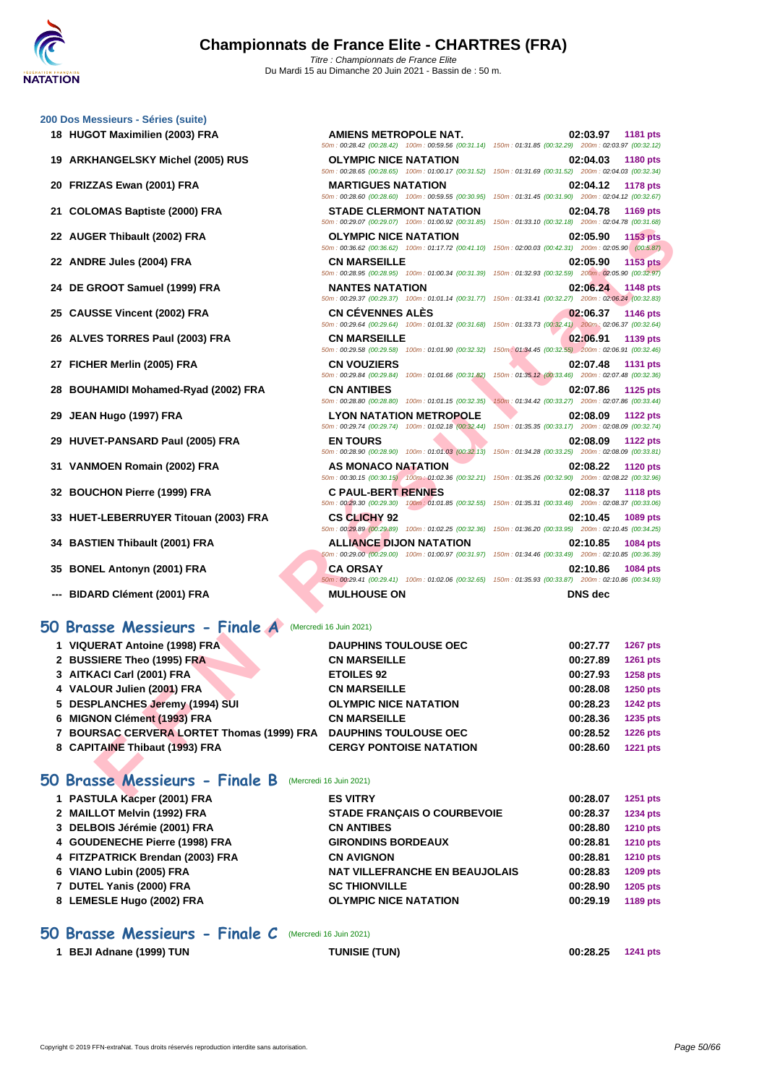**[200 Dos M](http://www.ffnatation.fr/webffn/index.php)essieurs - Séries (suite)**

| 18 HUGOT Maximilien (2003) FRA                                                                                                                                                                                                                                                                                                                                                 | <b>AMIENS METROPOLE NAT.</b>                                                         | 02:03.97<br><b>1181 pts</b><br>50m : 00:28.42 (00:28.42) 100m : 00:59.56 (00:31.14) 150m : 01:31.85 (00:32.29) 200m : 02:03.97 (00:32.12) |
|--------------------------------------------------------------------------------------------------------------------------------------------------------------------------------------------------------------------------------------------------------------------------------------------------------------------------------------------------------------------------------|--------------------------------------------------------------------------------------|-------------------------------------------------------------------------------------------------------------------------------------------|
| 19 ARKHANGELSKY Michel (2005) RUS                                                                                                                                                                                                                                                                                                                                              | <b>OLYMPIC NICE NATATION</b>                                                         | 02:04.03<br>1180 pts<br>50m: 00:28.65 (00:28.65) 100m: 01:00.17 (00:31.52) 150m: 01:31.69 (00:31.52) 200m: 02:04.03 (00:32.34)            |
| 20 FRIZZAS Ewan (2001) FRA                                                                                                                                                                                                                                                                                                                                                     | <b>MARTIGUES NATATION</b><br>50m: 00:28.60 (00:28.60) 100m: 00:59.55 (00:30.95)      | <b>1178 pts</b><br>02:04.12<br>150m: 01:31.45 (00:31.90) 200m: 02:04.12 (00:32.67)                                                        |
| 21 COLOMAS Baptiste (2000) FRA                                                                                                                                                                                                                                                                                                                                                 | <b>STADE CLERMONT NATATION</b><br>50m: 00:29.07 (00:29.07) 100m: 01:00.92 (00:31.85) | 02:04.78<br>1169 pts<br>150m: 01:33.10 (00:32.18) 200m: 02:04.78 (00:31.68)                                                               |
| 22 AUGER Thibault (2002) FRA                                                                                                                                                                                                                                                                                                                                                   | <b>OLYMPIC NICE NATATION</b>                                                         | 02:05.90<br><b>1153 pts</b><br>50m : 00:36.62 (00:36.62) 100m : 01:17.72 (00:41.10) 150m : 02:00.03 (00:42.31) 200m : 02:05.90 (00:5.87)  |
| 22 ANDRE Jules (2004) FRA                                                                                                                                                                                                                                                                                                                                                      | <b>CN MARSEILLE</b>                                                                  | 02:05.90<br>1153 pts<br>50m : 00:28.95 (00:28.95) 100m : 01:00.34 (00:31.39) 150m : 01:32.93 (00:32.59) 200m : 02:05.90 (00:32.97)        |
| 24 DE GROOT Samuel (1999) FRA                                                                                                                                                                                                                                                                                                                                                  | <b>NANTES NATATION</b>                                                               | 02:06.24<br>1148 pts<br>50m: 00:29.37 (00:29.37) 100m: 01:01.14 (00:31.77) 150m: 01:33.41 (00:32.27) 200m: 02:06.24 (00:32.83)            |
| 25 CAUSSE Vincent (2002) FRA                                                                                                                                                                                                                                                                                                                                                   | <b>CN CEVENNES ALES</b>                                                              | 02:06.37<br>1146 pts<br>50m: 00:29.64 (00:29.64) 100m: 01:01.32 (00:31.68) 150m: 01:33.73 (00:32.41) 200m: 02:06.37 (00:32.64)            |
| 26 ALVES TORRES Paul (2003) FRA                                                                                                                                                                                                                                                                                                                                                | <b>CN MARSEILLE</b>                                                                  | 02:06.91<br>1139 pts<br>50m: 00:29.58 (00:29.58) 100m: 01:01.90 (00:32.32) 150m: 01:34.45 (00:32.55) 200m: 02:06.91 (00:32.46)            |
| 27 FICHER Merlin (2005) FRA                                                                                                                                                                                                                                                                                                                                                    | <b>CN VOUZIERS</b><br>50m: 00:29.84 (00:29.84) 100m: 01:01.66 (00:31.82)             | 02:07.48<br><b>1131 pts</b><br>150m: 01:35.12 (00:33.46) 200m: 02:07.48 (00:32.36)                                                        |
| 28 BOUHAMIDI Mohamed-Ryad (2002) FRA                                                                                                                                                                                                                                                                                                                                           | <b>CN ANTIBES</b><br>50m: 00:28.80 (00:28.80) 100m: 01:01.15 (00:32.35)              | 02:07.86<br>1125 pts<br>150m: 01:34.42 (00:33.27) 200m: 02:07.86 (00:33.44)                                                               |
| 29 JEAN Hugo (1997) FRA                                                                                                                                                                                                                                                                                                                                                        | <b>LYON NATATION METROPOLE</b><br>50m: 00:29.74 (00:29.74) 100m: 01:02.18 (00:32.44) | 02:08.09<br><b>1122 pts</b><br>150m: 01:35.35 (00:33.17) 200m: 02:08.09 (00:32.74)                                                        |
| 29 HUVET-PANSARD Paul (2005) FRA                                                                                                                                                                                                                                                                                                                                               | <b>EN TOURS</b>                                                                      | 02:08.09<br><b>1122 pts</b><br>50m: 00:28.90 (00:28.90) 100m: 01:01.03 (00:32.13) 150m: 01:34.28 (00:33.25) 200m: 02:08.09 (00:33.81)     |
| 31 VANMOEN Romain (2002) FRA                                                                                                                                                                                                                                                                                                                                                   | AS MONACO NATATION                                                                   | 02:08.22<br><b>1120 pts</b><br>50m: 00:30.15 (00:30.15) 100m: 01:02.36 (00:32.21) 150m: 01:35.26 (00:32.90) 200m: 02:08.22 (00:32.96)     |
| 32 BOUCHON Pierre (1999) FRA                                                                                                                                                                                                                                                                                                                                                   | <b>C PAUL-BERT RENNES</b>                                                            | 02:08.37<br><b>1118 pts</b><br>50m: 00:29.30 (00:29.30) 100m: 01:01.85 (00:32.55) 150m: 01:35.31 (00:33.46) 200m: 02:08.37 (00:33.06)     |
| 33 HUET-LEBERRUYER Titouan (2003) FRA                                                                                                                                                                                                                                                                                                                                          | <b>CS CLICHY 92</b>                                                                  | 02:10.45<br>1089 pts<br>50m: 00:29.89 (00:29.89) 100m: 01:02.25 (00:32.36) 150m: 01:36.20 (00:33.95) 200m: 02:10.45 (00:34.25)            |
| 34 BASTIEN Thibault (2001) FRA                                                                                                                                                                                                                                                                                                                                                 | <b>ALLIANCE DIJON NATATION</b>                                                       | 02:10.85<br>1084 pts<br>50m: 00:29.00 (00:29.00) 100m: 01:00.97 (00:31.97) 150m: 01:34.46 (00:33.49) 200m: 02:10.85 (00:36.39)            |
| 35 BONEL Antonyn (2001) FRA                                                                                                                                                                                                                                                                                                                                                    | <b>CA ORSAY</b>                                                                      | 02:10.86<br>1084 pts<br>50m : 00:29.41 (00:29.41) 100m : 01:02.06 (00:32.65) 150m : 01:35.93 (00:33.87) 200m : 02:10.86 (00:34.93)        |
| --- BIDARD Clément (2001) FRA                                                                                                                                                                                                                                                                                                                                                  | <b>MULHOUSE ON</b>                                                                   | <b>DNS</b> dec                                                                                                                            |
| O Brasse Messieurs - Finale A                                                                                                                                                                                                                                                                                                                                                  | (Mercredi 16 Juin 2021)                                                              |                                                                                                                                           |
| 1 VIQUERAT Antoine (1998) FRA                                                                                                                                                                                                                                                                                                                                                  | <b>DAUPHINS TOULOUSE OEC</b>                                                         | 00:27.77<br>1267 pts                                                                                                                      |
| 2 BUSSIERE Theo (1995) FRA                                                                                                                                                                                                                                                                                                                                                     | <b>CN MARSEILLE</b>                                                                  | 00:27.89<br>1261 pts                                                                                                                      |
| 3 AITKACI Carl (2001) FRA                                                                                                                                                                                                                                                                                                                                                      | <b>ETOILES 92</b>                                                                    | 00:27.93<br>1258 pts                                                                                                                      |
| 4 VALOUR Julien (2001) FRA                                                                                                                                                                                                                                                                                                                                                     | <b>CN MARSEILLE</b>                                                                  | 00:28.08<br>1250 pts                                                                                                                      |
| 5 DESPLANCHES Jeremy (1994) SUI                                                                                                                                                                                                                                                                                                                                                | <b>OLYMPIC NICE NATATION</b>                                                         | 00:28.23<br><b>1242 pts</b>                                                                                                               |
| 6 MIGNON Clément (1993) FRA                                                                                                                                                                                                                                                                                                                                                    | <b>CN MARSEILLE</b>                                                                  | 00:28.36<br>1235 pts                                                                                                                      |
| 7 BOURSAC CERVERA LORTET Thomas (1999) FRA                                                                                                                                                                                                                                                                                                                                     | <b>DAUPHINS TOULOUSE OEC</b>                                                         | 00:28.52<br><b>1226 pts</b>                                                                                                               |
| 8 CAPITAINE Thibaut (1993) FRA                                                                                                                                                                                                                                                                                                                                                 | <b>CERGY PONTOISE NATATION</b>                                                       | 00:28.60<br><b>1221 pts</b>                                                                                                               |
| O Brasse Messieurs - Finale B                                                                                                                                                                                                                                                                                                                                                  | (Mercredi 16 Juin 2021)                                                              |                                                                                                                                           |
| $\overline{1}$ DACTLE A $\overline{1}$ $\overline{2}$ $\overline{2}$ $\overline{2}$ $\overline{2}$ $\overline{2}$ $\overline{2}$ $\overline{2}$ $\overline{2}$ $\overline{2}$ $\overline{2}$ $\overline{2}$ $\overline{2}$ $\overline{2}$ $\overline{2}$ $\overline{2}$ $\overline{2}$ $\overline{2}$ $\overline{2}$ $\overline{2}$ $\overline{2}$ $\overline{2}$ $\overline{$ | <b>COMTOV</b>                                                                        | 00.0007<br>$A$ of $A$ $\rightarrow$ $A$ $\rightarrow$                                                                                     |

- **34 BASTIEN Thibault (2001) FRA ALLIANCE DIJON NATATION 02:10.85 1084 pts**
- **35 BONEL Antonyn (2001) FRA CA ORSAY 02:10.86 1084 pts**
- **--- BIDARD Clément (2001) FRA MULHOUSE ON DNS dec**

### **50 Brasse Messieurs - Finale A** (Mercredi 16 Juin 2021)

| 1 VIQUERAT Antoine (1998) FRA              | <b>DAUPHINS TOULOUSE OEC</b>   | 00:27.77 | <b>1267 pts</b> |
|--------------------------------------------|--------------------------------|----------|-----------------|
| 2 BUSSIERE Theo (1995) FRA                 | <b>CN MARSEILLE</b>            | 00:27.89 | <b>1261 pts</b> |
| 3 AITKACI Carl (2001) FRA                  | <b>ETOILES 92</b>              | 00:27.93 | 1258 pts        |
| 4 VALOUR Julien (2001) FRA                 | <b>CN MARSEILLE</b>            | 00:28.08 | <b>1250 pts</b> |
| 5 DESPLANCHES Jeremy (1994) SUI            | <b>OLYMPIC NICE NATATION</b>   | 00:28.23 | <b>1242 pts</b> |
| 6 MIGNON Clément (1993) FRA                | <b>CN MARSEILLE</b>            | 00:28.36 | 1235 pts        |
| 7 BOURSAC CERVERA LORTET Thomas (1999) FRA | <b>DAUPHINS TOULOUSE OEC</b>   | 00:28.52 | <b>1226 pts</b> |
| 8 CAPITAINE Thibaut (1993) FRA             | <b>CERGY PONTOISE NATATION</b> | 00:28.60 | <b>1221 pts</b> |
|                                            |                                |          |                 |

### **50 Brasse Messieurs - Finale B** (Mercredi 16 Juin 2021)

| 1 PASTULA Kacper (2001) FRA      | <b>ES VITRY</b>                       | 00:28.07 | 1251 pts        |
|----------------------------------|---------------------------------------|----------|-----------------|
| 2 MAILLOT Melvin (1992) FRA      | <b>STADE FRANCAIS O COURBEVOIE</b>    | 00:28.37 | 1234 pts        |
| 3 DELBOIS Jérémie (2001) FRA     | <b>CN ANTIBES</b>                     | 00:28.80 | <b>1210 pts</b> |
| 4 GOUDENECHE Pierre (1998) FRA   | <b>GIRONDINS BORDEAUX</b>             | 00:28.81 | <b>1210 pts</b> |
| 4 FITZPATRICK Brendan (2003) FRA | <b>CN AVIGNON</b>                     | 00:28.81 | <b>1210 pts</b> |
| 6 VIANO Lubin (2005) FRA         | <b>NAT VILLEFRANCHE EN BEAUJOLAIS</b> | 00:28.83 | <b>1209 pts</b> |
| 7 DUTEL Yanis (2000) FRA         | <b>SC THIONVILLE</b>                  | 00:28.90 | 1205 pts        |
| 8 LEMESLE Hugo (2002) FRA        | <b>OLYMPIC NICE NATATION</b>          | 00:29.19 | 1189 pts        |
|                                  |                                       |          |                 |

#### **50 Brasse Messieurs - Finale C** (Mercredi 16 Juin 2021)

| 1 BEJI Adnane (1999) TUN | <b>TUNISIE (TUN)</b> | 00:28.25 1241 pts |  |
|--------------------------|----------------------|-------------------|--|
|                          |                      |                   |  |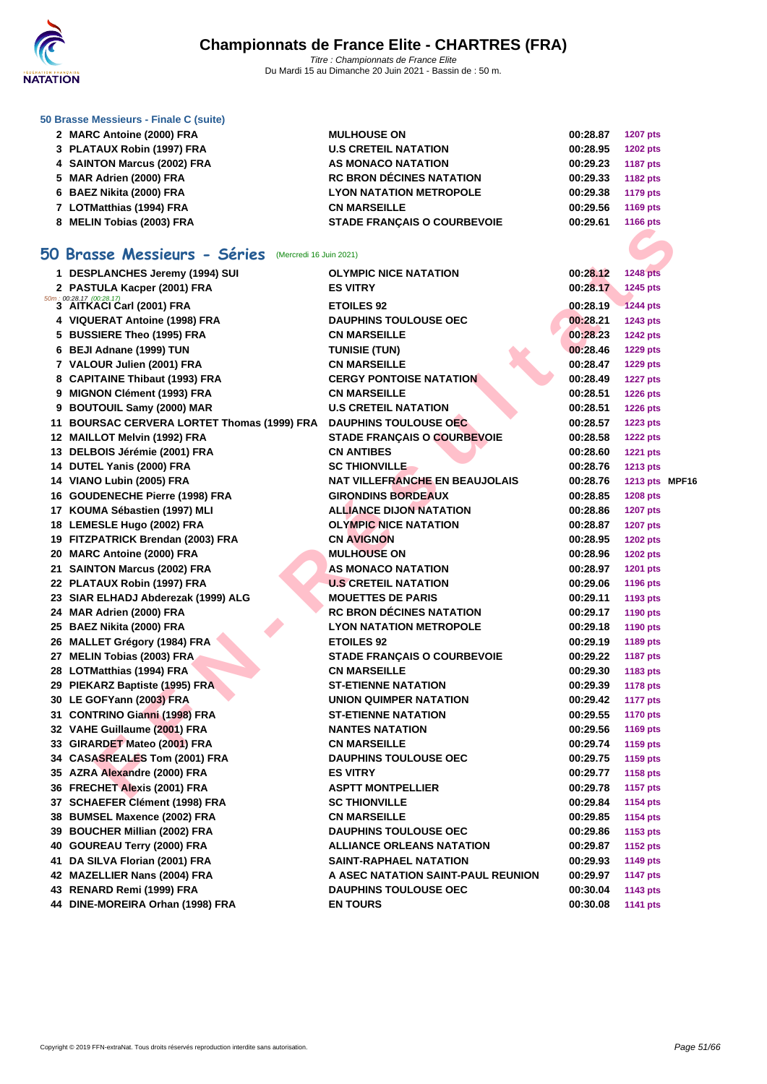

|  |  | 50 Brasse Messieurs - Finale C (suite) |  |  |  |  |
|--|--|----------------------------------------|--|--|--|--|
|--|--|----------------------------------------|--|--|--|--|

|    | 2 MARC Antoine (2000) FRA                               | <b>MULHOUSE ON</b>                    | 00:28.87 | <b>1207 pts</b> |  |
|----|---------------------------------------------------------|---------------------------------------|----------|-----------------|--|
|    | 3 PLATAUX Robin (1997) FRA                              | <b>U.S CRETEIL NATATION</b>           | 00:28.95 | <b>1202 pts</b> |  |
|    | 4 SAINTON Marcus (2002) FRA                             | <b>AS MONACO NATATION</b>             | 00:29.23 | <b>1187 pts</b> |  |
|    | 5 MAR Adrien (2000) FRA                                 | <b>RC BRON DÉCINES NATATION</b>       | 00:29.33 | 1182 pts        |  |
|    | 6 BAEZ Nikita (2000) FRA                                | <b>LYON NATATION METROPOLE</b>        | 00:29.38 | <b>1179 pts</b> |  |
|    | 7 LOTMatthias (1994) FRA                                | <b>CN MARSEILLE</b>                   | 00:29.56 | <b>1169 pts</b> |  |
|    | 8 MELIN Tobias (2003) FRA                               | <b>STADE FRANÇAIS O COURBEVOIE</b>    | 00:29.61 | 1166 pts        |  |
|    |                                                         |                                       |          |                 |  |
|    | 50 Brasse Messieurs - Séries<br>(Mercredi 16 Juin 2021) |                                       |          |                 |  |
|    | 1 DESPLANCHES Jeremy (1994) SUI                         | <b>OLYMPIC NICE NATATION</b>          | 00:28.12 | <b>1248 pts</b> |  |
|    | 2 PASTULA Kacper (2001) FRA                             | <b>ES VITRY</b>                       | 00:28.17 | 1245 pts        |  |
|    | 50m; 00:28.17 (00:28.17)<br>3 AITKACI Carl (2001) FRA   | <b>ETOILES 92</b>                     | 00:28.19 | <b>1244 pts</b> |  |
|    | 4 VIQUERAT Antoine (1998) FRA                           | <b>DAUPHINS TOULOUSE OEC</b>          | 00:28.21 | 1243 pts        |  |
|    | 5 BUSSIERE Theo (1995) FRA                              | <b>CN MARSEILLE</b>                   | 00:28.23 | <b>1242 pts</b> |  |
|    | 6 BEJI Adnane (1999) TUN                                | <b>TUNISIE (TUN)</b>                  | 00:28.46 | <b>1229 pts</b> |  |
|    | 7 VALOUR Julien (2001) FRA                              | <b>CN MARSEILLE</b>                   | 00:28.47 | <b>1229 pts</b> |  |
|    | 8 CAPITAINE Thibaut (1993) FRA                          | <b>CERGY PONTOISE NATATION</b>        | 00:28.49 | <b>1227 pts</b> |  |
|    |                                                         |                                       |          |                 |  |
|    | 9 MIGNON Clément (1993) FRA                             | <b>CN MARSEILLE</b>                   | 00:28.51 | <b>1226 pts</b> |  |
|    | 9 BOUTOUIL Samy (2000) MAR                              | <b>U.S CRETEIL NATATION</b>           | 00:28.51 | <b>1226 pts</b> |  |
| 11 | <b>BOURSAC CERVERA LORTET Thomas (1999) FRA</b>         | <b>DAUPHINS TOULOUSE OEC</b>          | 00:28.57 | <b>1223 pts</b> |  |
|    | 12 MAILLOT Melvin (1992) FRA                            | <b>STADE FRANÇAIS O COURBEVOIE</b>    | 00:28.58 | <b>1222 pts</b> |  |
|    | 13 DELBOIS Jérémie (2001) FRA                           | <b>CN ANTIBES</b>                     | 00:28.60 | <b>1221 pts</b> |  |
|    | 14 DUTEL Yanis (2000) FRA                               | <b>SC THIONVILLE</b>                  | 00:28.76 | <b>1213 pts</b> |  |
|    | 14 VIANO Lubin (2005) FRA                               | <b>NAT VILLEFRANCHE EN BEAUJOLAIS</b> | 00:28.76 | 1213 pts MPF16  |  |
|    | 16 GOUDENECHE Pierre (1998) FRA                         | <b>GIRONDINS BORDEAUX</b>             | 00:28.85 | <b>1208 pts</b> |  |
|    | 17 KOUMA Sébastien (1997) MLI                           | <b>ALLIANCE DIJON NATATION</b>        | 00:28.86 | <b>1207 pts</b> |  |
|    | 18 LEMESLE Hugo (2002) FRA                              | <b>OLYMPIC NICE NATATION</b>          | 00:28.87 | <b>1207 pts</b> |  |
|    | 19 FITZPATRICK Brendan (2003) FRA                       | <b>CN AVIGNON</b>                     | 00:28.95 | <b>1202 pts</b> |  |
|    | 20 MARC Antoine (2000) FRA                              | <b>MULHOUSE ON</b>                    | 00:28.96 | <b>1202 pts</b> |  |
|    | 21 SAINTON Marcus (2002) FRA                            | <b>AS MONACO NATATION</b>             | 00:28.97 | <b>1201 pts</b> |  |
|    | 22 PLATAUX Robin (1997) FRA                             | <b>U.S CRETEIL NATATION</b>           | 00:29.06 | <b>1196 pts</b> |  |
|    | 23 SIAR ELHADJ Abderezak (1999) ALG                     | <b>MOUETTES DE PARIS</b>              | 00:29.11 | 1193 pts        |  |
|    | 24 MAR Adrien (2000) FRA                                | <b>RC BRON DÉCINES NATATION</b>       | 00:29.17 | <b>1190 pts</b> |  |
|    | 25 BAEZ Nikita (2000) FRA                               | <b>LYON NATATION METROPOLE</b>        | 00:29.18 | <b>1190 pts</b> |  |
|    | 26 MALLET Grégory (1984) FRA                            | <b>ETOILES 92</b>                     | 00:29.19 | 1189 pts        |  |
|    | 27 MELIN Tobias (2003) FRA                              | <b>STADE FRANÇAIS O COURBEVOIE</b>    | 00:29.22 | <b>1187 pts</b> |  |
|    | 28 LOTMatthias (1994) FRA                               | <b>CN MARSEILLE</b>                   | 00:29.30 | 1183 pts        |  |
|    | 29 PIEKARZ Baptiste (1995) FRA                          | ST-ETIENNE NATATION                   | 00:29.39 | <b>1178 pts</b> |  |
|    | 30 LE GOFYann (2003) FRA                                | UNION QUIMPER NATATION                | 00:29.42 | <b>1177 pts</b> |  |
|    | 31 CONTRINO Gianni (1998) FRA                           | <b>ST-ETIENNE NATATION</b>            | 00:29.55 | <b>1170 pts</b> |  |
|    | 32 VAHE Guillaume (2001) FRA                            | <b>NANTES NATATION</b>                | 00:29.56 | <b>1169 pts</b> |  |
|    | 33 GIRARDET Mateo (2001) FRA                            | <b>CN MARSEILLE</b>                   | 00:29.74 | 1159 pts        |  |
|    | 34 CASASREALES Tom (2001) FRA                           | <b>DAUPHINS TOULOUSE OEC</b>          | 00:29.75 | 1159 pts        |  |
|    | 35 AZRA Alexandre (2000) FRA                            | <b>ES VITRY</b>                       | 00:29.77 | 1158 pts        |  |
|    | 36 FRECHET Alexis (2001) FRA                            | <b>ASPTT MONTPELLIER</b>              | 00:29.78 | <b>1157 pts</b> |  |
|    | 37 SCHAEFER Clément (1998) FRA                          | <b>SC THIONVILLE</b>                  | 00:29.84 | <b>1154 pts</b> |  |
|    | 38 BUMSEL Maxence (2002) FRA                            | <b>CN MARSEILLE</b>                   | 00:29.85 | <b>1154 pts</b> |  |
|    | 39 BOUCHER Millian (2002) FRA                           | <b>DAUPHINS TOULOUSE OEC</b>          | 00:29.86 | 1153 pts        |  |
|    | 40 GOUREAU Terry (2000) FRA                             | <b>ALLIANCE ORLEANS NATATION</b>      | 00:29.87 | <b>1152 pts</b> |  |
|    | 41 DA SILVA Florian (2001) FRA                          | SAINT-RAPHAEL NATATION                | 00:29.93 | <b>1149 pts</b> |  |
|    | 42 MAZELLIER Nans (2004) FRA                            | A ASEC NATATION SAINT-PAUL REUNION    | 00:29.97 | <b>1147 pts</b> |  |
|    | 43 RENARD Remi (1999) FRA                               | <b>DAUPHINS TOULOUSE OEC</b>          | 00:30.04 | 1143 pts        |  |
|    | 44 DINE-MOREIRA Orhan (1998) FRA                        | <b>EN TOURS</b>                       | 00:30.08 | 1141 pts        |  |
|    |                                                         |                                       |          |                 |  |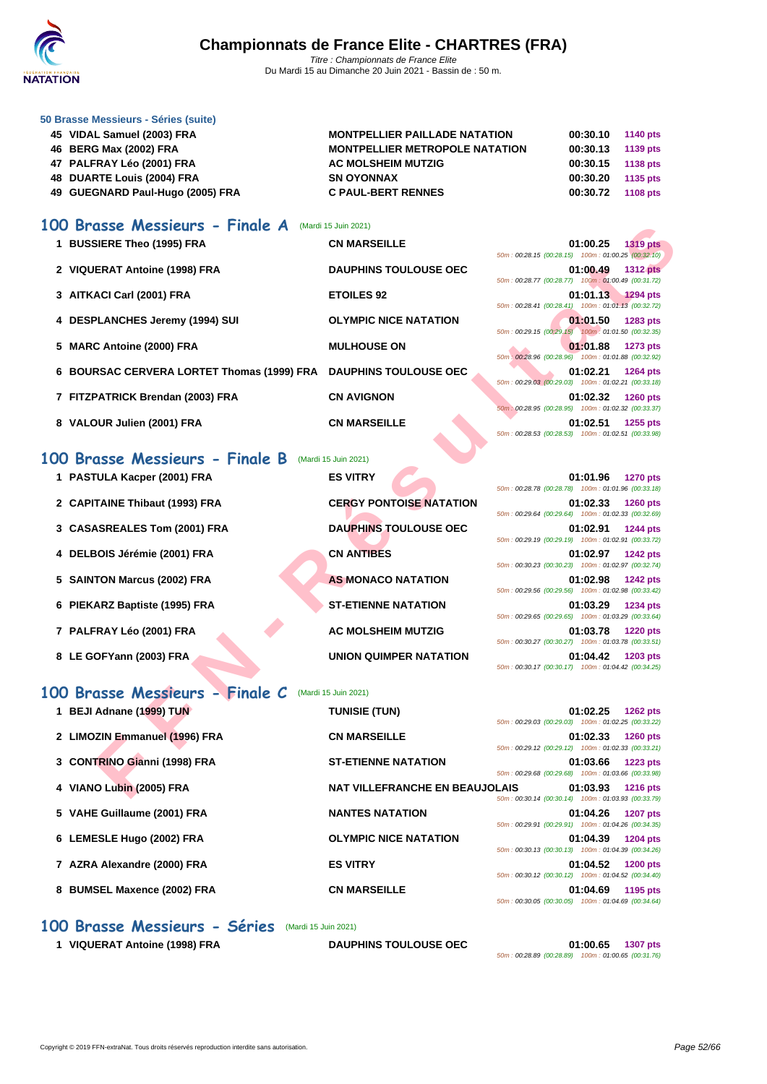

#### **[50 Brasse](http://www.ffnatation.fr/webffn/index.php) Messieurs - Séries (suite)**

| 45 VIDAL Samuel (2003) FRA       | <b>MONTPELLIER PAILLADE NATATION</b>  | 00:30.10 | 1140 pts |
|----------------------------------|---------------------------------------|----------|----------|
| 46 BERG Max (2002) FRA           | <b>MONTPELLIER METROPOLE NATATION</b> | 00:30.13 | 1139 pts |
| 47 PALFRAY Léo (2001) FRA        | <b>AC MOLSHEIM MUTZIG</b>             | 00:30.15 | 1138 pts |
| 48 DUARTE Louis (2004) FRA       | <b>SN OYONNAX</b>                     | 00:30.20 | 1135 pts |
| 49 GUEGNARD Paul-Hugo (2005) FRA | <b>C PAUL-BERT RENNES</b>             | 00:30.72 | 1108 pts |

#### **100 Brasse Messieurs - Finale A** (Mardi 15 Juin 2021)

| Brasse Messieurs - Finale A                | (Mardi 15 Juin 2021)                  |                                                                                                                                         |
|--------------------------------------------|---------------------------------------|-----------------------------------------------------------------------------------------------------------------------------------------|
| 1 BUSSIERE Theo (1995) FRA                 | <b>CN MARSEILLE</b>                   | 01:00.25<br><b>1319 pts</b><br>50m: 00:28.15 (00:28.15) 100m: 01:00.25 (00:32.10)                                                       |
| 2 VIQUERAT Antoine (1998) FRA              | <b>DAUPHINS TOULOUSE OEC</b>          | 01:00.49<br><b>1312 pts</b>                                                                                                             |
| 3 AITKACI Carl (2001) FRA                  | <b>ETOILES 92</b>                     | 50m: 00:28.77 (00:28.77) 100m: 01:00.49 (00:31.72)<br>01:01.13<br><b>1294 pts</b>                                                       |
| 4 DESPLANCHES Jeremy (1994) SUI            | <b>OLYMPIC NICE NATATION</b>          | 50m: 00:28.41 (00:28.41) 100m: 01:01.13 (00:32.72)<br>01:01.50<br>1283 pts                                                              |
| 5 MARC Antoine (2000) FRA                  | <b>MULHOUSE ON</b>                    | 50m: 00:29.15 (00:29.15) 100m: 01:01.50 (00:32.35)<br>01:01.88<br><b>1273 pts</b>                                                       |
| 6 BOURSAC CERVERA LORTET Thomas (1999) FRA | <b>DAUPHINS TOULOUSE OEC</b>          | 50m: 00:28.96 (00:28.96) 100m: 01:01.88 (00:32.92)<br>01:02.21<br>1264 pts                                                              |
| 7 FITZPATRICK Brendan (2003) FRA           | <b>CN AVIGNON</b>                     | 50m: 00:29.03 (00:29.03) 100m: 01:02.21 (00:33.18)<br>01:02.32<br><b>1260 pts</b><br>50m: 00:28.95 (00:28.95) 100m: 01:02.32 (00:33.37) |
| 8 VALOUR Julien (2001) FRA                 | <b>CN MARSEILLE</b>                   | 01:02.51<br>1255 pts<br>50m: 00:28.53 (00:28.53) 100m: 01:02.51 (00:33.98)                                                              |
| 00 Brasse Messieurs - Finale B             | (Mardi 15 Juin 2021)                  |                                                                                                                                         |
| 1 PASTULA Kacper (2001) FRA                | <b>ES VITRY</b>                       | 01:01.96<br><b>1270 pts</b><br>50m: 00:28.78 (00:28.78) 100m: 01:01.96 (00:33.18)                                                       |
| 2 CAPITAINE Thibaut (1993) FRA             | <b>CERGY PONTOISE NATATION</b>        | 01:02.33<br><b>1260 pts</b>                                                                                                             |
| 3 CASASREALES Tom (2001) FRA               | <b>DAUPHINS TOULOUSE OEC</b>          | 50m: 00:29.64 (00:29.64) 100m: 01:02.33 (00:32.69)<br>01:02.91<br><b>1244 pts</b>                                                       |
| 4 DELBOIS Jérémie (2001) FRA               | <b>CN ANTIBES</b>                     | 50m: 00:29.19 (00:29.19) 100m: 01:02.91 (00:33.72)<br>01:02.97<br><b>1242 pts</b>                                                       |
| 5 SAINTON Marcus (2002) FRA                | <b>AS MONACO NATATION</b>             | 50m: 00:30.23 (00:30.23) 100m: 01:02.97 (00:32.74)<br>01:02.98<br>1242 pts                                                              |
| 6 PIEKARZ Baptiste (1995) FRA              | <b>ST-ETIENNE NATATION</b>            | 50m: 00:29.56 (00:29.56) 100m: 01:02.98 (00:33.42)<br>01:03.29<br>1234 pts                                                              |
| 7 PALFRAY Léo (2001) FRA                   | <b>AC MOLSHEIM MUTZIG</b>             | 50m: 00:29.65 (00:29.65) 100m: 01:03.29 (00:33.64)<br>01:03.78<br><b>1220 pts</b>                                                       |
|                                            |                                       | 50m: 00:30.27 (00:30.27) 100m: 01:03.78 (00:33.51)                                                                                      |
| 8 LE GOFYann (2003) FRA                    | UNION QUIMPER NATATION                | 01:04.42<br>1203 pts<br>50m: 00:30.17 (00:30.17) 100m: 01:04.42 (00:34.25)                                                              |
| 00 Brasse Messieurs - Finale C             | (Mardi 15 Juin 2021)                  |                                                                                                                                         |
| 1 BEJI Adnane (1999) TUN                   | <b>TUNISIE (TUN)</b>                  | 01:02.25<br>1262 pts<br>50m: 00:29.03 (00:29.03) 100m: 01:02.25 (00:33.22)                                                              |
| 2 LIMOZIN Emmanuel (1996) FRA              | <b>CN MARSEILLE</b>                   | 01:02.33<br><b>1260 pts</b><br>50m: 00:29.12 (00:29.12) 100m: 01:02.33 (00:33.21)                                                       |
| 3 CONTRINO Gianni (1998) FRA               | <b>ST-ETIENNE NATATION</b>            | 01:03.66<br>1223 pts                                                                                                                    |
| 4 VIANO Lubin (2005) FRA                   | <b>NAT VILLEFRANCHE EN BEAUJOLAIS</b> | 50m: 00:29.68 (00:29.68) 100m: 01:03.66 (00:33.98)<br>01:03.93<br><b>1216 pts</b>                                                       |
|                                            |                                       | 0.204100.204                                                                                                                            |

#### **100 Brasse Messieurs - Finale B** (Mardi 15 Juin 2021)

| 1 PASTULA Kacper (2001) FRA    | <b>ES VITRY</b>                | 01:01.96<br><b>1270 pts</b><br>50m: 00:28.78 (00:28.78) 100m: 01:01.96 (00:33.18) |
|--------------------------------|--------------------------------|-----------------------------------------------------------------------------------|
| 2 CAPITAINE Thibaut (1993) FRA | <b>CERGY PONTOISE NATATION</b> | 01:02.33<br><b>1260 pts</b><br>50m: 00:29.64 (00:29.64) 100m: 01:02.33 (00:32.69) |
| 3 CASASREALES Tom (2001) FRA   | <b>DAUPHINS TOULOUSE OEC</b>   | 01:02.91<br><b>1244 pts</b>                                                       |
| 4 DELBOIS Jérémie (2001) FRA   | <b>CN ANTIBES</b>              | 50m: 00:29.19 (00:29.19) 100m: 01:02.91 (00:33.72)<br>01:02.97<br><b>1242 pts</b> |
| 5 SAINTON Marcus (2002) FRA    | <b>AS MONACO NATATION</b>      | 50m: 00:30.23 (00:30.23) 100m: 01:02.97 (00:32.74)<br>01:02.98<br><b>1242 pts</b> |
| 6 PIEKARZ Baptiste (1995) FRA  | <b>ST-ETIENNE NATATION</b>     | 50m: 00:29.56 (00:29.56) 100m: 01:02.98 (00:33.42)<br>01:03.29<br><b>1234 pts</b> |
| 7 PALFRAY Léo (2001) FRA       | <b>AC MOLSHEIM MUTZIG</b>      | 50m: 00:29.65 (00:29.65) 100m: 01:03.29 (00:33.64)<br>01:03.78<br><b>1220 pts</b> |
| 8 LE GOFYann (2003) FRA        | UNION QUIMPER NATATION         | 50m: 00:30.27 (00:30.27) 100m: 01:03.78 (00:33.51)<br>01:04.42<br><b>1203 pts</b> |
|                                |                                | 50m: 00:30.17 (00:30.17) 100m: 01:04.42 (00:34.25)                                |

### **100 Brasse Messieurs - Finale C** (Mardi 15 Juin 2021)

| 1 BEJI Adnane (1999) TUN      | <b>TUNISIE (TUN)</b>                  |                                                    | 01:02.25 | <b>1262 pts</b> |
|-------------------------------|---------------------------------------|----------------------------------------------------|----------|-----------------|
|                               |                                       | 50m: 00:29.03 (00:29.03) 100m: 01:02.25 (00:33.22) |          |                 |
| 2 LIMOZIN Emmanuel (1996) FRA | <b>CN MARSEILLE</b>                   |                                                    | 01:02.33 | <b>1260 pts</b> |
|                               |                                       | 50m: 00:29.12 (00:29.12) 100m: 01:02.33 (00:33.21) |          |                 |
| 3 CONTRINO Gianni (1998) FRA  | <b>ST-ETIENNE NATATION</b>            |                                                    | 01:03.66 | <b>1223 pts</b> |
|                               |                                       | 50m: 00:29.68 (00:29.68) 100m: 01:03.66 (00:33.98) |          |                 |
| 4 VIANO Lubin (2005) FRA      | <b>NAT VILLEFRANCHE EN BEAUJOLAIS</b> |                                                    | 01:03.93 | <b>1216 pts</b> |
|                               |                                       | 50m: 00:30.14 (00:30.14) 100m: 01:03.93 (00:33.79) |          |                 |
| 5 VAHE Guillaume (2001) FRA   | <b>NANTES NATATION</b>                |                                                    | 01:04.26 | <b>1207 pts</b> |
|                               |                                       | 50m: 00:29.91 (00:29.91) 100m: 01:04.26 (00:34.35) |          |                 |
| 6 LEMESLE Hugo (2002) FRA     | <b>OLYMPIC NICE NATATION</b>          |                                                    | 01:04.39 | <b>1204 pts</b> |
|                               |                                       | 50m: 00:30.13 (00:30.13) 100m: 01:04.39 (00:34.26) |          |                 |
| 7 AZRA Alexandre (2000) FRA   | <b>ES VITRY</b>                       |                                                    | 01:04.52 | <b>1200 pts</b> |
|                               |                                       | 50m: 00:30.12 (00:30.12) 100m: 01:04.52 (00:34.40) |          |                 |
| 8 BUMSEL Maxence (2002) FRA   | <b>CN MARSEILLE</b>                   |                                                    | 01:04.69 | 1195 pts        |
|                               |                                       | 50m: 00:30.05 (00:30.05) 100m: 01:04.69 (00:34.64) |          |                 |

#### **100 Brasse Messieurs - Séries** (Mardi 15 Juin 2021)

**1 VIQUERAT Antoine (1998) FRA DAUPHINS TOULOUSE OEC 01:00.65 1307 pts**

50m : 00:28.89 (00:28.89) 100m : 01:00.65 (00:31.76)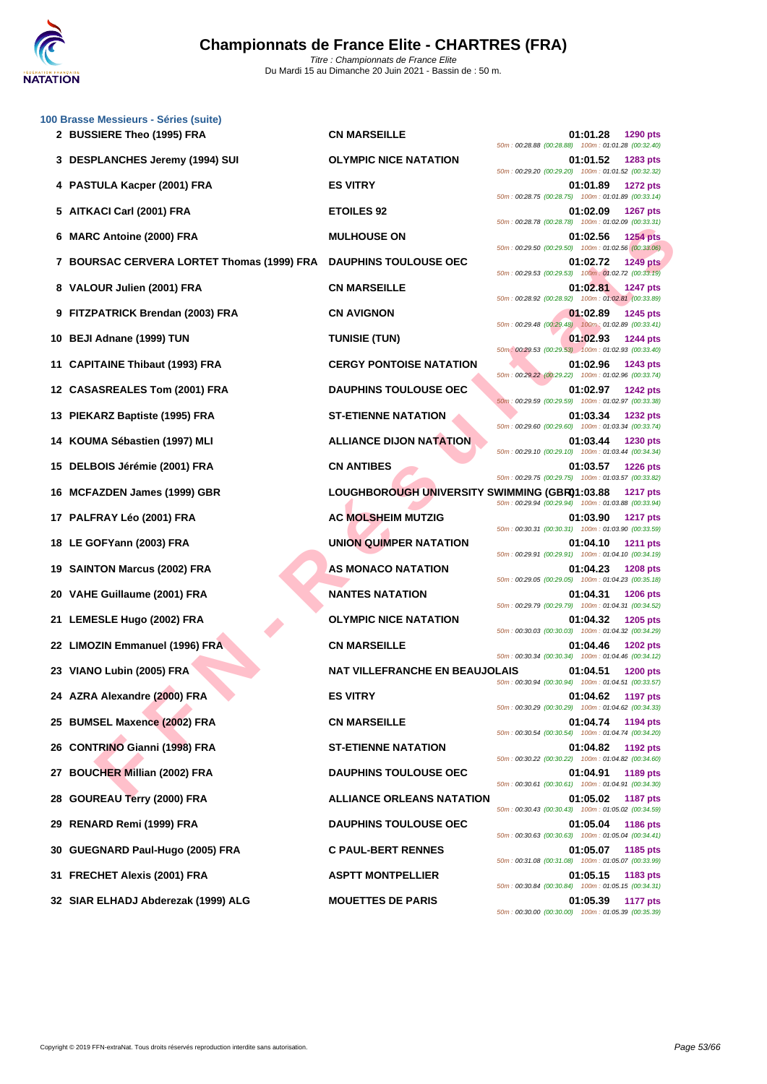

|    | 100 Brasse Messieurs - Séries (suite)      |                                               |                                                                                                                                         |
|----|--------------------------------------------|-----------------------------------------------|-----------------------------------------------------------------------------------------------------------------------------------------|
|    | 2 BUSSIERE Theo (1995) FRA                 | <b>CN MARSEILLE</b>                           | 01:01.28<br>1290 pts<br>50m: 00:28.88 (00:28.88) 100m: 01:01.28 (00:32.40)                                                              |
|    | 3 DESPLANCHES Jeremy (1994) SUI            | <b>OLYMPIC NICE NATATION</b>                  | 01:01.52<br>1283 pts<br>50m: 00:29.20 (00:29.20) 100m: 01:01.52 (00:32.32)                                                              |
|    | 4 PASTULA Kacper (2001) FRA                | <b>ES VITRY</b>                               | 01:01.89<br><b>1272 pts</b><br>50m: 00:28.75 (00:28.75) 100m: 01:01.89 (00:33.14)                                                       |
|    | 5 AITKACI Carl (2001) FRA                  | <b>ETOILES 92</b>                             | 01:02.09<br>1267 pts<br>50m: 00:28.78 (00:28.78) 100m: 01:02.09 (00:33.31)                                                              |
| 6  | <b>MARC Antoine (2000) FRA</b>             | <b>MULHOUSE ON</b>                            | 01:02.56<br><b>1254 pts</b><br>50m: 00:29.50 (00:29.50) 100m: 01:02.56 (00:33.06)                                                       |
|    | 7 BOURSAC CERVERA LORTET Thomas (1999) FRA | <b>DAUPHINS TOULOUSE OEC</b>                  | 01:02.72<br><b>1249 pts</b><br>50m: 00:29.53 (00:29.53) 100m: 01:02.72 (00:33.19)                                                       |
|    | 8 VALOUR Julien (2001) FRA                 | <b>CN MARSEILLE</b>                           | 01:02.81<br>1247 pts<br>50m: 00:28.92 (00:28.92) 100m: 01:02.81 (00:33.89)                                                              |
|    | 9 FITZPATRICK Brendan (2003) FRA           | <b>CN AVIGNON</b>                             | 01:02.89<br><b>1245 pts</b><br>50m: 00:29.48 (00:29.48) 100m: 01:02.89 (00:33.41)                                                       |
|    | 10 BEJI Adnane (1999) TUN                  | <b>TUNISIE (TUN)</b>                          | 01:02.93<br><b>1244 pts</b><br>50m: 00:29.53 (00:29.53) 100m: 01:02.93 (00:33.40)                                                       |
| 11 | <b>CAPITAINE Thibaut (1993) FRA</b>        | <b>CERGY PONTOISE NATATION</b>                | 01:02.96<br>1243 pts<br>50m: 00:29.22 (00:29.22) 100m: 01:02.96 (00:33.74)                                                              |
|    | 12 CASASREALES Tom (2001) FRA              | <b>DAUPHINS TOULOUSE OEC</b>                  | 01:02.97<br><b>1242 pts</b><br>50m: 00:29.59 (00:29.59) 100m: 01:02.97 (00:33.38)                                                       |
|    | 13 PIEKARZ Baptiste (1995) FRA             | <b>ST-ETIENNE NATATION</b>                    | 01:03.34<br><b>1232 pts</b><br>50m: 00:29.60 (00:29.60) 100m: 01:03.34 (00:33.74)                                                       |
|    | 14 KOUMA Sébastien (1997) MLI              | <b>ALLIANCE DIJON NATATION</b>                | 01:03.44<br>1230 pts                                                                                                                    |
|    | DELBOIS Jérémie (2001) FRA                 | <b>CN ANTIBES</b>                             | 50m: 00:29.10 (00:29.10) 100m: 01:03.44 (00:34.34)<br>01:03.57<br><b>1226 pts</b>                                                       |
|    | 16 MCFAZDEN James (1999) GBR               | LOUGHBOROUGH UNIVERSITY SWIMMING (GBR01:03.88 | 50m: 00:29.75 (00:29.75) 100m: 01:03.57 (00:33.82)<br><b>1217 pts</b>                                                                   |
|    | 17 PALFRAY Léo (2001) FRA                  | <b>AC MOLSHEIM MUTZIG</b>                     | 50m: 00:29.94 (00:29.94) 100m: 01:03.88 (00:33.94)<br>01:03.90<br><b>1217 pts</b>                                                       |
|    | 18 LE GOFYann (2003) FRA                   | UNION QUIMPER NATATION                        | 50m: 00:30.31 (00:30.31) 100m: 01:03.90 (00:33.59)<br>01:04.10<br><b>1211 pts</b><br>50m: 00:29.91 (00:29.91) 100m: 01:04.10 (00:34.19) |
|    | 19 SAINTON Marcus (2002) FRA               | AS MONACO NATATION                            | 01:04.23<br>1208 pts                                                                                                                    |
|    | 20 VAHE Guillaume (2001) FRA               | <b>NANTES NATATION</b>                        | 50m: 00:29.05 (00:29.05) 100m: 01:04.23 (00:35.18)<br>01:04.31<br><b>1206 pts</b>                                                       |
|    | 21 LEMESLE Hugo (2002) FRA                 | <b>OLYMPIC NICE NATATION</b>                  | 50m: 00:29.79 (00:29.79) 100m: 01:04.31 (00:34.52)<br>01:04.32<br>1205 pts                                                              |
|    | 22 LIMOZIN Emmanuel (1996) FRA             | <b>CN MARSEILLE</b>                           | 50m: 00:30.03 (00:30.03) 100m: 01:04.32 (00:34.29)<br>01:04.46<br>1202 pts                                                              |
|    | 23 VIANO Lubin (2005) FRA                  | <b>NAT VILLEFRANCHE EN BEAUJOLAIS</b>         | 50m: 00:30.34 (00:30.34) 100m: 01:04.46 (00:34.12)<br>01:04.51<br>1200 pts                                                              |
|    | 24 AZRA Alexandre (2000) FRA               | <b>ES VITRY</b>                               | 50m: 00:30.94 (00:30.94) 100m: 01:04.51 (00:33.57)<br>01:04.62<br>1197 pts                                                              |
|    | 25 BUMSEL Maxence (2002) FRA               | <b>CN MARSEILLE</b>                           | 50m: 00:30.29 (00:30.29) 100m: 01:04.62 (00:34.33)<br>01:04.74<br>1194 pts                                                              |
|    | 26 CONTRINO Gianni (1998) FRA              | <b>ST-ETIENNE NATATION</b>                    | 50m: 00:30.54 (00:30.54) 100m: 01:04.74 (00:34.20)<br>01:04.82<br>1192 pts                                                              |
| 27 | <b>BOUCHER Millian (2002) FRA</b>          | <b>DAUPHINS TOULOUSE OEC</b>                  | 50m: 00:30.22 (00:30.22) 100m: 01:04.82 (00:34.60)<br>01:04.91<br>1189 pts                                                              |
| 28 | <b>GOUREAU Terry (2000) FRA</b>            | <b>ALLIANCE ORLEANS NATATION</b>              | 50m: 00:30.61 (00:30.61) 100m: 01:04.91 (00:34.30)<br>01:05.02<br>1187 pts                                                              |
|    | 29 RENARD Remi (1999) FRA                  | <b>DAUPHINS TOULOUSE OEC</b>                  | 50m: 00:30.43 (00:30.43) 100m: 01:05.02 (00:34.59)<br>01:05.04<br><b>1186 pts</b>                                                       |
|    | 30 GUEGNARD Paul-Hugo (2005) FRA           | <b>C PAUL-BERT RENNES</b>                     | 50m: 00:30.63 (00:30.63) 100m: 01:05.04 (00:34.41)<br>01:05.07<br>1185 pts                                                              |
|    | 31 FRECHET Alexis (2001) FRA               | <b>ASPTT MONTPELLIER</b>                      | 50m: 00:31.08 (00:31.08) 100m: 01:05.07 (00:33.99)<br>01:05.15<br>1183 pts                                                              |
|    | 32 SIAR ELHADJ Abderezak (1999) ALG        | <b>MOUETTES DE PARIS</b>                      | 50m: 00:30.84 (00:30.84) 100m: 01:05.15 (00:34.31)<br>01:05.39<br><b>1177 pts</b>                                                       |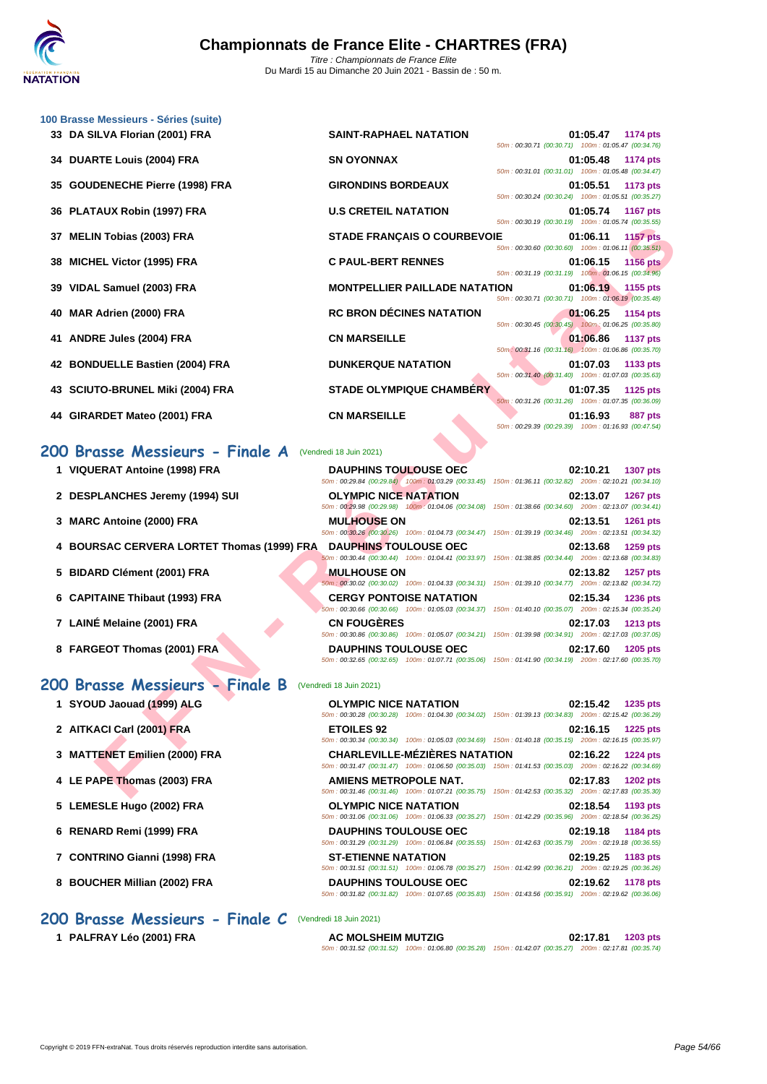

| 100 Brasse Messieurs - Séries (suite) | <b>SAINT-RAPHAEL NATATION</b>                                                                                                                                                                                                                                                                                                                                                                                                                                                                                                                                                                                                                                                              | 01:05.47<br>1174 pts                                                                                                                                                                                                                                                                                                                                                                                                                                                                                                                                                                                                                                                                                                                                                                                                                                                                                                                                                                                                                                                                                                                                                                                                                                 |
|---------------------------------------|--------------------------------------------------------------------------------------------------------------------------------------------------------------------------------------------------------------------------------------------------------------------------------------------------------------------------------------------------------------------------------------------------------------------------------------------------------------------------------------------------------------------------------------------------------------------------------------------------------------------------------------------------------------------------------------------|------------------------------------------------------------------------------------------------------------------------------------------------------------------------------------------------------------------------------------------------------------------------------------------------------------------------------------------------------------------------------------------------------------------------------------------------------------------------------------------------------------------------------------------------------------------------------------------------------------------------------------------------------------------------------------------------------------------------------------------------------------------------------------------------------------------------------------------------------------------------------------------------------------------------------------------------------------------------------------------------------------------------------------------------------------------------------------------------------------------------------------------------------------------------------------------------------------------------------------------------------|
|                                       | <b>SN OYONNAX</b>                                                                                                                                                                                                                                                                                                                                                                                                                                                                                                                                                                                                                                                                          | 50m: 00:30.71 (00:30.71) 100m: 01:05.47 (00:34.76)<br>01:05.48<br>1174 pts                                                                                                                                                                                                                                                                                                                                                                                                                                                                                                                                                                                                                                                                                                                                                                                                                                                                                                                                                                                                                                                                                                                                                                           |
| <b>GOUDENECHE Pierre (1998) FRA</b>   | <b>GIRONDINS BORDEAUX</b>                                                                                                                                                                                                                                                                                                                                                                                                                                                                                                                                                                                                                                                                  | 50m: 00:31.01 (00:31.01) 100m: 01:05.48 (00:34.47)<br>01:05.51<br>1173 pts                                                                                                                                                                                                                                                                                                                                                                                                                                                                                                                                                                                                                                                                                                                                                                                                                                                                                                                                                                                                                                                                                                                                                                           |
|                                       | <b>U.S CRETEIL NATATION</b>                                                                                                                                                                                                                                                                                                                                                                                                                                                                                                                                                                                                                                                                | 50m: 00:30.24 (00:30.24) 100m: 01:05.51 (00:35.27)<br>01:05.74<br><b>1167 pts</b><br>50m: 00:30.19 (00:30.19) 100m: 01:05.74 (00:35.55)                                                                                                                                                                                                                                                                                                                                                                                                                                                                                                                                                                                                                                                                                                                                                                                                                                                                                                                                                                                                                                                                                                              |
| <b>MELIN Tobias (2003) FRA</b>        | <b>STADE FRANÇAIS O COURBEVOIE</b>                                                                                                                                                                                                                                                                                                                                                                                                                                                                                                                                                                                                                                                         | 01:06.11<br><b>1157 pts</b>                                                                                                                                                                                                                                                                                                                                                                                                                                                                                                                                                                                                                                                                                                                                                                                                                                                                                                                                                                                                                                                                                                                                                                                                                          |
| <b>MICHEL Victor (1995) FRA</b>       | <b>C PAUL-BERT RENNES</b>                                                                                                                                                                                                                                                                                                                                                                                                                                                                                                                                                                                                                                                                  | 50m: 00:30.60 (00:30.60) 100m: 01:06.11 (00:35.51)<br>01:06.15<br><b>1156 pts</b><br>50m: 00:31.19 (00:31.19) 100m: 01:06.15 (00:34.96)                                                                                                                                                                                                                                                                                                                                                                                                                                                                                                                                                                                                                                                                                                                                                                                                                                                                                                                                                                                                                                                                                                              |
| VIDAL Samuel (2003) FRA               | <b>MONTPELLIER PAILLADE NATATION</b>                                                                                                                                                                                                                                                                                                                                                                                                                                                                                                                                                                                                                                                       | 01:06.19<br>1155 pts                                                                                                                                                                                                                                                                                                                                                                                                                                                                                                                                                                                                                                                                                                                                                                                                                                                                                                                                                                                                                                                                                                                                                                                                                                 |
| MAR Adrien (2000) FRA                 | <b>RC BRON DÉCINES NATATION</b>                                                                                                                                                                                                                                                                                                                                                                                                                                                                                                                                                                                                                                                            | 50m: 00:30.71 (00:30.71) 100m: 01:06.19 (00:35.48)<br>01:06.25<br>1154 pts                                                                                                                                                                                                                                                                                                                                                                                                                                                                                                                                                                                                                                                                                                                                                                                                                                                                                                                                                                                                                                                                                                                                                                           |
| <b>ANDRE Jules (2004) FRA</b>         | <b>CN MARSEILLE</b>                                                                                                                                                                                                                                                                                                                                                                                                                                                                                                                                                                                                                                                                        | 50m: 00:30.45 (00:30.45) 100m: 01:06.25 (00:35.80)<br>01:06.86<br><b>1137 pts</b><br>50m: 00:31.16 (00:31.16) 100m: 01:06.86 (00:35.70)                                                                                                                                                                                                                                                                                                                                                                                                                                                                                                                                                                                                                                                                                                                                                                                                                                                                                                                                                                                                                                                                                                              |
| <b>BONDUELLE Bastien (2004) FRA</b>   | <b>DUNKERQUE NATATION</b>                                                                                                                                                                                                                                                                                                                                                                                                                                                                                                                                                                                                                                                                  | 01:07.03<br>1133 pts<br>50m: 00:31.40 (00:31.40) 100m: 01:07.03 (00:35.63)                                                                                                                                                                                                                                                                                                                                                                                                                                                                                                                                                                                                                                                                                                                                                                                                                                                                                                                                                                                                                                                                                                                                                                           |
|                                       | <b>STADE OLYMPIQUE CHAMBERY</b>                                                                                                                                                                                                                                                                                                                                                                                                                                                                                                                                                                                                                                                            | 01:07.35<br>1125 pts                                                                                                                                                                                                                                                                                                                                                                                                                                                                                                                                                                                                                                                                                                                                                                                                                                                                                                                                                                                                                                                                                                                                                                                                                                 |
|                                       | <b>CN MARSEILLE</b>                                                                                                                                                                                                                                                                                                                                                                                                                                                                                                                                                                                                                                                                        | 50m: 00:31.26 (00:31.26) 100m: 01:07.35 (00:36.09)<br>01:16.93<br>887 pts<br>50m: 00:29.39 (00:29.39) 100m: 01:16.93 (00:47.54)                                                                                                                                                                                                                                                                                                                                                                                                                                                                                                                                                                                                                                                                                                                                                                                                                                                                                                                                                                                                                                                                                                                      |
|                                       |                                                                                                                                                                                                                                                                                                                                                                                                                                                                                                                                                                                                                                                                                            |                                                                                                                                                                                                                                                                                                                                                                                                                                                                                                                                                                                                                                                                                                                                                                                                                                                                                                                                                                                                                                                                                                                                                                                                                                                      |
|                                       | <b>DAUPHINS TOULOUSE OEC</b>                                                                                                                                                                                                                                                                                                                                                                                                                                                                                                                                                                                                                                                               | 02:10.21<br><b>1307 pts</b>                                                                                                                                                                                                                                                                                                                                                                                                                                                                                                                                                                                                                                                                                                                                                                                                                                                                                                                                                                                                                                                                                                                                                                                                                          |
|                                       | <b>OLYMPIC NICE NATATION</b>                                                                                                                                                                                                                                                                                                                                                                                                                                                                                                                                                                                                                                                               | 150m: 01:36.11 (00:32.82) 200m: 02:10.21 (00:34.10)<br>02:13.07<br><b>1267 pts</b>                                                                                                                                                                                                                                                                                                                                                                                                                                                                                                                                                                                                                                                                                                                                                                                                                                                                                                                                                                                                                                                                                                                                                                   |
|                                       | <b>MULHOUSE ON</b>                                                                                                                                                                                                                                                                                                                                                                                                                                                                                                                                                                                                                                                                         | 150m: 01:38.66 (00:34.60) 200m: 02:13.07 (00:34.41)<br>02:13.51<br><b>1261 pts</b>                                                                                                                                                                                                                                                                                                                                                                                                                                                                                                                                                                                                                                                                                                                                                                                                                                                                                                                                                                                                                                                                                                                                                                   |
|                                       | <b>DAUPHINS TOULOUSE OEC</b>                                                                                                                                                                                                                                                                                                                                                                                                                                                                                                                                                                                                                                                               | 02:13.68<br>1259 pts                                                                                                                                                                                                                                                                                                                                                                                                                                                                                                                                                                                                                                                                                                                                                                                                                                                                                                                                                                                                                                                                                                                                                                                                                                 |
|                                       | <b>MULHOUSE ON</b>                                                                                                                                                                                                                                                                                                                                                                                                                                                                                                                                                                                                                                                                         | 150m: 01:38.85 (00:34.44) 200m: 02:13.68 (00:34.83)<br>02:13.82<br>1257 pts                                                                                                                                                                                                                                                                                                                                                                                                                                                                                                                                                                                                                                                                                                                                                                                                                                                                                                                                                                                                                                                                                                                                                                          |
|                                       | <b>CERGY PONTOISE NATATION</b>                                                                                                                                                                                                                                                                                                                                                                                                                                                                                                                                                                                                                                                             | 02:15.34<br><b>1236 pts</b>                                                                                                                                                                                                                                                                                                                                                                                                                                                                                                                                                                                                                                                                                                                                                                                                                                                                                                                                                                                                                                                                                                                                                                                                                          |
|                                       | <b>CN FOUGERES</b>                                                                                                                                                                                                                                                                                                                                                                                                                                                                                                                                                                                                                                                                         | 150m: 01:40.10 (00:35.07) 200m: 02:15.34 (00:35.24)<br>02:17.03<br><b>1213 pts</b>                                                                                                                                                                                                                                                                                                                                                                                                                                                                                                                                                                                                                                                                                                                                                                                                                                                                                                                                                                                                                                                                                                                                                                   |
|                                       | <b>DAUPHINS TOULOUSE OEC</b>                                                                                                                                                                                                                                                                                                                                                                                                                                                                                                                                                                                                                                                               | 150m: 01:39.98 (00:34.91) 200m: 02:17.03 (00:37.05)<br>02:17.60<br>1205 pts<br>50m : 00:32.65 (00:32.65) 100m : 01:07.71 (00:35.06) 150m : 01:41.90 (00:34.19) 200m : 02:17.60 (00:35.70)                                                                                                                                                                                                                                                                                                                                                                                                                                                                                                                                                                                                                                                                                                                                                                                                                                                                                                                                                                                                                                                            |
|                                       |                                                                                                                                                                                                                                                                                                                                                                                                                                                                                                                                                                                                                                                                                            |                                                                                                                                                                                                                                                                                                                                                                                                                                                                                                                                                                                                                                                                                                                                                                                                                                                                                                                                                                                                                                                                                                                                                                                                                                                      |
|                                       | <b>OLYMPIC NICE NATATION</b>                                                                                                                                                                                                                                                                                                                                                                                                                                                                                                                                                                                                                                                               | 02:15.42 1235 pts                                                                                                                                                                                                                                                                                                                                                                                                                                                                                                                                                                                                                                                                                                                                                                                                                                                                                                                                                                                                                                                                                                                                                                                                                                    |
|                                       | <b>ETOILES 92</b>                                                                                                                                                                                                                                                                                                                                                                                                                                                                                                                                                                                                                                                                          | 02:16.15<br><b>1225 pts</b>                                                                                                                                                                                                                                                                                                                                                                                                                                                                                                                                                                                                                                                                                                                                                                                                                                                                                                                                                                                                                                                                                                                                                                                                                          |
|                                       | <b>CHARLEVILLE-MEZIERES NATATION</b>                                                                                                                                                                                                                                                                                                                                                                                                                                                                                                                                                                                                                                                       | 02:16.22<br><b>1224 pts</b>                                                                                                                                                                                                                                                                                                                                                                                                                                                                                                                                                                                                                                                                                                                                                                                                                                                                                                                                                                                                                                                                                                                                                                                                                          |
|                                       | AMIENS METROPOLE NAT.                                                                                                                                                                                                                                                                                                                                                                                                                                                                                                                                                                                                                                                                      | 02:17.83<br><b>1202 pts</b>                                                                                                                                                                                                                                                                                                                                                                                                                                                                                                                                                                                                                                                                                                                                                                                                                                                                                                                                                                                                                                                                                                                                                                                                                          |
|                                       | OLYMPIC NICE NATATION                                                                                                                                                                                                                                                                                                                                                                                                                                                                                                                                                                                                                                                                      | 02:18.54<br>1193 pts                                                                                                                                                                                                                                                                                                                                                                                                                                                                                                                                                                                                                                                                                                                                                                                                                                                                                                                                                                                                                                                                                                                                                                                                                                 |
|                                       | <b>DAUPHINS TOULOUSE OEC</b>                                                                                                                                                                                                                                                                                                                                                                                                                                                                                                                                                                                                                                                               | 02:19.18<br>1184 pts                                                                                                                                                                                                                                                                                                                                                                                                                                                                                                                                                                                                                                                                                                                                                                                                                                                                                                                                                                                                                                                                                                                                                                                                                                 |
| 7 CONTRINO Gianni (1998) FRA          | ST-ETIENNE NATATION                                                                                                                                                                                                                                                                                                                                                                                                                                                                                                                                                                                                                                                                        | 02:19.25<br>1183 pts                                                                                                                                                                                                                                                                                                                                                                                                                                                                                                                                                                                                                                                                                                                                                                                                                                                                                                                                                                                                                                                                                                                                                                                                                                 |
|                                       |                                                                                                                                                                                                                                                                                                                                                                                                                                                                                                                                                                                                                                                                                            | 50m: 00:31.51 (00:31.51) 100m: 01:06.78 (00:35.27) 150m: 01:42.99 (00:36.21) 200m: 02:19.25 (00:36.26)                                                                                                                                                                                                                                                                                                                                                                                                                                                                                                                                                                                                                                                                                                                                                                                                                                                                                                                                                                                                                                                                                                                                               |
| 38<br>40<br>41                        | 33 DA SILVA Florian (2001) FRA<br>34 DUARTE Louis (2004) FRA<br>35<br>36 PLATAUX Robin (1997) FRA<br>37<br>39<br>42<br>43 SCIUTO-BRUNEL Miki (2004) FRA<br>44 GIRARDET Mateo (2001) FRA<br>200 Brasse Messieurs - Finale A<br>1 VIQUERAT Antoine (1998) FRA<br>2 DESPLANCHES Jeremy (1994) SUI<br>3 MARC Antoine (2000) FRA<br>4 BOURSAC CERVERA LORTET Thomas (1999) FRA<br>5 BIDARD Clément (2001) FRA<br>6 CAPITAINE Thibaut (1993) FRA<br>7 LAINÉ Melaine (2001) FRA<br>8 FARGEOT Thomas (2001) FRA<br>1 SYOUD Jaouad (1999) ALG<br>2 AITKACI Carl (2001) FRA<br>3 MATTENET Emilien (2000) FRA<br>4 LE PAPE Thomas (2003) FRA<br>5 LEMESLE Hugo (2002) FRA<br>6 RENARD Remi (1999) FRA | (Vendredi 18 Juin 2021)<br>50m: 00:29.84 (00:29.84) 100m: 01:03.29 (00:33.45)<br>50m: 00:29.98 (00:29.98) 100m: 01:04.06 (00:34.08)<br>50m: 00:30.26 (00:30.26) 100m: 01:04.73 (00:34.47) 150m: 01:39.19 (00:34.46) 200m: 02:13.51 (00:34.32)<br>50m: 00:30.44 (00:30.44) 100m: 01:04.41 (00:33.97)<br>50m: 00:30.02 (00:30.02) 100m: 01:04.33 (00:34.31) 150m: 01:39.10 (00:34.77) 200m: 02:13.82 (00:34.72)<br>50m: 00:30.66 (00:30.66) 100m: 01:05.03 (00:34.37)<br>50m: 00:30.86 (00:30.86) 100m: 01:05.07 (00:34.21)<br>200 Brasse Messieurs - Finale B (Vendredi 18 Juin 2021)<br>50m : 00:30.28 (00:30.28) 100m : 01:04.30 (00:34.02) 150m : 01:39.13 (00:34.83) 200m : 02:15.42 (00:36.29)<br>50m: 00:30.34 (00:30.34) 100m: 01:05.03 (00:34.69) 150m: 01:40.18 (00:35.15) 200m: 02:16.15 (00:35.97)<br>50m: 00:31.47 (00:31.47) 100m: 01:06.50 (00:35.03) 150m: 01:41.53 (00:35.03) 200m: 02:16.22 (00:34.69)<br>50m: 00:31.46 (00:31.46) 100m: 01:07.21 (00:35.75) 150m: 01:42.53 (00:35.32) 200m: 02:17.83 (00:35.30)<br>50m: 00:31.06 (00:31.06) 100m: 01:06.33 (00:35.27) 150m: 01:42.29 (00:35.96) 200m: 02:18.54 (00:36.25)<br>50m: 00:31.29 (00:31.29) 100m: 01:06.84 (00:35.55) 150m: 01:42.63 (00:35.79) 200m: 02:19.18 (00:36.55) |

**1 PALFRAY Léo (2001) FRA AC MOLSHEIM MUTZIG 02:17.81 1203 pts** 50m : 00:31.52 (00:31.52) 100m : 01:06.80 (00:35.28) 150m : 01:42.07 (00:35.27) 200m : 02:17.81 (00:35.74)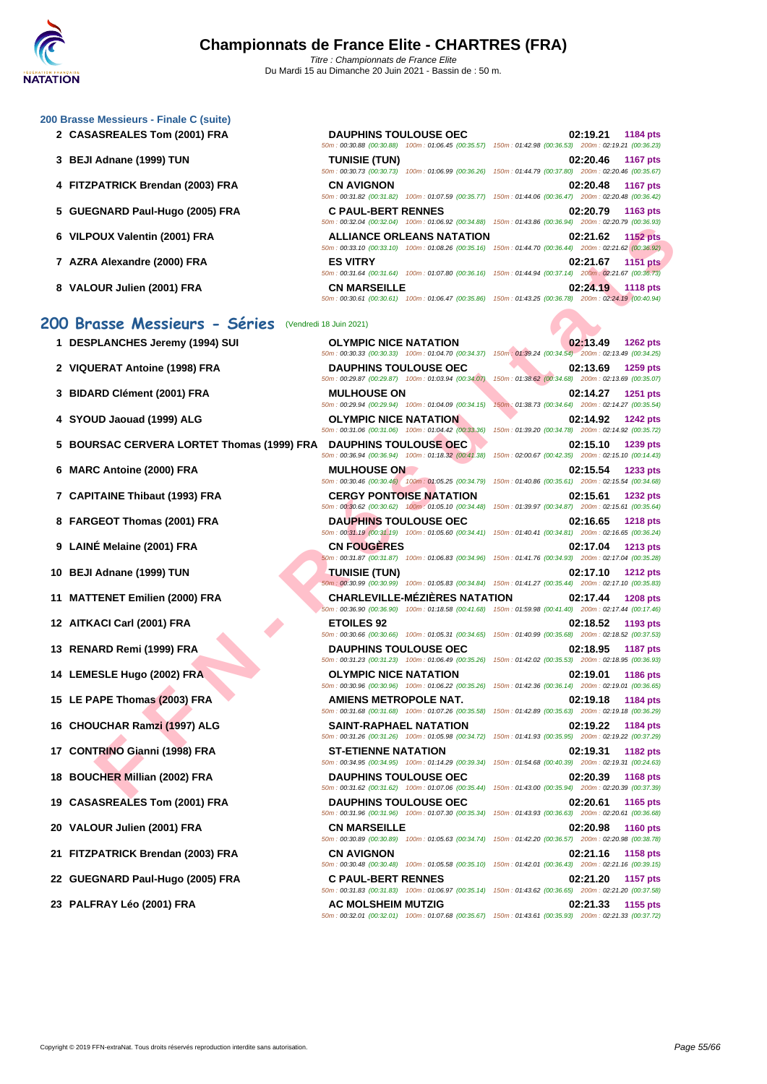50m : 00:30.88 (00:30.88) 100m : 01:06.45 (00:35.57) 150m : 01:42.98 (00:36.53) 200m : 02:19.21 (00:36.23)

50m : 00:30.73 (00:30.73) 100m : 01:06.99 (00:36.26) 150m : 01:44.79 (00:37.80) 200m : 02:20.46 (00:35.67)

50m : 00:31.82 (00:31.82) 100m : 01:07.59 (00:35.77) 150m : 01:44.06 (00:36.47) 200m : 02:20.48 (00:36.42)

50m : 00:32.04 (00:32.04) 100m : 01:06.92 (00:34.88) 150m : 01:43.86 (00:36.94) 200m : 02:20.79 (00:36.93)

50m : 00:33.10 (00:33.10) 100m : 01:08.26 (00:35.16) 150m : 01:44.70 (00:36.44) 200m : 02:21.62 (00:36.92)

50m : 00:31.64 (00:31.64) 100m : 01:07.80 (00:36.16) 150m : 01:44.94 (00:37.14) 200m : 02:21.67 (00:36.73)

#### **[200 Brass](http://www.ffnatation.fr/webffn/index.php)e Messieurs - Finale C (suite)**

- **2 CASASREALES Tom (2001) FRA DAUPHINS TOULOUSE OEC 02:19.21 1184 pts**
- **3 BEJI Adnane (1999) TUN TUNISIE (TUN) 02:20.46 1167 pts**
- **4 FITZPATRICK Brendan (2003) FRA CN AVIGNON 02:20.48 1167 pts**
- **5 GUEGNARD Paul-Hugo (2005) FRA C PAUL-BERT RENNES 02:20.79 1163 pts**
- **6 VILPOUX Valentin (2001) FRA ALLIANCE ORLEANS NATATION 02:21.62 1152 pts**
- **7 AZRA Alexandre (2000) FRA ES VITRY 02:21.67 1151 pts**
- **8 VALOUR Julien (2001) FRA CN MARSEILLE 02:24.19 1118 pts**

#### **200 Brasse Messieurs - Séries** (Vendredi 18 Juin 2021)

- 
- 
- 
- 
- **5 BOURSAC CERVERA LORTET Thomas (1999) FRA DAUPHINS TOULOUSE OEC 02:15.10 1239 pts**
- 
- 
- 
- 
- 
- 
- 
- 
- 
- 
- 
- 
- 
- 
- 
- **21 FITZPATRICK Brendan (2003) FRA CN AVIGNON 02:21.16 1158 pts**
- 
- 

OUT Valentin (2001) FRA - REAL LANCE ORIGINAL ENDERGAL SIMITELY INTERES INTERNATION<br>
THE SAULT CONTRA - REAL LANCE CONTRA - REAL LANCE CONTRA - REAL LANCE CONTRA - REAL LANCE CONTRA - REAL LANCE CONTRA - REAL LANCE CONTRA 50m : 00:30.61 (00:30.61) 100m : 01:06.47 (00:35.86) 150m : 01:43.25 (00:36.78) 200m : 02:24.19 (00:40.94)

**1 DESPLANCHES Jeremy (1994) SUI OLYMPIC NICE NATATION 02:13.49 1262 pts** 50m : 00:30.33 (00:30.33) 100m : 01:04.70 (00:34.37) 150m : 01:39.24 (00:34.54) 200m : 02:13.49 (00:34.25) **2 VIQUERAT Antoine (1998) FRA DAUPHINS TOULOUSE OEC 02:13.69 1259 pts** 50m : 00:29.87 (00:29.87) 100m : 01:03.94 (00:34.07) 150m : 01:38.62 (00:34.68) 200m : 02:13.69 (00:35.07) **3 BIDARD Clément (2001) FRA MULHOUSE ON 02:14.27 1251 pts** 50m : 00:29.94 (00:29.94) 100m : 01:04.09 (00:34.15) 150m : 01:38.73 (00:34.64) 200m : 02:14.27 (00:35.54) **4 SYOUD Jaouad (1999) ALG OLYMPIC NICE NATATION 02:14.92 1242 pts** 50m : 00:31.06 (00:31.06) 100m : 01:04.42 (00:33.36) 150m : 01:39.20 (00:34.78) 200m : 02:14.92 (00:35.72) 50m : 00:36.94 (00:36.94) 100m : 01:18.32 (00:41.38) 150m : 02:00.67 (00:42.35) 200m : 02:15.10 (00:14.43) **6 MARC Antoine (2000) FRA MULHOUSE ON 02:15.54 1233 pts** 50m : 00:30.46 (00:30.46) 100m : 01:05.25 (00:34.79) 150m : 01:40.86 (00:35.61) 200m : 02:15.54 (00:34.68) **7 CAPITAINE Thibaut (1993) FRA CERGY PONTOISE NATATION 02:15.61 1232 pts** 50m : 00:30.62 (00:30.62) 100m : 01:05.10 (00:34.48) 150m : 01:39.97 (00:34.87) 200m : 02:15.61 (00:35.64) **8 FARGEOT Thomas (2001) FRA DAUPHINS TOULOUSE OEC 02:16.65 1218 pts** 50m : 00:31.19 (00:31.19) 100m : 01:05.60 (00:34.41) 150m : 01:40.41 (00:34.81) 200m : 02:16.65 (00:36.24) **9 LAINÉ Melaine (2001) FRA CN FOUGÈRES 02:17.04 1213 pts** 50m : 00:31.87 (00:31.87) 100m : 01:06.83 (00:34.96) 150m : 01:41.76 (00:34.93) 200m : 02:17.04 (00:35.28) **10 BEJI Adnane (1999) TUN TUNISIE (TUN) 02:17.10 1212 pts** 50m : 00:30.99 (00:30.99) 100m : 01:05.83 (00:34.84) 150m : 01:41.27 (00:35.44) 200m : 02:17.10 (00:35.83) **11 MATTENET Emilien (2000) FRA CHARLEVILLE-MÉZIÈRES NATATION 02:17.44 1208 pts** 50m : 00:36.90 (00:36.90) 100m : 01:18.58 (00:41.68) 150m : 01:59.98 (00:41.40) 200m : 02:17.44 (00:17.46) **12 AITKACI Carl (2001) FRA ETOILES 92 02:18.52 1193 pts** 50m : 00:30.66 (00:30.66) 100m : 01:05.31 (00:34.65) 150m : 01:40.99 (00:35.68) 200m : 02:18.52 (00:37.53) **13 RENARD Remi (1999) FRA DAUPHINS TOULOUSE OEC 02:18.95 1187 pts** 50m : 00:31.23 (00:31.23) 100m : 01:06.49 (00:35.26) 150m : 01:42.02 (00:35.53) 200m : 02:18.95 (00:36.93) **14 LEMESLE Hugo (2002) FRA OLYMPIC NICE NATATION 02:19.01 1186 pts** 50m : 00:30.96 (00:30.96) 100m : 01:06.22 (00:35.26) 150m : 01:42.36 (00:36.14) 200m : 02:19.01 (00:36.65) **15 LE PAPE Thomas (2003) FRA AMIENS METROPOLE NAT. 02:19.18 1184 pts** 50m : 00:31.68 (00:31.68) 100m : 01:07.26 (00:35.58) 150m : 01:42.89 (00:35.63) 200m : 02:19.18 (00:36.29) **16 CHOUCHAR Ramzi (1997) ALG SAINT-RAPHAEL NATATION 02:19.22 1184 pts** 50m : 00:31.26 (00:31.26) 100m : 01:05.98 (00:34.72) 150m : 01:41.93 (00:35.95) 200m : 02:19.22 (00:37.29) **17 CONTRINO Gianni (1998) FRA ST-ETIENNE NATATION 02:19.31 1182 pts** 50m : 00:34.95 (00:34.95) 100m : 01:14.29 (00:39.34) 150m : 01:54.68 (00:40.39) 200m : 02:19.31 (00:24.63) **18 BOUCHER Millian (2002) FRA DAUPHINS TOULOUSE OEC 02:20.39 1168 pts** 50m : 00:31.62 (00:31.62) 100m : 01:07.06 (00:35.44) 150m : 01:43.00 (00:35.94) 200m : 02:20.39 (00:37.39) **19 CASASREALES Tom (2001) FRA DAUPHINS TOULOUSE OEC 02:20.61 1165 pts** 50m : 00:31.96 (00:31.96) 100m : 01:07.30 (00:35.34) 150m : 01:43.93 (00:36.63) 200m : 02:20.61 (00:36.68) **20 VALOUR Julien (2001) FRA CN MARSEILLE 02:20.98 1160 pts** 50m : 00:30.89 (00:30.89) 100m : 01:05.63 (00:34.74) 150m : 01:42.20 (00:36.57) 200m : 02:20.98 (00:38.78) 50m : 00:30.48 (00:30.48) 100m : 01:05.58 (00:35.10) 150m : 01:42.01 (00:36.43) 200m : 02:21.16 (00:39.15) **22 GUEGNARD Paul-Hugo (2005) FRA C PAUL-BERT RENNES 02:21.20 1157 pts** 50m : 00:31.83 (00:31.83) 100m : 01:06.97 (00:35.14) 150m : 01:43.62 (00:36.65) 200m : 02:21.20 (00:37.58) **23 PALFRAY Léo (2001) FRA AC MOLSHEIM MUTZIG 02:21.33 1155 pts** 50m : 00:32.01 (00:32.01) 100m : 01:07.68 (00:35.67) 150m : 01:43.61 (00:35.93) 200m : 02:21.33 (00:37.72)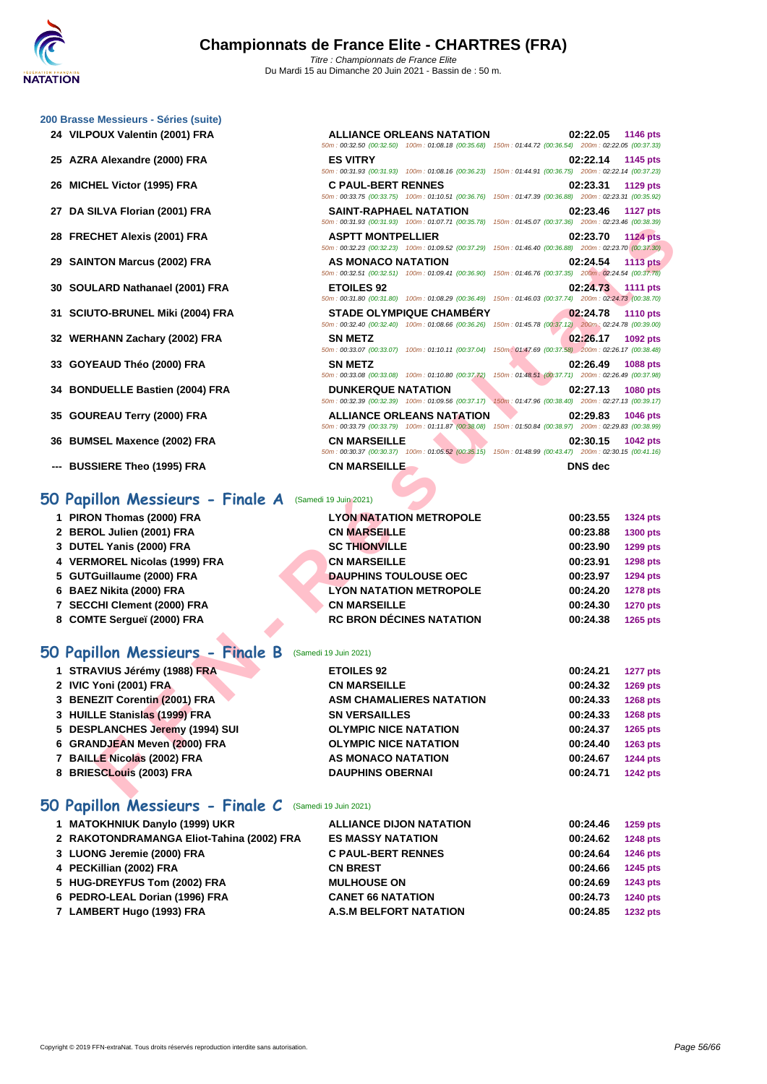|  | 200 Brasse Messieurs - Séries (suite) |  |  |
|--|---------------------------------------|--|--|
|  |                                       |  |  |

- **VILPOUX Valentin (2001) FRA ALLIANCE ORLEANS NATATION 02:22.05 1146 pts**
- **AZRA Alexandre (2000) FRA ES VITRY 02:22.14 1145 pts**
- **MICHEL Victor (1995) FRA C PAUL-BERT RENNES 02:23.31 1129 pts**
- 
- 
- 
- 
- 
- 
- 
- 
- 
- 
- **--- BUSSIERE Theo (1995) FRA CN MARSEILLE DNS dec**

#### **50 Papillon Messieurs - Finale A** (Samedi 19 Juin 2021)

| 1 PIRON Thomas (2000) FRA |
|---------------------------|
|                           |

- **BEROL Julien (2001) FRA CN MARSEILLE 00:23.88 1300 pts**
- **DUTEL Yanis (2000) FRA SC THIONVILLE 00:23.90 1299 pts**
- **VERMOREL Nicolas (1999) FRA CN MARSEILLE 00:23.91 1298 pts**
- **GUTGuillaume (2000) FRA DAUPHINS TOULOUSE OEC 00:23.97 1294 pts**
- **BAEZ Nikita (2000) FRA LYON NATATION METROPOLE 00:24.20 1278 pts**
- **SECCHI Clement (2000) FRA CN MARSEILLE 00:24.30 1270 pts**
- **COMTE Sergueï (2000) FRA RC BRON DÉCINES NATATION 00:24.38 1265 pts**

### **50 Papillon Messieurs - Finale B** (Samedi 19 Juin 2021)

| 1 STRAVIUS Jérémy (1988) FRA    | <b>ETOILES 92</b>               | 00:24.21 | <b>1277 pts</b> |
|---------------------------------|---------------------------------|----------|-----------------|
| 2 IVIC Yoni (2001) FRA          | <b>CN MARSEILLE</b>             | 00:24.32 | <b>1269 pts</b> |
| 3 BENEZIT Corentin (2001) FRA   | <b>ASM CHAMALIERES NATATION</b> | 00:24.33 | <b>1268 pts</b> |
| 3 HUILLE Stanislas (1999) FRA   | <b>SN VERSAILLES</b>            | 00:24.33 | <b>1268 pts</b> |
| 5 DESPLANCHES Jeremy (1994) SUI | <b>OLYMPIC NICE NATATION</b>    | 00:24.37 | 1265 pts        |
| 6 GRANDJEAN Meven (2000) FRA    | <b>OLYMPIC NICE NATATION</b>    | 00:24.40 | 1263 pts        |
| 7 BAILLE Nicolas (2002) FRA     | AS MONACO NATATION              | 00:24.67 | <b>1244 pts</b> |
| 8 BRIESCLouis (2003) FRA        | <b>DAUPHINS OBERNAI</b>         | 00:24.71 | <b>1242 pts</b> |
|                                 |                                 |          |                 |

### **50 Papillon Messieurs - Finale C** (Samedi 19 Juin 2021)

| 1 MATOKHNIUK Danylo (1999) UKR            | <b>ALLIANCE DIJON NATATION</b> | 00:24.46 | 1259 pts        |
|-------------------------------------------|--------------------------------|----------|-----------------|
| 2 RAKOTONDRAMANGA Eliot-Tahina (2002) FRA | <b>ES MASSY NATATION</b>       | 00:24.62 | <b>1248 pts</b> |
| 3 LUONG Jeremie (2000) FRA                | <b>C PAUL-BERT RENNES</b>      | 00:24.64 | <b>1246 pts</b> |
| 4 PECKillian (2002) FRA                   | <b>CN BREST</b>                | 00:24.66 | 1245 pts        |
| 5 HUG-DREYFUS Tom (2002) FRA              | <b>MULHOUSE ON</b>             | 00:24.69 | 1243 pts        |
| 6 PEDRO-LEAL Dorian (1996) FRA            | <b>CANET 66 NATATION</b>       | 00:24.73 | <b>1240 pts</b> |
| 7 LAMBERT Hugo (1993) FRA                 | <b>A.S.M BELFORT NATATION</b>  | 00:24.85 | <b>1232 pts</b> |
|                                           |                                |          |                 |

| 27 DA SILVA Florian (2001) FRA   | <b>SAINT-RAPHAEL NATATION</b><br>50m: 00:31.93 (00:31.93) 100m: 01:07.71 (00:35.78) 150m: 01:45.07 (00:37.36) 200m: 02:23.46 (00:38.39)    | 02:23.46       | <b>1127 pts</b> |
|----------------------------------|--------------------------------------------------------------------------------------------------------------------------------------------|----------------|-----------------|
| 28 FRECHET Alexis (2001) FRA     | <b>ASPTT MONTPELLIER</b>                                                                                                                   | 02:23.70       | <b>1124 pts</b> |
| 29 SAINTON Marcus (2002) FRA     | 50m : 00:32.23 (00:32.23) 100m : 01:09.52 (00:37.29) 150m : 01:46.40 (00:36.88) 200m : 02:23.70 (00:37.30)<br>AS MONACO NATATION           | 02:24.54       | <b>1113 pts</b> |
|                                  | 50m: 00:32.51 (00:32.51) 100m: 01:09.41 (00:36.90) 150m: 01:46.76 (00:37.35) 200m: 02:24.54 (00:37.78)                                     |                |                 |
| 30 SOULARD Nathanael (2001) FRA  | <b>ETOILES 92</b><br>50m: 00:31.80 (00:31.80) 100m: 01:08.29 (00:36.49) 150m: 01:46.03 (00:37.74) 200m: 02:24.73 (00:38.70)                | 02:24.73       | <b>1111 pts</b> |
| 31 SCIUTO-BRUNEL Miki (2004) FRA | <b>STADE OLYMPIQUE CHAMBERY</b>                                                                                                            | 02:24.78       | <b>1110 pts</b> |
|                                  | 50m : 00:32.40 (00:32.40) 100m : 01:08.66 (00:36.26) 150m : 01:45.78 (00:37.12) 200m : 02:24.78 (00:39.00)                                 |                |                 |
| 32 WERHANN Zachary (2002) FRA    | <b>SN METZ</b>                                                                                                                             | 02:26.17       | 1092 pts        |
|                                  | 50m : 00:33.07 (00:33.07) 100m : 01:10.11 (00:37.04) 150m : 01:47.69 (00:37.58) 200m : 02:26.17 (00:38.48)                                 |                |                 |
| 33 GOYEAUD Théo (2000) FRA       | <b>SN METZ</b>                                                                                                                             | 02:26.49       | 1088 pts        |
|                                  | 50m: 00:33.08 (00:33.08) 100m: 01:10.80 (00:37.72)<br>150m: 01:48.51 (00:37.71) 200m: 02:26.49 (00:37.98)                                  |                |                 |
| 34 BONDUELLE Bastien (2004) FRA  | <b>DUNKERQUE NATATION</b><br>50m: 00:32.39 (00:32.39) 100m: 01:09.56 (00:37.17) 150m: 01:47.96 (00:38.40) 200m: 02:27.13 (00:39.17)        | 02:27.13       | <b>1080 pts</b> |
|                                  |                                                                                                                                            |                |                 |
| 35 GOUREAU Terry (2000) FRA      | <b>ALLIANCE ORLEANS NATATION</b><br>50m: 00:33.79 (00:33.79) 100m: 01:11.87 (00:38.08) 150m: 01:50.84 (00:38.97) 200m: 02:29.83 (00:38.99) | 02:29.83       | <b>1046 pts</b> |
| 36 BUMSEL Maxence (2002) FRA     | <b>CN MARSEILLE</b>                                                                                                                        | 02:30.15       | <b>1042 pts</b> |
|                                  | 50m : 00:30.37 (00:30.37) 100m : 01:05.52 (00:35.15) 150m : 01:48.99 (00:43.47) 200m : 02:30.15 (00:41.16)                                 |                |                 |
| --- BUSSIERE Theo (1995) FRA     | <b>CN MARSEILLE</b>                                                                                                                        | <b>DNS</b> dec |                 |
|                                  |                                                                                                                                            |                |                 |
| 'O Papillon Messieurs - Finale A | (Samedi 19 Juin 2021)                                                                                                                      |                |                 |
| 1 PIRON Thomas (2000) FRA        | <b>LYON NATATION METROPOLE</b>                                                                                                             | 00:23.55       | 1324 pts        |
| 2 BEROL Julien (2001) FRA        | <b>CN MARSEILLE</b>                                                                                                                        | 00:23.88       | 1300 pts        |
| 3 DUTEL Yanis (2000) FRA         | <b>SC THIONVILLE</b>                                                                                                                       | 00:23.90       | 1299 pts        |
| 4 VERMOREL Nicolas (1999) FRA    | <b>CN MARSEILLE</b>                                                                                                                        | 00:23.91       | <b>1298 pts</b> |
| 5 GUTGuillaume (2000) FRA        | <b>DAUPHINS TOULOUSE OEC</b>                                                                                                               | 00:23.97       | <b>1294 pts</b> |
| 6 BAEZ Nikita (2000) FRA         | <b>LYON NATATION METROPOLE</b>                                                                                                             | 00:24.20       | <b>1278 pts</b> |
| 7 SECCHI Clement (2000) FRA      | <b>CN MARSEILLE</b>                                                                                                                        | 00:24.30       | <b>1270 pts</b> |
| 8 COMTE Sergueï (2000) FRA       | <b>RC BRON DÉCINES NATATION</b>                                                                                                            | 00:24.38       | 1265 pts        |
|                                  |                                                                                                                                            |                |                 |
| O Papillon Messieurs - Finale B  | (Samedi 19 Juin 2021)                                                                                                                      |                |                 |
| 1 STRAVIUS Jérémy (1988) FRA     | <b>ETOILES 92</b>                                                                                                                          | 00:24.21       | <b>1277 pts</b> |
| 2 IVIC Yoni (2001) FRA           | <b>CN MARSEILLE</b>                                                                                                                        | 00:24.32       | 1269 pts        |
| 3 BENEZIT Corentin (2001) FRA    | <b>ASM CHAMALIERES NATATION</b>                                                                                                            | 00:24.33       | <b>1268 pts</b> |
| 3 HUILLE Stanislas (1999) FRA    | <b>SN VERSAILLES</b>                                                                                                                       | 00:24.33       | 1268 pts        |
| 5 DESPLANCHES Jeremy (1994) SUI  | <b>OLYMPIC NICE NATATION</b>                                                                                                               | 00:24.37       | 1265 pts        |
| 6 GRANDJEAN Meven (2000) FRA     | <b>OLYMPIC NICE NATATION</b>                                                                                                               | 00:24.40       | 1263 pts        |
| 7 BAILLE Nicolas (2002) FRA      | <b>AS MONACO NATATION</b>                                                                                                                  | 00:24.67       | <b>1244 pts</b> |
| 8 BRIESCLouis (2003) FRA         | <b>DAUPHINS OBERNAI</b>                                                                                                                    | 00:24.71       | <b>1242 pts</b> |
|                                  |                                                                                                                                            |                |                 |
|                                  |                                                                                                                                            |                |                 |

50m : 00:32.50 (00:32.50) 100m : 01:08.18 (00:35.68) 150m : 01:44.72 (00:36.54) 200m : 02:22.05 (00:37.33)

50m : 00:31.93 (00:31.93) 100m : 01:08.16 (00:36.23) 150m : 01:44.91 (00:36.75) 200m : 02:22.14 (00:37.23)

50m : 00:33.75 (00:33.75) 100m : 01:10.51 (00:36.76) 150m : 01:47.39 (00:36.88) 200m : 02:23.31 (00:35.92)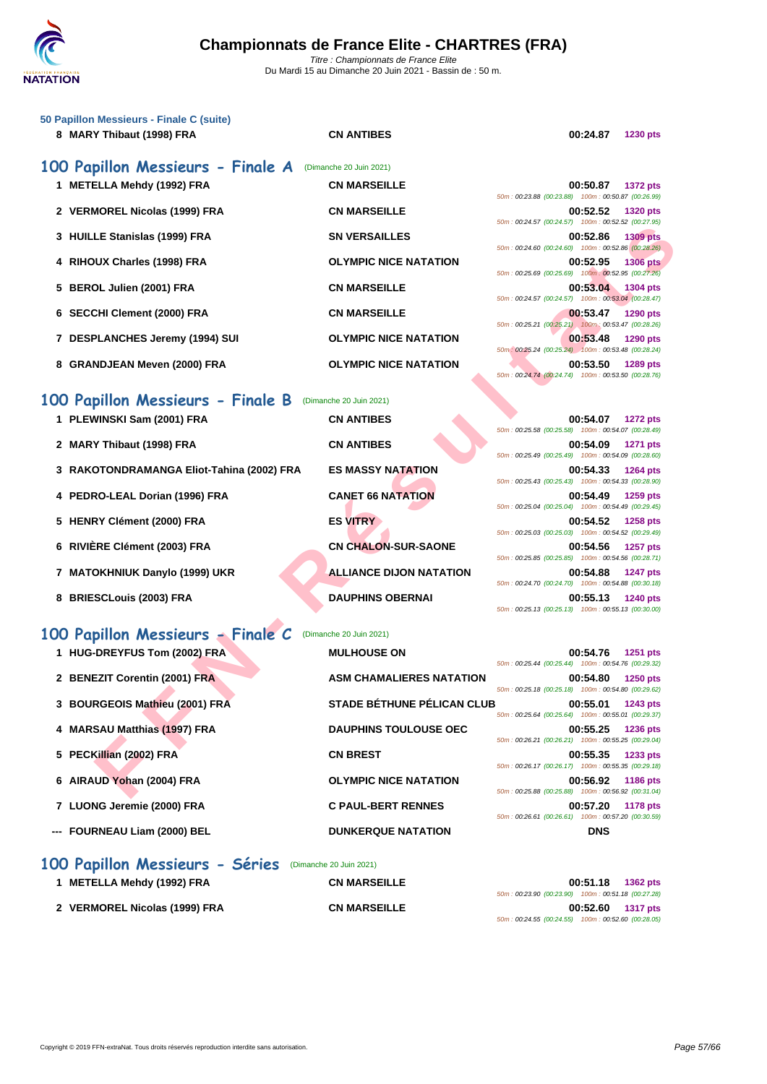| 50 Papillon Messieurs - Finale C (suite)<br>8 MARY Thibaut (1998) FRA | <b>CN ANTIBES</b>                 | 00:24.87<br><b>1230 pts</b>                                                                                                             |
|-----------------------------------------------------------------------|-----------------------------------|-----------------------------------------------------------------------------------------------------------------------------------------|
| 100 Papillon Messieurs - Finale A                                     | (Dimanche 20 Juin 2021)           |                                                                                                                                         |
| 1 METELLA Mehdy (1992) FRA                                            | <b>CN MARSEILLE</b>               | 00:50.87<br><b>1372 pts</b><br>50m: 00:23.88 (00:23.88) 100m: 00:50.87 (00:26.99)                                                       |
| 2 VERMOREL Nicolas (1999) FRA                                         | <b>CN MARSEILLE</b>               | 00:52.52<br><b>1320 pts</b><br>50m: 00:24.57 (00:24.57) 100m: 00:52.52 (00:27.95)                                                       |
| 3 HUILLE Stanislas (1999) FRA                                         | <b>SN VERSAILLES</b>              | 00:52.86<br><b>1309 pts</b>                                                                                                             |
| 4 RIHOUX Charles (1998) FRA                                           | <b>OLYMPIC NICE NATATION</b>      | 50m: 00:24.60 (00:24.60) 100m: 00:52.86 (00:28.26)<br>00:52.95<br><b>1306 pts</b>                                                       |
| 5 BEROL Julien (2001) FRA                                             | <b>CN MARSEILLE</b>               | 50m: 00:25.69 (00:25.69) 100m: 00:52.95 (00:27.26)<br>00:53.04<br>1304 pts                                                              |
| 6 SECCHI Clement (2000) FRA                                           | <b>CN MARSEILLE</b>               | 50m: 00:24.57 (00:24.57) 100m: 00:53.04 (00:28.47)<br>00:53.47<br>1290 pts                                                              |
| 7 DESPLANCHES Jeremy (1994) SUI                                       | <b>OLYMPIC NICE NATATION</b>      | 50m: 00:25.21 (00:25.21) 100m: 00:53.47 (00:28.26)<br>00:53.48<br><b>1290 pts</b>                                                       |
| 8 GRANDJEAN Meven (2000) FRA                                          | <b>OLYMPIC NICE NATATION</b>      | 50m: 00:25.24 (00:25.24) 100m: 00:53.48 (00:28.24)<br>00:53.50<br>1289 pts<br>50m: 00:24.74 (00:24.74) 100m: 00:53.50 (00:28.76)        |
| 100 Papillon Messieurs - Finale B                                     | (Dimanche 20 Juin 2021)           |                                                                                                                                         |
| 1 PLEWINSKI Sam (2001) FRA                                            | <b>CN ANTIBES</b>                 | 00:54.07<br><b>1272 pts</b><br>50m: 00:25.58 (00:25.58) 100m: 00:54.07 (00:28.49)                                                       |
| 2 MARY Thibaut (1998) FRA                                             | <b>CN ANTIBES</b>                 | 00:54.09<br><b>1271 pts</b><br>50m: 00:25.49 (00:25.49) 100m: 00:54.09 (00:28.60)                                                       |
| 3 RAKOTONDRAMANGA Eliot-Tahina (2002) FRA                             | <b>ES MASSY NATATION</b>          | 00:54.33<br><b>1264 pts</b>                                                                                                             |
| 4 PEDRO-LEAL Dorian (1996) FRA                                        | <b>CANET 66 NATATION</b>          | 50m: 00:25.43 (00:25.43) 100m: 00:54.33 (00:28.90)<br>00:54.49<br>1259 pts                                                              |
| 5 HENRY Clément (2000) FRA                                            | <b>ES VITRY</b>                   | 50m: 00:25.04 (00:25.04) 100m: 00:54.49 (00:29.45)<br>00:54.52<br><b>1258 pts</b>                                                       |
| 6 RIVIÈRE Clément (2003) FRA                                          | <b>CN CHALON-SUR-SAONE</b>        | 50m: 00:25.03 (00:25.03) 100m: 00:54.52 (00:29.49)<br>00:54.56<br><b>1257 pts</b>                                                       |
| 7 MATOKHNIUK Danylo (1999) UKR                                        | <b>ALLIANCE DIJON NATATION</b>    | 50m: 00:25.85 (00:25.85) 100m: 00:54.56 (00:28.71)<br>00:54.88<br><b>1247 pts</b>                                                       |
| 8 BRIESCLouis (2003) FRA                                              | <b>DAUPHINS OBERNAI</b>           | 50m: 00:24.70 (00:24.70) 100m: 00:54.88 (00:30.18)<br>00:55.13<br><b>1240 pts</b><br>50m: 00:25.13 (00:25.13) 100m: 00:55.13 (00:30.00) |
| 100 Papillon Messieurs - Finale C                                     | (Dimanche 20 Juin 2021)           |                                                                                                                                         |
| 1 HUG-DREYFUS Tom (2002) FRA                                          | <b>MULHOUSE ON</b>                | 00:54.76<br>1251 pts<br>50m: 00:25.44 (00:25.44) 100m: 00:54.76 (00:29.32)                                                              |
| 2 BENEZIT Corentin (2001) FRA                                         | <b>ASM CHAMALIERES NATATION</b>   | 00:54.80<br><b>1250 pts</b>                                                                                                             |
| 3 BOURGEOIS Mathieu (2001) FRA                                        | <b>STADE BÉTHUNE PÉLICAN CLUB</b> | 50m: 00:25.18 (00:25.18) 100m: 00:54.80 (00:29.62)<br>00:55.01<br>1243 pts                                                              |
| 4 MARSAU Matthias (1997) FRA                                          | <b>DAUPHINS TOULOUSE OEC</b>      | 50m: 00:25.64 (00:25.64) 100m: 00:55.01 (00:29.37)<br>00:55.25<br><b>1236 pts</b>                                                       |
| 5 PECKillian (2002) FRA                                               | <b>CN BREST</b>                   | 50m: 00:26.21 (00:26.21) 100m: 00:55.25 (00:29.04)<br>00:55.35<br>1233 pts                                                              |
| 6 AIRAUD Yohan (2004) FRA                                             | <b>OLYMPIC NICE NATATION</b>      | 50m: 00:26.17 (00:26.17) 100m: 00:55.35 (00:29.18)<br>00:56.92<br><b>1186 pts</b><br>50m: 00:25.88 (00:25.88) 100m: 00:56.92 (00:31.04) |

| 100 Papillon Messieurs - Finale B (Dimanche 20 Juin 2021) |  |  |
|-----------------------------------------------------------|--|--|
|-----------------------------------------------------------|--|--|

| 1 PLEWINSKI Sam (2001) FRA                | <b>CN ANTIBES</b>          | 00:54.07<br><b>1272 pts</b><br>50m: 00:25.58 (00:25.58) 100m: 00:54.07 (00:28.49) |
|-------------------------------------------|----------------------------|-----------------------------------------------------------------------------------|
| 2 MARY Thibaut (1998) FRA                 | <b>CN ANTIBES</b>          | 00:54.09<br>1271 pts<br>50m: 00:25.49 (00:25.49) 100m: 00:54.09 (00:28.60)        |
| 3 RAKOTONDRAMANGA Eliot-Tahina (2002) FRA | <b>ES MASSY NATATION</b>   | 00:54.33<br><b>1264 pts</b><br>50m: 00:25.43 (00:25.43) 100m: 00:54.33 (00:28.90) |
| 4 PEDRO-LEAL Dorian (1996) FRA            | <b>CANET 66 NATATION</b>   | 00:54.49<br>1259 pts<br>50m: 00:25.04 (00:25.04) 100m: 00:54.49 (00:29.45)        |
| 5 HENRY Clément (2000) FRA                | <b>ES VITRY</b>            | 00:54.52<br><b>1258 pts</b><br>50m: 00:25.03 (00:25.03) 100m: 00:54.52 (00:29.49) |
| 6 RIVIÈRE Clément (2003) FRA              | <b>CN CHALON-SUR-SAONE</b> | 00:54.56<br><b>1257 pts</b><br>50m: 00:25.85 (00:25.85) 100m: 00:54.56 (00:28.71) |

- **7 MATOKHNIUK Danylo (1999) UKR ALLIANCE DIJON NATATION 00:54.88 1247 pts**
- **8 BRIESCLouis (2003) FRA DAUPHINS OBERNAI 00:55.13 1240 pts**

# **100 Papillon Messieurs - Finale C** (Dimanche 20 Juin 2021)

| (Dimanche 20 Juin 2021) |  |
|-------------------------|--|
|                         |  |

| 1 HUG-DREYFUS Tom (2002) FRA   | <b>MULHOUSE ON</b>                |                                                    | 00:54.76   | <b>1251 pts</b> |
|--------------------------------|-----------------------------------|----------------------------------------------------|------------|-----------------|
|                                |                                   | 50m: 00:25.44 (00:25.44) 100m: 00:54.76 (00:29.32) |            |                 |
| 2 BENEZIT Corentin (2001) FRA  | <b>ASM CHAMALIERES NATATION</b>   |                                                    | 00:54.80   | <b>1250 pts</b> |
|                                | <b>STADE BÉTHUNE PÉLICAN CLUB</b> | 50m: 00:25.18 (00:25.18) 100m: 00:54.80 (00:29.62) |            |                 |
| 3 BOURGEOIS Mathieu (2001) FRA |                                   | 50m: 00:25.64 (00:25.64) 100m: 00:55.01 (00:29.37) | 00:55.01   | 1243 pts        |
| 4 MARSAU Matthias (1997) FRA   | <b>DAUPHINS TOULOUSE OEC</b>      |                                                    | 00:55.25   | <b>1236 pts</b> |
|                                |                                   | 50m: 00:26.21 (00:26.21) 100m: 00:55.25 (00:29.04) |            |                 |
| 5 PECKillian (2002) FRA        | <b>CN BREST</b>                   |                                                    | 00:55.35   | 1233 pts        |
|                                |                                   | 50m: 00:26.17 (00:26.17) 100m: 00:55.35 (00:29.18) |            |                 |
| 6 AIRAUD Yohan (2004) FRA      | <b>OLYMPIC NICE NATATION</b>      |                                                    | 00:56.92   | 1186 pts        |
|                                |                                   | 50m: 00:25.88 (00:25.88) 100m: 00:56.92 (00:31.04) |            |                 |
| 7 LUONG Jeremie (2000) FRA     | <b>C PAUL-BERT RENNES</b>         | 50m: 00:26.61 (00:26.61) 100m: 00:57.20 (00:30.59) | 00:57.20   | 1178 pts        |
| --- FOURNEAU Liam (2000) BEL   | <b>DUNKERQUE NATATION</b>         |                                                    | <b>DNS</b> |                 |
|                                |                                   |                                                    |            |                 |

### **100 Papillon Messieurs - Séries** (Dimanche 20 Juin 2021)

| 1 METELLA Mehdy (1992) FRA    | <b>CN MARSEILLE</b> | 00:51.18<br>1362 pts                               |
|-------------------------------|---------------------|----------------------------------------------------|
|                               |                     | 50m: 00:23.90 (00:23.90) 100m: 00:51.18 (00:27.28) |
| 2 VERMOREL Nicolas (1999) FRA | <b>CN MARSEILLE</b> | 00:52.60 1317 pts                                  |
|                               |                     | 50m: 00:24.55 (00:24.55) 100m: 00:52.60 (00:28.05) |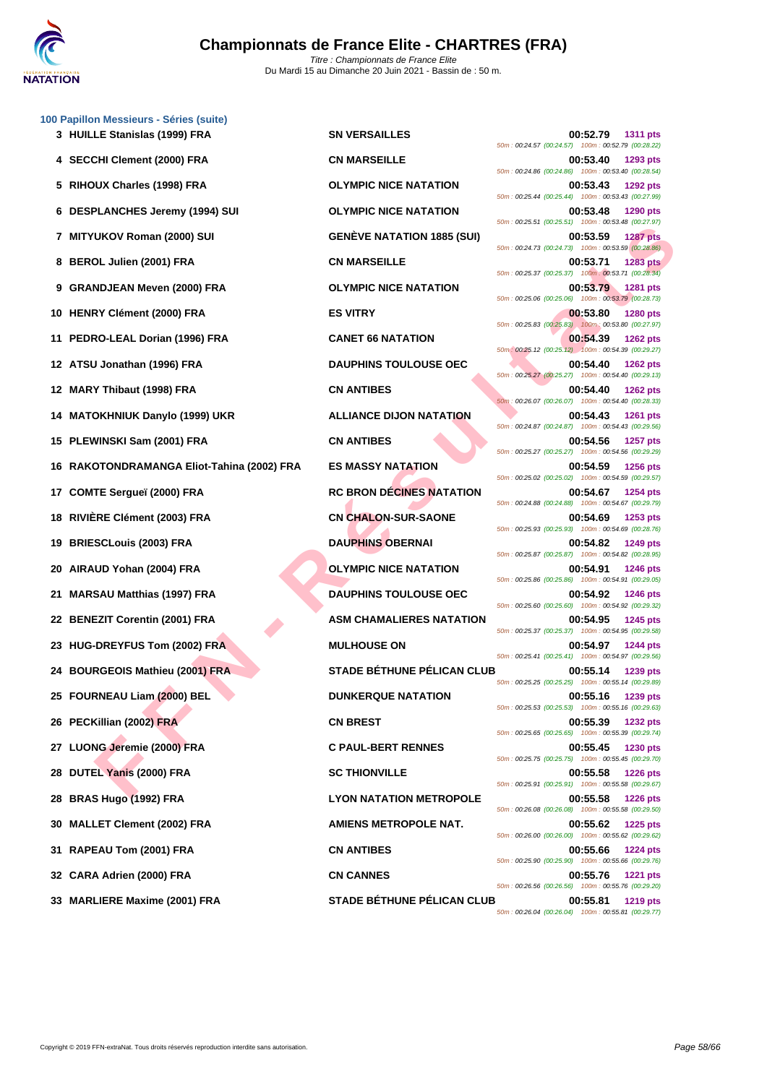

UKOY Romann (2000) SU<br> **FRANCISE DE SURVEY BATATION 1885 (SUI)**<br>
SEN MARSEILLE<br>
NO JUMIER (2000) FRANCISE SURVEY BATATION<br>
NO JUMIER (2000) FRANCISE SURVEY BATATION<br>
THINGHE (2000) FRANCISE SURVEY AND TRANCISE SURVEY AND **[100 Papil](http://www.ffnatation.fr/webffn/index.php)lon Messieurs - Séries (suite) HUILLE Stanislas (1999) FRA SN VERSAILLES 00:52.79 1311 pts SECCHI Clement (2000) FRA CN MARSEILLE 00:53.40 1293 pts RIHOUX Charles (1998) FRA OLYMPIC NICE NATATION 00:53.43 1292 pts DESPLANCHES Jeremy (1994) SUI OLYMPIC NICE NATATION 00:53.48 1290 pts MITYUKOV Roman (2000) SUI GENÈVE NATATION 1885 (SUI) 00:53.59 1287 pts BEROL Julien (2001) FRA CN MARSEILLE 00:53.71 1283 pts GRANDJEAN Meven (2000) FRA OLYMPIC NICE NATATION 00:53.79 1281 pts HENRY Clément (2000) FRA ES VITRY 00:53.80 1280 pts PEDRO-LEAL Dorian (1996) FRA CANET 66 NATATION 00:54.39 1262 pts ATSU Jonathan (1996) FRA DAUPHINS TOULOUSE OEC 00:54.40 1262 pts MARY Thibaut (1998) FRA CN ANTIBES 00:54.40 1262 pts MATOKHNIUK Danylo (1999) UKR ALLIANCE DIJON NATATION 00:54.43 1261 pts PLEWINSKI Sam (2001) FRA CN ANTIBES 00:54.56 1257 pts RAKOTONDRAMANGA Eliot-Tahina (2002) FRA ES MASSY NATATION 00:54.59 1256 pts COMTE Sergueï (2000) FRA RC BRON DÉCINES NATATION 00:54.67 1254 pts RIVIÈRE Clément (2003) FRA CN CHALON-SUR-SAONE 00:54.69 1253 pts BRIESCLouis (2003) FRA DAUPHINS OBERNAI 00:54.82 1249 pts AIRAUD Yohan (2004) FRA OLYMPIC NICE NATATION 00:54.91 1246 pts MARSAU Matthias (1997) FRA DAUPHINS TOULOUSE OEC 00:54.92 1246 pts BENEZIT Corentin (2001) FRA ASM CHAMALIERES NATATION 00:54.95 1245 pts HUG-DREYFUS Tom (2002) FRA MULHOUSE ON 00:54.97 1244 pts BOURGEOIS Mathieu (2001) FRA STADE BÉTHUNE PÉLICAN CLUB 00:55.14 1239 pts FOURNEAU Liam (2000) BEL DUNKERQUE NATATION 00:55.16 1239 pts PECKillian (2002) FRA CN BREST 00:55.39 1232 pts LUONG Jeremie (2000) FRA C PAUL-BERT RENNES 00:55.45 1230 pts DUTEL Yanis (2000) FRA SC THIONVILLE 00:55.58 1226 pts BRAS Hugo (1992) FRA LYON NATATION METROPOLE 00:55.58 1226 pts MALLET Clement (2002) FRA AMIENS METROPOLE NAT. 00:55.62 1225 pts RAPEAU Tom (2001) FRA CN ANTIBES 00:55.66 1224 pts CARA Adrien (2000) FRA CN CANNES 00:55.76 1221 pts**

50m : 00:24.57 (00:24.57) 100m : 00:52.79 (00:28.22) 50m : 00:24.86 (00:24.86) 100m : 00:53.40 (00:28.54) 50m : 00:25.44 (00:25.44) 100m : 00:53.43 (00:27.99) 50m : 00:25.51 (00:25.51) 100m : 00:53.48 (00:27.97) 50m : 00:24.73 (00:24.73) 100m : 00:53.59 (00:28.86) 50m : 00:25.37 (00:25.37) 100m : 00:53.71 (00:28.34) 50m : 00:25.06 (00:25.06) 100m : 00:53.79 (00:28.73) 50m : 00:25.83 (00:25.83) 100m : 00:53.80 (00:27.97) 50m : 00:25.12 (00:25.12) 100m : 00:54.39 (00:29.27) 50m : 00:25.27 (00:25.27) 100m : 00:54.40 (00:29.13) 50m : 00:26.07 (00:26.07) 100m : 00:54.40 (00:28.33) 50m : 00:24.87 (00:24.87) 100m : 00:54.43 (00:29.56) 50m : 00:25.27 (00:25.27) 100m : 00:54.56 (00:29.29) 50m : 00:25.02 (00:25.02) 100m : 00:54.59 (00:29.57) 50m : 00:24.88 (00:24.88) 100m : 00:54.67 (00:29.79) 50m : 00:25.93 (00:25.93) 100m : 00:54.69 (00:28.76) 50m : 00:25.87 (00:25.87) 100m : 00:54.82 (00:28.95) 50m : 00:25.86 (00:25.86) 100m : 00:54.91 (00:29.05) 50m : 00:25.60 (00:25.60) 100m : 00:54.92 (00:29.32) 50m : 00:25.37 (00:25.37) 100m : 00:54.95 (00:29.58) 50m : 00:25.41 (00:25.41) 100m : 00:54.97 (00:29.56) 50m : 00:25.25 (00:25.25) 100m : 00:55.14 (00:29.89) 50m : 00:25.53 (00:25.53) 100m : 00:55.16 (00:29.63) 50m : 00:25.65 (00:25.65) 100m : 00:55.39 (00:29.74) 50m : 00:25.75 (00:25.75) 100m : 00:55.45 (00:29.70) 50m : 00:25.91 (00:25.91) 100m : 00:55.58 (00:29.67) 50m : 00:26.08 (00:26.08) 100m : 00:55.58 (00:29.50) 50m : 00:26.00 (00:26.00) 100m : 00:55.62 (00:29.62) 50m : 00:25.90 (00:25.90) 100m : 00:55.66 (00:29.76) 50m : 00:26.56 (00:26.56) 100m : 00:55.76 (00:29.20) **33 MARLIERE Maxime (2001) FRA STADE BÉTHUNE PÉLICAN CLUB 00:55.81 1219 pts** 50m : 00:26.04 (00:26.04) 100m : 00:55.81 (00:29.77)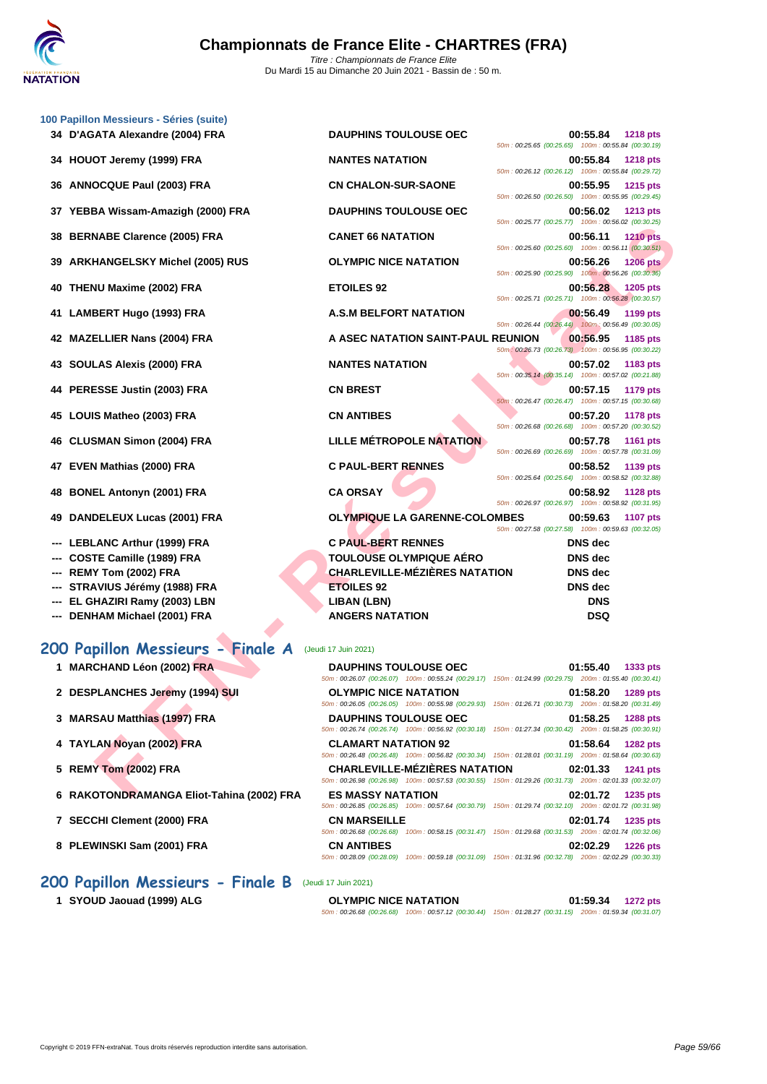

|     | 100 Papillon Messieurs - Séries (suite)   |                                      |                                                                                                                                       |
|-----|-------------------------------------------|--------------------------------------|---------------------------------------------------------------------------------------------------------------------------------------|
|     | 34 D'AGATA Alexandre (2004) FRA           | <b>DAUPHINS TOULOUSE OEC</b>         | 00:55.84<br><b>1218 pts</b><br>50m: 00:25.65 (00:25.65) 100m: 00:55.84 (00:30.19)                                                     |
| 34  | HOUOT Jeremy (1999) FRA                   | <b>NANTES NATATION</b>               | 00:55.84<br><b>1218 pts</b>                                                                                                           |
|     |                                           |                                      | 50m: 00:26.12 (00:26.12) 100m: 00:55.84 (00:29.72)                                                                                    |
| 36  | <b>ANNOCQUE Paul (2003) FRA</b>           | <b>CN CHALON-SUR-SAONE</b>           | 00:55.95<br><b>1215 pts</b>                                                                                                           |
|     |                                           |                                      | 50m: 00:26.50 (00:26.50) 100m: 00:55.95 (00:29.45)                                                                                    |
|     | 37 YEBBA Wissam-Amazigh (2000) FRA        | <b>DAUPHINS TOULOUSE OEC</b>         | 00:56.02<br><b>1213 pts</b><br>50m: 00:25.77 (00:25.77) 100m: 00:56.02 (00:30.25)                                                     |
| 38  | <b>BERNABE Clarence (2005) FRA</b>        | <b>CANET 66 NATATION</b>             | 00:56.11<br><b>1210 pts</b>                                                                                                           |
|     |                                           |                                      | 50m: 00:25.60 (00:25.60) 100m: 00:56.11 (00:30.51)                                                                                    |
| 39  | <b>ARKHANGELSKY Michel (2005) RUS</b>     | <b>OLYMPIC NICE NATATION</b>         | 00:56.26<br><b>1206 pts</b>                                                                                                           |
|     |                                           |                                      | 50m: 00:25.90 (00:25.90) 100m: 00:56.26 (00:30.36)                                                                                    |
| 40  | THENU Maxime (2002) FRA                   | <b>ETOILES 92</b>                    | 00:56.28<br>1205 pts                                                                                                                  |
|     |                                           |                                      | 50m: 00:25.71 (00:25.71) 100m: 00:56.28 (00:30.57)                                                                                    |
|     | 41 LAMBERT Hugo (1993) FRA                | <b>A.S.M BELFORT NATATION</b>        | 00:56.49<br>1199 pts<br>50m: 00:26.44 (00:26.44) 100m: 00:56.49 (00:30.05)                                                            |
|     | 42 MAZELLIER Nans (2004) FRA              | A ASEC NATATION SAINT-PAUL REUNION   | 00:56.95<br>1185 pts                                                                                                                  |
|     |                                           |                                      | 50m: 00:26.73 (00:26.73) 100m: 00:56.95 (00:30.22)                                                                                    |
|     | 43 SOULAS Alexis (2000) FRA               | <b>NANTES NATATION</b>               | 00:57.02<br>1183 pts                                                                                                                  |
|     |                                           |                                      | 50m: 00:35.14 (00:35.14) 100m: 00:57.02 (00:21.88)                                                                                    |
|     | 44 PERESSE Justin (2003) FRA              | <b>CN BREST</b>                      | 00:57.15<br>1179 pts                                                                                                                  |
|     |                                           | <b>CN ANTIBES</b>                    | 50m: 00:26.47 (00:26.47) 100m: 00:57.15 (00:30.68)                                                                                    |
| 45  | LOUIS Matheo (2003) FRA                   |                                      | 00:57.20<br><b>1178 pts</b><br>50m: 00:26.68 (00:26.68) 100m: 00:57.20 (00:30.52)                                                     |
|     | 46 CLUSMAN Simon (2004) FRA               | <b>LILLE MÉTROPOLE NATATION</b>      | 00:57.78<br><b>1161 pts</b>                                                                                                           |
|     |                                           |                                      | 50m: 00:26.69 (00:26.69) 100m: 00:57.78 (00:31.09)                                                                                    |
| 47  | EVEN Mathias (2000) FRA                   | <b>C PAUL-BERT RENNES</b>            | 00:58.52<br>1139 pts                                                                                                                  |
|     |                                           |                                      | 50m: 00:25.64 (00:25.64) 100m: 00:58.52 (00:32.88)                                                                                    |
| 48  | <b>BONEL Antonyn (2001) FRA</b>           | <b>CA ORSAY</b>                      | 00:58.92<br><b>1128 pts</b><br>50m: 00:26.97 (00:26.97) 100m: 00:58.92 (00:31.95)                                                     |
| 49  | DANDELEUX Lucas (2001) FRA                | <b>OLYMPIQUE LA GARENNE-COLOMBES</b> | 00:59.63<br><b>1107 pts</b>                                                                                                           |
|     |                                           |                                      | 50m: 00:27.58 (00:27.58) 100m: 00:59.63 (00:32.05)                                                                                    |
|     | <b>LEBLANC Arthur (1999) FRA</b>          | <b>C PAUL-BERT RENNES</b>            | <b>DNS</b> dec                                                                                                                        |
|     | COSTE Camille (1989) FRA                  | <b>TOULOUSE OLYMPIQUE AÉRO</b>       | <b>DNS</b> dec                                                                                                                        |
| --- | REMY Tom (2002) FRA                       | <b>CHARLEVILLE-MÉZIÈRES NATATION</b> | <b>DNS</b> dec                                                                                                                        |
|     | STRAVIUS Jérémy (1988) FRA                | <b>ETOILES 92</b>                    | <b>DNS</b> dec                                                                                                                        |
|     | EL GHAZIRI Ramy (2003) LBN                | LIBAN (LBN)                          | <b>DNS</b>                                                                                                                            |
| --- | DENHAM Michael (2001) FRA                 | <b>ANGERS NATATION</b>               | <b>DSQ</b>                                                                                                                            |
|     |                                           |                                      |                                                                                                                                       |
|     | 200 Papillon Messieurs - Finale A         | (Jeudi 17 Juin 2021)                 |                                                                                                                                       |
|     |                                           |                                      |                                                                                                                                       |
|     | 1 MARCHAND Léon (2002) FRA                | <b>DAUPHINS TOULOUSE OEC</b>         | 01:55.40<br>1333 pts<br>50m: 00:26.07 (00:26.07) 100m: 00:55.24 (00:29.17) 150m: 01:24.99 (00:29.75) 200m: 01:55.40 (00:30.41)        |
|     | 2 DESPLANCHES Jeremy (1994) SUI           | <b>OLYMPIC NICE NATATION</b>         | 01:58.20<br>1289 pts                                                                                                                  |
|     |                                           |                                      | 50m: 00:26.05 (00:26.05) 100m: 00:55.98 (00:29.93) 150m: 01:26.71 (00:30.73) 200m: 01:58.20 (00:31.49)                                |
|     | 3 MARSAU Matthias (1997) FRA              | <b>DAUPHINS TOULOUSE OEC</b>         | 01:58.25<br><b>1288 pts</b>                                                                                                           |
|     |                                           |                                      | 50m: 00:26.74 (00:26.74) 100m: 00:56.92 (00:30.18) 150m: 01:27.34 (00:30.42) 200m: 01:58.25 (00:30.91)                                |
|     | 4 TAYLAN Noyan (2002) FRA                 | <b>CLAMART NATATION 92</b>           | 01:58.64<br><b>1282 pts</b>                                                                                                           |
|     |                                           |                                      | 50m : 00:26.48 (00:26.48) 100m : 00:56.82 (00:30.34) 150m : 01:28.01 (00:31.19) 200m : 01:58.64 (00:30.63)                            |
|     | 5 REMY Tom (2002) FRA                     | <b>CHARLEVILLE-MÉZIÈRES NATATION</b> | 02:01.33<br><b>1241 pts</b><br>50m: 00:26.98 (00:26.98) 100m: 00:57.53 (00:30.55) 150m: 01:29.26 (00:31.73) 200m: 02:01.33 (00:32.07) |
|     | 6 RAKOTONDRAMANGA Eliot-Tahina (2002) FRA | <b>ES MASSY NATATION</b>             | 02:01.72 1235 pts                                                                                                                     |
|     |                                           |                                      |                                                                                                                                       |

### **200 Papillon Messieurs - Finale A** (Jeudi 17 Juin 2021)

| 1 MARCHAND Léon (2002) FRA                | <b>DAUPHINS TOULOUSE OEC</b>                    | 50m: 00:26.07 (00:26.07) 100m: 00:55.24 (00:29.17) 150m: 01:24.99 (00:29.75) 200m: 01:55.40 (00:30.41)                                         | 01:55.40 | 1333 pts        |
|-------------------------------------------|-------------------------------------------------|------------------------------------------------------------------------------------------------------------------------------------------------|----------|-----------------|
| 2 DESPLANCHES Jeremy (1994) SUI           | <b>OLYMPIC NICE NATATION</b>                    | 50m: 00:26.05 (00:26.05) 100m: 00:55.98 (00:29.93) 150m: 01:26.71 (00:30.73) 200m: 01:58.20 (00:31.49)                                         | 01:58.20 | 1289 pts        |
| 3 MARSAU Matthias (1997) FRA              | <b>DAUPHINS TOULOUSE OEC</b>                    | 50m: 00:26.74 (00:26.74) 100m: 00:56.92 (00:30.18) 150m: 01:27.34 (00:30.42) 200m: 01:58.25 (00:30.91)                                         | 01:58.25 | <b>1288 pts</b> |
| 4 TAYLAN Noyan (2002) FRA                 | <b>CLAMART NATATION 92</b>                      | 50m: 00:26.48 (00:26.48) 100m: 00:56.82 (00:30.34) 150m: 01:28.01 (00:31.19) 200m: 01:58.64 (00:30.63)                                         | 01:58.64 | <b>1282 pts</b> |
| 5 REMY Tom (2002) FRA                     |                                                 | <b>CHARLEVILLE-MÉZIÈRES NATATION</b><br>50m: 00:26.98 (00:26.98) 100m: 00:57.53 (00:30.55) 150m: 01:29.26 (00:31.73) 200m: 02:01.33 (00:32.07) | 02:01.33 | <b>1241 pts</b> |
| 6 RAKOTONDRAMANGA Eliot-Tahina (2002) FRA | <b>ES MASSY NATATION</b>                        | 50m: 00:26.85 (00:26.85) 100m: 00:57.64 (00:30.79) 150m: 01:29.74 (00:32.10) 200m: 02:01.72 (00:31.98)                                         | 02:01.72 | 1235 pts        |
| 7 SECCHI Clement (2000) FRA               | <b>CN MARSEILLE</b><br>50m: 00:26.68 (00:26.68) | 100m: 00:58.15 (00:31.47) 150m: 01:29.68 (00:31.53) 200m: 02:01.74 (00:32.06)                                                                  | 02:01.74 | 1235 pts        |
| 8 PLEWINSKI Sam (2001) FRA                | <b>CN ANTIBES</b>                               | 50m: 00:28.09 (00:28.09) 100m: 00:59.18 (00:31.09) 150m: 01:31.96 (00:32.78) 200m: 02:02.29 (00:30.33)                                         | 02:02.29 | <b>1226 pts</b> |

## **200 Papillon Messieurs - Finale B** (Jeudi 17 Juin 2021)

**1 SYOUD Jaouad (1999) ALG OLYMPIC NICE NATATION 01:59.34 1272 pts**

50m : 00:26.68 (00:26.68) 100m : 00:57.12 (00:30.44) 150m : 01:28.27 (00:31.15) 200m : 01:59.34 (00:31.07)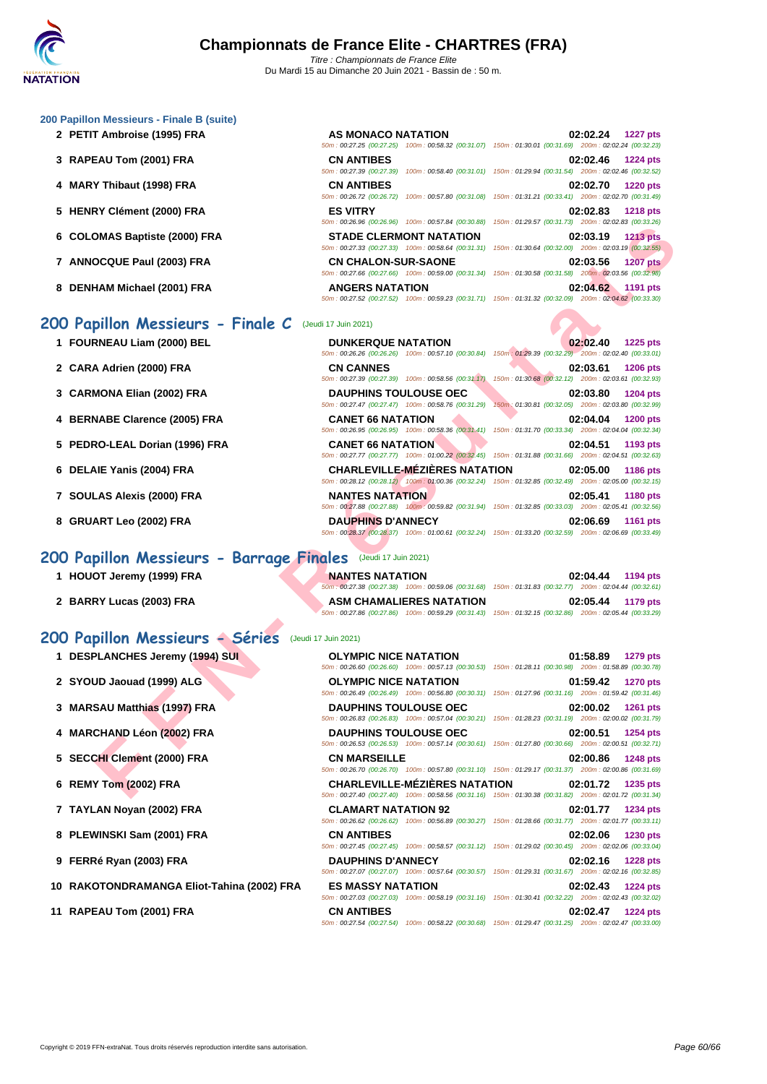#### **[200 Papil](http://www.ffnatation.fr/webffn/index.php)lon Messieurs - Finale B (suite)**

- **2 PETIT Ambroise (1995) FRA**
- **3** RAPEAU Tom (2001) FRA
- **4 MARY Thibaut (1998) FRA**
- **5 HENRY Clément (2000) FRA**
- **6** COLOMAS Baptiste (2000) FRA
- **7** ANNOCQUE Paul (2003) FRA
- **8 DENHAM Michael (2001) FRA**

### **200 Papillon Messieurs - Finale C** (Jeudi 17 Juin 2021)

- 
- **2 CARA Adrien (2000) FRA**
- **3** CARMONA Elian (2002) FRA
- **4 BERNABE Clarence (2005) FRA**
- **5 PEDRO-LEAL Dorian (1996) FRA**
- **6 DELAIE Yanis (2004) FRA**
- **7 SOULAS Alexis (2000) FRA**
- **8 GRUART Leo (2002) FRA**

### **200 Papillon Messieurs - Barrage Finales** (Jeudi 17 Juin 2021)

### **200 Papillon Messieurs - Séries** (Jeudi 17 Juin 2021)

- 
- **2 SYOUD Jaouad (1999) ALG**
- **3 MARSAU Matthias (1997) FRA**
- **4 MARCHAND Léon (2002) FRA**
- **5 SECCHI Clement (2000) FRA**
- **6 REMY Tom (2002) FRA**
- **7 TAYLAN Noyan (2002) FRA CLAMART NATATION 92 02:01.77 1234 pts**
- **8 PLEWINSKI Sam (2001) FRA**
- **9 FERRé Ryan (2003) FRA DAUPHINS D'ANNECY 02:02.16 1228 pts**
- **10** RAKOTONDRAMANGA Eliot-Tahina (2002) FRA
- **11 RAPEAU Tom (2001) FRA**

| AS MONACO NATATION         |                                                                                                        |                                                     | 02:02.24 1227 pts |  |
|----------------------------|--------------------------------------------------------------------------------------------------------|-----------------------------------------------------|-------------------|--|
|                            | 50m: 00:27.25 (00:27.25) 100m: 00:58.32 (00:31.07) 150m: 01:30.01 (00:31.69) 200m: 02:02.24 (00:32.23) |                                                     |                   |  |
| <b>CN ANTIBES</b>          |                                                                                                        |                                                     | 02:02.46 1224 pts |  |
|                            | 50m: 00:27.39 (00:27.39) 100m: 00:58.40 (00:31.01) 150m: 01:29.94 (00:31.54) 200m: 02:02.46 (00:32.52) |                                                     |                   |  |
| <b>CN ANTIBES</b>          |                                                                                                        |                                                     | 02:02.70 1220 pts |  |
|                            | 50m: 00:26.72 (00:26.72) 100m: 00:57.80 (00:31.08) 150m: 01:31.21 (00:33.41) 200m: 02:02.70 (00:31.49) |                                                     |                   |  |
| <b>ES VITRY</b>            |                                                                                                        |                                                     | 02:02.83 1218 pts |  |
|                            | 50m: 00:26.96 (00:26.96) 100m: 00:57.84 (00:30.88)                                                     | 150m: 01:29.57 (00:31.73) 200m: 02:02.83 (00:33.26) |                   |  |
|                            | <b>STADE CLERMONT NATATION</b>                                                                         |                                                     | 02:03.19 1213 pts |  |
|                            | 50m: 00:27.33 (00:27.33) 100m: 00:58.64 (00:31.31)                                                     | 150m: 01:30.64 (00:32.00) 200m: 02:03.19 (00:32.55) |                   |  |
| <b>CN CHALON-SUR-SAONE</b> |                                                                                                        |                                                     | 02:03.56 1207 pts |  |
|                            | 50m: 00:27.66 (00:27.66) 100m: 00:59.00 (00:31.34) 150m: 01:30.58 (00:31.58) 200m: 02:03.56 (00:32.98) |                                                     |                   |  |
| <b>ANGERS NATATION</b>     |                                                                                                        |                                                     | 02:04.62 1191 pts |  |
|                            | 50m: 00:27.52 (00:27.52) 100m: 00:59.23 (00:31.71) 150m: 01:31.32 (00:32.09) 200m: 02:04.62 (00:33.30) |                                                     |                   |  |

|                                                              | JUINT DULLO.30 (00.20.30) TOURT DULUTURE (00.30.00) TJUINT UTLES.JT (00.31.13) ZUUINT UZ.02.03 (00.33.20)                                          |                                                                                    |
|--------------------------------------------------------------|----------------------------------------------------------------------------------------------------------------------------------------------------|------------------------------------------------------------------------------------|
| 6 COLOMAS Baptiste (2000) FRA                                | <b>STADE CLERMONT NATATION</b><br>50m: 00:27.33 (00:27.33) 100m: 00:58.64 (00:31.31) 150m: 01:30.64 (00:32.00) 200m: 02:03.19 (00:32.55)           | 02:03.19<br><b>1213 pts</b>                                                        |
| 7 ANNOCQUE Paul (2003) FRA                                   | <b>CN CHALON-SUR-SAONE</b><br>50m : 00:27.66 (00:27.66) 100m : 00:59.00 (00:31.34) 150m : 01:30.58 (00:31.58) 200m : 02:03.56 (00:32.98)           | 02:03.56<br><b>1207 pts</b>                                                        |
| 8 DENHAM Michael (2001) FRA                                  | <b>ANGERS NATATION</b><br>50m : 00:27.52 (00:27.52) 100m : 00:59.23 (00:31.71) 150m : 01:31.32 (00:32.09) 200m : 02:04.62 (00:33.30)               | 02:04.62<br>1191 pts                                                               |
| 00 Papillon Messieurs - Finale C                             | (Jeudi 17 Juin 2021)                                                                                                                               |                                                                                    |
| 1 FOURNEAU Liam (2000) BEL                                   | <b>DUNKERQUE NATATION</b><br>50m: 00:26.26 (00:26.26) 100m: 00:57.10 (00:30.84) 150m: 01:29.39 (00:32.29) 200m: 02:02.40 (00:33.01)                | 02:02.40<br><b>1225 pts</b>                                                        |
| 2 CARA Adrien (2000) FRA                                     | <b>CN CANNES</b><br>50m: 00:27.39 (00:27.39) 100m: 00:58.56 (00:31.17) 150m: 01:30.68 (00:32.12) 200m: 02:03.61 (00:32.93)                         | 02:03.61<br>1206 pts                                                               |
| 3 CARMONA Elian (2002) FRA                                   | <b>DAUPHINS TOULOUSE OEC</b><br>50m: 00:27.47 (00:27.47) 100m: 00:58.76 (00:31.29)                                                                 | 02:03.80<br><b>1204 pts</b><br>150m: 01:30.81 (00:32.05) 200m: 02:03.80 (00:32.99) |
| 4 BERNABE Clarence (2005) FRA                                | <b>CANET 66 NATATION</b><br>50m: 00:26.95 (00:26.95) 100m: 00:58.36 (00:31.41) 150m: 01:31.70 (00:33.34) 200m: 02:04.04 (00:32.34)                 | 02:04.04<br>1200 pts                                                               |
| 5 PEDRO-LEAL Dorian (1996) FRA                               | <b>CANET 66 NATATION</b><br>50m: 00:27.77 (00:27.77) 100m: 01:00.22 (00:32.45) 150m: 01:31.88 (00:31.66) 200m: 02:04.51 (00:32.63)                 | 02:04.51<br>1193 pts                                                               |
| 6 DELAIE Yanis (2004) FRA                                    | <b>CHARLEVILLE-MEZIERES NATATION</b><br>50m : 00:28.12 (00:28.12) 100m : 01:00.36 (00:32.24) 150m : 01:32.85 (00:32.49) 200m : 02:05.00 (00:32.15) | 02:05.00<br>1186 pts                                                               |
| 7 SOULAS Alexis (2000) FRA                                   | <b>NANTES NATATION</b><br>50m: 00:27.88 (00:27.88) 100m: 00:59.82 (00:31.94) 150m: 01:32.85 (00:33.03) 200m: 02:05.41 (00:32.56)                   | 02:05.41<br><b>1180 pts</b>                                                        |
| 8 GRUART Leo (2002) FRA                                      | <b>DAUPHINS D'ANNECY</b><br>50m: 00:28.37 (00:28.37) 100m: 01:00.61 (00:32.24) 150m: 01:33.20 (00:32.59) 200m: 02:06.69 (00:33.49)                 | 02:06.69<br><b>1161 pts</b>                                                        |
| 00 Papillon Messieurs - Barrage Finales (Jeudi 17 Juin 2021) |                                                                                                                                                    |                                                                                    |
| 1 HOUOT Jeremy (1999) FRA                                    | <b>NANTES NATATION</b><br>50m : 00:27.38 (00:27.38) 100m : 00:59.06 (00:31.68) 150m : 01:31.83 (00:32.77) 200m : 02:04.44 (00:32.61)               | 02:04.44<br>1194 pts                                                               |
| 2 BARRY Lucas (2003) FRA                                     | <b>ASM CHAMALIERES NATATION</b><br>50m: 00:27.86 (00:27.86) 100m: 00:59.29 (00:31.43) 150m: 01:32.15 (00:32.86) 200m: 02:05.44 (00:33.29)          | 02:05.44<br>1179 pts                                                               |
| <b>00 Papillon Messieurs - Séries</b> (Jeudi 17 Juin 2021)   |                                                                                                                                                    |                                                                                    |
| 1 DESPLANCHES Jeremy (1994) SUI                              | <b>OLYMPIC NICE NATATION</b><br>50m: 00:26.60 (00:26.60) 100m: 00:57.13 (00:30.53) 150m: 01:28.11 (00:30.98) 200m: 01:58.89 (00:30.78)             | 01:58.89<br><b>1279 pts</b>                                                        |
| 2 SYOUD Jaouad (1999) ALG                                    | <b>OLYMPIC NICE NATATION</b><br>50m : 00:26.49 (00:26.49) 100m : 00:56.80 (00:30.31) 150m : 01:27.96 (00:31.16) 200m : 01:59.42 (00:31.46)         | 01:59.42<br><b>1270 pts</b>                                                        |
| 3 MARSAU Matthias (1997) FRA                                 | <b>DAUPHINS TOULOUSE OEC</b><br>50m: 00:26.83 (00:26.83) 100m: 00:57.04 (00:30.21) 150m: 01:28.23 (00:31.19) 200m: 02:00.02 (00:31.79)             | 02:00.02<br>1261 pts                                                               |
| 4 MARCHAND Léon (2002) FRA                                   | <b>DAUPHINS TOULOUSE OEC</b><br>50m: 00:26.53 (00:26.53) 100m: 00:57.14 (00:30.61) 150m: 01:27.80 (00:30.66) 200m: 02:00.51 (00:32.71)             | 02:00.51<br><b>1254 pts</b>                                                        |
| 5 SECCHI Clement (2000) FRA                                  | <b>CN MARSEILLE</b><br>50m : 00:26.70 (00:26.70) 100m : 00:57.80 (00:31.10) 150m : 01:29.17 (00:31.37) 200m : 02:00.86 (00:31.69)                  | 02:00.86<br><b>1248 pts</b>                                                        |
| 6 REMY Tom (2002) FRA                                        | <b>CHARLEVILLE-MÉZIÈRES NATATION</b><br>50m: 00:27.40 (00:27.40) 100m: 00:58.56 (00:31.16) 150m: 01:30.38 (00:31.82) 200m: 02:01.72 (00:31.34)     | 02:01.72<br>1235 pts                                                               |

| 1 HOUOT Jeremy (1999) FRA | <b>NANTES NATATION</b>          | 02:04.44 1194 pts                                                                                                           |
|---------------------------|---------------------------------|-----------------------------------------------------------------------------------------------------------------------------|
| 2 BARRY Lucas (2003) FRA  | <b>ASM CHAMALIERES NATATION</b> | 50m: 00:27.38 (00:27.38) 100m: 00:59.06 (00:31.68) 150m: 01:31.83 (00:32.77) 200m: 02:04.44 (00:32.61)<br>02:05.44 1179 pts |
|                           |                                 | 50m: 00:27.86 (00:27.86) 100m: 00:59.29 (00:31.43) 150m: 01:32.15 (00:32.86) 200m: 02:05.44 (00:33.29)                      |

| 1 DESPLANCHES Jeremy (1994) SUI           | <b>OLYMPIC NICE NATATION</b> | 50m: 00:26.60 (00:26.60) 100m: 00:57.13 (00:30.53) 150m: 01:28.11 (00:30.98) 200m: 01:58.89 (00:30.78)                                         | 01:58.89 | <b>1279 pts</b> |
|-------------------------------------------|------------------------------|------------------------------------------------------------------------------------------------------------------------------------------------|----------|-----------------|
| 2 SYOUD Jaouad (1999) ALG                 |                              | OLYMPIC NICE NATATION<br>50m: 00:26.49 (00:26.49) 100m: 00:56.80 (00:30.31) 150m: 01:27.96 (00:31.16) 200m: 01:59.42 (00:31.46)                | 01:59.42 | <b>1270 pts</b> |
| 3 MARSAU Matthias (1997) FRA              | <b>DAUPHINS TOULOUSE OEC</b> | 50m: 00:26.83 (00:26.83) 100m: 00:57.04 (00:30.21) 150m: 01:28.23 (00:31.19) 200m: 02:00.02 (00:31.79)                                         | 02:00.02 | <b>1261 pts</b> |
| 4 MARCHAND Léon (2002) FRA                |                              | <b>DAUPHINS TOULOUSE OEC</b><br>50m: 00:26.53 (00:26.53) 100m: 00:57.14 (00:30.61) 150m: 01:27.80 (00:30.66) 200m: 02:00.51 (00:32.71)         | 02:00.51 | <b>1254 pts</b> |
| 5 SECCHI Clement (2000) FRA               | <b>CN MARSEILLE</b>          | 50m: 00:26.70 (00:26.70) 100m: 00:57.80 (00:31.10) 150m: 01:29.17 (00:31.37) 200m: 02:00.86 (00:31.69)                                         | 02:00.86 | <b>1248 pts</b> |
| 6 REMY Tom (2002) FRA                     |                              | <b>CHARLEVILLE-MÉZIÈRES NATATION</b><br>50m: 00:27.40 (00:27.40) 100m: 00:58.56 (00:31.16) 150m: 01:30.38 (00:31.82) 200m: 02:01.72 (00:31.34) | 02:01.72 | <b>1235 pts</b> |
| 7 TAYLAN Noyan (2002) FRA                 | <b>CLAMART NATATION 92</b>   | 50m: 00:26.62 (00:26.62) 100m: 00:56.89 (00:30.27) 150m: 01:28.66 (00:31.77) 200m: 02:01.77 (00:33.11)                                         | 02:01.77 | <b>1234 pts</b> |
| 8 PLEWINSKI Sam (2001) FRA                | <b>CN ANTIBES</b>            | 50m : 00:27.45 (00:27.45) 100m : 00:58.57 (00:31.12) 150m : 01:29.02 (00:30.45) 200m : 02:02.06 (00:33.04)                                     | 02:02.06 | <b>1230 pts</b> |
| 9 FERRé Ryan (2003) FRA                   | <b>DAUPHINS D'ANNECY</b>     | 50m: 00:27.07 (00:27.07) 100m: 00:57.64 (00:30.57) 150m: 01:29.31 (00:31.67) 200m: 02:02.16 (00:32.85)                                         | 02:02.16 | <b>1228 pts</b> |
| 0 RAKOTONDRAMANGA Eliot-Tahina (2002) FRA | <b>ES MASSY NATATION</b>     | 50m: 00:27.03 (00:27.03) 100m: 00:58.19 (00:31.16) 150m: 01:30.41 (00:32.22) 200m: 02:02.43 (00:32.02)                                         | 02:02.43 | <b>1224 pts</b> |
| 1 RAPEAU Tom (2001) FRA                   | <b>CN ANTIBES</b>            | 50m: 00:27.54 (00:27.54) 100m: 00:58.22 (00:30.68) 150m: 01:29.47 (00:31.25) 200m: 02:02.47 (00:33.00)                                         | 02:02.47 | <b>1224 pts</b> |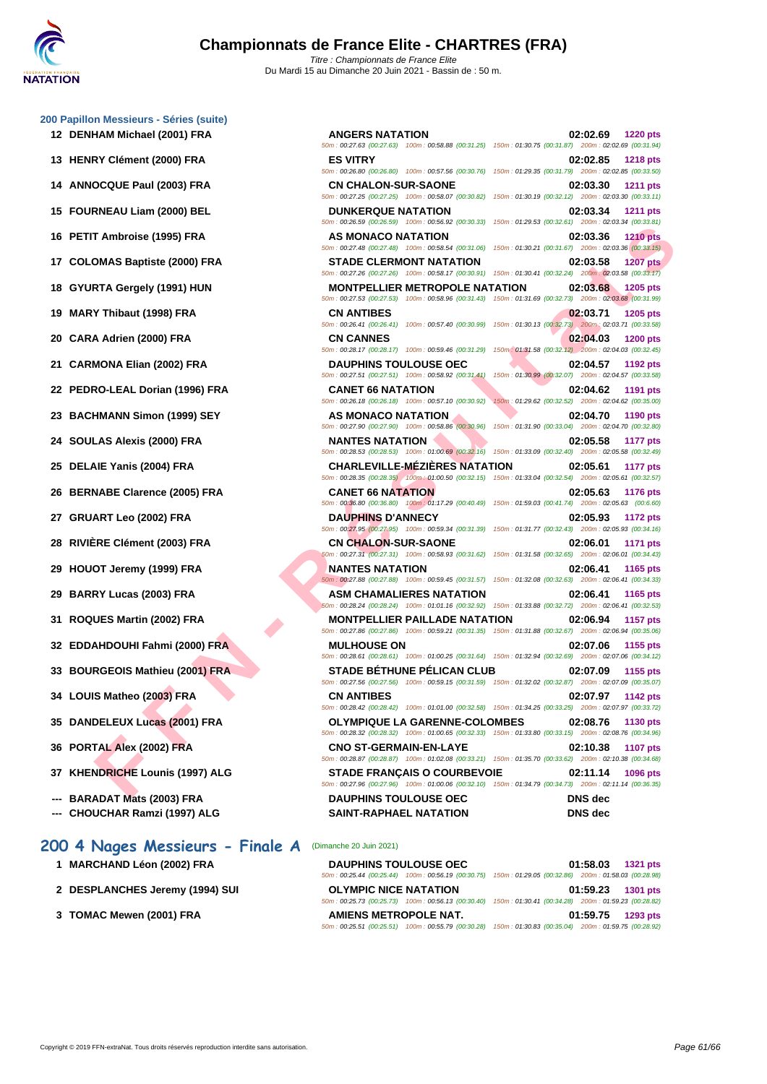**[200 Papil](http://www.ffnatation.fr/webffn/index.php)lon Messieurs** 

| 00 Papillon Messieurs - Séries (suite) |                                                                                                                                                 |                             |
|----------------------------------------|-------------------------------------------------------------------------------------------------------------------------------------------------|-----------------------------|
| 12 DENHAM Michael (2001) FRA           | <b>ANGERS NATATION</b>                                                                                                                          | 02:02.69<br><b>1220 pts</b> |
| 13 HENRY Clément (2000) FRA            | 50m: 00:27.63 (00:27.63) 100m: 00:58.88 (00:31.25) 150m: 01:30.75 (00:31.87) 200m: 02:02.69 (00:31.94)<br><b>ES VITRY</b>                       | 02:02.85                    |
|                                        | 50m: 00:26.80 (00:26.80) 100m: 00:57.56 (00:30.76) 150m: 01:29.35 (00:31.79) 200m: 02:02.85 (00:33.50)                                          | <b>1218 pts</b>             |
| 14 ANNOCQUE Paul (2003) FRA            | <b>CN CHALON-SUR-SAONE</b>                                                                                                                      | 02:03.30<br>1211 pts        |
|                                        | 50m : 00:27.25 (00:27.25) 100m : 00:58.07 (00:30.82) 150m : 01:30.19 (00:32.12) 200m : 02:03.30 (00:33.11)                                      |                             |
| 15 FOURNEAU Liam (2000) BEL            | <b>DUNKERQUE NATATION</b><br>50m : 00:26.59 (00:26.59) 100m : 00:56.92 (00:30.33) 150m : 01:29.53 (00:32.61) 200m : 02:03.34 (00:33.81)         | 02:03.34<br>1211 pts        |
| 16 PETIT Ambroise (1995) FRA           | AS MONACO NATATION                                                                                                                              | 02:03.36<br><b>1210 pts</b> |
| 17 COLOMAS Baptiste (2000) FRA         | 50m : 00:27.48 (00:27.48) 100m : 00:58.54 (00:31.06) 150m : 01:30.21 (00:31.67) 200m : 02:03.36 (00:33.15)<br><b>STADE CLERMONT NATATION</b>    | 02:03.58<br><b>1207 pts</b> |
|                                        | 50m: 00:27.26 (00:27.26) 100m: 00:58.17 (00:30.91) 150m: 01:30.41 (00:32.24) 200m: 02:03.58 (00:33.17)                                          |                             |
| 18 GYURTA Gergely (1991) HUN           | <b>MONTPELLIER METROPOLE NATATION</b><br>50m: 00:27.53 (00:27.53) 100m: 00:58.96 (00:31.43) 150m: 01:31.69 (00:32.73) 200m: 02:03.68 (00:31.99) | 02:03.68<br>1205 pts        |
| 19 MARY Thibaut (1998) FRA             | <b>CN ANTIBES</b>                                                                                                                               | 02:03.71<br>1205 pts        |
|                                        | 50m : 00:26.41 (00:26.41) 100m : 00:57.40 (00:30.99) 150m : 01:30.13 (00:32.73) 200m : 02:03.71 (00:33.58)                                      |                             |
| 20 CARA Adrien (2000) FRA              | <b>CN CANNES</b><br>50m: 00:28.17 (00:28.17) 100m: 00:59.46 (00:31.29) 150m: 01:31.58 (00:32.12) 200m: 02:04.03 (00:32.45)                      | 02:04.03<br><b>1200 pts</b> |
| 21 CARMONA Elian (2002) FRA            | <b>DAUPHINS TOULOUSE OEC</b>                                                                                                                    | 02:04.57<br>1192 pts        |
|                                        | 50m : 00:27.51 (00:27.51) 100m : 00:58.92 (00:31.41) 150m : 01:30.99 (00:32.07) 200m : 02:04.57 (00:33.58)                                      |                             |
| 22 PEDRO-LEAL Dorian (1996) FRA        | <b>CANET 66 NATATION</b><br>50m : 00:26.18 (00:26.18) 100m : 00:57.10 (00:30.92) 150m : 01:29.62 (00:32.52) 200m : 02:04.62 (00:35.00)          | 02:04.62<br>1191 pts        |
| 23 BACHMANN Simon (1999) SEY           | AS MONACO NATATION                                                                                                                              | 02:04.70<br>1190 pts        |
|                                        | 50m : 00:27.90 (00:27.90) 100m : 00:58.86 (00:30.96) 150m : 01:31.90 (00:33.04) 200m : 02:04.70 (00:32.80)                                      |                             |
| 24 SOULAS Alexis (2000) FRA            | <b>NANTES NATATION</b><br>50m : 00:28.53 (00:28.53) 100m : 01:00.69 (00:32.16) 150m : 01:33.09 (00:32.40) 200m : 02:05.58 (00:32.49)            | 02:05.58<br>1177 pts        |
| 25 DELAIE Yanis (2004) FRA             | <b>CHARLEVILLE-MEZIERES NATATION</b><br>50m: 00:28.35 (00:28.35) 100m: 01:00.50 (00:32.15) 150m: 01:33.04 (00:32.54) 200m: 02:05.61 (00:32.57)  | 02:05.61<br>1177 pts        |
| 26 BERNABE Clarence (2005) FRA         | <b>CANET 66 NATATION</b>                                                                                                                        | 02:05.63<br><b>1176 pts</b> |
|                                        | 50m : 00:36.80 (00:36.80) 100m : 01:17.29 (00:40.49) 150m : 01:59.03 (00:41.74) 200m : 02:05.63 (00:6.60)                                       |                             |
| 27 GRUART Leo (2002) FRA               | <b>DAUPHINS D'ANNECY</b><br>50m : 00:27.95 (00:27.95) 100m : 00:59.34 (00:31.39) 150m : 01:31.77 (00:32.43) 200m : 02:05.93 (00:34.16)          | 02:05.93<br>1172 pts        |
| 28 RIVIÈRE Clément (2003) FRA          | <b>CN CHALON-SUR-SAONE</b>                                                                                                                      | 02:06.01<br>1171 pts        |
|                                        | 50m: 00:27.31 (00:27.31) 100m: 00:58.93 (00:31.62) 150m: 01:31.58 (00:32.65) 200m: 02:06.01 (00:34.43)                                          |                             |
| 29 HOUOT Jeremy (1999) FRA             | <b>NANTES NATATION</b><br>50m: 00:27.88 (00:27.88) 100m: 00:59.45 (00:31.57) 150m: 01:32.08 (00:32.63) 200m: 02:06.41 (00:34.33)                | 02:06.41<br>1165 pts        |
| 29 BARRY Lucas (2003) FRA              | <b>ASM CHAMALIERES NATATION</b>                                                                                                                 | 02:06.41<br>1165 pts        |
|                                        | 60m : 00:28.24 (00:28.24) 100m : 01:01.16 (00:32.92) 150m : 01:33.88 (00:32.72) 200m : 02:06.41 (00:32.53)                                      |                             |
| 31 ROQUES Martin (2002) FRA            | <b>MONTPELLIER PAILLADE NATATION</b><br>50m: 00:27.86 (00:27.86) 100m: 00:59.21 (00:31.35) 150m: 01:31.88 (00:32.67) 200m: 02:06.94 (00:35.06)  | 02:06.94<br><b>1157 pts</b> |
| 32 EDDAHDOUHI Fahmi (2000) FRA         | <b>MULHOUSE ON</b>                                                                                                                              | 02:07.06<br>1155 pts        |
| 33 BOURGEOIS Mathieu (2001) FRA        | 50m : 00:28.61 (00:28.61) 100m : 01:00.25 (00:31.64) 150m : 01:32.94 (00:32.69) 200m : 02:07.06 (00:34.12)<br><b>STADE BÉTHUNE PÉLICAN CLUB</b> | 02:07.09<br>1155 pts        |
|                                        | 50m : 00:27.56 (00:27.56) 100m : 00:59.15 (00:31.59) 150m : 01:32.02 (00:32.87) 200m : 02:07.09 (00:35.07)                                      |                             |
| 34 LOUIS Matheo (2003) FRA             | <b>CN ANTIBES</b><br>50m: 00:28.42 (00:28.42) 100m: 01:01.00 (00:32.58) 150m: 01:34.25 (00:33.25) 200m: 02:07.97 (00:33.72)                     | 02:07.97<br>1142 pts        |
| 35 DANDELEUX Lucas (2001) FRA          | <b>OLYMPIQUE LA GARENNE-COLOMBES</b>                                                                                                            | 02:08.76<br><b>1130 pts</b> |
|                                        | 50m : 00:28.32 (00:28.32) 100m : 01:00.65 (00:32.33) 150m : 01:33.80 (00:33.15) 200m : 02:08.76 (00:34.96)                                      |                             |
| 36 PORTAL Alex (2002) FRA              | <b>CNO ST-GERMAIN-EN-LAYE</b><br>50m : 00:28.87 (00:28.87) 100m : 01:02.08 (00:33.21) 150m : 01:35.70 (00:33.62) 200m : 02:10.38 (00:34.68)     | 02:10.38<br><b>1107 pts</b> |
| 37 KHENDRICHE Lounis (1997) ALG        | <b>STADE FRANÇAIS O COURBEVOIE</b>                                                                                                              | 02:11.14<br>1096 pts        |
| <b>DADADAT Meta (2002) FDA</b>         | 50m : 00:27.96 (00:27.96) 100m : 01:00.06 (00:32.10) 150m : 01:34.79 (00:34.73) 200m : 02:11.14 (00:36.35)<br><b>DAUDILING TOUL OUGH OFF.</b>   | DNC Jes                     |

- **33 BOURGEOIS Mathieu (2001) FRA STADE BÉTHUNE PÉLICAN CLUB 02:07.09 1155 pts**
- **34 LOUIS Matheo (2003) FRA CN ANTIBES 02:07.97 1142 pts**
- **35 DANDELEUX Lucas (2001) FRA OLYMPIQUE LA GARENNE-COLOMBES 02:08.76 1130 pts**
- **36 PORTAL Alex (2002) FRA CNO ST-GERMAIN-EN-LAYE 02:10.38 1107 pts**
- **37 KHENDRICHE Lounis (1997) ALG STADE FRANÇAIS O COURBEVOIE 02:11.14 1096 pts**
- **--- BARADAT Mats (2003) FRA DAUPHINS TOULOUSE OEC DNS dec**
- **--- CHOUCHAR Ramzi (1997) ALG SAINT-RAPHAEL NATATION DNS dec**

#### **200 4 Nages Messieurs - Finale A** (Dimanche 20 Juin 2021)

- 
- 
- 

**1 MARCHAND Léon (2002) FRA DAUPHINS TOULOUSE OEC 01:58.03 1321 pts** 50m : 00:25.44 (00:25.44) 100m : 00:56.19 (00:30.75) 150m : 01:29.05 (00:32.86) 200m : 01:58.03 (00:28.98) **2 DESPLANCHES Jeremy (1994) SUI OLYMPIC NICE NATATION 01:59.23 1301 pts** 50m : 00:25.73 (00:25.73) 100m : 00:56.13 (00:30.40) 150m : 01:30.41 (00:34.28) 200m : 01:59.23 (00:28.82)

**3 [TOMAC Mewen \(2001\) FRA](http://www.ffnatation.fr/webffn/resultats.php?idact=nat&go=epr&idcpt=70185&idepr=91) AMIENS METROPOLE NAT. 01:59.75 1293 pts**

50m : 00:25.51 (00:25.51) 100m : 00:55.79 (00:30.28) 150m : 01:30.83 (00:35.04) 200m : 01:59.75 (00:28.92)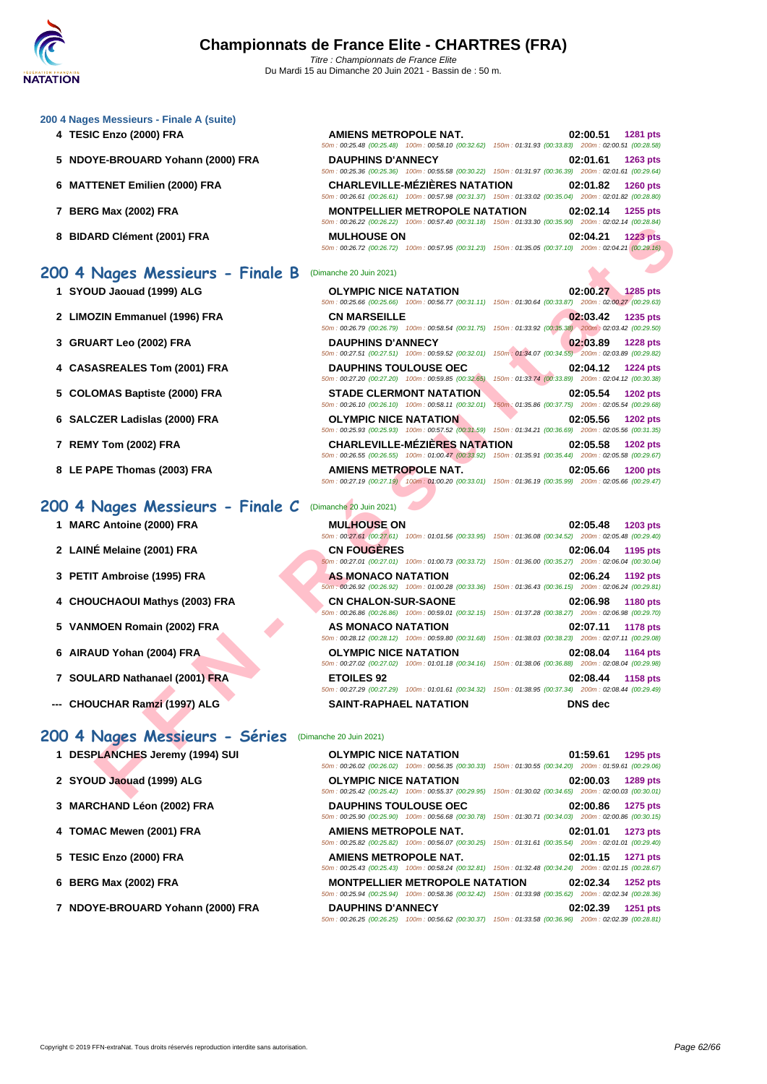#### **[200 4 Nag](http://www.ffnatation.fr/webffn/index.php)es Messieurs - Finale A (suite)**

- **4 TESIC Enzo (2000) FRA AMIENS METROPOLE NAT. 02:00.51 1281 pts**
- **5 NDOYE-BROUARD Yohann (2000) FRA**
- **6 MATTENET Emilien (2000) FRA**
- **7 BERG Max (2002) FRA**
- **8 BIDARD Clément (2001) FRA**
- 

200 4 Nages Messieurs - Finale B

- 
- 
- 
- 
- 
- 
- 

### 200 4 Nages Messieurs - Finale C

- 
- 
- 
- 
- 
- 
- 
- **--- CHOUCHAR Ramzi (1997) ALG SAINT-RAPHAEL NATATION DNS dec**

### **200 4 Nages Messieurs - Séries** (Dimanche 20 Juin 2021)

- **1 DESPLANCHES Jeremy (1994) SUI C**<sub>50m</sub>
- **2 SYOUD Jaouad (1999) ALG C C**  $\frac{60m}{50m}$
- **3 [MARCHAND Léon \(2002\) FRA](http://www.ffnatation.fr/webffn/resultats.php?idact=nat&go=epr&idcpt=70185&idepr=91) D**
- **4 TOMAC Mewen (2001) FRA A**
- **5 TESIC Enzo (2000) FRA A**
- **6 BERG Max (2002) FRA M**  $\frac{1}{500}$
- **7 NDOYE-BROUARD Yohann (2000) FRA** D

| <b>AMIENS METROPOLE NAT.</b> |                                                                                                        |                                                     | 02:00.51 | <b>1281 pts</b>           |
|------------------------------|--------------------------------------------------------------------------------------------------------|-----------------------------------------------------|----------|---------------------------|
|                              | 50m; 00:25.48 (00:25.48) 100m; 00:58.10 (00:32.62) 150m; 01:31.93 (00:33.83) 200m; 02:00.51 (00:28.58) |                                                     |          |                           |
| <b>DAUPHINS D'ANNECY</b>     |                                                                                                        |                                                     | 02:01.61 | 1263 pts                  |
|                              | 50m: 00:25.36 (00:25.36) 100m: 00:55.58 (00:30.22)                                                     | 150m: 01:31.97 (00:36.39) 200m: 02:01.61 (00:29.64) |          |                           |
|                              | <b>CHARLEVILLE-MÉZIÈRES NATATION</b>                                                                   |                                                     | 02:01.82 | <b>1260 pts</b>           |
|                              | 50m: 00:26.61 (00:26.61) 100m: 00:57.98 (00:31.37) 150m: 01:33.02 (00:35.04) 200m: 02:01.82 (00:28.80) |                                                     |          |                           |
|                              | <b>MONTPELLIER METROPOLE NATATION</b>                                                                  |                                                     | 02:02.14 | <b>1255 pts</b>           |
|                              | 50m; 00:26.22 (00:26.22) 100m; 00:57.40 (00:31.18) 150m; 01:33.30 (00:35.90)                           |                                                     |          | 200m: 02:02.14 (00:28.84) |
| <b>MULHOUSE ON</b>           |                                                                                                        |                                                     | 02:04.21 | <b>1223 pts</b>           |
|                              | 50m: 00:26.72 (00:26.72) 100m: 00:57.95 (00:31.23) 150m: 01:35.05 (00:37.10) 200m: 02:04.21 (00:29.16) |                                                     |          |                           |

| JO 4 Nages Messieurs - Finale B | (Dimanche 20 Juin 2021)                                                            |                                                                                                                                       |
|---------------------------------|------------------------------------------------------------------------------------|---------------------------------------------------------------------------------------------------------------------------------------|
| 1 SYOUD Jaouad (1999) ALG       | <b>OLYMPIC NICE NATATION</b>                                                       | 02:00.27<br><b>1285 pts</b><br>50m: 00:25.66 (00:25.66) 100m: 00:56.77 (00:31.11) 150m: 01:30.64 (00:33.87) 200m: 02:00.27 (00:29.63) |
| 2 LIMOZIN Emmanuel (1996) FRA   | <b>CN MARSEILLE</b>                                                                | 02:03.42<br>1235 pts<br>50m: 00:26.79 (00:26.79) 100m: 00:58.54 (00:31.75) 150m: 01:33.92 (00:35.38) 200m: 02:03.42 (00:29.50)        |
| 3 GRUART Leo (2002) FRA         | <b>DAUPHINS D'ANNECY</b>                                                           | 02:03.89<br><b>1228 pts</b><br>50m; 00:27.51 (00:27.51) 100m; 00:59.52 (00:32.01) 150m; 01:34.07 (00:34.55) 200m; 02:03.89 (00:29.82) |
| 4 CASASREALES Tom (2001) FRA    | <b>DAUPHINS TOULOUSE OEC</b><br>50m: 00:27.20 (00:27.20) 100m: 00:59.85 (00:32.65) | 02:04.12<br><b>1224 pts</b><br>150m: 01:33.74 (00:33.89) 200m: 02:04.12 (00:30.38)                                                    |
| 5 COLOMAS Baptiste (2000) FRA   | <b>STADE CLERMONT NATATION</b>                                                     | 02:05.54<br><b>1202 pts</b>                                                                                                           |

| 5 COLOMAS Baptiste (2000) FRA | <b>STADE CLERMONT NATATION</b>       | 02:05.54<br>1202 pts                                                                                   |
|-------------------------------|--------------------------------------|--------------------------------------------------------------------------------------------------------|
|                               |                                      | 50m: 00:26.10 (00:26.10) 100m: 00:58.11 (00:32.01) 150m: 01:35.86 (00:37.75) 200m: 02:05.54 (00:29.68) |
| 6 SALCZER Ladislas (2000) FRA | <b>OLYMPIC NICE NATATION</b>         | 02:05.56<br><b>1202 pts</b>                                                                            |
|                               |                                      | 50m: 00:25.93 (00:25.93) 100m: 00:57.52 (00:31.59) 150m: 01:34.21 (00:36.69) 200m: 02:05.56 (00:31.35) |
| 7 REMY Tom (2002) FRA         | <b>CHARLEVILLE-MÉZIÈRES NATATION</b> | 02:05.58<br><b>1202 pts</b>                                                                            |
|                               |                                      | 50m: 00:26.55 (00:26.55) 100m: 01:00.47 (00:33.92) 150m: 01:35.91 (00:35.44) 200m: 02:05.58 (00:29.67) |
| 8 LE PAPE Thomas (2003) FRA   | AMIENS METROPOLE NAT.                | 02:05.66<br><b>1200 pts</b>                                                                            |
|                               |                                      |                                                                                                        |

| (Dimanche 20 Juin 2021) |  |
|-------------------------|--|
|                         |  |

|                                 | $00.20.20.22$ (00.20.22) T0011. 00.01.40 (00.01.10) T0011. 01.00.00 (00.00.30)       |                                                                                                                                           |
|---------------------------------|--------------------------------------------------------------------------------------|-------------------------------------------------------------------------------------------------------------------------------------------|
| 8 BIDARD Clément (2001) FRA     | <b>MULHOUSE ON</b>                                                                   | 02:04.21<br><b>1223 pts</b><br>50m : 00:26.72 (00:26.72) 100m : 00:57.95 (00:31.23) 150m : 01:35.05 (00:37.10) 200m : 02:04.21 (00:29.16) |
| 00 4 Nages Messieurs - Finale B | (Dimanche 20 Juin 2021)                                                              |                                                                                                                                           |
| 1 SYOUD Jaouad (1999) ALG       | <b>OLYMPIC NICE NATATION</b>                                                         | 02:00.27<br><b>1285 pts</b><br>50m: 00:25.66 (00:25.66) 100m: 00:56.77 (00:31.11) 150m: 01:30.64 (00:33.87) 200m: 02:00.27 (00:29.63)     |
| 2 LIMOZIN Emmanuel (1996) FRA   | <b>CN MARSEILLE</b><br>50m: 00:26.79 (00:26.79) 100m: 00:58.54 (00:31.75)            | 02:03.42<br>1235 pts<br>150m: 01:33.92 (00:35.38) 200m: 02:03.42 (00:29.50)                                                               |
| 3 GRUART Leo (2002) FRA         | <b>DAUPHINS D'ANNECY</b>                                                             | 02:03.89<br><b>1228 pts</b><br>50m: 00:27.51 (00:27.51) 100m: 00:59.52 (00:32.01) 150m: 01:34.07 (00:34.55) 200m: 02:03.89 (00:29.82)     |
| 4 CASASREALES Tom (2001) FRA    | <b>DAUPHINS TOULOUSE OEC</b><br>50m: 00:27.20 (00:27.20) 100m: 00:59.85 (00:32.65)   | 02:04.12<br>1224 pts<br>150m: 01:33.74 (00:33.89) 200m: 02:04.12 (00:30.38)                                                               |
| 5 COLOMAS Baptiste (2000) FRA   | <b>STADE CLERMONT NATATION</b><br>50m: 00:26.10 (00:26.10) 100m: 00:58.11 (00:32.01) | 02:05.54<br><b>1202 pts</b><br>150m: 01:35.86 (00:37.75) 200m: 02:05.54 (00:29.68)                                                        |
| 6 SALCZER Ladislas (2000) FRA   | <b>OLYMPIC NICE NATATION</b>                                                         | 02:05.56<br>1202 pts<br>50m: 00:25.93 (00:25.93) 100m: 00:57.52 (00:31.59) 150m: 01:34.21 (00:36.69) 200m: 02:05.56 (00:31.35)            |
| 7 REMY Tom (2002) FRA           | <b>CHARLEVILLE-MÉZIÈRES NATATION</b>                                                 | 02:05.58<br>1202 pts<br>50m: 00:26.55 (00:26.55) 100m: 01:00.47 (00:33.92) 150m: 01:35.91 (00:35.44) 200m: 02:05.58 (00:29.67)            |
| 8 LE PAPE Thomas (2003) FRA     | AMIENS METROPOLE NAT.                                                                | 02:05.66<br><b>1200 pts</b><br>50m: 00:27.19 (00:27.19) 100m: 01:00.20 (00:33.01) 150m: 01:36.19 (00:35.99) 200m: 02:05.66 (00:29.47)     |
| 00 4 Nages Messieurs - Finale C | (Dimanche 20 Juin 2021)                                                              |                                                                                                                                           |
| 1 MARC Antoine (2000) FRA       | <b>MULHOUSE ON</b>                                                                   | 02:05.48<br>1203 pts<br>50m: 00:27.61 (00:27.61) 100m: 01:01.56 (00:33.95) 150m: 01:36.08 (00:34.52) 200m: 02:05.48 (00:29.40)            |
| 2 LAINÉ Melaine (2001) FRA      | <b>CN FOUGERES</b>                                                                   | 02:06.04<br>1195 pts<br>60m: 00:27.01 (00:27.01) 100m: 01:00.73 (00:33.72) 150m: 01:36.00 (00:35.27) 200m: 02:06.04 (00:30.04)            |
| 3 PETIT Ambroise (1995) FRA     | AS MONACO NATATION                                                                   | 02:06.24<br>1192 pts<br>50m : 00:26.92 (00:26.92) 100m : 01:00.28 (00:33.36) 150m : 01:36.43 (00:36.15) 200m : 02:06.24 (00:29.81)        |
| 4 CHOUCHAOUI Mathys (2003) FRA  | <b>CN CHALON-SUR-SAONE</b>                                                           | 02:06.98<br>1180 pts<br>50m: 00:26.86 (00:26.86) 100m: 00:59.01 (00:32.15) 150m: 01:37.28 (00:38.27) 200m: 02:06.98 (00:29.70)            |
| 5 VANMOEN Romain (2002) FRA     | AS MONACO NATATION                                                                   | 02:07.11<br><b>1178 pts</b><br>50m : 00:28.12 (00:28.12) 100m : 00:59.80 (00:31.68) 150m : 01:38.03 (00:38.23) 200m : 02:07.11 (00:29.08) |
| 6 AIRAUD Yohan (2004) FRA       | <b>OLYMPIC NICE NATATION</b>                                                         | 02:08.04<br><b>1164 pts</b><br>50m : 00:27.02 (00:27.02) 100m : 01:01.18 (00:34.16) 150m : 01:38.06 (00:36.88) 200m : 02:08.04 (00:29.98) |
| 7 SOULARD Nathanael (2001) FRA  | <b>ETOILES 92</b>                                                                    | 02:08.44<br>1158 pts<br>50m: 00:27.29 (00:27.29) 100m: 01:01.61 (00:34.32) 150m: 01:38.95 (00:37.34) 200m: 02:08.44 (00:29.49)            |
| -- CHOUCHAR Ramzi (1997) ALG    | <b>SAINT-RAPHAEL NATATION</b>                                                        | <b>DNS</b> dec                                                                                                                            |
| 00 4 Nages Messieurs - Séries   | (Dimanche 20 Juin 2021)                                                              |                                                                                                                                           |
| 1 DESPLANCHES Jeremy (1994) SUI | <b>OLYMPIC NICE NATATION</b>                                                         | 01:59.61<br>1295 pts<br>50m: 00:26.02 (00:26.02) 100m: 00:56.35 (00:30.33) 150m: 01:30.55 (00:34.20) 200m: 01:59.61 (00:29.06)            |
| 2 SYOUD Jaouad (1999) ALG       | <b>OLYMPIC NICE NATATION</b>                                                         | 02:00.03<br>1289 pts<br>50m: 00:25.42 (00:25.42) 100m: 00:55.37 (00:29.95) 150m: 01:30.02 (00:34.65) 200m: 02:00.03 (00:30.01)            |
|                                 |                                                                                      |                                                                                                                                           |

| <b>OLYMPIC NICE NATATION</b> | 50m: 00:26.02 (00:26.02) 100m: 00:56.35 (00:30.33) 150m: 01:30.55 (00:34.20) 200m: 01:59.61 (00:29.06)                                          | 01:59.61 1295 pts |  |
|------------------------------|-------------------------------------------------------------------------------------------------------------------------------------------------|-------------------|--|
| <b>OLYMPIC NICE NATATION</b> | 50m: 00:25.42 (00:25.42) 100m: 00:55.37 (00:29.95) 150m: 01:30.02 (00:34.65) 200m: 02:00.03 (00:30.01)                                          | 02:00.03 1289 pts |  |
| <b>DAUPHINS TOULOUSE OEC</b> | 50m: 00:25.90 (00:25.90) 100m: 00:56.68 (00:30.78) 150m: 01:30.71 (00:34.03) 200m: 02:00.86 (00:30.15)                                          | 02:00.86 1275 pts |  |
| <b>AMIENS METROPOLE NAT.</b> | 50m: 00:25.82 (00:25.82) 100m: 00:56.07 (00:30.25) 150m: 01:31.61 (00:35.54) 200m: 02:01.01 (00:29.40)                                          | 02:01.01 1273 pts |  |
| <b>AMIENS METROPOLE NAT.</b> | 50m: 00:25.43 (00:25.43) 100m: 00:58.24 (00:32.81) 150m: 01:32.48 (00:34.24) 200m: 02:01.15 (00:28.67)                                          | 02:01.15 1271 pts |  |
|                              | <b>MONTPELLIER METROPOLE NATATION</b><br>50m: 00:25.94 (00:25.94) 100m: 00:58.36 (00:32.42) 150m: 01:33.98 (00:35.62) 200m: 02:02.34 (00:28.36) | 02:02.34 1252 pts |  |
| <b>DAUPHINS D'ANNECY</b>     | 50m: 00:26.25 (00:26.25) 100m: 00:56.62 (00:30.37) 150m: 01:33.58 (00:36.96) 200m: 02:02.39 (00:28.81)                                          | 02:02.39 1251 pts |  |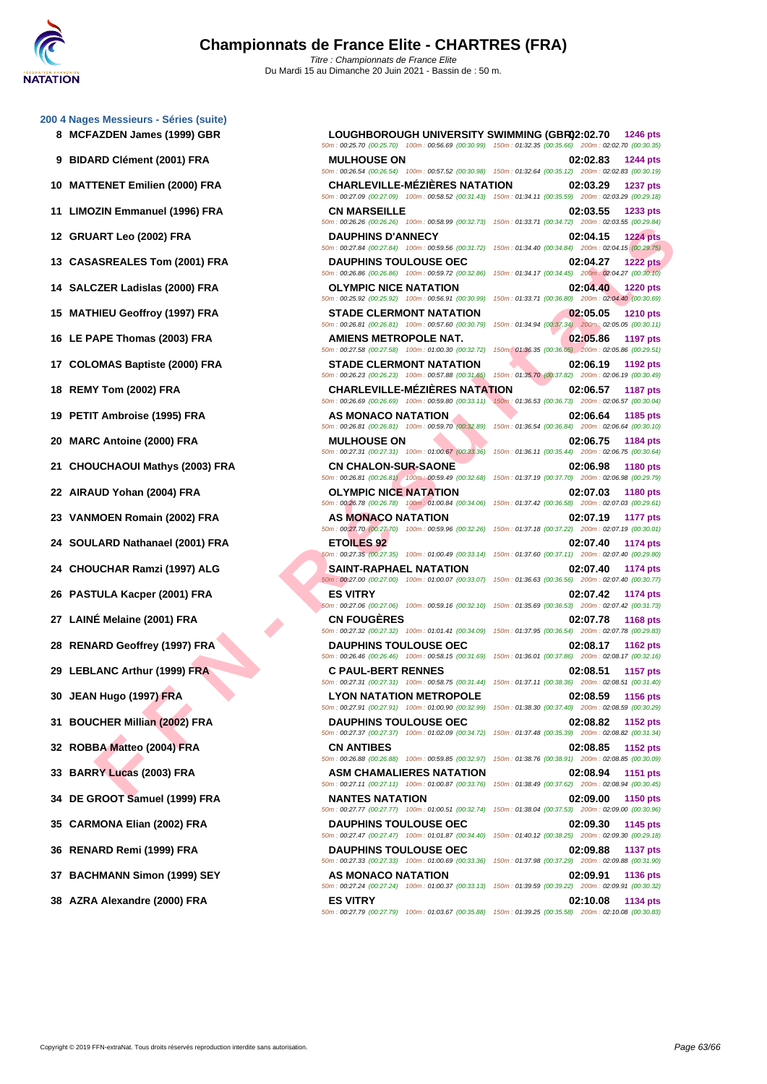# ART Leo (2003) FRA - D. D. MANIFIS DOUGHAIS COMESS ON THE SAME COMESS ON THE SAME COMESS ON THE SAME COMESS ON THE SAME COMESS ON THE SAME COMESS ON THE SAME COMESS ON THE SAME COMESS ON THE SAME COMESS ON THE SAME COMES **[200 4 Nag](http://www.ffnatation.fr/webffn/index.php)es Messieurs - Séries (suite) 8 MCFAZDEN James (1999) GBR LOUGHBOROUGH UNIVERSITY SWIMMING (GBR)02:02.70 1246 pts 9 BIDARD Clément (2001) FRA MULHOUSE ON 02:02.83 1244 pts 10 MATTENET Emilien (2000) FRA CHARLEVILLE-MÉZIÈRES NATATION 02:03.29 1237 pts 11 LIMOZIN Emmanuel (1996) FRA CN MARSEILLE 02:03.55 1233 pts 12 GRUART Leo (2002) FRA DAUPHINS D'ANNECY 02:04.15 1224 pts 13 CASASREALES Tom (2001) FRA DAUPHINS TOULOUSE OEC 02:04.27 1222 pts 14 SALCZER Ladislas (2000) FRA OLYMPIC NICE NATATION 02:04.40 1220 pts 15 MATHIEU Geoffroy (1997) FRA STADE CLERMONT NATATION 02:05.05 1210 pts 16 LE PAPE Thomas (2003) FRA AMIENS METROPOLE NAT. 02:05.86 1197 pts 17 COLOMAS Baptiste (2000) FRA STADE CLERMONT NATATION 02:06.19 1192 pts 18 REMY Tom (2002) FRA CHARLEVILLE-MÉZIÈRES NATATION 02:06.57 1187 pts 19 PETIT Ambroise (1995) FRA AS MONACO NATATION 02:06.64 1185 pts 20 MARC Antoine (2000) FRA MULHOUSE ON 02:06.75 1184 pts 21 CHOUCHAOUI Mathys (2003) FRA CN CHALON-SUR-SAONE 02:06.98 1180 pts 22 AIRAUD Yohan (2004) FRA OLYMPIC NICE NATATION 02:07.03 1180 pts 23 VANMOEN Romain (2002) FRA AS MONACO NATATION 02:07.19 1177 pts 24 SOULARD Nathanael (2001) FRA ETOILES 92 02:07.40 1174 pts 24 CHOUCHAR Ramzi (1997) ALG SAINT-RAPHAEL NATATION 02:07.40 1174 pts 26 PASTULA Kacper (2001) FRA ES VITRY 02:07.42 1174 pts 27 LAINÉ Melaine (2001) FRA CN FOUGÈRES 02:07.78 1168 pts 28 RENARD Geoffrey (1997) FRA DAUPHINS TOULOUSE OEC 02:08.17 1162 pts 29 LEBLANC Arthur (1999) FRA C PAUL-BERT RENNES 02:08.51 1157 pts 30 JEAN Hugo (1997) FRA LYON NATATION METROPOLE 02:08.59 1156 pts 31 BOUCHER Millian (2002) FRA DAUPHINS TOULOUSE OEC 02:08.82 1152 pts**

**38 AZRA Alexandre (2000) FRA ES VITRY 02:10.08 1134 pts**

```
50m : 00:25.70 (00:25.70) 100m : 00:56.69 (00:30.99) 150m : 01:32.35 (00:35.66) 200m : 02:02.70 (00:30.35)
                                                                    50m : 00:26.54 (00:26.54) 100m : 00:57.52 (00:30.98) 150m : 01:32.64 (00:35.12) 200m : 02:02.83 (00:30.19)
                                                                   50m : 00:27.09 (00:27.09) 100m : 00:58.52 (00:31.43) 150m : 01:34.11 (00:35.59) 200m : 02:03.29 (00:29.18)
                                                                    50m : 00:26.26 (00:26.26) 100m : 00:58.99 (00:32.73) 150m : 01:33.71 (00:34.72) 200m : 02:03.55 (00:29.84)
                                                                     50m : 00:27.84 (00:27.84) 100m : 00:59.56 (00:31.72) 150m : 01:34.40 (00:34.84) 200m : 02:04.15 (00:29.75)
                                                                    50m : 00:26.86 (00:26.86) 100m : 00:59.72 (00:32.86) 150m : 01:34.17 (00:34.45) 200m : 02:04.27 (00:30.10)
                                                                    50m : 00:25.92 (00:25.92) 100m : 00:56.91 (00:30.99) 150m : 01:33.71 (00:36.80) 200m : 02:04.40 (00:30.69)
                                                                   50m : 00:26.81 (00:26.81) 100m : 00:57.60 (00:30.79) 150m : 01:34.94 (00:37.34) 200m : 02:05.05 (00:30.11)
                                                                    50m : 00:27.58 (00:27.58) 100m : 01:00.30 (00:32.72) 150m : 01:36.35 (00:36.05) 200m : 02:05.86 (00:29.51)
                                                                    50m : 00:26.23 (00:26.23) 100m : 00:57.88 (00:31.65) 150m : 01:35.70 (00:37.82) 200m : 02:06.19 (00:30.49)
                                                                   50m : 00:26.69 (00:26.69) 100m : 00:59.80 (00:33.11) 150m : 01:36.53 (00:36.73) 200m : 02:06.57 (00:30.04)
                                                                   50m : 00:26.81 (00:26.81) 100m : 00:59.70 (00:32.89) 150m : 01:36.54 (00:36.84) 200m : 02:06.64 (00:30.10)
                                                                     50m : 00:27.31 (00:27.31) 100m : 01:00.67 (00:33.36) 150m : 01:36.11 (00:35.44) 200m : 02:06.75 (00:30.64)
                                                                     50m : 00:26.81 (00:26.81) 100m : 00:59.49 (00:32.68) 150m : 01:37.19 (00:37.70) 200m : 02:06.98 (00:29.79)
                                                                    50m : 00:26.78 (00:26.78) 100m : 01:00.84 (00:34.06) 150m : 01:37.42 (00:36.58) 200m : 02:07.03 (00:29.61)
                                                                    50m : 00:27.70 (00:27.70) 100m : 00:59.96 (00:32.26) 150m : 01:37.18 (00:37.22) 200m : 02:07.19 (00:30.01)
                                                                     50m : 00:27.35 (00:27.35) 100m : 01:00.49 (00:33.14) 150m : 01:37.60 (00:37.11) 200m : 02:07.40 (00:29.80)
                                                                    50m : 00:27.00 (00:27.00) 100m : 01:00.07 (00:33.07) 150m : 01:36.63 (00:36.56) 200m : 02:07.40 (00:30.77)
                                                                   50m : 00:27.06 (00:27.06) 100m : 00:59.16 (00:32.10) 150m : 01:35.69 (00:36.53) 200m : 02:07.42 (00:31.73)
                                                                     50m : 00:27.32 (00:27.32) 100m : 01:01.41 (00:34.09) 150m : 01:37.95 (00:36.54) 200m : 02:07.78 (00:29.83)
                                                                    50m : 00:26.46 (00:26.46) 100m : 00:58.15 (00:31.69) 150m : 01:36.01 (00:37.86) 200m : 02:08.17 (00:32.16)
                                                                     50m : 00:27.31 (00:27.31) 100m : 00:58.75 (00:31.44) 150m : 01:37.11 (00:38.36) 200m : 02:08.51 (00:31.40)
                                                                    50m : 00:27.91 (00:27.91) 100m : 01:00.90 (00:32.99) 150m : 01:38.30 (00:37.40) 200m : 02:08.59 (00:30.29)
                                                                   50m : 00:27.37 (00:27.37) 100m : 01:02.09 (00:34.72) 150m : 01:37.48 (00:35.39) 200m : 02:08.82 (00:31.34)
32 ROBBA Matteo (2004) FRA CN ANTIBES 02:08.85 1152 pts
                                                                   50m : 00:26.88 (00:26.88) 100m : 00:59.85 (00:32.97) 150m : 01:38.76 (00:38.91) 200m : 02:08.85 (00:30.09)
33 BARRY Lucas (2003) FRA ASM CHAMALIERES NATATION 02:08.94 1151 pts
                                                                    50m : 00:27.11 (00:27.11) 100m : 01:00.87 (00:33.76) 150m : 01:38.49 (00:37.62) 200m : 02:08.94 (00:30.45)
34 DE GROOT Samuel (1999) FRA NANTES NATATION 02:09.00 1150 pts
                                                                   50m : 00:27.77 (00:27.77) 100m : 01:00.51 (00:32.74) 150m : 01:38.04 (00:37.53) 200m : 02:09.00 (00:30.96)
35 CARMONA Elian (2002) FRA DAUPHINS TOULOUSE OEC 02:09.30 1145 pts
                                                                   50m : 00:27.47 (00:27.47) 100m : 01:01.87 (00:34.40) 150m : 01:40.12 (00:38.25) 200m : 02:09.30 (00:29.18)
36 RENARD Remi (1999) FRA DAUPHINS TOULOUSE OEC 02:09.88 1137 pts
                                                                    50m : 00:27.33 (00:27.33) 100m : 01:00.69 (00:33.36) 150m : 01:37.98 (00:37.29) 200m : 02:09.88 (00:31.90)
37 BACHMANN Simon (1999) SEY AS MONACO NATATION 02:09.91 1136 pts
                                                                     50m : 00:27.24 (00:27.24) 100m : 01:00.37 (00:33.13) 150m : 01:39.59 (00:39.22) 200m : 02:09.91 (00:30.32)
```
50m : 00:27.79 (00:27.79) 100m : 01:03.67 (00:35.88) 150m : 01:39.25 (00:35.58) 200m : 02:10.08 (00:30.83)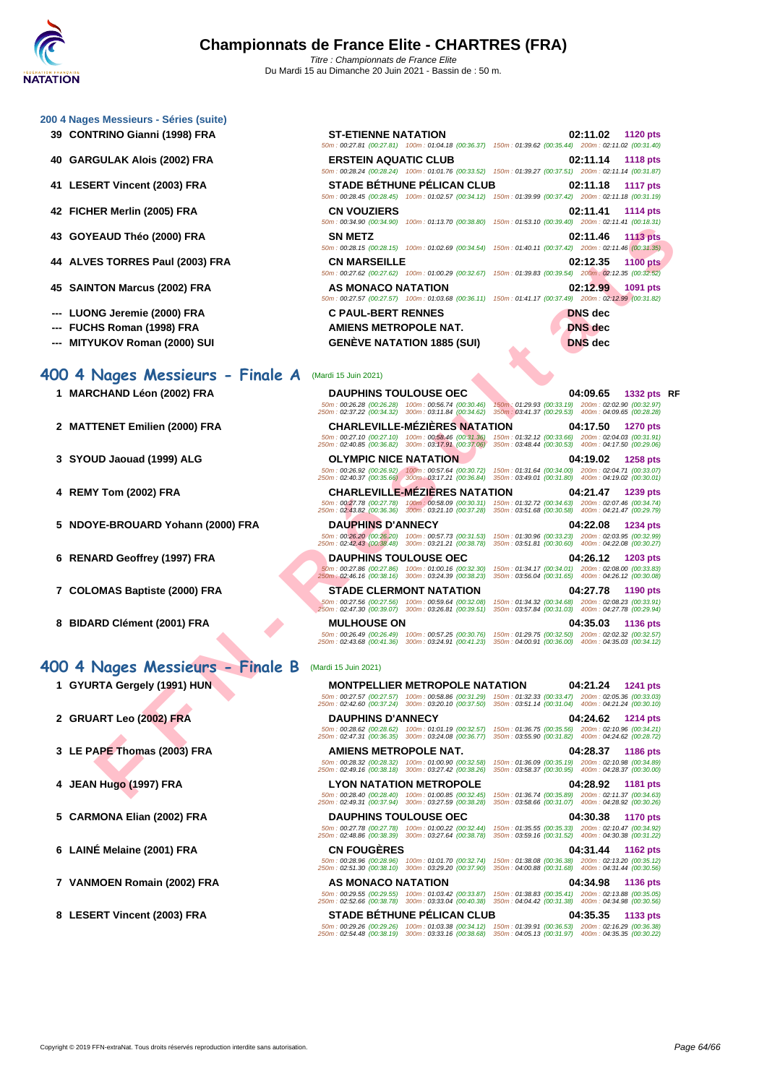#### **[200 4 Nag](http://www.ffnatation.fr/webffn/index.php)es Messieurs - Séries (suite)**

- **39 CONTRINO Gianni (1998) FRA**
- **40 GARGULAK Alois (2002) FRA ERSTEIN AQUATIC CLUB 02:11.14 1118 pts**
- **41 LESERT Vincent (2003) FRA**
- **42 FICHER Merlin (2005) FRA**
- **43 GOYEAUD Théo (2000) FRA**
- **44** ALVES TORRES Paul (2003) FRA
- **45 SAINTON Marcus (2002) FRA**
- **---** LUONG Jeremie (2000) FRA
- **--- FUCHS Roman (1998) FRA**
- **--- MITYUKOV Roman (2000) SUI GENÈVE NATATION 1885 (SUI) DNS dec**

| <b>ST-ETIENNE NATATION</b>   |                                                                                                        |                                                     | 02:11.02 1120 pts |                 |
|------------------------------|--------------------------------------------------------------------------------------------------------|-----------------------------------------------------|-------------------|-----------------|
|                              | 50m: 00:27.81 (00:27.81) 100m: 01:04.18 (00:36.37) 150m: 01:39.62 (00:35.44) 200m: 02:11.02 (00:31.40) |                                                     |                   |                 |
| <b>ERSTEIN AQUATIC CLUB</b>  |                                                                                                        |                                                     | 02:11.14          | <b>1118 pts</b> |
|                              | 50m: 00:28.24 (00:28.24) 100m: 01:01.76 (00:33.52) 150m: 01:39.27 (00:37.51) 200m: 02:11.14 (00:31.87) |                                                     |                   |                 |
|                              | <b>STADE BÉTHUNE PÉLICAN CLUB</b>                                                                      |                                                     | 02:11.18 1117 pts |                 |
|                              | 50m: 00:28.45 (00:28.45) 100m: 01:02.57 (00:34.12) 150m: 01:39.99 (00:37.42) 200m: 02:11.18 (00:31.19) |                                                     |                   |                 |
| <b>CN VOUZIERS</b>           |                                                                                                        |                                                     | 02:11.41          | 1114 pts        |
|                              | 50m: 00:34.90 (00:34.90) 100m: 01:13.70 (00:38.80) 150m: 01:53.10 (00:39.40) 200m: 02:11.41 (00:18.31) |                                                     |                   |                 |
| <b>SN METZ</b>               |                                                                                                        |                                                     | 02:11.46          | <b>1113 pts</b> |
|                              | 50m: 00:28.15 (00:28.15) 100m: 01:02.69 (00:34.54) 150m: 01:40.11 (00:37.42) 200m: 02:11.46 (00:31.35) |                                                     |                   |                 |
| <b>CN MARSEILLE</b>          |                                                                                                        |                                                     | 02:12.35          | <b>1100 pts</b> |
|                              | 50m: 00:27.62 (00:27.62) 100m: 01:00.29 (00:32.67)                                                     | 150m: 01:39.83 (00:39.54) 200m: 02:12.35 (00:32.52) |                   |                 |
| AS MONACO NATATION           |                                                                                                        |                                                     | 02:12.99          | 1091 pts        |
|                              | 50m: 00:27.57 (00:27.57) 100m: 01:03.68 (00:36.11) 150m: 01:41.17 (00:37.49) 200m: 02:12.99 (00:31.82) |                                                     |                   |                 |
| <b>C PAUL-BERT RENNES</b>    |                                                                                                        |                                                     | <b>DNS</b> dec    |                 |
| <b>AMIENS METROPOLE NAT.</b> |                                                                                                        |                                                     | <b>DNS</b> dec    |                 |
|                              |                                                                                                        |                                                     |                   |                 |

#### **400 4 Nages Messieurs - Finale A** (Mardi 15 Juin 2021)

- 
- 
- 
- 
- 
- 
- 
- **8 BIDARD Clément (2001) FRA MULHOUSE ON 04:35.03 1136 pts**

### **400 4 Nages Messieurs - Finale B** (Mardi 15 Juin 2021)

- **1 GYURTA Gergely (1991) HUN**
- **2 GRUART Leo (2002) FRA**
- **3** LE PAPE Thomas (2003) FRA
- **4 JEAN Hugo (1997) FRA LYON NATATION METROPOLE 04:28.92 1181 pts**
- **5 CARMONA Elian (2002) FRA**
- **6 LAINÉ Melaine (2001) FRA CN FOUGÈRES 04:31.44 1162 pts**
- 
- 

**EAU Theo (2003) [F](http://www.ffnatation.fr/webffn/resultats.php?idact=nat&go=epr&idcpt=70185&idepr=92)RA**<br> **FRANCE PROTECTION NATION CONTROLLER METHOD CONTRANT CONTRANT CONTRANT CONTRANT CONTRANT CONTRANT CONTRANT CONTRANT CONTRANT CONTRANT CONTRANT CONTRANT CONTRANT CONTRANT CONTRANT CONTRANT CONTRANT C 1 MARCHAND Léon (2002) FRA DAUPHINS TOULOUSE OEC 04:09.65 1332 pts RF** 50m : 00:26.28 (00:26.28) 100m : 00:56.74 (00:30.46) 150m : 01:29.93 (00:33.19) 200m : 02:02.90 (00:32.97) 250m : 02:37.22 (00:34.32) 300m : 03:11.84 (00:34.62) 350m : 03:41.37 (00:29.53) 400m : 04:09.65 (00:28.28) **2 MATTENET Emilien (2000) FRA CHARLEVILLE-MÉZIÈRES NATATION 04:17.50 1270 pts** 50m : 00:27.10 (00:27.10) 100m : 00:58.46 (00:31.36) 150m : 01:32.12 (00:33.66) 200m : 02:04.03 (00:31.91) 250m : 02:40.85 (00:36.82) 300m : 03:17.91 (00:37.06) 350m : 03:48.44 (00:30.53) 400m : 04:17.50 (00:29.06) **3 SYOUD Jaouad (1999) ALG OLYMPIC NICE NATATION 04:19.02 1258 pts** 50m : 00:26.92 (00:26.92) 100m : 00:57.64 (00:30.72) 150m : 01:31.64 (00:34.00) 200m : 02:04.71 (00:33.07) 250m : 02:40.37 (00:35.66) 300m : 03:17.21 (00:36.84) 350m : 03:49.01 (00:31.80) 400m : 04:19.02 (00:30.01) **4 REMY Tom (2002) FRA CHARLEVILLE-MÉZIÈRES NATATION 04:21.47 1239 pts** 50m : 00:27.78 (00:27.78) 100m : 00:58.09 (00:30.31) 150m : 01:32.72 (00:34.63) 200m : 02:07.46 (00:34.74) 250m : 02:43.82 (00:36.36) 300m : 03:21.10 (00:37.28) 350m : 03:51.68 (00:30.58) 400m : 04:21.47 (00:29.79) **5 NDOYE-BROUARD Yohann (2000) FRA DAUPHINS D'ANNECY 04:22.08 1234 pts** 50m : 00:26.20 (00:26.20) 100m : 00:57.73 (00:31.53) 150m : 01:30.96 (00:33.23) 200m : 02:03.95 (00:32.99) 250m : 02:42.43 (00:38.48) 300m : 03:21.21 (00:38.78) 350m : 03:51.81 (00:30.60) 400m : 04:22.08 (00:30.27) **6 RENARD Geoffrey (1997) FRA DAUPHINS TOULOUSE OEC 04:26.12 1203 pts** 50m : 00:27.86 (00:27.86) 100m : 01:00.16 (00:32.30) 150m : 01:34.17 (00:34.01) 200m : 02:08.00 (00:33.83) 250m : 02:46.16 (00:38.16) 300m : 03:24.39 (00:38.23) 350m : 03:56.04 (00:31.65) 400m : 04:26.12 (00:30.08) **7 COLOMAS Baptiste (2000) FRA STADE CLERMONT NATATION 04:27.78 1190 pts** 50m : 00:27.56 (00:27.56) 100m : 00:59.64 (00:32.08) 150m : 01:34.32 (00:34.68) 200m : 02:08.23 (00:33.91) 250m : 02:47.30 (00:39.07) 300m : 03:26.81 (00:39.51) 350m : 03:57.84 (00:31.03) 400m : 04:27.78 (00:29.94)

50m : 00:26.49 (00:26.49) 100m : 00:57.25 (00:30.76) 150m : 01:29.75 (00:32.50) 200m : 02:02.32 (00:32.57) 250m : 02:43.68 (00:41.36) 300m : 03:24.91 (00:41.23) 350m : 04:00.91 (00:36.00) 400m : 04:35.03 (00:34.12)

|                                                       | <b>MONTPELLIER METROPOLE NATATION</b>                  |                                                        | 04:21.24<br><b>1241 pts</b>                            |
|-------------------------------------------------------|--------------------------------------------------------|--------------------------------------------------------|--------------------------------------------------------|
| 50m: 00:27.57 (00:27.57)<br>250m: 02:42.60 (00:37.24) | 100m: 00:58.86 (00:31.29)<br>300m: 03:20.10 (00:37.50) | 150m: 01:32.33 (00:33.47)<br>350m: 03:51.14 (00:31.04) | 200m: 02:05.36 (00:33.03)<br>400m: 04:21.24 (00:30.10) |
| <b>DAUPHINS D'ANNECY</b>                              |                                                        |                                                        | 04:24.62 1214 pts                                      |
| 50m: 00:28.62 (00:28.62)<br>250m: 02:47.31 (00:36.35) | 100m: 01:01.19 (00:32.57)<br>300m: 03:24.08 (00:36.77) | 150m: 01:36.75 (00:35.56)<br>350m: 03:55.90 (00:31.82) | 200m: 02:10.96 (00:34.21)<br>400m: 04:24.62 (00:28.72) |
| AMIENS METROPOLE NAT.                                 |                                                        |                                                        | 04:28.37 1186 pts                                      |
| 50m: 00:28.32 (00:28.32)<br>250m: 02:49.16 (00:38.18) | 100m: 01:00.90 (00:32.58)<br>300m: 03:27.42 (00:38.26) | 150m: 01:36.09 (00:35.19)<br>350m: 03:58.37 (00:30.95) | 200m: 02:10.98 (00:34.89)<br>400m: 04:28.37 (00:30.00) |
|                                                       | <b>LYON NATATION METROPOLE</b>                         |                                                        | 04:28.92 1181 pts                                      |
| 50m: 00:28.40 (00:28.40)<br>250m: 02:49.31 (00:37.94) | 100m: 01:00.85 (00:32.45)<br>300m: 03:27.59 (00:38.28) | 150m: 01:36.74 (00:35.89)<br>350m: 03:58.66 (00:31.07) | 200m: 02:11.37 (00:34.63)<br>400m: 04:28.92 (00:30.26) |
| <b>DAUPHINS TOULOUSE OEC</b>                          |                                                        |                                                        | 04:30.38<br><b>1170 pts</b>                            |
| 50m: 00:27.78 (00:27.78)<br>250m: 02:48.86 (00:38.39) | 100m: 01:00.22 (00:32.44)<br>300m: 03:27.64 (00:38.78) | 150m: 01:35.55 (00:35.33)<br>350m: 03:59.16 (00:31.52) | 200m: 02:10.47 (00:34.92)<br>400m: 04:30.38 (00:31.22) |
|                                                       |                                                        |                                                        |                                                        |

50m : 00:28.96 (00:28.96) 100m : 01:01.70 (00:32.74) 150m : 01:38.08 (00:36.38) 200m : 02:13.20 (00:35.12) 250m : 02:51.30 (00:38.10) 300m : 03:29.20 (00:37.90) 350m : 04:00.88 (00:31.68) 400m : 04:31.44 (00:30.56)

**7 VANMOEN Romain (2002) FRA AS MONACO NATATION 04:34.98 1136 pts** 50m : 00:29.55 (00:29.55) 100m : 01:03.42 (00:33.87) 150m : 01:38.83 (00:35.41) 200m : 02:13.88 (00:35.05) 250m : 02:52.66 (00:38.78) 300m : 03:33.04 (00:40.38) 350m : 04:04.42 (00:31.38) 400m : 04:34.98 (00:30.56)

### **8 LESERT Vincent (2003) FRA STADE BÉTHUNE PÉLICAN CLUB 04:35.35 1133 pts**

50m : 00:29.26 (00:29.26) 100m : 01:03.38 (00:34.12) 150m : 01:39.91 (00:36.53) 200m : 02:16.29 (00:36.38) 250m : 02:54.48 (00:38.19) 300m : 03:33.16 (00:38.68) 350m : 04:05.13 (00:31.97) 400m : 04:35.35 (00:30.22)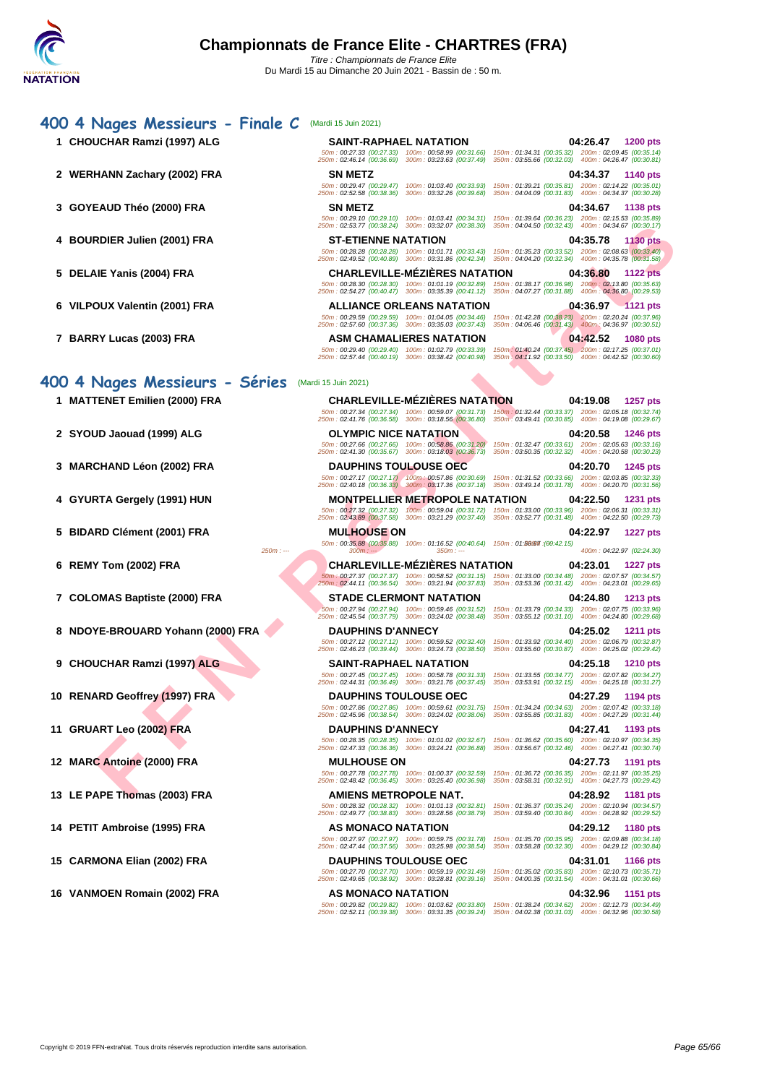| 1 CHOUCHAR Ramzi (1997) ALG       | <b>SAINT-RAPHAEL NATATION</b>                                                                                                                                 | 04:26.47<br><b>1200 pts</b>                                                                                                    |
|-----------------------------------|---------------------------------------------------------------------------------------------------------------------------------------------------------------|--------------------------------------------------------------------------------------------------------------------------------|
|                                   | 50m: 00:27.33 (00:27.33) 100m: 00:58.99 (00:31.66)<br>250m: 02:46.14 (00:36.69) 300m: 03:23.63 (00:37.49)                                                     | 150m: 01:34.31 (00:35.32) 200m: 02:09.45 (00:35.14)<br>350m: 03:55.66 (00:32.03) 400m: 04:26.47 (00:30.81)                     |
| 2 WERHANN Zachary (2002) FRA      | <b>SN METZ</b>                                                                                                                                                | 04:34.37<br>1140 pts                                                                                                           |
|                                   | 50m: 00:29.47 (00:29.47)<br>100m: 01:03.40 (00:33.93)<br>250m: 02:52.58 (00:38.36)<br>300m: 03:32.26 (00:39.68)                                               | 150m: 01:39.21 (00:35.81) 200m: 02:14.22 (00:35.01)<br>350m: 04:04.09 (00:31.83) 400m: 04:34.37 (00:30.28)                     |
| 3 GOYEAUD Théo (2000) FRA         | <b>SN METZ</b>                                                                                                                                                | 04:34.67<br>1138 pts                                                                                                           |
|                                   | 50m: 00:29.10 (00:29.10)<br>100m: 01:03.41 (00:34.31)<br>250m: 02:53.77 (00:38.24) 300m: 03:32.07 (00:38.30)                                                  | 150m: 01:39.64 (00:36.23) 200m: 02:15.53 (00:35.89)<br>350m: 04:04.50 (00:32.43) 400m: 04:34.67 (00:30.17)                     |
| 4 BOURDIER Julien (2001) FRA      | <b>ST-ETIENNE NATATION</b>                                                                                                                                    | 04:35.78<br><b>1130 pts</b>                                                                                                    |
|                                   | 50m: 00:28.28 (00:28.28) 100m: 01:01.71 (00:33.43)<br>250m: 02:49.52 (00:40.89) 300m: 03:31.86 (00:42.34)                                                     | 150m: 01:35.23 (00:33.52) 200m: 02:08.63 (00:33.40)<br>350m: 04:04.20 (00:32.34) 400m: 04:35.78 (00:31.58)                     |
| 5 DELAIE Yanis (2004) FRA         | <b>CHARLEVILLE-MEZIERES NATATION</b>                                                                                                                          | 04:36.80<br><b>1122 pts</b>                                                                                                    |
|                                   | 50m: 00:28.30 (00:28.30) 100m: 01:01.19 (00:32.89)<br>250m: 02:54.27 (00:40.47) 300m: 03:35.39 (00:41.12) 350m: 04:07.27 (00:31.88) 400m: 04:36.80 (00:29.53) | 150m: 01:38.17 (00:36.98) 200m: 02:13.80 (00:35.63)                                                                            |
| 6 VILPOUX Valentin (2001) FRA     | ALLIANCE ORLEANS NATATION                                                                                                                                     | 04:36.97 1121 pts                                                                                                              |
|                                   | 50m: 00:29.59 (00:29.59) 100m: 01:04.05 (00:34.46)<br>250m: 02:57.60 (00:37.36) 300m: 03:35.03 (00:37.43)                                                     | 150m: 01:42.28 (00:38.23) 200m: 02:20.24 (00:37.96)<br>350m: 04:06.46 (00:31.43) 400m: 04:36.97 (00:30.51)                     |
| 7 BARRY Lucas (2003) FRA          | <b>ASM CHAMALIERES NATATION</b>                                                                                                                               | 04:42.52<br><b>1080 pts</b>                                                                                                    |
|                                   | 50m: 00:29.40 (00:29.40) 100m: 01:02.79 (00:33.39)<br>250m: 02:57.44 (00:40.19) 300m: 03:38.42 (00:40.98)                                                     | 150m: 01:40.24 (00:37.45) 200m: 02:17.25 (00:37.01)<br>350m: 04:11.92 (00:33.50) 400m: 04:42.52 (00:30.60)                     |
|                                   |                                                                                                                                                               |                                                                                                                                |
| 400 4 Nages Messieurs - Séries    | (Mardi 15 Juin 2021)                                                                                                                                          |                                                                                                                                |
| 1 MATTENET Emilien (2000) FRA     | <b>CHARLEVILLE-MEZIERES NATATION</b>                                                                                                                          | 04:19.08<br>1257 pts<br>50m: 00:27.34 (00:27.34) 100m: 00:59.07 (00:31.73) 150m: 01:32.44 (00:33.37) 200m: 02:05.18 (00:32.74) |
|                                   | 250m: 02:41.76 (00:36.58) 300m: 03:18.56 (00:36.80) 350m: 03:49.41 (00:30.85) 400m: 04:19.08 (00:29.67)                                                       |                                                                                                                                |
| 2 SYOUD Jaouad (1999) ALG         | <b>OLYMPIC NICE NATATION</b><br>50m: 00:27.66 (00:27.66) 100m: 00:58.86 (00:31.20)                                                                            | 04:20.58<br><b>1246 pts</b><br>150m: 01:32.47 (00:33.61) 200m: 02:05.63 (00:33.16)                                             |
|                                   | 250m: 02:41.30 (00:35.67) 300m: 03:18.03 (00:36.73)                                                                                                           | 350m: 03:50.35 (00:32.32) 400m: 04:20.58 (00:30.23)                                                                            |
| 3 MARCHAND Léon (2002) FRA        | <b>DAUPHINS TOULOUSE OEC</b>                                                                                                                                  | 04:20.70<br>1245 pts<br>150m: 01:31.52 (00:33.66) 200m: 02:03.85 (00:32.33)                                                    |
|                                   | $50m : 00:27.17$ (00:27.17) $100m : 00:57.86$ (00:30.69)<br>250m : 02:40.18 (00:36.33) 300m : 03:17.36 (00:37.18)                                             | 350m: 03:49.14 (00:31.78) 400m: 04:20.70 (00:31.56)                                                                            |
| 4 GYURTA Gergely (1991) HUN       | <b>MONTPELLIER METROPOLE NATATION</b>                                                                                                                         | 04:22.50<br>1231 pts                                                                                                           |
|                                   | 50m: 00:27.32 (00:27.32) 100m: 00:59.04 (00:31.72)<br>250m: 02:43.89 (00:37.58) 300m: 03:21.29 (00:37.40) 350m: 03:52.77 (00:31.48) 400m: 04:22.50 (00:29.73) | 150m: 01:33.00 (00:33.96) 200m: 02:06.31 (00:33.31)                                                                            |
| 5 BIDARD Clément (2001) FRA       | <b>MULHOUSE ON</b>                                                                                                                                            | 04:22.97<br><b>1227 pts</b>                                                                                                    |
| $250m: -$                         | 50m: 00:35.88 (00:35.88) 100m: 01:16.52 (00:40.64) 150m: 01:88067 (00:42.15)<br>$350m: -$<br>$300m: -$                                                        | 400m: 04:22.97 (02:24.30)                                                                                                      |
| 6 REMY Tom (2002) FRA             | <b>CHARLEVILLE-MÉZIERES NATATION</b>                                                                                                                          | 04:23.01<br><b>1227 pts</b>                                                                                                    |
|                                   | 50m: 00:27.37 (00:27.37) 100m: 00:58.52 (00:31.15)<br>250m: 02:44.11 (00:36.54) 300m: 03:21.94 (00:37.83) 350m: 03:53.36 (00:31.42) 400m: 04:23.01 (00:29.65) | 150m: 01:33.00 (00:34.48) 200m: 02:07.57 (00:34.57)                                                                            |
| 7 COLOMAS Baptiste (2000) FRA     | <b>STADE CLERMONT NATATION</b>                                                                                                                                | 04:24.80<br><b>1213 pts</b>                                                                                                    |
|                                   | 50m: 00:27.94 (00:27.94) 100m: 00:59.46 (00:31.52)<br>250m: 02:45.54 (00:37.79) 300m: 03:24.02 (00:38.48)                                                     | 150m: 01:33.79 (00:34.33) 200m: 02:07.75 (00:33.96)<br>350m: 03:55.12 (00:31.10) 400m: 04:24.80 (00:29.68)                     |
| 8 NDOYE-BROUARD Yohann (2000) FRA | <b>DAUPHINS D'ANNECY</b>                                                                                                                                      | 04:25.02<br><b>1211 pts</b>                                                                                                    |
|                                   | 50m: 00:27.12 (00:27.12) 100m: 00:59.52 (00:32.40)<br>250m: 02:46.23 (00:39.44) 300m: 03:24.73 (00:38.50)                                                     | 150m: 01:33.92 (00:34.40) 200m: 02:06.79 (00:32.87)<br>350m: 03:55.60 (00:30.87) 400m: 04:25.02 (00:29.42)                     |
| 9 CHOUCHAR Ramzi (1997) ALG       | <b>SAINT-RAPHAEL NATATION</b>                                                                                                                                 | 04:25.18<br><b>1210 pts</b>                                                                                                    |
|                                   | 250m: 02:44.31 (00:36.49) 300m: 03:21.76 (00:37.45) 350m: 03:53.91 (00:32.15) 400m: 04:25.18 (00:31.27)                                                       | 50m: 00:27.45 (00:27.45) 100m: 00:58.78 (00:31.33) 150m: 01:33.55 (00:34.77) 200m: 02:07.82 (00:34.27)                         |
| 10 RENARD Geoffrey (1997) FRA     | <b>DAUPHINS TOULOUSE OEC</b>                                                                                                                                  | 04:27.29<br>1194 pts                                                                                                           |
|                                   | 250m: 02:45.96 (00:38.54) 300m: 03:24.02 (00:38.06) 350m: 03:55.85 (00:31.83) 400m: 04:27.29 (00:31.44)                                                       | 50m: 00:27.86 (00:27.86) 100m: 00:59.61 (00:31.75) 150m: 01:34.24 (00:34.63) 200m: 02:07.42 (00:33.18)                         |
| 11 GRUART Leo (2002) FRA          | <b>DAUPHINS D'ANNECY</b>                                                                                                                                      | 04:27.41<br>1193 pts                                                                                                           |
|                                   | 250m: 02:47.33 (00:36.36) 300m: 03:24.21 (00:36.88) 350m: 03:56.67 (00:32.46) 400m: 04:27.41 (00:30.74)                                                       | 50m: 00:28.35 (00:28.35) 100m: 01:01.02 (00:32.67) 150m: 01:36.62 (00:35.60) 200m: 02:10.97 (00:34.35)                         |
| 12 MARC Antoine (2000) FRA        | <b>MULHOUSE ON</b>                                                                                                                                            | 04:27.73<br>1191 pts                                                                                                           |
|                                   | 250m: 02:48.42 (00:36.45) 300m: 03:25.40 (00:36.98) 350m: 03:58.31 (00:32.91) 400m: 04:27.73 (00:29.42)                                                       | 50m: 00:27.78 (00:27.78) 100m: 01:00.37 (00:32.59) 150m: 01:36.72 (00:36.35) 200m: 02:11.97 (00:35.25)                         |
| 13 LE PAPE Thomas (2003) FRA      | AMIENS METROPOLE NAT.                                                                                                                                         | 04:28.92<br><b>1181 pts</b>                                                                                                    |
|                                   | 250m: 02:49.77 (00:38.83) 300m: 03:28.56 (00:38.79) 350m: 03:59.40 (00:30.84) 400m: 04:28.92 (00:29.52)                                                       | 50m: 00:28.32 (00:28.32) 100m: 01:01.13 (00:32.81) 150m: 01:36.37 (00:35.24) 200m: 02:10.94 (00:34.57)                         |
| 14 PETIT Ambroise (1995) FRA      | AS MONACO NATATION                                                                                                                                            | 04:29.12<br>1180 pts                                                                                                           |
|                                   | 50m: 00:27.97 (00:27.97) 100m: 00:59.75 (00:31.78)                                                                                                            | 150m: 01:35.70 (00:35.95) 200m: 02:09.88 (00:34.18)                                                                            |
|                                   | 250m: 02:47.44 (00:37.56) 300m: 03:25.98 (00:38.54) 350m: 03:58.28 (00:32.30) 400m: 04:29.12 (00:30.84)<br><b>DAUPHINS TOULOUSE OEC</b>                       |                                                                                                                                |
| 15 CARMONA Elian (2002) FRA       | 50m: 00:27.70 (00:27.70) 100m: 00:59.19 (00:31.49)                                                                                                            | 04:31.01<br><b>1166 pts</b><br>150m: 01:35.02 (00:35.83) 200m: 02:10.73 (00:35.71)                                             |
|                                   | 250m: 02:49.65 (00:38.92) 300m: 03:28.81 (00:39.16)                                                                                                           | 350m: 04:00.35 (00:31.54) 400m: 04:31.01 (00:30.66)                                                                            |
| 16 VANMOEN Romain (2002) FRA      | AS MONACO NATATION<br>50m: 00:29.82 (00:29.82) 100m: 01:03.62 (00:33.80)                                                                                      | 04:32.96<br>1151 pts<br>150m: 01:38.24 (00:34.62) 200m: 02:12.73 (00:34.49)                                                    |
|                                   | 250m: 02:52.11 (00:39.38) 300m: 03:31.35 (00:39.24) 350m: 04:02.38 (00:31.03) 400m: 04:32.96 (00:30.58)                                                       |                                                                                                                                |